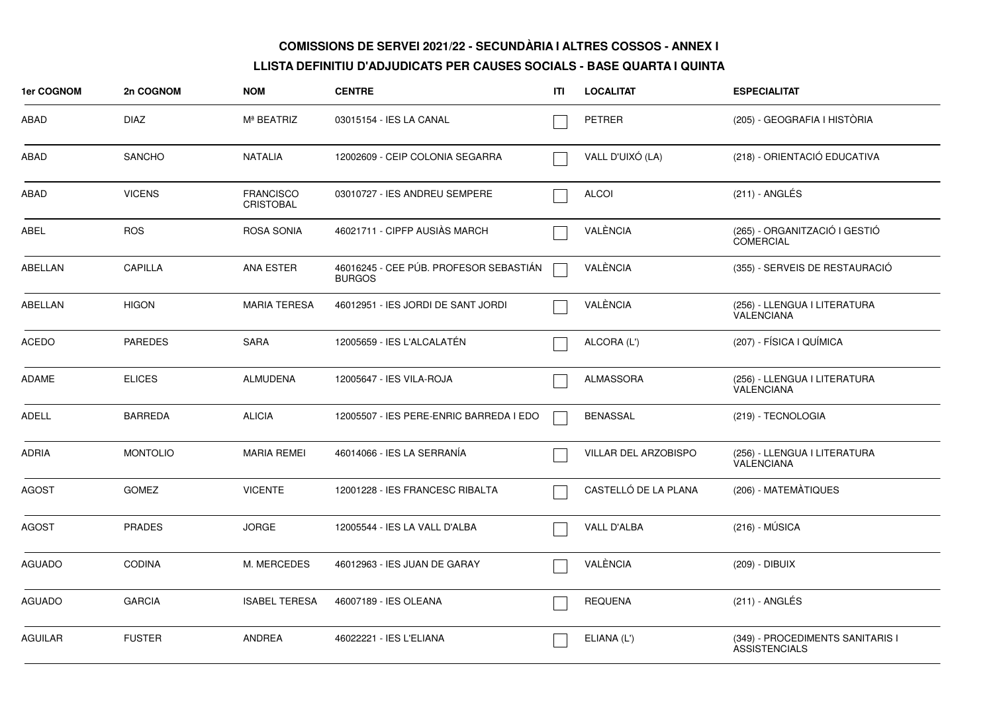| 1er COGNOM     | 2n COGNOM       | <b>NOM</b>                           | <b>CENTRE</b>                                           | ITI | <b>LOCALITAT</b>            | <b>ESPECIALITAT</b>                                      |
|----------------|-----------------|--------------------------------------|---------------------------------------------------------|-----|-----------------------------|----------------------------------------------------------|
| ABAD           | <b>DIAZ</b>     | M <sup>ª</sup> BEATRIZ               | 03015154 - IES LA CANAL                                 |     | <b>PETRER</b>               | (205) - GEOGRAFIA I HISTÒRIA                             |
| ABAD           | SANCHO          | <b>NATALIA</b>                       | 12002609 - CEIP COLONIA SEGARRA                         |     | VALL D'UIXÓ (LA)            | (218) - ORIENTACIÓ EDUCATIVA                             |
| ABAD           | <b>VICENS</b>   | <b>FRANCISCO</b><br><b>CRISTOBAL</b> | 03010727 - IES ANDREU SEMPERE                           |     | <b>ALCOI</b>                | (211) - ANGLÉS                                           |
| <b>ABEL</b>    | <b>ROS</b>      | ROSA SONIA                           | 46021711 - CIPFP AUSIÀS MARCH                           |     | VALÈNCIA                    | (265) - ORGANITZACIÓ I GESTIÓ<br><b>COMERCIAL</b>        |
| ABELLAN        | CAPILLA         | <b>ANA ESTER</b>                     | 46016245 - CEE PÚB. PROFESOR SEBASTIÁN<br><b>BURGOS</b> |     | VALÈNCIA                    | (355) - SERVEIS DE RESTAURACIÓ                           |
| ABELLAN        | <b>HIGON</b>    | <b>MARIA TERESA</b>                  | 46012951 - IES JORDI DE SANT JORDI                      |     | VALÈNCIA                    | (256) - LLENGUA I LITERATURA<br><b>VALENCIANA</b>        |
| <b>ACEDO</b>   | <b>PAREDES</b>  | <b>SARA</b>                          | 12005659 - IES L'ALCALATÉN                              |     | ALCORA (L')                 | (207) - FÍSICA I QUÍMICA                                 |
| <b>ADAME</b>   | <b>ELICES</b>   | <b>ALMUDENA</b>                      | 12005647 - IES VILA-ROJA                                |     | <b>ALMASSORA</b>            | (256) - LLENGUA I LITERATURA<br>VALENCIANA               |
| <b>ADELL</b>   | <b>BARREDA</b>  | <b>ALICIA</b>                        | 12005507 - IES PERE-ENRIC BARREDA I EDO                 |     | <b>BENASSAL</b>             | (219) - TECNOLOGIA                                       |
| <b>ADRIA</b>   | <b>MONTOLIO</b> | <b>MARIA REMEI</b>                   | 46014066 - IES LA SERRANÍA                              |     | <b>VILLAR DEL ARZOBISPO</b> | (256) - LLENGUA I LITERATURA<br>VALENCIANA               |
| <b>AGOST</b>   | <b>GOMEZ</b>    | <b>VICENTE</b>                       | 12001228 - IES FRANCESC RIBALTA                         |     | CASTELLÓ DE LA PLANA        | (206) - MATEMÀTIQUES                                     |
| <b>AGOST</b>   | <b>PRADES</b>   | <b>JORGE</b>                         | 12005544 - IES LA VALL D'ALBA                           |     | VALL D'ALBA                 | $(216) - MÚSICA$                                         |
| <b>AGUADO</b>  | <b>CODINA</b>   | M. MERCEDES                          | 46012963 - IES JUAN DE GARAY                            |     | VALÈNCIA                    | (209) - DIBUIX                                           |
| <b>AGUADO</b>  | <b>GARCIA</b>   | <b>ISABEL TERESA</b>                 | 46007189 - IES OLEANA                                   |     | <b>REQUENA</b>              | (211) - ANGLÉS                                           |
| <b>AGUILAR</b> | <b>FUSTER</b>   | <b>ANDREA</b>                        | 46022221 - IES L'ELIANA                                 |     | ELIANA (L')                 | (349) - PROCEDIMENTS SANITARIS I<br><b>ASSISTENCIALS</b> |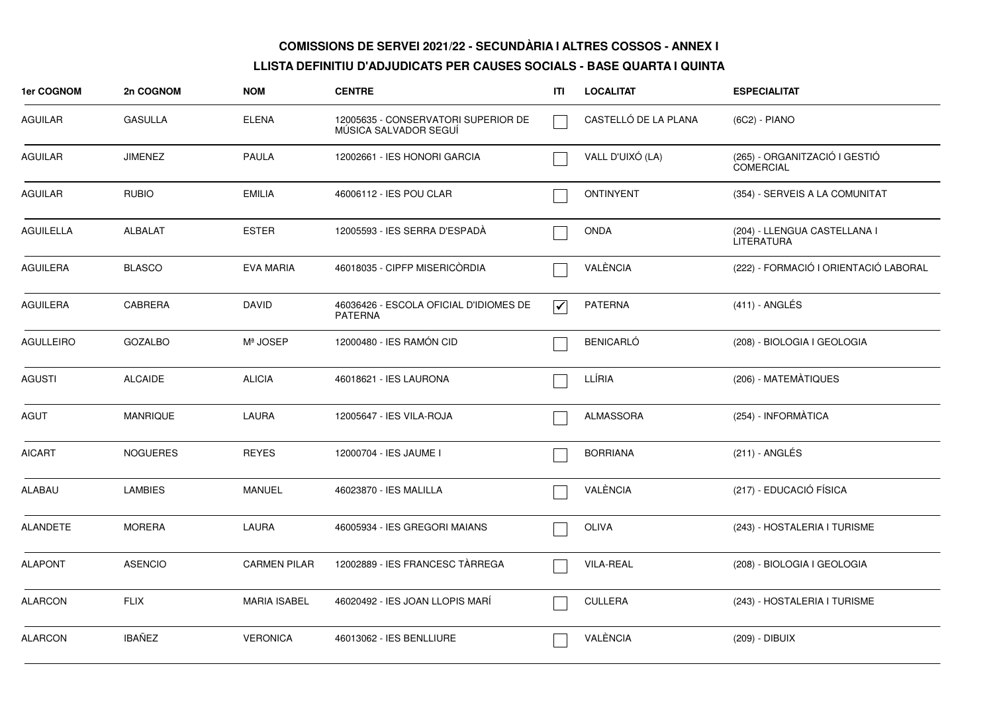| 1er COGNOM       | 2n COGNOM       | <b>NOM</b>          | <b>CENTRE</b>                                                | ITI                             | <b>LOCALITAT</b>     | <b>ESPECIALITAT</b>                        |
|------------------|-----------------|---------------------|--------------------------------------------------------------|---------------------------------|----------------------|--------------------------------------------|
| AGUILAR          | <b>GASULLA</b>  | <b>ELENA</b>        | 12005635 - CONSERVATORI SUPERIOR DE<br>MÚSICA SALVADOR SEGUÍ |                                 | CASTELLÓ DE LA PLANA | (6C2) - PIANO                              |
| <b>AGUILAR</b>   | <b>JIMENEZ</b>  | <b>PAULA</b>        | 12002661 - IES HONORI GARCIA                                 |                                 | VALL D'UIXÓ (LA)     | (265) - ORGANITZACIÓ I GESTIÓ<br>COMERCIAL |
| <b>AGUILAR</b>   | <b>RUBIO</b>    | <b>EMILIA</b>       | 46006112 - IES POU CLAR                                      |                                 | <b>ONTINYENT</b>     | (354) - SERVEIS A LA COMUNITAT             |
| <b>AGUILELLA</b> | <b>ALBALAT</b>  | <b>ESTER</b>        | 12005593 - IES SERRA D'ESPADA                                |                                 | <b>ONDA</b>          | (204) - LLENGUA CASTELLANA I<br>LITERATURA |
| <b>AGUILERA</b>  | <b>BLASCO</b>   | <b>EVA MARIA</b>    | 46018035 - CIPFP MISERICORDIA                                |                                 | VALÈNCIA             | (222) - FORMACIÓ I ORIENTACIÓ LABORAL      |
| <b>AGUILERA</b>  | <b>CABRERA</b>  | <b>DAVID</b>        | 46036426 - ESCOLA OFICIAL D'IDIOMES DE<br><b>PATERNA</b>     | $\overline{\blacktriangledown}$ | <b>PATERNA</b>       | $(411)$ - ANGLÉS                           |
| <b>AGULLEIRO</b> | <b>GOZALBO</b>  | Mª JOSEP            | 12000480 - IES RAMÓN CID                                     |                                 | <b>BENICARLÓ</b>     | (208) - BIOLOGIA I GEOLOGIA                |
| <b>AGUSTI</b>    | <b>ALCAIDE</b>  | <b>ALICIA</b>       | 46018621 - IES LAURONA                                       |                                 | LLÍRIA               | (206) - MATEMÀTIQUES                       |
| AGUT             | <b>MANRIQUE</b> | <b>LAURA</b>        | 12005647 - IES VILA-ROJA                                     |                                 | <b>ALMASSORA</b>     | (254) - INFORMÀTICA                        |
| <b>AICART</b>    | <b>NOGUERES</b> | <b>REYES</b>        | 12000704 - IES JAUME I                                       |                                 | <b>BORRIANA</b>      | (211) - ANGLÉS                             |
| <b>ALABAU</b>    | <b>LAMBIES</b>  | <b>MANUEL</b>       | 46023870 - IES MALILLA                                       |                                 | VALÈNCIA             | (217) - EDUCACIÓ FÍSICA                    |
| <b>ALANDETE</b>  | <b>MORERA</b>   | LAURA               | 46005934 - IES GREGORI MAIANS                                |                                 | <b>OLIVA</b>         | (243) - HOSTALERIA I TURISME               |
| <b>ALAPONT</b>   | <b>ASENCIO</b>  | <b>CARMEN PILAR</b> | 12002889 - IES FRANCESC TÀRREGA                              |                                 | <b>VILA-REAL</b>     | (208) - BIOLOGIA I GEOLOGIA                |
| <b>ALARCON</b>   | <b>FLIX</b>     | <b>MARIA ISABEL</b> | 46020492 - IES JOAN LLOPIS MARÍ                              |                                 | <b>CULLERA</b>       | (243) - HOSTALERIA I TURISME               |
| <b>ALARCON</b>   | IBAÑEZ          | <b>VERONICA</b>     | 46013062 - IES BENLLIURE                                     |                                 | VALÈNCIA             | (209) - DIBUIX                             |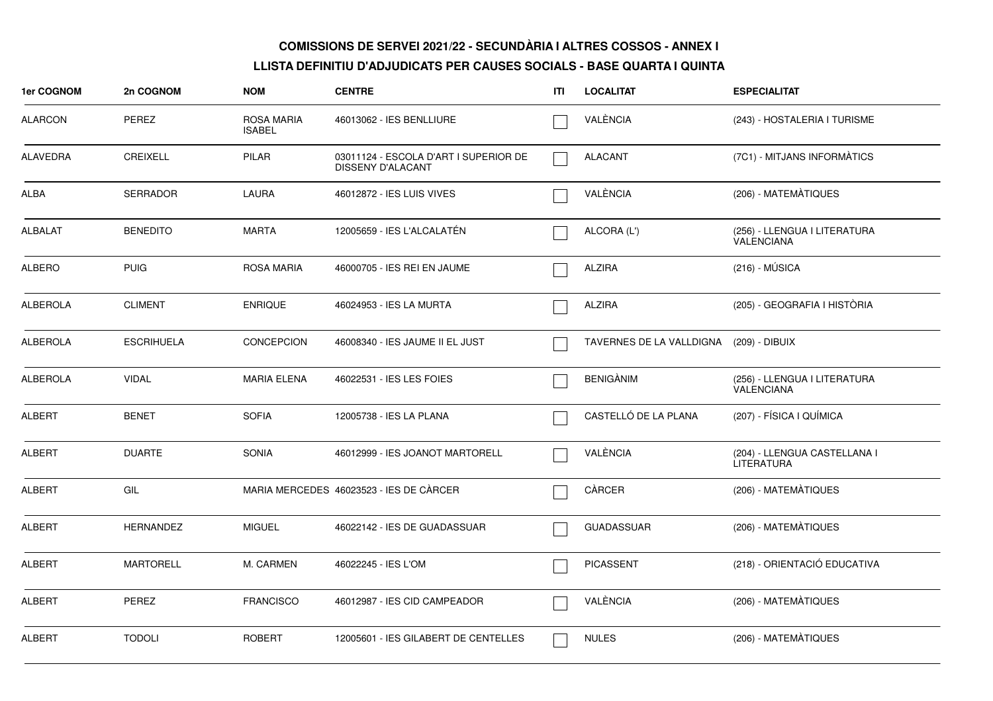| 1er COGNOM      | 2n COGNOM         | <b>NOM</b>                  | <b>CENTRE</b>                                              | ITI | <b>LOCALITAT</b>                        | <b>ESPECIALITAT</b>                               |
|-----------------|-------------------|-----------------------------|------------------------------------------------------------|-----|-----------------------------------------|---------------------------------------------------|
| <b>ALARCON</b>  | <b>PEREZ</b>      | ROSA MARIA<br><b>ISABEL</b> | 46013062 - IES BENLLIURE                                   |     | VALÈNCIA                                | (243) - HOSTALERIA I TURISME                      |
| <b>ALAVEDRA</b> | <b>CREIXELL</b>   | <b>PILAR</b>                | 03011124 - ESCOLA D'ART I SUPERIOR DE<br>DISSENY D'ALACANT |     | <b>ALACANT</b>                          | (7C1) - MITJANS INFORMÀTICS                       |
| ALBA            | <b>SERRADOR</b>   | <b>LAURA</b>                | 46012872 - IES LUIS VIVES                                  |     | VALÈNCIA                                | (206) - MATEMATIQUES                              |
| <b>ALBALAT</b>  | <b>BENEDITO</b>   | <b>MARTA</b>                | 12005659 - IES L'ALCALATÉN                                 |     | ALCORA (L')                             | (256) - LLENGUA I LITERATURA<br><b>VALENCIANA</b> |
| <b>ALBERO</b>   | <b>PUIG</b>       | ROSA MARIA                  | 46000705 - IES REI EN JAUME                                |     | <b>ALZIRA</b>                           | $(216) - MÚSICA$                                  |
| <b>ALBEROLA</b> | <b>CLIMENT</b>    | <b>ENRIQUE</b>              | 46024953 - IES LA MURTA                                    |     | <b>ALZIRA</b>                           | (205) - GEOGRAFIA I HISTÒRIA                      |
| <b>ALBEROLA</b> | <b>ESCRIHUELA</b> | <b>CONCEPCION</b>           | 46008340 - IES JAUME II EL JUST                            |     | TAVERNES DE LA VALLDIGNA (209) - DIBUIX |                                                   |
| <b>ALBEROLA</b> | <b>VIDAL</b>      | <b>MARIA ELENA</b>          | 46022531 - IES LES FOIES                                   |     | <b>BENIGÀNIM</b>                        | (256) - LLENGUA I LITERATURA<br>VALENCIANA        |
| <b>ALBERT</b>   | <b>BENET</b>      | <b>SOFIA</b>                | 12005738 - IES LA PLANA                                    |     | CASTELLÓ DE LA PLANA                    | (207) - FÍSICA I QUÍMICA                          |
| <b>ALBERT</b>   | <b>DUARTE</b>     | <b>SONIA</b>                | 46012999 - IES JOANOT MARTORELL                            |     | VALÈNCIA                                | (204) - LLENGUA CASTELLANA I<br><b>LITERATURA</b> |
| <b>ALBERT</b>   | GIL               |                             | MARIA MERCEDES 46023523 - IES DE CÀRCER                    |     | CÀRCER                                  | (206) - MATEMÀTIQUES                              |
| <b>ALBERT</b>   | <b>HERNANDEZ</b>  | <b>MIGUEL</b>               | 46022142 - IES DE GUADASSUAR                               |     | <b>GUADASSUAR</b>                       | (206) - MATEMATIQUES                              |
| <b>ALBERT</b>   | <b>MARTORELL</b>  | M. CARMEN                   | 46022245 - IES L'OM                                        |     | <b>PICASSENT</b>                        | (218) - ORIENTACIÓ EDUCATIVA                      |
| <b>ALBERT</b>   | <b>PEREZ</b>      | <b>FRANCISCO</b>            | 46012987 - IES CID CAMPEADOR                               |     | VALÈNCIA                                | (206) - MATEMÀTIQUES                              |
| <b>ALBERT</b>   | <b>TODOLI</b>     | <b>ROBERT</b>               | 12005601 - IES GILABERT DE CENTELLES                       |     | <b>NULES</b>                            | (206) - MATEMÀTIQUES                              |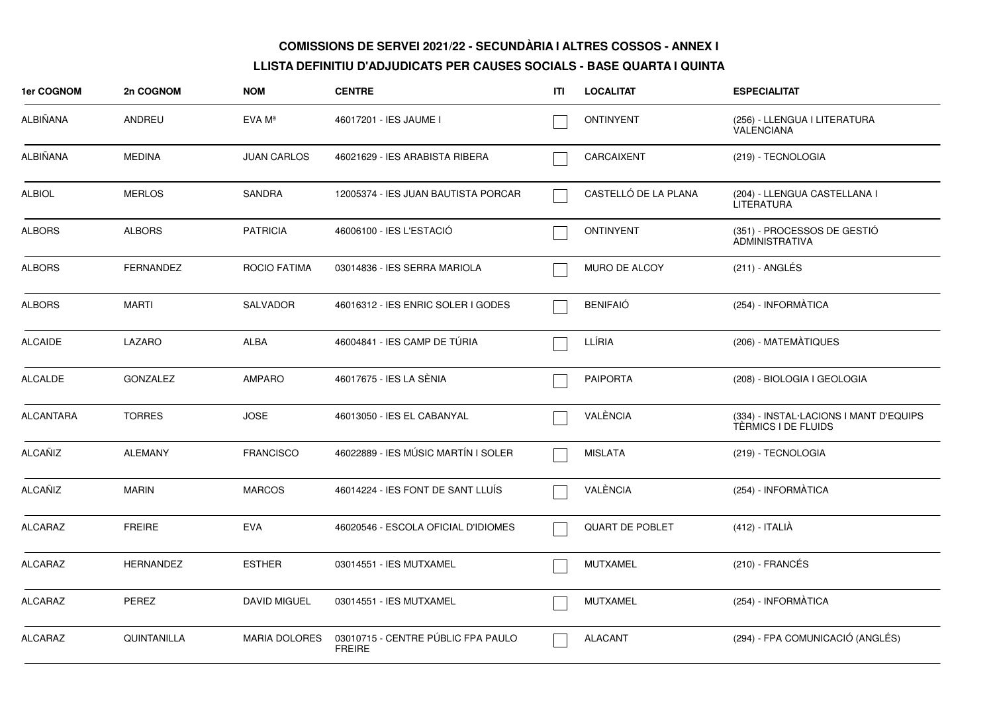| <b>1er COGNOM</b> | 2n COGNOM          | <b>NOM</b>           | <b>CENTRE</b>                                       | ITI | <b>LOCALITAT</b>       | <b>ESPECIALITAT</b>                                           |
|-------------------|--------------------|----------------------|-----------------------------------------------------|-----|------------------------|---------------------------------------------------------------|
| ALBIÑANA          | ANDREU             | EVA Mª               | 46017201 - IES JAUME I                              |     | <b>ONTINYENT</b>       | (256) - LLENGUA I LITERATURA<br>VALENCIANA                    |
| ALBIÑANA          | <b>MEDINA</b>      | <b>JUAN CARLOS</b>   | 46021629 - IES ARABISTA RIBERA                      |     | CARCAIXENT             | (219) - TECNOLOGIA                                            |
| <b>ALBIOL</b>     | <b>MERLOS</b>      | <b>SANDRA</b>        | 12005374 - IES JUAN BAUTISTA PORCAR                 |     | CASTELLÓ DE LA PLANA   | (204) - LLENGUA CASTELLANA I<br><b>LITERATURA</b>             |
| <b>ALBORS</b>     | <b>ALBORS</b>      | <b>PATRICIA</b>      | 46006100 - IES L'ESTACIÓ                            |     | <b>ONTINYENT</b>       | (351) - PROCESSOS DE GESTIÓ<br><b>ADMINISTRATIVA</b>          |
| <b>ALBORS</b>     | <b>FERNANDEZ</b>   | <b>ROCIO FATIMA</b>  | 03014836 - IES SERRA MARIOLA                        |     | <b>MURO DE ALCOY</b>   | $(211)$ - ANGLÉS                                              |
| <b>ALBORS</b>     | <b>MARTI</b>       | <b>SALVADOR</b>      | 46016312 - IES ENRIC SOLER I GODES                  |     | <b>BENIFAIO</b>        | (254) - INFORMÀTICA                                           |
| <b>ALCAIDE</b>    | LAZARO             | <b>ALBA</b>          | 46004841 - IES CAMP DE TÚRIA                        |     | LLÍRIA                 | (206) - MATEMÀTIQUES                                          |
| <b>ALCALDE</b>    | <b>GONZALEZ</b>    | AMPARO               | 46017675 - IES LA SÈNIA                             |     | <b>PAIPORTA</b>        | (208) - BIOLOGIA I GEOLOGIA                                   |
| <b>ALCANTARA</b>  | <b>TORRES</b>      | <b>JOSE</b>          | 46013050 - IES EL CABANYAL                          |     | VALÈNCIA               | (334) - INSTAL·LACIONS I MANT D'EQUIPS<br>TÈRMICS I DE FLUIDS |
| <b>ALCAÑIZ</b>    | <b>ALEMANY</b>     | <b>FRANCISCO</b>     | 46022889 - IES MÚSIC MARTÍN I SOLER                 |     | <b>MISLATA</b>         | (219) - TECNOLOGIA                                            |
| <b>ALCAÑIZ</b>    | <b>MARIN</b>       | <b>MARCOS</b>        | 46014224 - IES FONT DE SANT LLUIS                   |     | VALÈNCIA               | (254) - INFORMÀTICA                                           |
| ALCARAZ           | <b>FREIRE</b>      | <b>EVA</b>           | 46020546 - ESCOLA OFICIAL D'IDIOMES                 |     | <b>QUART DE POBLET</b> | (412) - ITALIÀ                                                |
| <b>ALCARAZ</b>    | <b>HERNANDEZ</b>   | <b>ESTHER</b>        | 03014551 - IES MUTXAMEL                             |     | <b>MUTXAMEL</b>        | $(210)$ - FRANCÉS                                             |
| <b>ALCARAZ</b>    | <b>PEREZ</b>       | <b>DAVID MIGUEL</b>  | 03014551 - IES MUTXAMEL                             |     | <b>MUTXAMEL</b>        | (254) - INFORMÀTICA                                           |
| <b>ALCARAZ</b>    | <b>QUINTANILLA</b> | <b>MARIA DOLORES</b> | 03010715 - CENTRE PÚBLIC FPA PAULO<br><b>FREIRE</b> |     | <b>ALACANT</b>         | (294) - FPA COMUNICACIÓ (ANGLÉS)                              |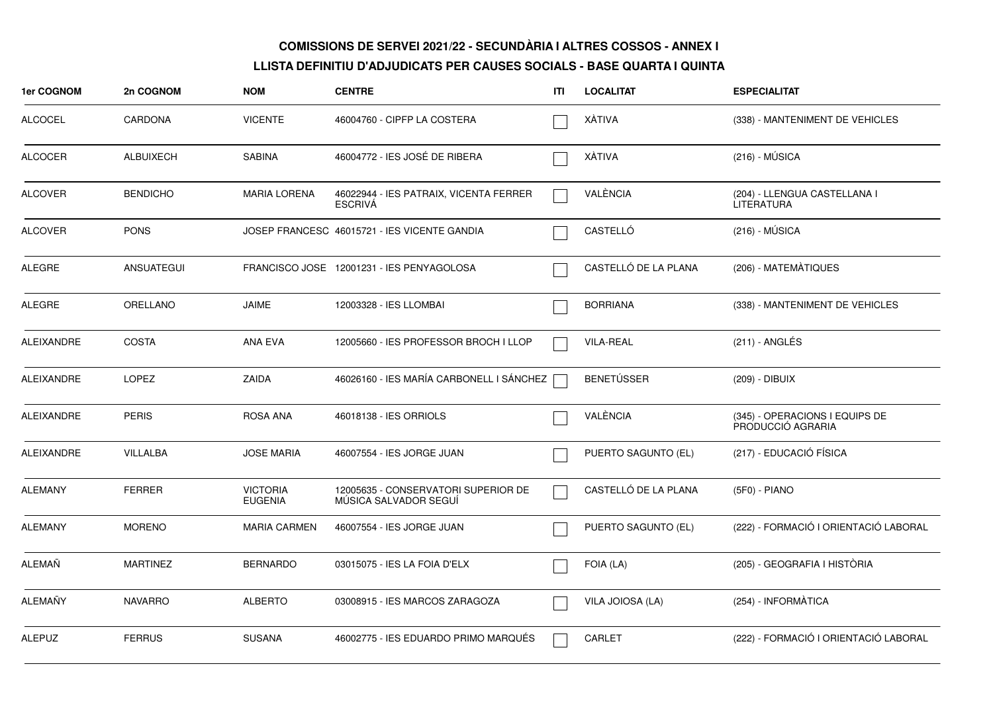| <b>1er COGNOM</b> | 2n COGNOM        | <b>NOM</b>                        | <b>CENTRE</b>                                                | ITI | <b>LOCALITAT</b>     | <b>ESPECIALITAT</b>                                 |
|-------------------|------------------|-----------------------------------|--------------------------------------------------------------|-----|----------------------|-----------------------------------------------------|
| <b>ALCOCEL</b>    | CARDONA          | <b>VICENTE</b>                    | 46004760 - CIPFP LA COSTERA                                  |     | XÀTIVA               | (338) - MANTENIMENT DE VEHICLES                     |
| <b>ALCOCER</b>    | <b>ALBUIXECH</b> | <b>SABINA</b>                     | 46004772 - IES JOSÉ DE RIBERA                                |     | XÀTIVA               | $(216) - MÚSICA$                                    |
| ALCOVER           | <b>BENDICHO</b>  | <b>MARIA LORENA</b>               | 46022944 - IES PATRAIX, VICENTA FERRER<br><b>ESCRIVA</b>     |     | VALÈNCIA             | (204) - LLENGUA CASTELLANA I<br>LITERATURA          |
| ALCOVER           | <b>PONS</b>      |                                   | JOSEP FRANCESC 46015721 - IES VICENTE GANDIA                 |     | CASTELLÓ             | $(216) - MÚSICA$                                    |
| ALEGRE            | ANSUATEGUI       |                                   | FRANCISCO JOSE 12001231 - IES PENYAGOLOSA                    |     | CASTELLÓ DE LA PLANA | (206) - MATEMATIQUES                                |
| ALEGRE            | ORELLANO         | <b>JAIME</b>                      | 12003328 - IES LLOMBAI                                       |     | <b>BORRIANA</b>      | (338) - MANTENIMENT DE VEHICLES                     |
| ALEIXANDRE        | <b>COSTA</b>     | ANA EVA                           | 12005660 - IES PROFESSOR BROCH I LLOP                        |     | <b>VILA-REAL</b>     | $(211)$ - ANGLÉS                                    |
| ALEIXANDRE        | <b>LOPEZ</b>     | ZAIDA                             | 46026160 - IES MARÍA CARBONELL I SÁNCHEZ                     |     | <b>BENETÚSSER</b>    | (209) - DIBUIX                                      |
| <b>ALEIXANDRE</b> | <b>PERIS</b>     | ROSA ANA                          | 46018138 - IES ORRIOLS                                       |     | VALÈNCIA             | (345) - OPERACIONS I EQUIPS DE<br>PRODUCCIÓ AGRARIA |
| ALEIXANDRE        | VILLALBA         | <b>JOSE MARIA</b>                 | 46007554 - IES JORGE JUAN                                    |     | PUERTO SAGUNTO (EL)  | (217) - EDUCACIÓ FÍSICA                             |
| <b>ALEMANY</b>    | <b>FERRER</b>    | <b>VICTORIA</b><br><b>EUGENIA</b> | 12005635 - CONSERVATORI SUPERIOR DE<br>MÚSICA SALVADOR SEGUÍ |     | CASTELLÓ DE LA PLANA | (5F0) - PIANO                                       |
| ALEMANY           | <b>MORENO</b>    | <b>MARIA CARMEN</b>               | 46007554 - IES JORGE JUAN                                    |     | PUERTO SAGUNTO (EL)  | (222) - FORMACIÓ I ORIENTACIÓ LABORAL               |
| ALEMAÑ            | <b>MARTINEZ</b>  | <b>BERNARDO</b>                   | 03015075 - IES LA FOIA D'ELX                                 |     | FOIA (LA)            | (205) - GEOGRAFIA I HISTÒRIA                        |
| ALEMAÑY           | <b>NAVARRO</b>   | <b>ALBERTO</b>                    | 03008915 - IES MARCOS ZARAGOZA                               |     | VILA JOIOSA (LA)     | (254) - INFORMÀTICA                                 |
| <b>ALEPUZ</b>     | <b>FERRUS</b>    | <b>SUSANA</b>                     | 46002775 - IES EDUARDO PRIMO MARQUÉS                         |     | <b>CARLET</b>        | (222) - FORMACIÓ I ORIENTACIÓ LABORAL               |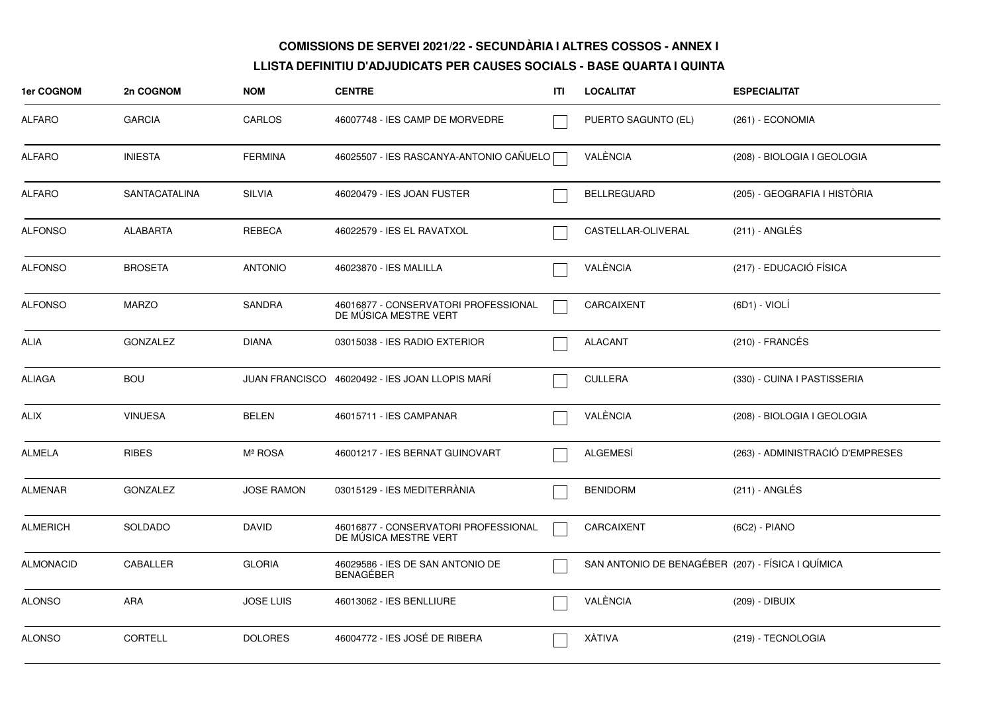| 1er COGNOM       | 2n COGNOM            | <b>NOM</b>        | <b>CENTRE</b>                                                 | ITI | <b>LOCALITAT</b>                                  | <b>ESPECIALITAT</b>              |
|------------------|----------------------|-------------------|---------------------------------------------------------------|-----|---------------------------------------------------|----------------------------------|
| <b>ALFARO</b>    | <b>GARCIA</b>        | CARLOS            | 46007748 - IES CAMP DE MORVEDRE                               |     | PUERTO SAGUNTO (EL)                               | (261) - ECONOMIA                 |
| <b>ALFARO</b>    | <b>INIESTA</b>       | <b>FERMINA</b>    | 46025507 - IES RASCANYA-ANTONIO CAÑUELO [                     |     | VALÈNCIA                                          | (208) - BIOLOGIA I GEOLOGIA      |
| <b>ALFARO</b>    | <b>SANTACATALINA</b> | <b>SILVIA</b>     | 46020479 - IES JOAN FUSTER                                    |     | <b>BELLREGUARD</b>                                | (205) - GEOGRAFIA I HISTÒRIA     |
| <b>ALFONSO</b>   | <b>ALABARTA</b>      | REBECA            | 46022579 - IES EL RAVATXOL                                    |     | CASTELLAR-OLIVERAL                                | $(211)$ - ANGLÉS                 |
| <b>ALFONSO</b>   | <b>BROSETA</b>       | <b>ANTONIO</b>    | 46023870 - IES MALILLA                                        |     | VALÈNCIA                                          | (217) - EDUCACIÓ FÍSICA          |
| <b>ALFONSO</b>   | <b>MARZO</b>         | <b>SANDRA</b>     | 46016877 - CONSERVATORI PROFESSIONAL<br>DE MÚSICA MESTRE VERT |     | CARCAIXENT                                        | (6D1) - VIOLÍ                    |
| ALIA             | <b>GONZALEZ</b>      | <b>DIANA</b>      | 03015038 - IES RADIO EXTERIOR                                 |     | <b>ALACANT</b>                                    | $(210)$ - FRANCÉS                |
| <b>ALIAGA</b>    | <b>BOU</b>           |                   | JUAN FRANCISCO 46020492 - IES JOAN LLOPIS MARÍ                |     | <b>CULLERA</b>                                    | (330) - CUINA I PASTISSERIA      |
| ALIX             | <b>VINUESA</b>       | <b>BELEN</b>      | 46015711 - IES CAMPANAR                                       |     | VALÈNCIA                                          | (208) - BIOLOGIA I GEOLOGIA      |
| <b>ALMELA</b>    | <b>RIBES</b>         | Mª ROSA           | 46001217 - IES BERNAT GUINOVART                               |     | ALGEMESÍ                                          | (263) - ADMINISTRACIÓ D'EMPRESES |
| <b>ALMENAR</b>   | <b>GONZALEZ</b>      | <b>JOSE RAMON</b> | 03015129 - IES MEDITERRANIA                                   |     | <b>BENIDORM</b>                                   | (211) - ANGLÉS                   |
| <b>ALMERICH</b>  | <b>SOLDADO</b>       | <b>DAVID</b>      | 46016877 - CONSERVATORI PROFESSIONAL<br>DE MÚSICA MESTRE VERT |     | CARCAIXENT                                        | (6C2) - PIANO                    |
| <b>ALMONACID</b> | <b>CABALLER</b>      | <b>GLORIA</b>     | 46029586 - IES DE SAN ANTONIO DE<br><b>BENAGEBER</b>          |     | SAN ANTONIO DE BENAGÉBER (207) - FÍSICA I QUÍMICA |                                  |
| <b>ALONSO</b>    | ARA                  | <b>JOSE LUIS</b>  | 46013062 - IES BENLLIURE                                      |     | VALÈNCIA                                          | (209) - DIBUIX                   |
| <b>ALONSO</b>    | <b>CORTELL</b>       | <b>DOLORES</b>    | 46004772 - IES JOSÉ DE RIBERA                                 |     | XÀTIVA                                            | (219) - TECNOLOGIA               |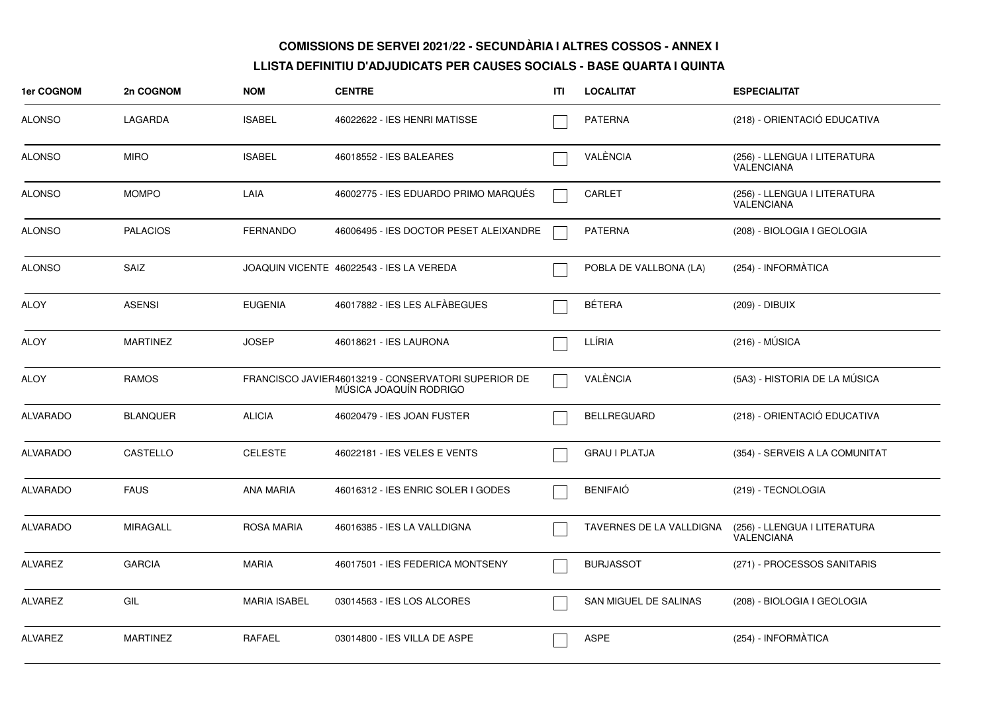| 1er COGNOM      | 2n COGNOM       | <b>NOM</b>          | <b>CENTRE</b>                                                                 | ITI | <b>LOCALITAT</b>         | <b>ESPECIALITAT</b>                               |
|-----------------|-----------------|---------------------|-------------------------------------------------------------------------------|-----|--------------------------|---------------------------------------------------|
| <b>ALONSO</b>   | LAGARDA         | <b>ISABEL</b>       | 46022622 - IES HENRI MATISSE                                                  |     | <b>PATERNA</b>           | (218) - ORIENTACIÓ EDUCATIVA                      |
| <b>ALONSO</b>   | <b>MIRO</b>     | <b>ISABEL</b>       | 46018552 - IES BALEARES                                                       |     | VALÈNCIA                 | (256) - LLENGUA I LITERATURA<br><b>VALENCIANA</b> |
| <b>ALONSO</b>   | <b>MOMPO</b>    | LAIA                | 46002775 - IES EDUARDO PRIMO MARQUÉS                                          |     | <b>CARLET</b>            | (256) - LLENGUA I LITERATURA<br>VALENCIANA        |
| <b>ALONSO</b>   | <b>PALACIOS</b> | <b>FERNANDO</b>     | 46006495 - IES DOCTOR PESET ALEIXANDRE                                        |     | <b>PATERNA</b>           | (208) - BIOLOGIA I GEOLOGIA                       |
| <b>ALONSO</b>   | SAIZ            |                     | JOAQUIN VICENTE 46022543 - IES LA VEREDA                                      |     | POBLA DE VALLBONA (LA)   | (254) - INFORMÀTICA                               |
| ALOY            | <b>ASENSI</b>   | <b>EUGENIA</b>      | 46017882 - IES LES ALFÀBEGUES                                                 |     | <b>BÉTERA</b>            | (209) - DIBUIX                                    |
| <b>ALOY</b>     | <b>MARTINEZ</b> | <b>JOSEP</b>        | 46018621 - IES LAURONA                                                        |     | LLÍRIA                   | $(216) - MÚSICA$                                  |
| <b>ALOY</b>     | <b>RAMOS</b>    |                     | FRANCISCO JAVIER46013219 - CONSERVATORI SUPERIOR DE<br>MÚSICA JOAQUÍN RODRIGO |     | VALÈNCIA                 | (5A3) - HISTORIA DE LA MÚSICA                     |
| <b>ALVARADO</b> | <b>BLANQUER</b> | <b>ALICIA</b>       | 46020479 - IES JOAN FUSTER                                                    |     | <b>BELLREGUARD</b>       | (218) - ORIENTACIÓ EDUCATIVA                      |
| <b>ALVARADO</b> | CASTELLO        | <b>CELESTE</b>      | 46022181 - IES VELES E VENTS                                                  |     | <b>GRAU I PLATJA</b>     | (354) - SERVEIS A LA COMUNITAT                    |
| <b>ALVARADO</b> | <b>FAUS</b>     | ANA MARIA           | 46016312 - IES ENRIC SOLER I GODES                                            |     | <b>BENIFAIÓ</b>          | (219) - TECNOLOGIA                                |
| <b>ALVARADO</b> | <b>MIRAGALL</b> | <b>ROSA MARIA</b>   | 46016385 - IES LA VALLDIGNA                                                   |     | TAVERNES DE LA VALLDIGNA | (256) - LLENGUA I LITERATURA<br><b>VALENCIANA</b> |
| <b>ALVAREZ</b>  | <b>GARCIA</b>   | <b>MARIA</b>        | 46017501 - IES FEDERICA MONTSENY                                              |     | <b>BURJASSOT</b>         | (271) - PROCESSOS SANITARIS                       |
| <b>ALVAREZ</b>  | GIL             | <b>MARIA ISABEL</b> | 03014563 - IES LOS ALCORES                                                    |     | SAN MIGUEL DE SALINAS    | (208) - BIOLOGIA I GEOLOGIA                       |
| <b>ALVAREZ</b>  | <b>MARTINEZ</b> | <b>RAFAEL</b>       | 03014800 - IES VILLA DE ASPE                                                  |     | <b>ASPE</b>              | (254) - INFORMÀTICA                               |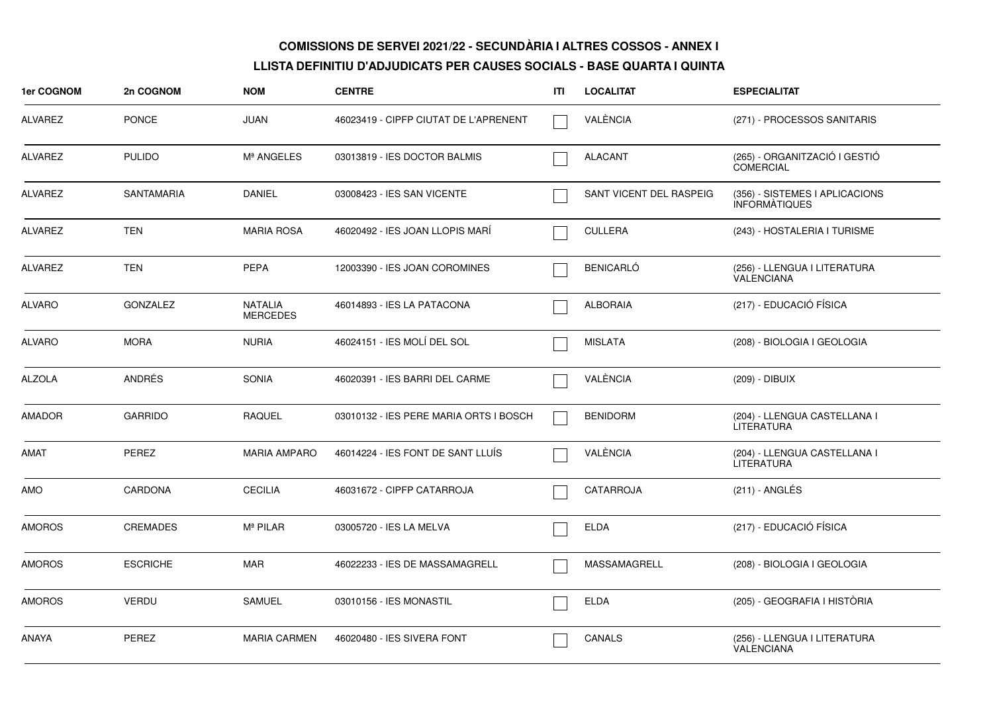| 1er COGNOM     | 2n COGNOM         | <b>NOM</b>                        | <b>CENTRE</b>                          | ITI | <b>LOCALITAT</b>        | <b>ESPECIALITAT</b>                                    |
|----------------|-------------------|-----------------------------------|----------------------------------------|-----|-------------------------|--------------------------------------------------------|
| ALVAREZ        | <b>PONCE</b>      | <b>JUAN</b>                       | 46023419 - CIPFP CIUTAT DE L'APRENENT  |     | VALÈNCIA                | (271) - PROCESSOS SANITARIS                            |
| <b>ALVAREZ</b> | <b>PULIDO</b>     | Mª ANGELES                        | 03013819 - IES DOCTOR BALMIS           |     | <b>ALACANT</b>          | (265) - ORGANITZACIÓ I GESTIÓ<br><b>COMERCIAL</b>      |
| ALVAREZ        | <b>SANTAMARIA</b> | <b>DANIEL</b>                     | 03008423 - IES SAN VICENTE             |     | SANT VICENT DEL RASPEIG | (356) - SISTEMES I APLICACIONS<br><b>INFORMATIQUES</b> |
| <b>ALVAREZ</b> | <b>TEN</b>        | <b>MARIA ROSA</b>                 | 46020492 - IES JOAN LLOPIS MARÍ        |     | <b>CULLERA</b>          | (243) - HOSTALERIA I TURISME                           |
| <b>ALVAREZ</b> | <b>TEN</b>        | <b>PEPA</b>                       | 12003390 - IES JOAN COROMINES          |     | <b>BENICARLÓ</b>        | (256) - LLENGUA I LITERATURA<br><b>VALENCIANA</b>      |
| <b>ALVARO</b>  | <b>GONZALEZ</b>   | <b>NATALIA</b><br><b>MERCEDES</b> | 46014893 - IES LA PATACONA             |     | <b>ALBORAIA</b>         | (217) - EDUCACIÓ FÍSICA                                |
| <b>ALVARO</b>  | <b>MORA</b>       | <b>NURIA</b>                      | 46024151 - IES MOLÍ DEL SOL            |     | <b>MISLATA</b>          | (208) - BIOLOGIA I GEOLOGIA                            |
| <b>ALZOLA</b>  | <b>ANDRÉS</b>     | <b>SONIA</b>                      | 46020391 - IES BARRI DEL CARME         |     | VALÈNCIA                | (209) - DIBUIX                                         |
| <b>AMADOR</b>  | <b>GARRIDO</b>    | <b>RAQUEL</b>                     | 03010132 - IES PERE MARIA ORTS I BOSCH |     | <b>BENIDORM</b>         | (204) - LLENGUA CASTELLANA I<br><b>LITERATURA</b>      |
| AMAT           | <b>PEREZ</b>      | <b>MARIA AMPARO</b>               | 46014224 - IES FONT DE SANT LLUIS      |     | VALÈNCIA                | (204) - LLENGUA CASTELLANA I<br>LITERATURA             |
| <b>AMO</b>     | CARDONA           | <b>CECILIA</b>                    | 46031672 - CIPFP CATARROJA             |     | CATARROJA               | (211) - ANGLÉS                                         |
| <b>AMOROS</b>  | <b>CREMADES</b>   | Mª PILAR                          | 03005720 - IES LA MELVA                |     | <b>ELDA</b>             | (217) - EDUCACIÓ FÍSICA                                |
| <b>AMOROS</b>  | <b>ESCRICHE</b>   | <b>MAR</b>                        | 46022233 - IES DE MASSAMAGRELL         |     | MASSAMAGRELL            | (208) - BIOLOGIA I GEOLOGIA                            |
| <b>AMOROS</b>  | VERDU             | <b>SAMUEL</b>                     | 03010156 - IES MONASTIL                |     | <b>ELDA</b>             | (205) - GEOGRAFIA I HISTÒRIA                           |
| ANAYA          | PEREZ             | <b>MARIA CARMEN</b>               | 46020480 - IES SIVERA FONT             |     | <b>CANALS</b>           | (256) - LLENGUA I LITERATURA<br>VALENCIANA             |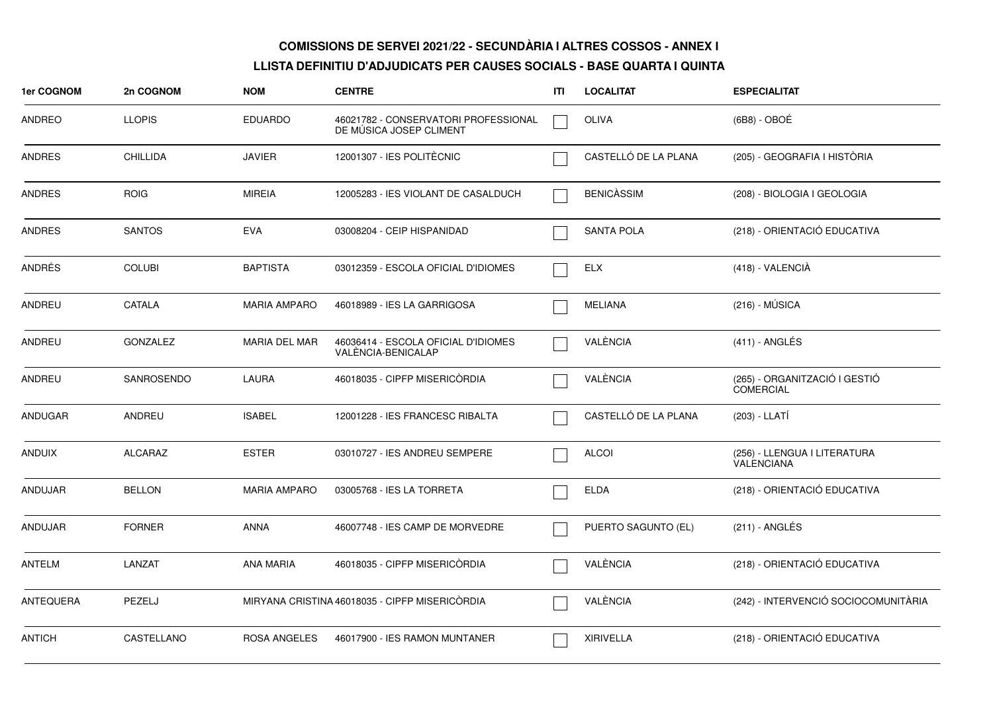| 1er COGNOM     | 2n COGNOM       | <b>NOM</b>           | <b>CENTRE</b>                                                   | ΙTΙ | <b>LOCALITAT</b>     | <b>ESPECIALITAT</b>                               |
|----------------|-----------------|----------------------|-----------------------------------------------------------------|-----|----------------------|---------------------------------------------------|
| ANDREO         | <b>LLOPIS</b>   | <b>EDUARDO</b>       | 46021782 - CONSERVATORI PROFESSIONAL<br>DE MUSICA JOSEP CLIMENT |     | <b>OLIVA</b>         | (6B8) - OBOÉ                                      |
| <b>ANDRES</b>  | <b>CHILLIDA</b> | <b>JAVIER</b>        | 12001307 - IES POLITÈCNIC                                       |     | CASTELLÓ DE LA PLANA | (205) - GEOGRAFIA I HISTÒRIA                      |
| <b>ANDRES</b>  | <b>ROIG</b>     | <b>MIREIA</b>        | 12005283 - IES VIOLANT DE CASALDUCH                             |     | <b>BENICASSIM</b>    | (208) - BIOLOGIA I GEOLOGIA                       |
| <b>ANDRES</b>  | <b>SANTOS</b>   | <b>EVA</b>           | 03008204 - CEIP HISPANIDAD                                      |     | <b>SANTA POLA</b>    | (218) - ORIENTACIÓ EDUCATIVA                      |
| ANDRÉS         | <b>COLUBI</b>   | <b>BAPTISTA</b>      | 03012359 - ESCOLA OFICIAL D'IDIOMES                             |     | ELX                  | $(418) - VALENCIA$                                |
| ANDREU         | CATALA          | <b>MARIA AMPARO</b>  | 46018989 - IES LA GARRIGOSA                                     |     | <b>MELIANA</b>       | (216) - MÚSICA                                    |
| <b>ANDREU</b>  | <b>GONZALEZ</b> | <b>MARIA DEL MAR</b> | 46036414 - ESCOLA OFICIAL D'IDIOMES<br>VALÈNCIA-BENICALAP       |     | VALÈNCIA             | $(411)$ - ANGLÉS                                  |
| ANDREU         | SANROSENDO      | <b>LAURA</b>         | 46018035 - CIPFP MISERICÒRDIA                                   |     | VALÈNCIA             | (265) - ORGANITZACIÓ I GESTIÓ<br><b>COMERCIAL</b> |
| <b>ANDUGAR</b> | ANDREU          | <b>ISABEL</b>        | 12001228 - IES FRANCESC RIBALTA                                 |     | CASTELLÓ DE LA PLANA | (203) - LLATÍ                                     |
| ANDUIX         | ALCARAZ         | <b>ESTER</b>         | 03010727 - IES ANDREU SEMPERE                                   |     | <b>ALCOI</b>         | (256) - LLENGUA I LITERATURA<br>VALENCIANA        |
| ANDUJAR        | <b>BELLON</b>   | <b>MARIA AMPARO</b>  | 03005768 - IES LA TORRETA                                       |     | <b>ELDA</b>          | (218) - ORIENTACIÓ EDUCATIVA                      |
| ANDUJAR        | <b>FORNER</b>   | <b>ANNA</b>          | 46007748 - IES CAMP DE MORVEDRE                                 |     | PUERTO SAGUNTO (EL)  | (211) - ANGLÉS                                    |
| <b>ANTELM</b>  | LANZAT          | <b>ANA MARIA</b>     | 46018035 - CIPFP MISERICORDIA                                   |     | VALÈNCIA             | (218) - ORIENTACIÓ EDUCATIVA                      |
| ANTEQUERA      | PEZELJ          |                      | MIRYANA CRISTINA 46018035 - CIPFP MISERICORDIA                  |     | VALÈNCIA             | (242) - INTERVENCIÓ SOCIOCOMUNITÀRIA              |
| <b>ANTICH</b>  | CASTELLANO      | <b>ROSA ANGELES</b>  | 46017900 - IES RAMON MUNTANER                                   |     | <b>XIRIVELLA</b>     | (218) - ORIENTACIÓ EDUCATIVA                      |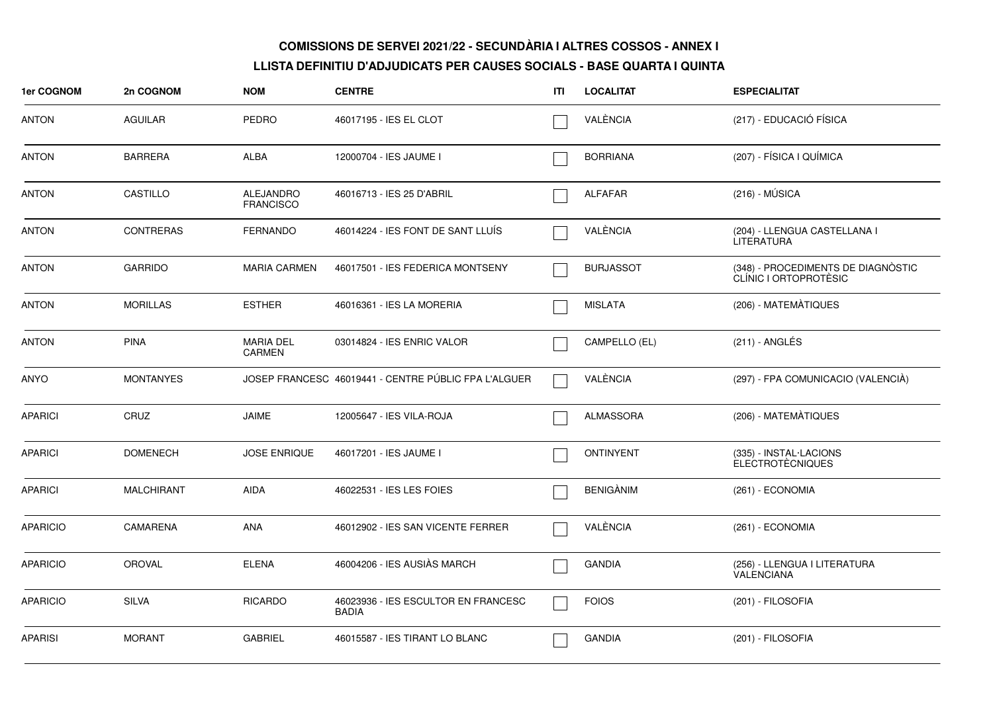| <b>1er COGNOM</b> | 2n COGNOM         | <b>NOM</b>                           | <b>CENTRE</b>                                        | ITI | <b>LOCALITAT</b> | <b>ESPECIALITAT</b>                                         |
|-------------------|-------------------|--------------------------------------|------------------------------------------------------|-----|------------------|-------------------------------------------------------------|
| <b>ANTON</b>      | <b>AGUILAR</b>    | <b>PEDRO</b>                         | 46017195 - IES EL CLOT                               |     | VALÈNCIA         | (217) - EDUCACIÓ FÍSICA                                     |
| <b>ANTON</b>      | <b>BARRERA</b>    | ALBA                                 | 12000704 - IES JAUME I                               |     | <b>BORRIANA</b>  | (207) - FÍSICA I QUÍMICA                                    |
| <b>ANTON</b>      | CASTILLO          | <b>ALEJANDRO</b><br><b>FRANCISCO</b> | 46016713 - IES 25 D'ABRIL                            |     | <b>ALFAFAR</b>   | $(216) - MÚSICA$                                            |
| <b>ANTON</b>      | <b>CONTRERAS</b>  | <b>FERNANDO</b>                      | 46014224 - IES FONT DE SANT LLUIS                    |     | VALÈNCIA         | (204) - LLENGUA CASTELLANA I<br><b>LITERATURA</b>           |
| <b>ANTON</b>      | <b>GARRIDO</b>    | <b>MARIA CARMEN</b>                  | 46017501 - IES FEDERICA MONTSENY                     |     | <b>BURJASSOT</b> | (348) - PROCEDIMENTS DE DIAGNÒSTIC<br>CLÍNIC I ORTOPROTÈSIC |
| <b>ANTON</b>      | <b>MORILLAS</b>   | <b>ESTHER</b>                        | 46016361 - IES LA MORERIA                            |     | <b>MISLATA</b>   | (206) - MATEMÀTIQUES                                        |
| ANTON             | <b>PINA</b>       | <b>MARIA DEL</b><br><b>CARMEN</b>    | 03014824 - IES ENRIC VALOR                           |     | CAMPELLO (EL)    | $(211)$ - ANGLÉS                                            |
| <b>ANYO</b>       | <b>MONTANYES</b>  |                                      | JOSEP FRANCESC 46019441 - CENTRE PÚBLIC FPA L'ALGUER |     | VALÈNCIA         | (297) - FPA COMUNICACIO (VALENCIÀ)                          |
| <b>APARICI</b>    | CRUZ              | <b>JAIME</b>                         | 12005647 - IES VILA-ROJA                             |     | <b>ALMASSORA</b> | (206) - MATEMÀTIQUES                                        |
| <b>APARICI</b>    | <b>DOMENECH</b>   | <b>JOSE ENRIQUE</b>                  | 46017201 - IES JAUME I                               |     | <b>ONTINYENT</b> | (335) - INSTAL·LACIONS<br><b>ELECTROTÈCNIQUES</b>           |
| <b>APARICI</b>    | <b>MALCHIRANT</b> | <b>AIDA</b>                          | 46022531 - IES LES FOIES                             |     | <b>BENIGÀNIM</b> | (261) - ECONOMIA                                            |
| <b>APARICIO</b>   | <b>CAMARENA</b>   | <b>ANA</b>                           | 46012902 - IES SAN VICENTE FERRER                    |     | VALÈNCIA         | (261) - ECONOMIA                                            |
| <b>APARICIO</b>   | <b>OROVAL</b>     | <b>ELENA</b>                         | 46004206 - IES AUSIÀS MARCH                          |     | <b>GANDIA</b>    | (256) - LLENGUA I LITERATURA<br><b>VALENCIANA</b>           |
| <b>APARICIO</b>   | <b>SILVA</b>      | <b>RICARDO</b>                       | 46023936 - IES ESCULTOR EN FRANCESC<br><b>BADIA</b>  |     | <b>FOIOS</b>     | (201) - FILOSOFIA                                           |
| <b>APARISI</b>    | <b>MORANT</b>     | <b>GABRIEL</b>                       | 46015587 - IES TIRANT LO BLANC                       |     | <b>GANDIA</b>    | (201) - FILOSOFIA                                           |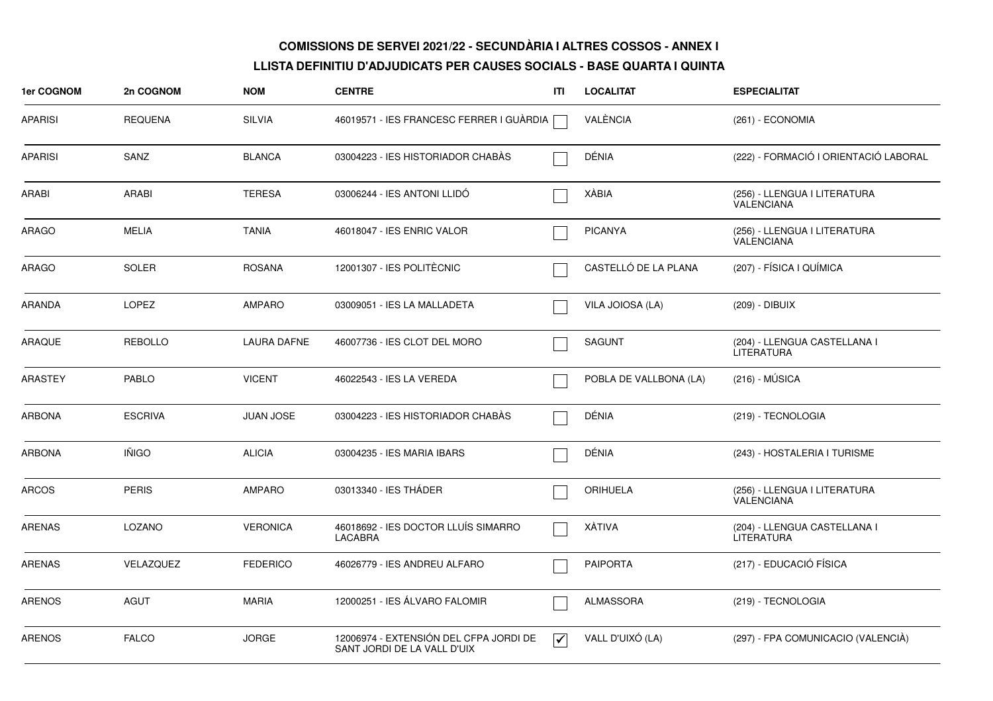| 1er COGNOM     | 2n COGNOM      | <b>NOM</b>         | <b>CENTRE</b>                                                         | ITI                     | <b>LOCALITAT</b>       | <b>ESPECIALITAT</b>                               |
|----------------|----------------|--------------------|-----------------------------------------------------------------------|-------------------------|------------------------|---------------------------------------------------|
| <b>APARISI</b> | <b>REQUENA</b> | <b>SILVIA</b>      | 46019571 - IES FRANCESC FERRER I GUÀRDIA [                            |                         | VALÈNCIA               | (261) - ECONOMIA                                  |
| <b>APARISI</b> | SANZ           | <b>BLANCA</b>      | 03004223 - IES HISTORIADOR CHABAS                                     |                         | DÉNIA                  | (222) - FORMACIÓ I ORIENTACIÓ LABORAL             |
| ARABI          | <b>ARABI</b>   | <b>TERESA</b>      | 03006244 - IES ANTONI LLIDO                                           |                         | XÀBIA                  | (256) - LLENGUA I LITERATURA<br>VALENCIANA        |
| ARAGO          | <b>MELIA</b>   | <b>TANIA</b>       | 46018047 - IES ENRIC VALOR                                            |                         | <b>PICANYA</b>         | (256) - LLENGUA I LITERATURA<br><b>VALENCIANA</b> |
| ARAGO          | <b>SOLER</b>   | <b>ROSANA</b>      | 12001307 - IES POLITÈCNIC                                             |                         | CASTELLÓ DE LA PLANA   | (207) - FÍSICA I QUÍMICA                          |
| ARANDA         | <b>LOPEZ</b>   | <b>AMPARO</b>      | 03009051 - IES LA MALLADETA                                           |                         | VILA JOIOSA (LA)       | (209) - DIBUIX                                    |
| <b>ARAQUE</b>  | <b>REBOLLO</b> | <b>LAURA DAFNE</b> | 46007736 - IES CLOT DEL MORO                                          |                         | <b>SAGUNT</b>          | (204) - LLENGUA CASTELLANA I<br>LITERATURA        |
| <b>ARASTEY</b> | <b>PABLO</b>   | <b>VICENT</b>      | 46022543 - IES LA VEREDA                                              |                         | POBLA DE VALLBONA (LA) | $(216) - MÚSICA$                                  |
| <b>ARBONA</b>  | <b>ESCRIVA</b> | <b>JUAN JOSE</b>   | 03004223 - IES HISTORIADOR CHABÀS                                     |                         | DÉNIA                  | (219) - TECNOLOGIA                                |
| ARBONA         | <b>IÑIGO</b>   | <b>ALICIA</b>      | 03004235 - IES MARIA IBARS                                            |                         | DÉNIA                  | (243) - HOSTALERIA I TURISME                      |
| <b>ARCOS</b>   | <b>PERIS</b>   | <b>AMPARO</b>      | 03013340 - IES THÁDER                                                 |                         | <b>ORIHUELA</b>        | (256) - LLENGUA I LITERATURA<br><b>VALENCIANA</b> |
| <b>ARENAS</b>  | LOZANO         | <b>VERONICA</b>    | 46018692 - IES DOCTOR LLUÍS SIMARRO<br>LACABRA                        |                         | <b>XÀTIVA</b>          | (204) - LLENGUA CASTELLANA I<br>LITERATURA        |
| <b>ARENAS</b>  | VELAZQUEZ      | <b>FEDERICO</b>    | 46026779 - IES ANDREU ALFARO                                          |                         | <b>PAIPORTA</b>        | (217) - EDUCACIÓ FÍSICA                           |
| <b>ARENOS</b>  | AGUT           | <b>MARIA</b>       | 12000251 - IES ÁLVARO FALOMIR                                         |                         | ALMASSORA              | (219) - TECNOLOGIA                                |
| <b>ARENOS</b>  | <b>FALCO</b>   | <b>JORGE</b>       | 12006974 - EXTENSIÓN DEL CFPA JORDI DE<br>SANT JORDI DE LA VALL D'UIX | $\overline{\mathbf{v}}$ | VALL D'UIXÓ (LA)       | (297) - FPA COMUNICACIO (VALENCIÀ)                |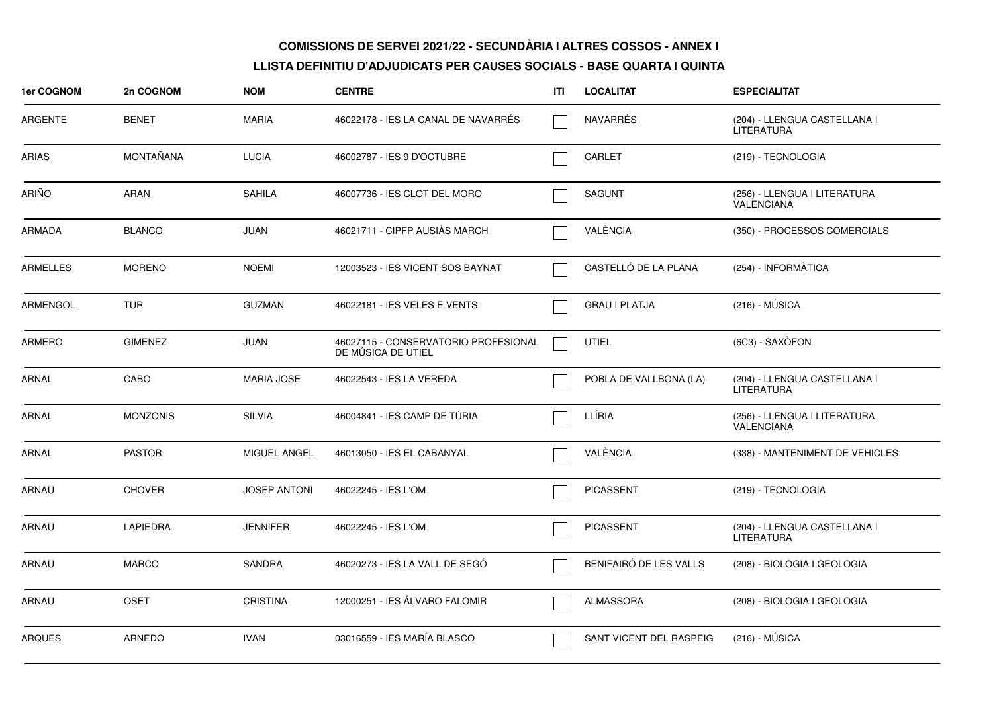| <b>1er COGNOM</b> | 2n COGNOM        | <b>NOM</b>          | <b>CENTRE</b>                                              | ITI | <b>LOCALITAT</b>        | <b>ESPECIALITAT</b>                               |
|-------------------|------------------|---------------------|------------------------------------------------------------|-----|-------------------------|---------------------------------------------------|
| <b>ARGENTE</b>    | <b>BENET</b>     | <b>MARIA</b>        | 46022178 - IES LA CANAL DE NAVARRÉS                        |     | <b>NAVARRÉS</b>         | (204) - LLENGUA CASTELLANA I<br><b>LITERATURA</b> |
| <b>ARIAS</b>      | <b>MONTAÑANA</b> | <b>LUCIA</b>        | 46002787 - IES 9 D'OCTUBRE                                 |     | <b>CARLET</b>           | (219) - TECNOLOGIA                                |
| <b>ARIÑO</b>      | <b>ARAN</b>      | <b>SAHILA</b>       | 46007736 - IES CLOT DEL MORO                               |     | <b>SAGUNT</b>           | (256) - LLENGUA I LITERATURA<br>VALENCIANA        |
| <b>ARMADA</b>     | <b>BLANCO</b>    | <b>JUAN</b>         | 46021711 - CIPFP AUSIÀS MARCH                              |     | VALÈNCIA                | (350) - PROCESSOS COMERCIALS                      |
| <b>ARMELLES</b>   | <b>MORENO</b>    | <b>NOEMI</b>        | 12003523 - IES VICENT SOS BAYNAT                           |     | CASTELLÓ DE LA PLANA    | (254) - INFORMÀTICA                               |
| <b>ARMENGOL</b>   | <b>TUR</b>       | <b>GUZMAN</b>       | 46022181 - IES VELES E VENTS                               |     | <b>GRAU I PLATJA</b>    | $(216) - MÚSICA$                                  |
| <b>ARMERO</b>     | <b>GIMENEZ</b>   | JUAN                | 46027115 - CONSERVATORIO PROFESIONAL<br>DE MÚSICA DE UTIEL |     | <b>UTIEL</b>            | (6C3) - SAXÒFON                                   |
| <b>ARNAL</b>      | CABO             | <b>MARIA JOSE</b>   | 46022543 - IES LA VEREDA                                   |     | POBLA DE VALLBONA (LA)  | (204) - LLENGUA CASTELLANA I<br><b>LITERATURA</b> |
| <b>ARNAL</b>      | <b>MONZONIS</b>  | <b>SILVIA</b>       | 46004841 - IES CAMP DE TÚRIA                               |     | LLÍRIA                  | (256) - LLENGUA I LITERATURA<br>VALENCIANA        |
| ARNAL             | <b>PASTOR</b>    | MIGUEL ANGEL        | 46013050 - IES EL CABANYAL                                 |     | VALÈNCIA                | (338) - MANTENIMENT DE VEHICLES                   |
| ARNAU             | <b>CHOVER</b>    | <b>JOSEP ANTONI</b> | 46022245 - IES L'OM                                        |     | <b>PICASSENT</b>        | (219) - TECNOLOGIA                                |
| <b>ARNAU</b>      | <b>LAPIEDRA</b>  | <b>JENNIFER</b>     | 46022245 - IES L'OM                                        |     | <b>PICASSENT</b>        | (204) - LLENGUA CASTELLANA I<br><b>LITERATURA</b> |
| <b>ARNAU</b>      | <b>MARCO</b>     | <b>SANDRA</b>       | 46020273 - IES LA VALL DE SEGO                             |     | BENIFAIRÓ DE LES VALLS  | (208) - BIOLOGIA I GEOLOGIA                       |
| ARNAU             | <b>OSET</b>      | <b>CRISTINA</b>     | 12000251 - IES ÁLVARO FALOMIR                              |     | <b>ALMASSORA</b>        | (208) - BIOLOGIA I GEOLOGIA                       |
| <b>ARQUES</b>     | <b>ARNEDO</b>    | <b>IVAN</b>         | 03016559 - IES MARÍA BLASCO                                |     | SANT VICENT DEL RASPEIG | (216) - MÚSICA                                    |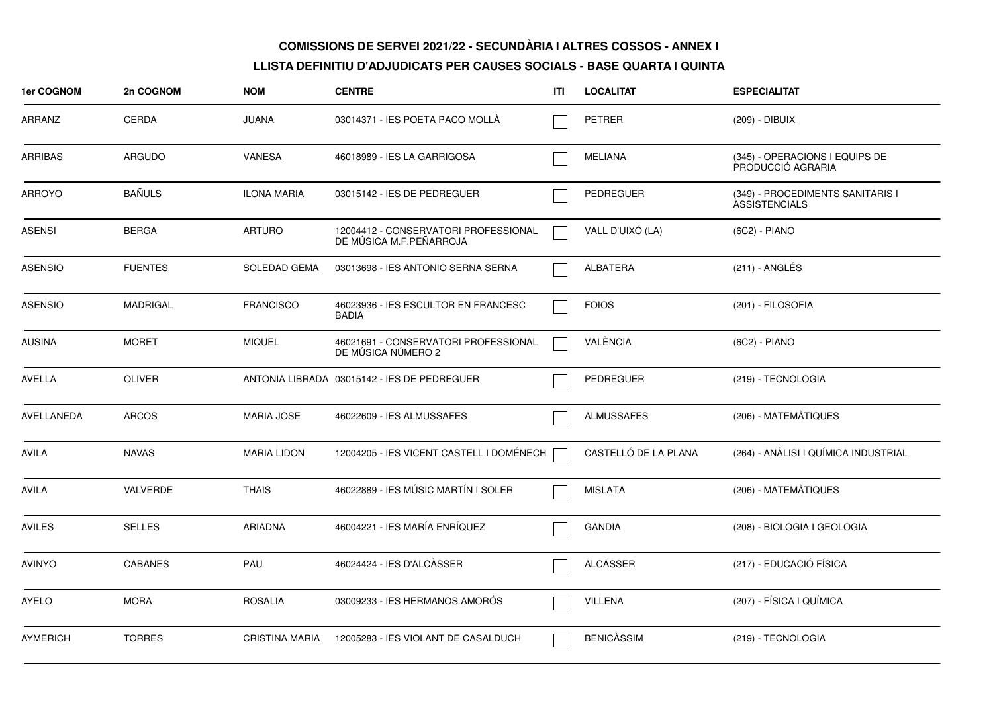| 1er COGNOM      | 2n COGNOM       | <b>NOM</b>            | <b>CENTRE</b>                                                   | ITI | <b>LOCALITAT</b>     | <b>ESPECIALITAT</b>                                      |
|-----------------|-----------------|-----------------------|-----------------------------------------------------------------|-----|----------------------|----------------------------------------------------------|
| ARRANZ          | <b>CERDA</b>    | <b>JUANA</b>          | 03014371 - IES POETA PACO MOLLA                                 |     | <b>PETRER</b>        | (209) - DIBUIX                                           |
| <b>ARRIBAS</b>  | <b>ARGUDO</b>   | VANESA                | 46018989 - IES LA GARRIGOSA                                     |     | MELIANA              | (345) - OPERACIONS I EQUIPS DE<br>PRODUCCIÓ AGRARIA      |
| <b>ARROYO</b>   | <b>BAÑULS</b>   | <b>ILONA MARIA</b>    | 03015142 - IES DE PEDREGUER                                     |     | PEDREGUER            | (349) - PROCEDIMENTS SANITARIS I<br><b>ASSISTENCIALS</b> |
| ASENSI          | <b>BERGA</b>    | <b>ARTURO</b>         | 12004412 - CONSERVATORI PROFESSIONAL<br>DE MÚSICA M.F.PEÑARROJA |     | VALL D'UIXÓ (LA)     | (6C2) - PIANO                                            |
| <b>ASENSIO</b>  | <b>FUENTES</b>  | <b>SOLEDAD GEMA</b>   | 03013698 - IES ANTONIO SERNA SERNA                              |     | <b>ALBATERA</b>      | $(211)$ - ANGLES                                         |
| <b>ASENSIO</b>  | <b>MADRIGAL</b> | <b>FRANCISCO</b>      | 46023936 - IES ESCULTOR EN FRANCESC<br><b>BADIA</b>             |     | <b>FOIOS</b>         | (201) - FILOSOFIA                                        |
| <b>AUSINA</b>   | <b>MORET</b>    | <b>MIQUEL</b>         | 46021691 - CONSERVATORI PROFESSIONAL<br>DE MÚSICA NÚMERO 2      |     | VALÈNCIA             | (6C2) - PIANO                                            |
| <b>AVELLA</b>   | <b>OLIVER</b>   |                       | ANTONIA LIBRADA 03015142 - IES DE PEDREGUER                     |     | PEDREGUER            | (219) - TECNOLOGIA                                       |
| AVELLANEDA      | <b>ARCOS</b>    | <b>MARIA JOSE</b>     | 46022609 - IES ALMUSSAFES                                       |     | <b>ALMUSSAFES</b>    | (206) - MATEMATIQUES                                     |
| <b>AVILA</b>    | <b>NAVAS</b>    | <b>MARIA LIDON</b>    | 12004205 - IES VICENT CASTELL I DOMÉNECH                        |     | CASTELLÓ DE LA PLANA | (264) - ANÀLISI I QUÍMICA INDUSTRIAL                     |
| AVILA           | VALVERDE        | <b>THAIS</b>          | 46022889 - IES MÚSIC MARTÍN I SOLER                             |     | <b>MISLATA</b>       | (206) - MATEMÀTIQUES                                     |
| <b>AVILES</b>   | <b>SELLES</b>   | ARIADNA               | 46004221 - IES MARÍA ENRÍQUEZ                                   |     | <b>GANDIA</b>        | (208) - BIOLOGIA I GEOLOGIA                              |
| <b>AVINYO</b>   | <b>CABANES</b>  | PAU                   | 46024424 - IES D'ALCÀSSER                                       |     | ALCASSER             | (217) - EDUCACIÓ FÍSICA                                  |
| <b>AYELO</b>    | <b>MORA</b>     | <b>ROSALIA</b>        | 03009233 - IES HERMANOS AMORÓS                                  |     | <b>VILLENA</b>       | (207) - FÍSICA I QUÍMICA                                 |
| <b>AYMERICH</b> | <b>TORRES</b>   | <b>CRISTINA MARIA</b> | 12005283 - IES VIOLANT DE CASALDUCH                             |     | <b>BENICÀSSIM</b>    | (219) - TECNOLOGIA                                       |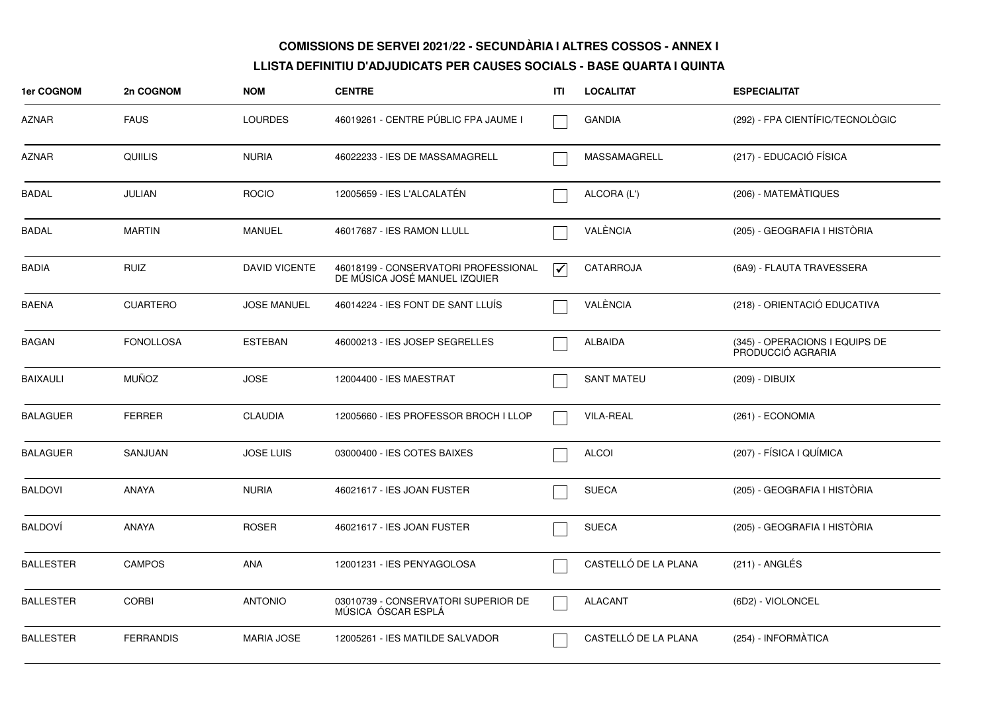| 1er COGNOM       | 2n COGNOM        | <b>NOM</b>           | <b>CENTRE</b>                                                         | <b>ITI</b>                      | <b>LOCALITAT</b>     | <b>ESPECIALITAT</b>                                 |
|------------------|------------------|----------------------|-----------------------------------------------------------------------|---------------------------------|----------------------|-----------------------------------------------------|
| AZNAR            | <b>FAUS</b>      | <b>LOURDES</b>       | 46019261 - CENTRE PÚBLIC FPA JAUME I                                  |                                 | <b>GANDIA</b>        | (292) - FPA CIENTÍFIC/TECNOLÒGIC                    |
| <b>AZNAR</b>     | <b>QUIILIS</b>   | <b>NURIA</b>         | 46022233 - IES DE MASSAMAGRELL                                        |                                 | MASSAMAGRELL         | (217) - EDUCACIÓ FÍSICA                             |
| <b>BADAL</b>     | <b>JULIAN</b>    | <b>ROCIO</b>         | 12005659 - IES L'ALCALATÉN                                            |                                 | ALCORA (L')          | (206) - MATEMÀTIQUES                                |
| <b>BADAL</b>     | <b>MARTIN</b>    | <b>MANUEL</b>        | 46017687 - IES RAMON LLULL                                            |                                 | VALÈNCIA             | (205) - GEOGRAFIA I HISTÒRIA                        |
| <b>BADIA</b>     | <b>RUIZ</b>      | <b>DAVID VICENTE</b> | 46018199 - CONSERVATORI PROFESSIONAL<br>DE MÚSICA JOSÉ MANUEL IZQUIER | $\overline{\blacktriangledown}$ | CATARROJA            | (6A9) - FLAUTA TRAVESSERA                           |
| <b>BAENA</b>     | <b>CUARTERO</b>  | <b>JOSE MANUEL</b>   | 46014224 - IES FONT DE SANT LLUIS                                     |                                 | VALÈNCIA             | (218) - ORIENTACIÓ EDUCATIVA                        |
| <b>BAGAN</b>     | <b>FONOLLOSA</b> | <b>ESTEBAN</b>       | 46000213 - IES JOSEP SEGRELLES                                        |                                 | ALBAIDA              | (345) - OPERACIONS I EQUIPS DE<br>PRODUCCIÓ AGRARIA |
| <b>BAIXAULI</b>  | <b>MUÑOZ</b>     | <b>JOSE</b>          | 12004400 - IES MAESTRAT                                               |                                 | <b>SANT MATEU</b>    | (209) - DIBUIX                                      |
| <b>BALAGUER</b>  | <b>FERRER</b>    | <b>CLAUDIA</b>       | 12005660 - IES PROFESSOR BROCH I LLOP                                 |                                 | <b>VILA-REAL</b>     | (261) - ECONOMIA                                    |
| <b>BALAGUER</b>  | SANJUAN          | <b>JOSE LUIS</b>     | 03000400 - IES COTES BAIXES                                           |                                 | <b>ALCOI</b>         | (207) - FÍSICA I QUÍMICA                            |
| <b>BALDOVI</b>   | <b>ANAYA</b>     | <b>NURIA</b>         | 46021617 - IES JOAN FUSTER                                            |                                 | <b>SUECA</b>         | (205) - GEOGRAFIA I HISTÒRIA                        |
| <b>BALDOVI</b>   | ANAYA            | <b>ROSER</b>         | 46021617 - IES JOAN FUSTER                                            |                                 | <b>SUECA</b>         | (205) - GEOGRAFIA I HISTÒRIA                        |
| <b>BALLESTER</b> | <b>CAMPOS</b>    | ANA                  | 12001231 - IES PENYAGOLOSA                                            |                                 | CASTELLÓ DE LA PLANA | $(211)$ - ANGLÉS                                    |
| <b>BALLESTER</b> | <b>CORBI</b>     | <b>ANTONIO</b>       | 03010739 - CONSERVATORI SUPERIOR DE<br>MÚSICA ÓSCAR ESPLÁ             |                                 | <b>ALACANT</b>       | (6D2) - VIOLONCEL                                   |
| <b>BALLESTER</b> | <b>FERRANDIS</b> | <b>MARIA JOSE</b>    | 12005261 - IES MATILDE SALVADOR                                       |                                 | CASTELLÓ DE LA PLANA | (254) - INFORMÀTICA                                 |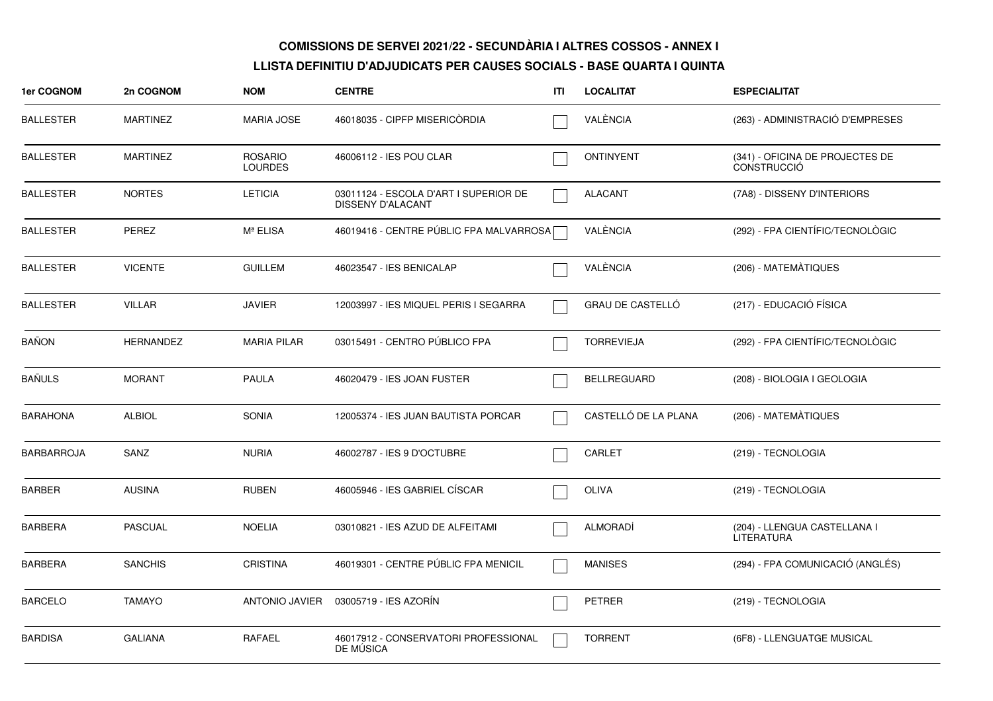| 1er COGNOM       | 2n COGNOM        | <b>NOM</b>                       | <b>CENTRE</b>                                                     | ITI | <b>LOCALITAT</b>        | <b>ESPECIALITAT</b>                            |
|------------------|------------------|----------------------------------|-------------------------------------------------------------------|-----|-------------------------|------------------------------------------------|
| <b>BALLESTER</b> | <b>MARTINEZ</b>  | MARIA JOSE                       | 46018035 - CIPFP MISERICÒRDIA                                     |     | VALÈNCIA                | (263) - ADMINISTRACIÓ D'EMPRESES               |
| <b>BALLESTER</b> | <b>MARTINEZ</b>  | <b>ROSARIO</b><br><b>LOURDES</b> | 46006112 - IES POU CLAR                                           |     | ONTINYENT               | (341) - OFICINA DE PROJECTES DE<br>CONSTRUCCIÓ |
| <b>BALLESTER</b> | <b>NORTES</b>    | <b>LETICIA</b>                   | 03011124 - ESCOLA D'ART I SUPERIOR DE<br><b>DISSENY D'ALACANT</b> |     | <b>ALACANT</b>          | (7A8) - DISSENY D'INTERIORS                    |
| <b>BALLESTER</b> | <b>PEREZ</b>     | Mª ELISA                         | 46019416 - CENTRE PÚBLIC FPA MALVARROSA                           |     | VALÈNCIA                | (292) - FPA CIENTÍFIC/TECNOLÒGIC               |
| BALLESTER        | <b>VICENTE</b>   | <b>GUILLEM</b>                   | 46023547 - IES BENICALAP                                          |     | VALÈNCIA                | (206) - MATEMÀTIQUES                           |
| <b>BALLESTER</b> | <b>VILLAR</b>    | <b>JAVIER</b>                    | 12003997 - IES MIQUEL PERIS I SEGARRA                             |     | <b>GRAU DE CASTELLÓ</b> | (217) - EDUCACIÓ FÍSICA                        |
| <b>BAÑON</b>     | <b>HERNANDEZ</b> | <b>MARIA PILAR</b>               | 03015491 - CENTRO PÚBLICO FPA                                     |     | <b>TORREVIEJA</b>       | (292) - FPA CIENTÍFIC/TECNOLÒGIC               |
| <b>BAÑULS</b>    | <b>MORANT</b>    | <b>PAULA</b>                     | 46020479 - IES JOAN FUSTER                                        |     | BELLREGUARD             | (208) - BIOLOGIA I GEOLOGIA                    |
| BARAHONA         | <b>ALBIOL</b>    | SONIA                            | 12005374 - IES JUAN BAUTISTA PORCAR                               |     | CASTELLÓ DE LA PLANA    | (206) - MATEMATIQUES                           |
| BARBARROJA       | SANZ             | <b>NURIA</b>                     | 46002787 - IES 9 D'OCTUBRE                                        |     | CARLET                  | (219) - TECNOLOGIA                             |
| <b>BARBER</b>    | <b>AUSINA</b>    | <b>RUBEN</b>                     | 46005946 - IES GABRIEL CÍSCAR                                     |     | <b>OLIVA</b>            | (219) - TECNOLOGIA                             |
| <b>BARBERA</b>   | <b>PASCUAL</b>   | <b>NOELIA</b>                    | 03010821 - IES AZUD DE ALFEITAMI                                  |     | <b>ALMORADI</b>         | (204) - LLENGUA CASTELLANA I<br>LITERATURA     |
| <b>BARBERA</b>   | <b>SANCHIS</b>   | <b>CRISTINA</b>                  | 46019301 - CENTRE PÚBLIC FPA MENICIL                              |     | <b>MANISES</b>          | (294) - FPA COMUNICACIÓ (ANGLÉS)               |
| <b>BARCELO</b>   | TAMAYO           | ANTONIO JAVIER                   | 03005719 - IES AZORÍN                                             |     | <b>PETRER</b>           | (219) - TECNOLOGIA                             |
| <b>BARDISA</b>   | <b>GALIANA</b>   | RAFAEL                           | 46017912 - CONSERVATORI PROFESSIONAL<br>DE MÚSICA                 |     | <b>TORRENT</b>          | (6F8) - LLENGUATGE MUSICAL                     |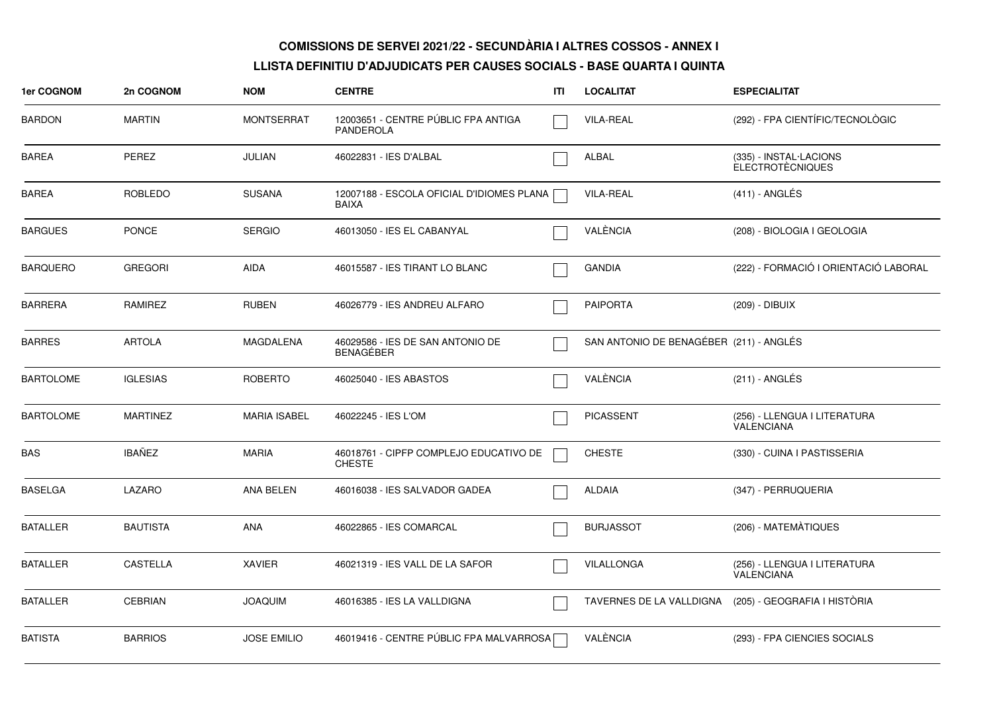| 1er COGNOM       | 2n COGNOM       | <b>NOM</b>          | <b>CENTRE</b>                                             | ITI | <b>LOCALITAT</b>                        | <b>ESPECIALITAT</b>                               |
|------------------|-----------------|---------------------|-----------------------------------------------------------|-----|-----------------------------------------|---------------------------------------------------|
| <b>BARDON</b>    | <b>MARTIN</b>   | <b>MONTSERRAT</b>   | 12003651 - CENTRE PÚBLIC FPA ANTIGA<br>PANDEROLA          |     | <b>VILA-REAL</b>                        | (292) - FPA CIENTÍFIC/TECNOLÒGIC                  |
| <b>BAREA</b>     | <b>PEREZ</b>    | <b>JULIAN</b>       | 46022831 - IES D'ALBAL                                    |     | <b>ALBAL</b>                            | (335) - INSTAL·LACIONS<br><b>ELECTROTÈCNIQUES</b> |
| BAREA            | <b>ROBLEDO</b>  | <b>SUSANA</b>       | 12007188 - ESCOLA OFICIAL D'IDIOMES PLANA<br><b>BAIXA</b> |     | <b>VILA-REAL</b>                        | $(411)$ - ANGLÉS                                  |
| <b>BARGUES</b>   | <b>PONCE</b>    | <b>SERGIO</b>       | 46013050 - IES EL CABANYAL                                |     | VALÈNCIA                                | (208) - BIOLOGIA I GEOLOGIA                       |
| <b>BARQUERO</b>  | <b>GREGORI</b>  | <b>AIDA</b>         | 46015587 - IES TIRANT LO BLANC                            |     | <b>GANDIA</b>                           | (222) - FORMACIÓ I ORIENTACIÓ LABORAL             |
| <b>BARRERA</b>   | <b>RAMIREZ</b>  | <b>RUBEN</b>        | 46026779 - IES ANDREU ALFARO                              |     | <b>PAIPORTA</b>                         | (209) - DIBUIX                                    |
| <b>BARRES</b>    | <b>ARTOLA</b>   | <b>MAGDALENA</b>    | 46029586 - IES DE SAN ANTONIO DE<br><b>BENAGEBER</b>      |     | SAN ANTONIO DE BENAGÉBER (211) - ANGLÉS |                                                   |
| <b>BARTOLOME</b> | <b>IGLESIAS</b> | <b>ROBERTO</b>      | 46025040 - IES ABASTOS                                    |     | VALÈNCIA                                | $(211)$ - ANGLÉS                                  |
| <b>BARTOLOME</b> | <b>MARTINEZ</b> | <b>MARIA ISABEL</b> | 46022245 - IES L'OM                                       |     | <b>PICASSENT</b>                        | (256) - LLENGUA I LITERATURA<br>VALENCIANA        |
| BAS              | <b>IBAÑEZ</b>   | <b>MARIA</b>        | 46018761 - CIPFP COMPLEJO EDUCATIVO DE<br><b>CHESTE</b>   |     | <b>CHESTE</b>                           | (330) - CUINA I PASTISSERIA                       |
| <b>BASELGA</b>   | LAZARO          | ANA BELEN           | 46016038 - IES SALVADOR GADEA                             |     | <b>ALDAIA</b>                           | (347) - PERRUQUERIA                               |
| <b>BATALLER</b>  | <b>BAUTISTA</b> | ANA                 | 46022865 - IES COMARCAL                                   |     | <b>BURJASSOT</b>                        | (206) - MATEMATIQUES                              |
| <b>BATALLER</b>  | <b>CASTELLA</b> | <b>XAVIER</b>       | 46021319 - IES VALL DE LA SAFOR                           |     | VILALLONGA                              | (256) - LLENGUA I LITERATURA<br>VALENCIANA        |
| <b>BATALLER</b>  | <b>CEBRIAN</b>  | <b>JOAQUIM</b>      | 46016385 - IES LA VALLDIGNA                               |     | TAVERNES DE LA VALLDIGNA                | (205) - GEOGRAFIA I HISTÒRIA                      |
| <b>BATISTA</b>   | <b>BARRIOS</b>  | <b>JOSE EMILIO</b>  | 46019416 - CENTRE PÚBLIC FPA MALVARROSA                   |     | VALÈNCIA                                | (293) - FPA CIENCIES SOCIALS                      |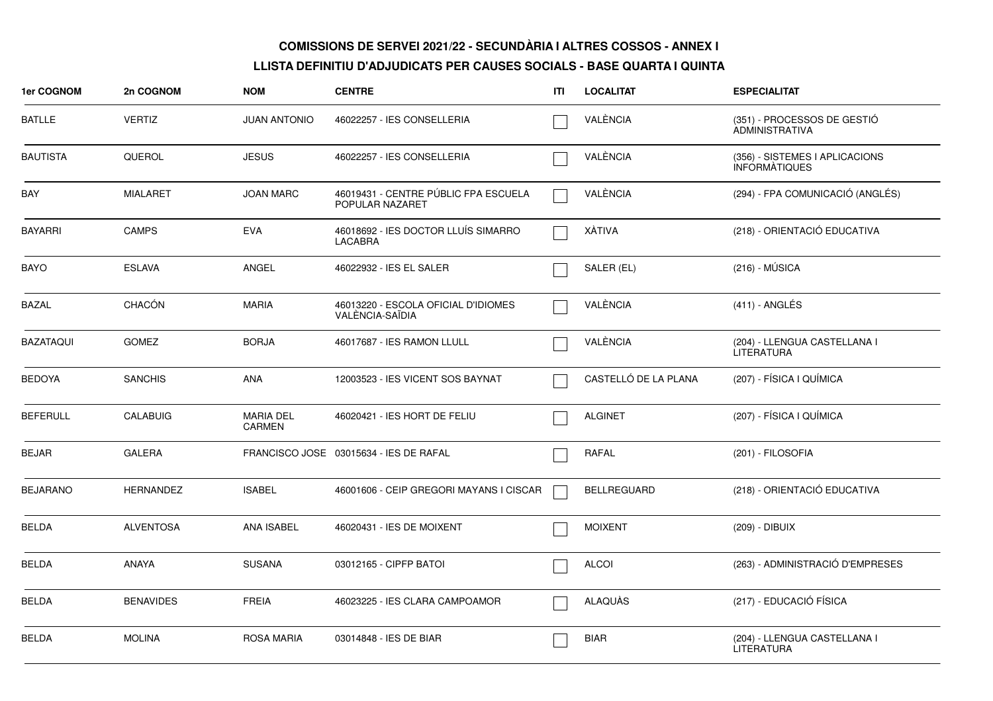| 1er COGNOM       | 2n COGNOM        | <b>NOM</b>                 | <b>CENTRE</b>                                           | ITL | <b>LOCALITAT</b>     | <b>ESPECIALITAT</b>                                    |
|------------------|------------------|----------------------------|---------------------------------------------------------|-----|----------------------|--------------------------------------------------------|
| BATLLE           | <b>VERTIZ</b>    | <b>JUAN ANTONIO</b>        | 46022257 - IES CONSELLERIA                              |     | VALÈNCIA             | (351) - PROCESSOS DE GESTIÓ<br><b>ADMINISTRATIVA</b>   |
| <b>BAUTISTA</b>  | QUEROL           | <b>JESUS</b>               | 46022257 - IES CONSELLERIA                              |     | VALÈNCIA             | (356) - SISTEMES I APLICACIONS<br><b>INFORMATIQUES</b> |
| BAY              | MIALARET         | <b>JOAN MARC</b>           | 46019431 - CENTRE PÚBLIC FPA ESCUELA<br>POPULAR NAZARET |     | VALÈNCIA             | (294) - FPA COMUNICACIÓ (ANGLÉS)                       |
| <b>BAYARRI</b>   | <b>CAMPS</b>     | <b>EVA</b>                 | 46018692 - IES DOCTOR LLUIS SIMARRO<br><b>LACABRA</b>   |     | XÁTIVA               | (218) - ORIENTACIÓ EDUCATIVA                           |
| <b>BAYO</b>      | <b>ESLAVA</b>    | ANGEL                      | 46022932 - IES EL SALER                                 |     | SALER (EL)           | $(216) - MÚSICA$                                       |
| <b>BAZAL</b>     | CHACÓN           | <b>MARIA</b>               | 46013220 - ESCOLA OFICIAL D'IDIOMES<br>VALÈNCIA-SAÏDIA  |     | VALÈNCIA             | $(411)$ - ANGLÉS                                       |
| <b>BAZATAQUI</b> | <b>GOMEZ</b>     | <b>BORJA</b>               | 46017687 - IES RAMON LLULL                              |     | VALÈNCIA             | (204) - LLENGUA CASTELLANA I<br><b>LITERATURA</b>      |
| <b>BEDOYA</b>    | <b>SANCHIS</b>   | ANA                        | 12003523 - IES VICENT SOS BAYNAT                        |     | CASTELLÓ DE LA PLANA | (207) - FÍSICA I QUÍMICA                               |
| <b>BEFERULL</b>  | <b>CALABUIG</b>  | <b>MARIA DEL</b><br>CARMEN | 46020421 - IES HORT DE FELIU                            |     | <b>ALGINET</b>       | (207) - FÍSICA I QUÍMICA                               |
| <b>BEJAR</b>     | <b>GALERA</b>    |                            | FRANCISCO JOSE 03015634 - IES DE RAFAL                  |     | <b>RAFAL</b>         | (201) - FILOSOFIA                                      |
| <b>BEJARANO</b>  | <b>HERNANDEZ</b> | <b>ISABEL</b>              | 46001606 - CEIP GREGORI MAYANS I CISCAR                 |     | <b>BELLREGUARD</b>   | (218) - ORIENTACIÓ EDUCATIVA                           |
| BELDA            | <b>ALVENTOSA</b> | <b>ANA ISABEL</b>          | 46020431 - IES DE MOIXENT                               |     | <b>MOIXENT</b>       | (209) - DIBUIX                                         |
| <b>BELDA</b>     | <b>ANAYA</b>     | <b>SUSANA</b>              | 03012165 - CIPFP BATOI                                  |     | <b>ALCOI</b>         | (263) - ADMINISTRACIÓ D'EMPRESES                       |
| <b>BELDA</b>     | <b>BENAVIDES</b> | <b>FREIA</b>               | 46023225 - IES CLARA CAMPOAMOR                          |     | <b>ALAQUÀS</b>       | (217) - EDUCACIÓ FÍSICA                                |
| <b>BELDA</b>     | <b>MOLINA</b>    | <b>ROSA MARIA</b>          | 03014848 - IES DE BIAR                                  |     | <b>BIAR</b>          | (204) - LLENGUA CASTELLANA I<br>LITERATURA             |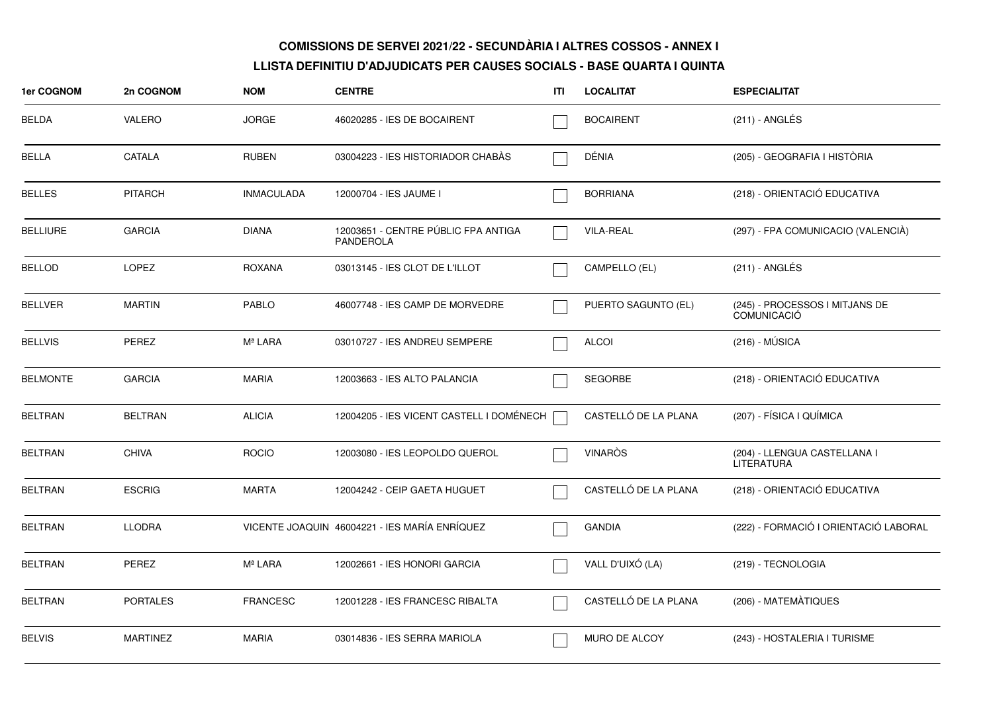| 1er COGNOM      | 2n COGNOM       | <b>NOM</b>        | <b>CENTRE</b>                                           | ITI | <b>LOCALITAT</b>     | <b>ESPECIALITAT</b>                                  |
|-----------------|-----------------|-------------------|---------------------------------------------------------|-----|----------------------|------------------------------------------------------|
| <b>BELDA</b>    | VALERO          | <b>JORGE</b>      | 46020285 - IES DE BOCAIRENT                             |     | <b>BOCAIRENT</b>     | $(211)$ - ANGLÉS                                     |
| <b>BELLA</b>    | CATALA          | <b>RUBEN</b>      | 03004223 - IES HISTORIADOR CHABAS                       |     | DÉNIA                | (205) - GEOGRAFIA I HISTÒRIA                         |
| <b>BELLES</b>   | <b>PITARCH</b>  | <b>INMACULADA</b> | 12000704 - IES JAUME I                                  |     | <b>BORRIANA</b>      | (218) - ORIENTACIÓ EDUCATIVA                         |
| <b>BELLIURE</b> | GARCIA          | <b>DIANA</b>      | 12003651 - CENTRE PUBLIC FPA ANTIGA<br><b>PANDEROLA</b> |     | <b>VILA-REAL</b>     | (297) - FPA COMUNICACIO (VALENCIÀ)                   |
| <b>BELLOD</b>   | LOPEZ           | <b>ROXANA</b>     | 03013145 - IES CLOT DE L'ILLOT                          |     | CAMPELLO (EL)        | $(211)$ - ANGLÉS                                     |
| <b>BELLVER</b>  | <b>MARTIN</b>   | <b>PABLO</b>      | 46007748 - IES CAMP DE MORVEDRE                         |     | PUERTO SAGUNTO (EL)  | (245) - PROCESSOS I MITJANS DE<br><b>COMUNICACIÓ</b> |
| <b>BELLVIS</b>  | <b>PEREZ</b>    | Mª LARA           | 03010727 - IES ANDREU SEMPERE                           |     | <b>ALCOI</b>         | $(216) - MÚSICA$                                     |
| <b>BELMONTE</b> | <b>GARCIA</b>   | <b>MARIA</b>      | 12003663 - IES ALTO PALANCIA                            |     | <b>SEGORBE</b>       | (218) - ORIENTACIÓ EDUCATIVA                         |
| <b>BELTRAN</b>  | <b>BELTRAN</b>  | <b>ALICIA</b>     | 12004205 - IES VICENT CASTELL I DOMÉNECH                |     | CASTELLÓ DE LA PLANA | (207) - FÍSICA I QUÍMICA                             |
| <b>BELTRAN</b>  | <b>CHIVA</b>    | <b>ROCIO</b>      | 12003080 - IES LEOPOLDO QUEROL                          |     | <b>VINARÒS</b>       | (204) - LLENGUA CASTELLANA I<br><b>LITERATURA</b>    |
| <b>BELTRAN</b>  | <b>ESCRIG</b>   | <b>MARTA</b>      | 12004242 - CEIP GAETA HUGUET                            |     | CASTELLÓ DE LA PLANA | (218) - ORIENTACIÓ EDUCATIVA                         |
| <b>BELTRAN</b>  | <b>LLODRA</b>   |                   | VICENTE JOAQUIN 46004221 - IES MARÍA ENRÍQUEZ           |     | <b>GANDIA</b>        | (222) - FORMACIÓ I ORIENTACIÓ LABORAL                |
| <b>BELTRAN</b>  | PEREZ           | Mª LARA           | 12002661 - IES HONORI GARCIA                            |     | VALL D'UIXÓ (LA)     | (219) - TECNOLOGIA                                   |
| <b>BELTRAN</b>  | <b>PORTALES</b> | <b>FRANCESC</b>   | 12001228 - IES FRANCESC RIBALTA                         |     | CASTELLÓ DE LA PLANA | (206) - MATEMÀTIQUES                                 |
| <b>BELVIS</b>   | <b>MARTINEZ</b> | <b>MARIA</b>      | 03014836 - IES SERRA MARIOLA                            |     | MURO DE ALCOY        | (243) - HOSTALERIA I TURISME                         |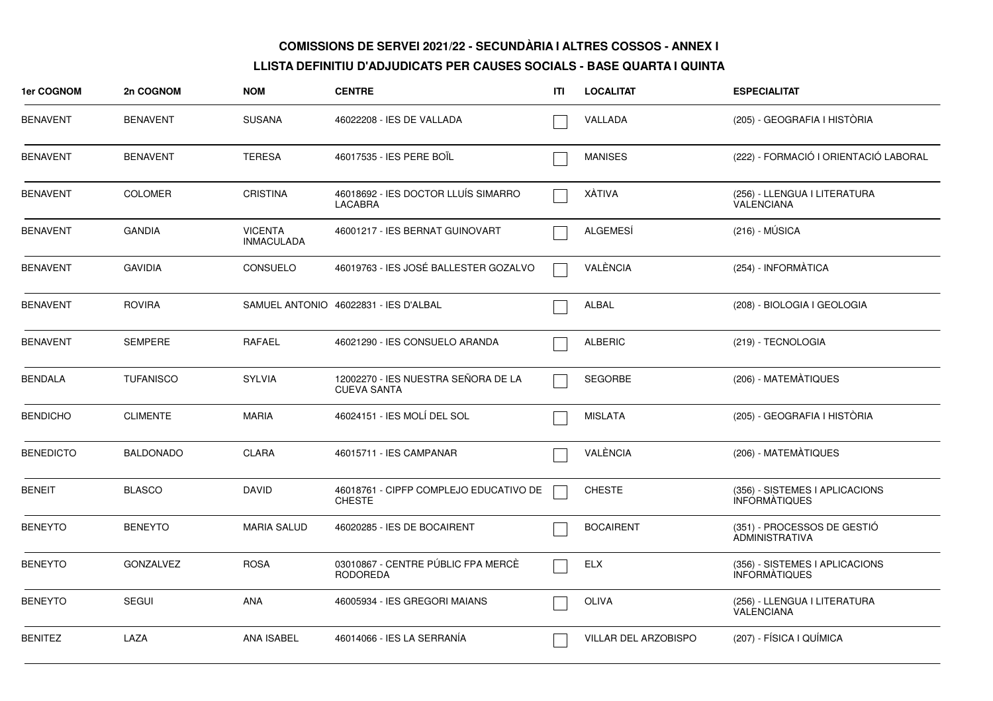| 1er COGNOM       | 2n COGNOM        | <b>NOM</b>                          | <b>CENTRE</b>                                             | ITL | <b>LOCALITAT</b>     | <b>ESPECIALITAT</b>                                    |
|------------------|------------------|-------------------------------------|-----------------------------------------------------------|-----|----------------------|--------------------------------------------------------|
| <b>BENAVENT</b>  | <b>BENAVENT</b>  | <b>SUSANA</b>                       | 46022208 - IES DE VALLADA                                 |     | VALLADA              | (205) - GEOGRAFIA I HISTÒRIA                           |
| <b>BENAVENT</b>  | <b>BENAVENT</b>  | <b>TERESA</b>                       | 46017535 - IES PERE BOIL                                  |     | <b>MANISES</b>       | (222) - FORMACIÓ I ORIENTACIÓ LABORAL                  |
| <b>BENAVENT</b>  | <b>COLOMER</b>   | <b>CRISTINA</b>                     | 46018692 - IES DOCTOR LLUÍS SIMARRO<br>LACABRA            |     | XÀTIVA               | (256) - LLENGUA I LITERATURA<br>VALENCIANA             |
| <b>BENAVENT</b>  | <b>GANDIA</b>    | <b>VICENTA</b><br><b>INMACULADA</b> | 46001217 - IES BERNAT GUINOVART                           |     | ALGEMESÍ             | $(216) - MÚSICA$                                       |
| <b>BENAVENT</b>  | <b>GAVIDIA</b>   | <b>CONSUELO</b>                     | 46019763 - IES JOSÉ BALLESTER GOZALVO                     |     | VALÈNCIA             | (254) - INFORMÀTICA                                    |
| <b>BENAVENT</b>  | <b>ROVIRA</b>    |                                     | SAMUEL ANTONIO 46022831 - IES D'ALBAL                     |     | ALBAL                | (208) - BIOLOGIA I GEOLOGIA                            |
| <b>BENAVENT</b>  | <b>SEMPERE</b>   | RAFAEL                              | 46021290 - IES CONSUELO ARANDA                            |     | <b>ALBERIC</b>       | (219) - TECNOLOGIA                                     |
| <b>BENDALA</b>   | <b>TUFANISCO</b> | <b>SYLVIA</b>                       | 12002270 - IES NUESTRA SEÑORA DE LA<br><b>CUEVA SANTA</b> |     | <b>SEGORBE</b>       | (206) - MATEMÀTIQUES                                   |
| <b>BENDICHO</b>  | <b>CLIMENTE</b>  | <b>MARIA</b>                        | 46024151 - IES MOLÍ DEL SOL                               |     | <b>MISLATA</b>       | (205) - GEOGRAFIA I HISTÒRIA                           |
| <b>BENEDICTO</b> | <b>BALDONADO</b> | <b>CLARA</b>                        | 46015711 - IES CAMPANAR                                   |     | VALÈNCIA             | (206) - MATEMÀTIQUES                                   |
| <b>BENEIT</b>    | <b>BLASCO</b>    | <b>DAVID</b>                        | 46018761 - CIPFP COMPLEJO EDUCATIVO DE<br><b>CHESTE</b>   |     | <b>CHESTE</b>        | (356) - SISTEMES I APLICACIONS<br>INFORMÀTIQUES        |
| <b>BENEYTO</b>   | <b>BENEYTO</b>   | <b>MARIA SALUD</b>                  | 46020285 - IES DE BOCAIRENT                               |     | <b>BOCAIRENT</b>     | (351) - PROCESSOS DE GESTIO<br><b>ADMINISTRATIVA</b>   |
| <b>BENEYTO</b>   | <b>GONZALVEZ</b> | <b>ROSA</b>                         | 03010867 - CENTRE PÚBLIC FPA MERCÈ<br><b>RODOREDA</b>     |     | <b>ELX</b>           | (356) - SISTEMES I APLICACIONS<br><b>INFORMATIQUES</b> |
| <b>BENEYTO</b>   | <b>SEGUI</b>     | <b>ANA</b>                          | 46005934 - IES GREGORI MAIANS                             |     | OLIVA                | (256) - LLENGUA I LITERATURA<br>VALENCIANA             |
| <b>BENITEZ</b>   | LAZA             | <b>ANA ISABEL</b>                   | 46014066 - IES LA SERRANÍA                                |     | VILLAR DEL ARZOBISPO | (207) - FÍSICA I QUÍMICA                               |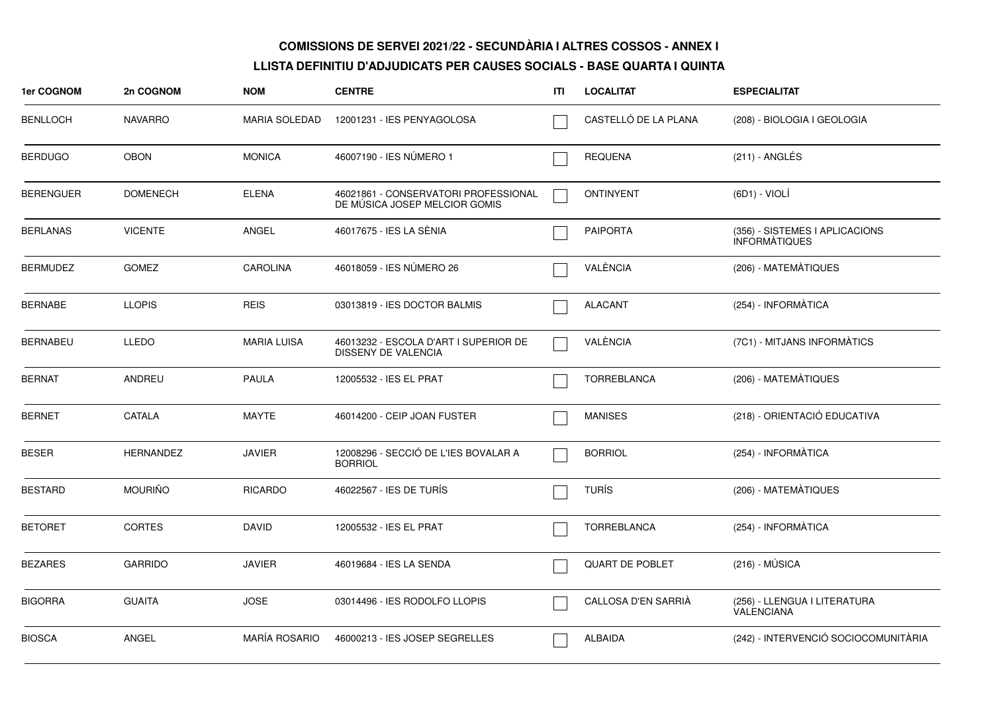| 1er COGNOM       | 2n COGNOM        | <b>NOM</b>           | <b>CENTRE</b>                                                         | ITI | <b>LOCALITAT</b>       | <b>ESPECIALITAT</b>                                    |
|------------------|------------------|----------------------|-----------------------------------------------------------------------|-----|------------------------|--------------------------------------------------------|
| <b>BENLLOCH</b>  | <b>NAVARRO</b>   | <b>MARIA SOLEDAD</b> | 12001231 - IES PENYAGOLOSA                                            |     | CASTELLÓ DE LA PLANA   | (208) - BIOLOGIA I GEOLOGIA                            |
| <b>BERDUGO</b>   | <b>OBON</b>      | <b>MONICA</b>        | 46007190 - IES NÚMERO 1                                               |     | <b>REQUENA</b>         | $(211)$ - ANGLÉS                                       |
| <b>BERENGUER</b> | <b>DOMENECH</b>  | <b>ELENA</b>         | 46021861 - CONSERVATORI PROFESSIONAL<br>DE MÚSICA JOSEP MELCIOR GOMIS |     | <b>ONTINYENT</b>       | $(6D1) - VIOLÍ$                                        |
| BERLANAS         | <b>VICENTE</b>   | ANGEL                | 46017675 - IES LA SÈNIA                                               |     | <b>PAIPORTA</b>        | (356) - SISTEMES I APLICACIONS<br><b>INFORMATIQUES</b> |
| <b>BERMUDEZ</b>  | <b>GOMEZ</b>     | <b>CAROLINA</b>      | 46018059 - IES NUMERO 26                                              |     | VALÈNCIA               | (206) - MATEMATIQUES                                   |
| <b>BERNABE</b>   | <b>LLOPIS</b>    | <b>REIS</b>          | 03013819 - IES DOCTOR BALMIS                                          |     | <b>ALACANT</b>         | (254) - INFORMÀTICA                                    |
| <b>BERNABEU</b>  | LLEDO            | <b>MARIA LUISA</b>   | 46013232 - ESCOLA D'ART I SUPERIOR DE<br><b>DISSENY DE VALENCIA</b>   |     | VALÈNCIA               | (7C1) - MITJANS INFORMATICS                            |
| <b>BERNAT</b>    | ANDREU           | <b>PAULA</b>         | 12005532 - IES EL PRAT                                                |     | <b>TORREBLANCA</b>     | (206) - MATEMATIQUES                                   |
| <b>BERNET</b>    | CATALA           | <b>MAYTE</b>         | 46014200 - CEIP JOAN FUSTER                                           |     | <b>MANISES</b>         | (218) - ORIENTACIÓ EDUCATIVA                           |
| <b>BESER</b>     | <b>HERNANDEZ</b> | <b>JAVIER</b>        | 12008296 - SECCIÓ DE L'IES BOVALAR A<br><b>BORRIOL</b>                |     | <b>BORRIOL</b>         | (254) - INFORMÀTICA                                    |
| <b>BESTARD</b>   | <b>MOURIÑO</b>   | <b>RICARDO</b>       | 46022567 - IES DE TURÍS                                               |     | <b>TURÍS</b>           | (206) - MATEMÀTIQUES                                   |
| <b>BETORET</b>   | <b>CORTES</b>    | <b>DAVID</b>         | 12005532 - IES EL PRAT                                                |     | <b>TORREBLANCA</b>     | (254) - INFORMATICA                                    |
| <b>BEZARES</b>   | <b>GARRIDO</b>   | <b>JAVIER</b>        | 46019684 - IES LA SENDA                                               |     | <b>QUART DE POBLET</b> | $(216) - MÚSICA$                                       |
| <b>BIGORRA</b>   | <b>GUAITA</b>    | <b>JOSE</b>          | 03014496 - IES RODOLFO LLOPIS                                         |     | CALLOSA D'EN SARRIÀ    | (256) - LLENGUA I LITERATURA<br><b>VALENCIANA</b>      |
| <b>BIOSCA</b>    | <b>ANGEL</b>     | <b>MARÍA ROSARIO</b> | 46000213 - IES JOSEP SEGRELLES                                        |     | <b>ALBAIDA</b>         | (242) - INTERVENCIÓ SOCIOCOMUNITÀRIA                   |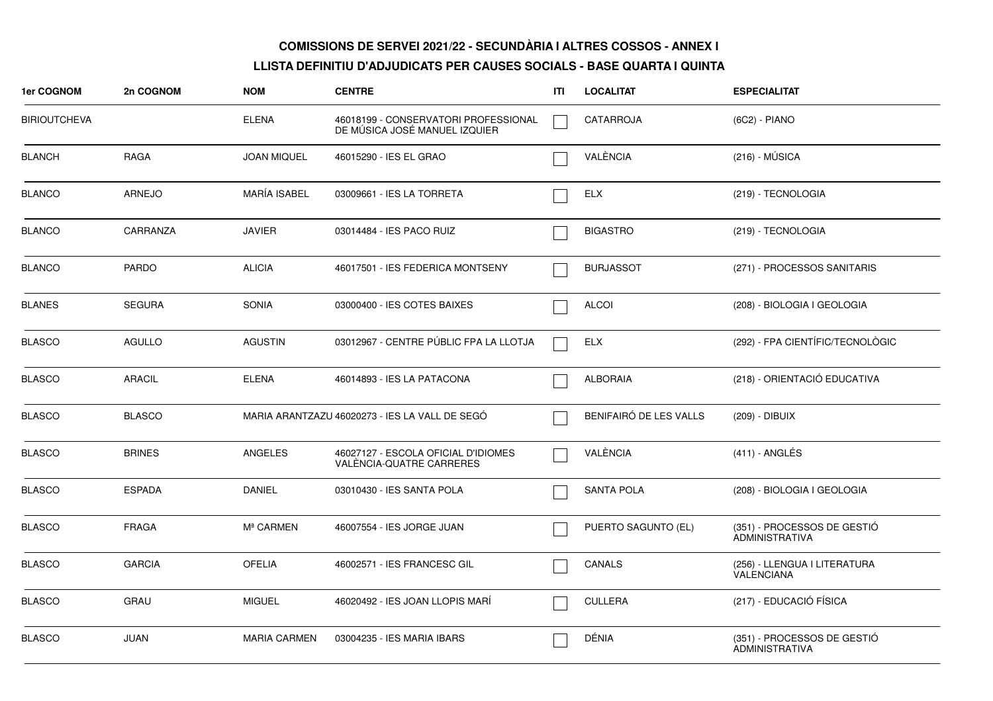| 1er COGNOM          | 2n COGNOM     | <b>NOM</b>          | <b>CENTRE</b>                                                         | ITI | <b>LOCALITAT</b>       | <b>ESPECIALITAT</b>                                  |
|---------------------|---------------|---------------------|-----------------------------------------------------------------------|-----|------------------------|------------------------------------------------------|
| <b>BIRIOUTCHEVA</b> |               | <b>ELENA</b>        | 46018199 - CONSERVATORI PROFESSIONAL<br>DE MUSICA JOSÉ MANUEL IZQUIER |     | <b>CATARROJA</b>       | (6C2) - PIANO                                        |
| <b>BLANCH</b>       | RAGA          | <b>JOAN MIQUEL</b>  | 46015290 - IES EL GRAO                                                |     | VALÈNCIA               | $(216) - MÚSICA$                                     |
| <b>BLANCO</b>       | <b>ARNEJO</b> | <b>MARÍA ISABEL</b> | 03009661 - IES LA TORRETA                                             |     | <b>ELX</b>             | (219) - TECNOLOGIA                                   |
| <b>BLANCO</b>       | CARRANZA      | <b>JAVIER</b>       | 03014484 - IES PACO RUIZ                                              |     | <b>BIGASTRO</b>        | (219) - TECNOLOGIA                                   |
| <b>BLANCO</b>       | <b>PARDO</b>  | <b>ALICIA</b>       | 46017501 - IES FEDERICA MONTSENY                                      |     | <b>BURJASSOT</b>       | (271) - PROCESSOS SANITARIS                          |
| <b>BLANES</b>       | <b>SEGURA</b> | <b>SONIA</b>        | 03000400 - IES COTES BAIXES                                           |     | <b>ALCOI</b>           | (208) - BIOLOGIA I GEOLOGIA                          |
| <b>BLASCO</b>       | AGULLO        | <b>AGUSTIN</b>      | 03012967 - CENTRE PÚBLIC FPA LA LLOTJA                                |     | ELX                    | (292) - FPA CIENTÍFIC/TECNOLÒGIC                     |
| <b>BLASCO</b>       | <b>ARACIL</b> | <b>ELENA</b>        | 46014893 - IES LA PATACONA                                            |     | <b>ALBORAIA</b>        | (218) - ORIENTACIÓ EDUCATIVA                         |
| <b>BLASCO</b>       | <b>BLASCO</b> |                     | MARIA ARANTZAZU 46020273 - IES LA VALL DE SEGÓ                        |     | BENIFAIRÓ DE LES VALLS | (209) - DIBUIX                                       |
| <b>BLASCO</b>       | <b>BRINES</b> | ANGELES             | 46027127 - ESCOLA OFICIAL D'IDIOMES<br>VALÈNCIA-QUATRE CARRERES       |     | VALÈNCIA               | $(411) - ANGLÉS$                                     |
| <b>BLASCO</b>       | <b>ESPADA</b> | <b>DANIEL</b>       | 03010430 - IES SANTA POLA                                             |     | <b>SANTA POLA</b>      | (208) - BIOLOGIA I GEOLOGIA                          |
| <b>BLASCO</b>       | <b>FRAGA</b>  | Mª CARMEN           | 46007554 - IES JORGE JUAN                                             |     | PUERTO SAGUNTO (EL)    | (351) - PROCESSOS DE GESTIÓ<br><b>ADMINISTRATIVA</b> |
| <b>BLASCO</b>       | <b>GARCIA</b> | <b>OFELIA</b>       | 46002571 - IES FRANCESC GIL                                           |     | <b>CANALS</b>          | (256) - LLENGUA I LITERATURA<br>VALENCIANA           |
| <b>BLASCO</b>       | <b>GRAU</b>   | <b>MIGUEL</b>       | 46020492 - IES JOAN LLOPIS MARI                                       |     | <b>CULLERA</b>         | (217) - EDUCACIÓ FÍSICA                              |
| <b>BLASCO</b>       | JUAN          | <b>MARIA CARMEN</b> | 03004235 - IES MARIA IBARS                                            |     | DÉNIA                  | (351) - PROCESSOS DE GESTIÓ<br><b>ADMINISTRATIVA</b> |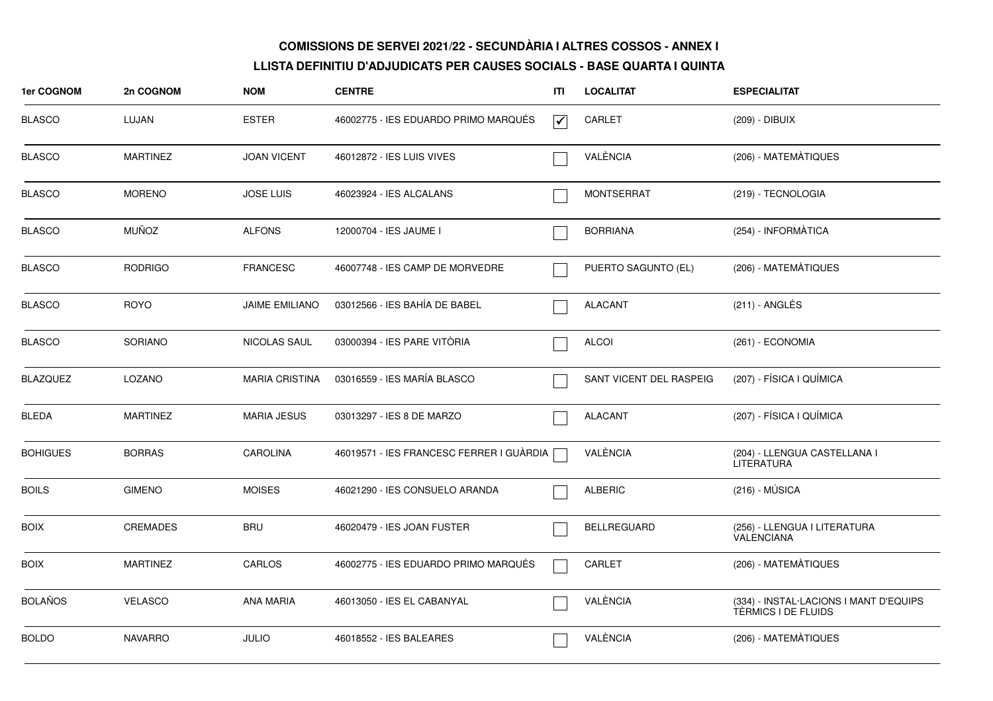| 1er COGNOM      | 2n COGNOM       | <b>NOM</b>            | <b>CENTRE</b>                            | ITI                     | <b>LOCALITAT</b>        | <b>ESPECIALITAT</b>                                           |
|-----------------|-----------------|-----------------------|------------------------------------------|-------------------------|-------------------------|---------------------------------------------------------------|
| <b>BLASCO</b>   | LUJAN           | <b>ESTER</b>          | 46002775 - IES EDUARDO PRIMO MARQUÉS     | $\overline{\mathbf{v}}$ | CARLET                  | (209) - DIBUIX                                                |
| <b>BLASCO</b>   | <b>MARTINEZ</b> | <b>JOAN VICENT</b>    | 46012872 - IES LUIS VIVES                |                         | VALÈNCIA                | (206) - MATEMATIQUES                                          |
| <b>BLASCO</b>   | <b>MORENO</b>   | <b>JOSE LUIS</b>      | 46023924 - IES ALCALANS                  |                         | <b>MONTSERRAT</b>       | (219) - TECNOLOGIA                                            |
| <b>BLASCO</b>   | <b>MUÑOZ</b>    | <b>ALFONS</b>         | 12000704 - IES JAUME I                   |                         | <b>BORRIANA</b>         | (254) - INFORMATICA                                           |
| <b>BLASCO</b>   | <b>RODRIGO</b>  | <b>FRANCESC</b>       | 46007748 - IES CAMP DE MORVEDRE          |                         | PUERTO SAGUNTO (EL)     | (206) - MATEMÀTIQUES                                          |
| <b>BLASCO</b>   | <b>ROYO</b>     | <b>JAIME EMILIANO</b> | 03012566 - IES BAHÍA DE BABEL            |                         | <b>ALACANT</b>          | (211) - ANGLÉS                                                |
| <b>BLASCO</b>   | <b>SORIANO</b>  | <b>NICOLAS SAUL</b>   | 03000394 - IES PARE VITÒRIA              |                         | <b>ALCOI</b>            | (261) - ECONOMIA                                              |
| <b>BLAZQUEZ</b> | LOZANO          | <b>MARIA CRISTINA</b> | 03016559 - IES MARÍA BLASCO              |                         | SANT VICENT DEL RASPEIG | (207) - FÍSICA I QUÍMICA                                      |
| <b>BLEDA</b>    | <b>MARTINEZ</b> | <b>MARIA JESUS</b>    | 03013297 - IES 8 DE MARZO                |                         | <b>ALACANT</b>          | (207) - FÍSICA I QUÍMICA                                      |
| <b>BOHIGUES</b> | <b>BORRAS</b>   | <b>CAROLINA</b>       | 46019571 - IES FRANCESC FERRER I GUÀRDIA |                         | VALÈNCIA                | (204) - LLENGUA CASTELLANA I<br><b>LITERATURA</b>             |
| <b>BOILS</b>    | <b>GIMENO</b>   | <b>MOISES</b>         | 46021290 - IES CONSUELO ARANDA           |                         | <b>ALBERIC</b>          | $(216) - MÚSICA$                                              |
| <b>BOIX</b>     | <b>CREMADES</b> | <b>BRU</b>            | 46020479 - IES JOAN FUSTER               |                         | <b>BELLREGUARD</b>      | (256) - LLENGUA I LITERATURA<br>VALENCIANA                    |
| <b>BOIX</b>     | <b>MARTINEZ</b> | CARLOS                | 46002775 - IES EDUARDO PRIMO MARQUÉS     |                         | <b>CARLET</b>           | (206) - MATEMÀTIQUES                                          |
| <b>BOLAÑOS</b>  | <b>VELASCO</b>  | <b>ANA MARIA</b>      | 46013050 - IES EL CABANYAL               |                         | VALÈNCIA                | (334) - INSTAL·LACIONS I MANT D'EQUIPS<br>TÈRMICS I DE FLUIDS |
| <b>BOLDO</b>    | <b>NAVARRO</b>  | <b>JULIO</b>          | 46018552 - IES BALEARES                  |                         | VALÈNCIA                | (206) - MATEMATIQUES                                          |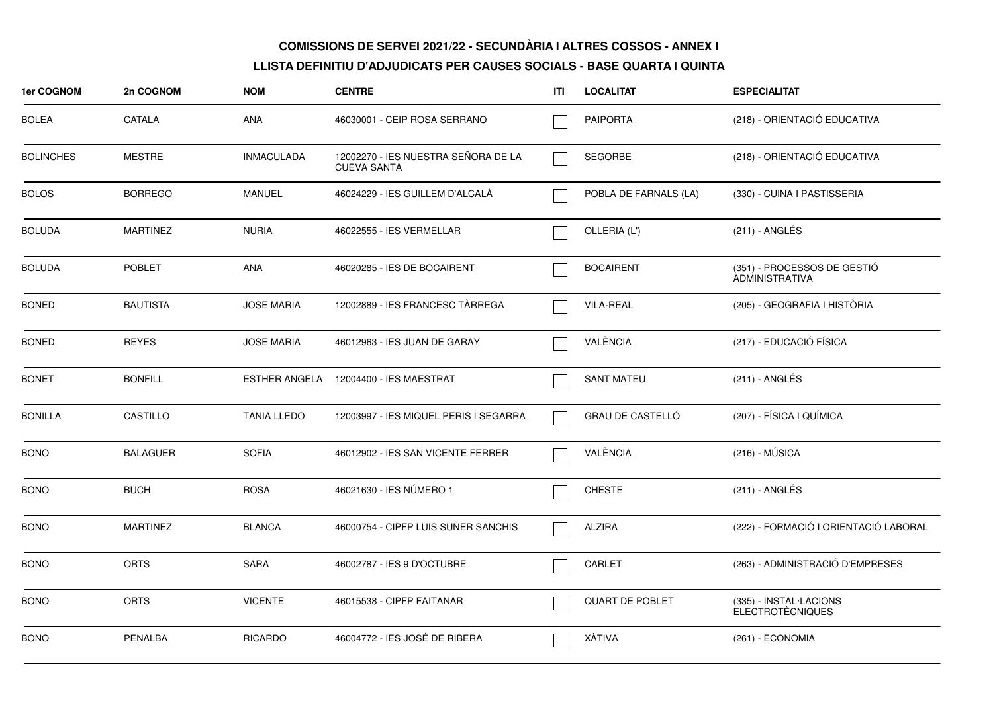| 1er COGNOM       | 2n COGNOM       | <b>NOM</b>         | <b>CENTRE</b>                                             | ITI | <b>LOCALITAT</b>       | <b>ESPECIALITAT</b>                                  |
|------------------|-----------------|--------------------|-----------------------------------------------------------|-----|------------------------|------------------------------------------------------|
| <b>BOLEA</b>     | CATALA          | <b>ANA</b>         | 46030001 - CEIP ROSA SERRANO                              |     | <b>PAIPORTA</b>        | (218) - ORIENTACIÓ EDUCATIVA                         |
| <b>BOLINCHES</b> | <b>MESTRE</b>   | <b>INMACULADA</b>  | 12002270 - IES NUESTRA SEÑORA DE LA<br><b>CUEVA SANTA</b> |     | <b>SEGORBE</b>         | (218) - ORIENTACIÓ EDUCATIVA                         |
| <b>BOLOS</b>     | <b>BORREGO</b>  | <b>MANUEL</b>      | 46024229 - IES GUILLEM D'ALCALA                           |     | POBLA DE FARNALS (LA)  | (330) - CUINA I PASTISSERIA                          |
| <b>BOLUDA</b>    | <b>MARTINEZ</b> | <b>NURIA</b>       | 46022555 - IES VERMELLAR                                  |     | OLLERIA (L')           | $(211)$ - ANGLÉS                                     |
| <b>BOLUDA</b>    | <b>POBLET</b>   | <b>ANA</b>         | 46020285 - IES DE BOCAIRENT                               |     | <b>BOCAIRENT</b>       | (351) - PROCESSOS DE GESTIÓ<br><b>ADMINISTRATIVA</b> |
| <b>BONED</b>     | <b>BAUTISTA</b> | <b>JOSE MARIA</b>  | 12002889 - IES FRANCESC TÀRREGA                           |     | VILA-REAL              | (205) - GEOGRAFIA I HISTÒRIA                         |
| <b>BONED</b>     | <b>REYES</b>    | <b>JOSE MARIA</b>  | 46012963 - IES JUAN DE GARAY                              |     | VALÈNCIA               | (217) - EDUCACIÓ FÍSICA                              |
| <b>BONET</b>     | <b>BONFILL</b>  | ESTHER ANGELA      | 12004400 - IES MAESTRAT                                   |     | <b>SANT MATEU</b>      | $(211)$ - ANGLÉS                                     |
| <b>BONILLA</b>   | CASTILLO        | <b>TANIA LLEDO</b> | 12003997 - IES MIQUEL PERIS I SEGARRA                     |     | GRAU DE CASTELLÓ       | (207) - FÍSICA I QUÍMICA                             |
| <b>BONO</b>      | <b>BALAGUER</b> | <b>SOFIA</b>       | 46012902 - IES SAN VICENTE FERRER                         |     | VALÈNCIA               | $(216) - MÚSICA$                                     |
| <b>BONO</b>      | <b>BUCH</b>     | <b>ROSA</b>        | 46021630 - IES NÚMERO 1                                   |     | <b>CHESTE</b>          | $(211)$ - ANGLÉS                                     |
| <b>BONO</b>      | <b>MARTINEZ</b> | <b>BLANCA</b>      | 46000754 - CIPFP LUIS SUÑER SANCHIS                       |     | <b>ALZIRA</b>          | (222) - FORMACIÓ I ORIENTACIÓ LABORAL                |
| <b>BONO</b>      | <b>ORTS</b>     | <b>SARA</b>        | 46002787 - IES 9 D'OCTUBRE                                |     | CARLET                 | (263) - ADMINISTRACIÓ D'EMPRESES                     |
| <b>BONO</b>      | <b>ORTS</b>     | <b>VICENTE</b>     | 46015538 - CIPFP FAITANAR                                 |     | <b>QUART DE POBLET</b> | (335) - INSTAL·LACIONS<br><b>ELECTROTÈCNIQUES</b>    |
| <b>BONO</b>      | <b>PENALBA</b>  | <b>RICARDO</b>     | 46004772 - IES JOSÉ DE RIBERA                             |     | XÀTIVA                 | (261) - ECONOMIA                                     |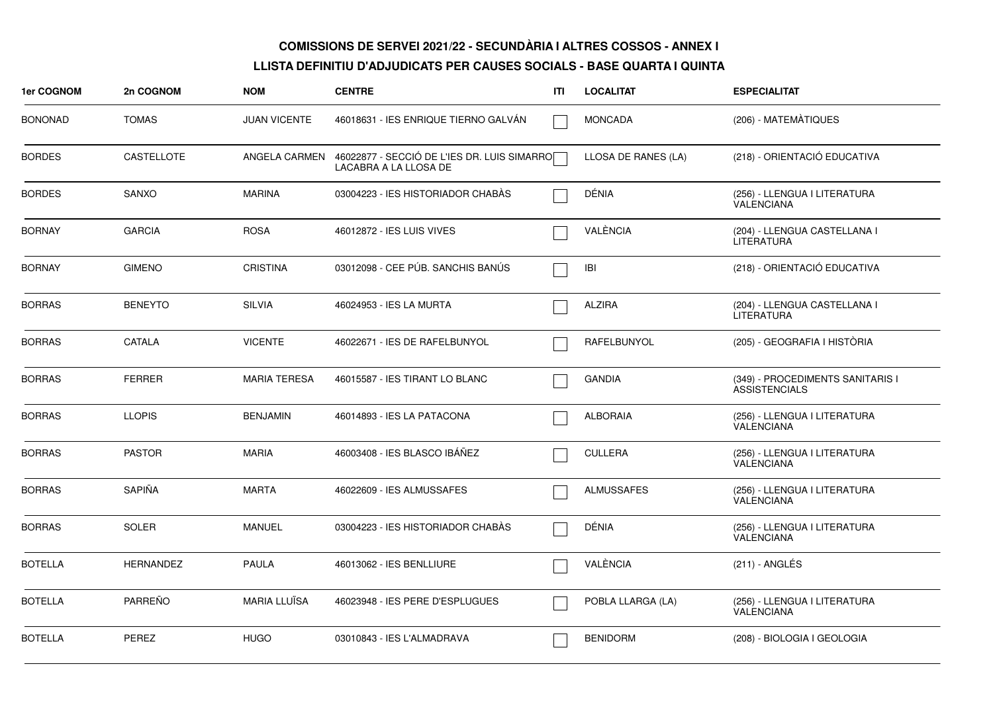| 1er COGNOM     | 2n COGNOM         | <b>NOM</b>          | <b>CENTRE</b>                                                        | ITI | <b>LOCALITAT</b>    | <b>ESPECIALITAT</b>                                      |
|----------------|-------------------|---------------------|----------------------------------------------------------------------|-----|---------------------|----------------------------------------------------------|
| <b>BONONAD</b> | <b>TOMAS</b>      | <b>JUAN VICENTE</b> | 46018631 - IES ENRIQUE TIERNO GALVAN                                 |     | <b>MONCADA</b>      | (206) - MATEMÀTIQUES                                     |
| <b>BORDES</b>  | <b>CASTELLOTE</b> | ANGELA CARMEN       | 46022877 - SECCIÓ DE L'IES DR. LUIS SIMARRO<br>LACABRA A LA LLOSA DE |     | LLOSA DE RANES (LA) | (218) - ORIENTACIÓ EDUCATIVA                             |
| <b>BORDES</b>  | <b>SANXO</b>      | <b>MARINA</b>       | 03004223 - IES HISTORIADOR CHABAS                                    |     | DÉNIA               | (256) - LLENGUA I LITERATURA<br><b>VALENCIANA</b>        |
| <b>BORNAY</b>  | <b>GARCIA</b>     | <b>ROSA</b>         | 46012872 - IES LUIS VIVES                                            |     | VALÈNCIA            | (204) - LLENGUA CASTELLANA I<br><b>LITERATURA</b>        |
| <b>BORNAY</b>  | <b>GIMENO</b>     | <b>CRISTINA</b>     | 03012098 - CEE PÚB. SANCHIS BANÚS                                    |     | IBI                 | (218) - ORIENTACIÓ EDUCATIVA                             |
| <b>BORRAS</b>  | <b>BENEYTO</b>    | <b>SILVIA</b>       | 46024953 - IES LA MURTA                                              |     | <b>ALZIRA</b>       | (204) - LLENGUA CASTELLANA I<br><b>LITERATURA</b>        |
| <b>BORRAS</b>  | CATALA            | <b>VICENTE</b>      | 46022671 - IES DE RAFELBUNYOL                                        |     | RAFELBUNYOL         | (205) - GEOGRAFIA I HISTÒRIA                             |
| <b>BORRAS</b>  | <b>FERRER</b>     | <b>MARIA TERESA</b> | 46015587 - IES TIRANT LO BLANC                                       |     | <b>GANDIA</b>       | (349) - PROCEDIMENTS SANITARIS I<br><b>ASSISTENCIALS</b> |
| <b>BORRAS</b>  | <b>LLOPIS</b>     | <b>BENJAMIN</b>     | 46014893 - IES LA PATACONA                                           |     | <b>ALBORAIA</b>     | (256) - LLENGUA I LITERATURA<br>VALENCIANA               |
| <b>BORRAS</b>  | <b>PASTOR</b>     | <b>MARIA</b>        | 46003408 - IES BLASCO IBÁÑEZ                                         |     | <b>CULLERA</b>      | (256) - LLENGUA I LITERATURA<br><b>VALENCIANA</b>        |
| <b>BORRAS</b>  | SAPIÑA            | <b>MARTA</b>        | 46022609 - IES ALMUSSAFES                                            |     | <b>ALMUSSAFES</b>   | (256) - LLENGUA I LITERATURA<br>VALENCIANA               |
| <b>BORRAS</b>  | <b>SOLER</b>      | <b>MANUEL</b>       | 03004223 - IES HISTORIADOR CHABAS                                    |     | DÉNIA               | (256) - LLENGUA I LITERATURA<br>VALENCIANA               |
| <b>BOTELLA</b> | <b>HERNANDEZ</b>  | PAULA               | 46013062 - IES BENLLIURE                                             |     | VALÈNCIA            | (211) - ANGLÉS                                           |
| <b>BOTELLA</b> | <b>PARREÑO</b>    | MARIA LLUÏSA        | 46023948 - IES PERE D'ESPLUGUES                                      |     | POBLA LLARGA (LA)   | (256) - LLENGUA I LITERATURA<br>VALENCIANA               |
| <b>BOTELLA</b> | PEREZ             | <b>HUGO</b>         | 03010843 - IES L'ALMADRAVA                                           |     | <b>BENIDORM</b>     | (208) - BIOLOGIA I GEOLOGIA                              |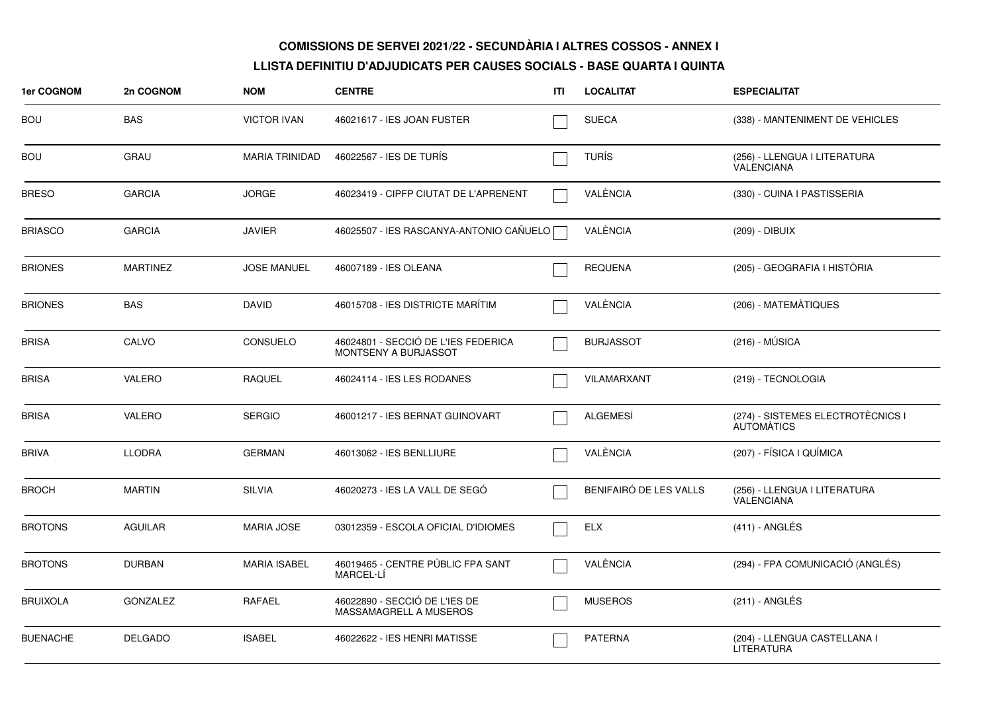| 1er COGNOM      | 2n COGNOM       | <b>NOM</b>            | <b>CENTRE</b>                                               | ITL | <b>LOCALITAT</b>       | <b>ESPECIALITAT</b>                                    |
|-----------------|-----------------|-----------------------|-------------------------------------------------------------|-----|------------------------|--------------------------------------------------------|
| <b>BOU</b>      | BAS             | <b>VICTOR IVAN</b>    | 46021617 - IES JOAN FUSTER                                  |     | <b>SUECA</b>           | (338) - MANTENIMENT DE VEHICLES                        |
| <b>BOU</b>      | GRAU            | <b>MARIA TRINIDAD</b> | 46022567 - IES DE TURÍS                                     |     | <b>TURÍS</b>           | (256) - LLENGUA I LITERATURA<br>VALENCIANA             |
| <b>BRESO</b>    | <b>GARCIA</b>   | <b>JORGE</b>          | 46023419 - CIPFP CIUTAT DE L'APRENENT                       |     | VALÈNCIA               | (330) - CUINA I PASTISSERIA                            |
| <b>BRIASCO</b>  | <b>GARCIA</b>   | <b>JAVIER</b>         | 46025507 - IES RASCANYA-ANTONIO CAÑUELO [                   |     | VALÈNCIA               | (209) - DIBUIX                                         |
| <b>BRIONES</b>  | <b>MARTINEZ</b> | <b>JOSE MANUEL</b>    | 46007189 - IES OLEANA                                       |     | <b>REQUENA</b>         | (205) - GEOGRAFIA I HISTÒRIA                           |
| <b>BRIONES</b>  | <b>BAS</b>      | <b>DAVID</b>          | 46015708 - IES DISTRICTE MARÍTIM                            |     | VALÈNCIA               | (206) - MATEMÀTIQUES                                   |
| <b>BRISA</b>    | CALVO           | CONSUELO              | 46024801 - SECCIÓ DE L'IES FEDERICA<br>MONTSENY A BURJASSOT |     | <b>BURJASSOT</b>       | $(216) - MÚSICA$                                       |
| <b>BRISA</b>    | <b>VALERO</b>   | <b>RAQUEL</b>         | 46024114 - IES LES RODANES                                  |     | VILAMARXANT            | (219) - TECNOLOGIA                                     |
| <b>BRISA</b>    | VALERO          | <b>SERGIO</b>         | 46001217 - IES BERNAT GUINOVART                             |     | <b>ALGEMESÍ</b>        | (274) - SISTEMES ELECTROTÈCNICS I<br><b>AUTOMATICS</b> |
| <b>BRIVA</b>    | <b>LLODRA</b>   | <b>GERMAN</b>         | 46013062 - IES BENLLIURE                                    |     | VALÈNCIA               | (207) - FÍSICA I QUÍMICA                               |
| <b>BROCH</b>    | <b>MARTIN</b>   | <b>SILVIA</b>         | 46020273 - IES LA VALL DE SEGO                              |     | BENIFAIRÓ DE LES VALLS | (256) - LLENGUA I LITERATURA<br><b>VALENCIANA</b>      |
| <b>BROTONS</b>  | AGUILAR         | <b>MARIA JOSE</b>     | 03012359 - ESCOLA OFICIAL D'IDIOMES                         |     | ELX                    | $(411) - ANGLÉS$                                       |
| <b>BROTONS</b>  | <b>DURBAN</b>   | <b>MARIA ISABEL</b>   | 46019465 - CENTRE PÚBLIC FPA SANT<br>MARCEL-LÍ              |     | VALÈNCIA               | (294) - FPA COMUNICACIÓ (ANGLÉS)                       |
| <b>BRUIXOLA</b> | <b>GONZALEZ</b> | <b>RAFAEL</b>         | 46022890 - SECCIÓ DE L'IES DE<br>MASSAMAGRELL A MUSEROS     |     | <b>MUSEROS</b>         | (211) - ANGLÉS                                         |
| <b>BUENACHE</b> | <b>DELGADO</b>  | <b>ISABEL</b>         | 46022622 - IES HENRI MATISSE                                |     | <b>PATERNA</b>         | (204) - LLENGUA CASTELLANA I<br><b>LITERATURA</b>      |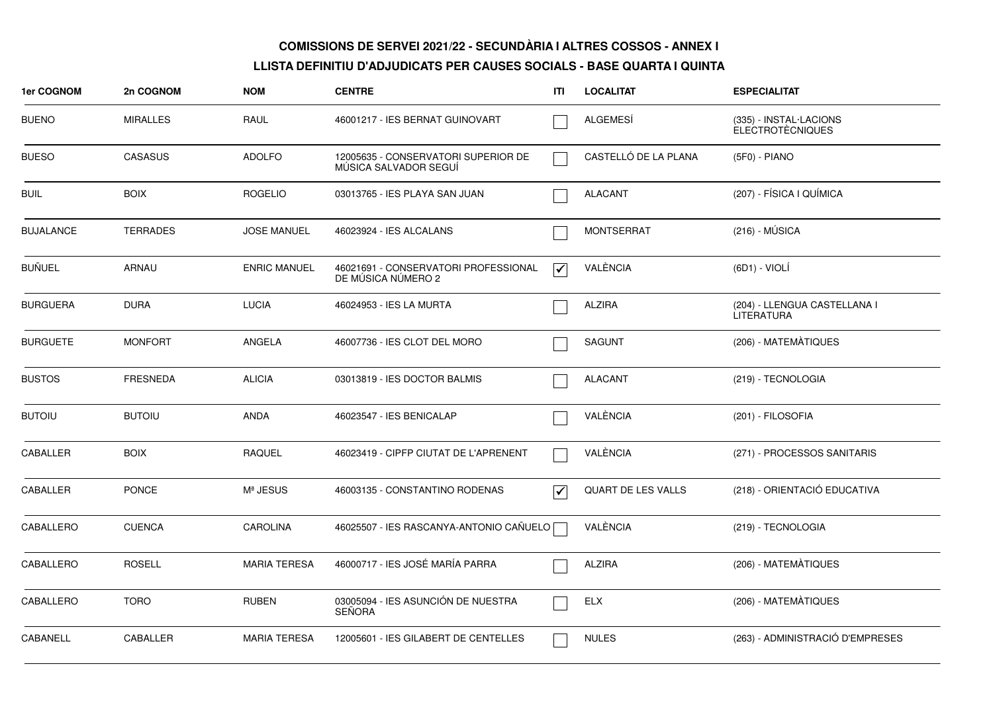| 1er COGNOM       | 2n COGNOM       | <b>NOM</b>          | <b>CENTRE</b>                                                | ITI                             | <b>LOCALITAT</b>          | <b>ESPECIALITAT</b>                               |
|------------------|-----------------|---------------------|--------------------------------------------------------------|---------------------------------|---------------------------|---------------------------------------------------|
| <b>BUENO</b>     | <b>MIRALLES</b> | RAUL                | 46001217 - IES BERNAT GUINOVART                              |                                 | <b>ALGEMESI</b>           | (335) - INSTAL·LACIONS<br><b>ELECTROTÈCNIQUES</b> |
| <b>BUESO</b>     | <b>CASASUS</b>  | <b>ADOLFO</b>       | 12005635 - CONSERVATORI SUPERIOR DE<br>MÚSICA SALVADOR SEGUÍ |                                 | CASTELLÓ DE LA PLANA      | (5F0) - PIANO                                     |
| <b>BUIL</b>      | <b>BOIX</b>     | <b>ROGELIO</b>      | 03013765 - IES PLAYA SAN JUAN                                |                                 | <b>ALACANT</b>            | (207) - FÍSICA I QUÍMICA                          |
| <b>BUJALANCE</b> | <b>TERRADES</b> | <b>JOSE MANUEL</b>  | 46023924 - IES ALCALANS                                      |                                 | <b>MONTSERRAT</b>         | $(216) - MÚSICA$                                  |
| <b>BUÑUEL</b>    | ARNAU           | <b>ENRIC MANUEL</b> | 46021691 - CONSERVATORI PROFESSIONAL<br>DE MÚSICA NÚMERO 2   | $\overline{\blacktriangledown}$ | VALÈNCIA                  | (6D1) - VIOLÍ                                     |
| <b>BURGUERA</b>  | <b>DURA</b>     | <b>LUCIA</b>        | 46024953 - IES LA MURTA                                      |                                 | <b>ALZIRA</b>             | (204) - LLENGUA CASTELLANA I<br><b>LITERATURA</b> |
| <b>BURGUETE</b>  | <b>MONFORT</b>  | <b>ANGELA</b>       | 46007736 - IES CLOT DEL MORO                                 |                                 | <b>SAGUNT</b>             | (206) - MATEMÀTIQUES                              |
| <b>BUSTOS</b>    | <b>FRESNEDA</b> | <b>ALICIA</b>       | 03013819 - IES DOCTOR BALMIS                                 |                                 | ALACANT                   | (219) - TECNOLOGIA                                |
| <b>BUTOIU</b>    | <b>BUTOIU</b>   | <b>ANDA</b>         | 46023547 - IES BENICALAP                                     |                                 | VALÈNCIA                  | (201) - FILOSOFIA                                 |
| CABALLER         | <b>BOIX</b>     | <b>RAQUEL</b>       | 46023419 - CIPFP CIUTAT DE L'APRENENT                        |                                 | VALÈNCIA                  | (271) - PROCESSOS SANITARIS                       |
| <b>CABALLER</b>  | <b>PONCE</b>    | Mª JESUS            | 46003135 - CONSTANTINO RODENAS                               | $\overline{\mathbf{v}}$         | <b>QUART DE LES VALLS</b> | (218) - ORIENTACIÓ EDUCATIVA                      |
| CABALLERO        | <b>CUENCA</b>   | <b>CAROLINA</b>     | 46025507 - IES RASCANYA-ANTONIO CAÑUELO                      |                                 | VALÈNCIA                  | (219) - TECNOLOGIA                                |
| CABALLERO        | <b>ROSELL</b>   | <b>MARIA TERESA</b> | 46000717 - IES JOSÉ MARÍA PARRA                              |                                 | <b>ALZIRA</b>             | (206) - MATEMÀTIQUES                              |
| CABALLERO        | <b>TORO</b>     | <b>RUBEN</b>        | 03005094 - IES ASUNCIÓN DE NUESTRA<br>SEÑORA                 |                                 | <b>ELX</b>                | (206) - MATEMÀTIQUES                              |
| CABANELL         | CABALLER        | <b>MARIA TERESA</b> | 12005601 - IES GILABERT DE CENTELLES                         |                                 | <b>NULES</b>              | (263) - ADMINISTRACIÓ D'EMPRESES                  |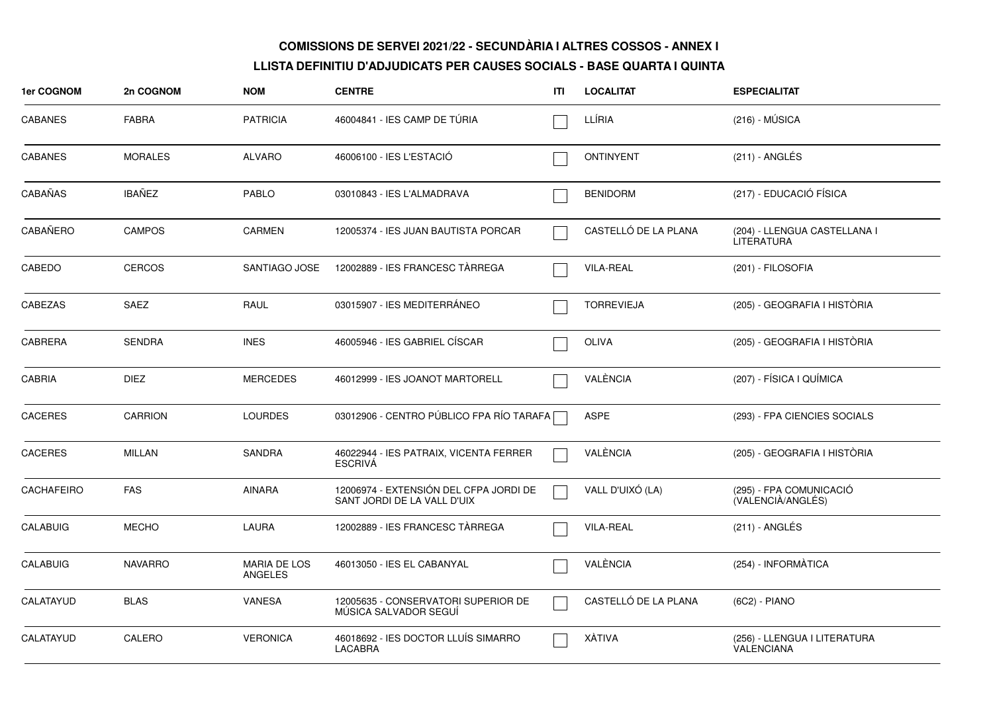| 1er COGNOM        | 2n COGNOM      | <b>NOM</b>                            | <b>CENTRE</b>                                                         | ITI | <b>LOCALITAT</b>     | <b>ESPECIALITAT</b>                               |
|-------------------|----------------|---------------------------------------|-----------------------------------------------------------------------|-----|----------------------|---------------------------------------------------|
| <b>CABANES</b>    | <b>FABRA</b>   | <b>PATRICIA</b>                       | 46004841 - IES CAMP DE TÚRIA                                          |     | LLÍRIA               | $(216) - MÚSICA$                                  |
| <b>CABANES</b>    | <b>MORALES</b> | <b>ALVARO</b>                         | 46006100 - IES L'ESTACIÓ                                              |     | <b>ONTINYENT</b>     | $(211)$ - ANGLÉS                                  |
| <b>CABAÑAS</b>    | <b>IBAÑEZ</b>  | <b>PABLO</b>                          | 03010843 - IES L'ALMADRAVA                                            |     | <b>BENIDORM</b>      | (217) - EDUCACIÓ FÍSICA                           |
| CABAÑERO          | <b>CAMPOS</b>  | <b>CARMEN</b>                         | 12005374 - IES JUAN BAUTISTA PORCAR                                   |     | CASTELLÓ DE LA PLANA | (204) - LLENGUA CASTELLANA I<br><b>LITERATURA</b> |
| CABEDO            | <b>CERCOS</b>  | SANTIAGO JOSE                         | 12002889 - IES FRANCESC TÀRREGA                                       |     | <b>VILA-REAL</b>     | (201) - FILOSOFIA                                 |
| CABEZAS           | <b>SAEZ</b>    | RAUL                                  | 03015907 - IES MEDITERRÁNEO                                           |     | <b>TORREVIEJA</b>    | (205) - GEOGRAFIA I HISTÒRIA                      |
| <b>CABRERA</b>    | <b>SENDRA</b>  | <b>INES</b>                           | 46005946 - IES GABRIEL CÍSCAR                                         |     | <b>OLIVA</b>         | (205) - GEOGRAFIA I HISTÒRIA                      |
| <b>CABRIA</b>     | <b>DIEZ</b>    | <b>MERCEDES</b>                       | 46012999 - IES JOANOT MARTORELL                                       |     | VALÈNCIA             | (207) - FÍSICA I QUÍMICA                          |
| <b>CACERES</b>    | <b>CARRION</b> | <b>LOURDES</b>                        | 03012906 - CENTRO PÚBLICO FPA RÍO TARAFA [                            |     | <b>ASPE</b>          | (293) - FPA CIENCIES SOCIALS                      |
| <b>CACERES</b>    | <b>MILLAN</b>  | <b>SANDRA</b>                         | 46022944 - IES PATRAIX, VICENTA FERRER<br><b>ESCRIVA</b>              |     | VALÈNCIA             | (205) - GEOGRAFIA I HISTÒRIA                      |
| <b>CACHAFEIRO</b> | <b>FAS</b>     | <b>AINARA</b>                         | 12006974 - EXTENSIÓN DEL CFPA JORDI DE<br>SANT JORDI DE LA VALL D'UIX |     | VALL D'UIXÓ (LA)     | (295) - FPA COMUNICACIÓ<br>(VALENCIÀ/ANGLÉS)      |
| <b>CALABUIG</b>   | <b>MECHO</b>   | <b>LAURA</b>                          | 12002889 - IES FRANCESC TÀRREGA                                       |     | <b>VILA-REAL</b>     | (211) - ANGLÉS                                    |
| <b>CALABUIG</b>   | <b>NAVARRO</b> | <b>MARIA DE LOS</b><br><b>ANGELES</b> | 46013050 - IES EL CABANYAL                                            |     | VALÈNCIA             | (254) - INFORMÀTICA                               |
| CALATAYUD         | <b>BLAS</b>    | <b>VANESA</b>                         | 12005635 - CONSERVATORI SUPERIOR DE<br>MÚSICA SALVADOR SEGUÍ          |     | CASTELLÓ DE LA PLANA | $(6C2) - PIANO$                                   |
| CALATAYUD         | CALERO         | <b>VERONICA</b>                       | 46018692 - IES DOCTOR LLUÍS SIMARRO<br><b>LACABRA</b>                 |     | XÀTIVA               | (256) - LLENGUA I LITERATURA<br><b>VALENCIANA</b> |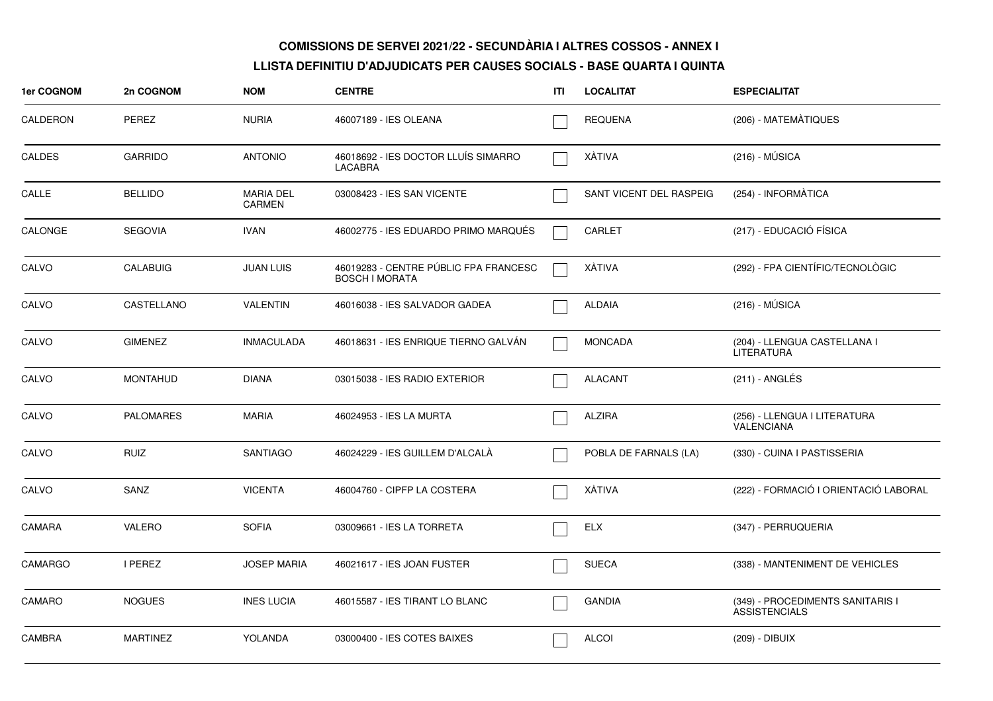| 1er COGNOM     | 2n COGNOM        | <b>NOM</b>                        | <b>CENTRE</b>                                                  | ITI | <b>LOCALITAT</b>        | <b>ESPECIALITAT</b>                                      |
|----------------|------------------|-----------------------------------|----------------------------------------------------------------|-----|-------------------------|----------------------------------------------------------|
| CALDERON       | <b>PEREZ</b>     | <b>NURIA</b>                      | 46007189 - IES OLEANA                                          |     | <b>REQUENA</b>          | (206) - MATEMATIQUES                                     |
| <b>CALDES</b>  | <b>GARRIDO</b>   | <b>ANTONIO</b>                    | 46018692 - IES DOCTOR LLUÍS SIMARRO<br><b>LACABRA</b>          |     | XÀTIVA                  | $(216) - MÚSICA$                                         |
| CALLE          | <b>BELLIDO</b>   | <b>MARIA DEL</b><br><b>CARMEN</b> | 03008423 - IES SAN VICENTE                                     |     | SANT VICENT DEL RASPEIG | (254) - INFORMÀTICA                                      |
| CALONGE        | <b>SEGOVIA</b>   | <b>IVAN</b>                       | 46002775 - IES EDUARDO PRIMO MARQUÉS                           |     | CARLET                  | (217) - EDUCACIÓ FÍSICA                                  |
| CALVO          | <b>CALABUIG</b>  | <b>JUAN LUIS</b>                  | 46019283 - CENTRE PÚBLIC FPA FRANCESC<br><b>BOSCH I MORATA</b> |     | <b>XÀTIVA</b>           | (292) - FPA CIENTÍFIC/TECNOLÒGIC                         |
| CALVO          | CASTELLANO       | <b>VALENTIN</b>                   | 46016038 - IES SALVADOR GADEA                                  |     | <b>ALDAIA</b>           | $(216) - MÚSICA$                                         |
| CALVO          | <b>GIMENEZ</b>   | <b>INMACULADA</b>                 | 46018631 - IES ENRIQUE TIERNO GALVÁN                           |     | <b>MONCADA</b>          | (204) - LLENGUA CASTELLANA I<br><b>LITERATURA</b>        |
| CALVO          | <b>MONTAHUD</b>  | <b>DIANA</b>                      | 03015038 - IES RADIO EXTERIOR                                  |     | <b>ALACANT</b>          | (211) - ANGLÉS                                           |
| CALVO          | <b>PALOMARES</b> | <b>MARIA</b>                      | 46024953 - IES LA MURTA                                        |     | <b>ALZIRA</b>           | (256) - LLENGUA I LITERATURA<br><b>VALENCIANA</b>        |
| CALVO          | <b>RUIZ</b>      | <b>SANTIAGO</b>                   | 46024229 - IES GUILLEM D'ALCALA                                |     | POBLA DE FARNALS (LA)   | (330) - CUINA I PASTISSERIA                              |
| CALVO          | SANZ             | <b>VICENTA</b>                    | 46004760 - CIPFP LA COSTERA                                    |     | XÀTIVA                  | (222) - FORMACIÓ I ORIENTACIÓ LABORAL                    |
| CAMARA         | VALERO           | <b>SOFIA</b>                      | 03009661 - IES LA TORRETA                                      |     | <b>ELX</b>              | (347) - PERRUQUERIA                                      |
| <b>CAMARGO</b> | <b>I PEREZ</b>   | <b>JOSEP MARIA</b>                | 46021617 - IES JOAN FUSTER                                     |     | <b>SUECA</b>            | (338) - MANTENIMENT DE VEHICLES                          |
| <b>CAMARO</b>  | <b>NOGUES</b>    | <b>INES LUCIA</b>                 | 46015587 - IES TIRANT LO BLANC                                 |     | <b>GANDIA</b>           | (349) - PROCEDIMENTS SANITARIS I<br><b>ASSISTENCIALS</b> |
| <b>CAMBRA</b>  | <b>MARTINEZ</b>  | <b>YOLANDA</b>                    | 03000400 - IES COTES BAIXES                                    |     | <b>ALCOI</b>            | (209) - DIBUIX                                           |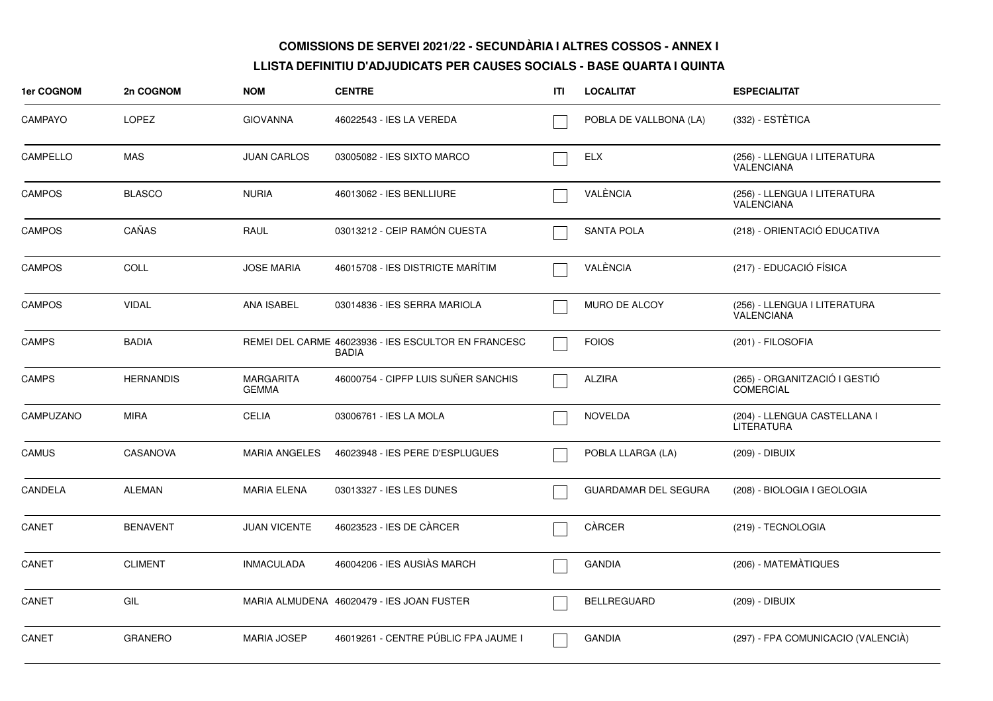| 1er COGNOM     | 2n COGNOM        | <b>NOM</b>                       | <b>CENTRE</b>                                                       | ITI | <b>LOCALITAT</b>            | <b>ESPECIALITAT</b>                               |
|----------------|------------------|----------------------------------|---------------------------------------------------------------------|-----|-----------------------------|---------------------------------------------------|
| <b>CAMPAYO</b> | <b>LOPEZ</b>     | <b>GIOVANNA</b>                  | 46022543 - IES LA VEREDA                                            |     | POBLA DE VALLBONA (LA)      | (332) - ESTÈTICA                                  |
| CAMPELLO       | <b>MAS</b>       | <b>JUAN CARLOS</b>               | 03005082 - IES SIXTO MARCO                                          |     | <b>ELX</b>                  | (256) - LLENGUA I LITERATURA<br>VALENCIANA        |
| <b>CAMPOS</b>  | <b>BLASCO</b>    | <b>NURIA</b>                     | 46013062 - IES BENLLIURE                                            |     | VALÈNCIA                    | (256) - LLENGUA I LITERATURA<br><b>VALENCIANA</b> |
| <b>CAMPOS</b>  | CAÑAS            | RAUL                             | 03013212 - CEIP RAMÓN CUESTA                                        |     | <b>SANTA POLA</b>           | (218) - ORIENTACIÓ EDUCATIVA                      |
| <b>CAMPOS</b>  | COLL             | <b>JOSE MARIA</b>                | 46015708 - IES DISTRICTE MARÍTIM                                    |     | VALÈNCIA                    | (217) - EDUCACIÓ FÍSICA                           |
| <b>CAMPOS</b>  | <b>VIDAL</b>     | ANA ISABEL                       | 03014836 - IES SERRA MARIOLA                                        |     | <b>MURO DE ALCOY</b>        | (256) - LLENGUA I LITERATURA<br><b>VALENCIANA</b> |
| CAMPS          | <b>BADIA</b>     |                                  | REMEI DEL CARME 46023936 - IES ESCULTOR EN FRANCESC<br><b>BADIA</b> |     | <b>FOIOS</b>                | (201) - FILOSOFIA                                 |
| <b>CAMPS</b>   | <b>HERNANDIS</b> | <b>MARGARITA</b><br><b>GEMMA</b> | 46000754 - CIPFP LUIS SUÑER SANCHIS                                 |     | <b>ALZIRA</b>               | (265) - ORGANITZACIÓ I GESTIÓ<br><b>COMERCIAL</b> |
| CAMPUZANO      | <b>MIRA</b>      | <b>CELIA</b>                     | 03006761 - IES LA MOLA                                              |     | <b>NOVELDA</b>              | (204) - LLENGUA CASTELLANA I<br>LITERATURA        |
| <b>CAMUS</b>   | <b>CASANOVA</b>  | <b>MARIA ANGELES</b>             | 46023948 - IES PERE D'ESPLUGUES                                     |     | POBLA LLARGA (LA)           | (209) - DIBUIX                                    |
| CANDELA        | <b>ALEMAN</b>    | <b>MARIA ELENA</b>               | 03013327 - IES LES DUNES                                            |     | <b>GUARDAMAR DEL SEGURA</b> | (208) - BIOLOGIA I GEOLOGIA                       |
| CANET          | <b>BENAVENT</b>  | <b>JUAN VICENTE</b>              | 46023523 - IES DE CÀRCER                                            |     | CÀRCER                      | (219) - TECNOLOGIA                                |
| CANET          | <b>CLIMENT</b>   | <b>INMACULADA</b>                | 46004206 - IES AUSIÀS MARCH                                         |     | <b>GANDIA</b>               | (206) - MATEMÀTIQUES                              |
| CANET          | GIL              |                                  | MARIA ALMUDENA 46020479 - IES JOAN FUSTER                           |     | <b>BELLREGUARD</b>          | (209) - DIBUIX                                    |
| CANET          | <b>GRANERO</b>   | <b>MARIA JOSEP</b>               | 46019261 - CENTRE PÚBLIC FPA JAUME I                                |     | <b>GANDIA</b>               | (297) - FPA COMUNICACIO (VALENCIÀ)                |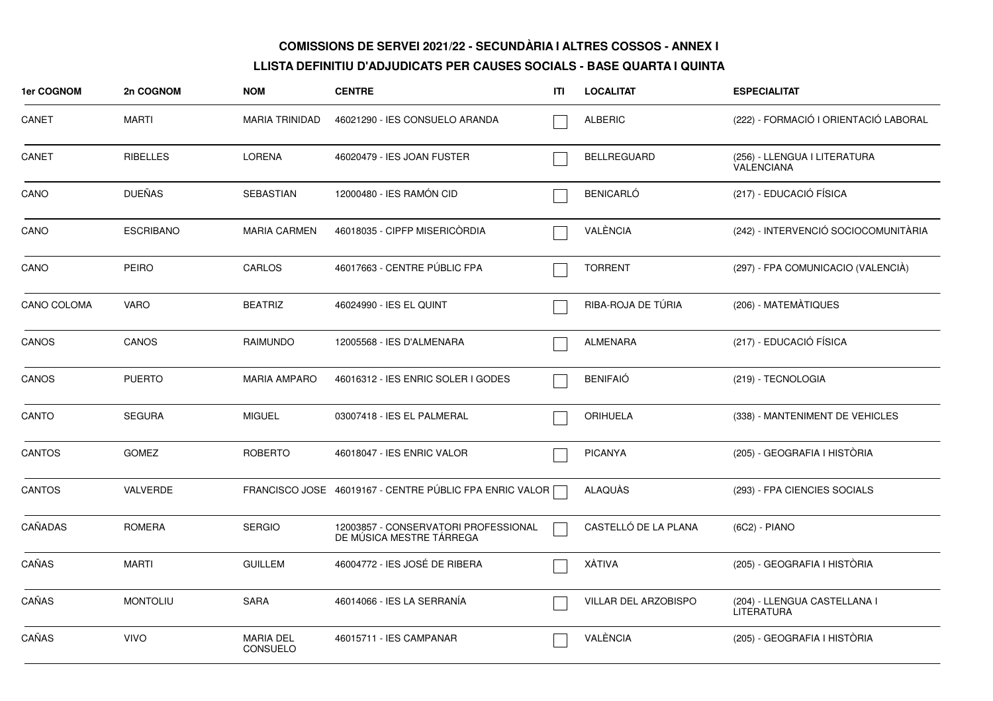| 1er COGNOM    | 2n COGNOM        | <b>NOM</b>                          | <b>CENTRE</b>                                                    | ITI | <b>LOCALITAT</b>     | <b>ESPECIALITAT</b>                               |
|---------------|------------------|-------------------------------------|------------------------------------------------------------------|-----|----------------------|---------------------------------------------------|
| CANET         | <b>MARTI</b>     | <b>MARIA TRINIDAD</b>               | 46021290 - IES CONSUELO ARANDA                                   |     | <b>ALBERIC</b>       | (222) - FORMACIÓ I ORIENTACIÓ LABORAL             |
| CANET         | <b>RIBELLES</b>  | <b>LORENA</b>                       | 46020479 - IES JOAN FUSTER                                       |     | <b>BELLREGUARD</b>   | (256) - LLENGUA I LITERATURA<br><b>VALENCIANA</b> |
| CANO          | <b>DUEÑAS</b>    | <b>SEBASTIAN</b>                    | 12000480 - IES RAMÓN CID                                         |     | <b>BENICARLÓ</b>     | (217) - EDUCACIÓ FÍSICA                           |
| CANO          | <b>ESCRIBANO</b> | <b>MARIA CARMEN</b>                 | 46018035 - CIPFP MISERICÒRDIA                                    |     | VALÈNCIA             | (242) - INTERVENCIÓ SOCIOCOMUNITÀRIA              |
| CANO          | <b>PEIRO</b>     | CARLOS                              | 46017663 - CENTRE PÚBLIC FPA                                     |     | <b>TORRENT</b>       | (297) - FPA COMUNICACIO (VALENCIA)                |
| CANO COLOMA   | <b>VARO</b>      | <b>BEATRIZ</b>                      | 46024990 - IES EL QUINT                                          |     | RIBA-ROJA DE TÚRIA   | (206) - MATEMATIQUES                              |
| CANOS         | CANOS            | <b>RAIMUNDO</b>                     | 12005568 - IES D'ALMENARA                                        |     | <b>ALMENARA</b>      | (217) - EDUCACIÓ FÍSICA                           |
| CANOS         | <b>PUERTO</b>    | <b>MARIA AMPARO</b>                 | 46016312 - IES ENRIC SOLER I GODES                               |     | <b>BENIFAIÓ</b>      | (219) - TECNOLOGIA                                |
| CANTO         | <b>SEGURA</b>    | <b>MIGUEL</b>                       | 03007418 - IES EL PALMERAL                                       |     | <b>ORIHUELA</b>      | (338) - MANTENIMENT DE VEHICLES                   |
| <b>CANTOS</b> | <b>GOMEZ</b>     | <b>ROBERTO</b>                      | 46018047 - IES ENRIC VALOR                                       |     | <b>PICANYA</b>       | (205) - GEOGRAFIA I HISTÒRIA                      |
| <b>CANTOS</b> | VALVERDE         |                                     | FRANCISCO JOSE 46019167 - CENTRE PÚBLIC FPA ENRIC VALOR          |     | ALAQUÀS              | (293) - FPA CIENCIES SOCIALS                      |
| CAÑADAS       | <b>ROMERA</b>    | <b>SERGIO</b>                       | 12003857 - CONSERVATORI PROFESSIONAL<br>DE MÚSICA MESTRE TÁRREGA |     | CASTELLÓ DE LA PLANA | (6C2) - PIANO                                     |
| CAÑAS         | <b>MARTI</b>     | <b>GUILLEM</b>                      | 46004772 - IES JOSÉ DE RIBERA                                    |     | <b>XÀTIVA</b>        | (205) - GEOGRAFIA I HISTÒRIA                      |
| CAÑAS         | <b>MONTOLIU</b>  | <b>SARA</b>                         | 46014066 - IES LA SERRANÍA                                       |     | VILLAR DEL ARZOBISPO | (204) - LLENGUA CASTELLANA I<br>LITERATURA        |
| CAÑAS         | <b>VIVO</b>      | <b>MARIA DEL</b><br><b>CONSUELO</b> | 46015711 - IES CAMPANAR                                          |     | VALÈNCIA             | (205) - GEOGRAFIA I HISTÒRIA                      |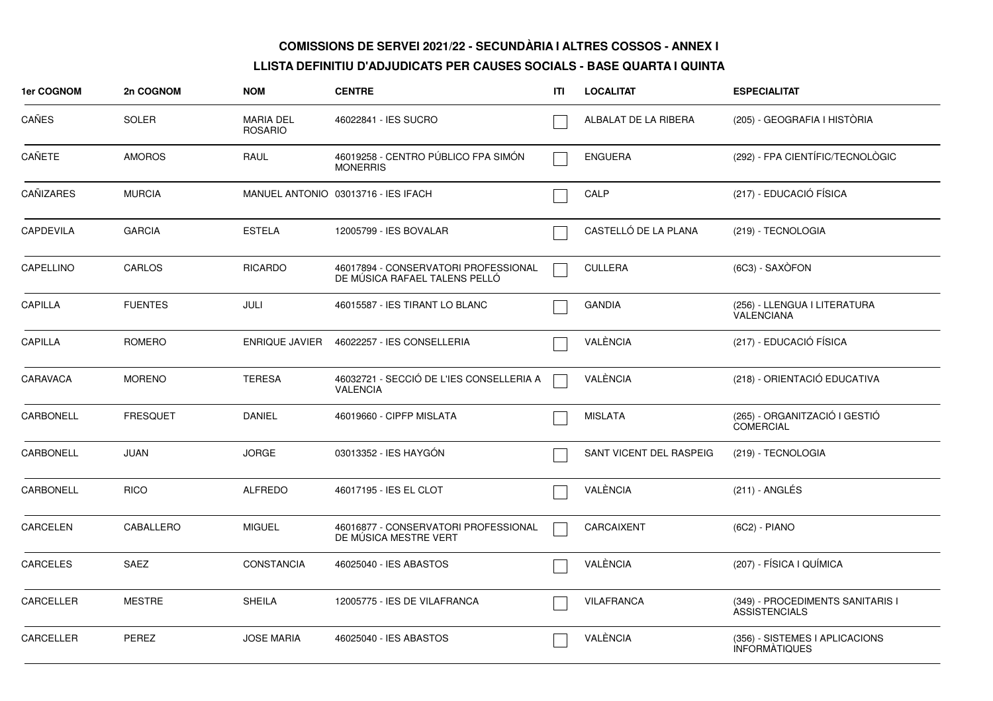| <b>1er COGNOM</b> | 2n COGNOM       | <b>NOM</b>                         | <b>CENTRE</b>                                                         | ITI | <b>LOCALITAT</b>        | <b>ESPECIALITAT</b>                                      |
|-------------------|-----------------|------------------------------------|-----------------------------------------------------------------------|-----|-------------------------|----------------------------------------------------------|
| CAÑES             | <b>SOLER</b>    | <b>MARIA DEL</b><br><b>ROSARIO</b> | 46022841 - IES SUCRO                                                  |     | ALBALAT DE LA RIBERA    | (205) - GEOGRAFIA I HISTÓRIA                             |
| CAÑETE            | <b>AMOROS</b>   | RAUL                               | 46019258 - CENTRO PÚBLICO FPA SIMÓN<br><b>MONERRIS</b>                |     | <b>ENGUERA</b>          | (292) - FPA CIENTÍFIC/TECNOLÒGIC                         |
| CAÑIZARES         | <b>MURCIA</b>   |                                    | MANUEL ANTONIO 03013716 - IES IFACH                                   |     | CALP                    | (217) - EDUCACIÓ FÍSICA                                  |
| <b>CAPDEVILA</b>  | <b>GARCIA</b>   | <b>ESTELA</b>                      | 12005799 - IES BOVALAR                                                |     | CASTELLÓ DE LA PLANA    | (219) - TECNOLOGIA                                       |
| CAPELLINO         | <b>CARLOS</b>   | <b>RICARDO</b>                     | 46017894 - CONSERVATORI PROFESSIONAL<br>DE MÚSICA RAFAEL TALENS PELLO |     | <b>CULLERA</b>          | (6C3) - SAXÒFON                                          |
| <b>CAPILLA</b>    | <b>FUENTES</b>  | <b>JULI</b>                        | 46015587 - IES TIRANT LO BLANC                                        |     | <b>GANDIA</b>           | (256) - LLENGUA I LITERATURA<br><b>VALENCIANA</b>        |
| <b>CAPILLA</b>    | ROMERO          | <b>ENRIQUE JAVIER</b>              | 46022257 - IES CONSELLERIA                                            |     | VALÈNCIA                | (217) - EDUCACIÓ FÍSICA                                  |
| CARAVACA          | <b>MORENO</b>   | <b>TERESA</b>                      | 46032721 - SECCIÓ DE L'IES CONSELLERIA A<br><b>VALENCIA</b>           |     | VALÈNCIA                | (218) - ORIENTACIÓ EDUCATIVA                             |
| CARBONELL         | <b>FRESQUET</b> | <b>DANIEL</b>                      | 46019660 - CIPFP MISLATA                                              |     | <b>MISLATA</b>          | (265) - ORGANITZACIÓ I GESTIÓ<br><b>COMERCIAL</b>        |
| CARBONELL         | <b>JUAN</b>     | <b>JORGE</b>                       | 03013352 - IES HAYGÓN                                                 |     | SANT VICENT DEL RASPEIG | (219) - TECNOLOGIA                                       |
| CARBONELL         | <b>RICO</b>     | <b>ALFREDO</b>                     | 46017195 - IES EL CLOT                                                |     | VALÈNCIA                | (211) - ANGLÉS                                           |
| CARCELEN          | CABALLERO       | <b>MIGUEL</b>                      | 46016877 - CONSERVATORI PROFESSIONAL<br>DE MUSICA MESTRE VERT         |     | CARCAIXENT              | (6C2) - PIANO                                            |
| <b>CARCELES</b>   | SAEZ            | <b>CONSTANCIA</b>                  | 46025040 - IES ABASTOS                                                |     | VALÈNCIA                | (207) - FÍSICA I QUÍMICA                                 |
| CARCELLER         | <b>MESTRE</b>   | <b>SHEILA</b>                      | 12005775 - IES DE VILAFRANCA                                          |     | <b>VILAFRANCA</b>       | (349) - PROCEDIMENTS SANITARIS I<br><b>ASSISTENCIALS</b> |
| CARCELLER         | <b>PEREZ</b>    | <b>JOSE MARIA</b>                  | 46025040 - IES ABASTOS                                                |     | VALÈNCIA                | (356) - SISTEMES I APLICACIONS<br><b>INFORMATIQUES</b>   |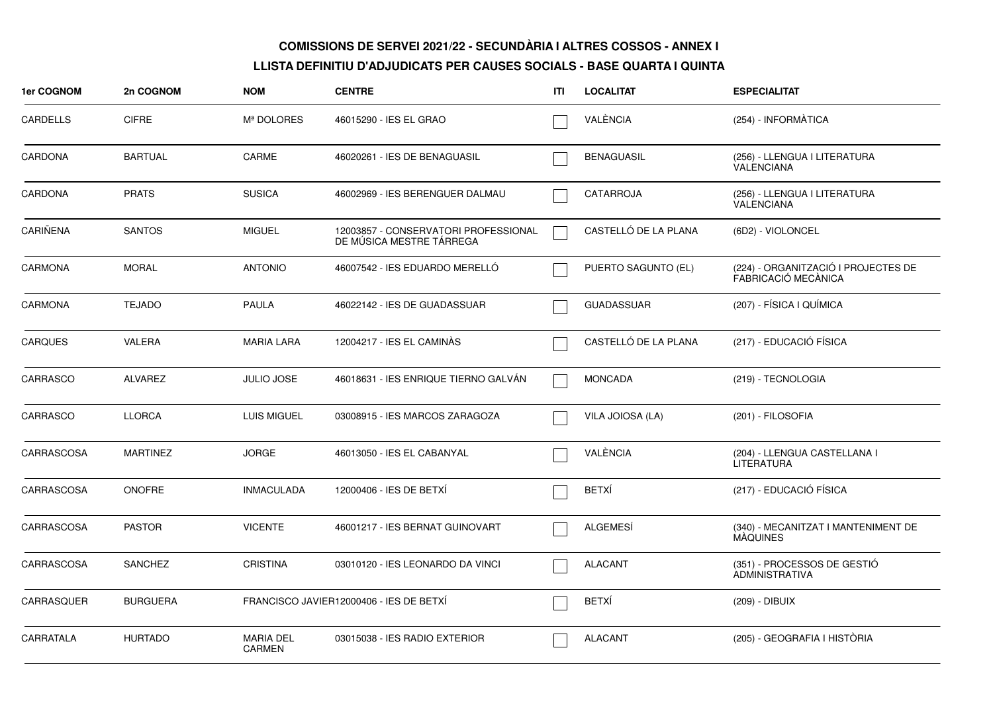| 1er COGNOM      | 2n COGNOM       | <b>NOM</b>                        | <b>CENTRE</b>                                                    | ITI | <b>LOCALITAT</b>     | <b>ESPECIALITAT</b>                                        |
|-----------------|-----------------|-----------------------------------|------------------------------------------------------------------|-----|----------------------|------------------------------------------------------------|
| <b>CARDELLS</b> | <b>CIFRE</b>    | Mª DOLORES                        | 46015290 - IES EL GRAO                                           |     | VALÈNCIA             | (254) - INFORMÀTICA                                        |
| CARDONA         | <b>BARTUAL</b>  | CARME                             | 46020261 - IES DE BENAGUASIL                                     |     | <b>BENAGUASIL</b>    | (256) - LLENGUA I LITERATURA<br><b>VALENCIANA</b>          |
| CARDONA         | <b>PRATS</b>    | <b>SUSICA</b>                     | 46002969 - IES BERENGUER DALMAU                                  |     | CATARROJA            | (256) - LLENGUA I LITERATURA<br><b>VALENCIANA</b>          |
| CARIÑENA        | <b>SANTOS</b>   | <b>MIGUEL</b>                     | 12003857 - CONSERVATORI PROFESSIONAL<br>DE MÚSICA MESTRE TÁRREGA |     | CASTELLÓ DE LA PLANA | (6D2) - VIOLONCEL                                          |
| <b>CARMONA</b>  | <b>MORAL</b>    | <b>ANTONIO</b>                    | 46007542 - IES EDUARDO MERELLO                                   |     | PUERTO SAGUNTO (EL)  | (224) - ORGANITZACIÓ I PROJECTES DE<br>FABRICACIÓ MECÀNICA |
| <b>CARMONA</b>  | <b>TEJADO</b>   | <b>PAULA</b>                      | 46022142 - IES DE GUADASSUAR                                     |     | <b>GUADASSUAR</b>    | (207) - FÍSICA I QUÍMICA                                   |
| <b>CARQUES</b>  | VALERA          | <b>MARIA LARA</b>                 | 12004217 - IES EL CAMINÀS                                        |     | CASTELLÓ DE LA PLANA | (217) - EDUCACIÓ FÍSICA                                    |
| CARRASCO        | <b>ALVAREZ</b>  | <b>JULIO JOSE</b>                 | 46018631 - IES ENRIQUE TIERNO GALVAN                             |     | <b>MONCADA</b>       | (219) - TECNOLOGIA                                         |
| CARRASCO        | <b>LLORCA</b>   | <b>LUIS MIGUEL</b>                | 03008915 - IES MARCOS ZARAGOZA                                   |     | VILA JOIOSA (LA)     | (201) - FILOSOFIA                                          |
| CARRASCOSA      | <b>MARTINEZ</b> | <b>JORGE</b>                      | 46013050 - IES EL CABANYAL                                       |     | VALÈNCIA             | (204) - LLENGUA CASTELLANA I<br><b>LITERATURA</b>          |
| CARRASCOSA      | <b>ONOFRE</b>   | <b>INMACULADA</b>                 | 12000406 - IES DE BETXÍ                                          |     | <b>BETXÍ</b>         | (217) - EDUCACIÓ FÍSICA                                    |
| CARRASCOSA      | <b>PASTOR</b>   | <b>VICENTE</b>                    | 46001217 - IES BERNAT GUINOVART                                  |     | <b>ALGEMESÍ</b>      | (340) - MECANITZAT I MANTENIMENT DE<br><b>MAQUINES</b>     |
| CARRASCOSA      | <b>SANCHEZ</b>  | <b>CRISTINA</b>                   | 03010120 - IES LEONARDO DA VINCI                                 |     | <b>ALACANT</b>       | (351) - PROCESSOS DE GESTIÓ<br><b>ADMINISTRATIVA</b>       |
| CARRASQUER      | <b>BURGUERA</b> |                                   | FRANCISCO JAVIER12000406 - IES DE BETXÍ                          |     | <b>BETXI</b>         | (209) - DIBUIX                                             |
| CARRATALA       | <b>HURTADO</b>  | <b>MARIA DEL</b><br><b>CARMEN</b> | 03015038 - IES RADIO EXTERIOR                                    |     | <b>ALACANT</b>       | (205) - GEOGRAFIA I HISTÒRIA                               |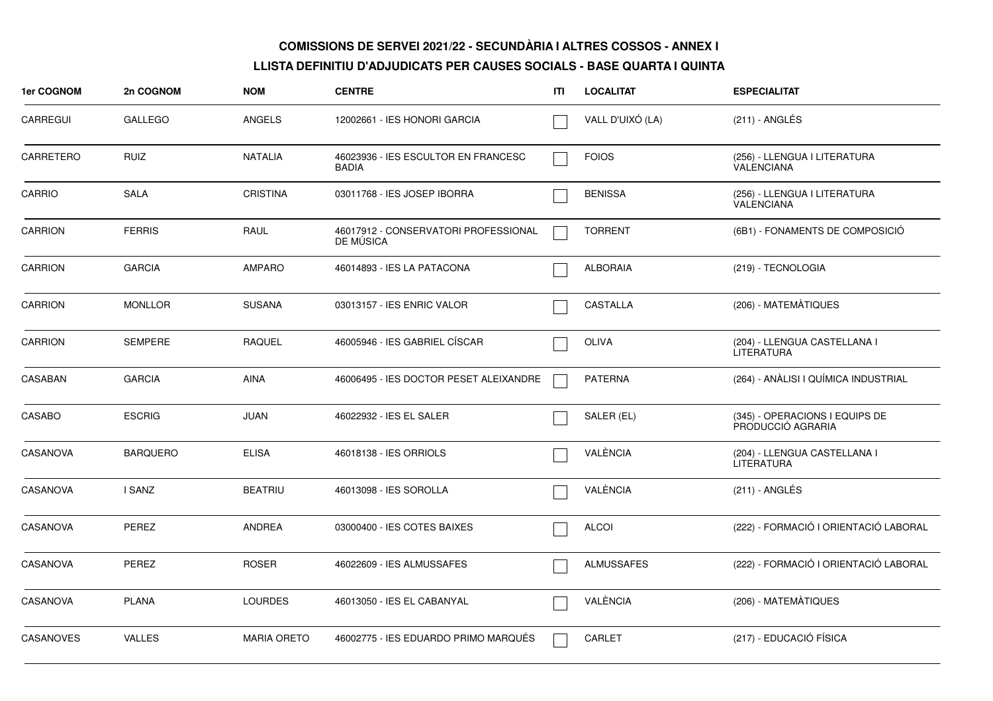| 1er COGNOM       | 2n COGNOM       | <b>NOM</b>         | <b>CENTRE</b>                                     | ITI | <b>LOCALITAT</b>  | <b>ESPECIALITAT</b>                                 |
|------------------|-----------------|--------------------|---------------------------------------------------|-----|-------------------|-----------------------------------------------------|
| <b>CARREGUI</b>  | <b>GALLEGO</b>  | <b>ANGELS</b>      | 12002661 - IES HONORI GARCIA                      |     | VALL D'UIXÓ (LA)  | (211) - ANGLÉS                                      |
| CARRETERO        | <b>RUIZ</b>     | <b>NATALIA</b>     | 46023936 - IES ESCULTOR EN FRANCESC<br>BADIA      |     | <b>FOIOS</b>      | (256) - LLENGUA I LITERATURA<br><b>VALENCIANA</b>   |
| CARRIO           | <b>SALA</b>     | <b>CRISTINA</b>    | 03011768 - IES JOSEP IBORRA                       |     | <b>BENISSA</b>    | (256) - LLENGUA I LITERATURA<br><b>VALENCIANA</b>   |
| <b>CARRION</b>   | <b>FERRIS</b>   | RAUL               | 46017912 - CONSERVATORI PROFESSIONAL<br>DE MUSICA |     | <b>TORRENT</b>    | (6B1) - FONAMENTS DE COMPOSICIÓ                     |
| <b>CARRION</b>   | <b>GARCIA</b>   | <b>AMPARO</b>      | 46014893 - IES LA PATACONA                        |     | <b>ALBORAIA</b>   | (219) - TECNOLOGIA                                  |
| <b>CARRION</b>   | <b>MONLLOR</b>  | <b>SUSANA</b>      | 03013157 - IES ENRIC VALOR                        |     | CASTALLA          | (206) - MATEMÀTIQUES                                |
| <b>CARRION</b>   | <b>SEMPERE</b>  | <b>RAQUEL</b>      | 46005946 - IES GABRIEL CÍSCAR                     |     | <b>OLIVA</b>      | (204) - LLENGUA CASTELLANA I<br><b>LITERATURA</b>   |
| CASABAN          | <b>GARCIA</b>   | <b>AINA</b>        | 46006495 - IES DOCTOR PESET ALEIXANDRE            |     | <b>PATERNA</b>    | (264) - ANÀLISI I QUÍMICA INDUSTRIAL                |
| CASABO           | <b>ESCRIG</b>   | JUAN               | 46022932 - IES EL SALER                           |     | SALER (EL)        | (345) - OPERACIONS I EQUIPS DE<br>PRODUCCIÓ AGRARIA |
| <b>CASANOVA</b>  | <b>BARQUERO</b> | <b>ELISA</b>       | 46018138 - IES ORRIOLS                            |     | VALÈNCIA          | (204) - LLENGUA CASTELLANA I<br><b>LITERATURA</b>   |
| CASANOVA         | I SANZ          | <b>BEATRIU</b>     | 46013098 - IES SOROLLA                            |     | VALÈNCIA          | (211) - ANGLÉS                                      |
| <b>CASANOVA</b>  | PEREZ           | ANDREA             | 03000400 - IES COTES BAIXES                       |     | <b>ALCOI</b>      | (222) - FORMACIÓ I ORIENTACIÓ LABORAL               |
| <b>CASANOVA</b>  | PEREZ           | <b>ROSER</b>       | 46022609 - IES ALMUSSAFES                         |     | <b>ALMUSSAFES</b> | (222) - FORMACIÓ I ORIENTACIÓ LABORAL               |
| <b>CASANOVA</b>  | <b>PLANA</b>    | <b>LOURDES</b>     | 46013050 - IES EL CABANYAL                        |     | VALÈNCIA          | (206) - MATEMATIQUES                                |
| <b>CASANOVES</b> | <b>VALLES</b>   | <b>MARIA ORETO</b> | 46002775 - IES EDUARDO PRIMO MARQUÉS              |     | CARLET            | (217) - EDUCACIÓ FÍSICA                             |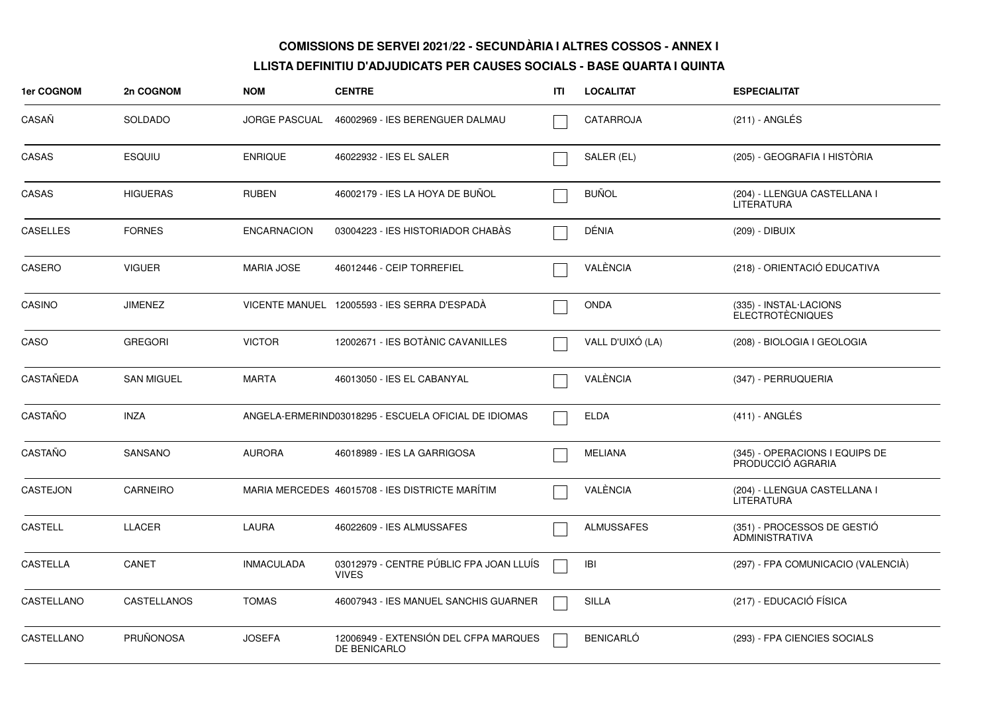| 1er COGNOM      | 2n COGNOM         | <b>NOM</b>           | <b>CENTRE</b>                                           | ITI | <b>LOCALITAT</b>  | <b>ESPECIALITAT</b>                                  |
|-----------------|-------------------|----------------------|---------------------------------------------------------|-----|-------------------|------------------------------------------------------|
| CASAÑ           | <b>SOLDADO</b>    | <b>JORGE PASCUAL</b> | 46002969 - IES BERENGUER DALMAU                         |     | CATARROJA         | $(211)$ - ANGLÉS                                     |
| CASAS           | <b>ESQUIU</b>     | <b>ENRIQUE</b>       | 46022932 - IES EL SALER                                 |     | SALER (EL)        | (205) - GEOGRAFIA I HISTÒRIA                         |
| CASAS           | <b>HIGUERAS</b>   | <b>RUBEN</b>         | 46002179 - IES LA HOYA DE BUÑOL                         |     | <b>BUÑOL</b>      | (204) - LLENGUA CASTELLANA I<br>LITERATURA           |
| <b>CASELLES</b> | <b>FORNES</b>     | <b>ENCARNACION</b>   | 03004223 - IES HISTORIADOR CHABAS                       |     | DÉNIA             | (209) - DIBUIX                                       |
| CASERO          | <b>VIGUER</b>     | <b>MARIA JOSE</b>    | 46012446 - CEIP TORREFIEL                               |     | VALÈNCIA          | (218) - ORIENTACIÓ EDUCATIVA                         |
| CASINO          | <b>JIMENEZ</b>    |                      | VICENTE MANUEL 12005593 - IES SERRA D'ESPADÀ            |     | <b>ONDA</b>       | (335) - INSTAL·LACIONS<br><b>ELECTROTÈCNIQUES</b>    |
| CASO            | <b>GREGORI</b>    | <b>VICTOR</b>        | 12002671 - IES BOTÀNIC CAVANILLES                       |     | VALL D'UIXÓ (LA)  | (208) - BIOLOGIA I GEOLOGIA                          |
| CASTAÑEDA       | <b>SAN MIGUEL</b> | <b>MARTA</b>         | 46013050 - IES EL CABANYAL                              |     | VALÈNCIA          | (347) - PERRUQUERIA                                  |
| CASTAÑO         | <b>INZA</b>       |                      | ANGELA-ERMERIND03018295 - ESCUELA OFICIAL DE IDIOMAS    |     | <b>ELDA</b>       | $(411)$ - ANGLÉS                                     |
| CASTAÑO         | <b>SANSANO</b>    | <b>AURORA</b>        | 46018989 - IES LA GARRIGOSA                             |     | <b>MELIANA</b>    | (345) - OPERACIONS I EQUIPS DE<br>PRODUCCIÓ AGRARIA  |
| <b>CASTEJON</b> | <b>CARNEIRO</b>   |                      | MARIA MERCEDES 46015708 - IES DISTRICTE MARITIM         |     | VALÉNCIA          | (204) - LLENGUA CASTELLANA I<br><b>LITERATURA</b>    |
| <b>CASTELL</b>  | <b>LLACER</b>     | LAURA                | 46022609 - IES ALMUSSAFES                               |     | <b>ALMUSSAFES</b> | (351) - PROCESSOS DE GESTIÓ<br><b>ADMINISTRATIVA</b> |
| <b>CASTELLA</b> | CANET             | <b>INMACULADA</b>    | 03012979 - CENTRE PÚBLIC FPA JOAN LLUÍS<br><b>VIVES</b> |     | IBI               | (297) - FPA COMUNICACIO (VALENCIA)                   |
| CASTELLANO      | CASTELLANOS       | <b>TOMAS</b>         | 46007943 - IES MANUEL SANCHIS GUARNER                   |     | <b>SILLA</b>      | (217) - EDUCACIÓ FÍSICA                              |
| CASTELLANO      | <b>PRUÑONOSA</b>  | <b>JOSEFA</b>        | 12006949 - EXTENSIÓN DEL CFPA MARQUES<br>DE BENICARLO   |     | <b>BENICARLÓ</b>  | (293) - FPA CIENCIES SOCIALS                         |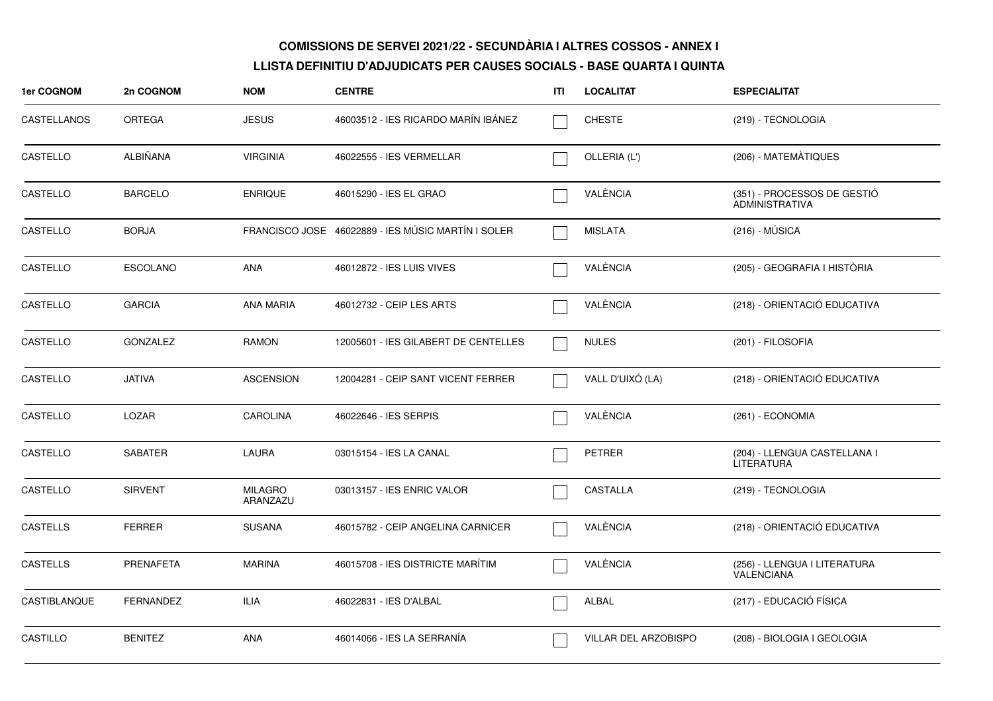| 1er COGNOM          | 2n COGNOM        | <b>NOM</b>                 | <b>CENTRE</b>                                      | ITI | <b>LOCALITAT</b>     | <b>ESPECIALITAT</b>                                  |
|---------------------|------------------|----------------------------|----------------------------------------------------|-----|----------------------|------------------------------------------------------|
| CASTELLANOS         | <b>ORTEGA</b>    | <b>JESUS</b>               | 46003512 - IES RICARDO MARÍN IBÁNEZ                |     | <b>CHESTE</b>        | (219) - TECNOLOGIA                                   |
| CASTELLO            | ALBIÑANA         | <b>VIRGINIA</b>            | 46022555 - IES VERMELLAR                           |     | OLLERIA (L')         | (206) - MATEMÀTIQUES                                 |
| CASTELLO            | <b>BARCELO</b>   | <b>ENRIQUE</b>             | 46015290 - IES EL GRAO                             |     | VALÈNCIA             | (351) - PROCESSOS DE GESTIÓ<br><b>ADMINISTRATIVA</b> |
| CASTELLO            | <b>BORJA</b>     |                            | FRANCISCO JOSE 46022889 - IES MÚSIC MARTÍN I SOLER |     | MISLATA              | $(216) - MÚSICA$                                     |
| CASTELLO            | <b>ESCOLANO</b>  | ANA                        | 46012872 - IES LUIS VIVES                          |     | VALÈNCIA             | (205) - GEOGRAFIA I HISTÒRIA                         |
| CASTELLO            | <b>GARCIA</b>    | ANA MARIA                  | 46012732 - CEIP LES ARTS                           |     | VALÈNCIA             | (218) - ORIENTACIÓ EDUCATIVA                         |
| CASTELLO            | <b>GONZALEZ</b>  | <b>RAMON</b>               | 12005601 - IES GILABERT DE CENTELLES               |     | <b>NULES</b>         | (201) - FILOSOFIA                                    |
| CASTELLO            | <b>JATIVA</b>    | <b>ASCENSION</b>           | 12004281 - CEIP SANT VICENT FERRER                 |     | VALL D'UIXÓ (LA)     | (218) - ORIENTACIÓ EDUCATIVA                         |
| CASTELLO            | LOZAR            | <b>CAROLINA</b>            | 46022646 - IES SERPIS                              |     | VALÈNCIA             | (261) - ECONOMIA                                     |
| CASTELLO            | <b>SABATER</b>   | LAURA                      | 03015154 - IES LA CANAL                            |     | PETRER               | (204) - LLENGUA CASTELLANA I<br><b>LITERATURA</b>    |
| CASTELLO            | <b>SIRVENT</b>   | <b>MILAGRO</b><br>ARANZAZU | 03013157 - IES ENRIC VALOR                         |     | CASTALLA             | (219) - TECNOLOGIA                                   |
| <b>CASTELLS</b>     | <b>FERRER</b>    | <b>SUSANA</b>              | 46015782 - CEIP ANGELINA CARNICER                  |     | VALÈNCIA             | (218) - ORIENTACIÓ EDUCATIVA                         |
| <b>CASTELLS</b>     | PRENAFETA        | <b>MARINA</b>              | 46015708 - IES DISTRICTE MARÍTIM                   |     | VALÈNCIA             | (256) - LLENGUA I LITERATURA<br><b>VALENCIANA</b>    |
| <b>CASTIBLANQUE</b> | <b>FERNANDEZ</b> | ILIA                       | 46022831 - IES D'ALBAL                             |     | ALBAL                | (217) - EDUCACIÓ FÍSICA                              |
| CASTILLO            | <b>BENITEZ</b>   | ANA                        | 46014066 - IES LA SERRANÍA                         |     | VILLAR DEL ARZOBISPO | (208) - BIOLOGIA I GEOLOGIA                          |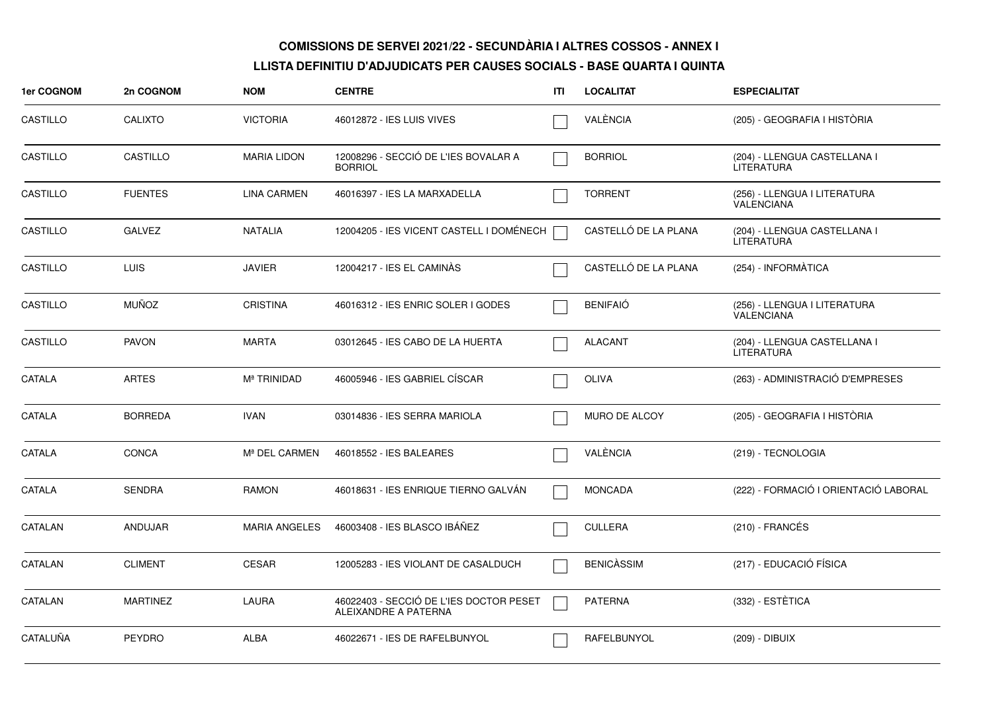| 1er COGNOM    | 2n COGNOM       | <b>NOM</b>              | <b>CENTRE</b>                                                   | ITI | <b>LOCALITAT</b>     | <b>ESPECIALITAT</b>                               |
|---------------|-----------------|-------------------------|-----------------------------------------------------------------|-----|----------------------|---------------------------------------------------|
| CASTILLO      | <b>CALIXTO</b>  | <b>VICTORIA</b>         | 46012872 - IES LUIS VIVES                                       |     | VALÈNCIA             | (205) - GEOGRAFIA I HISTÒRIA                      |
| CASTILLO      | CASTILLO        | <b>MARIA LIDON</b>      | 12008296 - SECCIÓ DE L'IES BOVALAR A<br><b>BORRIOL</b>          |     | <b>BORRIOL</b>       | (204) - LLENGUA CASTELLANA I<br><b>LITERATURA</b> |
| CASTILLO      | <b>FUENTES</b>  | <b>LINA CARMEN</b>      | 46016397 - IES LA MARXADELLA                                    |     | <b>TORRENT</b>       | (256) - LLENGUA I LITERATURA<br><b>VALENCIANA</b> |
| CASTILLO      | <b>GALVEZ</b>   | <b>NATALIA</b>          | 12004205 - IES VICENT CASTELL I DOMÉNECH                        |     | CASTELLÓ DE LA PLANA | (204) - LLENGUA CASTELLANA I<br><b>LITERATURA</b> |
| CASTILLO      | <b>LUIS</b>     | <b>JAVIER</b>           | 12004217 - IES EL CAMINAS                                       |     | CASTELLÓ DE LA PLANA | (254) - INFORMÀTICA                               |
| CASTILLO      | <b>MUÑOZ</b>    | <b>CRISTINA</b>         | 46016312 - IES ENRIC SOLER I GODES                              |     | <b>BENIFAIÓ</b>      | (256) - LLENGUA I LITERATURA<br>VALENCIANA        |
| CASTILLO      | <b>PAVON</b>    | <b>MARTA</b>            | 03012645 - IES CABO DE LA HUERTA                                |     | <b>ALACANT</b>       | (204) - LLENGUA CASTELLANA I<br><b>LITERATURA</b> |
| CATALA        | <b>ARTES</b>    | M <sup>ª</sup> TRINIDAD | 46005946 - IES GABRIEL CÍSCAR                                   |     | <b>OLIVA</b>         | (263) - ADMINISTRACIÓ D'EMPRESES                  |
| <b>CATALA</b> | <b>BORREDA</b>  | <b>IVAN</b>             | 03014836 - IES SERRA MARIOLA                                    |     | <b>MURO DE ALCOY</b> | (205) - GEOGRAFIA I HISTÒRIA                      |
| CATALA        | <b>CONCA</b>    | Mª DEL CARMEN           | 46018552 - IES BALEARES                                         |     | VALÈNCIA             | (219) - TECNOLOGIA                                |
| CATALA        | <b>SENDRA</b>   | <b>RAMON</b>            | 46018631 - IES ENRIQUE TIERNO GALVÁN                            |     | <b>MONCADA</b>       | (222) - FORMACIÓ I ORIENTACIÓ LABORAL             |
| CATALAN       | ANDUJAR         | <b>MARIA ANGELES</b>    | 46003408 - IES BLASCO IBÁÑEZ                                    |     | <b>CULLERA</b>       | $(210)$ - FRANCÉS                                 |
| CATALAN       | <b>CLIMENT</b>  | <b>CESAR</b>            | 12005283 - IES VIOLANT DE CASALDUCH                             |     | <b>BENICÀSSIM</b>    | (217) - EDUCACIÓ FÍSICA                           |
| CATALAN       | <b>MARTINEZ</b> | LAURA                   | 46022403 - SECCIÓ DE L'IES DOCTOR PESET<br>ALEIXANDRE A PATERNA |     | <b>PATERNA</b>       | (332) - ESTÈTICA                                  |
| CATALUÑA      | <b>PEYDRO</b>   | <b>ALBA</b>             | 46022671 - IES DE RAFELBUNYOL                                   |     | RAFELBUNYOL          | (209) - DIBUIX                                    |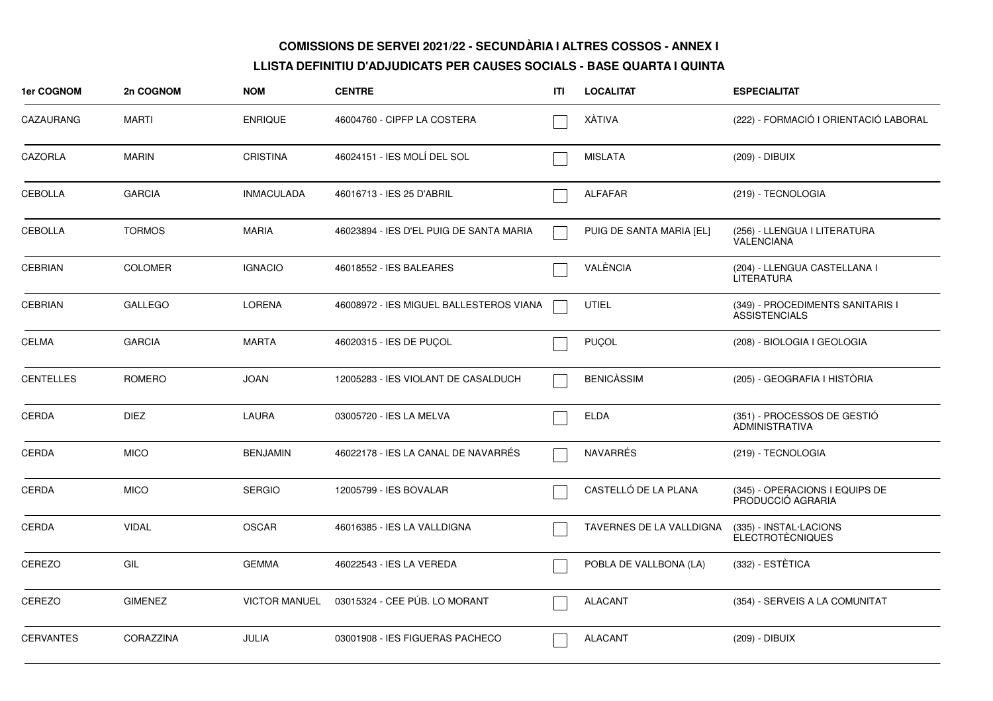| 1er COGNOM       | 2n COGNOM      | <b>NOM</b>           | <b>CENTRE</b>                           | ITI | <b>LOCALITAT</b>         | <b>ESPECIALITAT</b>                                      |
|------------------|----------------|----------------------|-----------------------------------------|-----|--------------------------|----------------------------------------------------------|
| CAZAURANG        | MARTI          | <b>ENRIQUE</b>       | 46004760 - CIPFP LA COSTERA             |     | XÁTIVA                   | (222) - FORMACIÓ I ORIENTACIÓ LABORAL                    |
| CAZORLA          | <b>MARIN</b>   | <b>CRISTINA</b>      | 46024151 - IES MOLÍ DEL SOL             |     | <b>MISLATA</b>           | (209) - DIBUIX                                           |
| CEBOLLA          | <b>GARCIA</b>  | <b>INMACULADA</b>    | 46016713 - IES 25 D'ABRIL               |     | ALFAFAR                  | (219) - TECNOLOGIA                                       |
| <b>CEBOLLA</b>   | <b>TORMOS</b>  | <b>MARIA</b>         | 46023894 - IES D'EL PUIG DE SANTA MARIA |     | PUIG DE SANTA MARIA [EL] | (256) - LLENGUA I LITERATURA<br><b>VALENCIANA</b>        |
| <b>CEBRIAN</b>   | <b>COLOMER</b> | <b>IGNACIO</b>       | 46018552 - IES BALEARES                 |     | VALÈNCIA                 | (204) - LLENGUA CASTELLANA I<br><b>LITERATURA</b>        |
| <b>CEBRIAN</b>   | <b>GALLEGO</b> | <b>LORENA</b>        | 46008972 - IES MIGUEL BALLESTEROS VIANA |     | <b>UTIEL</b>             | (349) - PROCEDIMENTS SANITARIS I<br><b>ASSISTENCIALS</b> |
| <b>CELMA</b>     | <b>GARCIA</b>  | <b>MARTA</b>         | 46020315 - IES DE PUCOL                 |     | <b>PUÇOL</b>             | (208) - BIOLOGIA I GEOLOGIA                              |
| <b>CENTELLES</b> | <b>ROMERO</b>  | <b>JOAN</b>          | 12005283 - IES VIOLANT DE CASALDUCH     |     | <b>BENICASSIM</b>        | (205) - GEOGRAFIA I HISTÒRIA                             |
| CERDA            | <b>DIEZ</b>    | LAURA                | 03005720 - IES LA MELVA                 |     | <b>ELDA</b>              | (351) - PROCESSOS DE GESTIÓ<br><b>ADMINISTRATIVA</b>     |
| <b>CERDA</b>     | <b>MICO</b>    | <b>BENJAMIN</b>      | 46022178 - IES LA CANAL DE NAVARRES     |     | <b>NAVARRÉS</b>          | (219) - TECNOLOGIA                                       |
| CERDA            | <b>MICO</b>    | <b>SERGIO</b>        | 12005799 - IES BOVALAR                  |     | CASTELLÓ DE LA PLANA     | (345) - OPERACIONS I EQUIPS DE<br>PRODUCCIÓ AGRARIA      |
| <b>CERDA</b>     | <b>VIDAL</b>   | <b>OSCAR</b>         | 46016385 - IES LA VALLDIGNA             |     | TAVERNES DE LA VALLDIGNA | (335) - INSTAL·LACIONS<br><b>ELECTROTÈCNIQUES</b>        |
| CEREZO           | GIL            | <b>GEMMA</b>         | 46022543 - IES LA VEREDA                |     | POBLA DE VALLBONA (LA)   | (332) - ESTÈTICA                                         |
| CEREZO           | <b>GIMENEZ</b> | <b>VICTOR MANUEL</b> | 03015324 - CEE PÚB. LO MORANT           |     | <b>ALACANT</b>           | (354) - SERVEIS A LA COMUNITAT                           |
| <b>CERVANTES</b> | CORAZZINA      | JULIA                | 03001908 - IES FIGUERAS PACHECO         |     | <b>ALACANT</b>           | (209) - DIBUIX                                           |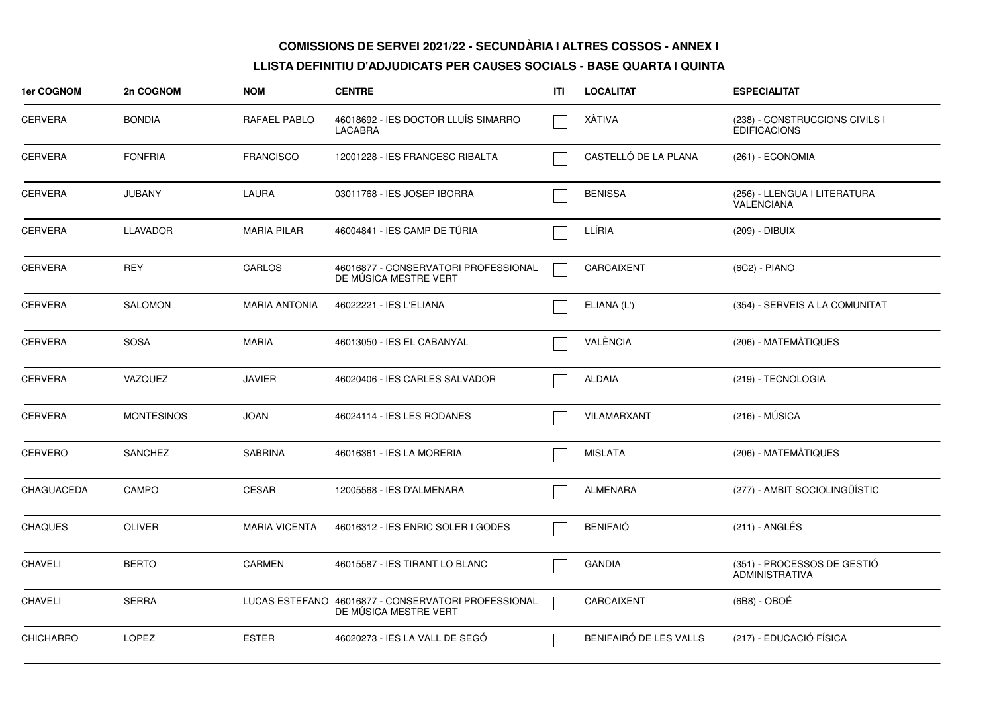| 1er COGNOM       | 2n COGNOM         | <b>NOM</b>           | <b>CENTRE</b>                                                                | ITI | <b>LOCALITAT</b>       | <b>ESPECIALITAT</b>                                   |
|------------------|-------------------|----------------------|------------------------------------------------------------------------------|-----|------------------------|-------------------------------------------------------|
| <b>CERVERA</b>   | <b>BONDIA</b>     | RAFAEL PABLO         | 46018692 - IES DOCTOR LLUÍS SIMARRO<br><b>LACABRA</b>                        |     | XÀTIVA                 | (238) - CONSTRUCCIONS CIVILS I<br><b>EDIFICACIONS</b> |
| <b>CERVERA</b>   | <b>FONFRIA</b>    | <b>FRANCISCO</b>     | 12001228 - IES FRANCESC RIBALTA                                              |     | CASTELLÓ DE LA PLANA   | (261) - ECONOMIA                                      |
| <b>CERVERA</b>   | <b>JUBANY</b>     | LAURA                | 03011768 - IES JOSEP IBORRA                                                  |     | <b>BENISSA</b>         | (256) - LLENGUA I LITERATURA<br><b>VALENCIANA</b>     |
| <b>CERVERA</b>   | <b>LLAVADOR</b>   | <b>MARIA PILAR</b>   | 46004841 - IES CAMP DE TÚRIA                                                 |     | LLÍRIA                 | (209) - DIBUIX                                        |
| <b>CERVERA</b>   | <b>REY</b>        | CARLOS               | 46016877 - CONSERVATORI PROFESSIONAL<br>DE MUSICA MESTRE VERT                |     | CARCAIXENT             | (6C2) - PIANO                                         |
| <b>CERVERA</b>   | <b>SALOMON</b>    | <b>MARIA ANTONIA</b> | 46022221 - IES L'ELIANA                                                      |     | ELIANA (L')            | (354) - SERVEIS A LA COMUNITAT                        |
| <b>CERVERA</b>   | <b>SOSA</b>       | <b>MARIA</b>         | 46013050 - IES EL CABANYAL                                                   |     | VALÈNCIA               | (206) - MATEMATIQUES                                  |
| <b>CERVERA</b>   | <b>VAZQUEZ</b>    | <b>JAVIER</b>        | 46020406 - IES CARLES SALVADOR                                               |     | <b>ALDAIA</b>          | (219) - TECNOLOGIA                                    |
| <b>CERVERA</b>   | <b>MONTESINOS</b> | <b>JOAN</b>          | 46024114 - IES LES RODANES                                                   |     | VILAMARXANT            | (216) - MÚSICA                                        |
| <b>CERVERO</b>   | <b>SANCHEZ</b>    | <b>SABRINA</b>       | 46016361 - IES LA MORERIA                                                    |     | <b>MISLATA</b>         | (206) - MATEMÀTIQUES                                  |
| CHAGUACEDA       | CAMPO             | <b>CESAR</b>         | 12005568 - IES D'ALMENARA                                                    |     | <b>ALMENARA</b>        | (277) - AMBIT SOCIOLINGÜÍSTIC                         |
| <b>CHAQUES</b>   | <b>OLIVER</b>     | <b>MARIA VICENTA</b> | 46016312 - IES ENRIC SOLER I GODES                                           |     | <b>BENIFAIÓ</b>        | (211) - ANGLÉS                                        |
| <b>CHAVELI</b>   | <b>BERTO</b>      | <b>CARMEN</b>        | 46015587 - IES TIRANT LO BLANC                                               |     | <b>GANDIA</b>          | (351) - PROCESSOS DE GESTIÓ<br>ADMINISTRATIVA         |
| <b>CHAVELI</b>   | <b>SERRA</b>      |                      | LUCAS ESTEFANO 46016877 - CONSERVATORI PROFESSIONAL<br>DE MÚSICA MESTRE VERT |     | CARCAIXENT             | $(6B8) - OBOÉ$                                        |
| <b>CHICHARRO</b> | <b>LOPEZ</b>      | <b>ESTER</b>         | 46020273 - IES LA VALL DE SEGÓ                                               |     | BENIFAIRÓ DE LES VALLS | (217) - EDUCACIÓ FÍSICA                               |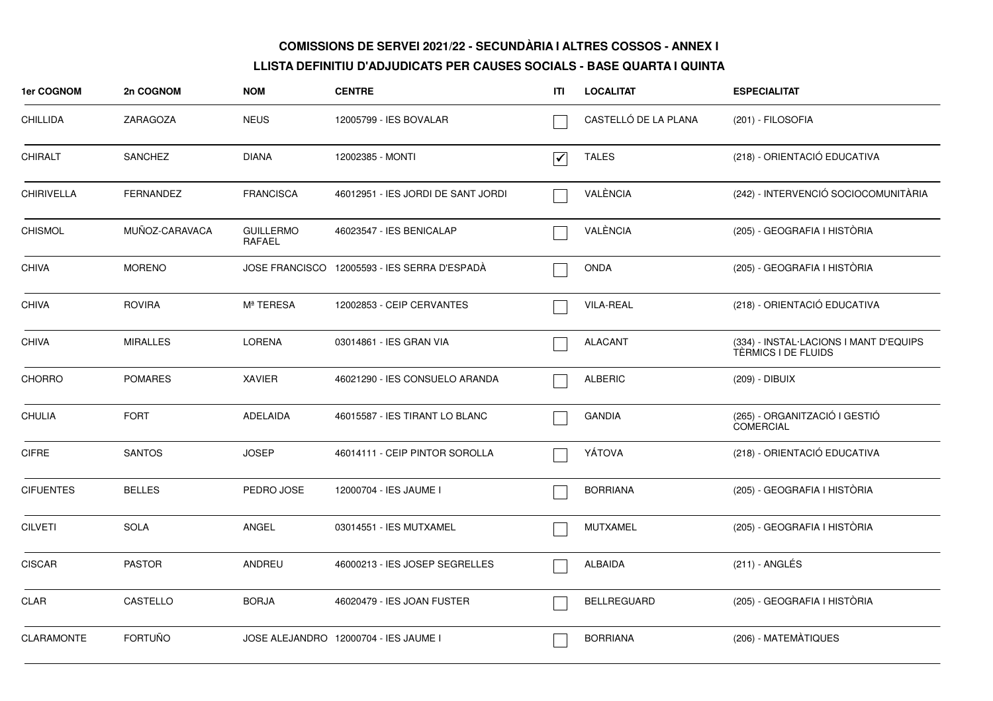| 1er COGNOM        | 2n COGNOM        | <b>NOM</b>                 | <b>CENTRE</b>                                | ΙTΙ                             | <b>LOCALITAT</b>     | <b>ESPECIALITAT</b>                                           |
|-------------------|------------------|----------------------------|----------------------------------------------|---------------------------------|----------------------|---------------------------------------------------------------|
| <b>CHILLIDA</b>   | ZARAGOZA         | <b>NEUS</b>                | 12005799 - IES BOVALAR                       |                                 | CASTELLÓ DE LA PLANA | (201) - FILOSOFIA                                             |
| <b>CHIRALT</b>    | <b>SANCHEZ</b>   | <b>DIANA</b>               | 12002385 - MONTI                             | $\overline{\blacktriangledown}$ | <b>TALES</b>         | (218) - ORIENTACIÓ EDUCATIVA                                  |
| <b>CHIRIVELLA</b> | <b>FERNANDEZ</b> | <b>FRANCISCA</b>           | 46012951 - IES JORDI DE SANT JORDI           |                                 | VALÈNCIA             | (242) - INTERVENCIÓ SOCIOCOMUNITÀRIA                          |
| <b>CHISMOL</b>    | MUÑOZ-CARAVACA   | <b>GUILLERMO</b><br>RAFAEL | 46023547 - IES BENICALAP                     |                                 | VALÈNCIA             | (205) - GEOGRAFIA I HISTÒRIA                                  |
| <b>CHIVA</b>      | <b>MORENO</b>    |                            | JOSE FRANCISCO 12005593 - IES SERRA D'ESPADÀ |                                 | <b>ONDA</b>          | (205) - GEOGRAFIA I HISTÒRIA                                  |
| <b>CHIVA</b>      | ROVIRA           | Mª TERESA                  | 12002853 - CEIP CERVANTES                    |                                 | <b>VILA-REAL</b>     | (218) - ORIENTACIÓ EDUCATIVA                                  |
| <b>CHIVA</b>      | <b>MIRALLES</b>  | <b>LORENA</b>              | 03014861 - IES GRAN VIA                      |                                 | <b>ALACANT</b>       | (334) - INSTAL·LACIONS I MANT D'EQUIPS<br>TÉRMICS I DE FLUIDS |
| <b>CHORRO</b>     | <b>POMARES</b>   | <b>XAVIER</b>              | 46021290 - IES CONSUELO ARANDA               |                                 | <b>ALBERIC</b>       | (209) - DIBUIX                                                |
| <b>CHULIA</b>     | <b>FORT</b>      | ADELAIDA                   | 46015587 - IES TIRANT LO BLANC               |                                 | <b>GANDIA</b>        | (265) - ORGANITZACIÓ I GESTIÓ<br><b>COMERCIAL</b>             |
| <b>CIFRE</b>      | <b>SANTOS</b>    | <b>JOSEP</b>               | 46014111 - CEIP PINTOR SOROLLA               |                                 | YÁTOVA               | (218) - ORIENTACIÓ EDUCATIVA                                  |
| <b>CIFUENTES</b>  | <b>BELLES</b>    | PEDRO JOSE                 | 12000704 - IES JAUME I                       |                                 | <b>BORRIANA</b>      | (205) - GEOGRAFIA I HISTÒRIA                                  |
| <b>CILVETI</b>    | <b>SOLA</b>      | ANGEL                      | 03014551 - IES MUTXAMEL                      |                                 | <b>MUTXAMEL</b>      | (205) - GEOGRAFIA I HISTÒRIA                                  |
| <b>CISCAR</b>     | <b>PASTOR</b>    | ANDREU                     | 46000213 - IES JOSEP SEGRELLES               |                                 | <b>ALBAIDA</b>       | (211) - ANGLÉS                                                |
| CLAR              | CASTELLO         | <b>BORJA</b>               | 46020479 - IES JOAN FUSTER                   |                                 | <b>BELLREGUARD</b>   | (205) - GEOGRAFIA I HISTÒRIA                                  |
| <b>CLARAMONTE</b> | <b>FORTUÑO</b>   |                            | JOSE ALEJANDRO 12000704 - IES JAUME I        |                                 | <b>BORRIANA</b>      | (206) - MATEMÀTIQUES                                          |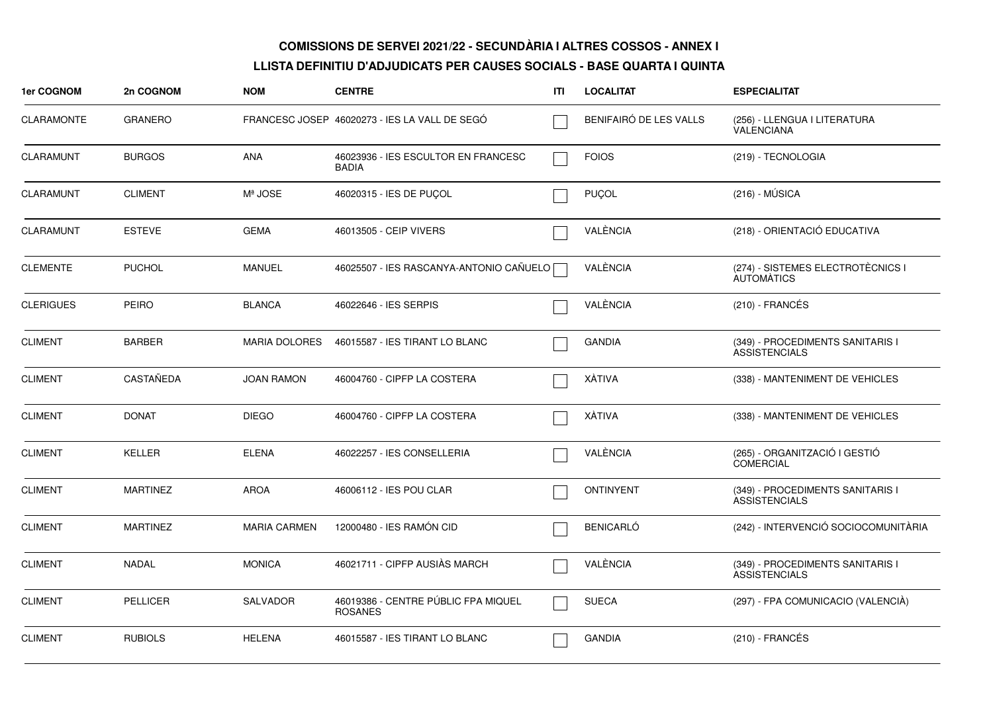| <b>1er COGNOM</b> | 2n COGNOM        | <b>NOM</b>           | <b>CENTRE</b>                                         | ITI | <b>LOCALITAT</b>       | <b>ESPECIALITAT</b>                                      |
|-------------------|------------------|----------------------|-------------------------------------------------------|-----|------------------------|----------------------------------------------------------|
| <b>CLARAMONTE</b> | <b>GRANERO</b>   |                      | FRANCESC JOSEP 46020273 - IES LA VALL DE SEGO         |     | BENIFAIRÓ DE LES VALLS | (256) - LLENGUA I LITERATURA<br><b>VALENCIANA</b>        |
| <b>CLARAMUNT</b>  | <b>BURGOS</b>    | <b>ANA</b>           | 46023936 - IES ESCULTOR EN FRANCESC<br><b>BADIA</b>   |     | <b>FOIOS</b>           | (219) - TECNOLOGIA                                       |
| <b>CLARAMUNT</b>  | <b>CLIMENT</b>   | Mª JOSE              | 46020315 - IES DE PUCOL                               |     | PUÇOL                  | (216) - MÚSICA                                           |
| <b>CLARAMUNT</b>  | <b>ESTEVE</b>    | <b>GEMA</b>          | 46013505 - CEIP VIVERS                                |     | VALÈNCIA               | (218) - ORIENTACIÓ EDUCATIVA                             |
| <b>CLEMENTE</b>   | <b>PUCHOL</b>    | MANUEL               | 46025507 - IES RASCANYA-ANTONIO CAÑUELO               |     | VALÈNCIA               | (274) - SISTEMES ELECTROTÈCNICS I<br><b>AUTOMATICS</b>   |
| <b>CLERIGUES</b>  | <b>PEIRO</b>     | <b>BLANCA</b>        | 46022646 - IES SERPIS                                 |     | VALÈNCIA               | $(210)$ - FRANCÉS                                        |
| <b>CLIMENT</b>    | <b>BARBER</b>    | <b>MARIA DOLORES</b> | 46015587 - IES TIRANT LO BLANC                        |     | <b>GANDIA</b>          | (349) - PROCEDIMENTS SANITARIS I<br><b>ASSISTENCIALS</b> |
| <b>CLIMENT</b>    | <b>CASTAÑEDA</b> | <b>JOAN RAMON</b>    | 46004760 - CIPFP LA COSTERA                           |     | <b>XÁTIVA</b>          | (338) - MANTENIMENT DE VEHICLES                          |
| <b>CLIMENT</b>    | <b>DONAT</b>     | <b>DIEGO</b>         | 46004760 - CIPFP LA COSTERA                           |     | <b>XÁTIVA</b>          | (338) - MANTENIMENT DE VEHICLES                          |
| <b>CLIMENT</b>    | <b>KELLER</b>    | <b>ELENA</b>         | 46022257 - IES CONSELLERIA                            |     | VALÈNCIA               | (265) - ORGANITZACIÓ I GESTIÓ<br><b>COMERCIAL</b>        |
| <b>CLIMENT</b>    | <b>MARTINEZ</b>  | <b>AROA</b>          | 46006112 - IES POU CLAR                               |     | <b>ONTINYENT</b>       | (349) - PROCEDIMENTS SANITARIS I<br><b>ASSISTENCIALS</b> |
| <b>CLIMENT</b>    | <b>MARTINEZ</b>  | <b>MARIA CARMEN</b>  | 12000480 - IES RAMÓN CID                              |     | <b>BENICARLÓ</b>       | (242) - INTERVENCIÓ SOCIOCOMUNITÀRIA                     |
| <b>CLIMENT</b>    | NADAL            | <b>MONICA</b>        | 46021711 - CIPFP AUSIÀS MARCH                         |     | VALÈNCIA               | (349) - PROCEDIMENTS SANITARIS I<br><b>ASSISTENCIALS</b> |
| <b>CLIMENT</b>    | <b>PELLICER</b>  | <b>SALVADOR</b>      | 46019386 - CENTRE PÚBLIC FPA MIQUEL<br><b>ROSANES</b> |     | <b>SUECA</b>           | (297) - FPA COMUNICACIO (VALENCIA)                       |
| <b>CLIMENT</b>    | <b>RUBIOLS</b>   | <b>HELENA</b>        | 46015587 - IES TIRANT LO BLANC                        |     | <b>GANDIA</b>          | $(210)$ - FRANCÉS                                        |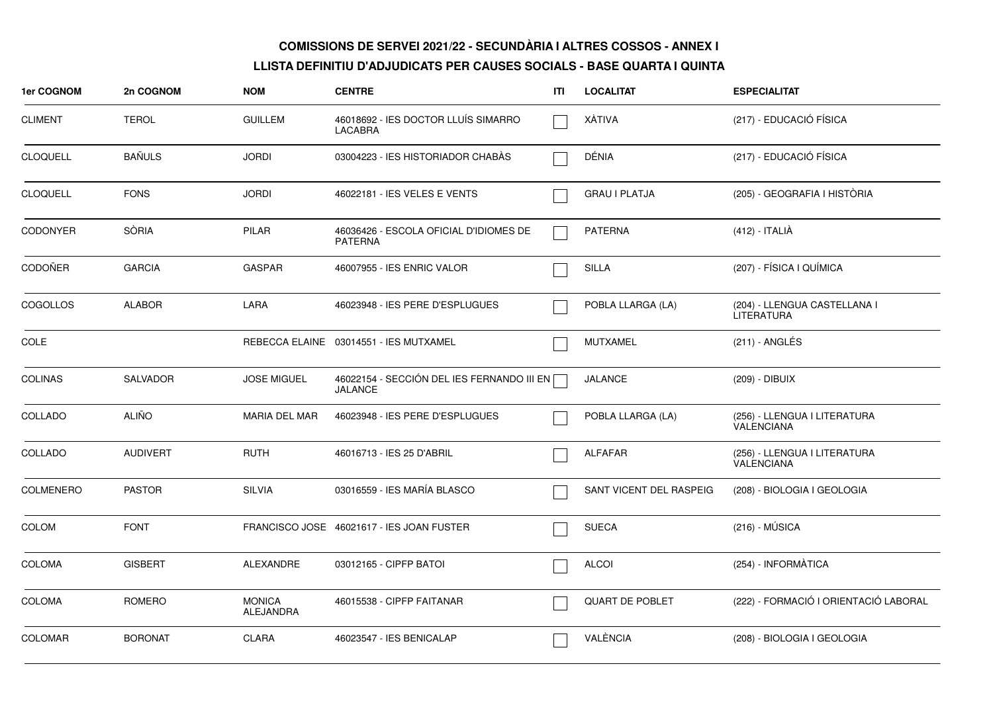| 1er COGNOM       | 2n COGNOM       | <b>NOM</b>                        | <b>CENTRE</b>                                                | ITI | <b>LOCALITAT</b>        | <b>ESPECIALITAT</b>                        |
|------------------|-----------------|-----------------------------------|--------------------------------------------------------------|-----|-------------------------|--------------------------------------------|
| <b>CLIMENT</b>   | <b>TEROL</b>    | <b>GUILLEM</b>                    | 46018692 - IES DOCTOR LLUÍS SIMARRO<br>LACABRA               |     | XÀTIVA                  | (217) - EDUCACIÓ FÍSICA                    |
| <b>CLOQUELL</b>  | <b>BAÑULS</b>   | <b>JORDI</b>                      | 03004223 - IES HISTORIADOR CHABAS                            |     | DÉNIA                   | (217) - EDUCACIÓ FÍSICA                    |
| <b>CLOQUELL</b>  | <b>FONS</b>     | <b>JORDI</b>                      | 46022181 - IES VELES E VENTS                                 |     | GRAU I PLATJA           | (205) - GEOGRAFIA I HISTÒRIA               |
| <b>CODONYER</b>  | <b>SÒRIA</b>    | PILAR                             | 46036426 - ESCOLA OFICIAL D'IDIOMES DE<br><b>PATERNA</b>     |     | <b>PATERNA</b>          | (412) - ITALIÀ                             |
| CODOÑER          | <b>GARCIA</b>   | <b>GASPAR</b>                     | 46007955 - IES ENRIC VALOR                                   |     | <b>SILLA</b>            | (207) - FÍSICA I QUÍMICA                   |
| <b>COGOLLOS</b>  | <b>ALABOR</b>   | LARA                              | 46023948 - IES PERE D'ESPLUGUES                              |     | POBLA LLARGA (LA)       | (204) - LLENGUA CASTELLANA I<br>LITERATURA |
| COLE             |                 |                                   | REBECCA ELAINE 03014551 - IES MUTXAMEL                       |     | <b>MUTXAMEL</b>         | $(211)$ - ANGLÉS                           |
| <b>COLINAS</b>   | <b>SALVADOR</b> | <b>JOSE MIGUEL</b>                | 46022154 - SECCIÓN DEL IES FERNANDO III EN<br><b>JALANCE</b> |     | <b>JALANCE</b>          | (209) - DIBUIX                             |
| COLLADO          | <b>ALIÑO</b>    | <b>MARIA DEL MAR</b>              | 46023948 - IES PERE D'ESPLUGUES                              |     | POBLA LLARGA (LA)       | (256) - LLENGUA I LITERATURA<br>VALENCIANA |
| COLLADO          | <b>AUDIVERT</b> | <b>RUTH</b>                       | 46016713 - IES 25 D'ABRIL                                    |     | <b>ALFAFAR</b>          | (256) - LLENGUA I LITERATURA<br>VALENCIANA |
| <b>COLMENERO</b> | <b>PASTOR</b>   | <b>SILVIA</b>                     | 03016559 - IES MARÍA BLASCO                                  |     | SANT VICENT DEL RASPEIG | (208) - BIOLOGIA I GEOLOGIA                |
| <b>COLOM</b>     | <b>FONT</b>     |                                   | FRANCISCO JOSE 46021617 - IES JOAN FUSTER                    |     | <b>SUECA</b>            | $(216) - MÚSICA$                           |
| <b>COLOMA</b>    | <b>GISBERT</b>  | ALEXANDRE                         | 03012165 - CIPFP BATOI                                       |     | <b>ALCOI</b>            | (254) - INFORMÀTICA                        |
| <b>COLOMA</b>    | ROMERO          | <b>MONICA</b><br><b>ALEJANDRA</b> | 46015538 - CIPFP FAITANAR                                    |     | <b>QUART DE POBLET</b>  | (222) - FORMACIÓ I ORIENTACIÓ LABORAL      |
| <b>COLOMAR</b>   | <b>BORONAT</b>  | <b>CLARA</b>                      | 46023547 - IES BENICALAP                                     |     | VALÈNCIA                | (208) - BIOLOGIA I GEOLOGIA                |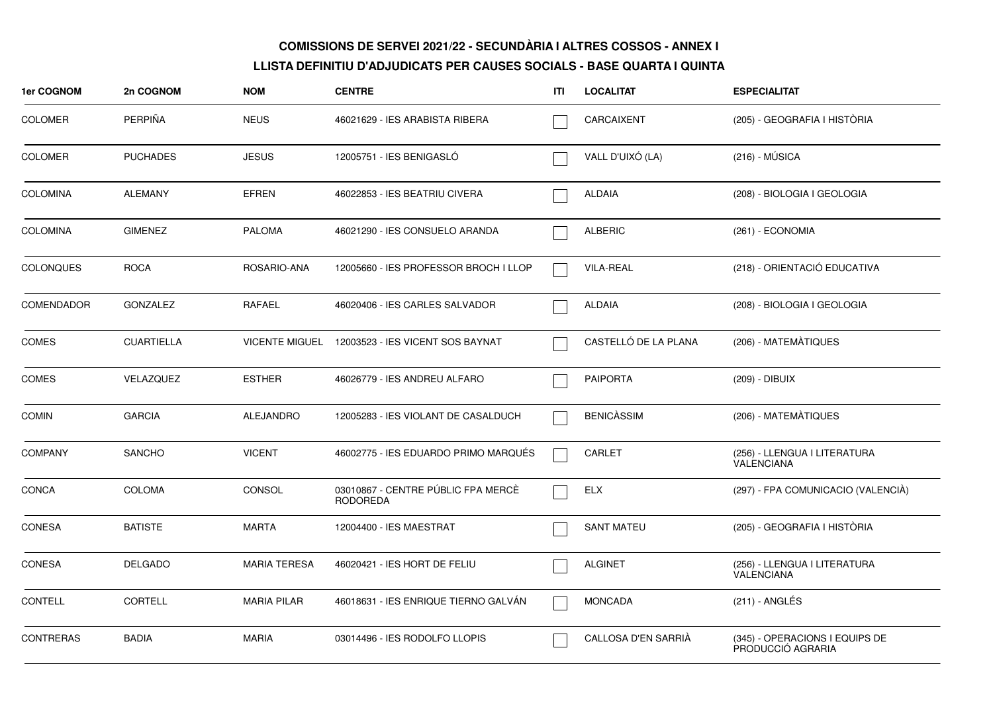| 1er COGNOM        | 2n COGNOM         | <b>NOM</b>          | <b>CENTRE</b>                                         | ITI | <b>LOCALITAT</b>     | <b>ESPECIALITAT</b>                                 |
|-------------------|-------------------|---------------------|-------------------------------------------------------|-----|----------------------|-----------------------------------------------------|
| <b>COLOMER</b>    | <b>PERPIÑA</b>    | <b>NEUS</b>         | 46021629 - IES ARABISTA RIBERA                        |     | CARCAIXENT           | (205) - GEOGRAFIA I HISTÒRIA                        |
| <b>COLOMER</b>    | <b>PUCHADES</b>   | <b>JESUS</b>        | 12005751 - IES BENIGASLÓ                              |     | VALL D'UIXÓ (LA)     | $(216) - MÚSICA$                                    |
| <b>COLOMINA</b>   | <b>ALEMANY</b>    | <b>EFREN</b>        | 46022853 - IES BEATRIU CIVERA                         |     | <b>ALDAIA</b>        | (208) - BIOLOGIA I GEOLOGIA                         |
| <b>COLOMINA</b>   | <b>GIMENEZ</b>    | <b>PALOMA</b>       | 46021290 - IES CONSUELO ARANDA                        |     | <b>ALBERIC</b>       | (261) - ECONOMIA                                    |
| <b>COLONQUES</b>  | <b>ROCA</b>       | ROSARIO-ANA         | 12005660 - IES PROFESSOR BROCH I LLOP                 |     | <b>VILA-REAL</b>     | (218) - ORIENTACIÓ EDUCATIVA                        |
| <b>COMENDADOR</b> | <b>GONZALEZ</b>   | RAFAEL              | 46020406 - IES CARLES SALVADOR                        |     | <b>ALDAIA</b>        | (208) - BIOLOGIA I GEOLOGIA                         |
| <b>COMES</b>      | <b>CUARTIELLA</b> |                     | VICENTE MIGUEL 12003523 - IES VICENT SOS BAYNAT       |     | CASTELLÓ DE LA PLANA | (206) - MATEMÀTIQUES                                |
| <b>COMES</b>      | VELAZQUEZ         | <b>ESTHER</b>       | 46026779 - IES ANDREU ALFARO                          |     | <b>PAIPORTA</b>      | (209) - DIBUIX                                      |
| <b>COMIN</b>      | <b>GARCIA</b>     | <b>ALEJANDRO</b>    | 12005283 - IES VIOLANT DE CASALDUCH                   |     | <b>BENICASSIM</b>    | (206) - MATEMÀTIQUES                                |
| <b>COMPANY</b>    | SANCHO            | <b>VICENT</b>       | 46002775 - IES EDUARDO PRIMO MARQUÉS                  |     | CARLET               | (256) - LLENGUA I LITERATURA<br><b>VALENCIANA</b>   |
| <b>CONCA</b>      | <b>COLOMA</b>     | <b>CONSOL</b>       | 03010867 - CENTRE PÚBLIC FPA MERCÈ<br><b>RODOREDA</b> |     | ELX                  | (297) - FPA COMUNICACIO (VALENCIÀ)                  |
| CONESA            | <b>BATISTE</b>    | <b>MARTA</b>        | 12004400 - IES MAESTRAT                               |     | <b>SANT MATEU</b>    | (205) - GEOGRAFIA I HISTÒRIA                        |
| <b>CONESA</b>     | <b>DELGADO</b>    | <b>MARIA TERESA</b> | 46020421 - IES HORT DE FELIU                          |     | <b>ALGINET</b>       | (256) - LLENGUA I LITERATURA<br><b>VALENCIANA</b>   |
| <b>CONTELL</b>    | <b>CORTELL</b>    | <b>MARIA PILAR</b>  | 46018631 - IES ENRIQUE TIERNO GALVÁN                  |     | <b>MONCADA</b>       | $(211)$ - ANGLÉS                                    |
| <b>CONTRERAS</b>  | <b>BADIA</b>      | <b>MARIA</b>        | 03014496 - IES RODOLFO LLOPIS                         |     | CALLOSA D'EN SARRIÀ  | (345) - OPERACIONS I EQUIPS DE<br>PRODUCCIÓ AGRARIA |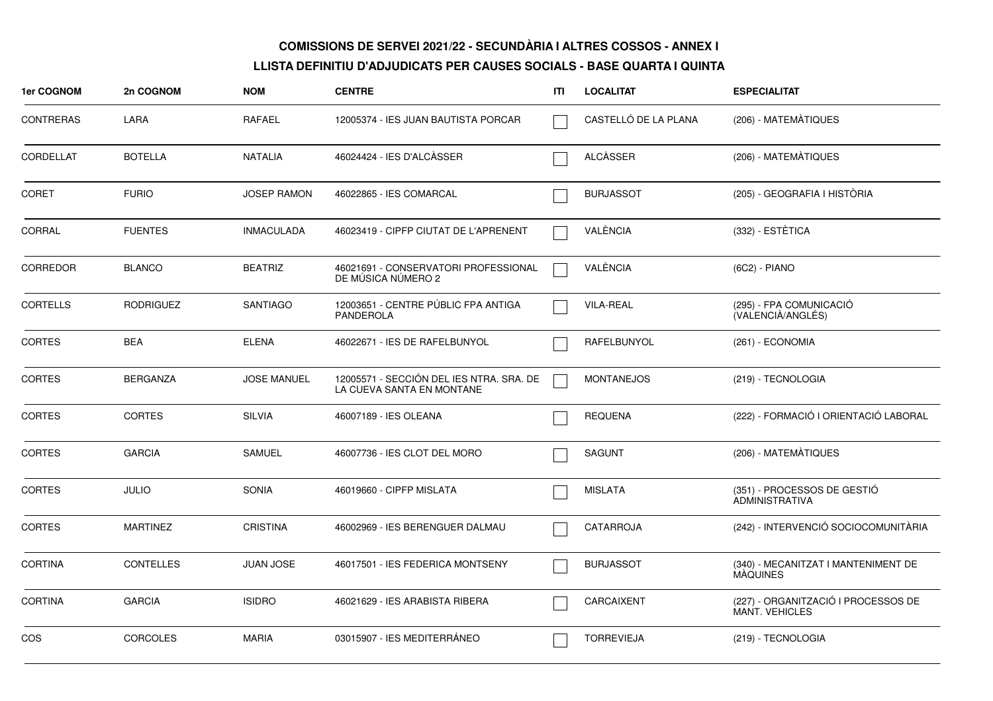| 1er COGNOM       | 2n COGNOM        | <b>NOM</b>         | <b>CENTRE</b>                                                         | ITI | <b>LOCALITAT</b>     | <b>ESPECIALITAT</b>                                          |
|------------------|------------------|--------------------|-----------------------------------------------------------------------|-----|----------------------|--------------------------------------------------------------|
| <b>CONTRERAS</b> | LARA             | RAFAEL             | 12005374 - IES JUAN BAUTISTA PORCAR                                   |     | CASTELLÓ DE LA PLANA | (206) - MATEMÀTIQUES                                         |
| CORDELLAT        | <b>BOTELLA</b>   | <b>NATALIA</b>     | 46024424 - IES D'ALCÀSSER                                             |     | <b>ALCÀSSER</b>      | (206) - MATEMÀTIQUES                                         |
| <b>CORET</b>     | <b>FURIO</b>     | <b>JOSEP RAMON</b> | 46022865 - IES COMARCAL                                               |     | <b>BURJASSOT</b>     | (205) - GEOGRAFIA I HISTÓRIA                                 |
| CORRAL           | <b>FUENTES</b>   | <b>INMACULADA</b>  | 46023419 - CIPFP CIUTAT DE L'APRENENT                                 |     | VALÈNCIA             | (332) - ESTÈTICA                                             |
| <b>CORREDOR</b>  | <b>BLANCO</b>    | <b>BEATRIZ</b>     | 46021691 - CONSERVATORI PROFESSIONAL<br>DE MUSICA NUMERO 2            |     | VALÈNCIA             | (6C2) - PIANO                                                |
| <b>CORTELLS</b>  | <b>RODRIGUEZ</b> | <b>SANTIAGO</b>    | 12003651 - CENTRE PÚBLIC FPA ANTIGA<br>PANDEROLA                      |     | <b>VILA-REAL</b>     | (295) - FPA COMUNICACIÓ<br>(VALENCIÀ/ANGLÉS)                 |
| <b>CORTES</b>    | <b>BEA</b>       | <b>ELENA</b>       | 46022671 - IES DE RAFELBUNYOL                                         |     | RAFELBUNYOL          | (261) - ECONOMIA                                             |
| <b>CORTES</b>    | <b>BERGANZA</b>  | <b>JOSE MANUEL</b> | 12005571 - SECCIÓN DEL IES NTRA. SRA. DE<br>LA CUEVA SANTA EN MONTANE |     | <b>MONTANEJOS</b>    | (219) - TECNOLOGIA                                           |
| <b>CORTES</b>    | <b>CORTES</b>    | <b>SILVIA</b>      | 46007189 - IES OLEANA                                                 |     | <b>REQUENA</b>       | (222) - FORMACIÓ I ORIENTACIÓ LABORAL                        |
| <b>CORTES</b>    | <b>GARCIA</b>    | <b>SAMUEL</b>      | 46007736 - IES CLOT DEL MORO                                          |     | SAGUNT               | (206) - MATEMÀTIQUES                                         |
| <b>CORTES</b>    | <b>JULIO</b>     | <b>SONIA</b>       | 46019660 - CIPFP MISLATA                                              |     | <b>MISLATA</b>       | (351) - PROCESSOS DE GESTIÓ<br><b>ADMINISTRATIVA</b>         |
| <b>CORTES</b>    | <b>MARTINEZ</b>  | <b>CRISTINA</b>    | 46002969 - IES BERENGUER DALMAU                                       |     | CATARROJA            | (242) - INTERVENCIÓ SOCIOCOMUNITÀRIA                         |
| <b>CORTINA</b>   | <b>CONTELLES</b> | JUAN JOSE          | 46017501 - IES FEDERICA MONTSENY                                      |     | <b>BURJASSOT</b>     | (340) - MECANITZAT I MANTENIMENT DE<br>MAQUINES              |
| <b>CORTINA</b>   | <b>GARCIA</b>    | <b>ISIDRO</b>      | 46021629 - IES ARABISTA RIBERA                                        |     | CARCAIXENT           | (227) - ORGANITZACIÓ I PROCESSOS DE<br><b>MANT. VEHICLES</b> |
| <b>COS</b>       | <b>CORCOLES</b>  | <b>MARIA</b>       | 03015907 - IES MEDITERRÁNEO                                           |     | <b>TORREVIEJA</b>    | (219) - TECNOLOGIA                                           |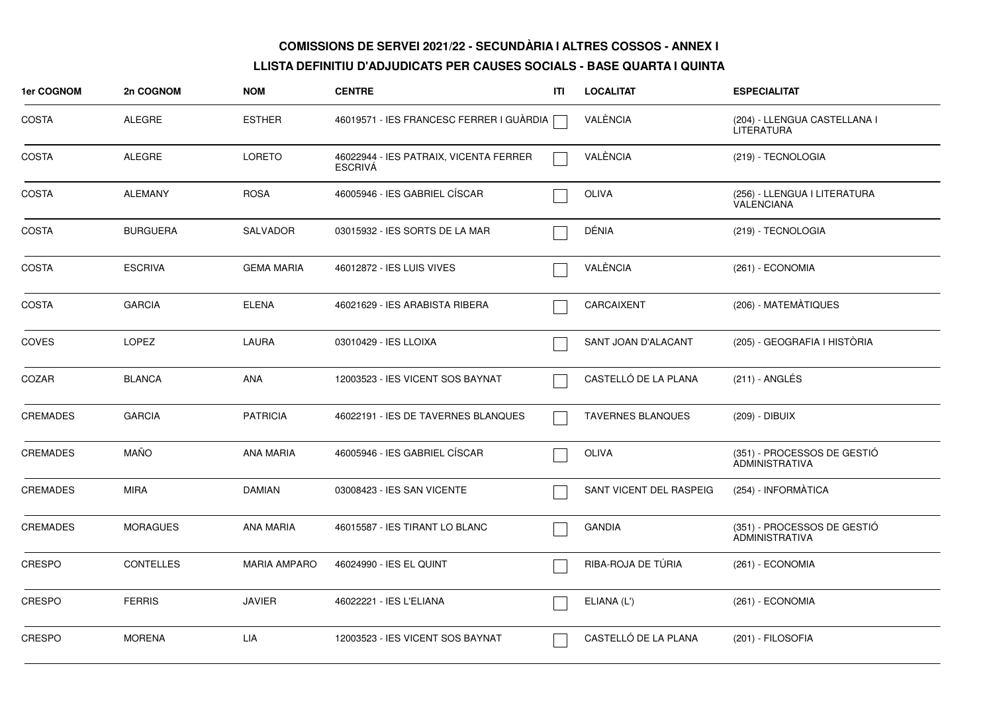| 1er COGNOM      | 2n COGNOM        | <b>NOM</b>          | <b>CENTRE</b>                                            | ITI | <b>LOCALITAT</b>           | <b>ESPECIALITAT</b>                                  |
|-----------------|------------------|---------------------|----------------------------------------------------------|-----|----------------------------|------------------------------------------------------|
| <b>COSTA</b>    | <b>ALEGRE</b>    | <b>ESTHER</b>       | 46019571 - IES FRANCESC FERRER I GUÀRDIA                 |     | VALÈNCIA                   | (204) - LLENGUA CASTELLANA I<br><b>LITERATURA</b>    |
| <b>COSTA</b>    | ALEGRE           | <b>LORETO</b>       | 46022944 - IES PATRAIX, VICENTA FERRER<br><b>ESCRIVA</b> |     | VALÈNCIA                   | (219) - TECNOLOGIA                                   |
| <b>COSTA</b>    | <b>ALEMANY</b>   | <b>ROSA</b>         | 46005946 - IES GABRIEL CÍSCAR                            |     | OLIVA                      | (256) - LLENGUA I LITERATURA<br><b>VALENCIANA</b>    |
| <b>COSTA</b>    | <b>BURGUERA</b>  | <b>SALVADOR</b>     | 03015932 - IES SORTS DE LA MAR                           |     | DÉNIA                      | (219) - TECNOLOGIA                                   |
| <b>COSTA</b>    | <b>ESCRIVA</b>   | <b>GEMA MARIA</b>   | 46012872 - IES LUIS VIVES                                |     | VALÈNCIA                   | (261) - ECONOMIA                                     |
| <b>COSTA</b>    | <b>GARCIA</b>    | <b>ELENA</b>        | 46021629 - IES ARABISTA RIBERA                           |     | CARCAIXENT                 | (206) - MATEMÀTIQUES                                 |
| COVES           | <b>LOPEZ</b>     | <b>LAURA</b>        | 03010429 - IES LLOIXA                                    |     | <b>SANT JOAN D'ALACANT</b> | (205) - GEOGRAFIA I HISTÒRIA                         |
| COZAR           | <b>BLANCA</b>    | <b>ANA</b>          | 12003523 - IES VICENT SOS BAYNAT                         |     | CASTELLÓ DE LA PLANA       | $(211)$ - ANGLÉS                                     |
| <b>CREMADES</b> | <b>GARCIA</b>    | <b>PATRICIA</b>     | 46022191 - IES DE TAVERNES BLANQUES                      |     | <b>TAVERNES BLANQUES</b>   | (209) - DIBUIX                                       |
| <b>CREMADES</b> | <b>MAÑO</b>      | <b>ANA MARIA</b>    | 46005946 - IES GABRIEL CÍSCAR                            |     | <b>OLIVA</b>               | (351) - PROCESSOS DE GESTIÓ<br><b>ADMINISTRATIVA</b> |
| <b>CREMADES</b> | <b>MIRA</b>      | <b>DAMIAN</b>       | 03008423 - IES SAN VICENTE                               |     | SANT VICENT DEL RASPEIG    | (254) - INFORMÀTICA                                  |
| <b>CREMADES</b> | <b>MORAGUES</b>  | <b>ANA MARIA</b>    | 46015587 - IES TIRANT LO BLANC                           |     | <b>GANDIA</b>              | (351) - PROCESSOS DE GESTIÓ<br>ADMINISTRATIVA        |
| <b>CRESPO</b>   | <b>CONTELLES</b> | <b>MARIA AMPARO</b> | 46024990 - IES EL QUINT                                  |     | RIBA-ROJA DE TÚRIA         | (261) - ECONOMIA                                     |
| <b>CRESPO</b>   | <b>FERRIS</b>    | <b>JAVIER</b>       | 46022221 - IES L'ELIANA                                  |     | ELIANA (L')                | (261) - ECONOMIA                                     |
| <b>CRESPO</b>   | <b>MORENA</b>    | <b>LIA</b>          | 12003523 - IES VICENT SOS BAYNAT                         |     | CASTELLÓ DE LA PLANA       | (201) - FILOSOFIA                                    |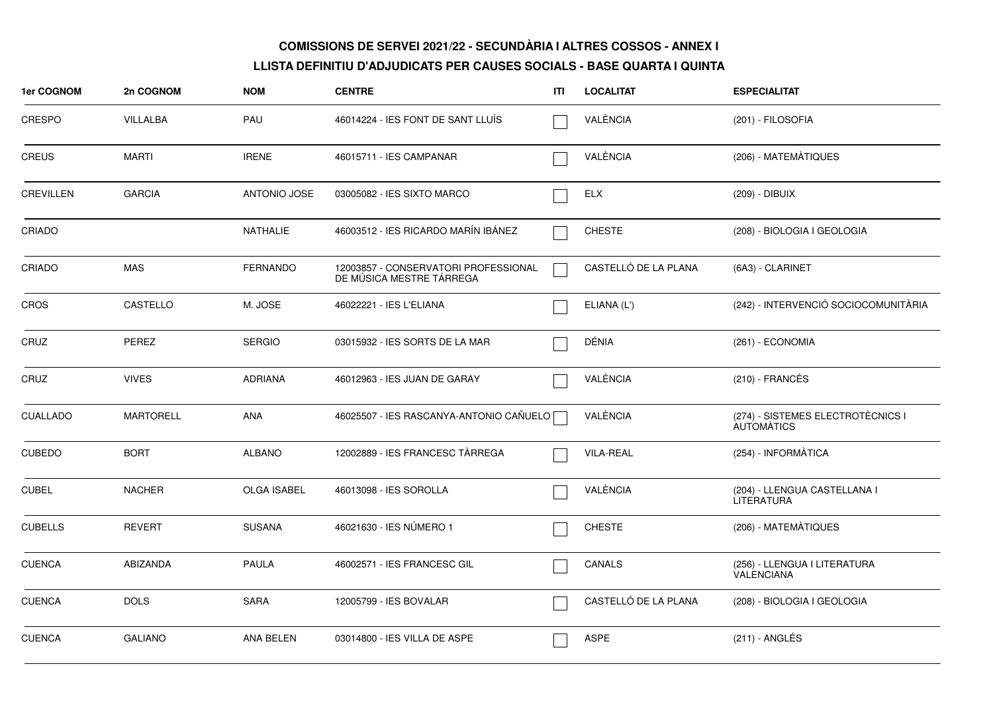| 1er COGNOM       | 2n COGNOM        | <b>NOM</b>          | <b>CENTRE</b>                                                    | ITI | <b>LOCALITAT</b>     | <b>ESPECIALITAT</b>                                    |
|------------------|------------------|---------------------|------------------------------------------------------------------|-----|----------------------|--------------------------------------------------------|
| <b>CRESPO</b>    | VILLALBA         | PAU                 | 46014224 - IES FONT DE SANT LLUIS                                |     | VALÈNCIA             | (201) - FILOSOFIA                                      |
| <b>CREUS</b>     | <b>MARTI</b>     | <b>IRENE</b>        | 46015711 - IES CAMPANAR                                          |     | VALÈNCIA             | (206) - MATEMÀTIQUES                                   |
| <b>CREVILLEN</b> | <b>GARCIA</b>    | <b>ANTONIO JOSE</b> | 03005082 - IES SIXTO MARCO                                       |     | <b>ELX</b>           | (209) - DIBUIX                                         |
| CRIADO           |                  | <b>NATHALIE</b>     | 46003512 - IES RICARDO MARÍN IBÁNEZ                              |     | <b>CHESTE</b>        | (208) - BIOLOGIA I GEOLOGIA                            |
| CRIADO           | <b>MAS</b>       | <b>FERNANDO</b>     | 12003857 - CONSERVATORI PROFESSIONAL<br>DE MÚSICA MESTRE TÁRREGA |     | CASTELLÓ DE LA PLANA | (6A3) - CLARINET                                       |
| CROS             | CASTELLO         | M. JOSE             | 46022221 - IES L'ELIANA                                          |     | ELIANA (L')          | (242) - INTERVENCIÓ SOCIOCOMUNITÀRIA                   |
| CRUZ             | PEREZ            | <b>SERGIO</b>       | 03015932 - IES SORTS DE LA MAR                                   |     | DÉNIA                | (261) - ECONOMIA                                       |
| CRUZ             | <b>VIVES</b>     | <b>ADRIANA</b>      | 46012963 - IES JUAN DE GARAY                                     |     | VALÈNCIA             | $(210)$ - FRANCÉS                                      |
| <b>CUALLADO</b>  | <b>MARTORELL</b> | <b>ANA</b>          | 46025507 - IES RASCANYA-ANTONIO CAÑUELO                          |     | VALÈNCIA             | (274) - SISTEMES ELECTROTÈCNICS I<br><b>AUTOMATICS</b> |
| <b>CUBEDO</b>    | <b>BORT</b>      | <b>ALBANO</b>       | 12002889 - IES FRANCESC TÀRREGA                                  |     | <b>VILA-REAL</b>     | (254) - INFORMÀTICA                                    |
| <b>CUBEL</b>     | <b>NACHER</b>    | <b>OLGA ISABEL</b>  | 46013098 - IES SOROLLA                                           |     | VALÈNCIA             | (204) - LLENGUA CASTELLANA I<br>LITERATURA             |
| <b>CUBELLS</b>   | <b>REVERT</b>    | <b>SUSANA</b>       | 46021630 - IES NUMERO 1                                          |     | <b>CHESTE</b>        | (206) - MATEMATIQUES                                   |
| <b>CUENCA</b>    | ABIZANDA         | <b>PAULA</b>        | 46002571 - IES FRANCESC GIL                                      |     | CANALS               | (256) - LLENGUA I LITERATURA<br><b>VALENCIANA</b>      |
| <b>CUENCA</b>    | <b>DOLS</b>      | <b>SARA</b>         | 12005799 - IES BOVALAR                                           |     | CASTELLÓ DE LA PLANA | (208) - BIOLOGIA I GEOLOGIA                            |
| <b>CUENCA</b>    | <b>GALIANO</b>   | ANA BELEN           | 03014800 - IES VILLA DE ASPE                                     |     | <b>ASPE</b>          | $(211)$ - ANGLÉS                                       |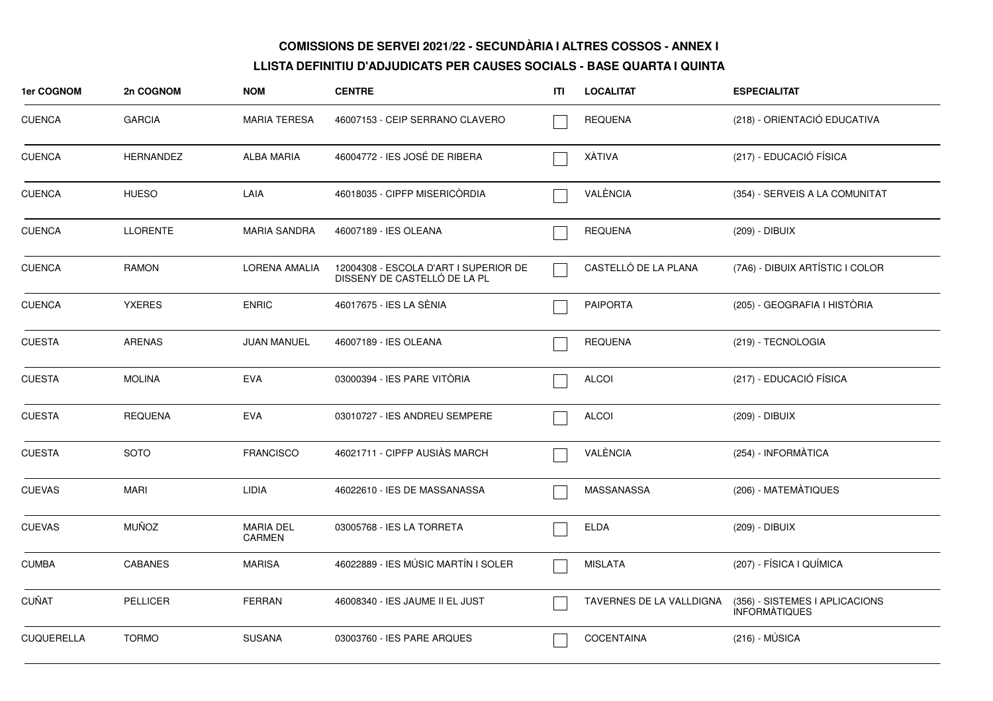| 1er COGNOM        | 2n COGNOM        | <b>NOM</b>                 | <b>CENTRE</b>                                                         | ITI | <b>LOCALITAT</b>         | <b>ESPECIALITAT</b>                                    |
|-------------------|------------------|----------------------------|-----------------------------------------------------------------------|-----|--------------------------|--------------------------------------------------------|
| <b>CUENCA</b>     | <b>GARCIA</b>    | <b>MARIA TERESA</b>        | 46007153 - CEIP SERRANO CLAVERO                                       |     | <b>REQUENA</b>           | (218) - ORIENTACIÓ EDUCATIVA                           |
| <b>CUENCA</b>     | <b>HERNANDEZ</b> | <b>ALBA MARIA</b>          | 46004772 - IES JOSÉ DE RIBERA                                         |     | XÀTIVA                   | (217) - EDUCACIÓ FÍSICA                                |
| <b>CUENCA</b>     | <b>HUESO</b>     | LAIA                       | 46018035 - CIPFP MISERICORDIA                                         |     | VALÈNCIA                 | (354) - SERVEIS A LA COMUNITAT                         |
| <b>CUENCA</b>     | <b>LLORENTE</b>  | <b>MARIA SANDRA</b>        | 46007189 - IES OLEANA                                                 |     | <b>REQUENA</b>           | (209) - DIBUIX                                         |
| <b>CUENCA</b>     | RAMON            | LORENA AMALIA              | 12004308 - ESCOLA D'ART I SUPERIOR DE<br>DISSENY DE CASTELLO DE LA PL |     | CASTELLÓ DE LA PLANA     | (7A6) - DIBUIX ARTÍSTIC I COLOR                        |
| <b>CUENCA</b>     | <b>YXERES</b>    | <b>ENRIC</b>               | 46017675 - IES LA SÈNIA                                               |     | <b>PAIPORTA</b>          | (205) - GEOGRAFIA I HISTÒRIA                           |
| <b>CUESTA</b>     | <b>ARENAS</b>    | <b>JUAN MANUEL</b>         | 46007189 - IES OLEANA                                                 |     | <b>REQUENA</b>           | (219) - TECNOLOGIA                                     |
| <b>CUESTA</b>     | <b>MOLINA</b>    | <b>EVA</b>                 | 03000394 - IES PARE VITÒRIA                                           |     | <b>ALCOI</b>             | (217) - EDUCACIÓ FÍSICA                                |
| <b>CUESTA</b>     | <b>REQUENA</b>   | <b>EVA</b>                 | 03010727 - IES ANDREU SEMPERE                                         |     | <b>ALCOI</b>             | (209) - DIBUIX                                         |
| <b>CUESTA</b>     | <b>SOTO</b>      | <b>FRANCISCO</b>           | 46021711 - CIPFP AUSIÀS MARCH                                         |     | VALÈNCIA                 | (254) - INFORMÀTICA                                    |
| <b>CUEVAS</b>     | <b>MARI</b>      | <b>LIDIA</b>               | 46022610 - IES DE MASSANASSA                                          |     | MASSANASSA               | (206) - MATEMÀTIQUES                                   |
| <b>CUEVAS</b>     | <b>MUÑOZ</b>     | <b>MARIA DEL</b><br>CARMEN | 03005768 - IES LA TORRETA                                             |     | <b>ELDA</b>              | (209) - DIBUIX                                         |
| <b>CUMBA</b>      | <b>CABANES</b>   | <b>MARISA</b>              | 46022889 - IES MÚSIC MARTÍN I SOLER                                   |     | <b>MISLATA</b>           | (207) - FÍSICA I QUÍMICA                               |
| <b>CUÑAT</b>      | <b>PELLICER</b>  | <b>FERRAN</b>              | 46008340 - IES JAUME II EL JUST                                       |     | TAVERNES DE LA VALLDIGNA | (356) - SISTEMES I APLICACIONS<br><b>INFORMATIQUES</b> |
| <b>CUQUERELLA</b> | <b>TORMO</b>     | <b>SUSANA</b>              | 03003760 - IES PARE ARQUES                                            |     | <b>COCENTAINA</b>        | $(216) - MÚSICA$                                       |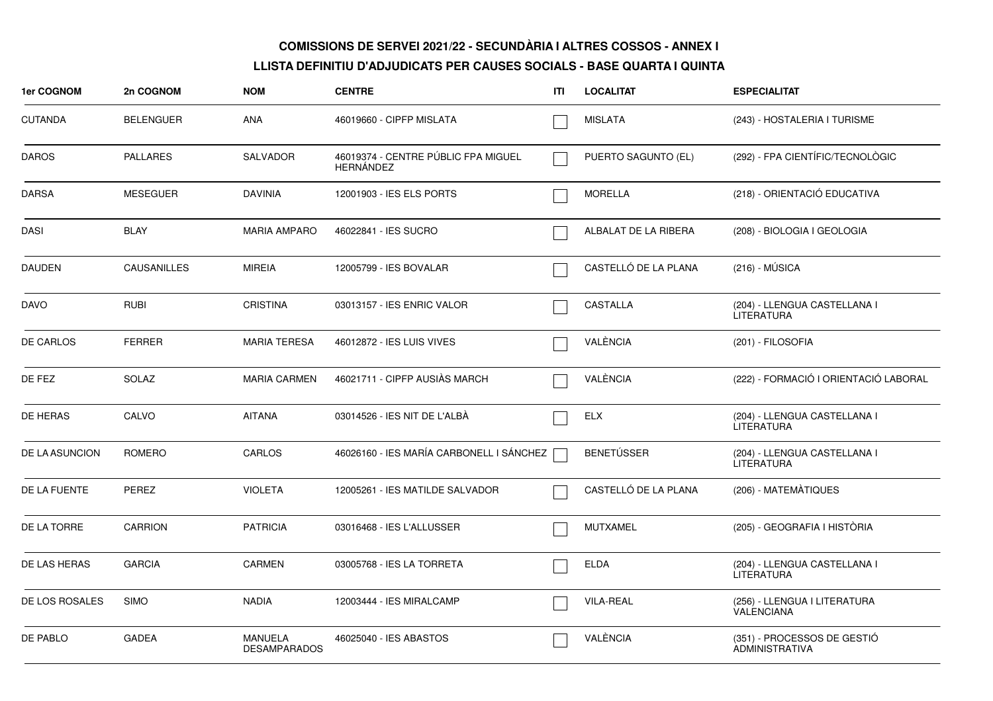| 1er COGNOM       | 2n COGNOM          | <b>NOM</b>                            | <b>CENTRE</b>                                           | ITI | <b>LOCALITAT</b>     | <b>ESPECIALITAT</b>                                  |
|------------------|--------------------|---------------------------------------|---------------------------------------------------------|-----|----------------------|------------------------------------------------------|
| <b>CUTANDA</b>   | <b>BELENGUER</b>   | <b>ANA</b>                            | 46019660 - CIPFP MISLATA                                |     | <b>MISLATA</b>       | (243) - HOSTALERIA I TURISME                         |
| DAROS            | <b>PALLARES</b>    | SALVADOR                              | 46019374 - CENTRE PÚBLIC FPA MIGUEL<br><b>HERNÁNDEZ</b> |     | PUERTO SAGUNTO (EL)  | (292) - FPA CIENTÍFIC/TECNOLÒGIC                     |
| <b>DARSA</b>     | <b>MESEGUER</b>    | <b>DAVINIA</b>                        | 12001903 - IES ELS PORTS                                |     | <b>MORELLA</b>       | (218) - ORIENTACIÓ EDUCATIVA                         |
| DASI             | <b>BLAY</b>        | <b>MARIA AMPARO</b>                   | 46022841 - IES SUCRO                                    |     | ALBALAT DE LA RIBERA | (208) - BIOLOGIA I GEOLOGIA                          |
| <b>DAUDEN</b>    | <b>CAUSANILLES</b> | <b>MIREIA</b>                         | 12005799 - IES BOVALAR                                  |     | CASTELLÓ DE LA PLANA | $(216) - MÚSICA$                                     |
| DAVO             | <b>RUBI</b>        | <b>CRISTINA</b>                       | 03013157 - IES ENRIC VALOR                              |     | <b>CASTALLA</b>      | (204) - LLENGUA CASTELLANA I<br><b>LITERATURA</b>    |
| <b>DE CARLOS</b> | <b>FERRER</b>      | <b>MARIA TERESA</b>                   | 46012872 - IES LUIS VIVES                               |     | VALÈNCIA             | (201) - FILOSOFIA                                    |
| DE FEZ           | <b>SOLAZ</b>       | <b>MARIA CARMEN</b>                   | 46021711 - CIPFP AUSIAS MARCH                           |     | VALÈNCIA             | (222) - FORMACIÓ I ORIENTACIÓ LABORAL                |
| DE HERAS         | CALVO              | <b>AITANA</b>                         | 03014526 - IES NIT DE L'ALBÀ                            |     | ELX                  | (204) - LLENGUA CASTELLANA I<br><b>LITERATURA</b>    |
| DE LA ASUNCION   | ROMERO             | CARLOS                                | 46026160 - IES MARÍA CARBONELL I SÁNCHEZ                |     | <b>BENETÚSSER</b>    | (204) - LLENGUA CASTELLANA I<br><b>LITERATURA</b>    |
| DE LA FUENTE     | <b>PEREZ</b>       | <b>VIOLETA</b>                        | 12005261 - IES MATILDE SALVADOR                         |     | CASTELLÓ DE LA PLANA | (206) - MATEMATIQUES                                 |
| DE LA TORRE      | <b>CARRION</b>     | <b>PATRICIA</b>                       | 03016468 - IES L'ALLUSSER                               |     | <b>MUTXAMEL</b>      | (205) - GEOGRAFIA I HISTÒRIA                         |
| DE LAS HERAS     | <b>GARCIA</b>      | <b>CARMEN</b>                         | 03005768 - IES LA TORRETA                               |     | <b>ELDA</b>          | (204) - LLENGUA CASTELLANA I<br><b>LITERATURA</b>    |
| DE LOS ROSALES   | <b>SIMO</b>        | <b>NADIA</b>                          | 12003444 - IES MIRALCAMP                                |     | <b>VILA-REAL</b>     | (256) - LLENGUA I LITERATURA<br>VALENCIANA           |
| DE PABLO         | <b>GADEA</b>       | <b>MANUELA</b><br><b>DESAMPARADOS</b> | 46025040 - IES ABASTOS                                  |     | VALÈNCIA             | (351) - PROCESSOS DE GESTIÓ<br><b>ADMINISTRATIVA</b> |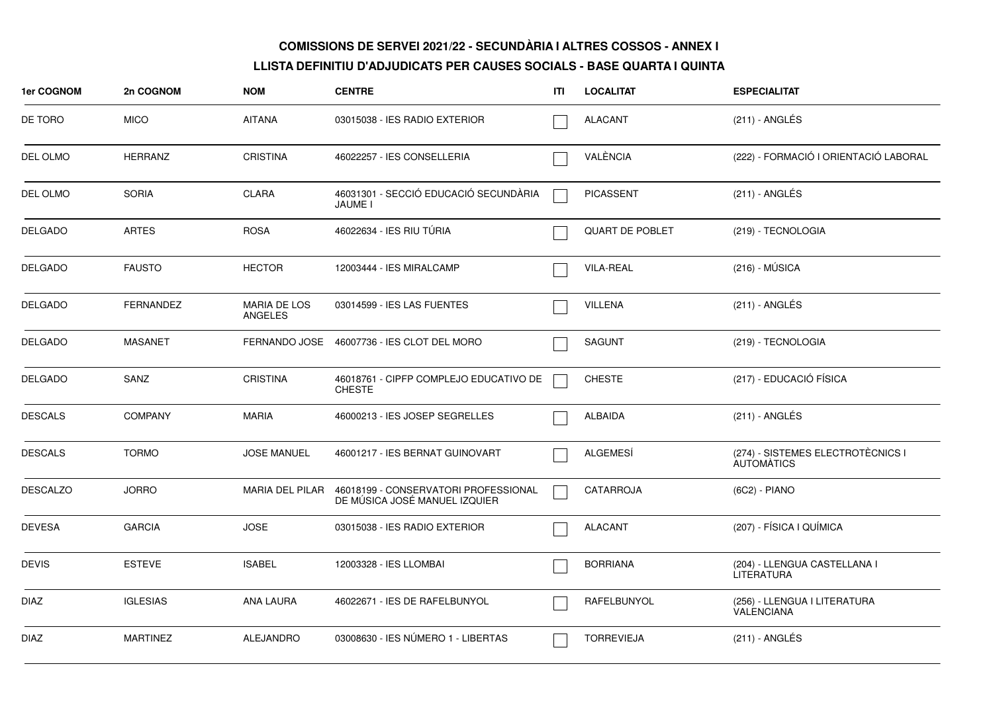| 1er COGNOM      | 2n COGNOM        | <b>NOM</b>                     | <b>CENTRE</b>                                                                         | ITI | <b>LOCALITAT</b>       | <b>ESPECIALITAT</b>                                    |
|-----------------|------------------|--------------------------------|---------------------------------------------------------------------------------------|-----|------------------------|--------------------------------------------------------|
| DE TORO         | <b>MICO</b>      | <b>AITANA</b>                  | 03015038 - IES RADIO EXTERIOR                                                         |     | ALACANT                | $(211)$ - ANGLÉS                                       |
| DEL OLMO        | <b>HERRANZ</b>   | <b>CRISTINA</b>                | 46022257 - IES CONSELLERIA                                                            |     | VALÈNCIA               | (222) - FORMACIÓ I ORIENTACIÓ LABORAL                  |
| DEL OLMO        | <b>SORIA</b>     | <b>CLARA</b>                   | 46031301 - SECCIÓ EDUCACIÓ SECUNDÀRIA<br>JAUME I                                      |     | <b>PICASSENT</b>       | $(211)$ - ANGLÉS                                       |
| <b>DELGADO</b>  | <b>ARTES</b>     | <b>ROSA</b>                    | 46022634 - IES RIU TÚRIA                                                              |     | <b>QUART DE POBLET</b> | (219) - TECNOLOGIA                                     |
| <b>DELGADO</b>  | <b>FAUSTO</b>    | <b>HECTOR</b>                  | 12003444 - IES MIRALCAMP                                                              |     | <b>VILA-REAL</b>       | $(216) - MÚSICA$                                       |
| <b>DELGADO</b>  | <b>FERNANDEZ</b> | MARIA DE LOS<br><b>ANGELES</b> | 03014599 - IES LAS FUENTES                                                            |     | <b>VILLENA</b>         | $(211)$ - ANGLÉS                                       |
| <b>DELGADO</b>  | <b>MASANET</b>   |                                | FERNANDO JOSE 46007736 - IES CLOT DEL MORO                                            |     | <b>SAGUNT</b>          | (219) - TECNOLOGIA                                     |
| <b>DELGADO</b>  | SANZ             | <b>CRISTINA</b>                | 46018761 - CIPFP COMPLEJO EDUCATIVO DE<br><b>CHESTE</b>                               |     | <b>CHESTE</b>          | (217) - EDUCACIÓ FÍSICA                                |
| <b>DESCALS</b>  | <b>COMPANY</b>   | <b>MARIA</b>                   | 46000213 - IES JOSEP SEGRELLES                                                        |     | <b>ALBAIDA</b>         | $(211)$ - ANGLÉS                                       |
| <b>DESCALS</b>  | <b>TORMO</b>     | <b>JOSE MANUEL</b>             | 46001217 - IES BERNAT GUINOVART                                                       |     | ALGEMESÍ               | (274) - SISTEMES ELECTROTÈCNICS I<br><b>AUTOMATICS</b> |
| <b>DESCALZO</b> | <b>JORRO</b>     |                                | MARIA DEL PILAR 46018199 - CONSERVATORI PROFESSIONAL<br>DE MÚSICA JOSÉ MANUEL IZQUIER |     | <b>CATARROJA</b>       | (6C2) - PIANO                                          |
| <b>DEVESA</b>   | <b>GARCIA</b>    | <b>JOSE</b>                    | 03015038 - IES RADIO EXTERIOR                                                         |     | ALACANT                | (207) - FÍSICA I QUÍMICA                               |
| <b>DEVIS</b>    | <b>ESTEVE</b>    | <b>ISABEL</b>                  | 12003328 - IES LLOMBAI                                                                |     | <b>BORRIANA</b>        | (204) - LLENGUA CASTELLANA I<br><b>LITERATURA</b>      |
| <b>DIAZ</b>     | <b>IGLESIAS</b>  | <b>ANA LAURA</b>               | 46022671 - IES DE RAFELBUNYOL                                                         |     | RAFELBUNYOL            | (256) - LLENGUA I LITERATURA<br><b>VALENCIANA</b>      |
| <b>DIAZ</b>     | <b>MARTINEZ</b>  | ALEJANDRO                      | 03008630 - IES NÚMERO 1 - LIBERTAS                                                    |     | <b>TORREVIEJA</b>      | (211) - ANGLÉS                                         |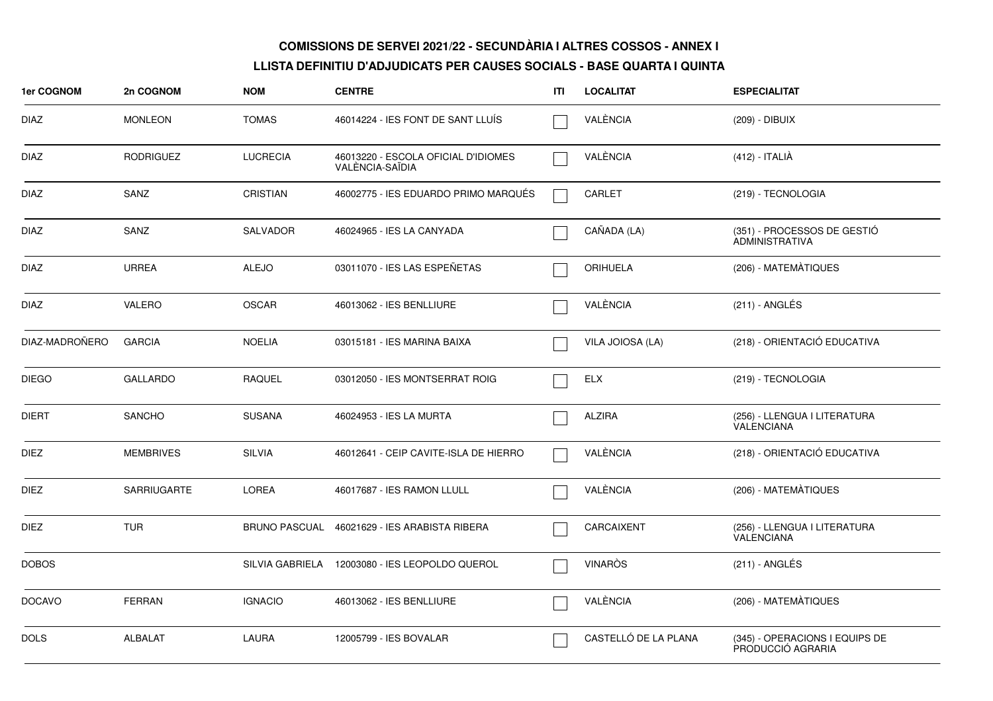| 1er COGNOM     | 2n COGNOM          | <b>NOM</b>      | <b>CENTRE</b>                                          | ITI | <b>LOCALITAT</b>     | <b>ESPECIALITAT</b>                                 |
|----------------|--------------------|-----------------|--------------------------------------------------------|-----|----------------------|-----------------------------------------------------|
| <b>DIAZ</b>    | <b>MONLEON</b>     | <b>TOMAS</b>    | 46014224 - IES FONT DE SANT LLUÍS                      |     | VALÈNCIA             | (209) - DIBUIX                                      |
| <b>DIAZ</b>    | <b>RODRIGUEZ</b>   | <b>LUCRECIA</b> | 46013220 - ESCOLA OFICIAL D'IDIOMES<br>VALÈNCIA-SAÏDIA |     | VALÈNCIA             | (412) - ITALIÀ                                      |
| <b>DIAZ</b>    | SANZ               | <b>CRISTIAN</b> | 46002775 - IES EDUARDO PRIMO MARQUÉS                   |     | CARLET               | (219) - TECNOLOGIA                                  |
| <b>DIAZ</b>    | SANZ               | <b>SALVADOR</b> | 46024965 - IES LA CANYADA                              |     | CAÑADA (LA)          | (351) - PROCESSOS DE GESTIÓ<br>ADMINISTRATIVA       |
| <b>DIAZ</b>    | <b>URREA</b>       | <b>ALEJO</b>    | 03011070 - IES LAS ESPEÑETAS                           |     | <b>ORIHUELA</b>      | (206) - MATEMÀTIQUES                                |
| <b>DIAZ</b>    | <b>VALERO</b>      | <b>OSCAR</b>    | 46013062 - IES BENLLIURE                               |     | VALÈNCIA             | $(211)$ - ANGLÉS                                    |
| DIAZ-MADROÑERO | <b>GARCIA</b>      | <b>NOELIA</b>   | 03015181 - IES MARINA BAIXA                            |     | VILA JOIOSA (LA)     | (218) - ORIENTACIÓ EDUCATIVA                        |
| <b>DIEGO</b>   | <b>GALLARDO</b>    | <b>RAQUEL</b>   | 03012050 - IES MONTSERRAT ROIG                         |     | <b>ELX</b>           | (219) - TECNOLOGIA                                  |
| <b>DIERT</b>   | <b>SANCHO</b>      | <b>SUSANA</b>   | 46024953 - IES LA MURTA                                |     | <b>ALZIRA</b>        | (256) - LLENGUA I LITERATURA<br><b>VALENCIANA</b>   |
| <b>DIEZ</b>    | <b>MEMBRIVES</b>   | <b>SILVIA</b>   | 46012641 - CEIP CAVITE-ISLA DE HIERRO                  |     | VALÈNCIA             | (218) - ORIENTACIÓ EDUCATIVA                        |
| <b>DIEZ</b>    | <b>SARRIUGARTE</b> | <b>LOREA</b>    | 46017687 - IES RAMON LLULL                             |     | VALÈNCIA             | (206) - MATEMÀTIQUES                                |
| <b>DIEZ</b>    | <b>TUR</b>         |                 | BRUNO PASCUAL 46021629 - IES ARABISTA RIBERA           |     | CARCAIXENT           | (256) - LLENGUA I LITERATURA<br><b>VALENCIANA</b>   |
| <b>DOBOS</b>   |                    |                 | SILVIA GABRIELA 12003080 - IES LEOPOLDO QUEROL         |     | <b>VINARÒS</b>       | $(211)$ - ANGLÉS                                    |
| <b>DOCAVO</b>  | <b>FERRAN</b>      | <b>IGNACIO</b>  | 46013062 - IES BENLLIURE                               |     | VALÈNCIA             | (206) - MATEMÀTIQUES                                |
| <b>DOLS</b>    | <b>ALBALAT</b>     | LAURA           | 12005799 - IES BOVALAR                                 |     | CASTELLÓ DE LA PLANA | (345) - OPERACIONS I EQUIPS DE<br>PRODUCCIÓ AGRARIA |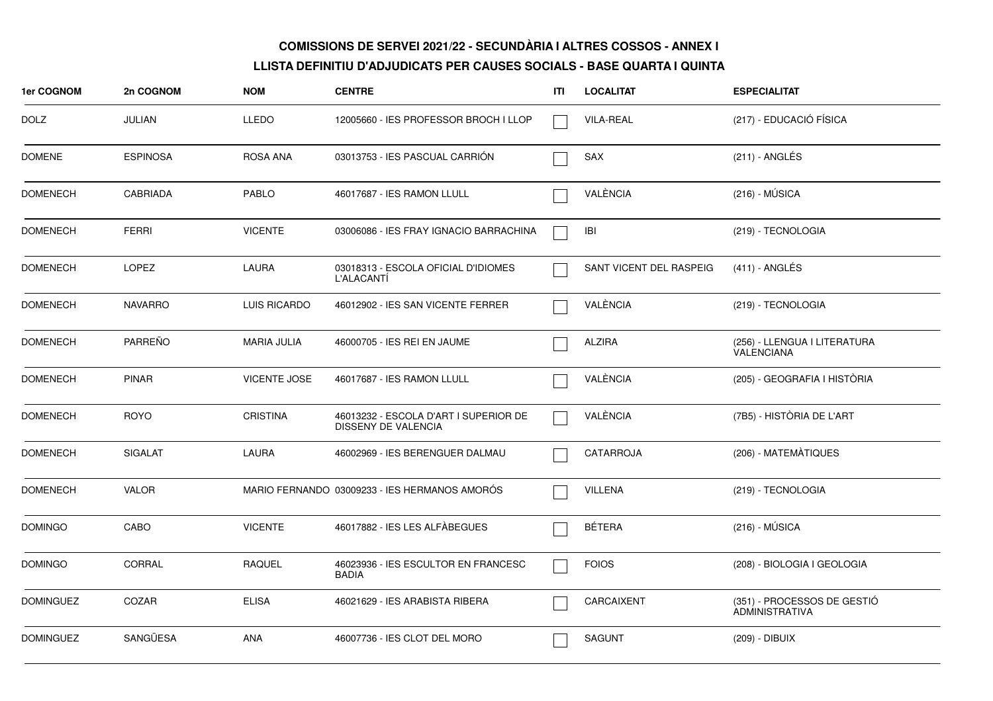| 1er COGNOM       | 2n COGNOM       | <b>NOM</b>          | <b>CENTRE</b>                                                | ITI | <b>LOCALITAT</b>        | <b>ESPECIALITAT</b>                                  |
|------------------|-----------------|---------------------|--------------------------------------------------------------|-----|-------------------------|------------------------------------------------------|
| <b>DOLZ</b>      | <b>JULIAN</b>   | <b>LLEDO</b>        | 12005660 - IES PROFESSOR BROCH I LLOP                        |     | <b>VILA-REAL</b>        | (217) - EDUCACIÓ FÍSICA                              |
| <b>DOMENE</b>    | <b>ESPINOSA</b> | ROSA ANA            | 03013753 - IES PASCUAL CARRION                               |     | <b>SAX</b>              | $(211)$ - ANGLÉS                                     |
| <b>DOMENECH</b>  | <b>CABRIADA</b> | <b>PABLO</b>        | 46017687 - IES RAMON LLULL                                   |     | VALÈNCIA                | $(216) - MÚSICA$                                     |
| <b>DOMENECH</b>  | <b>FERRI</b>    | <b>VICENTE</b>      | 03006086 - IES FRAY IGNACIO BARRACHINA                       |     | <b>IBI</b>              | (219) - TECNOLOGIA                                   |
| <b>DOMENECH</b>  | <b>LOPEZ</b>    | <b>LAURA</b>        | 03018313 - ESCOLA OFICIAL D'IDIOMES<br>L'ALACANTI            |     | SANT VICENT DEL RASPEIG | $(411)$ - ANGLÉS                                     |
| <b>DOMENECH</b>  | <b>NAVARRO</b>  | LUIS RICARDO        | 46012902 - IES SAN VICENTE FERRER                            |     | VALÈNCIA                | (219) - TECNOLOGIA                                   |
| <b>DOMENECH</b>  | <b>PARREÑO</b>  | <b>MARIA JULIA</b>  | 46000705 - IES REI EN JAUME                                  |     | <b>ALZIRA</b>           | (256) - LLENGUA I LITERATURA<br>VALENCIANA           |
| <b>DOMENECH</b>  | <b>PINAR</b>    | <b>VICENTE JOSE</b> | 46017687 - IES RAMON LLULL                                   |     | VALÈNCIA                | (205) - GEOGRAFIA I HISTÒRIA                         |
| <b>DOMENECH</b>  | <b>ROYO</b>     | <b>CRISTINA</b>     | 46013232 - ESCOLA D'ART I SUPERIOR DE<br>DISSENY DE VALENCIA |     | VALÈNCIA                | (7B5) - HISTÒRIA DE L'ART                            |
| <b>DOMENECH</b>  | <b>SIGALAT</b>  | LAURA               | 46002969 - IES BERENGUER DALMAU                              |     | CATARROJA               | (206) - MATEMÀTIQUES                                 |
| <b>DOMENECH</b>  | <b>VALOR</b>    |                     | MARIO FERNANDO 03009233 - IES HERMANOS AMORÓS                |     | <b>VILLENA</b>          | (219) - TECNOLOGIA                                   |
| <b>DOMINGO</b>   | CABO            | <b>VICENTE</b>      | 46017882 - IES LES ALFÀBEGUES                                |     | <b>BÉTERA</b>           | $(216) - MÚSICA$                                     |
| <b>DOMINGO</b>   | CORRAL          | <b>RAQUEL</b>       | 46023936 - IES ESCULTOR EN FRANCESC<br><b>BADIA</b>          |     | <b>FOIOS</b>            | (208) - BIOLOGIA I GEOLOGIA                          |
| <b>DOMINGUEZ</b> | COZAR           | <b>ELISA</b>        | 46021629 - IES ARABISTA RIBERA                               |     | CARCAIXENT              | (351) - PROCESSOS DE GESTIÓ<br><b>ADMINISTRATIVA</b> |
| <b>DOMINGUEZ</b> | SANGÜESA        | <b>ANA</b>          | 46007736 - IES CLOT DEL MORO                                 |     | <b>SAGUNT</b>           | (209) - DIBUIX                                       |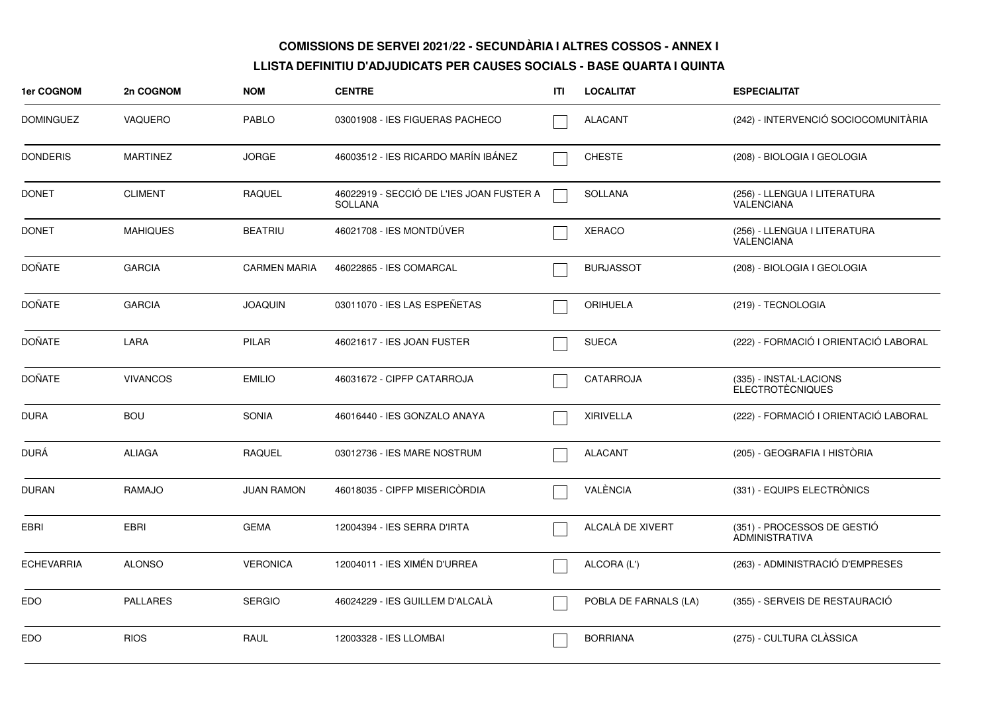| <b>1er COGNOM</b> | 2n COGNOM       | <b>NOM</b>          | <b>CENTRE</b>                                              | ITI | <b>LOCALITAT</b>      | <b>ESPECIALITAT</b>                                  |
|-------------------|-----------------|---------------------|------------------------------------------------------------|-----|-----------------------|------------------------------------------------------|
| <b>DOMINGUEZ</b>  | <b>VAQUERO</b>  | <b>PABLO</b>        | 03001908 - IES FIGUERAS PACHECO                            |     | <b>ALACANT</b>        | (242) - INTERVENCIÓ SOCIOCOMUNITÀRIA                 |
| <b>DONDERIS</b>   | <b>MARTINEZ</b> | <b>JORGE</b>        | 46003512 - IES RICARDO MARÍN IBÁNEZ                        |     | <b>CHESTE</b>         | (208) - BIOLOGIA I GEOLOGIA                          |
| <b>DONET</b>      | <b>CLIMENT</b>  | <b>RAQUEL</b>       | 46022919 - SECCIÓ DE L'IES JOAN FUSTER A<br><b>SOLLANA</b> |     | <b>SOLLANA</b>        | (256) - LLENGUA I LITERATURA<br><b>VALENCIANA</b>    |
| <b>DONET</b>      | <b>MAHIQUES</b> | <b>BEATRIU</b>      | 46021708 - IES MONTDÚVER                                   |     | <b>XERACO</b>         | (256) - LLENGUA I LITERATURA<br><b>VALENCIANA</b>    |
| <b>DOÑATE</b>     | <b>GARCIA</b>   | <b>CARMEN MARIA</b> | 46022865 - IES COMARCAL                                    |     | <b>BURJASSOT</b>      | (208) - BIOLOGIA I GEOLOGIA                          |
| <b>DOÑATE</b>     | <b>GARCIA</b>   | <b>JOAQUIN</b>      | 03011070 - IES LAS ESPEÑETAS                               |     | <b>ORIHUELA</b>       | (219) - TECNOLOGIA                                   |
| <b>DOÑATE</b>     | LARA            | <b>PILAR</b>        | 46021617 - IES JOAN FUSTER                                 |     | <b>SUECA</b>          | (222) - FORMACIÓ I ORIENTACIÓ LABORAL                |
| <b>DOÑATE</b>     | <b>VIVANCOS</b> | <b>EMILIO</b>       | 46031672 - CIPFP CATARROJA                                 |     | <b>CATARROJA</b>      | (335) - INSTAL·LACIONS<br><b>ELECTROTÈCNIQUES</b>    |
| <b>DURA</b>       | <b>BOU</b>      | <b>SONIA</b>        | 46016440 - IES GONZALO ANAYA                               |     | <b>XIRIVELLA</b>      | (222) - FORMACIÓ I ORIENTACIÓ LABORAL                |
| <b>DURÁ</b>       | <b>ALIAGA</b>   | <b>RAQUEL</b>       | 03012736 - IES MARE NOSTRUM                                |     | <b>ALACANT</b>        | (205) - GEOGRAFIA I HISTÒRIA                         |
| <b>DURAN</b>      | RAMAJO          | <b>JUAN RAMON</b>   | 46018035 - CIPFP MISERICORDIA                              |     | VALÈNCIA              | (331) - EQUIPS ELECTRÒNICS                           |
| EBRI              | <b>EBRI</b>     | <b>GEMA</b>         | 12004394 - IES SERRA D'IRTA                                |     | ALCALÀ DE XIVERT      | (351) - PROCESSOS DE GESTIÓ<br><b>ADMINISTRATIVA</b> |
| <b>ECHEVARRIA</b> | <b>ALONSO</b>   | <b>VERONICA</b>     | 12004011 - IES XIMÉN D'URREA                               |     | ALCORA (L')           | (263) - ADMINISTRACIÓ D'EMPRESES                     |
| <b>EDO</b>        | <b>PALLARES</b> | <b>SERGIO</b>       | 46024229 - IES GUILLEM D'ALCALÀ                            |     | POBLA DE FARNALS (LA) | (355) - SERVEIS DE RESTAURACIÓ                       |
| <b>EDO</b>        | <b>RIOS</b>     | RAUL                | 12003328 - IES LLOMBAI                                     |     | <b>BORRIANA</b>       | (275) - CULTURA CLÀSSICA                             |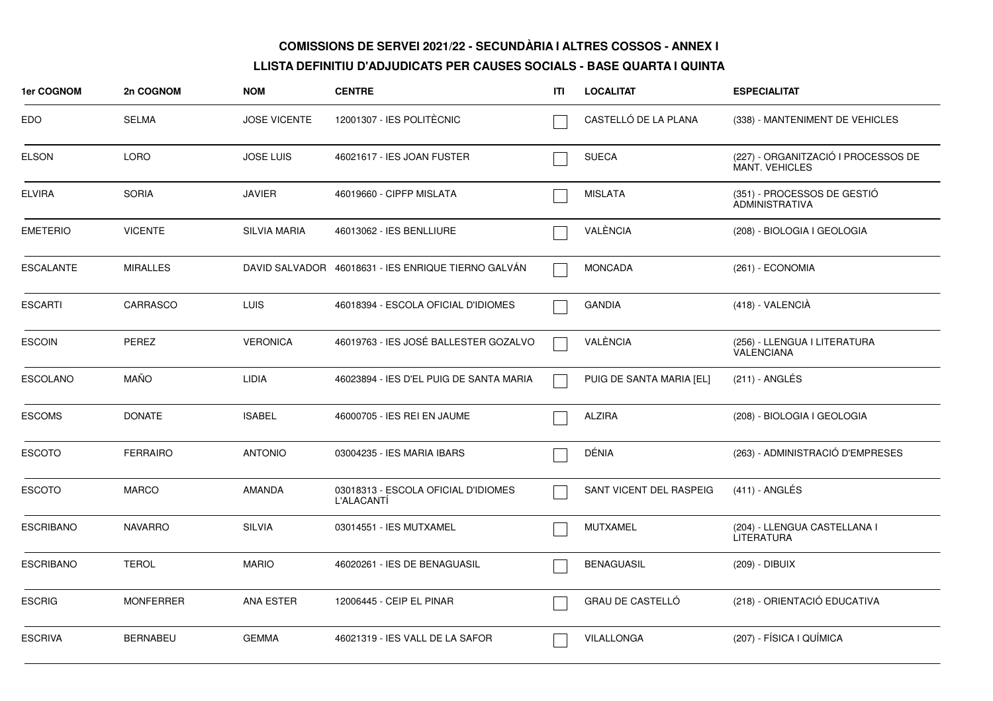| 1er COGNOM       | 2n COGNOM        | <b>NOM</b>          | <b>CENTRE</b>                                            | ITI | <b>LOCALITAT</b>         | <b>ESPECIALITAT</b>                                          |
|------------------|------------------|---------------------|----------------------------------------------------------|-----|--------------------------|--------------------------------------------------------------|
| EDO              | <b>SELMA</b>     | <b>JOSE VICENTE</b> | 12001307 - IES POLITÈCNIC                                |     | CASTELLÓ DE LA PLANA     | (338) - MANTENIMENT DE VEHICLES                              |
| <b>ELSON</b>     | <b>LORO</b>      | <b>JOSE LUIS</b>    | 46021617 - IES JOAN FUSTER                               |     | <b>SUECA</b>             | (227) - ORGANITZACIÓ I PROCESSOS DE<br><b>MANT. VEHICLES</b> |
| <b>ELVIRA</b>    | <b>SORIA</b>     | <b>JAVIER</b>       | 46019660 - CIPFP MISLATA                                 |     | <b>MISLATA</b>           | (351) - PROCESSOS DE GESTIÓ<br><b>ADMINISTRATIVA</b>         |
| <b>EMETERIO</b>  | <b>VICENTE</b>   | <b>SILVIA MARIA</b> | 46013062 - IES BENLLIURE                                 |     | VALÈNCIA                 | (208) - BIOLOGIA I GEOLOGIA                                  |
| <b>ESCALANTE</b> | <b>MIRALLES</b>  |                     | DAVID SALVADOR 46018631 - IES ENRIQUE TIERNO GALVÁN      |     | <b>MONCADA</b>           | (261) - ECONOMIA                                             |
| ESCARTI          | CARRASCO         | LUIS.               | 46018394 - ESCOLA OFICIAL D'IDIOMES                      |     | <b>GANDIA</b>            | (418) - VALENCIÀ                                             |
| ESCOIN           | <b>PEREZ</b>     | <b>VERONICA</b>     | 46019763 - IES JOSÉ BALLESTER GOZALVO                    |     | VALÈNCIA                 | (256) - LLENGUA I LITERATURA<br>VALENCIANA                   |
| <b>ESCOLANO</b>  | <b>MAÑO</b>      | <b>LIDIA</b>        | 46023894 - IES D'EL PUIG DE SANTA MARIA                  |     | PUIG DE SANTA MARIA [EL] | (211) - ANGLÉS                                               |
| <b>ESCOMS</b>    | <b>DONATE</b>    | <b>ISABEL</b>       | 46000705 - IES REI EN JAUME                              |     | <b>ALZIRA</b>            | (208) - BIOLOGIA I GEOLOGIA                                  |
| <b>ESCOTO</b>    | <b>FERRAIRO</b>  | <b>ANTONIO</b>      | 03004235 - IES MARIA IBARS                               |     | DÉNIA                    | (263) - ADMINISTRACIÓ D'EMPRESES                             |
| ESCOTO           | <b>MARCO</b>     | AMANDA              | 03018313 - ESCOLA OFICIAL D'IDIOMES<br><b>L'ALACANTÍ</b> |     | SANT VICENT DEL RASPEIG  | $(411)$ - ANGLÉS                                             |
| <b>ESCRIBANO</b> | <b>NAVARRO</b>   | <b>SILVIA</b>       | 03014551 - IES MUTXAMEL                                  |     | <b>MUTXAMEL</b>          | (204) - LLENGUA CASTELLANA I<br>LITERATURA                   |
| ESCRIBANO        | <b>TEROL</b>     | <b>MARIO</b>        | 46020261 - IES DE BENAGUASIL                             |     | <b>BENAGUASIL</b>        | (209) - DIBUIX                                               |
| <b>ESCRIG</b>    | <b>MONFERRER</b> | ANA ESTER           | 12006445 - CEIP EL PINAR                                 |     | <b>GRAU DE CASTELLO</b>  | (218) - ORIENTACIÓ EDUCATIVA                                 |
| <b>ESCRIVA</b>   | <b>BERNABEU</b>  | <b>GEMMA</b>        | 46021319 - IES VALL DE LA SAFOR                          |     | VILALLONGA               | (207) - FÍSICA I QUÍMICA                                     |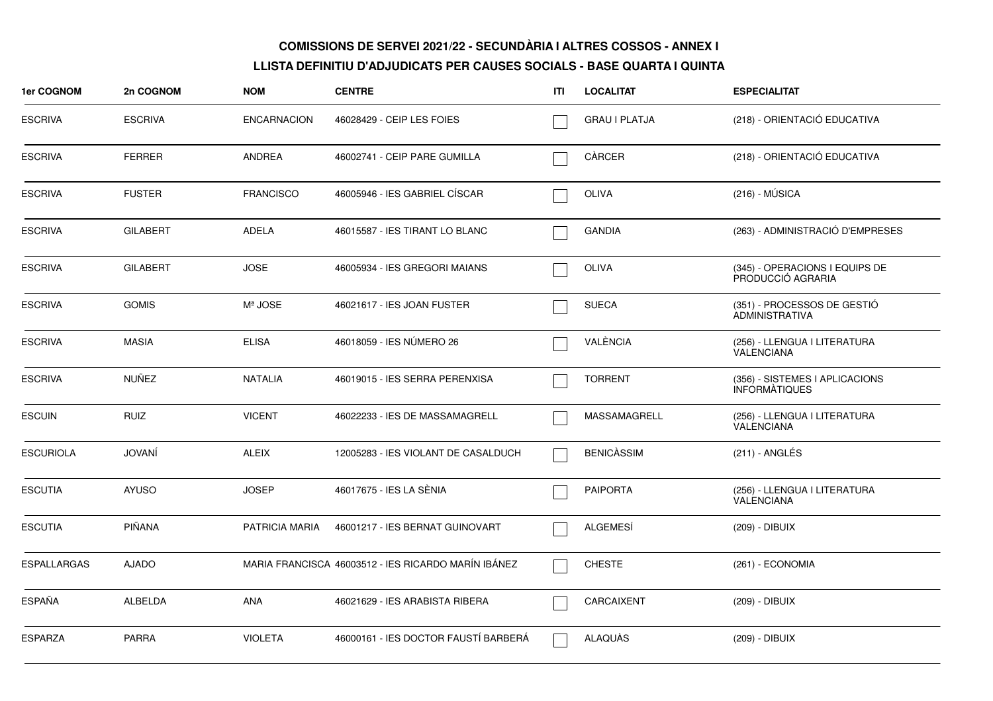| <b>1er COGNOM</b>  | 2n COGNOM       | <b>NOM</b>         | <b>CENTRE</b>                                       | ITI | <b>LOCALITAT</b>     | <b>ESPECIALITAT</b>                                    |
|--------------------|-----------------|--------------------|-----------------------------------------------------|-----|----------------------|--------------------------------------------------------|
| <b>ESCRIVA</b>     | <b>ESCRIVA</b>  | <b>ENCARNACION</b> | 46028429 - CEIP LES FOIES                           |     | <b>GRAU I PLATJA</b> | (218) - ORIENTACIÓ EDUCATIVA                           |
| <b>ESCRIVA</b>     | <b>FERRER</b>   | <b>ANDREA</b>      | 46002741 - CEIP PARE GUMILLA                        |     | CÀRCER               | (218) - ORIENTACIÓ EDUCATIVA                           |
| <b>ESCRIVA</b>     | <b>FUSTER</b>   | <b>FRANCISCO</b>   | 46005946 - IES GABRIEL CÍSCAR                       |     | OLIVA                | $(216) - MÚSICA$                                       |
| <b>ESCRIVA</b>     | <b>GILABERT</b> | ADELA              | 46015587 - IES TIRANT LO BLANC                      |     | <b>GANDIA</b>        | (263) - ADMINISTRACIÓ D'EMPRESES                       |
| <b>ESCRIVA</b>     | <b>GILABERT</b> | <b>JOSE</b>        | 46005934 - IES GREGORI MAIANS                       |     | <b>OLIVA</b>         | (345) - OPERACIONS I EQUIPS DE<br>PRODUCCIÓ AGRARIA    |
| <b>ESCRIVA</b>     | <b>GOMIS</b>    | Mª JOSE            | 46021617 - IES JOAN FUSTER                          |     | <b>SUECA</b>         | (351) - PROCESSOS DE GESTIO<br><b>ADMINISTRATIVA</b>   |
| <b>ESCRIVA</b>     | <b>MASIA</b>    | <b>ELISA</b>       | 46018059 - IES NÚMERO 26                            |     | VALÈNCIA             | (256) - LLENGUA I LITERATURA<br>VALENCIANA             |
| <b>ESCRIVA</b>     | <b>NUÑEZ</b>    | <b>NATALIA</b>     | 46019015 - IES SERRA PERENXISA                      |     | <b>TORRENT</b>       | (356) - SISTEMES I APLICACIONS<br><b>INFORMATIQUES</b> |
| <b>ESCUIN</b>      | <b>RUIZ</b>     | <b>VICENT</b>      | 46022233 - IES DE MASSAMAGRELL                      |     | MASSAMAGRELL         | (256) - LLENGUA I LITERATURA<br><b>VALENCIANA</b>      |
| <b>ESCURIOLA</b>   | <b>JOVANÍ</b>   | <b>ALEIX</b>       | 12005283 - IES VIOLANT DE CASALDUCH                 |     | <b>BENICÀSSIM</b>    | (211) - ANGLÉS                                         |
| <b>ESCUTIA</b>     | <b>AYUSO</b>    | <b>JOSEP</b>       | 46017675 - IES LA SÈNIA                             |     | <b>PAIPORTA</b>      | (256) - LLENGUA I LITERATURA<br>VALENCIANA             |
| <b>ESCUTIA</b>     | PIÑANA          | PATRICIA MARIA     | 46001217 - IES BERNAT GUINOVART                     |     | <b>ALGEMESÍ</b>      | (209) - DIBUIX                                         |
| <b>ESPALLARGAS</b> | <b>AJADO</b>    |                    | MARIA FRANCISCA 46003512 - IES RICARDO MARÍN IBÁNEZ |     | <b>CHESTE</b>        | (261) - ECONOMIA                                       |
| <b>ESPAÑA</b>      | ALBELDA         | ANA                | 46021629 - IES ARABISTA RIBERA                      |     | CARCAIXENT           | (209) - DIBUIX                                         |
| <b>ESPARZA</b>     | <b>PARRA</b>    | <b>VIOLETA</b>     | 46000161 - IES DOCTOR FAUSTÍ BARBERÁ                |     | <b>ALAQUÀS</b>       | (209) - DIBUIX                                         |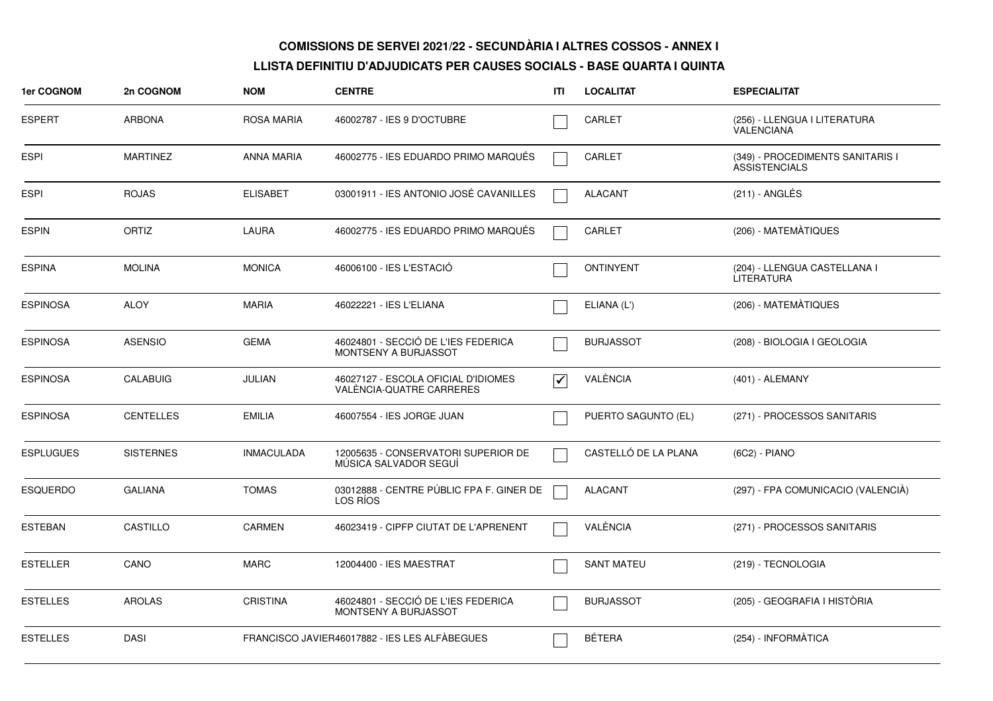| 1er COGNOM       | 2n COGNOM        | <b>NOM</b>        | <b>CENTRE</b>                                                   | ITI                             | <b>LOCALITAT</b>     | <b>ESPECIALITAT</b>                                      |
|------------------|------------------|-------------------|-----------------------------------------------------------------|---------------------------------|----------------------|----------------------------------------------------------|
| <b>ESPERT</b>    | <b>ARBONA</b>    | <b>ROSA MARIA</b> | 46002787 - IES 9 D'OCTUBRE                                      |                                 | CARLET               | (256) - LLENGUA I LITERATURA<br><b>VALENCIANA</b>        |
| <b>ESPI</b>      | <b>MARTINEZ</b>  | <b>ANNA MARIA</b> | 46002775 - IES EDUARDO PRIMO MARQUÉS                            |                                 | CARLET               | (349) - PROCEDIMENTS SANITARIS I<br><b>ASSISTENCIALS</b> |
| <b>ESPI</b>      | <b>ROJAS</b>     | <b>ELISABET</b>   | 03001911 - IES ANTONIO JOSÉ CAVANILLES                          |                                 | <b>ALACANT</b>       | (211) - ANGLÉS                                           |
| <b>ESPIN</b>     | ORTIZ            | <b>LAURA</b>      | 46002775 - IES EDUARDO PRIMO MARQUÉS                            |                                 | CARLET               | (206) - MATEMÀTIQUES                                     |
| <b>ESPINA</b>    | <b>MOLINA</b>    | <b>MONICA</b>     | 46006100 - IES L'ESTACIÓ                                        |                                 | <b>ONTINYENT</b>     | (204) - LLENGUA CASTELLANA I<br><b>LITERATURA</b>        |
| <b>ESPINOSA</b>  | <b>ALOY</b>      | <b>MARIA</b>      | 46022221 - IES L'ELIANA                                         |                                 | ELIANA (L')          | (206) - MATEMÀTIQUES                                     |
| <b>ESPINOSA</b>  | <b>ASENSIO</b>   | <b>GEMA</b>       | 46024801 - SECCIÓ DE L'IES FEDERICA<br>MONTSENY A BURJASSOT     |                                 | <b>BURJASSOT</b>     | (208) - BIOLOGIA I GEOLOGIA                              |
| <b>ESPINOSA</b>  | <b>CALABUIG</b>  | JULIAN            | 46027127 - ESCOLA OFICIAL D'IDIOMES<br>VALÉNCIA-QUATRE CARRERES | $\overline{\blacktriangledown}$ | VALÈNCIA             | (401) - ALEMANY                                          |
| <b>ESPINOSA</b>  | <b>CENTELLES</b> | <b>EMILIA</b>     | 46007554 - IES JORGE JUAN                                       |                                 | PUERTO SAGUNTO (EL)  | (271) - PROCESSOS SANITARIS                              |
| <b>ESPLUGUES</b> | <b>SISTERNES</b> | <b>INMACULADA</b> | 12005635 - CONSERVATORI SUPERIOR DE<br>MÚSICA SALVADOR SEGUÍ    |                                 | CASTELLÓ DE LA PLANA | (6C2) - PIANO                                            |
| <b>ESQUERDO</b>  | <b>GALIANA</b>   | <b>TOMAS</b>      | 03012888 - CENTRE PÚBLIC FPA F. GINER DE<br>LOS RIOS            |                                 | <b>ALACANT</b>       | (297) - FPA COMUNICACIO (VALENCIÀ)                       |
| <b>ESTEBAN</b>   | CASTILLO         | <b>CARMEN</b>     | 46023419 - CIPFP CIUTAT DE L'APRENENT                           |                                 | VALÈNCIA             | (271) - PROCESSOS SANITARIS                              |
| <b>ESTELLER</b>  | CANO             | <b>MARC</b>       | 12004400 - IES MAESTRAT                                         |                                 | <b>SANT MATEU</b>    | (219) - TECNOLOGIA                                       |
| <b>ESTELLES</b>  | <b>AROLAS</b>    | <b>CRISTINA</b>   | 46024801 - SECCIÓ DE L'IES FEDERICA<br>MONTSENY A BURJASSOT     |                                 | <b>BURJASSOT</b>     | (205) - GEOGRAFIA I HISTÒRIA                             |
| <b>ESTELLES</b>  | <b>DASI</b>      |                   | FRANCISCO JAVIER46017882 - IES LES ALFÀBEGUES                   |                                 | <b>BÉTERA</b>        | (254) - INFORMÀTICA                                      |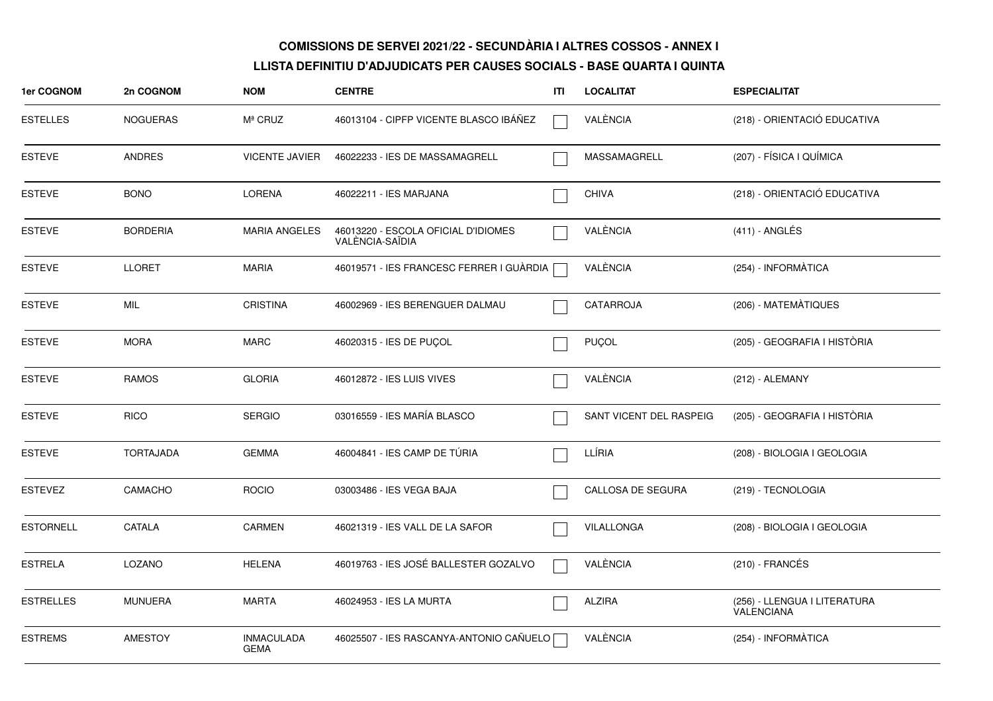| 1er COGNOM       | 2n COGNOM        | <b>NOM</b>                       | <b>CENTRE</b>                                          | ITI | <b>LOCALITAT</b>        | <b>ESPECIALITAT</b>                        |
|------------------|------------------|----------------------------------|--------------------------------------------------------|-----|-------------------------|--------------------------------------------|
| <b>ESTELLES</b>  | <b>NOGUERAS</b>  | Mª CRUZ                          | 46013104 - CIPFP VICENTE BLASCO IBAÑEZ                 |     | VALÈNCIA                | (218) - ORIENTACIÓ EDUCATIVA               |
| <b>ESTEVE</b>    | <b>ANDRES</b>    | <b>VICENTE JAVIER</b>            | 46022233 - IES DE MASSAMAGRELL                         |     | MASSAMAGRELL            | (207) - FÍSICA I QUÍMICA                   |
| <b>ESTEVE</b>    | <b>BONO</b>      | <b>LORENA</b>                    | 46022211 - IES MARJANA                                 |     | <b>CHIVA</b>            | (218) - ORIENTACIÓ EDUCATIVA               |
| <b>ESTEVE</b>    | <b>BORDERIA</b>  | <b>MARIA ANGELES</b>             | 46013220 - ESCOLA OFICIAL D'IDIOMES<br>VALÈNCIA-SAÏDIA |     | VALÈNCIA                | $(411) - ANGLÉS$                           |
| <b>ESTEVE</b>    | <b>LLORET</b>    | <b>MARIA</b>                     | 46019571 - IES FRANCESC FERRER I GUÀRDIA               |     | VALÈNCIA                | (254) - INFORMÀTICA                        |
| <b>ESTEVE</b>    | MIL              | <b>CRISTINA</b>                  | 46002969 - IES BERENGUER DALMAU                        |     | CATARROJA               | (206) - MATEMÀTIQUES                       |
| <b>ESTEVE</b>    | <b>MORA</b>      | <b>MARC</b>                      | 46020315 - IES DE PUÇOL                                |     | <b>PUÇOL</b>            | (205) - GEOGRAFIA I HISTÒRIA               |
| <b>ESTEVE</b>    | <b>RAMOS</b>     | <b>GLORIA</b>                    | 46012872 - IES LUIS VIVES                              |     | VALÈNCIA                | (212) - ALEMANY                            |
| ESTEVE           | <b>RICO</b>      | <b>SERGIO</b>                    | 03016559 - IES MARÍA BLASCO                            |     | SANT VICENT DEL RASPEIG | (205) - GEOGRAFIA I HISTÒRIA               |
| <b>ESTEVE</b>    | <b>TORTAJADA</b> | <b>GEMMA</b>                     | 46004841 - IES CAMP DE TÚRIA                           |     | LLÍRIA                  | (208) - BIOLOGIA I GEOLOGIA                |
| ESTEVEZ          | <b>CAMACHO</b>   | <b>ROCIO</b>                     | 03003486 - IES VEGA BAJA                               |     | CALLOSA DE SEGURA       | (219) - TECNOLOGIA                         |
| <b>ESTORNELL</b> | CATALA           | <b>CARMEN</b>                    | 46021319 - IES VALL DE LA SAFOR                        |     | VILALLONGA              | (208) - BIOLOGIA I GEOLOGIA                |
| <b>ESTRELA</b>   | LOZANO           | <b>HELENA</b>                    | 46019763 - IES JOSÉ BALLESTER GOZALVO                  |     | VALÈNCIA                | $(210)$ - FRANCÉS                          |
| ESTRELLES        | <b>MUNUERA</b>   | <b>MARTA</b>                     | 46024953 - IES LA MURTA                                |     | <b>ALZIRA</b>           | (256) - LLENGUA I LITERATURA<br>VALENCIANA |
| <b>ESTREMS</b>   | <b>AMESTOY</b>   | <b>INMACULADA</b><br><b>GEMA</b> | 46025507 - IES RASCANYA-ANTONIO CAÑUELO                |     | VALÈNCIA                | (254) - INFORMÀTICA                        |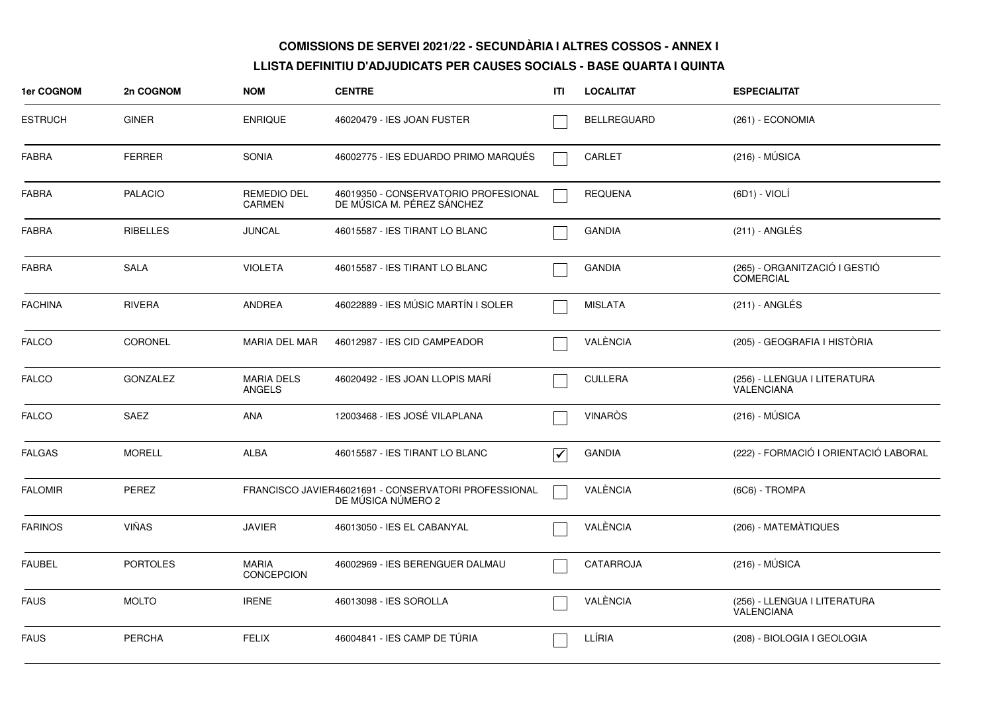| 1er COGNOM     | 2n COGNOM       | <b>NOM</b>                          | <b>CENTRE</b>                                                              | ITI                             | <b>LOCALITAT</b>   | <b>ESPECIALITAT</b>                               |
|----------------|-----------------|-------------------------------------|----------------------------------------------------------------------------|---------------------------------|--------------------|---------------------------------------------------|
| <b>ESTRUCH</b> | <b>GINER</b>    | <b>ENRIQUE</b>                      | 46020479 - IES JOAN FUSTER                                                 |                                 | <b>BELLREGUARD</b> | (261) - ECONOMIA                                  |
| <b>FABRA</b>   | <b>FERRER</b>   | <b>SONIA</b>                        | 46002775 - IES EDUARDO PRIMO MARQUÉS                                       |                                 | <b>CARLET</b>      | $(216) - MÚSICA$                                  |
| <b>FABRA</b>   | <b>PALACIO</b>  | <b>REMEDIO DEL</b><br><b>CARMEN</b> | 46019350 - CONSERVATORIO PROFESIONAL<br>DE MÚSICA M. PÉREZ SÁNCHEZ         |                                 | <b>REQUENA</b>     | $(6D1) - VIOLI$                                   |
| <b>FABRA</b>   | <b>RIBELLES</b> | <b>JUNCAL</b>                       | 46015587 - IES TIRANT LO BLANC                                             |                                 | <b>GANDIA</b>      | $(211)$ - ANGLÉS                                  |
| <b>FABRA</b>   | <b>SALA</b>     | <b>VIOLETA</b>                      | 46015587 - IES TIRANT LO BLANC                                             |                                 | <b>GANDIA</b>      | (265) - ORGANITZACIÓ I GESTIÓ<br><b>COMERCIAL</b> |
| <b>FACHINA</b> | <b>RIVERA</b>   | <b>ANDREA</b>                       | 46022889 - IES MÚSIC MARTÍN I SOLER                                        |                                 | <b>MISLATA</b>     | $(211)$ - ANGLÉS                                  |
| <b>FALCO</b>   | <b>CORONEL</b>  | <b>MARIA DEL MAR</b>                | 46012987 - IES CID CAMPEADOR                                               |                                 | VALÈNCIA           | (205) - GEOGRAFIA I HISTÒRIA                      |
| <b>FALCO</b>   | <b>GONZALEZ</b> | <b>MARIA DELS</b><br><b>ANGELS</b>  | 46020492 - IES JOAN LLOPIS MARI                                            |                                 | <b>CULLERA</b>     | (256) - LLENGUA I LITERATURA<br><b>VALENCIANA</b> |
| <b>FALCO</b>   | <b>SAEZ</b>     | <b>ANA</b>                          | 12003468 - IES JOSÉ VILAPLANA                                              |                                 | <b>VINAROS</b>     | $(216) - MÚSICA$                                  |
| <b>FALGAS</b>  | <b>MORELL</b>   | <b>ALBA</b>                         | 46015587 - IES TIRANT LO BLANC                                             | $\overline{\blacktriangledown}$ | <b>GANDIA</b>      | (222) - FORMACIÓ I ORIENTACIÓ LABORAL             |
| <b>FALOMIR</b> | PEREZ           |                                     | FRANCISCO JAVIER46021691 - CONSERVATORI PROFESSIONAL<br>DE MÚSICA NÚMERO 2 |                                 | VALÈNCIA           | (6C6) - TROMPA                                    |
| <b>FARINOS</b> | <b>VIÑAS</b>    | <b>JAVIER</b>                       | 46013050 - IES EL CABANYAL                                                 |                                 | VALÈNCIA           | (206) - MATEMATIQUES                              |
| <b>FAUBEL</b>  | <b>PORTOLES</b> | <b>MARIA</b><br>CONCEPCION          | 46002969 - IES BERENGUER DALMAU                                            |                                 | <b>CATARROJA</b>   | $(216) - MÚSICA$                                  |
| <b>FAUS</b>    | <b>MOLTO</b>    | <b>IRENE</b>                        | 46013098 - IES SOROLLA                                                     |                                 | VALÈNCIA           | (256) - LLENGUA I LITERATURA<br>VALENCIANA        |
| <b>FAUS</b>    | <b>PERCHA</b>   | <b>FELIX</b>                        | 46004841 - IES CAMP DE TÚRIA                                               |                                 | LLÍRIA             | (208) - BIOLOGIA I GEOLOGIA                       |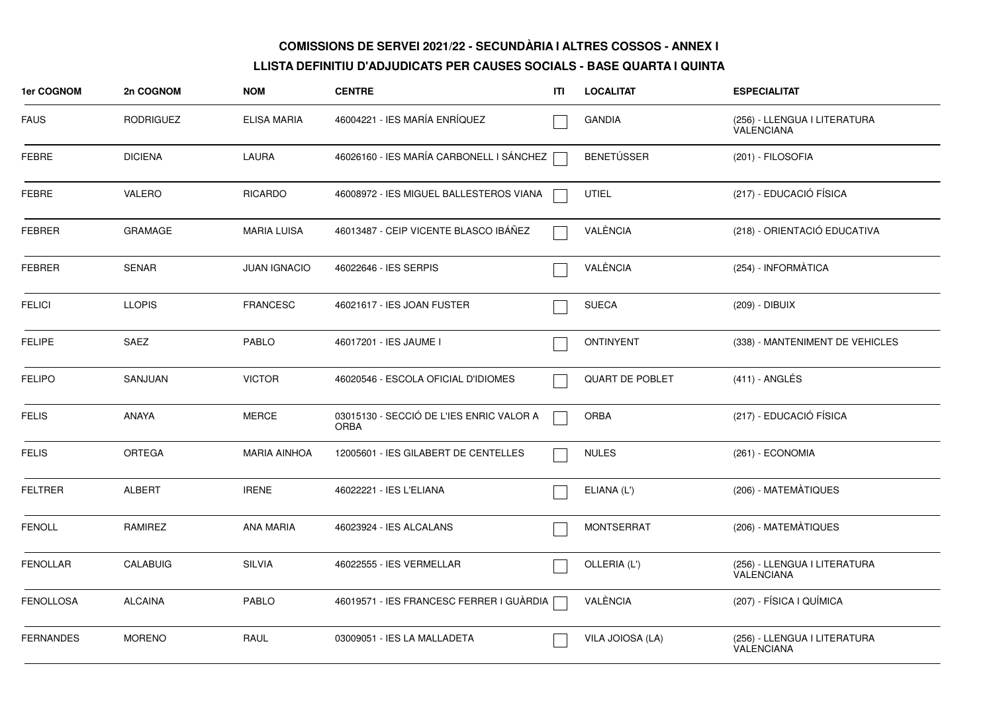| 1er COGNOM       | 2n COGNOM        | <b>NOM</b>          | <b>CENTRE</b>                                           | ITI | <b>LOCALITAT</b>       | <b>ESPECIALITAT</b>                               |
|------------------|------------------|---------------------|---------------------------------------------------------|-----|------------------------|---------------------------------------------------|
| <b>FAUS</b>      | <b>RODRIGUEZ</b> | ELISA MARIA         | 46004221 - IES MARÍA ENRÍQUEZ                           |     | <b>GANDIA</b>          | (256) - LLENGUA I LITERATURA<br><b>VALENCIANA</b> |
| <b>FEBRE</b>     | <b>DICIENA</b>   | LAURA               | 46026160 - IES MARÍA CARBONELL I SÁNCHEZ                |     | <b>BENETÚSSER</b>      | (201) - FILOSOFIA                                 |
| FEBRE            | VALERO           | <b>RICARDO</b>      | 46008972 - IES MIGUEL BALLESTEROS VIANA                 |     | <b>UTIEL</b>           | (217) - EDUCACIÓ FÍSICA                           |
| <b>FEBRER</b>    | <b>GRAMAGE</b>   | <b>MARIA LUISA</b>  | 46013487 - CEIP VICENTE BLASCO IBÁÑEZ                   |     | VALÈNCIA               | (218) - ORIENTACIÓ EDUCATIVA                      |
| <b>FEBRER</b>    | <b>SENAR</b>     | <b>JUAN IGNACIO</b> | 46022646 - IES SERPIS                                   |     | VALÈNCIA               | (254) - INFORMÀTICA                               |
| <b>FELICI</b>    | <b>LLOPIS</b>    | <b>FRANCESC</b>     | 46021617 - IES JOAN FUSTER                              |     | <b>SUECA</b>           | (209) - DIBUIX                                    |
| <b>FELIPE</b>    | SAEZ             | <b>PABLO</b>        | 46017201 - IES JAUME I                                  |     | <b>ONTINYENT</b>       | (338) - MANTENIMENT DE VEHICLES                   |
| <b>FELIPO</b>    | SANJUAN          | <b>VICTOR</b>       | 46020546 - ESCOLA OFICIAL D'IDIOMES                     |     | <b>QUART DE POBLET</b> | $(411)$ - ANGLÉS                                  |
| <b>FELIS</b>     | <b>ANAYA</b>     | <b>MERCE</b>        | 03015130 - SECCIÓ DE L'IES ENRIC VALOR A<br><b>ORBA</b> |     | <b>ORBA</b>            | (217) - EDUCACIÓ FÍSICA                           |
| <b>FELIS</b>     | <b>ORTEGA</b>    | <b>MARIA AINHOA</b> | 12005601 - IES GILABERT DE CENTELLES                    |     | <b>NULES</b>           | (261) - ECONOMIA                                  |
| <b>FELTRER</b>   | <b>ALBERT</b>    | <b>IRENE</b>        | 46022221 - IES L'ELIANA                                 |     | ELIANA (L')            | (206) - MATEMÀTIQUES                              |
| <b>FENOLL</b>    | <b>RAMIREZ</b>   | <b>ANA MARIA</b>    | 46023924 - IES ALCALANS                                 |     | <b>MONTSERRAT</b>      | (206) - MATEMÀTIQUES                              |
| <b>FENOLLAR</b>  | <b>CALABUIG</b>  | SILVIA              | 46022555 - IES VERMELLAR                                |     | OLLERIA (L')           | (256) - LLENGUA I LITERATURA<br><b>VALENCIANA</b> |
| <b>FENOLLOSA</b> | <b>ALCAINA</b>   | <b>PABLO</b>        | 46019571 - IES FRANCESC FERRER I GUÀRDIA                |     | VALÈNCIA               | (207) - FÍSICA I QUÍMICA                          |
| <b>FERNANDES</b> | <b>MORENO</b>    | RAUL                | 03009051 - IES LA MALLADETA                             |     | VILA JOIOSA (LA)       | (256) - LLENGUA I LITERATURA<br><b>VALENCIANA</b> |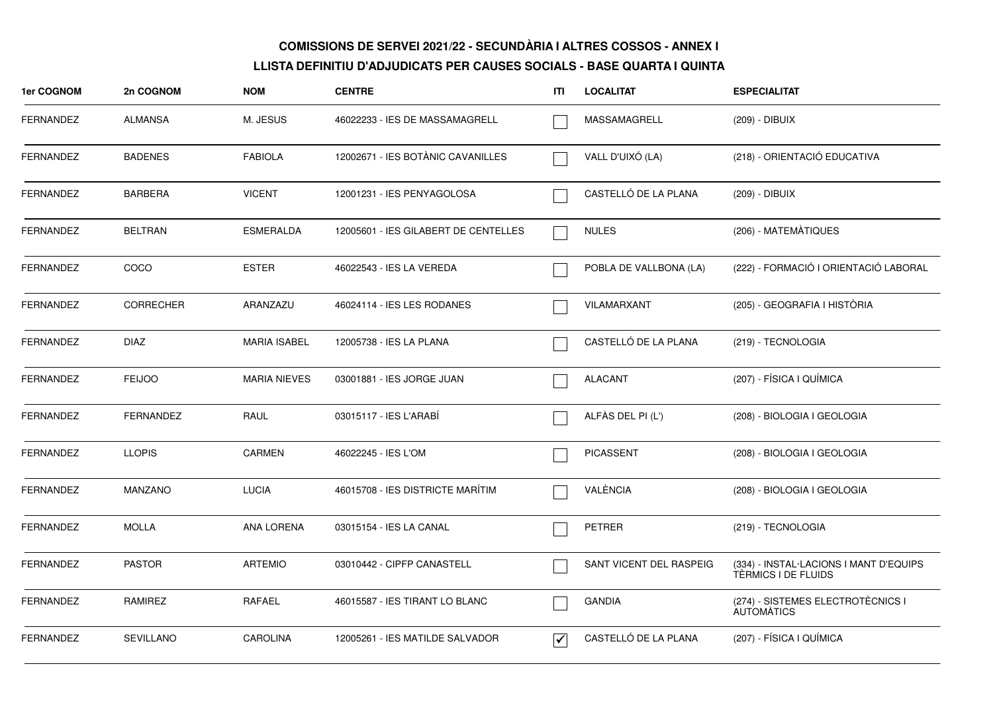| 1er COGNOM       | 2n COGNOM        | <b>NOM</b>          | <b>CENTRE</b>                        | ITI                             | <b>LOCALITAT</b>        | <b>ESPECIALITAT</b>                                           |
|------------------|------------------|---------------------|--------------------------------------|---------------------------------|-------------------------|---------------------------------------------------------------|
| <b>FERNANDEZ</b> | <b>ALMANSA</b>   | M. JESUS            | 46022233 - IES DE MASSAMAGRELL       |                                 | MASSAMAGRELL            | (209) - DIBUIX                                                |
| <b>FERNANDEZ</b> | <b>BADENES</b>   | <b>FABIOLA</b>      | 12002671 - IES BOTÀNIC CAVANILLES    |                                 | VALL D'UIXÓ (LA)        | (218) - ORIENTACIÓ EDUCATIVA                                  |
| <b>FERNANDEZ</b> | <b>BARBERA</b>   | <b>VICENT</b>       | 12001231 - IES PENYAGOLOSA           |                                 | CASTELLÓ DE LA PLANA    | (209) - DIBUIX                                                |
| FERNANDEZ        | <b>BELTRAN</b>   | <b>ESMERALDA</b>    | 12005601 - IES GILABERT DE CENTELLES |                                 | <b>NULES</b>            | (206) - MATEMÀTIQUES                                          |
| FERNANDEZ        | COCO             | <b>ESTER</b>        | 46022543 - IES LA VEREDA             |                                 | POBLA DE VALLBONA (LA)  | (222) - FORMACIÓ I ORIENTACIÓ LABORAL                         |
| <b>FERNANDEZ</b> | <b>CORRECHER</b> | ARANZAZU            | 46024114 - IES LES RODANES           |                                 | VILAMARXANT             | (205) - GEOGRAFIA I HISTÒRIA                                  |
| <b>FERNANDEZ</b> | <b>DIAZ</b>      | <b>MARIA ISABEL</b> | 12005738 - IES LA PLANA              |                                 | CASTELLÓ DE LA PLANA    | (219) - TECNOLOGIA                                            |
| <b>FERNANDEZ</b> | <b>FEIJOO</b>    | <b>MARIA NIEVES</b> | 03001881 - IES JORGE JUAN            |                                 | <b>ALACANT</b>          | (207) - FÍSICA I QUÍMICA                                      |
| <b>FERNANDEZ</b> | <b>FERNANDEZ</b> | RAUL                | 03015117 - IES L'ARABÍ               |                                 | ALFÀS DEL PI (L')       | (208) - BIOLOGIA I GEOLOGIA                                   |
| <b>FERNANDEZ</b> | <b>LLOPIS</b>    | <b>CARMEN</b>       | 46022245 - IES L'OM                  |                                 | <b>PICASSENT</b>        | (208) - BIOLOGIA I GEOLOGIA                                   |
| <b>FERNANDEZ</b> | <b>MANZANO</b>   | <b>LUCIA</b>        | 46015708 - IES DISTRICTE MARÍTIM     |                                 | VALÈNCIA                | (208) - BIOLOGIA I GEOLOGIA                                   |
| FERNANDEZ        | <b>MOLLA</b>     | ANA LORENA          | 03015154 - IES LA CANAL              |                                 | <b>PETRER</b>           | (219) - TECNOLOGIA                                            |
| <b>FERNANDEZ</b> | <b>PASTOR</b>    | <b>ARTEMIO</b>      | 03010442 - CIPFP CANASTELL           |                                 | SANT VICENT DEL RASPEIG | (334) - INSTAL·LACIONS I MANT D'EQUIPS<br>TÈRMICS I DE FLUIDS |
| <b>FERNANDEZ</b> | RAMIREZ          | RAFAEL              | 46015587 - IES TIRANT LO BLANC       |                                 | <b>GANDIA</b>           | (274) - SISTEMES ELECTROTÈCNICS I<br>AUTOMÀTICS               |
| <b>FERNANDEZ</b> | <b>SEVILLANO</b> | <b>CAROLINA</b>     | 12005261 - IES MATILDE SALVADOR      | $\overline{\blacktriangledown}$ | CASTELLÓ DE LA PLANA    | (207) - FÍSICA I QUÍMICA                                      |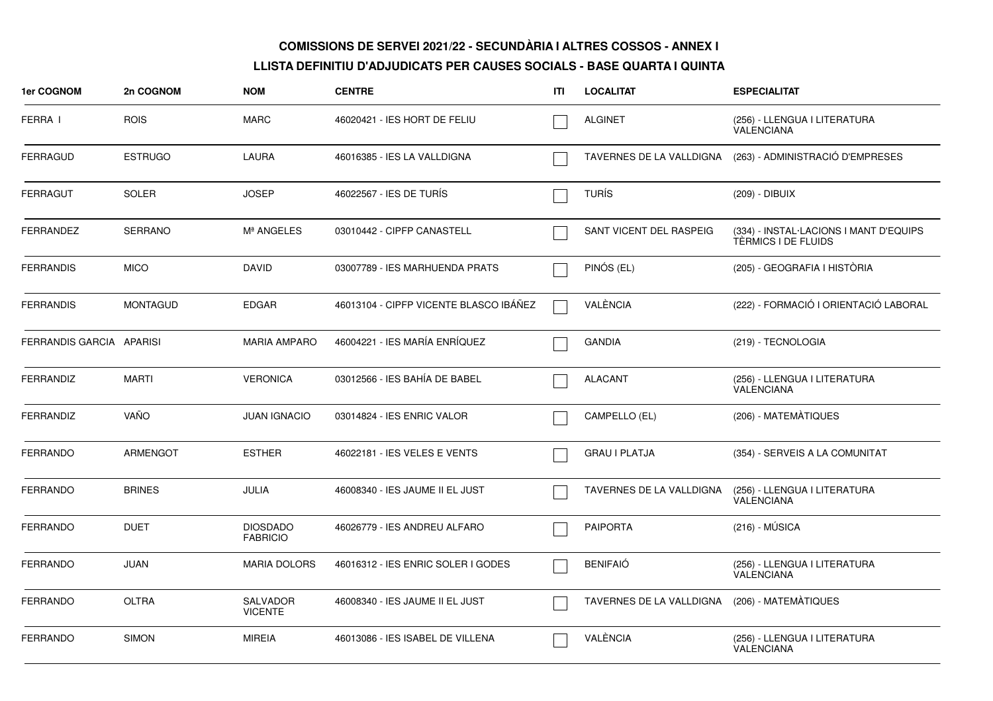| 1er COGNOM               | 2n COGNOM       | <b>NOM</b>                         | <b>CENTRE</b>                          | ITL | <b>LOCALITAT</b>         | <b>ESPECIALITAT</b>                                           |
|--------------------------|-----------------|------------------------------------|----------------------------------------|-----|--------------------------|---------------------------------------------------------------|
| FERRA I                  | <b>ROIS</b>     | <b>MARC</b>                        | 46020421 - IES HORT DE FELIU           |     | <b>ALGINET</b>           | (256) - LLENGUA I LITERATURA<br><b>VALENCIANA</b>             |
| <b>FERRAGUD</b>          | <b>ESTRUGO</b>  | LAURA                              | 46016385 - IES LA VALLDIGNA            |     | TAVERNES DE LA VALLDIGNA | (263) - ADMINISTRACIÓ D'EMPRESES                              |
| <b>FERRAGUT</b>          | <b>SOLER</b>    | <b>JOSEP</b>                       | 46022567 - IES DE TURÍS                |     | <b>TURÍS</b>             | (209) - DIBUIX                                                |
| <b>FERRANDEZ</b>         | <b>SERRANO</b>  | Mª ANGELES                         | 03010442 - CIPFP CANASTELL             |     | SANT VICENT DEL RASPEIG  | (334) - INSTAL·LACIONS I MANT D'EQUIPS<br>TÈRMICS I DE FLUIDS |
| <b>FERRANDIS</b>         | <b>MICO</b>     | <b>DAVID</b>                       | 03007789 - IES MARHUENDA PRATS         |     | PINÓS (EL)               | (205) - GEOGRAFIA I HISTÒRIA                                  |
| <b>FERRANDIS</b>         | <b>MONTAGUD</b> | <b>EDGAR</b>                       | 46013104 - CIPFP VICENTE BLASCO IBÁÑEZ |     | VALÈNCIA                 | (222) - FORMACIÓ I ORIENTACIÓ LABORAL                         |
| FERRANDIS GARCIA APARISI |                 | <b>MARIA AMPARO</b>                | 46004221 - IES MARÍA ENRÍQUEZ          |     | <b>GANDIA</b>            | (219) - TECNOLOGIA                                            |
| <b>FERRANDIZ</b>         | <b>MARTI</b>    | <b>VERONICA</b>                    | 03012566 - IES BAHÍA DE BABEL          |     | <b>ALACANT</b>           | (256) - LLENGUA I LITERATURA<br>VALENCIANA                    |
| FERRANDIZ                | VAÑO            | <b>JUAN IGNACIO</b>                | 03014824 - IES ENRIC VALOR             |     | CAMPELLO (EL)            | (206) - MATEMÀTIQUES                                          |
| <b>FERRANDO</b>          | ARMENGOT        | <b>ESTHER</b>                      | 46022181 - IES VELES E VENTS           |     | <b>GRAU I PLATJA</b>     | (354) - SERVEIS A LA COMUNITAT                                |
| <b>FERRANDO</b>          | <b>BRINES</b>   | <b>JULIA</b>                       | 46008340 - IES JAUME II EL JUST        |     | TAVERNES DE LA VALLDIGNA | (256) - LLENGUA I LITERATURA<br><b>VALENCIANA</b>             |
| <b>FERRANDO</b>          | <b>DUET</b>     | <b>DIOSDADO</b><br><b>FABRICIO</b> | 46026779 - IES ANDREU ALFARO           |     | <b>PAIPORTA</b>          | $(216) - MÚSICA$                                              |
| <b>FERRANDO</b>          | <b>JUAN</b>     | <b>MARIA DOLORS</b>                | 46016312 - IES ENRIC SOLER I GODES     |     | <b>BENIFAIO</b>          | (256) - LLENGUA I LITERATURA<br><b>VALENCIANA</b>             |
| <b>FERRANDO</b>          | <b>OLTRA</b>    | <b>SALVADOR</b><br><b>VICENTE</b>  | 46008340 - IES JAUME II EL JUST        |     | TAVERNES DE LA VALLDIGNA | (206) - MATEMÀTIQUES                                          |
| <b>FERRANDO</b>          | <b>SIMON</b>    | <b>MIREIA</b>                      | 46013086 - IES ISABEL DE VILLENA       |     | VALÈNCIA                 | (256) - LLENGUA I LITERATURA<br>VALENCIANA                    |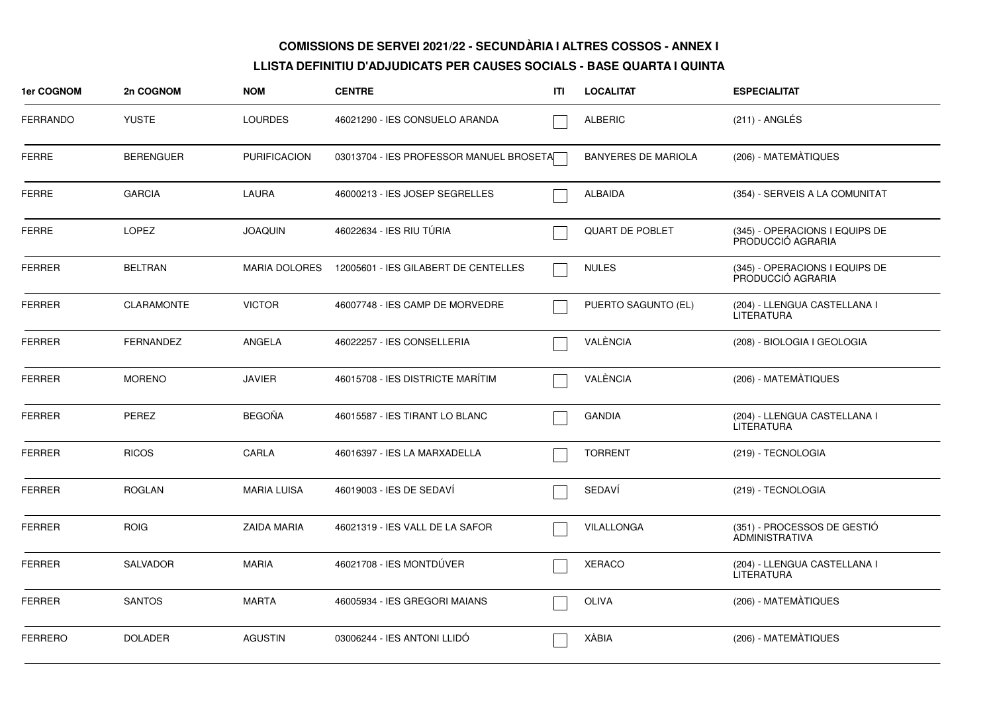| 1er COGNOM      | 2n COGNOM         | <b>NOM</b>           | <b>CENTRE</b>                           | ITI | <b>LOCALITAT</b>           | <b>ESPECIALITAT</b>                                  |
|-----------------|-------------------|----------------------|-----------------------------------------|-----|----------------------------|------------------------------------------------------|
| <b>FERRANDO</b> | <b>YUSTE</b>      | <b>LOURDES</b>       | 46021290 - IES CONSUELO ARANDA          |     | <b>ALBERIC</b>             | $(211)$ - ANGLÉS                                     |
| <b>FERRE</b>    | <b>BERENGUER</b>  | <b>PURIFICACION</b>  | 03013704 - IES PROFESSOR MANUEL BROSETA |     | <b>BANYERES DE MARIOLA</b> | (206) - MATEMÀTIQUES                                 |
| <b>FERRE</b>    | <b>GARCIA</b>     | <b>LAURA</b>         | 46000213 - IES JOSEP SEGRELLES          |     | <b>ALBAIDA</b>             | (354) - SERVEIS A LA COMUNITAT                       |
| <b>FERRE</b>    | <b>LOPEZ</b>      | <b>JOAQUIN</b>       | 46022634 - IES RIU TÜRIA                |     | <b>QUART DE POBLET</b>     | (345) - OPERACIONS I EQUIPS DE<br>PRODUCCIÓ AGRARIA  |
| <b>FERRER</b>   | <b>BELTRAN</b>    | <b>MARIA DOLORES</b> | 12005601 - IES GILABERT DE CENTELLES    |     | <b>NULES</b>               | (345) - OPERACIONS I EQUIPS DE<br>PRODUCCIÓ AGRARIA  |
| FERRER          | <b>CLARAMONTE</b> | <b>VICTOR</b>        | 46007748 - IES CAMP DE MORVEDRE         |     | PUERTO SAGUNTO (EL)        | (204) - LLENGUA CASTELLANA I<br><b>LITERATURA</b>    |
| <b>FERRER</b>   | <b>FERNANDEZ</b>  | ANGELA               | 46022257 - IES CONSELLERIA              |     | VALÈNCIA                   | (208) - BIOLOGIA I GEOLOGIA                          |
| <b>FERRER</b>   | <b>MORENO</b>     | <b>JAVIER</b>        | 46015708 - IES DISTRICTE MARÍTIM        |     | VALÈNCIA                   | (206) - MATEMÀTIQUES                                 |
| <b>FERRER</b>   | PEREZ             | <b>BEGOÑA</b>        | 46015587 - IES TIRANT LO BLANC          |     | <b>GANDIA</b>              | (204) - LLENGUA CASTELLANA I<br><b>LITERATURA</b>    |
| <b>FERRER</b>   | <b>RICOS</b>      | CARLA                | 46016397 - IES LA MARXADELLA            |     | <b>TORRENT</b>             | (219) - TECNOLOGIA                                   |
| <b>FERRER</b>   | <b>ROGLAN</b>     | <b>MARIA LUISA</b>   | 46019003 - IES DE SEDAVÍ                |     | SEDAVÍ                     | (219) - TECNOLOGIA                                   |
| <b>FERRER</b>   | <b>ROIG</b>       | <b>ZAIDA MARIA</b>   | 46021319 - IES VALL DE LA SAFOR         |     | VILALLONGA                 | (351) - PROCESSOS DE GESTIÓ<br><b>ADMINISTRATIVA</b> |
| <b>FERRER</b>   | <b>SALVADOR</b>   | <b>MARIA</b>         | 46021708 - IES MONTDÚVER                |     | <b>XERACO</b>              | (204) - LLENGUA CASTELLANA I<br><b>LITERATURA</b>    |
| <b>FERRER</b>   | <b>SANTOS</b>     | <b>MARTA</b>         | 46005934 - IES GREGORI MAIANS           |     | <b>OLIVA</b>               | (206) - MATEMÀTIQUES                                 |
| <b>FERRERO</b>  | <b>DOLADER</b>    | <b>AGUSTIN</b>       | 03006244 - IES ANTONI LLIDÓ             |     | XÀBIA                      | (206) - MATEMÀTIQUES                                 |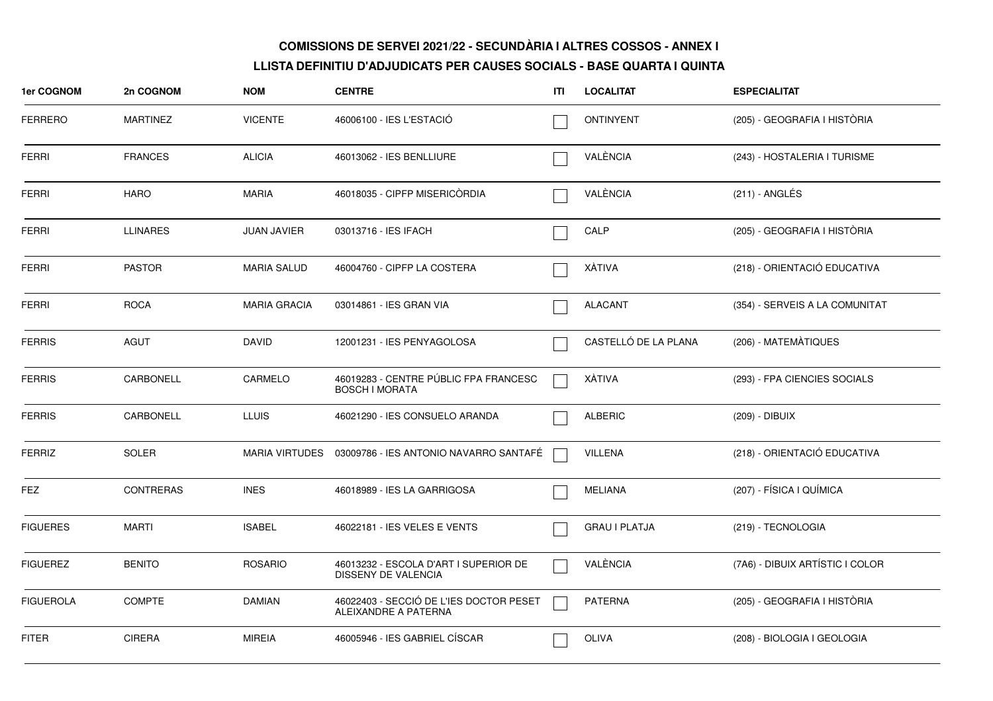| 1er COGNOM       | 2n COGNOM        | <b>NOM</b>          | <b>CENTRE</b>                                                   | ITI | <b>LOCALITAT</b>     | <b>ESPECIALITAT</b>             |
|------------------|------------------|---------------------|-----------------------------------------------------------------|-----|----------------------|---------------------------------|
| <b>FERRERO</b>   | <b>MARTINEZ</b>  | <b>VICENTE</b>      | 46006100 - IES L'ESTACIÓ                                        |     | <b>ONTINYENT</b>     | (205) - GEOGRAFIA I HISTÒRIA    |
| <b>FERRI</b>     | <b>FRANCES</b>   | <b>ALICIA</b>       | 46013062 - IES BENLLIURE                                        |     | VALÈNCIA             | (243) - HOSTALERIA I TURISME    |
| <b>FERRI</b>     | <b>HARO</b>      | <b>MARIA</b>        | 46018035 - CIPFP MISERICORDIA                                   |     | VALÈNCIA             | (211) - ANGLÉS                  |
| <b>FERRI</b>     | <b>LLINARES</b>  | <b>JUAN JAVIER</b>  | 03013716 - IES IFACH                                            |     | CALP                 | (205) - GEOGRAFIA I HISTÒRIA    |
| <b>FERRI</b>     | <b>PASTOR</b>    | <b>MARIA SALUD</b>  | 46004760 - CIPFP LA COSTERA                                     |     | XÀTIVA               | (218) - ORIENTACIÓ EDUCATIVA    |
| <b>FERRI</b>     | <b>ROCA</b>      | <b>MARIA GRACIA</b> | 03014861 - IES GRAN VIA                                         |     | <b>ALACANT</b>       | (354) - SERVEIS A LA COMUNITAT  |
| <b>FERRIS</b>    | <b>AGUT</b>      | <b>DAVID</b>        | 12001231 - IES PENYAGOLOSA                                      |     | CASTELLÓ DE LA PLANA | (206) - MATEMÀTIQUES            |
| <b>FERRIS</b>    | CARBONELL        | CARMELO             | 46019283 - CENTRE PÚBLIC FPA FRANCESC<br><b>BOSCH I MORATA</b>  |     | XÀTIVA               | (293) - FPA CIENCIES SOCIALS    |
| <b>FERRIS</b>    | CARBONELL        | <b>LLUIS</b>        | 46021290 - IES CONSUELO ARANDA                                  |     | <b>ALBERIC</b>       | (209) - DIBUIX                  |
| <b>FERRIZ</b>    | <b>SOLER</b>     |                     | MARIA VIRTUDES 03009786 - IES ANTONIO NAVARRO SANTAFÉ           |     | <b>VILLENA</b>       | (218) - ORIENTACIÓ EDUCATIVA    |
| FEZ              | <b>CONTRERAS</b> | <b>INES</b>         | 46018989 - IES LA GARRIGOSA                                     |     | <b>MELIANA</b>       | (207) - FÍSICA I QUÍMICA        |
| <b>FIGUERES</b>  | <b>MARTI</b>     | <b>ISABEL</b>       | 46022181 - IES VELES E VENTS                                    |     | <b>GRAU I PLATJA</b> | (219) - TECNOLOGIA              |
| <b>FIGUEREZ</b>  | <b>BENITO</b>    | <b>ROSARIO</b>      | 46013232 - ESCOLA D'ART I SUPERIOR DE<br>DISSENY DE VALENCIA    |     | VALÈNCIA             | (7A6) - DIBUIX ARTÍSTIC I COLOR |
| <b>FIGUEROLA</b> | <b>COMPTE</b>    | DAMIAN              | 46022403 - SECCIÓ DE L'IES DOCTOR PESET<br>ALEIXANDRE A PATERNA |     | <b>PATERNA</b>       | (205) - GEOGRAFIA I HISTÒRIA    |
| <b>FITER</b>     | <b>CIRERA</b>    | <b>MIREIA</b>       | 46005946 - IES GABRIEL CÍSCAR                                   |     | OLIVA                | (208) - BIOLOGIA I GEOLOGIA     |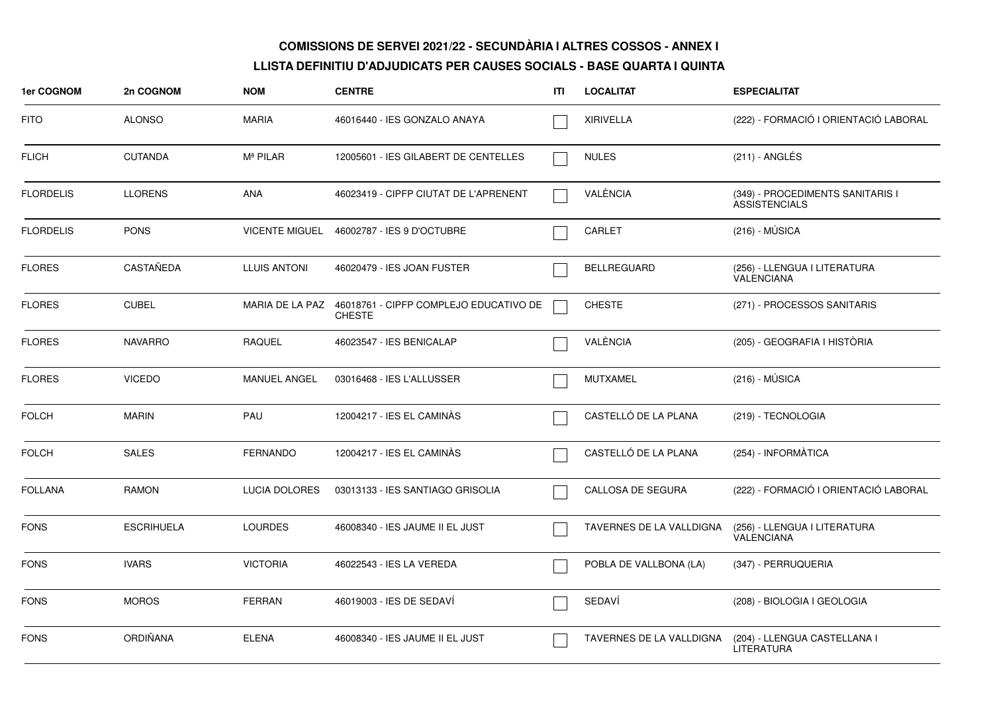| 1er COGNOM       | 2n COGNOM         | <b>NOM</b>            | <b>CENTRE</b>                                                           | ITI | <b>LOCALITAT</b>         | <b>ESPECIALITAT</b>                                      |
|------------------|-------------------|-----------------------|-------------------------------------------------------------------------|-----|--------------------------|----------------------------------------------------------|
| <b>FITO</b>      | <b>ALONSO</b>     | MARIA                 | 46016440 - IES GONZALO ANAYA                                            |     | <b>XIRIVELLA</b>         | (222) - FORMACIÓ I ORIENTACIÓ LABORAL                    |
| <b>FLICH</b>     | <b>CUTANDA</b>    | Mª PILAR              | 12005601 - IES GILABERT DE CENTELLES                                    |     | <b>NULES</b>             | $(211)$ - ANGLÉS                                         |
| <b>FLORDELIS</b> | <b>LLORENS</b>    | <b>ANA</b>            | 46023419 - CIPFP CIUTAT DE L'APRENENT                                   |     | VALÈNCIA                 | (349) - PROCEDIMENTS SANITARIS I<br><b>ASSISTENCIALS</b> |
| <b>FLORDELIS</b> | <b>PONS</b>       | <b>VICENTE MIGUEL</b> | 46002787 - IES 9 D'OCTUBRE                                              |     | CARLET                   | $(216) - MÚSICA$                                         |
| <b>FLORES</b>    | <b>CASTAÑEDA</b>  | <b>LLUIS ANTONI</b>   | 46020479 - IES JOAN FUSTER                                              |     | <b>BELLREGUARD</b>       | (256) - LLENGUA I LITERATURA<br>VALENCIANA               |
| <b>FLORES</b>    | <b>CUBEL</b>      |                       | MARIA DE LA PAZ 46018761 - CIPFP COMPLEJO EDUCATIVO DE<br><b>CHESTE</b> |     | <b>CHESTE</b>            | (271) - PROCESSOS SANITARIS                              |
| <b>FLORES</b>    | <b>NAVARRO</b>    | <b>RAQUEL</b>         | 46023547 - IES BENICALAP                                                |     | VALÈNCIA                 | (205) - GEOGRAFIA I HISTÒRIA                             |
| <b>FLORES</b>    | <b>VICEDO</b>     | <b>MANUEL ANGEL</b>   | 03016468 - IES L'ALLUSSER                                               |     | <b>MUTXAMEL</b>          | $(216) - MÚSICA$                                         |
| <b>FOLCH</b>     | <b>MARIN</b>      | PAU                   | 12004217 - IES EL CAMINÀS                                               |     | CASTELLÓ DE LA PLANA     | (219) - TECNOLOGIA                                       |
| <b>FOLCH</b>     | <b>SALES</b>      | FERNANDO              | 12004217 - IES EL CAMINÀS                                               |     | CASTELLÓ DE LA PLANA     | (254) - INFORMÀTICA                                      |
| <b>FOLLANA</b>   | <b>RAMON</b>      | <b>LUCIA DOLORES</b>  | 03013133 - IES SANTIAGO GRISOLIA                                        |     | CALLOSA DE SEGURA        | (222) - FORMACIÓ I ORIENTACIÓ LABORAL                    |
| <b>FONS</b>      | <b>ESCRIHUELA</b> | <b>LOURDES</b>        | 46008340 - IES JAUME II EL JUST                                         |     | TAVERNES DE LA VALLDIGNA | (256) - LLENGUA I LITERATURA<br>VALENCIANA               |
| <b>FONS</b>      | <b>IVARS</b>      | <b>VICTORIA</b>       | 46022543 - IES LA VEREDA                                                |     | POBLA DE VALLBONA (LA)   | (347) - PERRUQUERIA                                      |
| <b>FONS</b>      | <b>MOROS</b>      | FERRAN                | 46019003 - IES DE SEDAVÍ                                                |     | SEDAVÍ                   | (208) - BIOLOGIA I GEOLOGIA                              |
| <b>FONS</b>      | ORDIÑANA          | <b>ELENA</b>          | 46008340 - IES JAUME II EL JUST                                         |     | TAVERNES DE LA VALLDIGNA | (204) - LLENGUA CASTELLANA I<br><b>LITERATURA</b>        |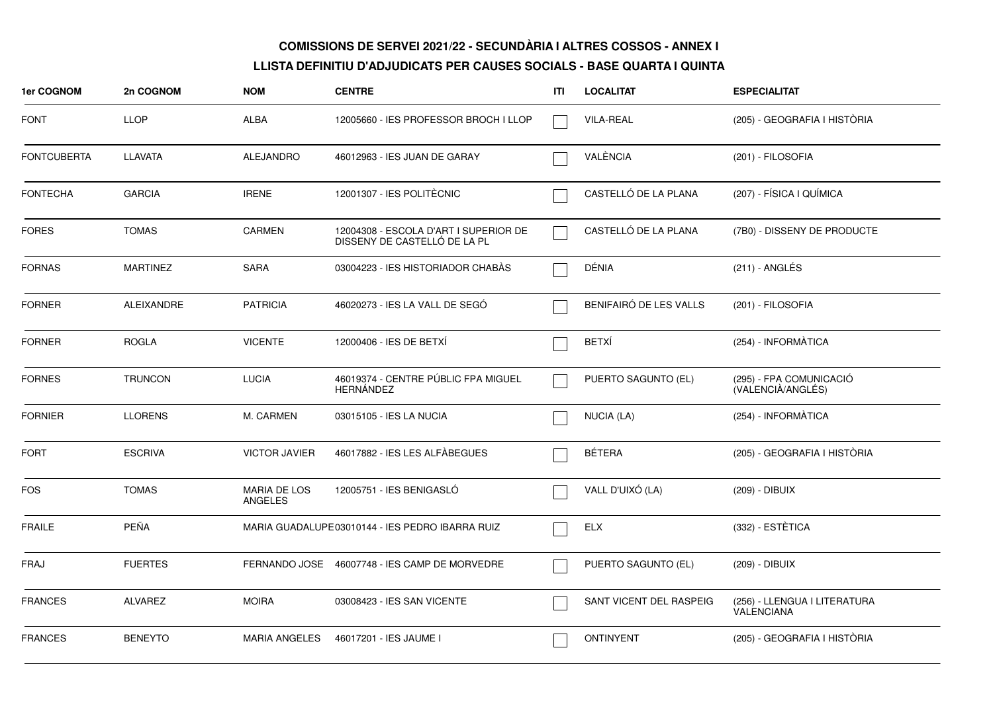| <b>1er COGNOM</b>  | 2n COGNOM         | <b>NOM</b>                            | <b>CENTRE</b>                                                         | ITI | <b>LOCALITAT</b>        | <b>ESPECIALITAT</b>                          |
|--------------------|-------------------|---------------------------------------|-----------------------------------------------------------------------|-----|-------------------------|----------------------------------------------|
| <b>FONT</b>        | <b>LLOP</b>       | <b>ALBA</b>                           | 12005660 - IES PROFESSOR BROCH I LLOP                                 |     | <b>VILA-REAL</b>        | (205) - GEOGRAFIA I HISTÒRIA                 |
| <b>FONTCUBERTA</b> | <b>LLAVATA</b>    | <b>ALEJANDRO</b>                      | 46012963 - IES JUAN DE GARAY                                          |     | VALÈNCIA                | (201) - FILOSOFIA                            |
| <b>FONTECHA</b>    | <b>GARCIA</b>     | <b>IRENE</b>                          | 12001307 - IES POLITÈCNIC                                             |     | CASTELLÓ DE LA PLANA    | (207) - FÍSICA I QUÍMICA                     |
| <b>FORES</b>       | <b>TOMAS</b>      | <b>CARMEN</b>                         | 12004308 - ESCOLA D'ART I SUPERIOR DE<br>DISSENY DE CASTELLÓ DE LA PL |     | CASTELLÓ DE LA PLANA    | (7B0) - DISSENY DE PRODUCTE                  |
| <b>FORNAS</b>      | <b>MARTINEZ</b>   | <b>SARA</b>                           | 03004223 - IES HISTORIADOR CHABAS                                     |     | DÉNIA                   | (211) - ANGLÉS                               |
| <b>FORNER</b>      | <b>ALEIXANDRE</b> | <b>PATRICIA</b>                       | 46020273 - IES LA VALL DE SEGÓ                                        |     | BENIFAIRÓ DE LES VALLS  | (201) - FILOSOFIA                            |
| <b>FORNER</b>      | <b>ROGLA</b>      | <b>VICENTE</b>                        | 12000406 - IES DE BETXI                                               |     | <b>BETXI</b>            | (254) - INFORMÀTICA                          |
| <b>FORNES</b>      | <b>TRUNCON</b>    | <b>LUCIA</b>                          | 46019374 - CENTRE PÚBLIC FPA MIGUEL<br><b>HERNANDEZ</b>               |     | PUERTO SAGUNTO (EL)     | (295) - FPA COMUNICACIÓ<br>(VALENCIÀ/ANGLÉS) |
| <b>FORNIER</b>     | <b>LLORENS</b>    | M. CARMEN                             | 03015105 - IES LA NUCIA                                               |     | NUCIA (LA)              | (254) - INFORMÀTICA                          |
| <b>FORT</b>        | <b>ESCRIVA</b>    | <b>VICTOR JAVIER</b>                  | 46017882 - IES LES ALFÀBEGUES                                         |     | <b>BÉTERA</b>           | (205) - GEOGRAFIA I HISTÒRIA                 |
| <b>FOS</b>         | <b>TOMAS</b>      | <b>MARIA DE LOS</b><br><b>ANGELES</b> | 12005751 - IES BENIGASLÓ                                              |     | VALL D'UIXÓ (LA)        | (209) - DIBUIX                               |
| <b>FRAILE</b>      | PEÑA              |                                       | MARIA GUADALUPE03010144 - IES PEDRO IBARRA RUIZ                       |     | <b>ELX</b>              | (332) - ESTÈTICA                             |
| FRAJ               | <b>FUERTES</b>    |                                       | FERNANDO JOSE 46007748 - IES CAMP DE MORVEDRE                         |     | PUERTO SAGUNTO (EL)     | (209) - DIBUIX                               |
| <b>FRANCES</b>     | <b>ALVAREZ</b>    | <b>MOIRA</b>                          | 03008423 - IES SAN VICENTE                                            |     | SANT VICENT DEL RASPEIG | (256) - LLENGUA I LITERATURA<br>VALENCIANA   |
| <b>FRANCES</b>     | <b>BENEYTO</b>    | <b>MARIA ANGELES</b>                  | 46017201 - IES JAUME I                                                |     | <b>ONTINYENT</b>        | (205) - GEOGRAFIA I HISTÒRIA                 |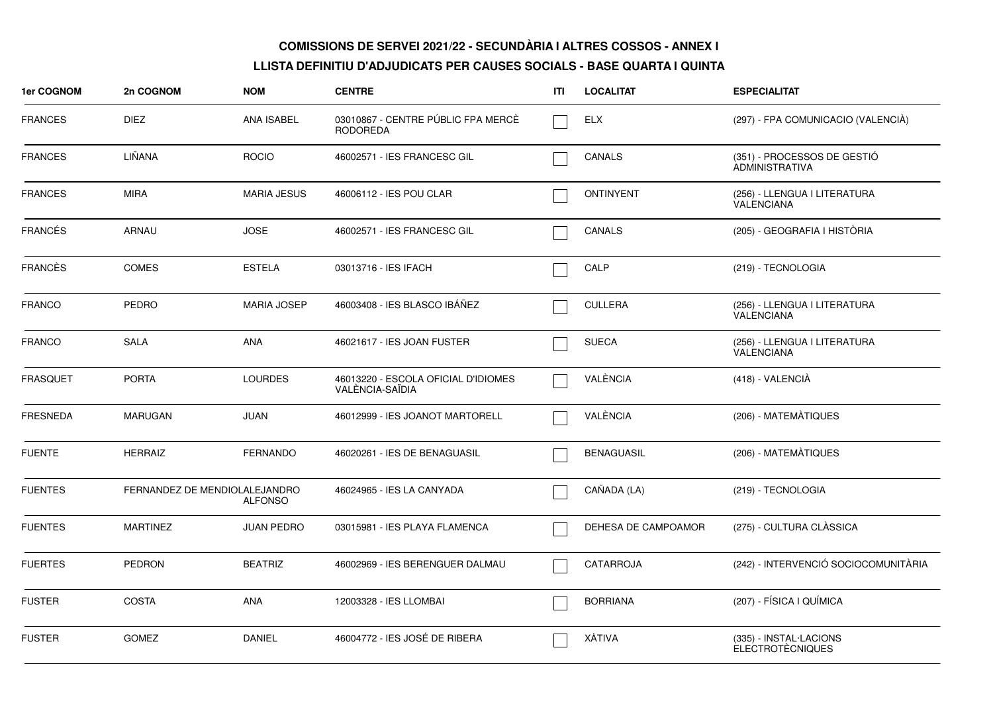| 1er COGNOM      | 2n COGNOM                     | <b>NOM</b>         | <b>CENTRE</b>                                          | ΙTΙ | <b>LOCALITAT</b>    | <b>ESPECIALITAT</b>                                  |
|-----------------|-------------------------------|--------------------|--------------------------------------------------------|-----|---------------------|------------------------------------------------------|
| <b>FRANCES</b>  | <b>DIEZ</b>                   | <b>ANA ISABEL</b>  | 03010867 - CENTRE PÚBLIC FPA MERCÈ<br><b>RODOREDA</b>  |     | <b>ELX</b>          | (297) - FPA COMUNICACIO (VALENCIA)                   |
| <b>FRANCES</b>  | LIÑANA                        | <b>ROCIO</b>       | 46002571 - IES FRANCESC GIL                            |     | <b>CANALS</b>       | (351) - PROCESSOS DE GESTIÓ<br><b>ADMINISTRATIVA</b> |
| <b>FRANCES</b>  | <b>MIRA</b>                   | <b>MARIA JESUS</b> | 46006112 - IES POU CLAR                                |     | <b>ONTINYENT</b>    | (256) - LLENGUA I LITERATURA<br>VALENCIANA           |
| <b>FRANCÉS</b>  | ARNAU                         | <b>JOSE</b>        | 46002571 - IES FRANCESC GIL                            |     | CANALS              | (205) - GEOGRAFIA I HISTÒRIA                         |
| <b>FRANCÈS</b>  | <b>COMES</b>                  | <b>ESTELA</b>      | 03013716 - IES IFACH                                   |     | CALP                | (219) - TECNOLOGIA                                   |
| <b>FRANCO</b>   | PEDRO                         | <b>MARIA JOSEP</b> | 46003408 - IES BLASCO IBÁÑEZ                           |     | <b>CULLERA</b>      | (256) - LLENGUA I LITERATURA<br>VALENCIANA           |
| <b>FRANCO</b>   | <b>SALA</b>                   | ANA                | 46021617 - IES JOAN FUSTER                             |     | <b>SUECA</b>        | (256) - LLENGUA I LITERATURA<br>VALENCIANA           |
| FRASQUET        | <b>PORTA</b>                  | <b>LOURDES</b>     | 46013220 - ESCOLA OFICIAL D'IDIOMES<br>VALENCIA-SAÏDIA |     | VALÈNCIA            | $(418) - VALENCIA$                                   |
| <b>FRESNEDA</b> | <b>MARUGAN</b>                | <b>JUAN</b>        | 46012999 - IES JOANOT MARTORELL                        |     | VALÈNCIA            | (206) - MATEMÀTIQUES                                 |
| <b>FUENTE</b>   | <b>HERRAIZ</b>                | <b>FERNANDO</b>    | 46020261 - IES DE BENAGUASIL                           |     | <b>BENAGUASIL</b>   | (206) - MATEMÀTIQUES                                 |
| <b>FUENTES</b>  | FERNANDEZ DE MENDIOLALEJANDRO | <b>ALFONSO</b>     | 46024965 - IES LA CANYADA                              |     | CAÑADA (LA)         | (219) - TECNOLOGIA                                   |
| <b>FUENTES</b>  | <b>MARTINEZ</b>               | <b>JUAN PEDRO</b>  | 03015981 - IES PLAYA FLAMENCA                          |     | DEHESA DE CAMPOAMOR | (275) - CULTURA CLÀSSICA                             |
| <b>FUERTES</b>  | <b>PEDRON</b>                 | <b>BEATRIZ</b>     | 46002969 - IES BERENGUER DALMAU                        |     | CATARROJA           | (242) - INTERVENCIÓ SOCIOCOMUNITÀRIA                 |
| <b>FUSTER</b>   | <b>COSTA</b>                  | ANA                | 12003328 - IES LLOMBAI                                 |     | <b>BORRIANA</b>     | (207) - FÍSICA I QUÍMICA                             |
| <b>FUSTER</b>   | <b>GOMEZ</b>                  | <b>DANIEL</b>      | 46004772 - IES JOSÉ DE RIBERA                          |     | XÀTIVA              | (335) - INSTAL·LACIONS<br><b>ELECTROTÈCNIQUES</b>    |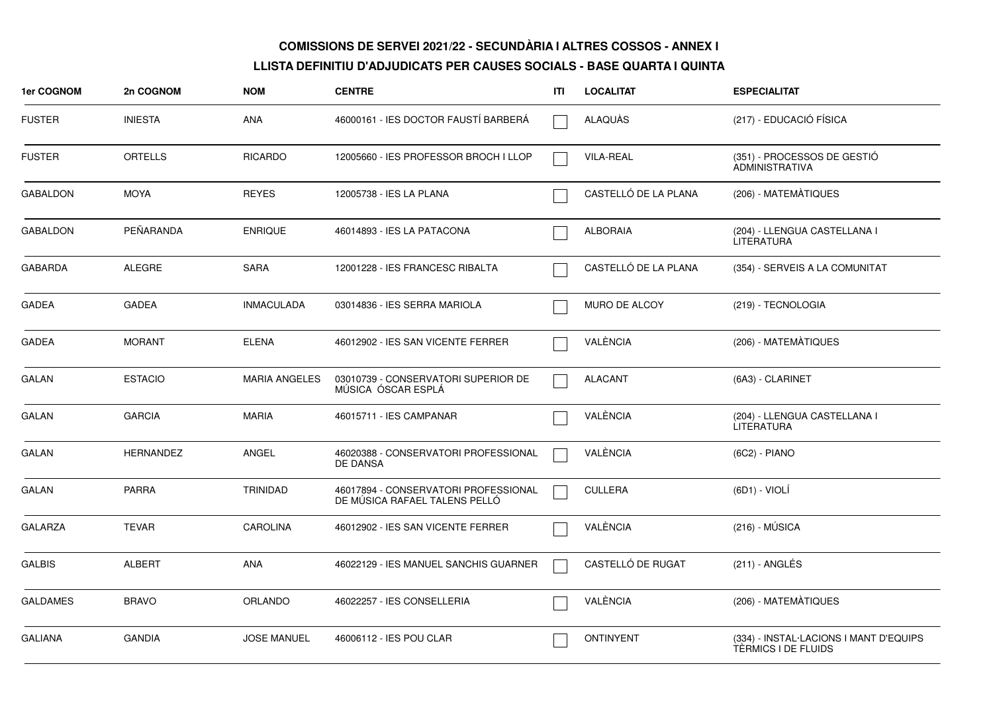| 1er COGNOM      | 2n COGNOM        | <b>NOM</b>           | <b>CENTRE</b>                                                         | ITI | <b>LOCALITAT</b>     | <b>ESPECIALITAT</b>                                           |
|-----------------|------------------|----------------------|-----------------------------------------------------------------------|-----|----------------------|---------------------------------------------------------------|
| <b>FUSTER</b>   | <b>INIESTA</b>   | <b>ANA</b>           | 46000161 - IES DOCTOR FAUSTÍ BARBERÁ                                  |     | ALAQUAS              | (217) - EDUCACIÓ FÍSICA                                       |
| <b>FUSTER</b>   | <b>ORTELLS</b>   | <b>RICARDO</b>       | 12005660 - IES PROFESSOR BROCH I LLOP                                 |     | <b>VILA-REAL</b>     | (351) - PROCESSOS DE GESTIÓ<br><b>ADMINISTRATIVA</b>          |
| <b>GABALDON</b> | <b>MOYA</b>      | <b>REYES</b>         | 12005738 - IES LA PLANA                                               |     | CASTELLÓ DE LA PLANA | (206) - MATEMÀTIQUES                                          |
| <b>GABALDON</b> | PEÑARANDA        | <b>ENRIQUE</b>       | 46014893 - IES LA PATACONA                                            |     | <b>ALBORAIA</b>      | (204) - LLENGUA CASTELLANA I<br>LITERATURA                    |
| <b>GABARDA</b>  | <b>ALEGRE</b>    | <b>SARA</b>          | 12001228 - IES FRANCESC RIBALTA                                       |     | CASTELLÓ DE LA PLANA | (354) - SERVEIS A LA COMUNITAT                                |
| <b>GADEA</b>    | <b>GADEA</b>     | <b>INMACULADA</b>    | 03014836 - IES SERRA MARIOLA                                          |     | MURO DE ALCOY        | (219) - TECNOLOGIA                                            |
| <b>GADEA</b>    | <b>MORANT</b>    | <b>ELENA</b>         | 46012902 - IES SAN VICENTE FERRER                                     |     | VALÈNCIA             | (206) - MATEMÀTIQUES                                          |
| GALAN           | <b>ESTACIO</b>   | <b>MARIA ANGELES</b> | 03010739 - CONSERVATORI SUPERIOR DE<br>MÚSICA ÓSCAR ESPLÁ             |     | <b>ALACANT</b>       | (6A3) - CLARINET                                              |
| <b>GALAN</b>    | <b>GARCIA</b>    | <b>MARIA</b>         | 46015711 - IES CAMPANAR                                               |     | VALÈNCIA             | (204) - LLENGUA CASTELLANA I<br>LITERATURA                    |
| GALAN           | <b>HERNANDEZ</b> | <b>ANGEL</b>         | 46020388 - CONSERVATORI PROFESSIONAL<br>DE DANSA                      |     | VALÈNCIA             | $(6C2) - PIANO$                                               |
| GALAN           | <b>PARRA</b>     | <b>TRINIDAD</b>      | 46017894 - CONSERVATORI PROFESSIONAL<br>DE MÚSICA RAFAEL TALENS PELLÓ |     | <b>CULLERA</b>       | (6D1) - VIOLI                                                 |
| <b>GALARZA</b>  | <b>TEVAR</b>     | <b>CAROLINA</b>      | 46012902 - IES SAN VICENTE FERRER                                     |     | VALÈNCIA             | (216) - MÚSICA                                                |
| <b>GALBIS</b>   | <b>ALBERT</b>    | <b>ANA</b>           | 46022129 - IES MANUEL SANCHIS GUARNER                                 |     | CASTELLÓ DE RUGAT    | $(211)$ - ANGLÉS                                              |
| <b>GALDAMES</b> | <b>BRAVO</b>     | <b>ORLANDO</b>       | 46022257 - IES CONSELLERIA                                            |     | VALÈNCIA             | (206) - MATEMÀTIQUES                                          |
| <b>GALIANA</b>  | <b>GANDIA</b>    | <b>JOSE MANUEL</b>   | 46006112 - IES POU CLAR                                               |     | <b>ONTINYENT</b>     | (334) - INSTAL·LACIONS I MANT D'EQUIPS<br>TÉRMICS I DE FLUIDS |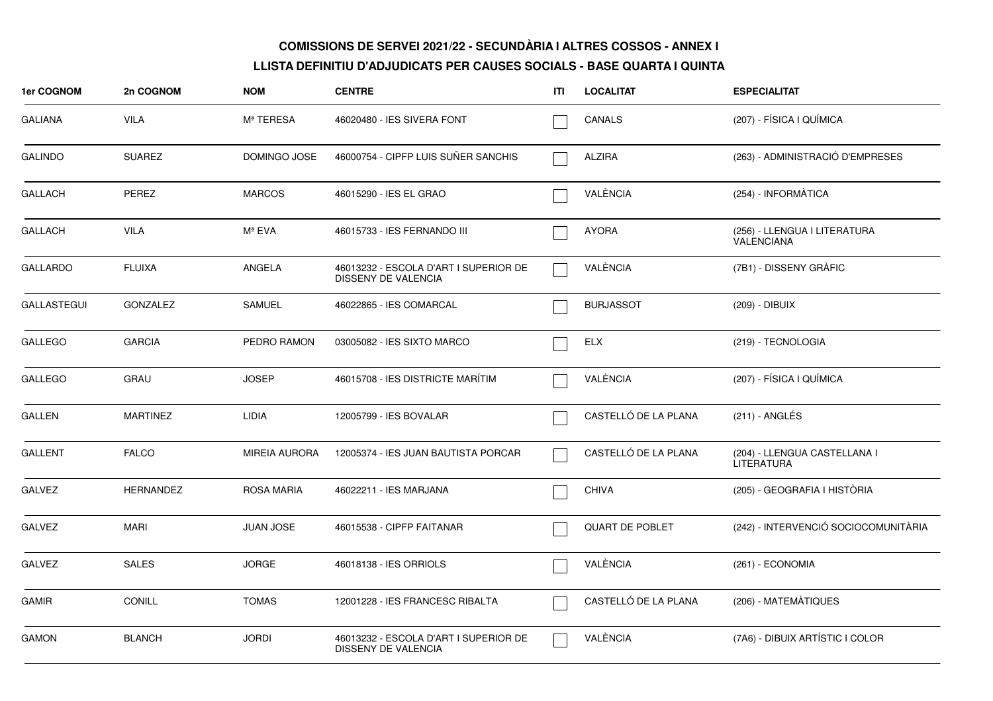| 1er COGNOM         | 2n COGNOM        | <b>NOM</b>           | <b>CENTRE</b>                                                       | ITI | <b>LOCALITAT</b>       | <b>ESPECIALITAT</b>                               |
|--------------------|------------------|----------------------|---------------------------------------------------------------------|-----|------------------------|---------------------------------------------------|
| <b>GALIANA</b>     | <b>VILA</b>      | Mª TERESA            | 46020480 - IES SIVERA FONT                                          |     | <b>CANALS</b>          | (207) - FÍSICA I QUÍMICA                          |
| <b>GALINDO</b>     | <b>SUAREZ</b>    | DOMINGO JOSE         | 46000754 - CIPFP LUIS SUÑER SANCHIS                                 |     | <b>ALZIRA</b>          | (263) - ADMINISTRACIÓ D'EMPRESES                  |
| <b>GALLACH</b>     | PEREZ            | <b>MARCOS</b>        | 46015290 - IES EL GRAO                                              |     | VALÈNCIA               | (254) - INFORMÀTICA                               |
| <b>GALLACH</b>     | <b>VILA</b>      | Mª EVA               | 46015733 - IES FERNANDO III                                         |     | <b>AYORA</b>           | (256) - LLENGUA I LITERATURA<br><b>VALENCIANA</b> |
| <b>GALLARDO</b>    | <b>FLUIXA</b>    | ANGELA               | 46013232 - ESCOLA D'ART I SUPERIOR DE<br>DISSENY DE VALENCIA        |     | VALÈNCIA               | (7B1) - DISSENY GRÀFIC                            |
| <b>GALLASTEGUI</b> | <b>GONZALEZ</b>  | <b>SAMUEL</b>        | 46022865 - IES COMARCAL                                             |     | <b>BURJASSOT</b>       | (209) - DIBUIX                                    |
| <b>GALLEGO</b>     | <b>GARCIA</b>    | PEDRO RAMON          | 03005082 - IES SIXTO MARCO                                          |     | <b>ELX</b>             | (219) - TECNOLOGIA                                |
| <b>GALLEGO</b>     | <b>GRAU</b>      | <b>JOSEP</b>         | 46015708 - IES DISTRICTE MARÍTIM                                    |     | VALÈNCIA               | (207) - FÍSICA I QUÍMICA                          |
| <b>GALLEN</b>      | <b>MARTINEZ</b>  | LIDIA                | 12005799 - IES BOVALAR                                              |     | CASTELLÓ DE LA PLANA   | $(211)$ - ANGLÉS                                  |
| <b>GALLENT</b>     | <b>FALCO</b>     | <b>MIREIA AURORA</b> | 12005374 - IES JUAN BAUTISTA PORCAR                                 |     | CASTELLÓ DE LA PLANA   | (204) - LLENGUA CASTELLANA I<br>LITERATURA        |
| <b>GALVEZ</b>      | <b>HERNANDEZ</b> | ROSA MARIA           | 46022211 - IES MARJANA                                              |     | <b>CHIVA</b>           | (205) - GEOGRAFIA I HISTÒRIA                      |
| <b>GALVEZ</b>      | <b>MARI</b>      | <b>JUAN JOSE</b>     | 46015538 - CIPFP FAITANAR                                           |     | <b>QUART DE POBLET</b> | (242) - INTERVENCIÓ SOCIOCOMUNITÀRIA              |
| <b>GALVEZ</b>      | <b>SALES</b>     | <b>JORGE</b>         | 46018138 - IES ORRIOLS                                              |     | VALÈNCIA               | (261) - ECONOMIA                                  |
| <b>GAMIR</b>       | <b>CONILL</b>    | <b>TOMAS</b>         | 12001228 - IES FRANCESC RIBALTA                                     |     | CASTELLÓ DE LA PLANA   | (206) - MATEMATIQUES                              |
| <b>GAMON</b>       | <b>BLANCH</b>    | <b>JORDI</b>         | 46013232 - ESCOLA D'ART I SUPERIOR DE<br><b>DISSENY DE VALENCIA</b> |     | VALÈNCIA               | (7A6) - DIBUIX ARTÍSTIC I COLOR                   |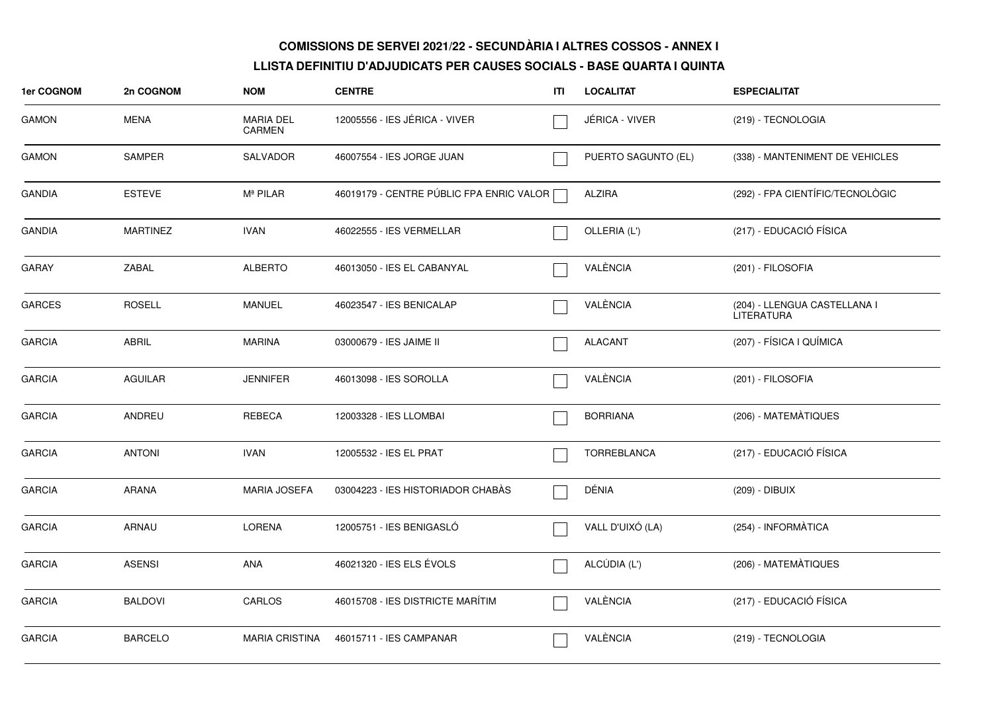| 1er COGNOM    | 2n COGNOM       | <b>NOM</b>                 | <b>CENTRE</b>                            | ITI | <b>LOCALITAT</b>    | <b>ESPECIALITAT</b>                               |
|---------------|-----------------|----------------------------|------------------------------------------|-----|---------------------|---------------------------------------------------|
| <b>GAMON</b>  | MENA            | <b>MARIA DEL</b><br>CARMEN | 12005556 - IES JÉRICA - VIVER            |     | JERICA - VIVER      | (219) - TECNOLOGIA                                |
| <b>GAMON</b>  | <b>SAMPER</b>   | SALVADOR                   | 46007554 - IES JORGE JUAN                |     | PUERTO SAGUNTO (EL) | (338) - MANTENIMENT DE VEHICLES                   |
| <b>GANDIA</b> | <b>ESTEVE</b>   | M <sup>ª</sup> PILAR       | 46019179 - CENTRE PÚBLIC FPA ENRIC VALOR |     | <b>ALZIRA</b>       | (292) - FPA CIENTÍFIC/TECNOLÒGIC                  |
| <b>GANDIA</b> | <b>MARTINEZ</b> | <b>IVAN</b>                | 46022555 - IES VERMELLAR                 |     | OLLERIA (L')        | (217) - EDUCACIÓ FÍSICA                           |
| <b>GARAY</b>  | ZABAL           | <b>ALBERTO</b>             | 46013050 - IES EL CABANYAL               |     | VALÈNCIA            | (201) - FILOSOFIA                                 |
| <b>GARCES</b> | <b>ROSELL</b>   | MANUEL                     | 46023547 - IES BENICALAP                 |     | VALÈNCIA            | (204) - LLENGUA CASTELLANA I<br><b>LITERATURA</b> |
| <b>GARCIA</b> | ABRIL           | <b>MARINA</b>              | 03000679 - IES JAIME II                  |     | <b>ALACANT</b>      | (207) - FÍSICA I QUÍMICA                          |
| <b>GARCIA</b> | <b>AGUILAR</b>  | <b>JENNIFER</b>            | 46013098 - IES SOROLLA                   |     | VALÈNCIA            | (201) - FILOSOFIA                                 |
| <b>GARCIA</b> | ANDREU          | <b>REBECA</b>              | 12003328 - IES LLOMBAI                   |     | <b>BORRIANA</b>     | (206) - MATEMÀTIQUES                              |
| <b>GARCIA</b> | <b>ANTONI</b>   | <b>IVAN</b>                | 12005532 - IES EL PRAT                   |     | TORREBLANCA         | (217) - EDUCACIÓ FÍSICA                           |
| <b>GARCIA</b> | <b>ARANA</b>    | <b>MARIA JOSEFA</b>        | 03004223 - IES HISTORIADOR CHABÀS        |     | DÉNIA               | (209) - DIBUIX                                    |
| <b>GARCIA</b> | ARNAU           | LORENA                     | 12005751 - IES BENIGASLÓ                 |     | VALL D'UIXÓ (LA)    | (254) - INFORMÀTICA                               |
| <b>GARCIA</b> | <b>ASENSI</b>   | ANA                        | 46021320 - IES ELS ÉVOLS                 |     | ALCÚDIA (L')        | (206) - MATEMÀTIQUES                              |
| <b>GARCIA</b> | <b>BALDOVI</b>  | CARLOS                     | 46015708 - IES DISTRICTE MARÍTIM         |     | VALÈNCIA            | (217) - EDUCACIÓ FÍSICA                           |
| <b>GARCIA</b> | <b>BARCELO</b>  | <b>MARIA CRISTINA</b>      | 46015711 - IES CAMPANAR                  |     | VALÈNCIA            | (219) - TECNOLOGIA                                |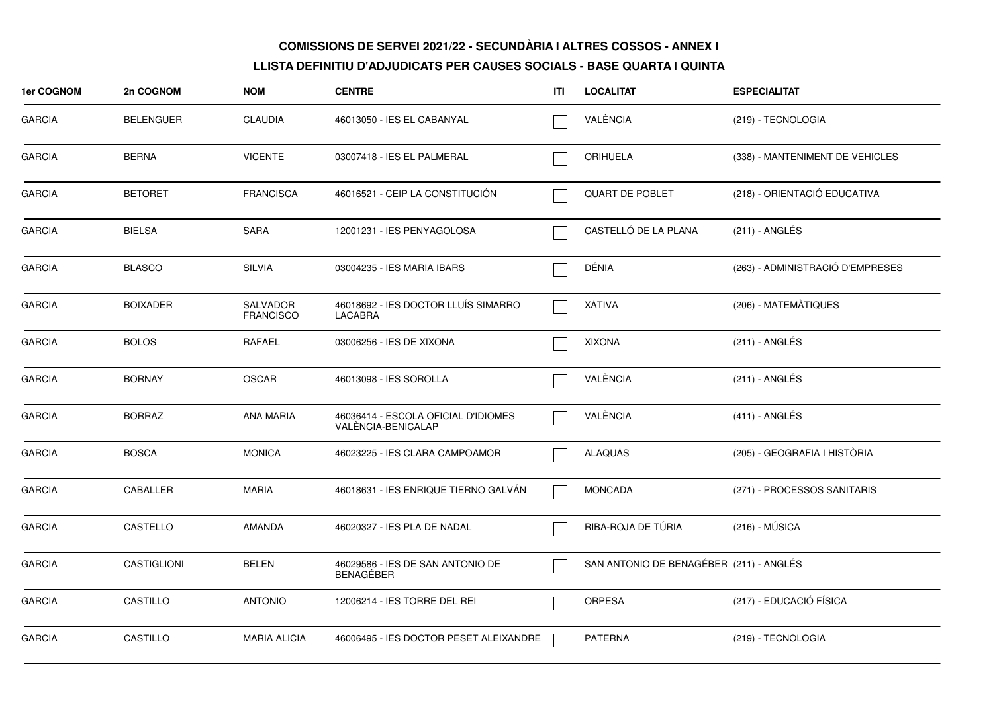| <b>1er COGNOM</b> | 2n COGNOM          | <b>NOM</b>                          | <b>CENTRE</b>                                             | ITL | <b>LOCALITAT</b>                        | <b>ESPECIALITAT</b>              |
|-------------------|--------------------|-------------------------------------|-----------------------------------------------------------|-----|-----------------------------------------|----------------------------------|
| <b>GARCIA</b>     | <b>BELENGUER</b>   | <b>CLAUDIA</b>                      | 46013050 - IES EL CABANYAL                                |     | VALÈNCIA                                | (219) - TECNOLOGIA               |
| <b>GARCIA</b>     | <b>BERNA</b>       | <b>VICENTE</b>                      | 03007418 - IES EL PALMERAL                                |     | <b>ORIHUELA</b>                         | (338) - MANTENIMENT DE VEHICLES  |
| <b>GARCIA</b>     | <b>BETORET</b>     | <b>FRANCISCA</b>                    | 46016521 - CEIP LA CONSTITUCIÓN                           |     | QUART DE POBLET                         | (218) - ORIENTACIÓ EDUCATIVA     |
| <b>GARCIA</b>     | <b>BIELSA</b>      | <b>SARA</b>                         | 12001231 - IES PENYAGOLOSA                                |     | CASTELLÓ DE LA PLANA                    | $(211)$ - ANGLÉS                 |
| <b>GARCIA</b>     | <b>BLASCO</b>      | <b>SILVIA</b>                       | 03004235 - IES MARIA IBARS                                |     | DÉNIA                                   | (263) - ADMINISTRACIÓ D'EMPRESES |
| GARCIA            | <b>BOIXADER</b>    | <b>SALVADOR</b><br><b>FRANCISCO</b> | 46018692 - IES DOCTOR LLUÍS SIMARRO<br><b>LACABRA</b>     |     | <b>XÀTIVA</b>                           | (206) - MATEMÀTIQUES             |
| <b>GARCIA</b>     | <b>BOLOS</b>       | <b>RAFAEL</b>                       | 03006256 - IES DE XIXONA                                  |     | <b>XIXONA</b>                           | $(211)$ - ANGLÉS                 |
| <b>GARCIA</b>     | <b>BORNAY</b>      | <b>OSCAR</b>                        | 46013098 - IES SOROLLA                                    |     | VALÈNCIA                                | (211) - ANGLÉS                   |
| <b>GARCIA</b>     | <b>BORRAZ</b>      | <b>ANA MARIA</b>                    | 46036414 - ESCOLA OFICIAL D'IDIOMES<br>VALÉNCIA-BENICALAP |     | VALÈNCIA                                | $(411)$ - ANGLÉS                 |
| <b>GARCIA</b>     | <b>BOSCA</b>       | <b>MONICA</b>                       | 46023225 - IES CLARA CAMPOAMOR                            |     | <b>ALAQUÀS</b>                          | (205) - GEOGRAFIA I HISTÒRIA     |
| <b>GARCIA</b>     | CABALLER           | <b>MARIA</b>                        | 46018631 - IES ENRIQUE TIERNO GALVÁN                      |     | <b>MONCADA</b>                          | (271) - PROCESSOS SANITARIS      |
| <b>GARCIA</b>     | CASTELLO           | <b>AMANDA</b>                       | 46020327 - IES PLA DE NADAL                               |     | RIBA-ROJA DE TÚRIA                      | (216) - MÚSICA                   |
| <b>GARCIA</b>     | <b>CASTIGLIONI</b> | <b>BELEN</b>                        | 46029586 - IES DE SAN ANTONIO DE<br><b>BENAGÉBER</b>      |     | SAN ANTONIO DE BENAGÉBER (211) - ANGLÉS |                                  |
| <b>GARCIA</b>     | <b>CASTILLO</b>    | <b>ANTONIO</b>                      | 12006214 - IES TORRE DEL REI                              |     | ORPESA                                  | (217) - EDUCACIÓ FÍSICA          |
| <b>GARCIA</b>     | <b>CASTILLO</b>    | <b>MARIA ALICIA</b>                 | 46006495 - IES DOCTOR PESET ALEIXANDRE                    |     | <b>PATERNA</b>                          | (219) - TECNOLOGIA               |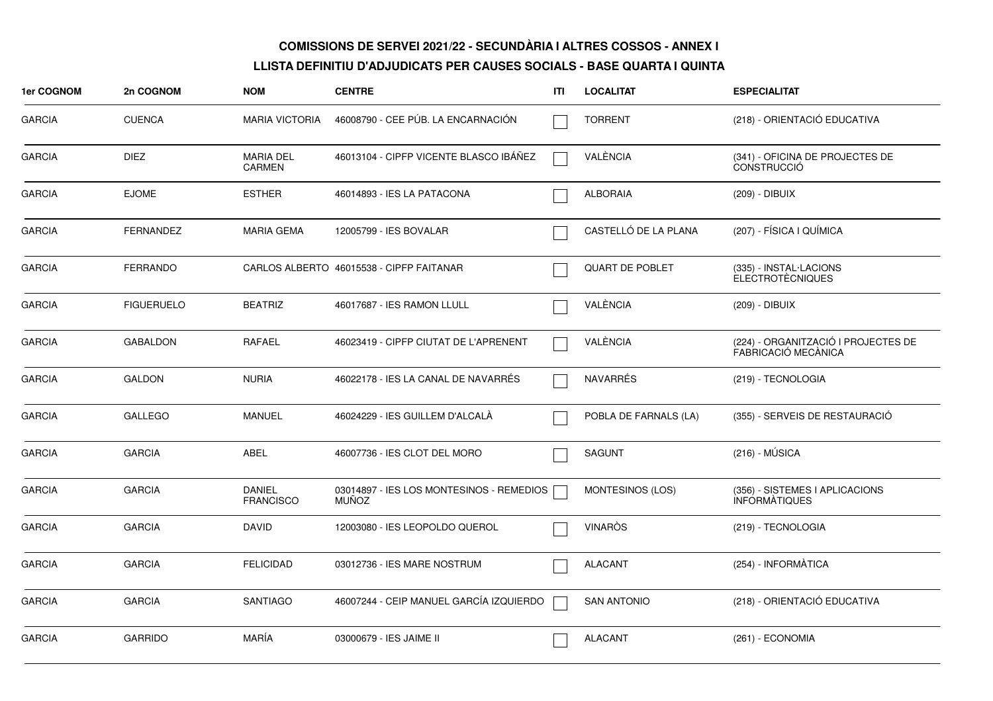| 1er COGNOM    | 2n COGNOM         | <b>NOM</b>                        | <b>CENTRE</b>                                            | <b>ITI</b> | <b>LOCALITAT</b>        | <b>ESPECIALITAT</b>                                        |
|---------------|-------------------|-----------------------------------|----------------------------------------------------------|------------|-------------------------|------------------------------------------------------------|
| <b>GARCIA</b> | <b>CUENCA</b>     | <b>MARIA VICTORIA</b>             | 46008790 - CEE PÚB. LA ENCARNACIÓN                       |            | <b>TORRENT</b>          | (218) - ORIENTACIÓ EDUCATIVA                               |
| <b>GARCIA</b> | <b>DIEZ</b>       | <b>MARIA DEL</b><br><b>CARMEN</b> | 46013104 - CIPFP VICENTE BLASCO IBÁÑEZ                   |            | VALÈNCIA                | (341) - OFICINA DE PROJECTES DE<br><b>CONSTRUCCIÓ</b>      |
| <b>GARCIA</b> | <b>EJOME</b>      | <b>ESTHER</b>                     | 46014893 - IES LA PATACONA                               |            | <b>ALBORAIA</b>         | (209) - DIBUIX                                             |
| <b>GARCIA</b> | <b>FERNANDEZ</b>  | MARIA GEMA                        | 12005799 - IES BOVALAR                                   |            | CASTELLÓ DE LA PLANA    | (207) - FÍSICA I QUÍMICA                                   |
| <b>GARCIA</b> | <b>FERRANDO</b>   |                                   | CARLOS ALBERTO 46015538 - CIPFP FAITANAR                 |            | <b>QUART DE POBLET</b>  | (335) - INSTAL·LACIONS<br><b>ELECTROTÈCNIQUES</b>          |
| <b>GARCIA</b> | <b>FIGUERUELO</b> | <b>BEATRIZ</b>                    | 46017687 - IES RAMON LLULL                               |            | VALÈNCIA                | (209) - DIBUIX                                             |
| <b>GARCIA</b> | <b>GABALDON</b>   | RAFAEL                            | 46023419 - CIPFP CIUTAT DE L'APRENENT                    |            | VALÈNCIA                | (224) - ORGANITZACIÓ I PROJECTES DE<br>FABRICACIÓ MECÀNICA |
| <b>GARCIA</b> | <b>GALDON</b>     | <b>NURIA</b>                      | 46022178 - IES LA CANAL DE NAVARRES                      |            | <b>NAVARRÉS</b>         | (219) - TECNOLOGIA                                         |
| <b>GARCIA</b> | <b>GALLEGO</b>    | <b>MANUEL</b>                     | 46024229 - IES GUILLEM D'ALCALÀ                          |            | POBLA DE FARNALS (LA)   | (355) - SERVEIS DE RESTAURACIÓ                             |
| <b>GARCIA</b> | <b>GARCIA</b>     | ABEL                              | 46007736 - IES CLOT DEL MORO                             |            | <b>SAGUNT</b>           | $(216) - MÚSICA$                                           |
| <b>GARCIA</b> | <b>GARCIA</b>     | <b>DANIEL</b><br><b>FRANCISCO</b> | 03014897 - IES LOS MONTESINOS - REMEDIOS<br><b>MUÑOZ</b> |            | <b>MONTESINOS (LOS)</b> | (356) - SISTEMES I APLICACIONS<br><b>INFORMATIQUES</b>     |
| <b>GARCIA</b> | <b>GARCIA</b>     | <b>DAVID</b>                      | 12003080 - IES LEOPOLDO QUEROL                           |            | <b>VINARÒS</b>          | (219) - TECNOLOGIA                                         |
| <b>GARCIA</b> | <b>GARCIA</b>     | <b>FELICIDAD</b>                  | 03012736 - IES MARE NOSTRUM                              |            | <b>ALACANT</b>          | (254) - INFORMÀTICA                                        |
| <b>GARCIA</b> | <b>GARCIA</b>     | <b>SANTIAGO</b>                   | 46007244 - CEIP MANUEL GARCÍA IZQUIERDO                  |            | <b>SAN ANTONIO</b>      | (218) - ORIENTACIÓ EDUCATIVA                               |
| <b>GARCIA</b> | <b>GARRIDO</b>    | MARÍA                             | 03000679 - IES JAIME II                                  |            | <b>ALACANT</b>          | (261) - ECONOMIA                                           |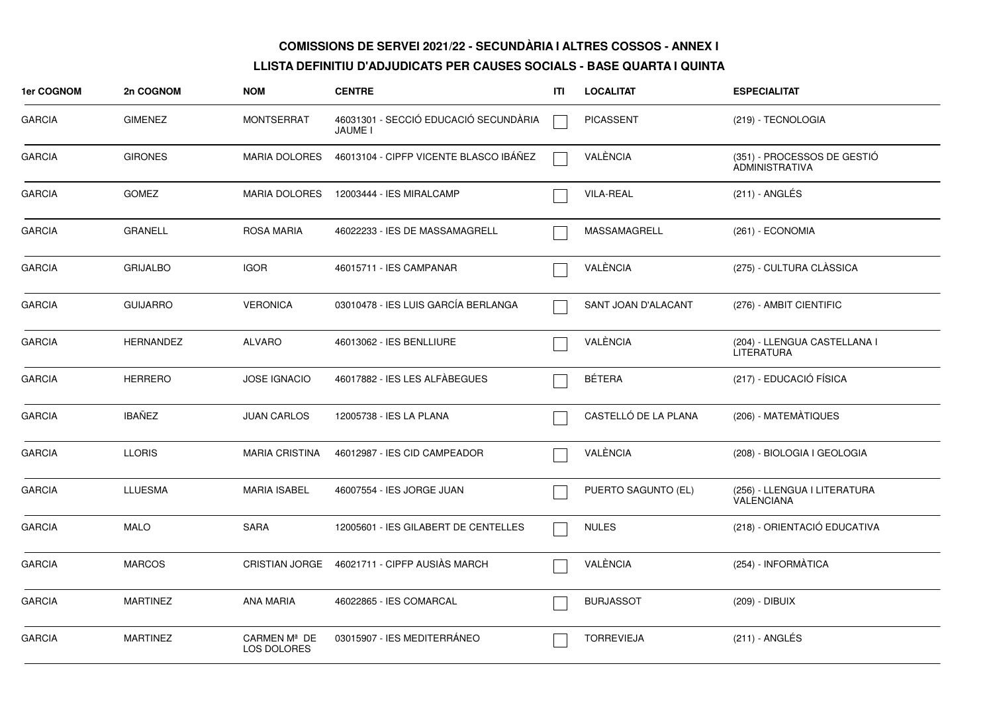| 1er COGNOM    | 2n COGNOM        | <b>NOM</b>                  | <b>CENTRE</b>                                           | ITI | <b>LOCALITAT</b>     | <b>ESPECIALITAT</b>                                  |
|---------------|------------------|-----------------------------|---------------------------------------------------------|-----|----------------------|------------------------------------------------------|
| <b>GARCIA</b> | <b>GIMENEZ</b>   | <b>MONTSERRAT</b>           | 46031301 - SECCIÓ EDUCACIÓ SECUNDÀRIA<br><b>JAUME I</b> |     | <b>PICASSENT</b>     | (219) - TECNOLOGIA                                   |
| <b>GARCIA</b> | <b>GIRONES</b>   | <b>MARIA DOLORES</b>        | 46013104 - CIPFP VICENTE BLASCO IBÁÑEZ                  |     | VALÈNCIA             | (351) - PROCESSOS DE GESTIÓ<br><b>ADMINISTRATIVA</b> |
| <b>GARCIA</b> | <b>GOMEZ</b>     | <b>MARIA DOLORES</b>        | 12003444 - IES MIRALCAMP                                |     | <b>VILA-REAL</b>     | (211) - ANGLÉS                                       |
| <b>GARCIA</b> | <b>GRANELL</b>   | <b>ROSA MARIA</b>           | 46022233 - IES DE MASSAMAGRELL                          |     | MASSAMAGRELL         | (261) - ECONOMIA                                     |
| <b>GARCIA</b> | <b>GRIJALBO</b>  | <b>IGOR</b>                 | 46015711 - IES CAMPANAR                                 |     | VALÈNCIA             | (275) - CULTURA CLÀSSICA                             |
| <b>GARCIA</b> | <b>GUIJARRO</b>  | <b>VERONICA</b>             | 03010478 - IES LUIS GARCÍA BERLANGA                     |     | SANT JOAN D'ALACANT  | (276) - AMBIT CIENTIFIC                              |
| <b>GARCIA</b> | <b>HERNANDEZ</b> | <b>ALVARO</b>               | 46013062 - IES BENLLIURE                                |     | VALÈNCIA             | (204) - LLENGUA CASTELLANA I<br><b>LITERATURA</b>    |
| <b>GARCIA</b> | <b>HERRERO</b>   | <b>JOSE IGNACIO</b>         | 46017882 - IES LES ALFÀBEGUES                           |     | BÉTERA               | (217) - EDUCACIÓ FÍSICA                              |
| <b>GARCIA</b> | <b>IBAÑEZ</b>    | <b>JUAN CARLOS</b>          | 12005738 - IES LA PLANA                                 |     | CASTELLÓ DE LA PLANA | (206) - MATEMÀTIQUES                                 |
| <b>GARCIA</b> | <b>LLORIS</b>    | <b>MARIA CRISTINA</b>       | 46012987 - IES CID CAMPEADOR                            |     | VALÈNCIA             | (208) - BIOLOGIA I GEOLOGIA                          |
| <b>GARCIA</b> | <b>LLUESMA</b>   | <b>MARIA ISABEL</b>         | 46007554 - IES JORGE JUAN                               |     | PUERTO SAGUNTO (EL)  | (256) - LLENGUA I LITERATURA<br><b>VALENCIANA</b>    |
| <b>GARCIA</b> | <b>MALO</b>      | <b>SARA</b>                 | 12005601 - IES GILABERT DE CENTELLES                    |     | <b>NULES</b>         | (218) - ORIENTACIÓ EDUCATIVA                         |
| <b>GARCIA</b> | <b>MARCOS</b>    |                             | CRISTIAN JORGE 46021711 - CIPFP AUSIÀS MARCH            |     | VALÈNCIA             | (254) - INFORMÀTICA                                  |
| <b>GARCIA</b> | <b>MARTINEZ</b>  | <b>ANA MARIA</b>            | 46022865 - IES COMARCAL                                 |     | <b>BURJASSOT</b>     | (209) - DIBUIX                                       |
| <b>GARCIA</b> | <b>MARTINEZ</b>  | CARMEN Mª DE<br>LOS DOLORES | 03015907 - IES MEDITERRÁNEO                             |     | <b>TORREVIEJA</b>    | (211) - ANGLÉS                                       |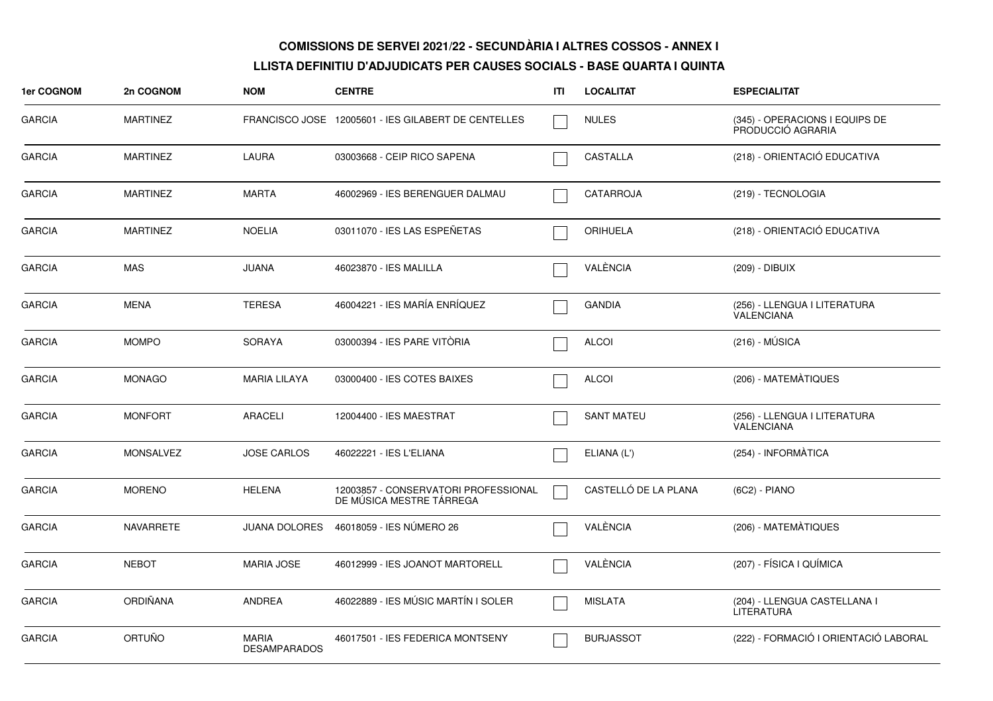| 1er COGNOM    | 2n COGNOM        | <b>NOM</b>                   | <b>CENTRE</b>                                                    | ITI | <b>LOCALITAT</b>     | <b>ESPECIALITAT</b>                                 |
|---------------|------------------|------------------------------|------------------------------------------------------------------|-----|----------------------|-----------------------------------------------------|
| <b>GARCIA</b> | MARTINEZ         |                              | FRANCISCO JOSE 12005601 - IES GILABERT DE CENTELLES              |     | <b>NULES</b>         | (345) - OPERACIONS I EQUIPS DE<br>PRODUCCIÓ AGRARIA |
| <b>GARCIA</b> | <b>MARTINEZ</b>  | <b>LAURA</b>                 | 03003668 - CEIP RICO SAPENA                                      |     | <b>CASTALLA</b>      | (218) - ORIENTACIÓ EDUCATIVA                        |
| <b>GARCIA</b> | <b>MARTINEZ</b>  | <b>MARTA</b>                 | 46002969 - IES BERENGUER DALMAU                                  |     | CATARROJA            | (219) - TECNOLOGIA                                  |
| <b>GARCIA</b> | <b>MARTINEZ</b>  | <b>NOELIA</b>                | 03011070 - IES LAS ESPEÑETAS                                     |     | <b>ORIHUELA</b>      | (218) - ORIENTACIÓ EDUCATIVA                        |
| <b>GARCIA</b> | <b>MAS</b>       | <b>JUANA</b>                 | 46023870 - IES MALILLA                                           |     | VALÈNCIA             | (209) - DIBUIX                                      |
| <b>GARCIA</b> | <b>MENA</b>      | <b>TERESA</b>                | 46004221 - IES MARÍA ENRÍQUEZ                                    |     | <b>GANDIA</b>        | (256) - LLENGUA I LITERATURA<br><b>VALENCIANA</b>   |
| <b>GARCIA</b> | <b>MOMPO</b>     | <b>SORAYA</b>                | 03000394 - IES PARE VITORIA                                      |     | <b>ALCOI</b>         | (216) - MUSICA                                      |
| <b>GARCIA</b> | <b>MONAGO</b>    | <b>MARIA LILAYA</b>          | 03000400 - IES COTES BAIXES                                      |     | <b>ALCOI</b>         | (206) - MATEMÀTIQUES                                |
| <b>GARCIA</b> | <b>MONFORT</b>   | <b>ARACELI</b>               | 12004400 - IES MAESTRAT                                          |     | <b>SANT MATEU</b>    | (256) - LLENGUA I LITERATURA<br>VALENCIANA          |
| <b>GARCIA</b> | <b>MONSALVEZ</b> | <b>JOSE CARLOS</b>           | 46022221 - IES L'ELIANA                                          |     | ELIANA (L')          | (254) - INFORMÀTICA                                 |
| <b>GARCIA</b> | <b>MORENO</b>    | <b>HELENA</b>                | 12003857 - CONSERVATORI PROFESSIONAL<br>DE MÚSICA MESTRE TÁRREGA |     | CASTELLÓ DE LA PLANA | (6C2) - PIANO                                       |
| <b>GARCIA</b> | <b>NAVARRETE</b> | <b>JUANA DOLORES</b>         | 46018059 - IES NÚMERO 26                                         |     | VALÈNCIA             | (206) - MATEMÀTIQUES                                |
| <b>GARCIA</b> | <b>NEBOT</b>     | <b>MARIA JOSE</b>            | 46012999 - IES JOANOT MARTORELL                                  |     | VALÈNCIA             | (207) - FÍSICA I QUÍMICA                            |
| <b>GARCIA</b> | ORDIÑANA         | ANDREA                       | 46022889 - IES MÚSIC MARTÍN I SOLER                              |     | <b>MISLATA</b>       | (204) - LLENGUA CASTELLANA I<br>LITERATURA          |
| <b>GARCIA</b> | ORTUÑO           | MARIA<br><b>DESAMPARADOS</b> | 46017501 - IES FEDERICA MONTSENY                                 |     | <b>BURJASSOT</b>     | (222) - FORMACIÓ I ORIENTACIÓ LABORAL               |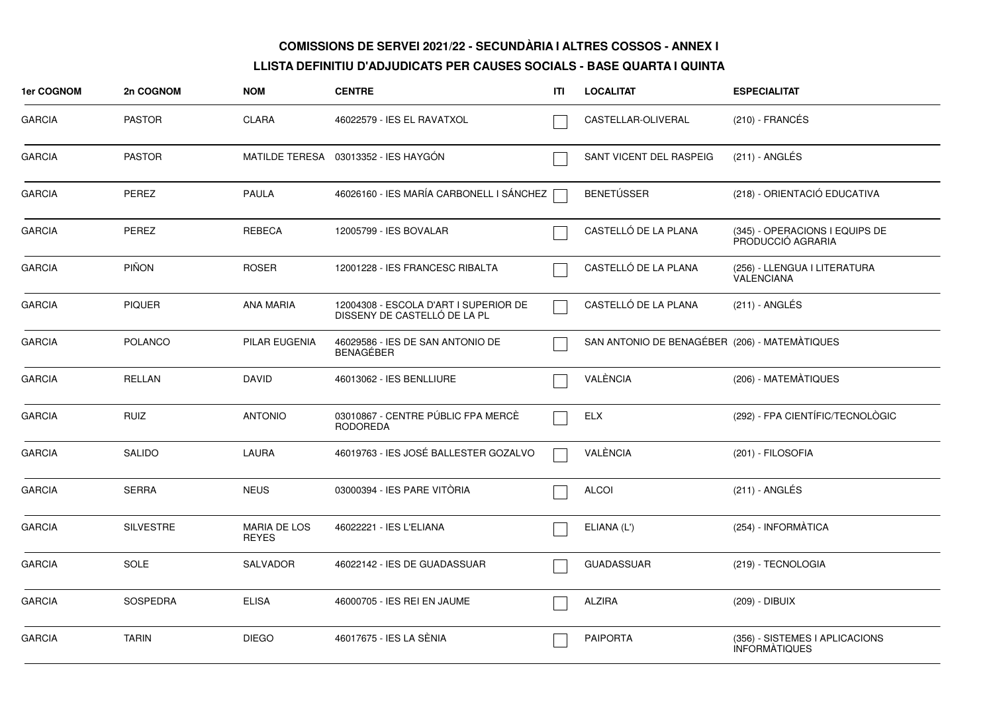| 1er COGNOM    | 2n COGNOM        | <b>NOM</b>                          | <b>CENTRE</b>                                                         | ITI | <b>LOCALITAT</b>                              | <b>ESPECIALITAT</b>                                    |
|---------------|------------------|-------------------------------------|-----------------------------------------------------------------------|-----|-----------------------------------------------|--------------------------------------------------------|
| <b>GARCIA</b> | <b>PASTOR</b>    | CLARA                               | 46022579 - IES EL RAVATXOL                                            |     | CASTELLAR-OLIVERAL                            | $(210)$ - FRANCÉS                                      |
| <b>GARCIA</b> | <b>PASTOR</b>    |                                     | MATILDE TERESA 03013352 - IES HAYGÓN                                  |     | SANT VICENT DEL RASPEIG                       | (211) - ANGLÉS                                         |
| <b>GARCIA</b> | PEREZ            | <b>PAULA</b>                        | 46026160 - IES MARÍA CARBONELL I SÁNCHEZ                              |     | <b>BENETÚSSER</b>                             | (218) - ORIENTACIÓ EDUCATIVA                           |
| <b>GARCIA</b> | <b>PEREZ</b>     | REBECA                              | 12005799 - IES BOVALAR                                                |     | CASTELLÓ DE LA PLANA                          | (345) - OPERACIONS I EQUIPS DE<br>PRODUCCIÓ AGRARIA    |
| <b>GARCIA</b> | <b>PIÑON</b>     | <b>ROSER</b>                        | 12001228 - IES FRANCESC RIBALTA                                       |     | CASTELLÓ DE LA PLANA                          | (256) - LLENGUA I LITERATURA<br>VALENCIANA             |
| <b>GARCIA</b> | <b>PIQUER</b>    | <b>ANA MARIA</b>                    | 12004308 - ESCOLA D'ART I SUPERIOR DE<br>DISSENY DE CASTELLO DE LA PL |     | CASTELLÓ DE LA PLANA                          | $(211)$ - ANGLÉS                                       |
| <b>GARCIA</b> | <b>POLANCO</b>   | PILAR EUGENIA                       | 46029586 - IES DE SAN ANTONIO DE<br><b>BENAGEBER</b>                  |     | SAN ANTONIO DE BENAGÉBER (206) - MATEMÀTIQUES |                                                        |
| <b>GARCIA</b> | <b>RELLAN</b>    | <b>DAVID</b>                        | 46013062 - IES BENLLIURE                                              |     | VALÈNCIA                                      | (206) - MATEMATIQUES                                   |
| <b>GARCIA</b> | <b>RUIZ</b>      | <b>ANTONIO</b>                      | 03010867 - CENTRE PÚBLIC FPA MERCÈ<br><b>RODOREDA</b>                 |     | <b>ELX</b>                                    | (292) - FPA CIENTÍFIC/TECNOLÒGIC                       |
| <b>GARCIA</b> | <b>SALIDO</b>    | LAURA                               | 46019763 - IES JOSÉ BALLESTER GOZALVO                                 |     | VALÈNCIA                                      | (201) - FILOSOFIA                                      |
| <b>GARCIA</b> | <b>SERRA</b>     | <b>NEUS</b>                         | 03000394 - IES PARE VITÒRIA                                           |     | <b>ALCOI</b>                                  | (211) - ANGLÉS                                         |
| <b>GARCIA</b> | <b>SILVESTRE</b> | <b>MARIA DE LOS</b><br><b>REYES</b> | 46022221 - IES L'ELIANA                                               |     | ELIANA (L')                                   | (254) - INFORMÀTICA                                    |
| <b>GARCIA</b> | <b>SOLE</b>      | <b>SALVADOR</b>                     | 46022142 - IES DE GUADASSUAR                                          |     | <b>GUADASSUAR</b>                             | (219) - TECNOLOGIA                                     |
| <b>GARCIA</b> | <b>SOSPEDRA</b>  | <b>ELISA</b>                        | 46000705 - IES REI EN JAUME                                           |     | <b>ALZIRA</b>                                 | (209) - DIBUIX                                         |
| <b>GARCIA</b> | <b>TARIN</b>     | <b>DIEGO</b>                        | 46017675 - IES LA SÈNIA                                               |     | <b>PAIPORTA</b>                               | (356) - SISTEMES I APLICACIONS<br><b>INFORMATIQUES</b> |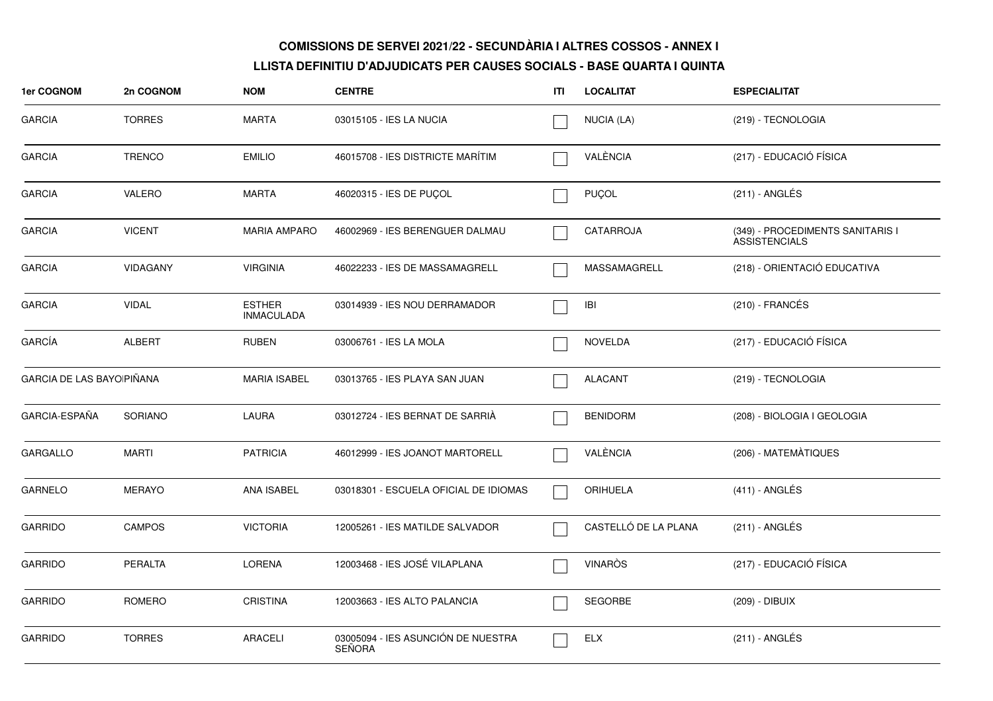| 1er COGNOM                       | 2n COGNOM       | <b>NOM</b>                         | <b>CENTRE</b>                                       | ITL | <b>LOCALITAT</b>     | <b>ESPECIALITAT</b>                                      |
|----------------------------------|-----------------|------------------------------------|-----------------------------------------------------|-----|----------------------|----------------------------------------------------------|
| <b>GARCIA</b>                    | <b>TORRES</b>   | <b>MARTA</b>                       | 03015105 - IES LA NUCIA                             |     | NUCIA (LA)           | (219) - TECNOLOGIA                                       |
| <b>GARCIA</b>                    | <b>TRENCO</b>   | <b>EMILIO</b>                      | 46015708 - IES DISTRICTE MARÍTIM                    |     | VALÈNCIA             | (217) - EDUCACIÓ FÍSICA                                  |
| <b>GARCIA</b>                    | VALERO          | <b>MARTA</b>                       | 46020315 - IES DE PUÇOL                             |     | <b>PUÇOL</b>         | (211) - ANGLÉS                                           |
| <b>GARCIA</b>                    | <b>VICENT</b>   | <b>MARIA AMPARO</b>                | 46002969 - IES BERENGUER DALMAU                     |     | CATARROJA            | (349) - PROCEDIMENTS SANITARIS I<br><b>ASSISTENCIALS</b> |
| <b>GARCIA</b>                    | <b>VIDAGANY</b> | <b>VIRGINIA</b>                    | 46022233 - IES DE MASSAMAGRELL                      |     | MASSAMAGRELL         | (218) - ORIENTACIÓ EDUCATIVA                             |
| <b>GARCIA</b>                    | <b>VIDAL</b>    | <b>ESTHER</b><br><b>INMACULADA</b> | 03014939 - IES NOU DERRAMADOR                       |     | IBI                  | $(210)$ - FRANCÉS                                        |
| GARCÍA                           | <b>ALBERT</b>   | <b>RUBEN</b>                       | 03006761 - IES LA MOLA                              |     | <b>NOVELDA</b>       | (217) - EDUCACIÓ FÍSICA                                  |
| <b>GARCIA DE LAS BAYOIPIÑANA</b> |                 | <b>MARIA ISABEL</b>                | 03013765 - IES PLAYA SAN JUAN                       |     | <b>ALACANT</b>       | (219) - TECNOLOGIA                                       |
| GARCIA-ESPAÑA                    | <b>SORIANO</b>  | LAURA                              | 03012724 - IES BERNAT DE SARRIA                     |     | <b>BENIDORM</b>      | (208) - BIOLOGIA I GEOLOGIA                              |
| <b>GARGALLO</b>                  | <b>MARTI</b>    | <b>PATRICIA</b>                    | 46012999 - IES JOANOT MARTORELL                     |     | VALÈNCIA             | (206) - MATEMÀTIQUES                                     |
| <b>GARNELO</b>                   | <b>MERAYO</b>   | ANA ISABEL                         | 03018301 - ESCUELA OFICIAL DE IDIOMAS               |     | <b>ORIHUELA</b>      | $(411)$ - ANGLÉS                                         |
| <b>GARRIDO</b>                   | <b>CAMPOS</b>   | <b>VICTORIA</b>                    | 12005261 - IES MATILDE SALVADOR                     |     | CASTELLÓ DE LA PLANA | (211) - ANGLÉS                                           |
| <b>GARRIDO</b>                   | <b>PERALTA</b>  | <b>LORENA</b>                      | 12003468 - IES JOSÉ VILAPLANA                       |     | <b>VINARÒS</b>       | (217) - EDUCACIÓ FÍSICA                                  |
| <b>GARRIDO</b>                   | ROMERO          | <b>CRISTINA</b>                    | 12003663 - IES ALTO PALANCIA                        |     | <b>SEGORBE</b>       | (209) - DIBUIX                                           |
| <b>GARRIDO</b>                   | <b>TORRES</b>   | <b>ARACELI</b>                     | 03005094 - IES ASUNCIÓN DE NUESTRA<br><b>SEÑORA</b> |     | ELX                  | $(211)$ - ANGLÉS                                         |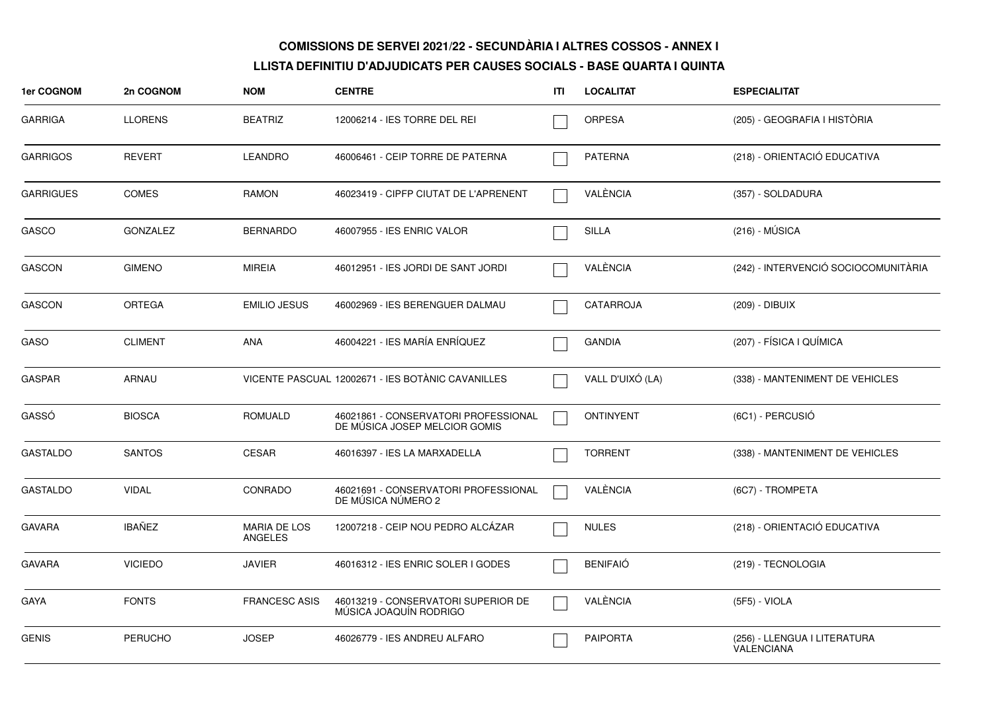| <b>1er COGNOM</b> | 2n COGNOM       | <b>NOM</b>                     | <b>CENTRE</b>                                                         | ITI | <b>LOCALITAT</b> | <b>ESPECIALITAT</b>                        |
|-------------------|-----------------|--------------------------------|-----------------------------------------------------------------------|-----|------------------|--------------------------------------------|
| <b>GARRIGA</b>    | <b>LLORENS</b>  | <b>BEATRIZ</b>                 | 12006214 - IES TORRE DEL REI                                          |     | <b>ORPESA</b>    | (205) - GEOGRAFIA I HISTÓRIA               |
| <b>GARRIGOS</b>   | <b>REVERT</b>   | <b>LEANDRO</b>                 | 46006461 - CEIP TORRE DE PATERNA                                      |     | <b>PATERNA</b>   | (218) - ORIENTACIÓ EDUCATIVA               |
| <b>GARRIGUES</b>  | <b>COMES</b>    | RAMON                          | 46023419 - CIPFP CIUTAT DE L'APRENENT                                 |     | VALÈNCIA         | (357) - SOLDADURA                          |
| <b>GASCO</b>      | <b>GONZALEZ</b> | <b>BERNARDO</b>                | 46007955 - IES ENRIC VALOR                                            |     | <b>SILLA</b>     | $(216) - MÚSICA$                           |
| <b>GASCON</b>     | <b>GIMENO</b>   | <b>MIREIA</b>                  | 46012951 - IES JORDI DE SANT JORDI                                    |     | VALÈNCIA         | (242) - INTERVENCIÓ SOCIOCOMUNITÀRIA       |
| <b>GASCON</b>     | <b>ORTEGA</b>   | <b>EMILIO JESUS</b>            | 46002969 - IES BERENGUER DALMAU                                       |     | <b>CATARROJA</b> | (209) - DIBUIX                             |
| GASO              | <b>CLIMENT</b>  | <b>ANA</b>                     | 46004221 - IES MARÍA ENRÍQUEZ                                         |     | <b>GANDIA</b>    | (207) - FÍSICA I QUÍMICA                   |
| <b>GASPAR</b>     | ARNAU           |                                | VICENTE PASCUAL 12002671 - IES BOTÀNIC CAVANILLES                     |     | VALL D'UIXÓ (LA) | (338) - MANTENIMENT DE VEHICLES            |
| GASSÓ             | <b>BIOSCA</b>   | <b>ROMUALD</b>                 | 46021861 - CONSERVATORI PROFESSIONAL<br>DE MÚSICA JOSEP MELCIOR GOMIS |     | <b>ONTINYENT</b> | (6C1) - PERCUSIÓ                           |
| <b>GASTALDO</b>   | <b>SANTOS</b>   | <b>CESAR</b>                   | 46016397 - IES LA MARXADELLA                                          |     | <b>TORRENT</b>   | (338) - MANTENIMENT DE VEHICLES            |
| <b>GASTALDO</b>   | <b>VIDAL</b>    | CONRADO                        | 46021691 - CONSERVATORI PROFESSIONAL<br>DE MUSICA NÚMERO 2            |     | VALÈNCIA         | (6C7) - TROMPETA                           |
| <b>GAVARA</b>     | <b>IBAÑEZ</b>   | <b>MARIA DE LOS</b><br>ANGELES | 12007218 - CEIP NOU PEDRO ALCÁZAR                                     |     | <b>NULES</b>     | (218) - ORIENTACIÓ EDUCATIVA               |
| <b>GAVARA</b>     | <b>VICIEDO</b>  | <b>JAVIER</b>                  | 46016312 - IES ENRIC SOLER I GODES                                    |     | <b>BENIFAIÓ</b>  | (219) - TECNOLOGIA                         |
| <b>GAYA</b>       | <b>FONTS</b>    | <b>FRANCESC ASIS</b>           | 46013219 - CONSERVATORI SUPERIOR DE<br>MÚSICA JOAQUÍN RODRIGO         |     | VALÈNCIA         | (5F5) - VIOLA                              |
| <b>GENIS</b>      | <b>PERUCHO</b>  | <b>JOSEP</b>                   | 46026779 - IES ANDREU ALFARO                                          |     | <b>PAIPORTA</b>  | (256) - LLENGUA I LITERATURA<br>VALENCIANA |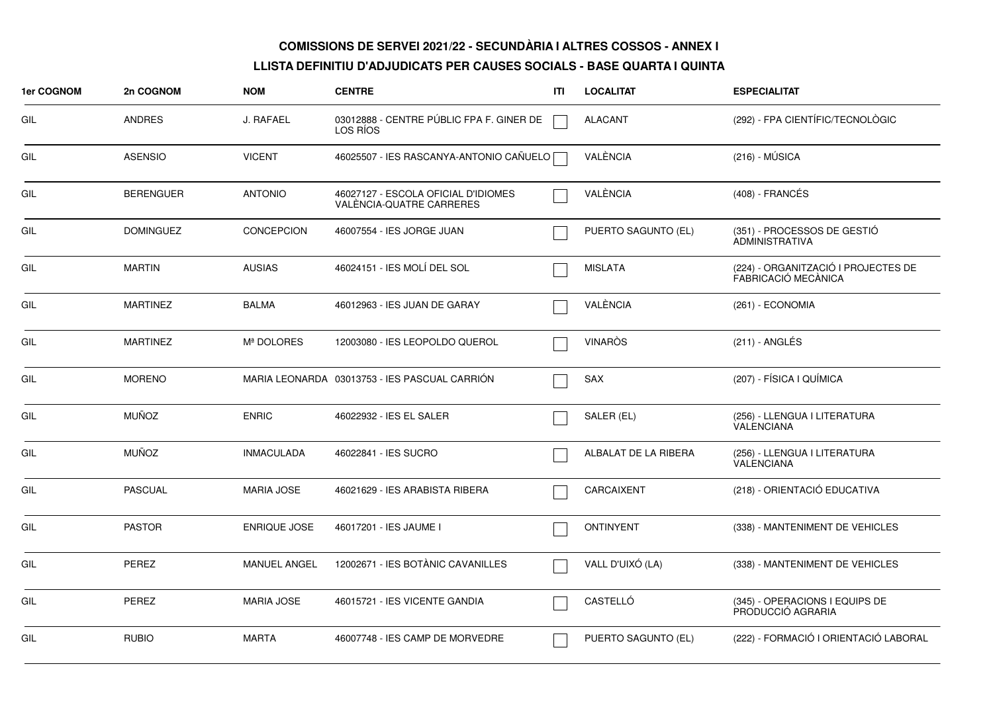| 1er COGNOM | 2n COGNOM        | <b>NOM</b>          | <b>CENTRE</b>                                                   | ITI | <b>LOCALITAT</b>     | <b>ESPECIALITAT</b>                                        |
|------------|------------------|---------------------|-----------------------------------------------------------------|-----|----------------------|------------------------------------------------------------|
| GIL        | <b>ANDRES</b>    | J. RAFAEL           | 03012888 - CENTRE PÚBLIC FPA F. GINER DE<br>LOS RÍOS            |     | <b>ALACANT</b>       | (292) - FPA CIENTÍFIC/TECNOLÒGIC                           |
| GIL        | <b>ASENSIO</b>   | <b>VICENT</b>       | 46025507 - IES RASCANYA-ANTONIO CAÑUELO                         |     | VALÈNCIA             | $(216) - MÚSICA$                                           |
| GIL        | <b>BERENGUER</b> | <b>ANTONIO</b>      | 46027127 - ESCOLA OFICIAL D'IDIOMES<br>VALÈNCIA-QUATRE CARRERES |     | VALÈNCIA             | (408) - FRANCÉS                                            |
| GIL        | <b>DOMINGUEZ</b> | <b>CONCEPCION</b>   | 46007554 - IES JORGE JUAN                                       |     | PUERTO SAGUNTO (EL)  | (351) - PROCESSOS DE GESTIÓ<br><b>ADMINISTRATIVA</b>       |
| GIL        | <b>MARTIN</b>    | <b>AUSIAS</b>       | 46024151 - IES MOLÍ DEL SOL                                     |     | <b>MISLATA</b>       | (224) - ORGANITZACIÓ I PROJECTES DE<br>FABRICACIÓ MECÀNICA |
| GIL        | <b>MARTINEZ</b>  | <b>BALMA</b>        | 46012963 - IES JUAN DE GARAY                                    |     | VALÈNCIA             | (261) - ECONOMIA                                           |
| GIL        | <b>MARTINEZ</b>  | Mª DOLORES          | 12003080 - IES LEOPOLDO QUEROL                                  |     | <b>VINARÒS</b>       | $(211)$ - ANGLÉS                                           |
| GIL        | <b>MORENO</b>    |                     | MARIA LEONARDA 03013753 - IES PASCUAL CARRION                   |     | <b>SAX</b>           | (207) - FÍSICA I QUÍMICA                                   |
| GIL        | <b>MUÑOZ</b>     | <b>ENRIC</b>        | 46022932 - IES EL SALER                                         |     | SALER (EL)           | (256) - LLENGUA I LITERATURA<br>VALENCIANA                 |
| GIL        | <b>MUÑOZ</b>     | <b>INMACULADA</b>   | 46022841 - IES SUCRO                                            |     | ALBALAT DE LA RIBERA | (256) - LLENGUA I LITERATURA<br><b>VALENCIANA</b>          |
| GIL        | <b>PASCUAL</b>   | <b>MARIA JOSE</b>   | 46021629 - IES ARABISTA RIBERA                                  |     | CARCAIXENT           | (218) - ORIENTACIÓ EDUCATIVA                               |
| GIL        | <b>PASTOR</b>    | <b>ENRIQUE JOSE</b> | 46017201 - IES JAUME I                                          |     | <b>ONTINYENT</b>     | (338) - MANTENIMENT DE VEHICLES                            |
| GIL        | <b>PEREZ</b>     | <b>MANUEL ANGEL</b> | 12002671 - IES BOTÀNIC CAVANILLES                               |     | VALL D'UIXÓ (LA)     | (338) - MANTENIMENT DE VEHICLES                            |
| GIL        | <b>PEREZ</b>     | <b>MARIA JOSE</b>   | 46015721 - IES VICENTE GANDIA                                   |     | CASTELLÓ             | (345) - OPERACIONS I EQUIPS DE<br>PRODUCCIÓ AGRARIA        |
| GIL        | <b>RUBIO</b>     | <b>MARTA</b>        | 46007748 - IES CAMP DE MORVEDRE                                 |     | PUERTO SAGUNTO (EL)  | (222) - FORMACIÓ I ORIENTACIÓ LABORAL                      |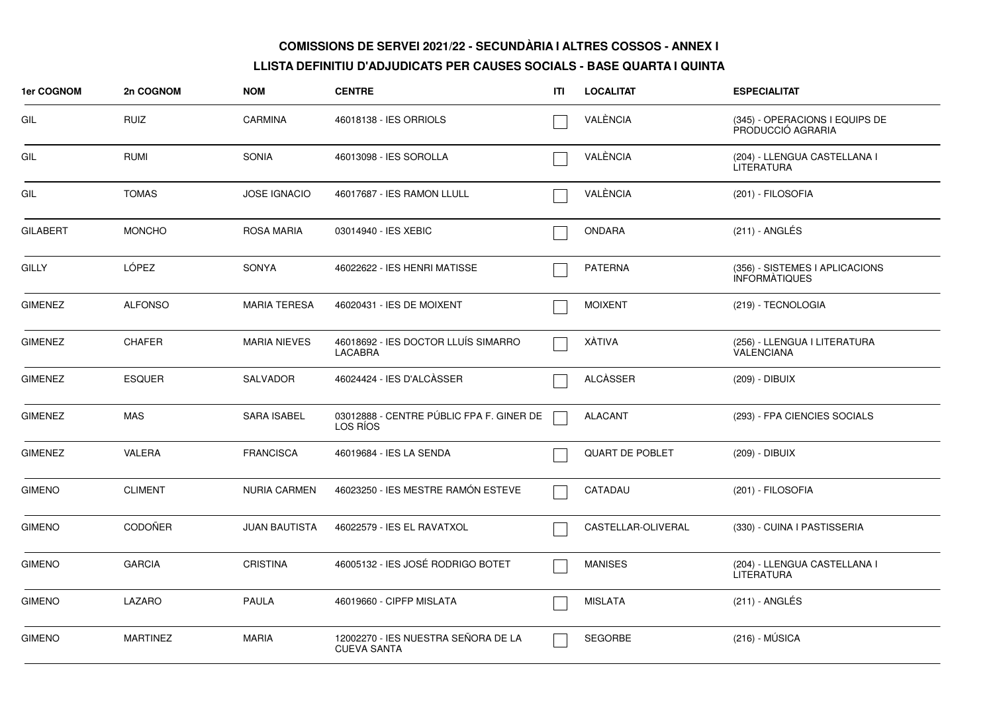| <b>1er COGNOM</b> | 2n COGNOM       | <b>NOM</b>           | <b>CENTRE</b>                                             | ITI | <b>LOCALITAT</b>       | <b>ESPECIALITAT</b>                                    |
|-------------------|-----------------|----------------------|-----------------------------------------------------------|-----|------------------------|--------------------------------------------------------|
| GIL               | <b>RUIZ</b>     | <b>CARMINA</b>       | 46018138 - IES ORRIOLS                                    |     | VALÈNCIA               | (345) - OPERACIONS I EQUIPS DE<br>PRODUCCIÓ AGRARIA    |
| GIL               | <b>RUMI</b>     | <b>SONIA</b>         | 46013098 - IES SOROLLA                                    |     | VALÈNCIA               | (204) - LLENGUA CASTELLANA I<br><b>LITERATURA</b>      |
| GIL               | <b>TOMAS</b>    | <b>JOSE IGNACIO</b>  | 46017687 - IES RAMON LLULL                                |     | VALÈNCIA               | (201) - FILOSOFIA                                      |
| <b>GILABERT</b>   | <b>MONCHO</b>   | <b>ROSA MARIA</b>    | 03014940 - IES XEBIC                                      |     | ONDARA                 | (211) - ANGLÉS                                         |
| <b>GILLY</b>      | LÓPEZ           | <b>SONYA</b>         | 46022622 - IES HENRI MATISSE                              |     | <b>PATERNA</b>         | (356) - SISTEMES I APLICACIONS<br><b>INFORMATIQUES</b> |
| <b>GIMENEZ</b>    | <b>ALFONSO</b>  | <b>MARIA TERESA</b>  | 46020431 - IES DE MOIXENT                                 |     | <b>MOIXENT</b>         | (219) - TECNOLOGIA                                     |
| <b>GIMENEZ</b>    | <b>CHAFER</b>   | <b>MARIA NIEVES</b>  | 46018692 - IES DOCTOR LLUÍS SIMARRO<br><b>LACABRA</b>     |     | XÀTIVA                 | (256) - LLENGUA I LITERATURA<br>VALENCIANA             |
| <b>GIMENEZ</b>    | <b>ESQUER</b>   | <b>SALVADOR</b>      | 46024424 - IES D'ALCÀSSER                                 |     | <b>ALCASSER</b>        | (209) - DIBUIX                                         |
| <b>GIMENEZ</b>    | <b>MAS</b>      | <b>SARA ISABEL</b>   | 03012888 - CENTRE PÚBLIC FPA F. GINER DE<br>LOS RÍOS      |     | <b>ALACANT</b>         | (293) - FPA CIENCIES SOCIALS                           |
| <b>GIMENEZ</b>    | VALERA          | <b>FRANCISCA</b>     | 46019684 - IES LA SENDA                                   |     | <b>QUART DE POBLET</b> | (209) - DIBUIX                                         |
| <b>GIMENO</b>     | <b>CLIMENT</b>  | <b>NURIA CARMEN</b>  | 46023250 - IES MESTRE RAMÓN ESTEVE                        |     | CATADAU                | (201) - FILOSOFIA                                      |
| <b>GIMENO</b>     | <b>CODOÑER</b>  | <b>JUAN BAUTISTA</b> | 46022579 - IES EL RAVATXOL                                |     | CASTELLAR-OLIVERAL     | (330) - CUINA I PASTISSERIA                            |
| <b>GIMENO</b>     | <b>GARCIA</b>   | <b>CRISTINA</b>      | 46005132 - IES JOSÉ RODRIGO BOTET                         |     | <b>MANISES</b>         | (204) - LLENGUA CASTELLANA I<br><b>LITERATURA</b>      |
| <b>GIMENO</b>     | LAZARO          | <b>PAULA</b>         | 46019660 - CIPFP MISLATA                                  |     | <b>MISLATA</b>         | (211) - ANGLÉS                                         |
| <b>GIMENO</b>     | <b>MARTINEZ</b> | <b>MARIA</b>         | 12002270 - IES NUESTRA SEÑORA DE LA<br><b>CUEVA SANTA</b> |     | SEGORBE                | $(216) - MÚSICA$                                       |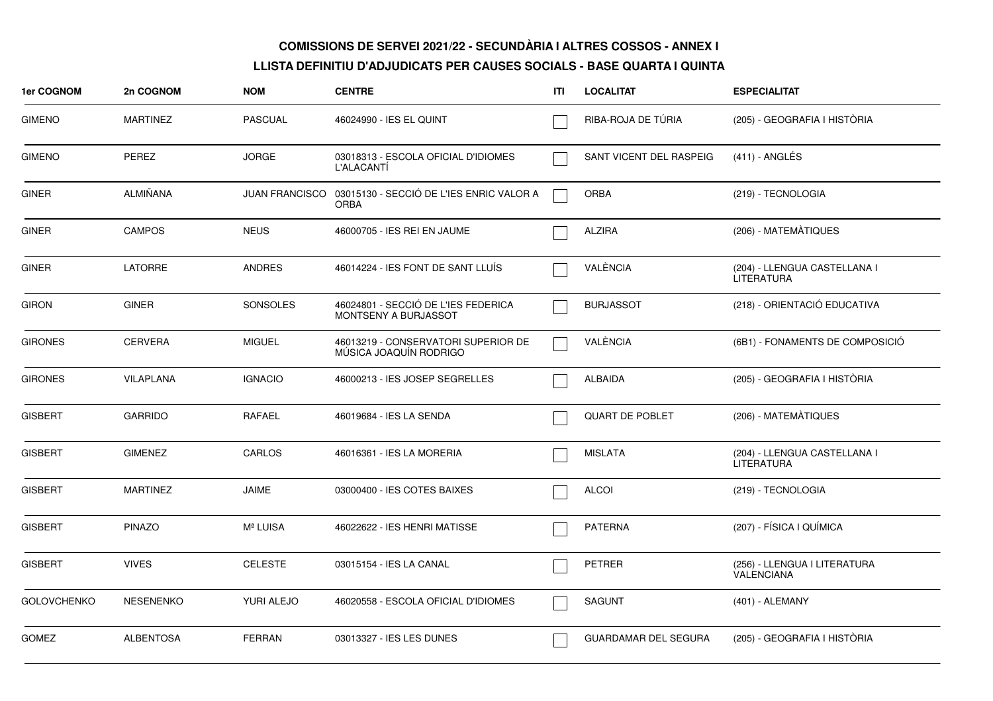| 1er COGNOM         | 2n COGNOM        | <b>NOM</b>            | <b>CENTRE</b>                                                 | ITI | <b>LOCALITAT</b>            | <b>ESPECIALITAT</b>                               |
|--------------------|------------------|-----------------------|---------------------------------------------------------------|-----|-----------------------------|---------------------------------------------------|
| <b>GIMENO</b>      | <b>MARTINEZ</b>  | <b>PASCUAL</b>        | 46024990 - IES EL QUINT                                       |     | RIBA-ROJA DE TÚRIA          | (205) - GEOGRAFIA I HISTÒRIA                      |
| <b>GIMENO</b>      | <b>PEREZ</b>     | <b>JORGE</b>          | 03018313 - ESCOLA OFICIAL D'IDIOMES<br>L'ALACANTI             |     | SANT VICENT DEL RASPEIG     | $(411)$ - ANGLÉS                                  |
| <b>GINER</b>       | <b>ALMIÑANA</b>  | <b>JUAN FRANCISCO</b> | 03015130 - SECCIÓ DE L'IES ENRIC VALOR A<br><b>ORBA</b>       |     | <b>ORBA</b>                 | (219) - TECNOLOGIA                                |
| <b>GINER</b>       | <b>CAMPOS</b>    | <b>NEUS</b>           | 46000705 - IES REI EN JAUME                                   |     | <b>ALZIRA</b>               | (206) - MATEMÀTIQUES                              |
| <b>GINER</b>       | <b>LATORRE</b>   | <b>ANDRES</b>         | 46014224 - IES FONT DE SANT LLUIS                             |     | VALÈNCIA                    | (204) - LLENGUA CASTELLANA I<br><b>LITERATURA</b> |
| <b>GIRON</b>       | <b>GINER</b>     | <b>SONSOLES</b>       | 46024801 - SECCIÓ DE L'IES FEDERICA<br>MONTSENY A BURJASSOT   |     | <b>BURJASSOT</b>            | (218) - ORIENTACIÓ EDUCATIVA                      |
| <b>GIRONES</b>     | <b>CERVERA</b>   | <b>MIGUEL</b>         | 46013219 - CONSERVATORI SUPERIOR DE<br>MÚSICA JOAQUÍN RODRIGO |     | VALÈNCIA                    | (6B1) - FONAMENTS DE COMPOSICIÓ                   |
| <b>GIRONES</b>     | <b>VILAPLANA</b> | <b>IGNACIO</b>        | 46000213 - IES JOSEP SEGRELLES                                |     | ALBAIDA                     | (205) - GEOGRAFIA I HISTÒRIA                      |
| <b>GISBERT</b>     | <b>GARRIDO</b>   | <b>RAFAEL</b>         | 46019684 - IES LA SENDA                                       |     | <b>QUART DE POBLET</b>      | (206) - MATEMÀTIQUES                              |
| <b>GISBERT</b>     | <b>GIMENEZ</b>   | CARLOS                | 46016361 - IES LA MORERIA                                     |     | <b>MISLATA</b>              | (204) - LLENGUA CASTELLANA I<br><b>LITERATURA</b> |
| <b>GISBERT</b>     | <b>MARTINEZ</b>  | <b>JAIME</b>          | 03000400 - IES COTES BAIXES                                   |     | <b>ALCOI</b>                | (219) - TECNOLOGIA                                |
| <b>GISBERT</b>     | <b>PINAZO</b>    | Mª LUISA              | 46022622 - IES HENRI MATISSE                                  |     | <b>PATERNA</b>              | (207) - FÍSICA I QUÍMICA                          |
| <b>GISBERT</b>     | <b>VIVES</b>     | <b>CELESTE</b>        | 03015154 - IES LA CANAL                                       |     | <b>PETRER</b>               | (256) - LLENGUA I LITERATURA<br><b>VALENCIANA</b> |
| <b>GOLOVCHENKO</b> | <b>NESENENKO</b> | YURI ALEJO            | 46020558 - ESCOLA OFICIAL D'IDIOMES                           |     | <b>SAGUNT</b>               | (401) - ALEMANY                                   |
| <b>GOMEZ</b>       | <b>ALBENTOSA</b> | <b>FERRAN</b>         | 03013327 - IES LES DUNES                                      |     | <b>GUARDAMAR DEL SEGURA</b> | (205) - GEOGRAFIA I HISTÒRIA                      |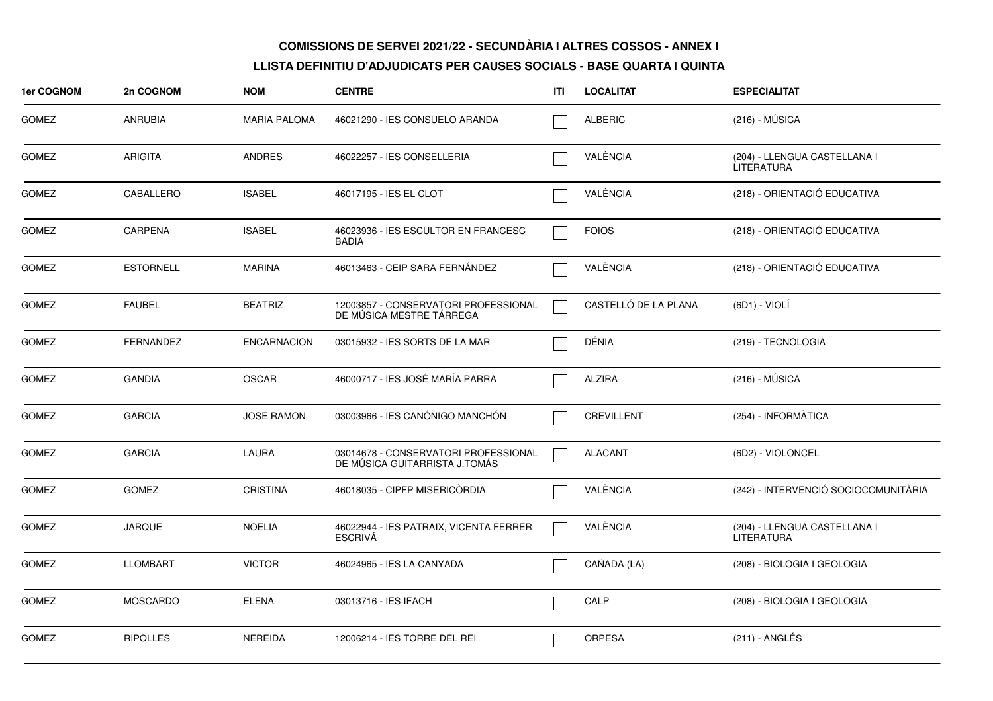| <b>1er COGNOM</b> | 2n COGNOM        | <b>NOM</b>          | <b>CENTRE</b>                                                         | ITI | <b>LOCALITAT</b>     | <b>ESPECIALITAT</b>                               |
|-------------------|------------------|---------------------|-----------------------------------------------------------------------|-----|----------------------|---------------------------------------------------|
| <b>GOMEZ</b>      | <b>ANRUBIA</b>   | <b>MARIA PALOMA</b> | 46021290 - IES CONSUELO ARANDA                                        |     | <b>ALBERIC</b>       | $(216) - MÚSICA$                                  |
| <b>GOMEZ</b>      | <b>ARIGITA</b>   | <b>ANDRES</b>       | 46022257 - IES CONSELLERIA                                            |     | VALÈNCIA             | (204) - LLENGUA CASTELLANA I<br>LITERATURA        |
| <b>GOMEZ</b>      | CABALLERO        | <b>ISABEL</b>       | 46017195 - IES EL CLOT                                                |     | VALÈNCIA             | (218) - ORIENTACIÓ EDUCATIVA                      |
| <b>GOMEZ</b>      | <b>CARPENA</b>   | <b>ISABEL</b>       | 46023936 - IES ESCULTOR EN FRANCESC<br><b>BADIA</b>                   |     | <b>FOIOS</b>         | (218) - ORIENTACIÓ EDUCATIVA                      |
| <b>GOMEZ</b>      | <b>ESTORNELL</b> | <b>MARINA</b>       | 46013463 - CEIP SARA FERNANDEZ                                        |     | VALÈNCIA             | (218) - ORIENTACIÓ EDUCATIVA                      |
| GOMEZ             | <b>FAUBEL</b>    | <b>BEATRIZ</b>      | 12003857 - CONSERVATORI PROFESSIONAL<br>DE MÚSICA MESTRE TÁRREGA      |     | CASTELLÓ DE LA PLANA | (6D1) - VIOLÍ                                     |
| <b>GOMEZ</b>      | <b>FERNANDEZ</b> | <b>ENCARNACION</b>  | 03015932 - IES SORTS DE LA MAR                                        |     | DÉNIA                | (219) - TECNOLOGIA                                |
| <b>GOMEZ</b>      | <b>GANDIA</b>    | <b>OSCAR</b>        | 46000717 - IES JOSÉ MARÍA PARRA                                       |     | <b>ALZIRA</b>        | $(216) - MÚSICA$                                  |
| <b>GOMEZ</b>      | <b>GARCIA</b>    | <b>JOSE RAMON</b>   | 03003966 - IES CANÓNIGO MANCHÓN                                       |     | CREVILLENT           | (254) - INFORMÀTICA                               |
| <b>GOMEZ</b>      | <b>GARCIA</b>    | LAURA               | 03014678 - CONSERVATORI PROFESSIONAL<br>DE MÚSICA GUITARRISTA J.TOMÁS |     | <b>ALACANT</b>       | (6D2) - VIOLONCEL                                 |
| <b>GOMEZ</b>      | <b>GOMEZ</b>     | <b>CRISTINA</b>     | 46018035 - CIPFP MISERICÒRDIA                                         |     | VALÈNCIA             | (242) - INTERVENCIÓ SOCIOCOMUNITÀRIA              |
| <b>GOMEZ</b>      | <b>JARQUE</b>    | <b>NOELIA</b>       | 46022944 - IES PATRAIX, VICENTA FERRER<br><b>ESCRIVA</b>              |     | VALÈNCIA             | (204) - LLENGUA CASTELLANA I<br><b>LITERATURA</b> |
| <b>GOMEZ</b>      | <b>LLOMBART</b>  | <b>VICTOR</b>       | 46024965 - IES LA CANYADA                                             |     | CAÑADA (LA)          | (208) - BIOLOGIA I GEOLOGIA                       |
| <b>GOMEZ</b>      | <b>MOSCARDO</b>  | <b>ELENA</b>        | 03013716 - IES IFACH                                                  |     | CALP                 | (208) - BIOLOGIA I GEOLOGIA                       |
| <b>GOMEZ</b>      | <b>RIPOLLES</b>  | <b>NEREIDA</b>      | 12006214 - IES TORRE DEL REI                                          |     | ORPESA               | (211) - ANGLÉS                                    |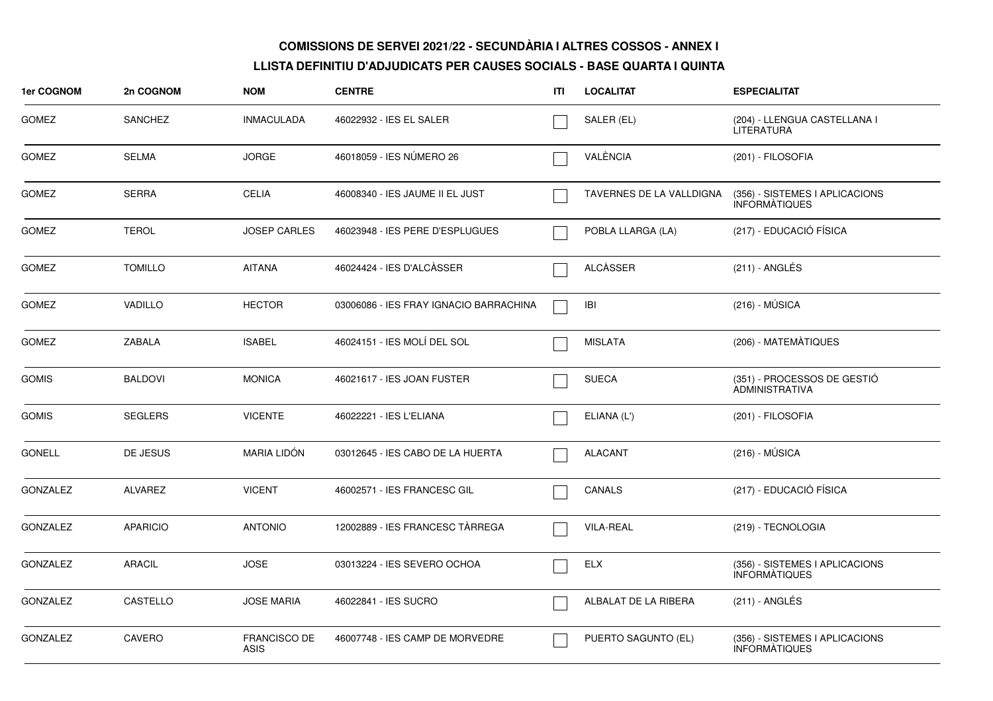| <b>1er COGNOM</b> | 2n COGNOM       | <b>NOM</b>                         | <b>CENTRE</b>                          | ITI | <b>LOCALITAT</b>         | <b>ESPECIALITAT</b>                                    |
|-------------------|-----------------|------------------------------------|----------------------------------------|-----|--------------------------|--------------------------------------------------------|
| <b>GOMEZ</b>      | <b>SANCHEZ</b>  | <b>INMACULADA</b>                  | 46022932 - IES EL SALER                |     | SALER (EL)               | (204) - LLENGUA CASTELLANA I<br>LITERATURA             |
| <b>GOMEZ</b>      | <b>SELMA</b>    | <b>JORGE</b>                       | 46018059 - IES NUMERO 26               |     | VALÈNCIA                 | (201) - FILOSOFIA                                      |
| <b>GOMEZ</b>      | <b>SERRA</b>    | <b>CELIA</b>                       | 46008340 - IES JAUME II EL JUST        |     | TAVERNES DE LA VALLDIGNA | (356) - SISTEMES I APLICACIONS<br><b>INFORMATIQUES</b> |
| <b>GOMEZ</b>      | <b>TEROL</b>    | <b>JOSEP CARLES</b>                | 46023948 - IES PERE D'ESPLUGUES        |     | POBLA LLARGA (LA)        | (217) - EDUCACIÓ FÍSICA                                |
| <b>GOMEZ</b>      | <b>TOMILLO</b>  | <b>AITANA</b>                      | 46024424 - IES D'ALCÀSSER              |     | <b>ALCÀSSER</b>          | $(211)$ - ANGLÉS                                       |
| <b>GOMEZ</b>      | <b>VADILLO</b>  | <b>HECTOR</b>                      | 03006086 - IES FRAY IGNACIO BARRACHINA |     | <b>IBI</b>               | $(216) - MÚSICA$                                       |
| <b>GOMEZ</b>      | <b>ZABALA</b>   | <b>ISABEL</b>                      | 46024151 - IES MOLÍ DEL SOL            |     | <b>MISLATA</b>           | (206) - MATEMÀTIQUES                                   |
| <b>GOMIS</b>      | <b>BALDOVI</b>  | <b>MONICA</b>                      | 46021617 - IES JOAN FUSTER             |     | <b>SUECA</b>             | (351) - PROCESSOS DE GESTIÓ<br><b>ADMINISTRATIVA</b>   |
| <b>GOMIS</b>      | <b>SEGLERS</b>  | <b>VICENTE</b>                     | 46022221 - IES L'ELIANA                |     | ELIANA (L')              | (201) - FILOSOFIA                                      |
| <b>GONELL</b>     | DE JESUS        | <b>MARIA LIDÓN</b>                 | 03012645 - IES CABO DE LA HUERTA       |     | <b>ALACANT</b>           | $(216) - MÚSICA$                                       |
| <b>GONZALEZ</b>   | <b>ALVAREZ</b>  | <b>VICENT</b>                      | 46002571 - IES FRANCESC GIL            |     | <b>CANALS</b>            | (217) - EDUCACIÓ FÍSICA                                |
| <b>GONZALEZ</b>   | <b>APARICIO</b> | <b>ANTONIO</b>                     | 12002889 - IES FRANCESC TÀRREGA        |     | <b>VILA-REAL</b>         | (219) - TECNOLOGIA                                     |
| <b>GONZALEZ</b>   | <b>ARACIL</b>   | <b>JOSE</b>                        | 03013224 - IES SEVERO OCHOA            |     | <b>ELX</b>               | (356) - SISTEMES I APLICACIONS<br>INFORMÀTIQUES        |
| <b>GONZALEZ</b>   | CASTELLO        | <b>JOSE MARIA</b>                  | 46022841 - IES SUCRO                   |     | ALBALAT DE LA RIBERA     | (211) - ANGLÉS                                         |
| <b>GONZALEZ</b>   | CAVERO          | <b>FRANCISCO DE</b><br><b>ASIS</b> | 46007748 - IES CAMP DE MORVEDRE        |     | PUERTO SAGUNTO (EL)      | (356) - SISTEMES I APLICACIONS<br><b>INFORMATIQUES</b> |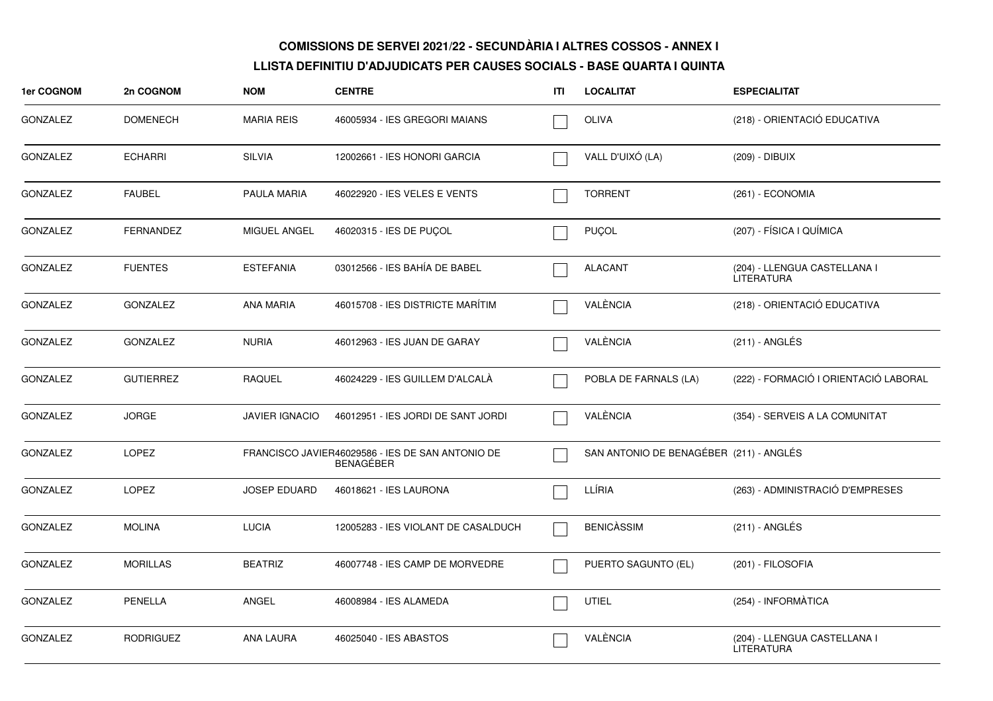| 1er COGNOM      | 2n COGNOM        | <b>NOM</b>            | <b>CENTRE</b>                                                        | ITI | <b>LOCALITAT</b>                        | <b>ESPECIALITAT</b>                        |
|-----------------|------------------|-----------------------|----------------------------------------------------------------------|-----|-----------------------------------------|--------------------------------------------|
| <b>GONZALEZ</b> | <b>DOMENECH</b>  | <b>MARIA REIS</b>     | 46005934 - IES GREGORI MAIANS                                        |     | <b>OLIVA</b>                            | (218) - ORIENTACIÓ EDUCATIVA               |
| <b>GONZALEZ</b> | <b>ECHARRI</b>   | <b>SILVIA</b>         | 12002661 - IES HONORI GARCIA                                         |     | VALL D'UIXÓ (LA)                        | (209) - DIBUIX                             |
| <b>GONZALEZ</b> | <b>FAUBEL</b>    | PAULA MARIA           | 46022920 - IES VELES E VENTS                                         |     | <b>TORRENT</b>                          | (261) - ECONOMIA                           |
| GONZALEZ        | <b>FERNANDEZ</b> | MIGUEL ANGEL          | 46020315 - IES DE PUÇOL                                              |     | <b>PUÇOL</b>                            | (207) - FÍSICA I QUÍMICA                   |
| <b>GONZALEZ</b> | <b>FUENTES</b>   | <b>ESTEFANIA</b>      | 03012566 - IES BAHÍA DE BABEL                                        |     | <b>ALACANT</b>                          | (204) - LLENGUA CASTELLANA I<br>LITERATURA |
| <b>GONZALEZ</b> | <b>GONZALEZ</b>  | <b>ANA MARIA</b>      | 46015708 - IES DISTRICTE MARÍTIM                                     |     | VALÈNCIA                                | (218) - ORIENTACIÓ EDUCATIVA               |
| <b>GONZALEZ</b> | <b>GONZALEZ</b>  | <b>NURIA</b>          | 46012963 - IES JUAN DE GARAY                                         |     | VALÈNCIA                                | $(211)$ - ANGLÉS                           |
| <b>GONZALEZ</b> | <b>GUTIERREZ</b> | <b>RAQUEL</b>         | 46024229 - IES GUILLEM D'ALCALÀ                                      |     | POBLA DE FARNALS (LA)                   | (222) - FORMACIÓ I ORIENTACIÓ LABORAL      |
| <b>GONZALEZ</b> | <b>JORGE</b>     | <b>JAVIER IGNACIO</b> | 46012951 - IES JORDI DE SANT JORDI                                   |     | VALÈNCIA                                | (354) - SERVEIS A LA COMUNITAT             |
| <b>GONZALEZ</b> | <b>LOPEZ</b>     |                       | FRANCISCO JAVIER46029586 - IES DE SAN ANTONIO DE<br><b>BENAGEBER</b> |     | SAN ANTONIO DE BENAGÉBER (211) - ANGLÉS |                                            |
| <b>GONZALEZ</b> | <b>LOPEZ</b>     | <b>JOSEP EDUARD</b>   | 46018621 - IES LAURONA                                               |     | LLÍRIA                                  | (263) - ADMINISTRACIÓ D'EMPRESES           |
| <b>GONZALEZ</b> | <b>MOLINA</b>    | <b>LUCIA</b>          | 12005283 - IES VIOLANT DE CASALDUCH                                  |     | <b>BENICASSIM</b>                       | (211) - ANGLÉS                             |
| <b>GONZALEZ</b> | <b>MORILLAS</b>  | <b>BEATRIZ</b>        | 46007748 - IES CAMP DE MORVEDRE                                      |     | PUERTO SAGUNTO (EL)                     | (201) - FILOSOFIA                          |
| <b>GONZALEZ</b> | <b>PENELLA</b>   | ANGEL                 | 46008984 - IES ALAMEDA                                               |     | <b>UTIEL</b>                            | (254) - INFORMÀTICA                        |
| <b>GONZALEZ</b> | <b>RODRIGUEZ</b> | ANA LAURA             | 46025040 - IES ABASTOS                                               |     | VALÈNCIA                                | (204) - LLENGUA CASTELLANA I<br>LITERATURA |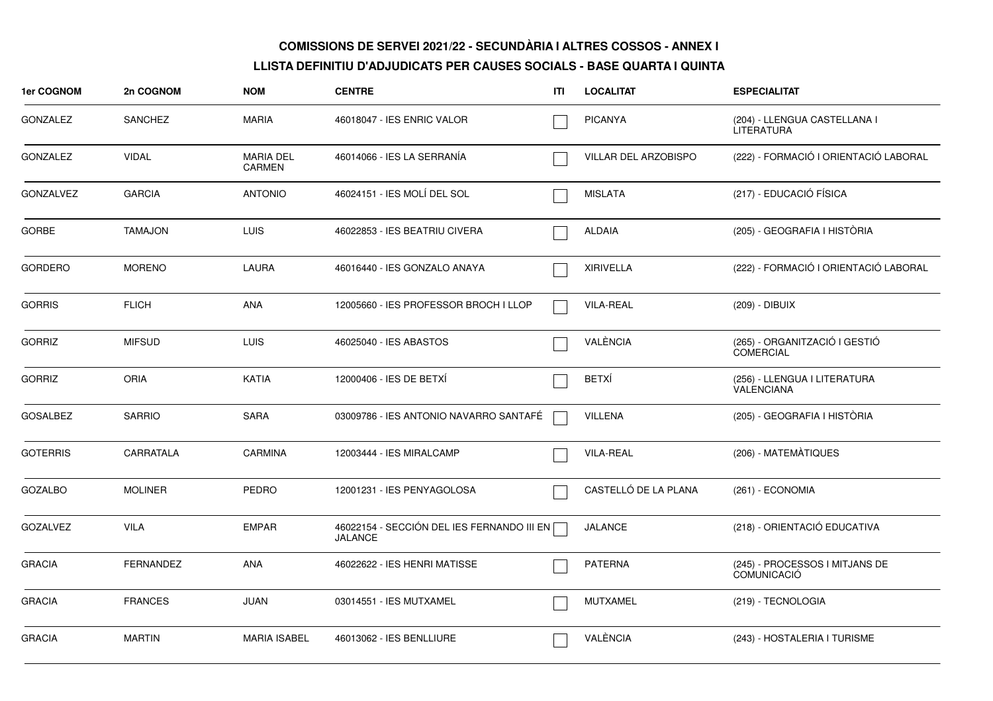| 1er COGNOM       | 2n COGNOM        | <b>NOM</b>                 | <b>CENTRE</b>                                                | ΙTΙ | <b>LOCALITAT</b>     | <b>ESPECIALITAT</b>                                  |
|------------------|------------------|----------------------------|--------------------------------------------------------------|-----|----------------------|------------------------------------------------------|
| <b>GONZALEZ</b>  | <b>SANCHEZ</b>   | <b>MARIA</b>               | 46018047 - IES ENRIC VALOR                                   |     | <b>PICANYA</b>       | (204) - LLENGUA CASTELLANA I<br><b>LITERATURA</b>    |
| <b>GONZALEZ</b>  | <b>VIDAL</b>     | <b>MARIA DEL</b><br>CARMEN | 46014066 - IES LA SERRANÍA                                   |     | VILLAR DEL ARZOBISPO | (222) - FORMACIÓ I ORIENTACIÓ LABORAL                |
| <b>GONZALVEZ</b> | <b>GARCIA</b>    | <b>ANTONIO</b>             | 46024151 - IES MOLÍ DEL SOL                                  |     | <b>MISLATA</b>       | (217) - EDUCACIÓ FÍSICA                              |
| <b>GORBE</b>     | <b>TAMAJON</b>   | <b>LUIS</b>                | 46022853 - IES BEATRIU CIVERA                                |     | <b>ALDAIA</b>        | (205) - GEOGRAFIA I HISTÒRIA                         |
| <b>GORDERO</b>   | <b>MORENO</b>    | <b>LAURA</b>               | 46016440 - IES GONZALO ANAYA                                 |     | <b>XIRIVELLA</b>     | (222) - FORMACIÓ I ORIENTACIÓ LABORAL                |
| <b>GORRIS</b>    | <b>FLICH</b>     | ANA                        | 12005660 - IES PROFESSOR BROCH I LLOP                        |     | <b>VILA-REAL</b>     | (209) - DIBUIX                                       |
| <b>GORRIZ</b>    | <b>MIFSUD</b>    | <b>LUIS</b>                | 46025040 - IES ABASTOS                                       |     | VALÈNCIA             | (265) - ORGANITZACIÓ I GESTIÓ<br><b>COMERCIAL</b>    |
| <b>GORRIZ</b>    | <b>ORIA</b>      | <b>KATIA</b>               | 12000406 - IES DE BETXÍ                                      |     | <b>BETXÍ</b>         | (256) - LLENGUA I LITERATURA<br>VALENCIANA           |
| <b>GOSALBEZ</b>  | <b>SARRIO</b>    | <b>SARA</b>                | 03009786 - IES ANTONIO NAVARRO SANTAFÉ                       |     | <b>VILLENA</b>       | (205) - GEOGRAFIA I HISTÒRIA                         |
| <b>GOTERRIS</b>  | CARRATALA        | <b>CARMINA</b>             | 12003444 - IES MIRALCAMP                                     |     | <b>VILA-REAL</b>     | (206) - MATEMÀTIQUES                                 |
| <b>GOZALBO</b>   | <b>MOLINER</b>   | <b>PEDRO</b>               | 12001231 - IES PENYAGOLOSA                                   |     | CASTELLÓ DE LA PLANA | (261) - ECONOMIA                                     |
| <b>GOZALVEZ</b>  | <b>VILA</b>      | <b>EMPAR</b>               | 46022154 - SECCIÓN DEL IES FERNANDO III EN<br><b>JALANCE</b> |     | <b>JALANCE</b>       | (218) - ORIENTACIÓ EDUCATIVA                         |
| <b>GRACIA</b>    | <b>FERNANDEZ</b> | ANA                        | 46022622 - IES HENRI MATISSE                                 |     | <b>PATERNA</b>       | (245) - PROCESSOS I MITJANS DE<br><b>COMUNICACIÓ</b> |
| <b>GRACIA</b>    | <b>FRANCES</b>   | <b>JUAN</b>                | 03014551 - IES MUTXAMEL                                      |     | <b>MUTXAMEL</b>      | (219) - TECNOLOGIA                                   |
| <b>GRACIA</b>    | <b>MARTIN</b>    | <b>MARIA ISABEL</b>        | 46013062 - IES BENLLIURE                                     |     | VALÈNCIA             | (243) - HOSTALERIA I TURISME                         |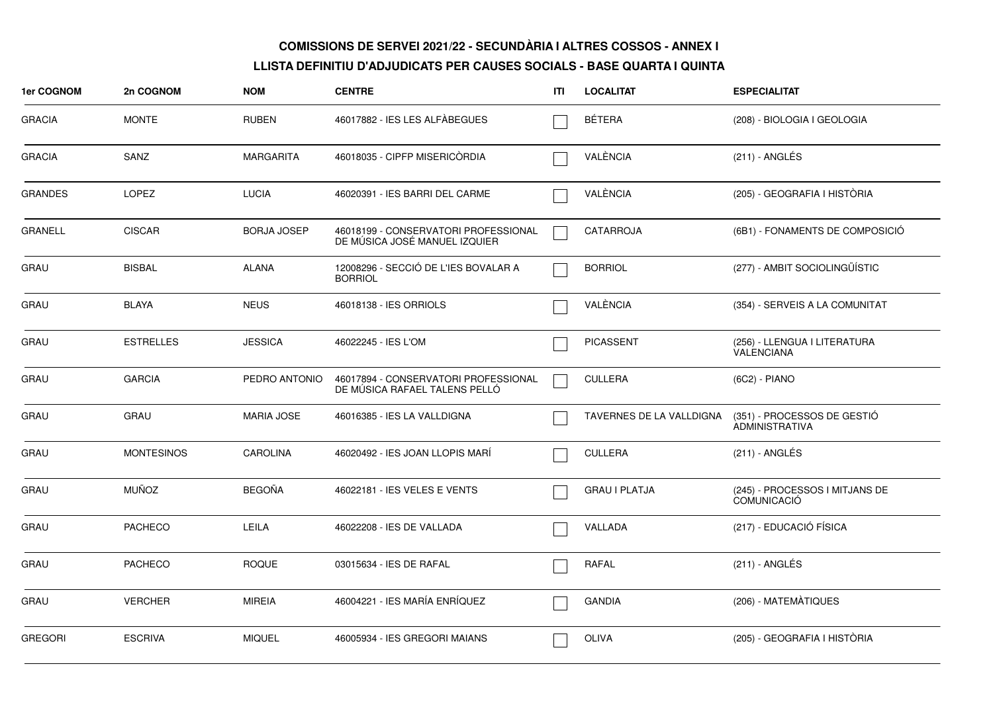| <b>1er COGNOM</b> | 2n COGNOM         | <b>NOM</b>         | <b>CENTRE</b>                                                         | ITI | <b>LOCALITAT</b>         | <b>ESPECIALITAT</b>                                  |
|-------------------|-------------------|--------------------|-----------------------------------------------------------------------|-----|--------------------------|------------------------------------------------------|
| <b>GRACIA</b>     | <b>MONTE</b>      | <b>RUBEN</b>       | 46017882 - IES LES ALFÀBEGUES                                         |     | <b>BÉTERA</b>            | (208) - BIOLOGIA I GEOLOGIA                          |
| <b>GRACIA</b>     | SANZ              | MARGARITA          | 46018035 - CIPFP MISERICÒRDIA                                         |     | VALÈNCIA                 | $(211)$ - ANGLÉS                                     |
| <b>GRANDES</b>    | <b>LOPEZ</b>      | <b>LUCIA</b>       | 46020391 - IES BARRI DEL CARME                                        |     | VALÈNCIA                 | (205) - GEOGRAFIA I HISTÒRIA                         |
| <b>GRANELL</b>    | <b>CISCAR</b>     | <b>BORJA JOSEP</b> | 46018199 - CONSERVATORI PROFESSIONAL<br>DE MÚSICA JOSÉ MANUEL IZQUIER |     | CATARROJA                | (6B1) - FONAMENTS DE COMPOSICIÓ                      |
| <b>GRAU</b>       | <b>BISBAL</b>     | <b>ALANA</b>       | 12008296 - SECCIÓ DE L'IES BOVALAR A<br><b>BORRIOL</b>                |     | <b>BORRIOL</b>           | (277) - AMBIT SOCIOLINGÜÍSTIC                        |
| GRAU              | <b>BLAYA</b>      | <b>NEUS</b>        | 46018138 - IES ORRIOLS                                                |     | VALÈNCIA                 | (354) - SERVEIS A LA COMUNITAT                       |
| <b>GRAU</b>       | <b>ESTRELLES</b>  | <b>JESSICA</b>     | 46022245 - IES L'OM                                                   |     | <b>PICASSENT</b>         | (256) - LLENGUA I LITERATURA<br>VALENCIANA           |
| <b>GRAU</b>       | <b>GARCIA</b>     | PEDRO ANTONIO      | 46017894 - CONSERVATORI PROFESSIONAL<br>DE MÚSICA RAFAEL TALENS PELLÓ |     | <b>CULLERA</b>           | (6C2) - PIANO                                        |
| <b>GRAU</b>       | <b>GRAU</b>       | <b>MARIA JOSE</b>  | 46016385 - IES LA VALLDIGNA                                           |     | TAVERNES DE LA VALLDIGNA | (351) - PROCESSOS DE GESTIÓ<br><b>ADMINISTRATIVA</b> |
| <b>GRAU</b>       | <b>MONTESINOS</b> | <b>CAROLINA</b>    | 46020492 - IES JOAN LLOPIS MARI                                       |     | <b>CULLERA</b>           | (211) - ANGLÉS                                       |
| <b>GRAU</b>       | <b>MUÑOZ</b>      | <b>BEGOÑA</b>      | 46022181 - IES VELES E VENTS                                          |     | <b>GRAU I PLATJA</b>     | (245) - PROCESSOS I MITJANS DE<br><b>COMUNICACIÓ</b> |
| <b>GRAU</b>       | <b>PACHECO</b>    | LEILA              | 46022208 - IES DE VALLADA                                             |     | VALLADA                  | (217) - EDUCACIÓ FÍSICA                              |
| <b>GRAU</b>       | <b>PACHECO</b>    | <b>ROQUE</b>       | 03015634 - IES DE RAFAL                                               |     | <b>RAFAL</b>             | (211) - ANGLÉS                                       |
| <b>GRAU</b>       | <b>VERCHER</b>    | <b>MIREIA</b>      | 46004221 - IES MARÍA ENRÍQUEZ                                         |     | <b>GANDIA</b>            | (206) - MATEMÀTIQUES                                 |
| <b>GREGORI</b>    | <b>ESCRIVA</b>    | <b>MIQUEL</b>      | 46005934 - IES GREGORI MAIANS                                         |     | <b>OLIVA</b>             | (205) - GEOGRAFIA I HISTÒRIA                         |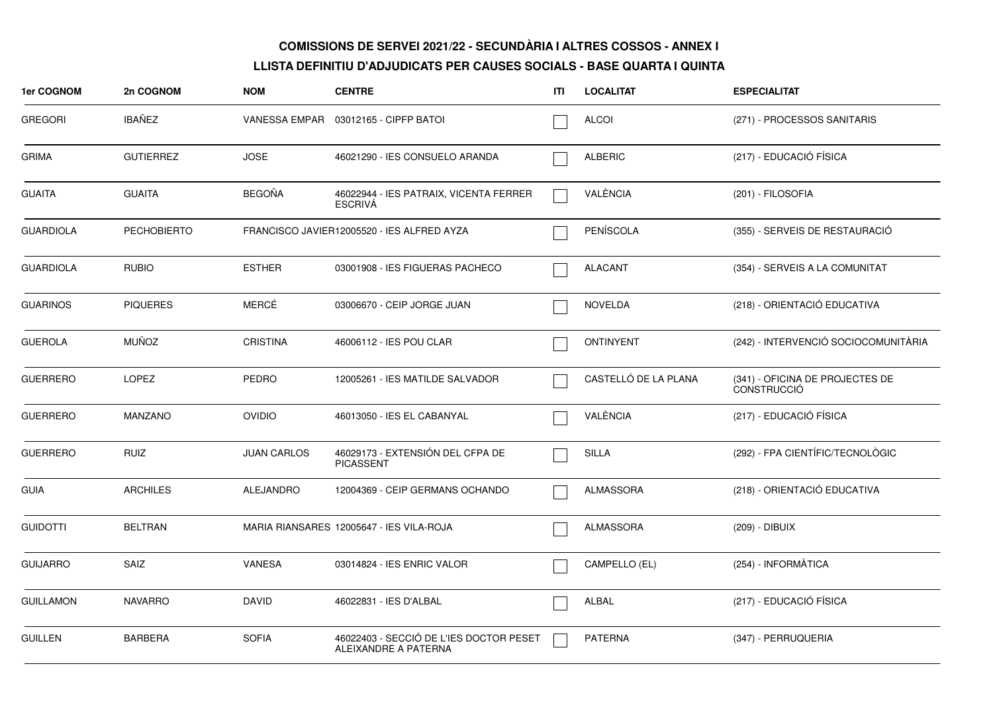| 1er COGNOM       | 2n COGNOM          | <b>NOM</b>         | <b>CENTRE</b>                                                   | ITI | <b>LOCALITAT</b>     | <b>ESPECIALITAT</b>                                   |
|------------------|--------------------|--------------------|-----------------------------------------------------------------|-----|----------------------|-------------------------------------------------------|
| <b>GREGORI</b>   | IBAÑEZ             |                    | VANESSA EMPAR 03012165 - CIPFP BATOI                            |     | <b>ALCOI</b>         | (271) - PROCESSOS SANITARIS                           |
| <b>GRIMA</b>     | <b>GUTIERREZ</b>   | <b>JOSE</b>        | 46021290 - IES CONSUELO ARANDA                                  |     | <b>ALBERIC</b>       | (217) - EDUCACIÓ FÍSICA                               |
| <b>GUAITA</b>    | <b>GUAITA</b>      | <b>BEGOÑA</b>      | 46022944 - IES PATRAIX, VICENTA FERRER<br><b>ESCRIVA</b>        |     | VALÈNCIA             | (201) - FILOSOFIA                                     |
| <b>GUARDIOLA</b> | <b>PECHOBIERTO</b> |                    | FRANCISCO JAVIER12005520 - IES ALFRED AYZA                      |     | PENÍSCOLA            | (355) - SERVEIS DE RESTAURACIÓ                        |
| <b>GUARDIOLA</b> | <b>RUBIO</b>       | <b>ESTHER</b>      | 03001908 - IES FIGUERAS PACHECO                                 |     | <b>ALACANT</b>       | (354) - SERVEIS A LA COMUNITAT                        |
| <b>GUARINOS</b>  | <b>PIQUERES</b>    | MERCÉ              | 03006670 - CEIP JORGE JUAN                                      |     | <b>NOVELDA</b>       | (218) - ORIENTACIÓ EDUCATIVA                          |
| <b>GUEROLA</b>   | <b>MUÑOZ</b>       | <b>CRISTINA</b>    | 46006112 - IES POU CLAR                                         |     | <b>ONTINYENT</b>     | (242) - INTERVENCIÓ SOCIOCOMUNITÀRIA                  |
| <b>GUERRERO</b>  | <b>LOPEZ</b>       | PEDRO              | 12005261 - IES MATILDE SALVADOR                                 |     | CASTELLÓ DE LA PLANA | (341) - OFICINA DE PROJECTES DE<br><b>CONSTRUCCIÓ</b> |
| <b>GUERRERO</b>  | MANZANO            | <b>OVIDIO</b>      | 46013050 - IES EL CABANYAL                                      |     | VALÈNCIA             | (217) - EDUCACIÓ FÍSICA                               |
| <b>GUERRERO</b>  | <b>RUIZ</b>        | <b>JUAN CARLOS</b> | 46029173 - EXTENSIÓN DEL CFPA DE<br><b>PICASSENT</b>            |     | <b>SILLA</b>         | (292) - FPA CIENTÍFIC/TECNOLÒGIC                      |
| <b>GUIA</b>      | <b>ARCHILES</b>    | <b>ALEJANDRO</b>   | 12004369 - CEIP GERMANS OCHANDO                                 |     | ALMASSORA            | (218) - ORIENTACIÓ EDUCATIVA                          |
| <b>GUIDOTTI</b>  | <b>BELTRAN</b>     |                    | MARIA RIANSARES 12005647 - IES VILA-ROJA                        |     | <b>ALMASSORA</b>     | (209) - DIBUIX                                        |
| <b>GUIJARRO</b>  | SAIZ               | <b>VANESA</b>      | 03014824 - IES ENRIC VALOR                                      |     | CAMPELLO (EL)        | (254) - INFORMÀTICA                                   |
| <b>GUILLAMON</b> | <b>NAVARRO</b>     | <b>DAVID</b>       | 46022831 - IES D'ALBAL                                          |     | ALBAL                | (217) - EDUCACIÓ FÍSICA                               |
| <b>GUILLEN</b>   | <b>BARBERA</b>     | <b>SOFIA</b>       | 46022403 - SECCIÓ DE L'IES DOCTOR PESET<br>ALEIXANDRE A PATERNA |     | PATERNA              | (347) - PERRUQUERIA                                   |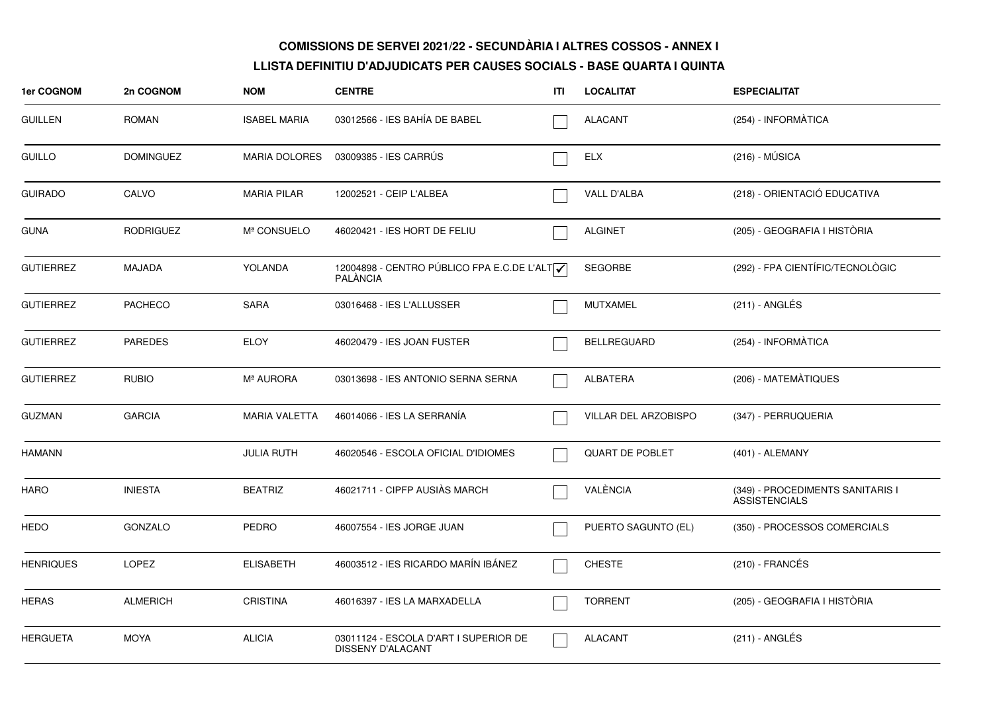| 1er COGNOM       | 2n COGNOM        | <b>NOM</b>           | <b>CENTRE</b>                                                  | ITI | <b>LOCALITAT</b>       | <b>ESPECIALITAT</b>                                      |
|------------------|------------------|----------------------|----------------------------------------------------------------|-----|------------------------|----------------------------------------------------------|
| <b>GUILLEN</b>   | <b>ROMAN</b>     | <b>ISABEL MARIA</b>  | 03012566 - IES BAHÍA DE BABEL                                  |     | <b>ALACANT</b>         | (254) - INFORMATICA                                      |
| <b>GUILLO</b>    | <b>DOMINGUEZ</b> | <b>MARIA DOLORES</b> | 03009385 - IES CARRÚS                                          |     | ELX                    | $(216) - MÚSICA$                                         |
| <b>GUIRADO</b>   | CALVO            | <b>MARIA PILAR</b>   | 12002521 - CEIP L'ALBEA                                        |     | VALL D'ALBA            | (218) - ORIENTACIÓ EDUCATIVA                             |
| <b>GUNA</b>      | <b>RODRIGUEZ</b> | Mª CONSUELO          | 46020421 - IES HORT DE FELIU                                   |     | <b>ALGINET</b>         | (205) - GEOGRAFIA I HISTÒRIA                             |
| <b>GUTIERREZ</b> | MAJADA           | YOLANDA              | 12004898 - CENTRO PÚBLICO FPA E.C.DE L'ALT√<br><b>PALÀNCIA</b> |     | <b>SEGORBE</b>         | (292) - FPA CIENTÍFIC/TECNOLÒGIC                         |
| <b>GUTIERREZ</b> | <b>PACHECO</b>   | <b>SARA</b>          | 03016468 - IES L'ALLUSSER                                      |     | MUTXAMEL               | $(211)$ - ANGLÉS                                         |
| <b>GUTIERREZ</b> | <b>PAREDES</b>   | <b>ELOY</b>          | 46020479 - IES JOAN FUSTER                                     |     | <b>BELLREGUARD</b>     | (254) - INFORMÀTICA                                      |
| <b>GUTIERREZ</b> | <b>RUBIO</b>     | Mª AURORA            | 03013698 - IES ANTONIO SERNA SERNA                             |     | ALBATERA               | (206) - MATEMÀTIQUES                                     |
| <b>GUZMAN</b>    | <b>GARCIA</b>    | <b>MARIA VALETTA</b> | 46014066 - IES LA SERRANÍA                                     |     | VILLAR DEL ARZOBISPO   | (347) - PERRUQUERIA                                      |
| <b>HAMANN</b>    |                  | <b>JULIA RUTH</b>    | 46020546 - ESCOLA OFICIAL D'IDIOMES                            |     | <b>QUART DE POBLET</b> | (401) - ALEMANY                                          |
| HARO             | <b>INIESTA</b>   | <b>BEATRIZ</b>       | 46021711 - CIPFP AUSIÀS MARCH                                  |     | VALÈNCIA               | (349) - PROCEDIMENTS SANITARIS I<br><b>ASSISTENCIALS</b> |
| <b>HEDO</b>      | <b>GONZALO</b>   | <b>PEDRO</b>         | 46007554 - IES JORGE JUAN                                      |     | PUERTO SAGUNTO (EL)    | (350) - PROCESSOS COMERCIALS                             |
| <b>HENRIQUES</b> | LOPEZ            | <b>ELISABETH</b>     | 46003512 - IES RICARDO MARÍN IBÁNEZ                            |     | <b>CHESTE</b>          | $(210)$ - FRANCÉS                                        |
| <b>HERAS</b>     | <b>ALMERICH</b>  | <b>CRISTINA</b>      | 46016397 - IES LA MARXADELLA                                   |     | <b>TORRENT</b>         | (205) - GEOGRAFIA I HISTÒRIA                             |
| <b>HERGUETA</b>  | <b>MOYA</b>      | <b>ALICIA</b>        | 03011124 - ESCOLA D'ART I SUPERIOR DE<br>DISSENY D'ALACANT     |     | <b>ALACANT</b>         | (211) - ANGLÉS                                           |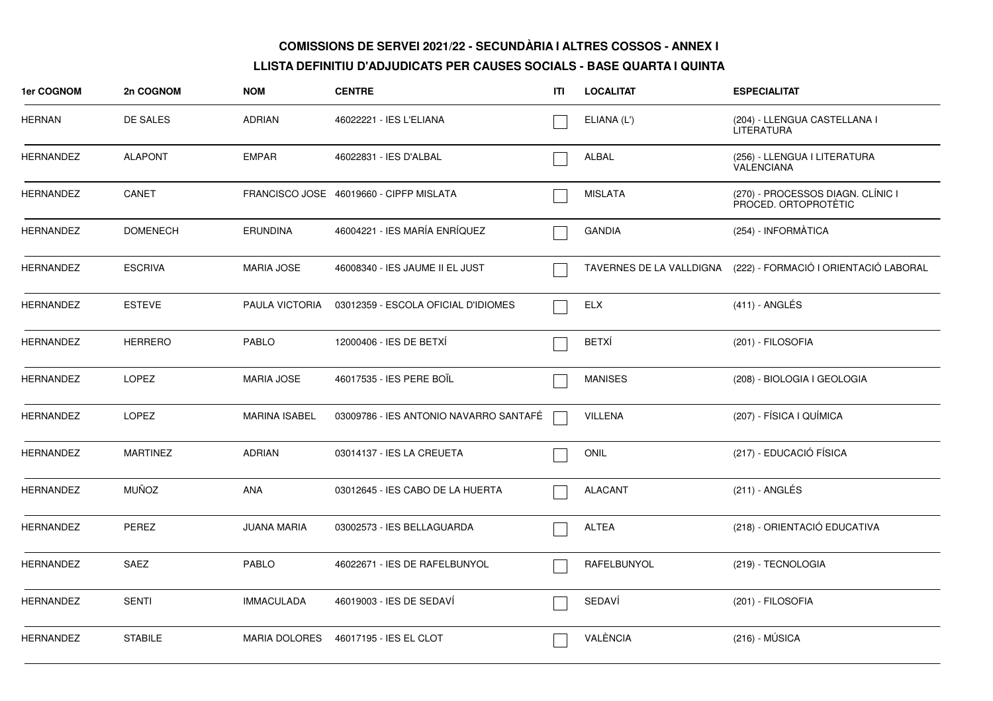| 1er COGNOM       | 2n COGNOM       | <b>NOM</b>           | <b>CENTRE</b>                           | ITI | <b>LOCALITAT</b> | <b>ESPECIALITAT</b>                                            |
|------------------|-----------------|----------------------|-----------------------------------------|-----|------------------|----------------------------------------------------------------|
| <b>HERNAN</b>    | DE SALES        | <b>ADRIAN</b>        | 46022221 - IES L'ELIANA                 |     | ELIANA (L')      | (204) - LLENGUA CASTELLANA I<br>LITERATURA                     |
| <b>HERNANDEZ</b> | <b>ALAPONT</b>  | <b>EMPAR</b>         | 46022831 - IES D'ALBAL                  |     | ALBAL            | (256) - LLENGUA I LITERATURA<br>VALENCIANA                     |
| <b>HERNANDEZ</b> | CANET           |                      | FRANCISCO JOSE 46019660 - CIPFP MISLATA |     | <b>MISLATA</b>   | (270) - PROCESSOS DIAGN. CLÍNIC I<br>PROCED. ORTOPROTÈTIC      |
| <b>HERNANDEZ</b> | <b>DOMENECH</b> | <b>ERUNDINA</b>      | 46004221 - IES MARÍA ENRÍQUEZ           |     | <b>GANDIA</b>    | (254) - INFORMÀTICA                                            |
| <b>HERNANDEZ</b> | <b>ESCRIVA</b>  | <b>MARIA JOSE</b>    | 46008340 - IES JAUME II EL JUST         |     |                  | TAVERNES DE LA VALLDIGNA (222) - FORMACIÓ I ORIENTACIÓ LABORAL |
| <b>HERNANDEZ</b> | <b>ESTEVE</b>   | PAULA VICTORIA       | 03012359 - ESCOLA OFICIAL D'IDIOMES     |     | <b>ELX</b>       | $(411)$ - ANGLÉS                                               |
| HERNANDEZ        | <b>HERRERO</b>  | PABLO                | 12000406 - IES DE BETXÍ                 |     | <b>BETXÍ</b>     | (201) - FILOSOFIA                                              |
| <b>HERNANDEZ</b> | LOPEZ           | <b>MARIA JOSE</b>    | 46017535 - IES PERE BOIL                |     | <b>MANISES</b>   | (208) - BIOLOGIA I GEOLOGIA                                    |
| <b>HERNANDEZ</b> | <b>LOPEZ</b>    | <b>MARINA ISABEL</b> | 03009786 - IES ANTONIO NAVARRO SANTAFÉ  |     | <b>VILLENA</b>   | (207) - FÍSICA I QUÍMICA                                       |
| <b>HERNANDEZ</b> | <b>MARTINEZ</b> | <b>ADRIAN</b>        | 03014137 - IES LA CREUETA               |     | <b>ONIL</b>      | (217) - EDUCACIÓ FÍSICA                                        |
| HERNANDEZ        | <b>MUÑOZ</b>    | <b>ANA</b>           | 03012645 - IES CABO DE LA HUERTA        |     | <b>ALACANT</b>   | (211) - ANGLÉS                                                 |
| <b>HERNANDEZ</b> | PEREZ           | <b>JUANA MARIA</b>   | 03002573 - IES BELLAGUARDA              |     | <b>ALTEA</b>     | (218) - ORIENTACIÓ EDUCATIVA                                   |
| HERNANDEZ        | SAEZ            | <b>PABLO</b>         | 46022671 - IES DE RAFELBUNYOL           |     | RAFELBUNYOL      | (219) - TECNOLOGIA                                             |
| HERNANDEZ        | <b>SENTI</b>    | <b>IMMACULADA</b>    | 46019003 - IES DE SEDAVÍ                |     | SEDAVÍ           | (201) - FILOSOFIA                                              |
| <b>HERNANDEZ</b> | <b>STABILE</b>  | <b>MARIA DOLORES</b> | 46017195 - IES EL CLOT                  |     | VALÈNCIA         | $(216) - MÚSICA$                                               |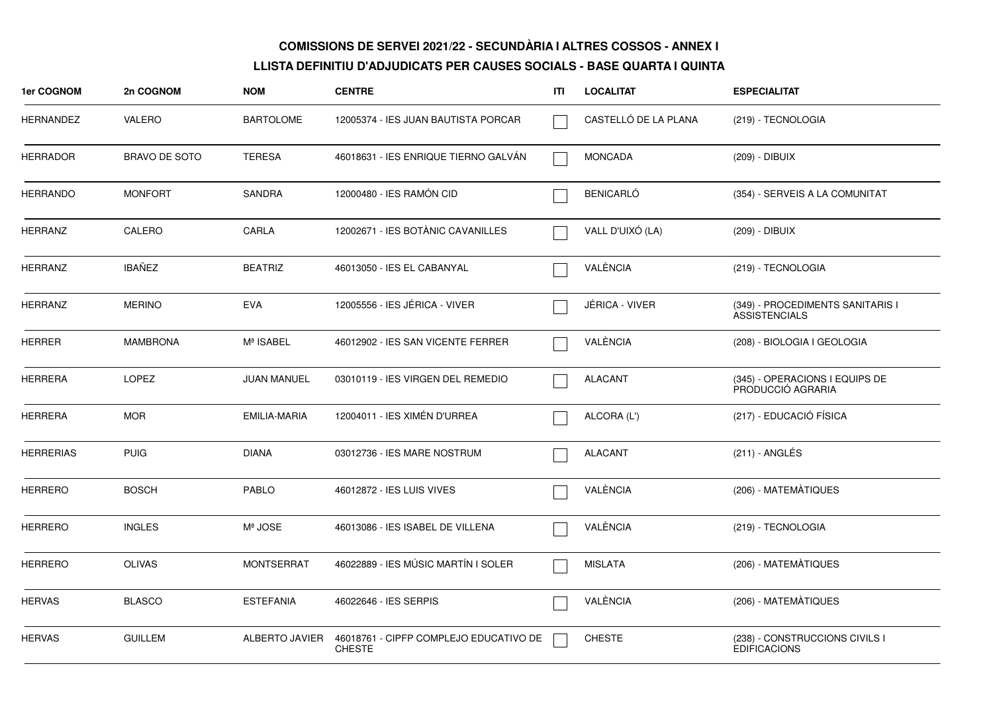| 1er COGNOM       | 2n COGNOM            | <b>NOM</b>         | <b>CENTRE</b>                                           | ITL | <b>LOCALITAT</b>     | <b>ESPECIALITAT</b>                                      |
|------------------|----------------------|--------------------|---------------------------------------------------------|-----|----------------------|----------------------------------------------------------|
| <b>HERNANDEZ</b> | <b>VALERO</b>        | <b>BARTOLOME</b>   | 12005374 - IES JUAN BAUTISTA PORCAR                     |     | CASTELLÓ DE LA PLANA | (219) - TECNOLOGIA                                       |
| HERRADOR         | <b>BRAVO DE SOTO</b> | <b>TERESA</b>      | 46018631 - IES ENRIQUE TIERNO GALVAN                    |     | <b>MONCADA</b>       | (209) - DIBUIX                                           |
| <b>HERRANDO</b>  | <b>MONFORT</b>       | SANDRA             | 12000480 - IES RAMÓN CID                                |     | <b>BENICARLÓ</b>     | (354) - SERVEIS A LA COMUNITAT                           |
| <b>HERRANZ</b>   | CALERO               | CARLA              | 12002671 - IES BOTÀNIC CAVANILLES                       |     | VALL D'UIXÓ (LA)     | (209) - DIBUIX                                           |
| <b>HERRANZ</b>   | <b>IBAÑEZ</b>        | <b>BEATRIZ</b>     | 46013050 - IES EL CABANYAL                              |     | VALÈNCIA             | (219) - TECNOLOGIA                                       |
| <b>HERRANZ</b>   | <b>MERINO</b>        | <b>EVA</b>         | 12005556 - IES JÉRICA - VIVER                           |     | JÉRICA - VIVER       | (349) - PROCEDIMENTS SANITARIS I<br><b>ASSISTENCIALS</b> |
| <b>HERRER</b>    | <b>MAMBRONA</b>      | Mª ISABEL          | 46012902 - IES SAN VICENTE FERRER                       |     | VALÉNCIA             | (208) - BIOLOGIA I GEOLOGIA                              |
| <b>HERRERA</b>   | <b>LOPEZ</b>         | <b>JUAN MANUEL</b> | 03010119 - IES VIRGEN DEL REMEDIO                       |     | <b>ALACANT</b>       | (345) - OPERACIONS I EQUIPS DE<br>PRODUCCIÓ AGRARIA      |
| <b>HERRERA</b>   | <b>MOR</b>           | EMILIA-MARIA       | 12004011 - IES XIMÉN D'URREA                            |     | ALCORA (L')          | (217) - EDUCACIÓ FÍSICA                                  |
| HERRERIAS        | <b>PUIG</b>          | DIANA              | 03012736 - IES MARE NOSTRUM                             |     | <b>ALACANT</b>       | $(211)$ - ANGLÉS                                         |
| <b>HERRERO</b>   | <b>BOSCH</b>         | <b>PABLO</b>       | 46012872 - IES LUIS VIVES                               |     | VALÈNCIA             | (206) - MATEMATIQUES                                     |
| <b>HERRERO</b>   | <b>INGLES</b>        | Mª JOSE            | 46013086 - IES ISABEL DE VILLENA                        |     | VALÈNCIA             | (219) - TECNOLOGIA                                       |
| <b>HERRERO</b>   | <b>OLIVAS</b>        | <b>MONTSERRAT</b>  | 46022889 - IES MÚSIC MARTÍN I SOLER                     |     | <b>MISLATA</b>       | (206) - MATEMÀTIQUES                                     |
| <b>HERVAS</b>    | <b>BLASCO</b>        | <b>ESTEFANIA</b>   | 46022646 - IES SERPIS                                   |     | VALÈNCIA             | (206) - MATEMÀTIQUES                                     |
| <b>HERVAS</b>    | <b>GUILLEM</b>       | ALBERTO JAVIER     | 46018761 - CIPFP COMPLEJO EDUCATIVO DE<br><b>CHESTE</b> |     | <b>CHESTE</b>        | (238) - CONSTRUCCIONS CIVILS I<br><b>EDIFICACIONS</b>    |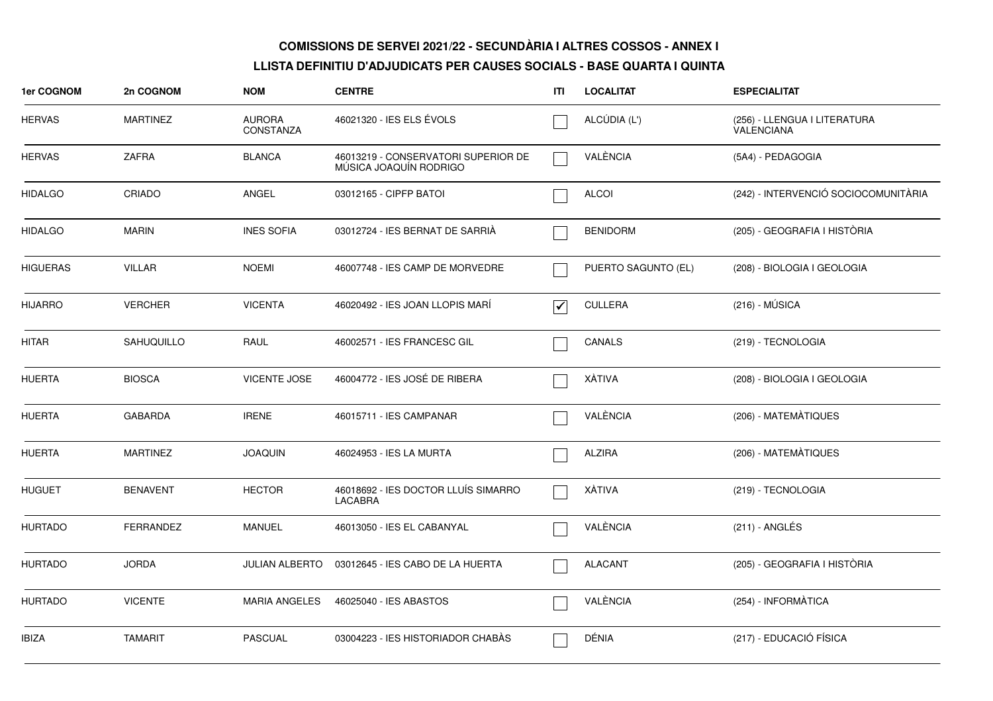| <b>1er COGNOM</b> | 2n COGNOM         | <b>NOM</b>                        | <b>CENTRE</b>                                                 | ITI                             | <b>LOCALITAT</b>    | <b>ESPECIALITAT</b>                        |
|-------------------|-------------------|-----------------------------------|---------------------------------------------------------------|---------------------------------|---------------------|--------------------------------------------|
| <b>HERVAS</b>     | <b>MARTINEZ</b>   | <b>AURORA</b><br><b>CONSTANZA</b> | 46021320 - IES ELS ÉVOLS                                      |                                 | ALCÚDIA (L')        | (256) - LLENGUA I LITERATURA<br>VALENCIANA |
| HERVAS            | <b>ZAFRA</b>      | <b>BLANCA</b>                     | 46013219 - CONSERVATORI SUPERIOR DE<br>MÚSICA JOAQUÍN RODRIGO |                                 | VALÈNCIA            | (5A4) - PEDAGOGIA                          |
| <b>HIDALGO</b>    | CRIADO            | ANGEL                             | 03012165 - CIPFP BATOI                                        |                                 | <b>ALCOI</b>        | (242) - INTERVENCIÓ SOCIOCOMUNITÀRIA       |
| <b>HIDALGO</b>    | <b>MARIN</b>      | <b>INES SOFIA</b>                 | 03012724 - IES BERNAT DE SARRIA                               |                                 | <b>BENIDORM</b>     | (205) - GEOGRAFIA I HISTÒRIA               |
| <b>HIGUERAS</b>   | <b>VILLAR</b>     | <b>NOEMI</b>                      | 46007748 - IES CAMP DE MORVEDRE                               |                                 | PUERTO SAGUNTO (EL) | (208) - BIOLOGIA I GEOLOGIA                |
| <b>HIJARRO</b>    | <b>VERCHER</b>    | <b>VICENTA</b>                    | 46020492 - IES JOAN LLOPIS MARÍ                               | $\overline{\blacktriangledown}$ | <b>CULLERA</b>      | $(216) - MÚSICA$                           |
| HITAR             | <b>SAHUQUILLO</b> | RAUL                              | 46002571 - IES FRANCESC GIL                                   |                                 | CANALS              | (219) - TECNOLOGIA                         |
| <b>HUERTA</b>     | <b>BIOSCA</b>     | <b>VICENTE JOSE</b>               | 46004772 - IES JOSÉ DE RIBERA                                 |                                 | XÀTIVA              | (208) - BIOLOGIA I GEOLOGIA                |
| <b>HUERTA</b>     | <b>GABARDA</b>    | <b>IRENE</b>                      | 46015711 - IES CAMPANAR                                       |                                 | VALÈNCIA            | (206) - MATEMÀTIQUES                       |
| <b>HUERTA</b>     | <b>MARTINEZ</b>   | <b>JOAQUIN</b>                    | 46024953 - IES LA MURTA                                       |                                 | <b>ALZIRA</b>       | (206) - MATEMÀTIQUES                       |
| <b>HUGUET</b>     | <b>BENAVENT</b>   | <b>HECTOR</b>                     | 46018692 - IES DOCTOR LLUÍS SIMARRO<br><b>LACABRA</b>         |                                 | XÀTIVA              | (219) - TECNOLOGIA                         |
| <b>HURTADO</b>    | <b>FERRANDEZ</b>  | <b>MANUEL</b>                     | 46013050 - IES EL CABANYAL                                    |                                 | VALÈNCIA            | $(211) - ANGLÉS$                           |
| <b>HURTADO</b>    | <b>JORDA</b>      |                                   | JULIAN ALBERTO  03012645 - IES CABO DE LA HUERTA              |                                 | <b>ALACANT</b>      | (205) - GEOGRAFIA I HISTÒRIA               |
| <b>HURTADO</b>    | <b>VICENTE</b>    | <b>MARIA ANGELES</b>              | 46025040 - IES ABASTOS                                        |                                 | VALÈNCIA            | (254) - INFORMATICA                        |
| <b>IBIZA</b>      | <b>TAMARIT</b>    | <b>PASCUAL</b>                    | 03004223 - IES HISTORIADOR CHABÀS                             |                                 | DÉNIA               | (217) - EDUCACIÓ FÍSICA                    |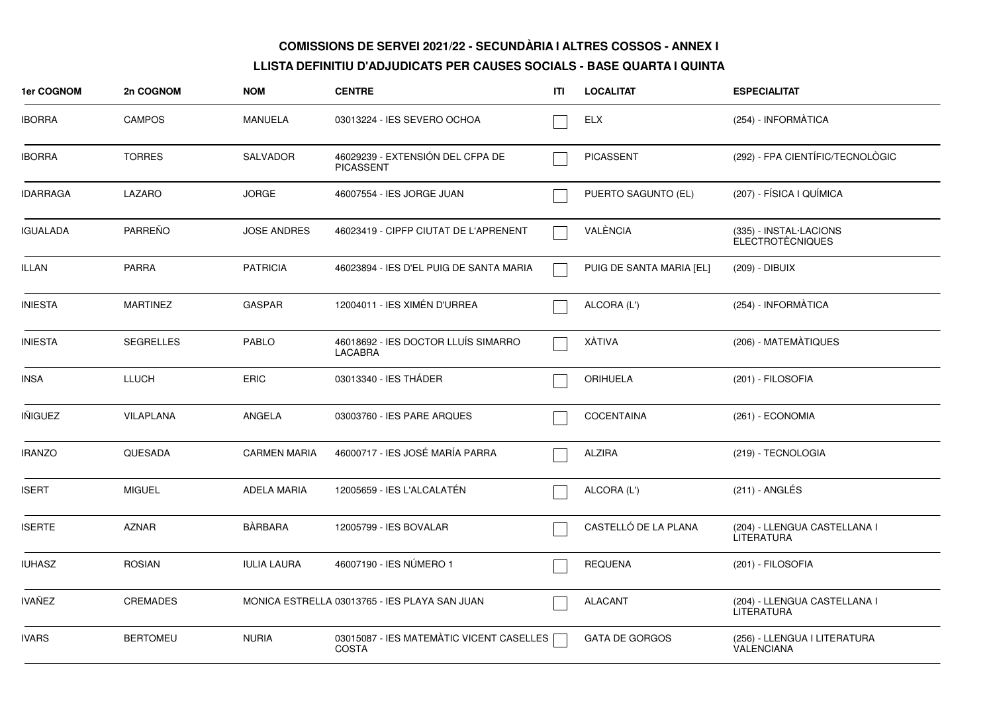| 1er COGNOM      | 2n COGNOM        | <b>NOM</b>          | <b>CENTRE</b>                                            | ITI | <b>LOCALITAT</b>         | <b>ESPECIALITAT</b>                               |
|-----------------|------------------|---------------------|----------------------------------------------------------|-----|--------------------------|---------------------------------------------------|
| <b>IBORRA</b>   | <b>CAMPOS</b>    | MANUELA             | 03013224 - IES SEVERO OCHOA                              |     | <b>ELX</b>               | (254) - INFORMATICA                               |
| <b>IBORRA</b>   | <b>TORRES</b>    | <b>SALVADOR</b>     | 46029239 - EXTENSIÓN DEL CFPA DE<br><b>PICASSENT</b>     |     | <b>PICASSENT</b>         | (292) - FPA CIENTÍFIC/TECNOLÒGIC                  |
| <b>IDARRAGA</b> | LAZARO           | <b>JORGE</b>        | 46007554 - IES JORGE JUAN                                |     | PUERTO SAGUNTO (EL)      | (207) - FÍSICA I QUÍMICA                          |
| <b>IGUALADA</b> | <b>PARREÑO</b>   | <b>JOSE ANDRES</b>  | 46023419 - CIPFP CIUTAT DE L'APRENENT                    |     | VALÈNCIA                 | (335) - INSTAL·LACIONS<br><b>ELECTROTÈCNIQUES</b> |
| <b>ILLAN</b>    | <b>PARRA</b>     | <b>PATRICIA</b>     | 46023894 - IES D'EL PUIG DE SANTA MARIA                  |     | PUIG DE SANTA MARIA [EL] | (209) - DIBUIX                                    |
| <b>INIESTA</b>  | <b>MARTINEZ</b>  | <b>GASPAR</b>       | 12004011 - IES XIMÉN D'URREA                             |     | ALCORA (L')              | (254) - INFORMÀTICA                               |
| <b>INIESTA</b>  | <b>SEGRELLES</b> | <b>PABLO</b>        | 46018692 - IES DOCTOR LLUIS SIMARRO<br><b>LACABRA</b>    |     | XÀTIVA                   | (206) - MATEMÀTIQUES                              |
| <b>INSA</b>     | LLUCH            | <b>ERIC</b>         | 03013340 - IES THÁDER                                    |     | <b>ORIHUELA</b>          | (201) - FILOSOFIA                                 |
| <b>INIGUEZ</b>  | <b>VILAPLANA</b> | ANGELA              | 03003760 - IES PARE ARQUES                               |     | <b>COCENTAINA</b>        | (261) - ECONOMIA                                  |
| <b>IRANZO</b>   | QUESADA          | <b>CARMEN MARIA</b> | 46000717 - IES JOSÉ MARÍA PARRA                          |     | <b>ALZIRA</b>            | (219) - TECNOLOGIA                                |
| <b>ISERT</b>    | <b>MIGUEL</b>    | ADELA MARIA         | 12005659 - IES L'ALCALATÉN                               |     | ALCORA (L')              | $(211)$ - ANGLÉS                                  |
| <b>ISERTE</b>   | <b>AZNAR</b>     | <b>BÀRBARA</b>      | 12005799 - IES BOVALAR                                   |     | CASTELLÓ DE LA PLANA     | (204) - LLENGUA CASTELLANA I<br>LITERATURA        |
| <b>IUHASZ</b>   | <b>ROSIAN</b>    | <b>IULIA LAURA</b>  | 46007190 - IES NÚMERO 1                                  |     | <b>REQUENA</b>           | (201) - FILOSOFIA                                 |
| <b>IVAÑEZ</b>   | <b>CREMADES</b>  |                     | MONICA ESTRELLA 03013765 - IES PLAYA SAN JUAN            |     | <b>ALACANT</b>           | (204) - LLENGUA CASTELLANA I<br><b>LITERATURA</b> |
| <b>IVARS</b>    | <b>BERTOMEU</b>  | <b>NURIA</b>        | 03015087 - IES MATEMÀTIC VICENT CASELLES<br><b>COSTA</b> |     | <b>GATA DE GORGOS</b>    | (256) - LLENGUA I LITERATURA<br>VALENCIANA        |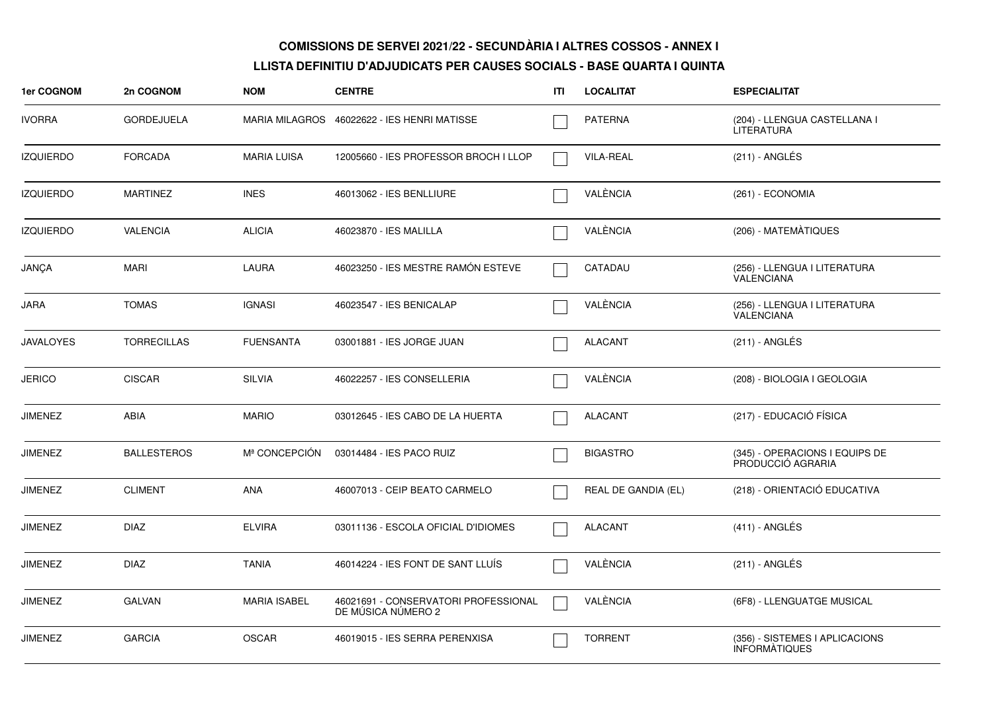| <b>1er COGNOM</b> | 2n COGNOM          | <b>NOM</b>                | <b>CENTRE</b>                                              | ITI | <b>LOCALITAT</b>    | <b>ESPECIALITAT</b>                                    |
|-------------------|--------------------|---------------------------|------------------------------------------------------------|-----|---------------------|--------------------------------------------------------|
| <b>IVORRA</b>     | <b>GORDEJUELA</b>  |                           | MARIA MILAGROS 46022622 - IES HENRI MATISSE                |     | <b>PATERNA</b>      | (204) - LLENGUA CASTELLANA I<br><b>LITERATURA</b>      |
| <b>IZQUIERDO</b>  | <b>FORCADA</b>     | <b>MARIA LUISA</b>        | 12005660 - IES PROFESSOR BROCH I LLOP                      |     | <b>VILA-REAL</b>    | (211) - ANGLÉS                                         |
| <b>IZQUIERDO</b>  | <b>MARTINEZ</b>    | <b>INES</b>               | 46013062 - IES BENLLIURE                                   |     | VALÈNCIA            | (261) - ECONOMIA                                       |
| <b>IZQUIERDO</b>  | <b>VALENCIA</b>    | <b>ALICIA</b>             | 46023870 - IES MALILLA                                     |     | VALÈNCIA            | (206) - MATEMATIQUES                                   |
| JANÇA             | <b>MARI</b>        | LAURA                     | 46023250 - IES MESTRE RAMÓN ESTEVE                         |     | CATADAU             | (256) - LLENGUA I LITERATURA<br>VALENCIANA             |
| JARA              | <b>TOMAS</b>       | <b>IGNASI</b>             | 46023547 - IES BENICALAP                                   |     | VALÈNCIA            | (256) - LLENGUA I LITERATURA<br><b>VALENCIANA</b>      |
| <b>JAVALOYES</b>  | <b>TORRECILLAS</b> | <b>FUENSANTA</b>          | 03001881 - IES JORGE JUAN                                  |     | <b>ALACANT</b>      | $(211)$ - ANGLÉS                                       |
| <b>JERICO</b>     | <b>CISCAR</b>      | <b>SILVIA</b>             | 46022257 - IES CONSELLERIA                                 |     | VALÈNCIA            | (208) - BIOLOGIA I GEOLOGIA                            |
| JIMENEZ           | ABIA               | <b>MARIO</b>              | 03012645 - IES CABO DE LA HUERTA                           |     | <b>ALACANT</b>      | (217) - EDUCACIÓ FÍSICA                                |
| JIMENEZ           | <b>BALLESTEROS</b> | M <sup>ª</sup> CONCEPCIÓN | 03014484 - IES PACO RUIZ                                   |     | <b>BIGASTRO</b>     | (345) - OPERACIONS I EQUIPS DE<br>PRODUCCIÓ AGRARIA    |
| JIMENEZ           | <b>CLIMENT</b>     | ANA                       | 46007013 - CEIP BEATO CARMELO                              |     | REAL DE GANDIA (EL) | (218) - ORIENTACIÓ EDUCATIVA                           |
| <b>JIMENEZ</b>    | <b>DIAZ</b>        | <b>ELVIRA</b>             | 03011136 - ESCOLA OFICIAL D'IDIOMES                        |     | <b>ALACANT</b>      | $(411)$ - ANGLÉS                                       |
| JIMENEZ           | <b>DIAZ</b>        | <b>TANIA</b>              | 46014224 - IES FONT DE SANT LLUIS                          |     | VALÈNCIA            | (211) - ANGLÉS                                         |
| <b>JIMENEZ</b>    | <b>GALVAN</b>      | <b>MARIA ISABEL</b>       | 46021691 - CONSERVATORI PROFESSIONAL<br>DE MÚSICA NÚMERO 2 |     | VALÈNCIA            | (6F8) - LLENGUATGE MUSICAL                             |
| <b>JIMENEZ</b>    | <b>GARCIA</b>      | <b>OSCAR</b>              | 46019015 - IES SERRA PERENXISA                             |     | <b>TORRENT</b>      | (356) - SISTEMES I APLICACIONS<br><b>INFORMATIQUES</b> |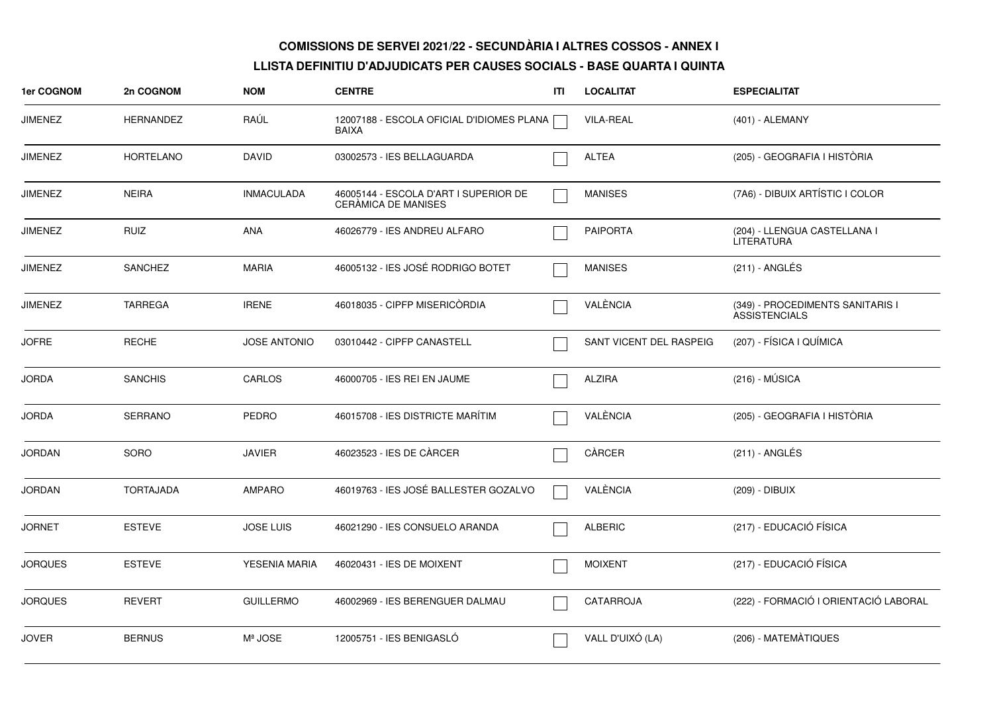| 1er COGNOM     | 2n COGNOM        | <b>NOM</b>          | <b>CENTRE</b>                                                       | ITI | <b>LOCALITAT</b>        | <b>ESPECIALITAT</b>                                      |
|----------------|------------------|---------------------|---------------------------------------------------------------------|-----|-------------------------|----------------------------------------------------------|
| <b>JIMENEZ</b> | <b>HERNANDEZ</b> | RAUL                | 12007188 - ESCOLA OFICIAL D'IDIOMES PLANA<br><b>BAIXA</b>           |     | <b>VILA-REAL</b>        | (401) - ALEMANY                                          |
| <b>JIMENEZ</b> | <b>HORTELANO</b> | <b>DAVID</b>        | 03002573 - IES BELLAGUARDA                                          |     | <b>ALTEA</b>            | (205) - GEOGRAFIA I HISTÒRIA                             |
| <b>JIMENEZ</b> | <b>NEIRA</b>     | <b>INMACULADA</b>   | 46005144 - ESCOLA D'ART I SUPERIOR DE<br><b>CERAMICA DE MANISES</b> |     | <b>MANISES</b>          | (7A6) - DIBUIX ARTÍSTIC I COLOR                          |
| <b>JIMENEZ</b> | <b>RUIZ</b>      | ANA                 | 46026779 - IES ANDREU ALFARO                                        |     | <b>PAIPORTA</b>         | (204) - LLENGUA CASTELLANA I<br>LITERATURA               |
| <b>JIMENEZ</b> | <b>SANCHEZ</b>   | <b>MARIA</b>        | 46005132 - IES JOSÉ RODRIGO BOTET                                   |     | <b>MANISES</b>          | (211) - ANGLÉS                                           |
| <b>JIMENEZ</b> | <b>TARREGA</b>   | <b>IRENE</b>        | 46018035 - CIPFP MISERICÒRDIA                                       |     | VALÈNCIA                | (349) - PROCEDIMENTS SANITARIS I<br><b>ASSISTENCIALS</b> |
| <b>JOFRE</b>   | <b>RECHE</b>     | <b>JOSE ANTONIO</b> | 03010442 - CIPFP CANASTELL                                          |     | SANT VICENT DEL RASPEIG | (207) - FÍSICA I QUÍMICA                                 |
| <b>JORDA</b>   | <b>SANCHIS</b>   | CARLOS              | 46000705 - IES REI EN JAUME                                         |     | <b>ALZIRA</b>           | $(216) - MÚSICA$                                         |
| <b>JORDA</b>   | <b>SERRANO</b>   | <b>PEDRO</b>        | 46015708 - IES DISTRICTE MARÍTIM                                    |     | VALÈNCIA                | (205) - GEOGRAFIA I HISTÒRIA                             |
| <b>JORDAN</b>  | SORO             | <b>JAVIER</b>       | 46023523 - IES DE CÀRCER                                            |     | CÀRCER                  | (211) - ANGLÉS                                           |
| <b>JORDAN</b>  | <b>TORTAJADA</b> | <b>AMPARO</b>       | 46019763 - IES JOSÉ BALLESTER GOZALVO                               |     | VALÈNCIA                | (209) - DIBUIX                                           |
| <b>JORNET</b>  | <b>ESTEVE</b>    | JOSE LUIS           | 46021290 - IES CONSUELO ARANDA                                      |     | <b>ALBERIC</b>          | (217) - EDUCACIÓ FÍSICA                                  |
| <b>JORQUES</b> | <b>ESTEVE</b>    | YESENIA MARIA       | 46020431 - IES DE MOIXENT                                           |     | <b>MOIXENT</b>          | (217) - EDUCACIÓ FÍSICA                                  |
| <b>JORQUES</b> | <b>REVERT</b>    | <b>GUILLERMO</b>    | 46002969 - IES BERENGUER DALMAU                                     |     | CATARROJA               | (222) - FORMACIÓ I ORIENTACIÓ LABORAL                    |
| <b>JOVER</b>   | <b>BERNUS</b>    | Mª JOSE             | 12005751 - IES BENIGASLÓ                                            |     | VALL D'UIXÓ (LA)        | (206) - MATEMATIQUES                                     |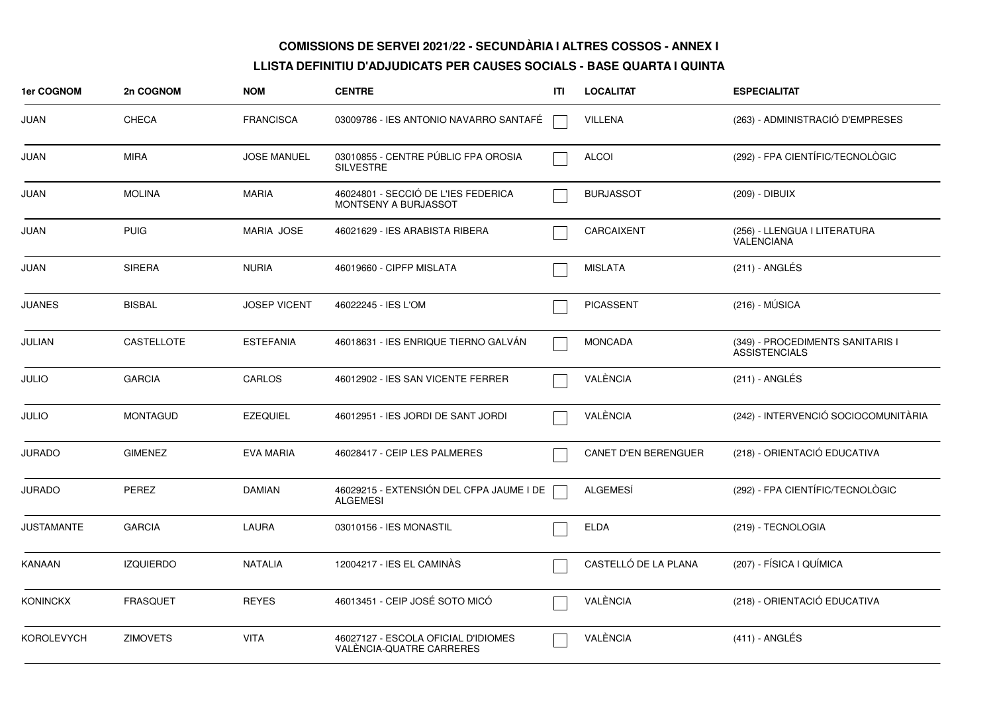| 1er COGNOM        | 2n COGNOM         | <b>NOM</b>          | <b>CENTRE</b>                                                   | ITI | <b>LOCALITAT</b>            | <b>ESPECIALITAT</b>                                      |
|-------------------|-------------------|---------------------|-----------------------------------------------------------------|-----|-----------------------------|----------------------------------------------------------|
| JUAN              | <b>CHECA</b>      | <b>FRANCISCA</b>    | 03009786 - IES ANTONIO NAVARRO SANTAFÉ                          |     | VILLENA                     | (263) - ADMINISTRACIÓ D'EMPRESES                         |
| JUAN              | <b>MIRA</b>       | <b>JOSE MANUEL</b>  | 03010855 - CENTRE PÚBLIC FPA OROSIA<br><b>SILVESTRE</b>         |     | <b>ALCOI</b>                | (292) - FPA CIENTÍFIC/TECNOLÒGIC                         |
| JUAN              | <b>MOLINA</b>     | <b>MARIA</b>        | 46024801 - SECCIÓ DE L'IES FEDERICA<br>MONTSENY A BURJASSOT     |     | <b>BURJASSOT</b>            | (209) - DIBUIX                                           |
| JUAN              | <b>PUIG</b>       | <b>MARIA JOSE</b>   | 46021629 - IES ARABISTA RIBERA                                  |     | CARCAIXENT                  | (256) - LLENGUA I LITERATURA<br><b>VALENCIANA</b>        |
| JUAN              | <b>SIRERA</b>     | <b>NURIA</b>        | 46019660 - CIPFP MISLATA                                        |     | <b>MISLATA</b>              | (211) - ANGLÉS                                           |
| <b>JUANES</b>     | <b>BISBAL</b>     | <b>JOSEP VICENT</b> | 46022245 - IES L'OM                                             |     | <b>PICASSENT</b>            | $(216) - MÚSICA$                                         |
| JULIAN            | <b>CASTELLOTE</b> | <b>ESTEFANIA</b>    | 46018631 - IES ENRIQUE TIERNO GALVÁN                            |     | <b>MONCADA</b>              | (349) - PROCEDIMENTS SANITARIS I<br><b>ASSISTENCIALS</b> |
| <b>JULIO</b>      | <b>GARCIA</b>     | CARLOS              | 46012902 - IES SAN VICENTE FERRER                               |     | VALÈNCIA                    | (211) - ANGLÉS                                           |
| <b>JULIO</b>      | <b>MONTAGUD</b>   | <b>EZEQUIEL</b>     | 46012951 - IES JORDI DE SANT JORDI                              |     | VALÈNCIA                    | (242) - INTERVENCIÓ SOCIOCOMUNITÀRIA                     |
| <b>JURADO</b>     | <b>GIMENEZ</b>    | <b>EVA MARIA</b>    | 46028417 - CEIP LES PALMERES                                    |     | <b>CANET D'EN BERENGUER</b> | (218) - ORIENTACIÓ EDUCATIVA                             |
| <b>JURADO</b>     | PEREZ             | <b>DAMIAN</b>       | 46029215 - EXTENSIÓN DEL CFPA JAUME I DE<br><b>ALGEMESI</b>     |     | <b>ALGEMESÍ</b>             | (292) - FPA CIENTÍFIC/TECNOLÒGIC                         |
| <b>JUSTAMANTE</b> | <b>GARCIA</b>     | <b>LAURA</b>        | 03010156 - IES MONASTIL                                         |     | <b>ELDA</b>                 | (219) - TECNOLOGIA                                       |
| KANAAN            | <b>IZQUIERDO</b>  | <b>NATALIA</b>      | 12004217 - IES EL CAMINÀS                                       |     | CASTELLÓ DE LA PLANA        | (207) - FÍSICA I QUÍMICA                                 |
| <b>KONINCKX</b>   | <b>FRASQUET</b>   | <b>REYES</b>        | 46013451 - CEIP JOSÉ SOTO MICÓ                                  |     | VALÈNCIA                    | (218) - ORIENTACIÓ EDUCATIVA                             |
| <b>KOROLEVYCH</b> | <b>ZIMOVETS</b>   | <b>VITA</b>         | 46027127 - ESCOLA OFICIAL D'IDIOMES<br>VALENCIA-QUATRE CARRERES |     | VALÈNCIA                    | $(411)$ - ANGLÉS                                         |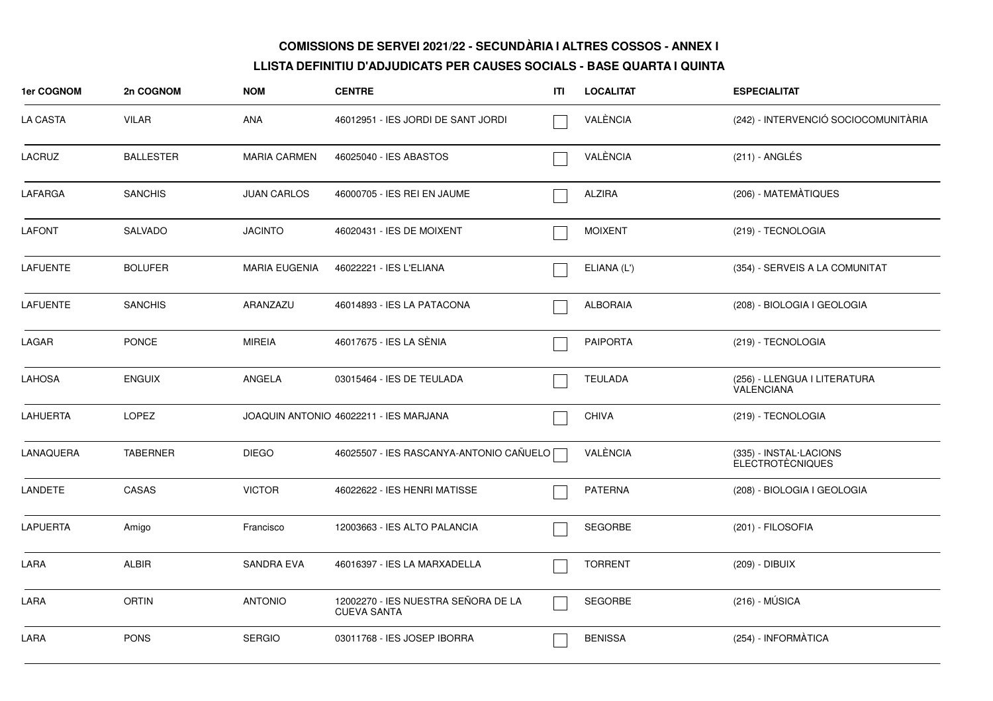| 1er COGNOM      | 2n COGNOM        | <b>NOM</b>           | <b>CENTRE</b>                                             | ITI | <b>LOCALITAT</b> | <b>ESPECIALITAT</b>                               |
|-----------------|------------------|----------------------|-----------------------------------------------------------|-----|------------------|---------------------------------------------------|
| <b>LA CASTA</b> | <b>VILAR</b>     | ANA                  | 46012951 - IES JORDI DE SANT JORDI                        |     | VALÈNCIA         | (242) - INTERVENCIÓ SOCIOCOMUNITÀRIA              |
| <b>LACRUZ</b>   | <b>BALLESTER</b> | <b>MARIA CARMEN</b>  | 46025040 - IES ABASTOS                                    |     | VALÈNCIA         | $(211)$ - ANGLÉS                                  |
| LAFARGA         | <b>SANCHIS</b>   | <b>JUAN CARLOS</b>   | 46000705 - IES REI EN JAUME                               |     | <b>ALZIRA</b>    | (206) - MATEMÀTIQUES                              |
| <b>LAFONT</b>   | SALVADO          | <b>JACINTO</b>       | 46020431 - IES DE MOIXENT                                 |     | <b>MOIXENT</b>   | (219) - TECNOLOGIA                                |
| <b>LAFUENTE</b> | <b>BOLUFER</b>   | <b>MARIA EUGENIA</b> | 46022221 - IES L'ELIANA                                   |     | ELIANA (L')      | (354) - SERVEIS A LA COMUNITAT                    |
| <b>LAFUENTE</b> | <b>SANCHIS</b>   | ARANZAZU             | 46014893 - IES LA PATACONA                                |     | <b>ALBORAIA</b>  | (208) - BIOLOGIA I GEOLOGIA                       |
| LAGAR           | <b>PONCE</b>     | <b>MIREIA</b>        | 46017675 - IES LA SÈNIA                                   |     | <b>PAIPORTA</b>  | (219) - TECNOLOGIA                                |
| <b>LAHOSA</b>   | <b>ENGUIX</b>    | ANGELA               | 03015464 - IES DE TEULADA                                 |     | <b>TEULADA</b>   | (256) - LLENGUA I LITERATURA<br>VALENCIANA        |
| <b>LAHUERTA</b> | <b>LOPEZ</b>     |                      | JOAQUIN ANTONIO 46022211 - IES MARJANA                    |     | <b>CHIVA</b>     | (219) - TECNOLOGIA                                |
| LANAQUERA       | <b>TABERNER</b>  | <b>DIEGO</b>         | 46025507 - IES RASCANYA-ANTONIO CAÑUELO [                 |     | VALÈNCIA         | (335) - INSTAL·LACIONS<br><b>ELECTROTÈCNIQUES</b> |
| <b>LANDETE</b>  | CASAS            | <b>VICTOR</b>        | 46022622 - IES HENRI MATISSE                              |     | <b>PATERNA</b>   | (208) - BIOLOGIA I GEOLOGIA                       |
| <b>LAPUERTA</b> | Amigo            | Francisco            | 12003663 - IES ALTO PALANCIA                              |     | <b>SEGORBE</b>   | (201) - FILOSOFIA                                 |
| LARA            | <b>ALBIR</b>     | SANDRA EVA           | 46016397 - IES LA MARXADELLA                              |     | <b>TORRENT</b>   | (209) - DIBUIX                                    |
| LARA            | <b>ORTIN</b>     | <b>ANTONIO</b>       | 12002270 - IES NUESTRA SEÑORA DE LA<br><b>CUEVA SANTA</b> |     | <b>SEGORBE</b>   | $(216) - MÚSICA$                                  |
| LARA            | <b>PONS</b>      | <b>SERGIO</b>        | 03011768 - IES JOSEP IBORRA                               |     | <b>BENISSA</b>   | (254) - INFORMÀTICA                               |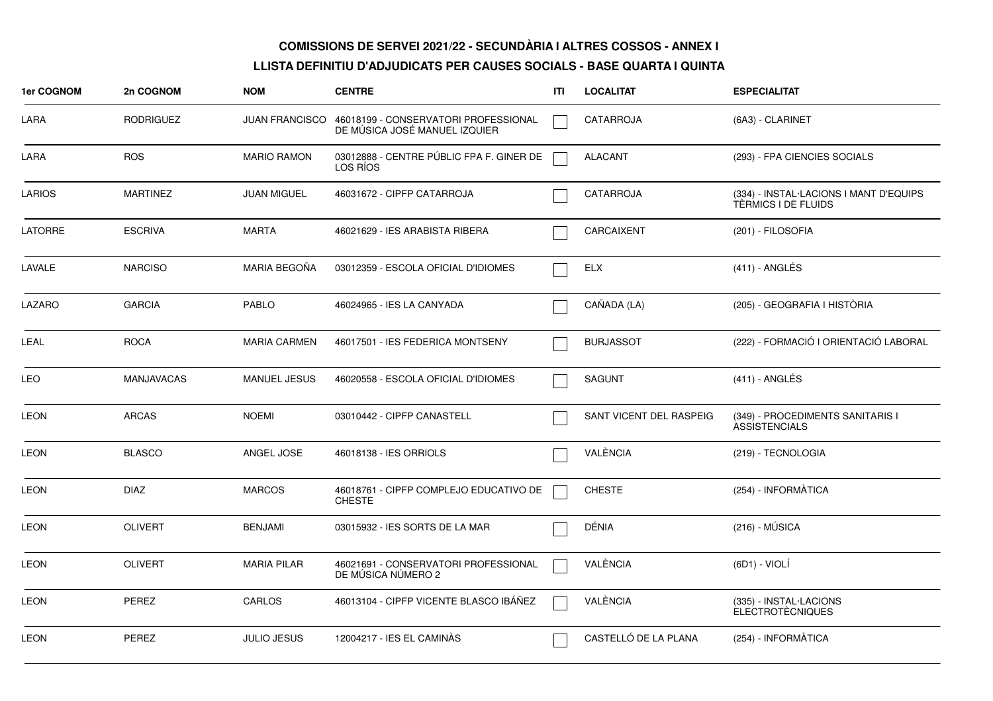| 1er COGNOM     | 2n COGNOM         | <b>NOM</b>            | <b>CENTRE</b>                                                         | ITI | <b>LOCALITAT</b>        | <b>ESPECIALITAT</b>                                           |
|----------------|-------------------|-----------------------|-----------------------------------------------------------------------|-----|-------------------------|---------------------------------------------------------------|
| LARA           | <b>RODRIGUEZ</b>  | <b>JUAN FRANCISCO</b> | 46018199 - CONSERVATORI PROFESSIONAL<br>DE MÚSICA JOSÉ MANUEL IZQUIER |     | CATARROJA               | (6A3) - CLARINET                                              |
| LARA           | <b>ROS</b>        | <b>MARIO RAMON</b>    | 03012888 - CENTRE PÚBLIC FPA F. GINER DE<br>LOS RIOS                  |     | <b>ALACANT</b>          | (293) - FPA CIENCIES SOCIALS                                  |
| <b>LARIOS</b>  | <b>MARTINEZ</b>   | <b>JUAN MIGUEL</b>    | 46031672 - CIPFP CATARROJA                                            |     | <b>CATARROJA</b>        | (334) - INSTAL·LACIONS I MANT D'EQUIPS<br>TÈRMICS I DE FLUIDS |
| <b>LATORRE</b> | <b>ESCRIVA</b>    | <b>MARTA</b>          | 46021629 - IES ARABISTA RIBERA                                        |     | CARCAIXENT              | (201) - FILOSOFIA                                             |
| LAVALE         | <b>NARCISO</b>    | <b>MARIA BEGOÑA</b>   | 03012359 - ESCOLA OFICIAL D'IDIOMES                                   |     | ELX                     | $(411)$ - ANGLES                                              |
| LAZARO         | <b>GARCIA</b>     | <b>PABLO</b>          | 46024965 - IES LA CANYADA                                             |     | CAÑADA (LA)             | (205) - GEOGRAFIA I HISTÒRIA                                  |
| LEAL           | <b>ROCA</b>       | <b>MARIA CARMEN</b>   | 46017501 - IES FEDERICA MONTSENY                                      |     | <b>BURJASSOT</b>        | (222) - FORMACIÓ I ORIENTACIÓ LABORAL                         |
| <b>LEO</b>     | <b>MANJAVACAS</b> | <b>MANUEL JESUS</b>   | 46020558 - ESCOLA OFICIAL D'IDIOMES                                   |     | <b>SAGUNT</b>           | $(411)$ - ANGLÉS                                              |
| <b>LEON</b>    | <b>ARCAS</b>      | <b>NOEMI</b>          | 03010442 - CIPFP CANASTELL                                            |     | SANT VICENT DEL RASPEIG | (349) - PROCEDIMENTS SANITARIS I<br><b>ASSISTENCIALS</b>      |
| <b>LEON</b>    | <b>BLASCO</b>     | ANGEL JOSE            | 46018138 - IES ORRIOLS                                                |     | VALÈNCIA                | (219) - TECNOLOGIA                                            |
| <b>LEON</b>    | <b>DIAZ</b>       | <b>MARCOS</b>         | 46018761 - CIPFP COMPLEJO EDUCATIVO DE<br><b>CHESTE</b>               |     | <b>CHESTE</b>           | (254) - INFORMÀTICA                                           |
| <b>LEON</b>    | <b>OLIVERT</b>    | <b>BENJAMI</b>        | 03015932 - IES SORTS DE LA MAR                                        |     | DÉNIA                   | (216) - MUSICA                                                |
| <b>LEON</b>    | <b>OLIVERT</b>    | <b>MARIA PILAR</b>    | 46021691 - CONSERVATORI PROFESSIONAL<br>DE MÚSICA NÚMERO 2            |     | VALÈNCIA                | (6D1) - VIOLÍ                                                 |
| <b>LEON</b>    | PEREZ             | CARLOS                | 46013104 - CIPFP VICENTE BLASCO IBÁÑEZ                                |     | VALÈNCIA                | (335) - INSTAL·LACIONS<br><b>ELECTROTÈCNIQUES</b>             |
| <b>LEON</b>    | PEREZ             | <b>JULIO JESUS</b>    | 12004217 - IES EL CAMINÀS                                             |     | CASTELLÓ DE LA PLANA    | (254) - INFORMÀTICA                                           |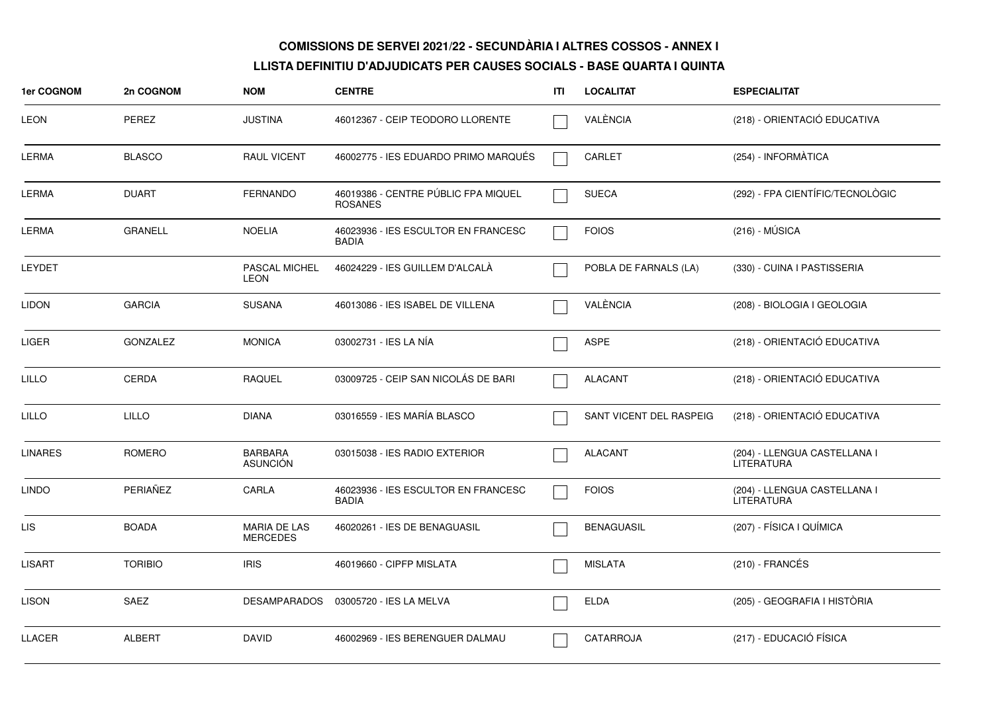| <b>1er COGNOM</b> | 2n COGNOM       | <b>NOM</b>                             | <b>CENTRE</b>                                         | ITI | <b>LOCALITAT</b>        | <b>ESPECIALITAT</b>                               |
|-------------------|-----------------|----------------------------------------|-------------------------------------------------------|-----|-------------------------|---------------------------------------------------|
| LEON              | <b>PEREZ</b>    | <b>JUSTINA</b>                         | 46012367 - CEIP TEODORO LLORENTE                      |     | VALÈNCIA                | (218) - ORIENTACIÓ EDUCATIVA                      |
| LERMA             | <b>BLASCO</b>   | <b>RAUL VICENT</b>                     | 46002775 - IES EDUARDO PRIMO MARQUÉS                  |     | <b>CARLET</b>           | (254) - INFORMÀTICA                               |
| LERMA             | <b>DUART</b>    | <b>FERNANDO</b>                        | 46019386 - CENTRE PÚBLIC FPA MIQUEL<br><b>ROSANES</b> |     | <b>SUECA</b>            | (292) - FPA CIENTÍFIC/TECNOLÒGIC                  |
| LERMA             | <b>GRANELL</b>  | <b>NOELIA</b>                          | 46023936 - IES ESCULTOR EN FRANCESC<br><b>BADIA</b>   |     | <b>FOIOS</b>            | $(216) - MÚSICA$                                  |
| LEYDET            |                 | PASCAL MICHEL<br><b>LEON</b>           | 46024229 - IES GUILLEM D'ALCALA                       |     | POBLA DE FARNALS (LA)   | (330) - CUINA I PASTISSERIA                       |
| LIDON             | <b>GARCIA</b>   | <b>SUSANA</b>                          | 46013086 - IES ISABEL DE VILLENA                      |     | VALÈNCIA                | (208) - BIOLOGIA I GEOLOGIA                       |
| <b>LIGER</b>      | <b>GONZALEZ</b> | <b>MONICA</b>                          | 03002731 - IES LA NÍA                                 |     | <b>ASPE</b>             | (218) - ORIENTACIÓ EDUCATIVA                      |
| <b>LILLO</b>      | <b>CERDA</b>    | <b>RAQUEL</b>                          | 03009725 - CEIP SAN NICOLÁS DE BARI                   |     | <b>ALACANT</b>          | (218) - ORIENTACIÓ EDUCATIVA                      |
| LILLO             | <b>LILLO</b>    | <b>DIANA</b>                           | 03016559 - IES MARÍA BLASCO                           |     | SANT VICENT DEL RASPEIG | (218) - ORIENTACIÓ EDUCATIVA                      |
| <b>LINARES</b>    | ROMERO          | <b>BARBARA</b><br><b>ASUNCIÓN</b>      | 03015038 - IES RADIO EXTERIOR                         |     | <b>ALACANT</b>          | (204) - LLENGUA CASTELLANA I<br><b>LITERATURA</b> |
| LINDO             | PERIAÑEZ        | CARLA                                  | 46023936 - IES ESCULTOR EN FRANCESC<br><b>BADIA</b>   |     | <b>FOIOS</b>            | (204) - LLENGUA CASTELLANA I<br><b>LITERATURA</b> |
| LIS.              | <b>BOADA</b>    | <b>MARIA DE LAS</b><br><b>MERCEDES</b> | 46020261 - IES DE BENAGUASIL                          |     | <b>BENAGUASIL</b>       | (207) - FÍSICA I QUÍMICA                          |
| LISART            | <b>TORIBIO</b>  | <b>IRIS</b>                            | 46019660 - CIPFP MISLATA                              |     | <b>MISLATA</b>          | $(210)$ - FRANCÉS                                 |
| LISON             | SAEZ            | <b>DESAMPARADOS</b>                    | 03005720 - IES LA MELVA                               |     | <b>ELDA</b>             | (205) - GEOGRAFIA I HISTÒRIA                      |
| LLACER            | <b>ALBERT</b>   | <b>DAVID</b>                           | 46002969 - IES BERENGUER DALMAU                       |     | CATARROJA               | (217) - EDUCACIÓ FÍSICA                           |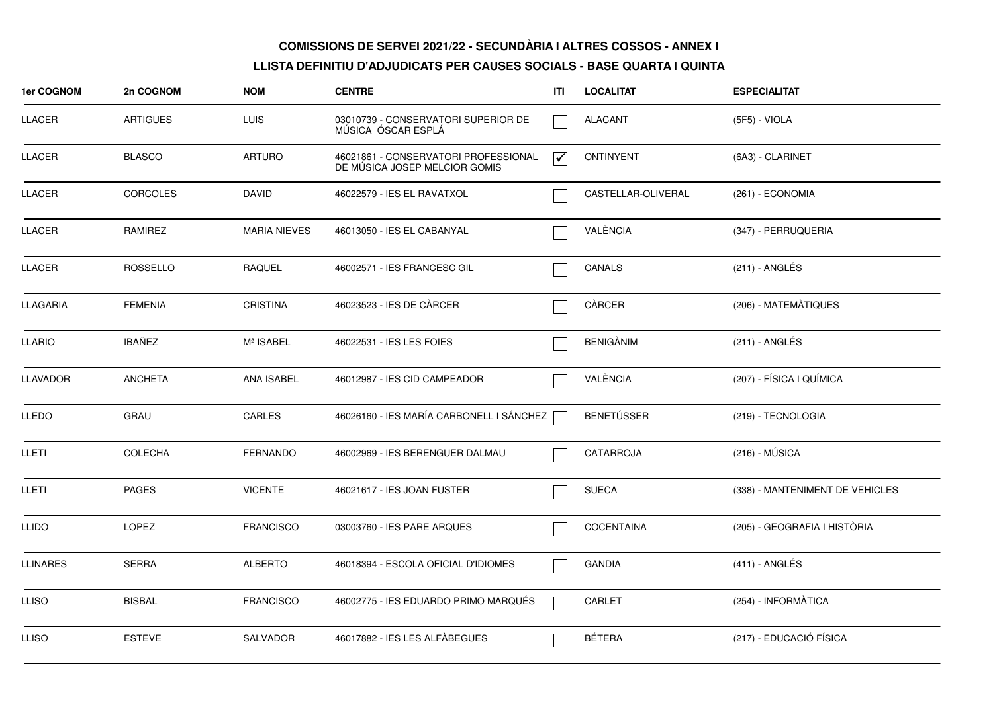| 1er COGNOM    | 2n COGNOM       | <b>NOM</b>          | <b>CENTRE</b>                                                         | ITI                             | <b>LOCALITAT</b>   | <b>ESPECIALITAT</b>             |
|---------------|-----------------|---------------------|-----------------------------------------------------------------------|---------------------------------|--------------------|---------------------------------|
| LLACER        | <b>ARTIGUES</b> | <b>LUIS</b>         | 03010739 - CONSERVATORI SUPERIOR DE<br>MÚSICA ÓSCAR ESPLÁ             |                                 | <b>ALACANT</b>     | (5F5) - VIOLA                   |
| <b>LLACER</b> | <b>BLASCO</b>   | <b>ARTURO</b>       | 46021861 - CONSERVATORI PROFESSIONAL<br>DE MÚSICA JOSEP MELCIOR GOMIS | $\overline{\blacktriangledown}$ | <b>ONTINYENT</b>   | (6A3) - CLARINET                |
| LLACER        | <b>CORCOLES</b> | <b>DAVID</b>        | 46022579 - IES EL RAVATXOL                                            |                                 | CASTELLAR-OLIVERAL | (261) - ECONOMIA                |
| LLACER        | <b>RAMIREZ</b>  | <b>MARIA NIEVES</b> | 46013050 - IES EL CABANYAL                                            |                                 | VALÈNCIA           | (347) - PERRUQUERIA             |
| <b>LLACER</b> | <b>ROSSELLO</b> | <b>RAQUEL</b>       | 46002571 - IES FRANCESC GIL                                           |                                 | CANALS             | (211) - ANGLÉS                  |
| LLAGARIA      | <b>FEMENIA</b>  | <b>CRISTINA</b>     | 46023523 - IES DE CÀRCER                                              |                                 | CÀRCER             | (206) - MATEMÀTIQUES            |
| <b>LLARIO</b> | <b>IBAÑEZ</b>   | Mª ISABEL           | 46022531 - IES LES FOIES                                              |                                 | <b>BENIGÀNIM</b>   | (211) - ANGLÉS                  |
| LLAVADOR      | <b>ANCHETA</b>  | ANA ISABEL          | 46012987 - IES CID CAMPEADOR                                          |                                 | VALÈNCIA           | (207) - FÍSICA I QUÍMICA        |
| <b>LLEDO</b>  | <b>GRAU</b>     | CARLES              | 46026160 - IES MARÍA CARBONELL I SÁNCHEZ                              |                                 | BENETÚSSER         | (219) - TECNOLOGIA              |
| LLETI         | <b>COLECHA</b>  | <b>FERNANDO</b>     | 46002969 - IES BERENGUER DALMAU                                       |                                 | CATARROJA          | $(216) - MÚSICA$                |
| LLETI         | <b>PAGES</b>    | <b>VICENTE</b>      | 46021617 - IES JOAN FUSTER                                            |                                 | <b>SUECA</b>       | (338) - MANTENIMENT DE VEHICLES |
| <b>LLIDO</b>  | LOPEZ           | <b>FRANCISCO</b>    | 03003760 - IES PARE ARQUES                                            |                                 | <b>COCENTAINA</b>  | (205) - GEOGRAFIA I HISTÒRIA    |
| LLINARES      | <b>SERRA</b>    | <b>ALBERTO</b>      | 46018394 - ESCOLA OFICIAL D'IDIOMES                                   |                                 | GANDIA             | $(411)$ - ANGLÉS                |
| <b>LLISO</b>  | <b>BISBAL</b>   | <b>FRANCISCO</b>    | 46002775 - IES EDUARDO PRIMO MARQUÉS                                  |                                 | CARLET             | (254) - INFORMÀTICA             |
| <b>LLISO</b>  | <b>ESTEVE</b>   | <b>SALVADOR</b>     | 46017882 - IES LES ALFÀBEGUES                                         |                                 | <b>BÉTERA</b>      | (217) - EDUCACIÓ FÍSICA         |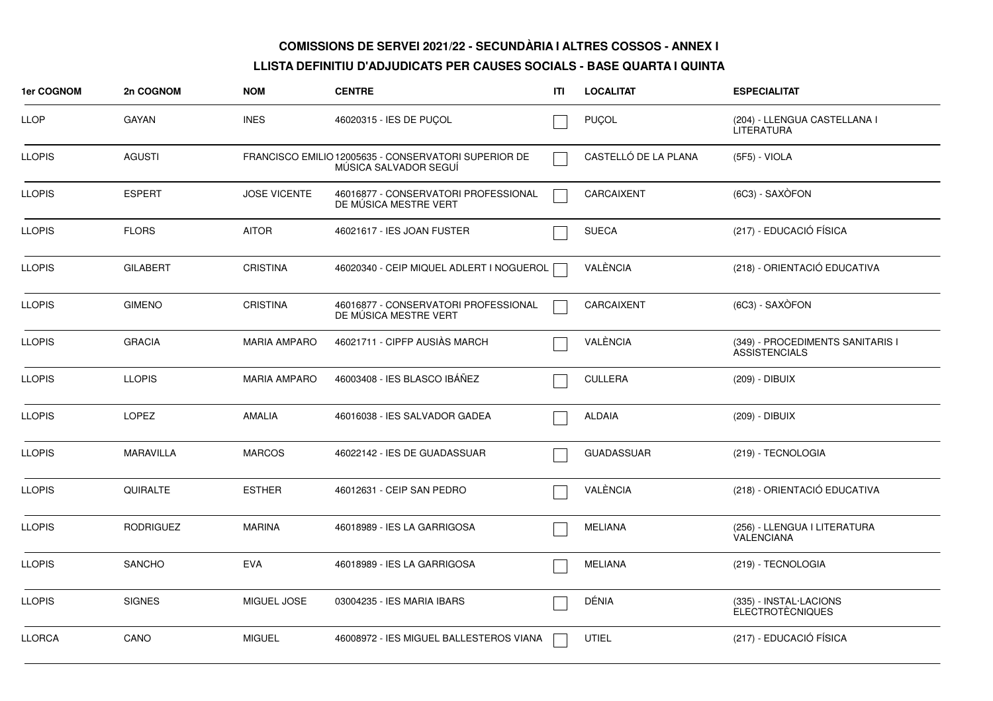| 1er COGNOM    | 2n COGNOM        | <b>NOM</b>          | <b>CENTRE</b>                                                                 | ITI | <b>LOCALITAT</b>     | <b>ESPECIALITAT</b>                                      |
|---------------|------------------|---------------------|-------------------------------------------------------------------------------|-----|----------------------|----------------------------------------------------------|
| <b>LLOP</b>   | <b>GAYAN</b>     | <b>INES</b>         | 46020315 - IES DE PUÇOL                                                       |     | PUÇOL                | (204) - LLENGUA CASTELLANA I<br>LITERATURA               |
| LLOPIS        | <b>AGUSTI</b>    |                     | FRANCISCO EMILIO 12005635 - CONSERVATORI SUPERIOR DE<br>MÜSICA SALVADOR SEGUI |     | CASTELLÓ DE LA PLANA | (5F5) - VIOLA                                            |
| <b>LLOPIS</b> | <b>ESPERT</b>    | <b>JOSE VICENTE</b> | 46016877 - CONSERVATORI PROFESSIONAL<br>DE MUSICA MESTRE VERT                 |     | CARCAIXENT           | (6C3) - SAXÒFON                                          |
| <b>LLOPIS</b> | <b>FLORS</b>     | <b>AITOR</b>        | 46021617 - IES JOAN FUSTER                                                    |     | <b>SUECA</b>         | (217) - EDUCACIÓ FÍSICA                                  |
| LLOPIS.       | <b>GILABERT</b>  | <b>CRISTINA</b>     | 46020340 - CEIP MIQUEL ADLERT I NOGUEROL                                      |     | VALÈNCIA             | (218) - ORIENTACIÓ EDUCATIVA                             |
| <b>LLOPIS</b> | <b>GIMENO</b>    | <b>CRISTINA</b>     | 46016877 - CONSERVATORI PROFESSIONAL<br>DE MUSICA MESTRE VERT                 |     | CARCAIXENT           | (6C3) - SAXÒFON                                          |
| <b>LLOPIS</b> | <b>GRACIA</b>    | <b>MARIA AMPARO</b> | 46021711 - CIPFP AUSIAS MARCH                                                 |     | VALÈNCIA             | (349) - PROCEDIMENTS SANITARIS I<br><b>ASSISTENCIALS</b> |
| <b>LLOPIS</b> | <b>LLOPIS</b>    | <b>MARIA AMPARO</b> | 46003408 - IES BLASCO IBÁÑEZ                                                  |     | <b>CULLERA</b>       | (209) - DIBUIX                                           |
| <b>LLOPIS</b> | <b>LOPEZ</b>     | <b>AMALIA</b>       | 46016038 - IES SALVADOR GADEA                                                 |     | <b>ALDAIA</b>        | (209) - DIBUIX                                           |
| <b>LLOPIS</b> | <b>MARAVILLA</b> | <b>MARCOS</b>       | 46022142 - IES DE GUADASSUAR                                                  |     | <b>GUADASSUAR</b>    | (219) - TECNOLOGIA                                       |
| <b>LLOPIS</b> | QUIRALTE         | <b>ESTHER</b>       | 46012631 - CEIP SAN PEDRO                                                     |     | VALÈNCIA             | (218) - ORIENTACIÓ EDUCATIVA                             |
| <b>LLOPIS</b> | <b>RODRIGUEZ</b> | <b>MARINA</b>       | 46018989 - IES LA GARRIGOSA                                                   |     | <b>MELIANA</b>       | (256) - LLENGUA I LITERATURA<br><b>VALENCIANA</b>        |
| <b>LLOPIS</b> | <b>SANCHO</b>    | <b>EVA</b>          | 46018989 - IES LA GARRIGOSA                                                   |     | <b>MELIANA</b>       | (219) - TECNOLOGIA                                       |
| LLOPIS        | <b>SIGNES</b>    | MIGUEL JOSE         | 03004235 - IES MARIA IBARS                                                    |     | DÉNIA                | (335) - INSTAL·LACIONS<br><b>ELECTROTÈCNIQUES</b>        |
| <b>LLORCA</b> | CANO             | <b>MIGUEL</b>       | 46008972 - IES MIGUEL BALLESTEROS VIANA                                       |     | UTIEL                | (217) - EDUCACIÓ FÍSICA                                  |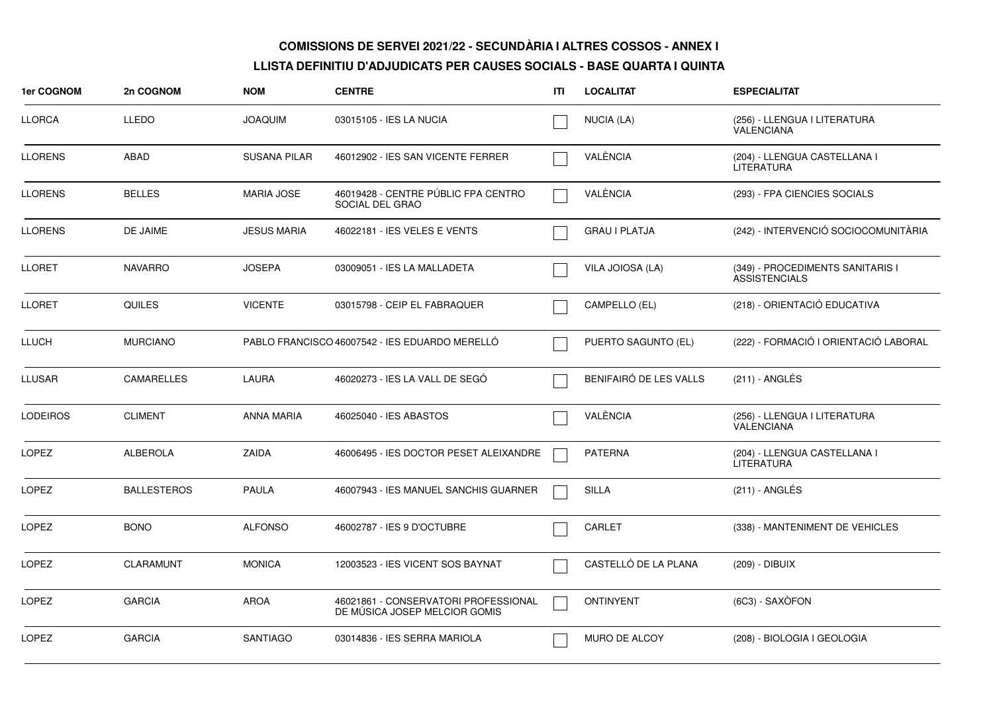| <b>1er COGNOM</b> | 2n COGNOM          | <b>NOM</b>          | <b>CENTRE</b>                                                         | ITI | <b>LOCALITAT</b>       | <b>ESPECIALITAT</b>                                      |
|-------------------|--------------------|---------------------|-----------------------------------------------------------------------|-----|------------------------|----------------------------------------------------------|
| <b>LLORCA</b>     | <b>LLEDO</b>       | <b>JOAQUIM</b>      | 03015105 - IES LA NUCIA                                               |     | NUCIA (LA)             | (256) - LLENGUA I LITERATURA<br>VALENCIANA               |
| <b>LLORENS</b>    | ABAD               | <b>SUSANA PILAR</b> | 46012902 - IES SAN VICENTE FERRER                                     |     | VALÈNCIA               | (204) - LLENGUA CASTELLANA I<br><b>LITERATURA</b>        |
| <b>LLORENS</b>    | <b>BELLES</b>      | <b>MARIA JOSE</b>   | 46019428 - CENTRE PÚBLIC FPA CENTRO<br>SOCIAL DEL GRAO                |     | VALÈNCIA               | (293) - FPA CIENCIES SOCIALS                             |
| <b>LLORENS</b>    | DE JAIME           | <b>JESUS MARIA</b>  | 46022181 - IES VELES E VENTS                                          |     | <b>GRAU I PLATJA</b>   | (242) - INTERVENCIÓ SOCIOCOMUNITÀRIA                     |
| <b>LLORET</b>     | <b>NAVARRO</b>     | <b>JOSEPA</b>       | 03009051 - IES LA MALLADETA                                           |     | VILA JOIOSA (LA)       | (349) - PROCEDIMENTS SANITARIS I<br><b>ASSISTENCIALS</b> |
| <b>LLORET</b>     | <b>QUILES</b>      | <b>VICENTE</b>      | 03015798 - CEIP EL FABRAQUER                                          |     | CAMPELLO (EL)          | (218) - ORIENTACIÓ EDUCATIVA                             |
| <b>LLUCH</b>      | <b>MURCIANO</b>    |                     | PABLO FRANCISCO 46007542 - IES EDUARDO MERELLÓ                        |     | PUERTO SAGUNTO (EL)    | (222) - FORMACIÓ I ORIENTACIÓ LABORAL                    |
| <b>LLUSAR</b>     | CAMARELLES         | LAURA               | 46020273 - IES LA VALL DE SEGÓ                                        |     | BENIFAIRÓ DE LES VALLS | $(211)$ - ANGLÉS                                         |
| <b>LODEIROS</b>   | <b>CLIMENT</b>     | <b>ANNA MARIA</b>   | 46025040 - IES ABASTOS                                                |     | VALÈNCIA               | (256) - LLENGUA I LITERATURA<br><b>VALENCIANA</b>        |
| <b>LOPEZ</b>      | <b>ALBEROLA</b>    | ZAIDA               | 46006495 - IES DOCTOR PESET ALEIXANDRE                                |     | <b>PATERNA</b>         | (204) - LLENGUA CASTELLANA I<br><b>LITERATURA</b>        |
| <b>LOPEZ</b>      | <b>BALLESTEROS</b> | <b>PAULA</b>        | 46007943 - IES MANUEL SANCHIS GUARNER                                 |     | <b>SILLA</b>           | (211) - ANGLÉS                                           |
| LOPEZ             | <b>BONO</b>        | <b>ALFONSO</b>      | 46002787 - IES 9 D'OCTUBRE                                            |     | CARLET                 | (338) - MANTENIMENT DE VEHICLES                          |
| <b>LOPEZ</b>      | <b>CLARAMUNT</b>   | <b>MONICA</b>       | 12003523 - IES VICENT SOS BAYNAT                                      |     | CASTELLÓ DE LA PLANA   | (209) - DIBUIX                                           |
| <b>LOPEZ</b>      | <b>GARCIA</b>      | <b>AROA</b>         | 46021861 - CONSERVATORI PROFESSIONAL<br>DE MUSICA JOSEP MELCIOR GOMIS |     | <b>ONTINYENT</b>       | (6C3) - SAXÒFON                                          |
| <b>LOPEZ</b>      | <b>GARCIA</b>      | <b>SANTIAGO</b>     | 03014836 - IES SERRA MARIOLA                                          |     | <b>MURO DE ALCOY</b>   | (208) - BIOLOGIA I GEOLOGIA                              |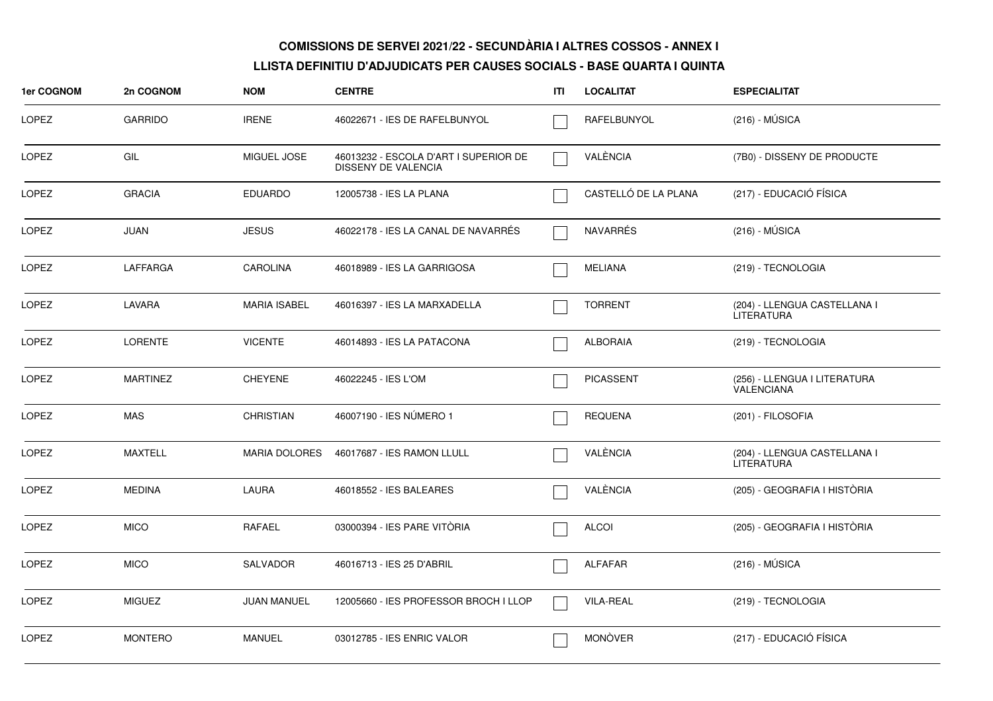| 1er COGNOM   | 2n COGNOM       | <b>NOM</b>           | <b>CENTRE</b>                                                | ITI | <b>LOCALITAT</b>     | <b>ESPECIALITAT</b>                               |
|--------------|-----------------|----------------------|--------------------------------------------------------------|-----|----------------------|---------------------------------------------------|
| <b>LOPEZ</b> | <b>GARRIDO</b>  | <b>IRENE</b>         | 46022671 - IES DE RAFELBUNYOL                                |     | RAFELBUNYOL          | $(216) - MÚSICA$                                  |
| <b>LOPEZ</b> | GIL             | MIGUEL JOSE          | 46013232 - ESCOLA D'ART I SUPERIOR DE<br>DISSENY DE VALENCIA |     | VALÈNCIA             | (7B0) - DISSENY DE PRODUCTE                       |
| <b>LOPEZ</b> | <b>GRACIA</b>   | <b>EDUARDO</b>       | 12005738 - IES LA PLANA                                      |     | CASTELLÓ DE LA PLANA | (217) - EDUCACIÓ FÍSICA                           |
| <b>LOPEZ</b> | <b>JUAN</b>     | <b>JESUS</b>         | 46022178 - IES LA CANAL DE NAVARRÉS                          |     | <b>NAVARRÉS</b>      | $(216) - MÚSICA$                                  |
| LOPEZ        | LAFFARGA        | <b>CAROLINA</b>      | 46018989 - IES LA GARRIGOSA                                  |     | <b>MELIANA</b>       | (219) - TECNOLOGIA                                |
| <b>LOPEZ</b> | LAVARA          | <b>MARIA ISABEL</b>  | 46016397 - IES LA MARXADELLA                                 |     | <b>TORRENT</b>       | (204) - LLENGUA CASTELLANA I<br><b>LITERATURA</b> |
| LOPEZ        | <b>LORENTE</b>  | <b>VICENTE</b>       | 46014893 - IES LA PATACONA                                   |     | <b>ALBORAIA</b>      | (219) - TECNOLOGIA                                |
| <b>LOPEZ</b> | <b>MARTINEZ</b> | <b>CHEYENE</b>       | 46022245 - IES L'OM                                          |     | <b>PICASSENT</b>     | (256) - LLENGUA I LITERATURA<br><b>VALENCIANA</b> |
| <b>LOPEZ</b> | <b>MAS</b>      | <b>CHRISTIAN</b>     | 46007190 - IES NÚMERO 1                                      |     | <b>REQUENA</b>       | (201) - FILOSOFIA                                 |
| <b>LOPEZ</b> | <b>MAXTELL</b>  | <b>MARIA DOLORES</b> | 46017687 - IES RAMON LLULL                                   |     | VALÈNCIA             | (204) - LLENGUA CASTELLANA I<br><b>LITERATURA</b> |
| <b>LOPEZ</b> | <b>MEDINA</b>   | <b>LAURA</b>         | 46018552 - IES BALEARES                                      |     | VALÈNCIA             | (205) - GEOGRAFIA I HISTÒRIA                      |
| LOPEZ        | <b>MICO</b>     | RAFAEL               | 03000394 - IES PARE VITÒRIA                                  |     | <b>ALCOI</b>         | (205) - GEOGRAFIA I HISTÒRIA                      |
| <b>LOPEZ</b> | <b>MICO</b>     | <b>SALVADOR</b>      | 46016713 - IES 25 D'ABRIL                                    |     | <b>ALFAFAR</b>       | $(216) - MÚSICA$                                  |
| LOPEZ        | <b>MIGUEZ</b>   | <b>JUAN MANUEL</b>   | 12005660 - IES PROFESSOR BROCH I LLOP                        |     | <b>VILA-REAL</b>     | (219) - TECNOLOGIA                                |
| <b>LOPEZ</b> | <b>MONTERO</b>  | <b>MANUEL</b>        | 03012785 - IES ENRIC VALOR                                   |     | <b>MONÒVER</b>       | (217) - EDUCACIÓ FÍSICA                           |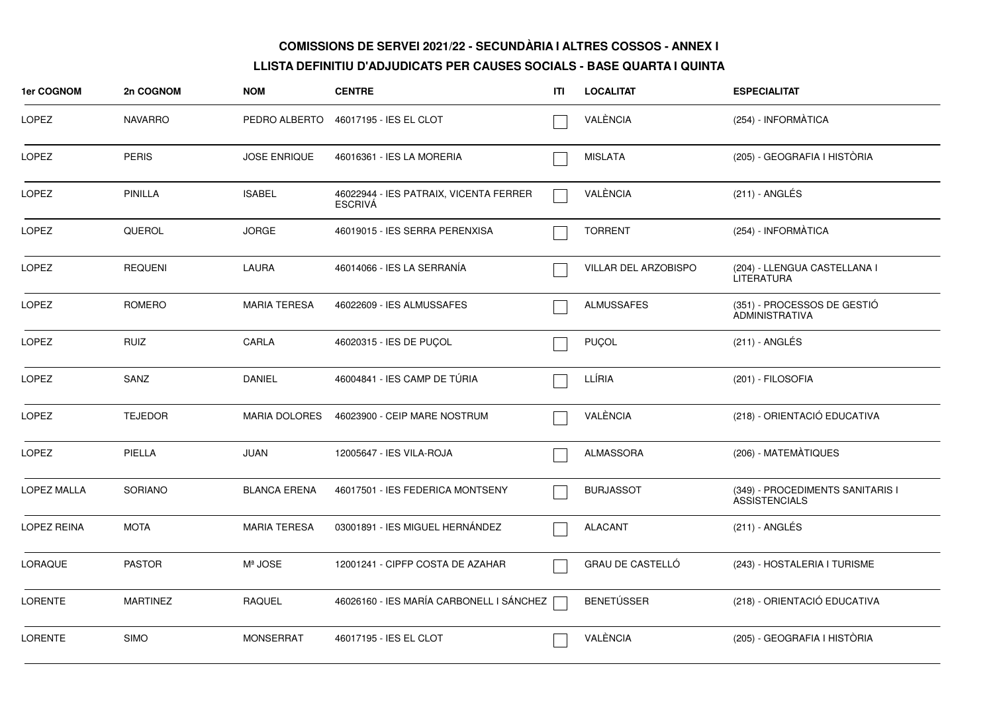| <b>1er COGNOM</b>  | 2n COGNOM       | <b>NOM</b>           | <b>CENTRE</b>                                            | ITI | <b>LOCALITAT</b>     | <b>ESPECIALITAT</b>                                      |
|--------------------|-----------------|----------------------|----------------------------------------------------------|-----|----------------------|----------------------------------------------------------|
| LOPEZ              | <b>NAVARRO</b>  | PEDRO ALBERTO        | 46017195 - IES EL CLOT                                   |     | VALÈNCIA             | (254) - INFORMÀTICA                                      |
| LOPEZ              | <b>PERIS</b>    | <b>JOSE ENRIQUE</b>  | 46016361 - IES LA MORERIA                                |     | <b>MISLATA</b>       | (205) - GEOGRAFIA I HISTÒRIA                             |
| LOPEZ              | <b>PINILLA</b>  | <b>ISABEL</b>        | 46022944 - IES PATRAIX, VICENTA FERRER<br><b>ESCRIVA</b> |     | VALÈNCIA             | $(211)$ - ANGLÉS                                         |
| LOPEZ              | QUEROL          | <b>JORGE</b>         | 46019015 - IES SERRA PERENXISA                           |     | <b>TORRENT</b>       | (254) - INFORMÀTICA                                      |
| LOPEZ              | <b>REQUENI</b>  | LAURA                | 46014066 - IES LA SERRANÍA                               |     | VILLAR DEL ARZOBISPO | (204) - LLENGUA CASTELLANA I<br>LITERATURA               |
| LOPEZ              | ROMERO          | <b>MARIA TERESA</b>  | 46022609 - IES ALMUSSAFES                                |     | ALMUSSAFES           | (351) - PROCESSOS DE GESTIÓ<br><b>ADMINISTRATIVA</b>     |
| LOPEZ              | <b>RUIZ</b>     | CARLA                | 46020315 - IES DE PUÇOL                                  |     | PUÇOL                | $(211)$ - ANGLÉS                                         |
| LOPEZ              | SANZ            | <b>DANIEL</b>        | 46004841 - IES CAMP DE TÚRIA                             |     | LLÍRIA               | (201) - FILOSOFIA                                        |
| LOPEZ              | <b>TEJEDOR</b>  | <b>MARIA DOLORES</b> | 46023900 - CEIP MARE NOSTRUM                             |     | VALÈNCIA             | (218) - ORIENTACIÓ EDUCATIVA                             |
| LOPEZ              | PIELLA          | <b>JUAN</b>          | 12005647 - IES VILA-ROJA                                 |     | ALMASSORA            | (206) - MATEMÀTIQUES                                     |
| <b>LOPEZ MALLA</b> | SORIANO         | <b>BLANCA ERENA</b>  | 46017501 - IES FEDERICA MONTSENY                         |     | <b>BURJASSOT</b>     | (349) - PROCEDIMENTS SANITARIS I<br><b>ASSISTENCIALS</b> |
| LOPEZ REINA        | <b>MOTA</b>     | <b>MARIA TERESA</b>  | 03001891 - IES MIGUEL HERNÁNDEZ                          |     | <b>ALACANT</b>       | (211) - ANGLÉS                                           |
| LORAQUE            | <b>PASTOR</b>   | Mª JOSE              | 12001241 - CIPFP COSTA DE AZAHAR                         |     | GRAU DE CASTELLÓ     | (243) - HOSTALERIA I TURISME                             |
| <b>LORENTE</b>     | <b>MARTINEZ</b> | <b>RAQUEL</b>        | 46026160 - IES MARÍA CARBONELL I SÁNCHEZ                 |     | <b>BENETÚSSER</b>    | (218) - ORIENTACIÓ EDUCATIVA                             |
| <b>LORENTE</b>     | <b>SIMO</b>     | <b>MONSERRAT</b>     | 46017195 - IES EL CLOT                                   |     | VALÈNCIA             | (205) - GEOGRAFIA I HISTÒRIA                             |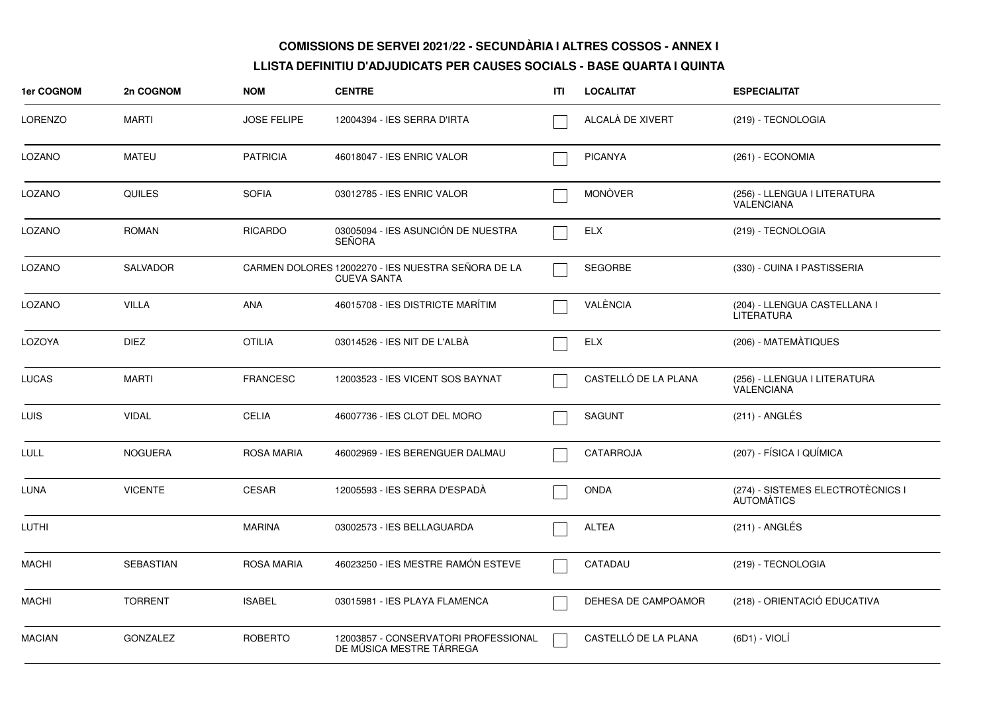| 1er COGNOM     | 2n COGNOM        | <b>NOM</b>         | <b>CENTRE</b>                                                            | ITI | <b>LOCALITAT</b>     | <b>ESPECIALITAT</b>                                    |
|----------------|------------------|--------------------|--------------------------------------------------------------------------|-----|----------------------|--------------------------------------------------------|
| <b>LORENZO</b> | <b>MARTI</b>     | <b>JOSE FELIPE</b> | 12004394 - IES SERRA D'IRTA                                              |     | ALCALA DE XIVERT     | (219) - TECNOLOGIA                                     |
| LOZANO         | <b>MATEU</b>     | <b>PATRICIA</b>    | 46018047 - IES ENRIC VALOR                                               |     | <b>PICANYA</b>       | (261) - ECONOMIA                                       |
| LOZANO         | <b>QUILES</b>    | <b>SOFIA</b>       | 03012785 - IES ENRIC VALOR                                               |     | <b>MONÒVER</b>       | (256) - LLENGUA I LITERATURA<br><b>VALENCIANA</b>      |
| LOZANO         | <b>ROMAN</b>     | <b>RICARDO</b>     | 03005094 - IES ASUNCIÓN DE NUESTRA<br><b>SEÑORA</b>                      |     | <b>ELX</b>           | (219) - TECNOLOGIA                                     |
| LOZANO         | <b>SALVADOR</b>  |                    | CARMEN DOLORES 12002270 - IES NUESTRA SEÑORA DE LA<br><b>CUEVA SANTA</b> |     | <b>SEGORBE</b>       | (330) - CUINA I PASTISSERIA                            |
| LOZANO         | <b>VILLA</b>     | <b>ANA</b>         | 46015708 - IES DISTRICTE MARÍTIM                                         |     | VALÈNCIA             | (204) - LLENGUA CASTELLANA I<br><b>LITERATURA</b>      |
| LOZOYA         | <b>DIEZ</b>      | <b>OTILIA</b>      | 03014526 - IES NIT DE L'ALBÀ                                             |     | <b>ELX</b>           | (206) - MATEMÀTIQUES                                   |
| <b>LUCAS</b>   | <b>MARTI</b>     | <b>FRANCESC</b>    | 12003523 - IES VICENT SOS BAYNAT                                         |     | CASTELLÓ DE LA PLANA | (256) - LLENGUA I LITERATURA<br><b>VALENCIANA</b>      |
| <b>LUIS</b>    | <b>VIDAL</b>     | <b>CELIA</b>       | 46007736 - IES CLOT DEL MORO                                             |     | <b>SAGUNT</b>        | (211) - ANGLÉS                                         |
| <b>LULL</b>    | <b>NOGUERA</b>   | <b>ROSA MARIA</b>  | 46002969 - IES BERENGUER DALMAU                                          |     | <b>CATARROJA</b>     | (207) - FÍSICA I QUÍMICA                               |
| LUNA           | <b>VICENTE</b>   | <b>CESAR</b>       | 12005593 - IES SERRA D'ESPADA                                            |     | <b>ONDA</b>          | (274) - SISTEMES ELECTROTÈCNICS I<br><b>AUTOMATICS</b> |
| LUTHI          |                  | <b>MARINA</b>      | 03002573 - IES BELLAGUARDA                                               |     | <b>ALTEA</b>         | (211) - ANGLÉS                                         |
| <b>MACHI</b>   | <b>SEBASTIAN</b> | <b>ROSA MARIA</b>  | 46023250 - IES MESTRE RAMÓN ESTEVE                                       |     | CATADAU              | (219) - TECNOLOGIA                                     |
| <b>MACHI</b>   | <b>TORRENT</b>   | <b>ISABEL</b>      | 03015981 - IES PLAYA FLAMENCA                                            |     | DEHESA DE CAMPOAMOR  | (218) - ORIENTACIÓ EDUCATIVA                           |
| <b>MACIAN</b>  | <b>GONZALEZ</b>  | <b>ROBERTO</b>     | 12003857 - CONSERVATORI PROFESSIONAL<br>DE MÚSICA MESTRE TÁRREGA         |     | CASTELLÓ DE LA PLANA | $(6D1) - VIOLI$                                        |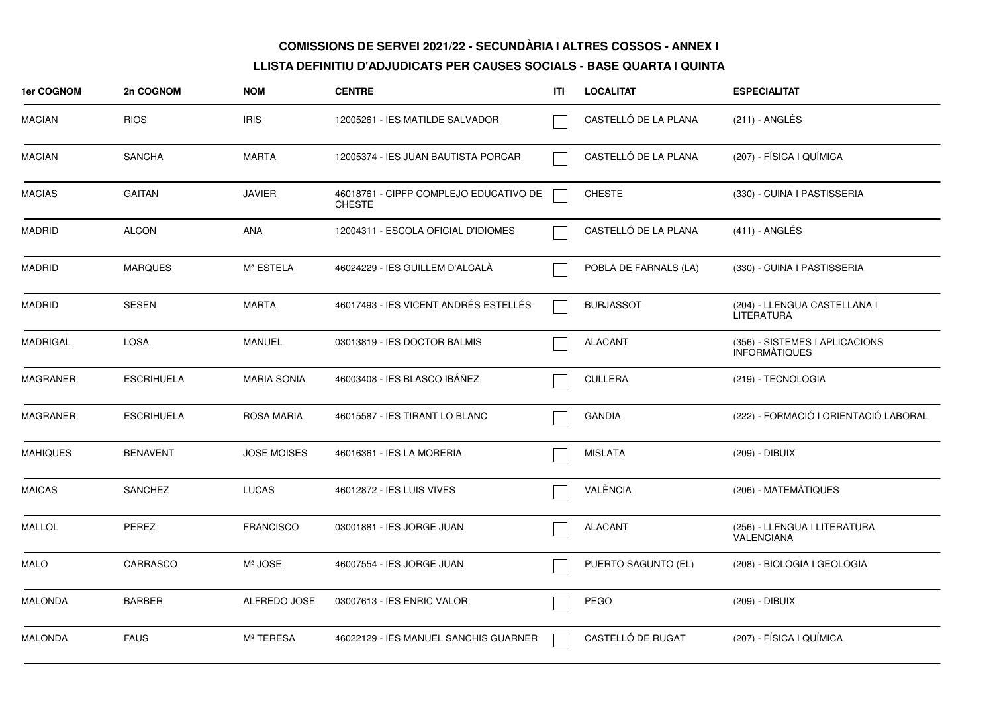| 1er COGNOM      | 2n COGNOM         | <b>NOM</b>         | <b>CENTRE</b>                                           | ITI | <b>LOCALITAT</b>      | <b>ESPECIALITAT</b>                                    |
|-----------------|-------------------|--------------------|---------------------------------------------------------|-----|-----------------------|--------------------------------------------------------|
| <b>MACIAN</b>   | <b>RIOS</b>       | <b>IRIS</b>        | 12005261 - IES MATILDE SALVADOR                         |     | CASTELLÓ DE LA PLANA  | (211) - ANGLÉS                                         |
| <b>MACIAN</b>   | <b>SANCHA</b>     | <b>MARTA</b>       | 12005374 - IES JUAN BAUTISTA PORCAR                     |     | CASTELLÓ DE LA PLANA  | (207) - FÍSICA I QUÍMICA                               |
| <b>MACIAS</b>   | <b>GAITAN</b>     | <b>JAVIER</b>      | 46018761 - CIPFP COMPLEJO EDUCATIVO DE<br><b>CHESTE</b> |     | <b>CHESTE</b>         | (330) - CUINA I PASTISSERIA                            |
| <b>MADRID</b>   | <b>ALCON</b>      | <b>ANA</b>         | 12004311 - ESCOLA OFICIAL D'IDIOMES                     |     | CASTELLÓ DE LA PLANA  | $(411)$ - ANGLÉS                                       |
| <b>MADRID</b>   | <b>MARQUES</b>    | Mª ESTELA          | 46024229 - IES GUILLEM D'ALCALA                         |     | POBLA DE FARNALS (LA) | (330) - CUINA I PASTISSERIA                            |
| <b>MADRID</b>   | <b>SESEN</b>      | <b>MARTA</b>       | 46017493 - IES VICENT ANDRÉS ESTELLÉS                   |     | <b>BURJASSOT</b>      | (204) - LLENGUA CASTELLANA I<br><b>LITERATURA</b>      |
| <b>MADRIGAL</b> | <b>LOSA</b>       | <b>MANUEL</b>      | 03013819 - IES DOCTOR BALMIS                            |     | <b>ALACANT</b>        | (356) - SISTEMES I APLICACIONS<br><b>INFORMATIQUES</b> |
| <b>MAGRANER</b> | <b>ESCRIHUELA</b> | <b>MARIA SONIA</b> | 46003408 - IES BLASCO IBÁÑEZ                            |     | <b>CULLERA</b>        | (219) - TECNOLOGIA                                     |
| <b>MAGRANER</b> | <b>ESCRIHUELA</b> | <b>ROSA MARIA</b>  | 46015587 - IES TIRANT LO BLANC                          |     | <b>GANDIA</b>         | (222) - FORMACIÓ I ORIENTACIÓ LABORAL                  |
| <b>MAHIQUES</b> | <b>BENAVENT</b>   | <b>JOSE MOISES</b> | 46016361 - IES LA MORERIA                               |     | <b>MISLATA</b>        | (209) - DIBUIX                                         |
| <b>MAICAS</b>   | <b>SANCHEZ</b>    | <b>LUCAS</b>       | 46012872 - IES LUIS VIVES                               |     | VALÈNCIA              | (206) - MATEMÀTIQUES                                   |
| <b>MALLOL</b>   | <b>PEREZ</b>      | <b>FRANCISCO</b>   | 03001881 - IES JORGE JUAN                               |     | <b>ALACANT</b>        | (256) - LLENGUA I LITERATURA<br>VALENCIANA             |
| MALO            | CARRASCO          | Mª JOSE            | 46007554 - IES JORGE JUAN                               |     | PUERTO SAGUNTO (EL)   | (208) - BIOLOGIA I GEOLOGIA                            |
| <b>MALONDA</b>  | <b>BARBER</b>     | ALFREDO JOSE       | 03007613 - IES ENRIC VALOR                              |     | <b>PEGO</b>           | (209) - DIBUIX                                         |
| <b>MALONDA</b>  | <b>FAUS</b>       | Mª TERESA          | 46022129 - IES MANUEL SANCHIS GUARNER                   |     | CASTELLÓ DE RUGAT     | (207) - FÍSICA I QUÍMICA                               |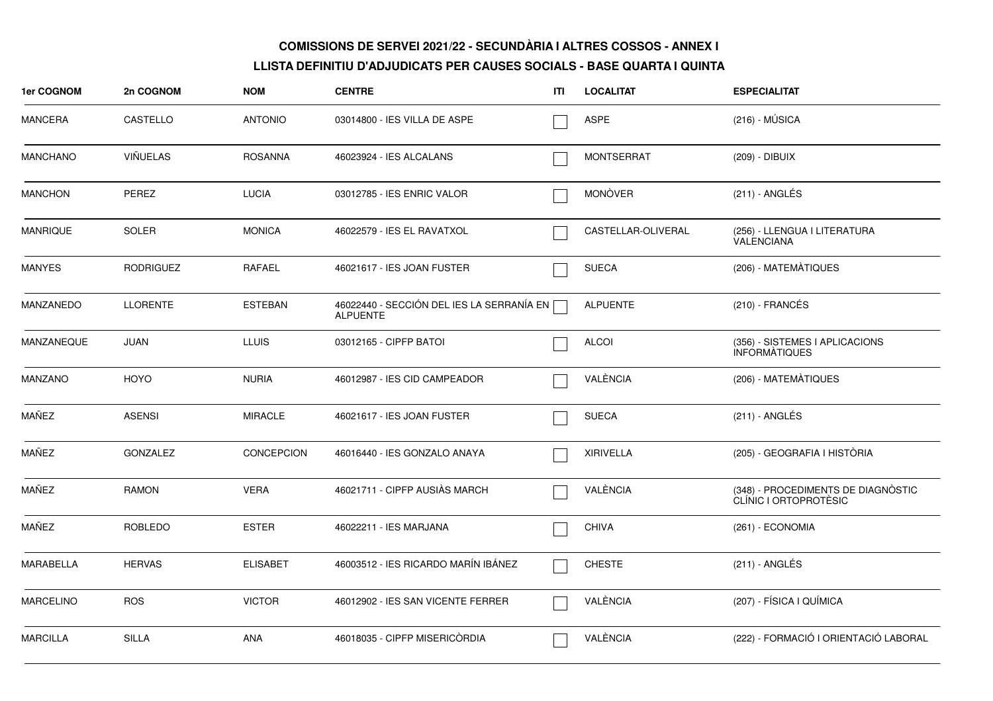| 1er COGNOM       | 2n COGNOM        | <b>NOM</b>        | <b>CENTRE</b>                                                | ITI | <b>LOCALITAT</b>   | <b>ESPECIALITAT</b>                                         |
|------------------|------------------|-------------------|--------------------------------------------------------------|-----|--------------------|-------------------------------------------------------------|
| <b>MANCERA</b>   | CASTELLO         | <b>ANTONIO</b>    | 03014800 - IES VILLA DE ASPE                                 |     | <b>ASPE</b>        | $(216) - MÚSICA$                                            |
| <b>MANCHANO</b>  | <b>VIÑUELAS</b>  | <b>ROSANNA</b>    | 46023924 - IES ALCALANS                                      |     | <b>MONTSERRAT</b>  | (209) - DIBUIX                                              |
| <b>MANCHON</b>   | PEREZ            | <b>LUCIA</b>      | 03012785 - IES ENRIC VALOR                                   |     | <b>MONÒVER</b>     | $(211)$ - ANGLÉS                                            |
| <b>MANRIQUE</b>  | SOLER            | <b>MONICA</b>     | 46022579 - IES EL RAVATXOL                                   |     | CASTELLAR-OLIVERAL | (256) - LLENGUA I LITERATURA<br><b>VALENCIANA</b>           |
| <b>MANYES</b>    | <b>RODRIGUEZ</b> | RAFAEL            | 46021617 - IES JOAN FUSTER                                   |     | <b>SUECA</b>       | (206) - MATEMÀTIQUES                                        |
| MANZANEDO        | <b>LLORENTE</b>  | <b>ESTEBAN</b>    | 46022440 - SECCIÓN DEL IES LA SERRANÍA EN<br><b>ALPUENTE</b> |     | <b>ALPUENTE</b>    | $(210)$ - FRANCÉS                                           |
| MANZANEQUE       | <b>JUAN</b>      | <b>LLUIS</b>      | 03012165 - CIPFP BATOI                                       |     | <b>ALCOI</b>       | (356) - SISTEMES I APLICACIONS<br><b>INFORMATIQUES</b>      |
| MANZANO          | <b>HOYO</b>      | <b>NURIA</b>      | 46012987 - IES CID CAMPEADOR                                 |     | VALÈNCIA           | (206) - MATEMÀTIQUES                                        |
| MAÑEZ            | <b>ASENSI</b>    | <b>MIRACLE</b>    | 46021617 - IES JOAN FUSTER                                   |     | <b>SUECA</b>       | (211) - ANGLÉS                                              |
| MAÑEZ            | <b>GONZALEZ</b>  | <b>CONCEPCION</b> | 46016440 - IES GONZALO ANAYA                                 |     | <b>XIRIVELLA</b>   | (205) - GEOGRAFIA I HISTÒRIA                                |
| MAÑEZ            | RAMON            | <b>VERA</b>       | 46021711 - CIPFP AUSIAS MARCH                                |     | VALÈNCIA           | (348) - PROCEDIMENTS DE DIAGNÒSTIC<br>CLÍNIC I ORTOPROTÈSIC |
| MAÑEZ            | ROBLEDO          | <b>ESTER</b>      | 46022211 - IES MARJANA                                       |     | <b>CHIVA</b>       | (261) - ECONOMIA                                            |
| <b>MARABELLA</b> | <b>HERVAS</b>    | <b>ELISABET</b>   | 46003512 - IES RICARDO MARÍN IBÁNEZ                          |     | <b>CHESTE</b>      | (211) - ANGLÉS                                              |
| <b>MARCELINO</b> | <b>ROS</b>       | <b>VICTOR</b>     | 46012902 - IES SAN VICENTE FERRER                            |     | VALÈNCIA           | (207) - FÍSICA I QUÍMICA                                    |
| <b>MARCILLA</b>  | <b>SILLA</b>     | ANA               | 46018035 - CIPFP MISERICÒRDIA                                |     | VALÈNCIA           | (222) - FORMACIÓ I ORIENTACIÓ LABORAL                       |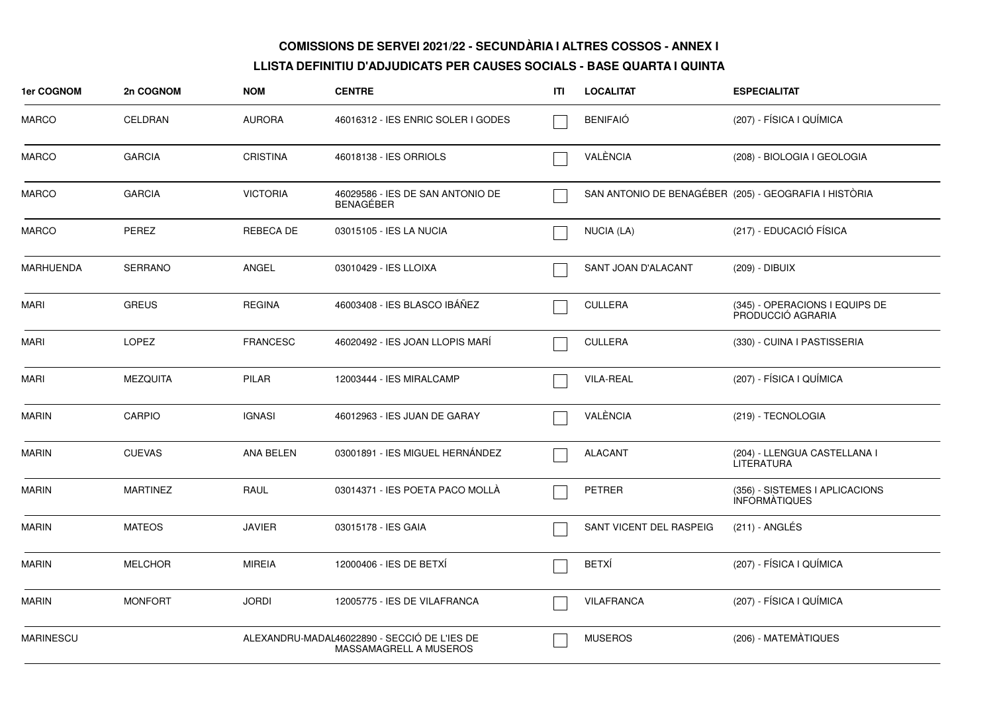| 1er COGNOM       | 2n COGNOM       | <b>NOM</b>       | <b>CENTRE</b>                                                          | ITI | <b>LOCALITAT</b>        | <b>ESPECIALITAT</b>                                    |
|------------------|-----------------|------------------|------------------------------------------------------------------------|-----|-------------------------|--------------------------------------------------------|
| <b>MARCO</b>     | <b>CELDRAN</b>  | <b>AURORA</b>    | 46016312 - IES ENRIC SOLER I GODES                                     |     | <b>BENIFAIÓ</b>         | (207) - FÍSICA I QUÍMICA                               |
| <b>MARCO</b>     | <b>GARCIA</b>   | <b>CRISTINA</b>  | 46018138 - IES ORRIOLS                                                 |     | VALÈNCIA                | (208) - BIOLOGIA I GEOLOGIA                            |
| <b>MARCO</b>     | <b>GARCIA</b>   | <b>VICTORIA</b>  | 46029586 - IES DE SAN ANTONIO DE<br><b>BENAGEBER</b>                   |     |                         | SAN ANTONIO DE BENAGÉBER (205) - GEOGRAFIA I HISTÒRIA  |
| <b>MARCO</b>     | PEREZ           | <b>REBECA DE</b> | 03015105 - IES LA NUCIA                                                |     | NUCIA (LA)              | (217) - EDUCACIÓ FÍSICA                                |
| <b>MARHUENDA</b> | <b>SERRANO</b>  | ANGEL            | 03010429 - IES LLOIXA                                                  |     | SANT JOAN D'ALACANT     | (209) - DIBUIX                                         |
| <b>MARI</b>      | <b>GREUS</b>    | <b>REGINA</b>    | 46003408 - IES BLASCO IBÁÑEZ                                           |     | <b>CULLERA</b>          | (345) - OPERACIONS I EQUIPS DE<br>PRODUCCIÓ AGRARIA    |
| <b>MARI</b>      | <b>LOPEZ</b>    | <b>FRANCESC</b>  | 46020492 - IES JOAN LLOPIS MARI                                        |     | <b>CULLERA</b>          | (330) - CUINA I PASTISSERIA                            |
| MARI             | <b>MEZQUITA</b> | <b>PILAR</b>     | 12003444 - IES MIRALCAMP                                               |     | <b>VILA-REAL</b>        | (207) - FÍSICA I QUÍMICA                               |
| <b>MARIN</b>     | <b>CARPIO</b>   | <b>IGNASI</b>    | 46012963 - IES JUAN DE GARAY                                           |     | VALÈNCIA                | (219) - TECNOLOGIA                                     |
| <b>MARIN</b>     | <b>CUEVAS</b>   | ANA BELEN        | 03001891 - IES MIGUEL HERNÁNDEZ                                        |     | <b>ALACANT</b>          | (204) - LLENGUA CASTELLANA I<br><b>LITERATURA</b>      |
| <b>MARIN</b>     | <b>MARTINEZ</b> | RAUL             | 03014371 - IES POETA PACO MOLLÀ                                        |     | <b>PETRER</b>           | (356) - SISTEMES I APLICACIONS<br><b>INFORMATIQUES</b> |
| <b>MARIN</b>     | <b>MATEOS</b>   | <b>JAVIER</b>    | 03015178 - IES GAIA                                                    |     | SANT VICENT DEL RASPEIG | $(211)$ - ANGLÉS                                       |
| <b>MARIN</b>     | <b>MELCHOR</b>  | <b>MIREIA</b>    | 12000406 - IES DE BETXÍ                                                |     | <b>BETXÍ</b>            | (207) - FÍSICA I QUÍMICA                               |
| <b>MARIN</b>     | <b>MONFORT</b>  | <b>JORDI</b>     | 12005775 - IES DE VILAFRANCA                                           |     | <b>VILAFRANCA</b>       | (207) - FÍSICA I QUÍMICA                               |
| MARINESCU        |                 |                  | ALEXANDRU-MADAL46022890 - SECCIÓ DE L'IES DE<br>MASSAMAGRELL A MUSEROS |     | <b>MUSEROS</b>          | (206) - MATEMÀTIQUES                                   |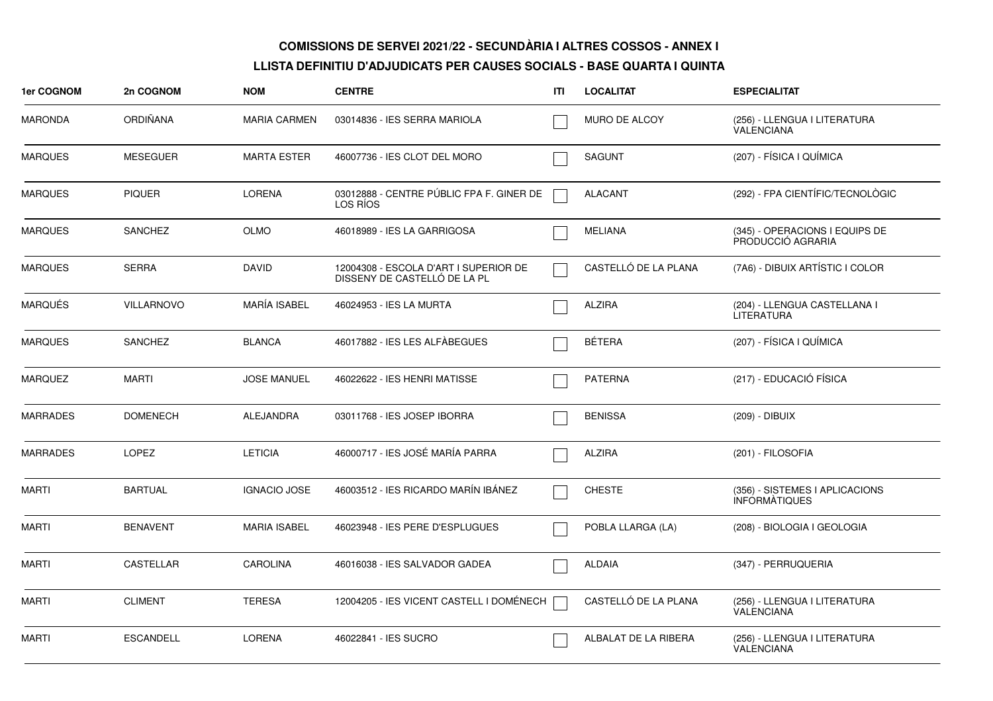| <b>1er COGNOM</b> | 2n COGNOM         | <b>NOM</b>          | <b>CENTRE</b>                                                         | ITI | <b>LOCALITAT</b>     | <b>ESPECIALITAT</b>                                    |
|-------------------|-------------------|---------------------|-----------------------------------------------------------------------|-----|----------------------|--------------------------------------------------------|
| <b>MARONDA</b>    | <b>ORDIÑANA</b>   | <b>MARIA CARMEN</b> | 03014836 - IES SERRA MARIOLA                                          |     | <b>MURO DE ALCOY</b> | (256) - LLENGUA I LITERATURA<br>VALENCIANA             |
| <b>MARQUES</b>    | <b>MESEGUER</b>   | <b>MARTA ESTER</b>  | 46007736 - IES CLOT DEL MORO                                          |     | <b>SAGUNT</b>        | (207) - FÍSICA I QUÍMICA                               |
| <b>MARQUES</b>    | <b>PIQUER</b>     | <b>LORENA</b>       | 03012888 - CENTRE PÚBLIC FPA F. GINER DE<br>LOS RIOS                  |     | <b>ALACANT</b>       | (292) - FPA CIENTÍFIC/TECNOLÒGIC                       |
| <b>MARQUES</b>    | <b>SANCHEZ</b>    | <b>OLMO</b>         | 46018989 - IES LA GARRIGOSA                                           |     | <b>MELIANA</b>       | (345) - OPERACIONS I EQUIPS DE<br>PRODUCCIÓ AGRARIA    |
| <b>MARQUES</b>    | <b>SERRA</b>      | <b>DAVID</b>        | 12004308 - ESCOLA D'ART I SUPERIOR DE<br>DISSENY DE CASTELLO DE LA PL |     | CASTELLÓ DE LA PLANA | (7A6) - DIBUIX ARTÍSTIC I COLOR                        |
| <b>MARQUÉS</b>    | <b>VILLARNOVO</b> | MARÍA ISABEL        | 46024953 - IES LA MURTA                                               |     | <b>ALZIRA</b>        | (204) - LLENGUA CASTELLANA I<br><b>LITERATURA</b>      |
| <b>MARQUES</b>    | <b>SANCHEZ</b>    | <b>BLANCA</b>       | 46017882 - IES LES ALFÀBEGUES                                         |     | <b>BÉTERA</b>        | (207) - FÍSICA I QUÍMICA                               |
| <b>MARQUEZ</b>    | <b>MARTI</b>      | <b>JOSE MANUEL</b>  | 46022622 - IES HENRI MATISSE                                          |     | <b>PATERNA</b>       | (217) - EDUCACIÓ FÍSICA                                |
| <b>MARRADES</b>   | <b>DOMENECH</b>   | ALEJANDRA           | 03011768 - IES JOSEP IBORRA                                           |     | <b>BENISSA</b>       | (209) - DIBUIX                                         |
| <b>MARRADES</b>   | <b>LOPEZ</b>      | <b>LETICIA</b>      | 46000717 - IES JOSÉ MARÍA PARRA                                       |     | <b>ALZIRA</b>        | (201) - FILOSOFIA                                      |
| <b>MARTI</b>      | <b>BARTUAL</b>    | <b>IGNACIO JOSE</b> | 46003512 - IES RICARDO MARÍN IBÁNEZ                                   |     | <b>CHESTE</b>        | (356) - SISTEMES I APLICACIONS<br><b>INFORMATIQUES</b> |
| <b>MARTI</b>      | <b>BENAVENT</b>   | <b>MARIA ISABEL</b> | 46023948 - IES PERE D'ESPLUGUES                                       |     | POBLA LLARGA (LA)    | (208) - BIOLOGIA I GEOLOGIA                            |
| <b>MARTI</b>      | <b>CASTELLAR</b>  | <b>CAROLINA</b>     | 46016038 - IES SALVADOR GADEA                                         |     | ALDAIA               | (347) - PERRUQUERIA                                    |
| <b>MARTI</b>      | <b>CLIMENT</b>    | <b>TERESA</b>       | 12004205 - IES VICENT CASTELL I DOMÉNECH                              |     | CASTELLÓ DE LA PLANA | (256) - LLENGUA I LITERATURA<br>VALENCIANA             |
| <b>MARTI</b>      | <b>ESCANDELL</b>  | <b>LORENA</b>       | 46022841 - IES SUCRO                                                  |     | ALBALAT DE LA RIBERA | (256) - LLENGUA I LITERATURA<br><b>VALENCIANA</b>      |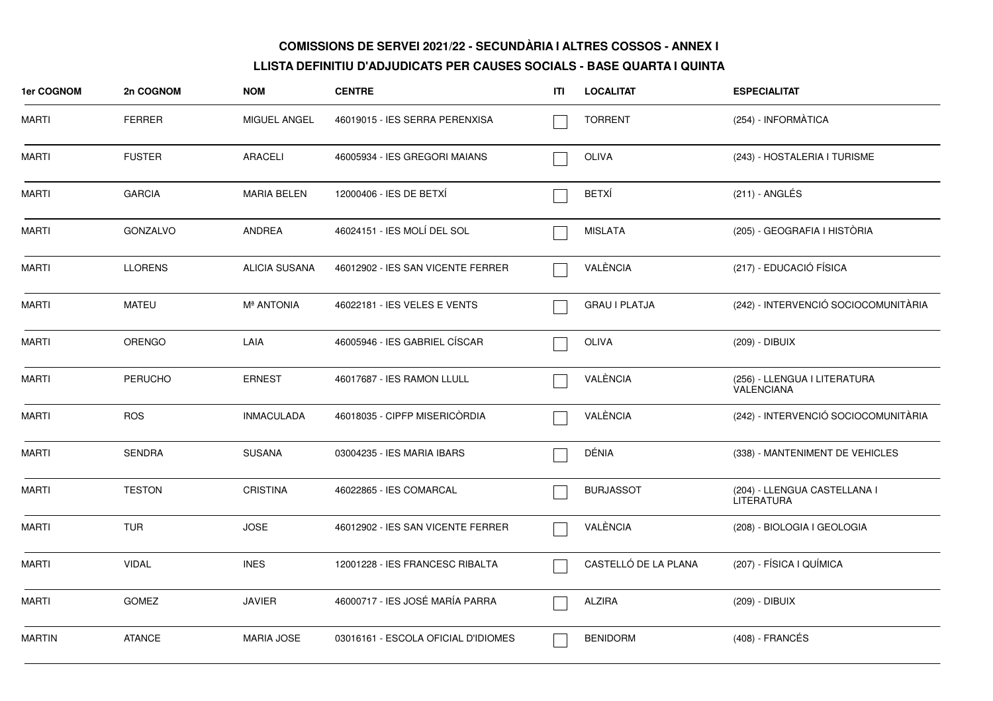| 1er COGNOM    | 2n COGNOM       | <b>NOM</b>           | <b>CENTRE</b>                       | <b>ITI</b> | <b>LOCALITAT</b>     | <b>ESPECIALITAT</b>                               |
|---------------|-----------------|----------------------|-------------------------------------|------------|----------------------|---------------------------------------------------|
| <b>MARTI</b>  | <b>FERRER</b>   | <b>MIGUEL ANGEL</b>  | 46019015 - IES SERRA PERENXISA      |            | <b>TORRENT</b>       | (254) - INFORMÀTICA                               |
| <b>MARTI</b>  | <b>FUSTER</b>   | <b>ARACELI</b>       | 46005934 - IES GREGORI MAIANS       |            | OLIVA                | (243) - HOSTALERIA I TURISME                      |
| <b>MARTI</b>  | <b>GARCIA</b>   | <b>MARIA BELEN</b>   | 12000406 - IES DE BETXI             |            | <b>BETXÍ</b>         | $(211)$ - ANGLÉS                                  |
| <b>MARTI</b>  | <b>GONZALVO</b> | <b>ANDREA</b>        | 46024151 - IES MOLÍ DEL SOL         |            | <b>MISLATA</b>       | (205) - GEOGRAFIA I HISTÒRIA                      |
| <b>MARTI</b>  | <b>LLORENS</b>  | <b>ALICIA SUSANA</b> | 46012902 - IES SAN VICENTE FERRER   |            | VALÈNCIA             | (217) - EDUCACIÓ FÍSICA                           |
| MARTI         | <b>MATEU</b>    | <b>Mª ANTONIA</b>    | 46022181 - IES VELES E VENTS        |            | <b>GRAU I PLATJA</b> | (242) - INTERVENCIÓ SOCIOCOMUNITÀRIA              |
| <b>MARTI</b>  | <b>ORENGO</b>   | LAIA                 | 46005946 - IES GABRIEL CÍSCAR       |            | <b>OLIVA</b>         | (209) - DIBUIX                                    |
| <b>MARTI</b>  | <b>PERUCHO</b>  | <b>ERNEST</b>        | 46017687 - IES RAMON LLULL          |            | VALÈNCIA             | (256) - LLENGUA I LITERATURA<br><b>VALENCIANA</b> |
| <b>MARTI</b>  | <b>ROS</b>      | <b>INMACULADA</b>    | 46018035 - CIPFP MISERICORDIA       |            | VALÈNCIA             | (242) - INTERVENCIÓ SOCIOCOMUNITÀRIA              |
| <b>MARTI</b>  | <b>SENDRA</b>   | <b>SUSANA</b>        | 03004235 - IES MARIA IBARS          |            | DÉNIA                | (338) - MANTENIMENT DE VEHICLES                   |
| <b>MARTI</b>  | <b>TESTON</b>   | <b>CRISTINA</b>      | 46022865 - IES COMARCAL             |            | <b>BURJASSOT</b>     | (204) - LLENGUA CASTELLANA I<br>LITERATURA        |
| <b>MARTI</b>  | <b>TUR</b>      | <b>JOSE</b>          | 46012902 - IES SAN VICENTE FERRER   |            | VALÈNCIA             | (208) - BIOLOGIA I GEOLOGIA                       |
| <b>MARTI</b>  | <b>VIDAL</b>    | <b>INES</b>          | 12001228 - IES FRANCESC RIBALTA     |            | CASTELLÓ DE LA PLANA | (207) - FÍSICA I QUÍMICA                          |
| <b>MARTI</b>  | GOMEZ           | <b>JAVIER</b>        | 46000717 - IES JOSÉ MARÍA PARRA     |            | <b>ALZIRA</b>        | (209) - DIBUIX                                    |
| <b>MARTIN</b> | <b>ATANCE</b>   | <b>MARIA JOSE</b>    | 03016161 - ESCOLA OFICIAL D'IDIOMES |            | <b>BENIDORM</b>      | (408) - FRANCÉS                                   |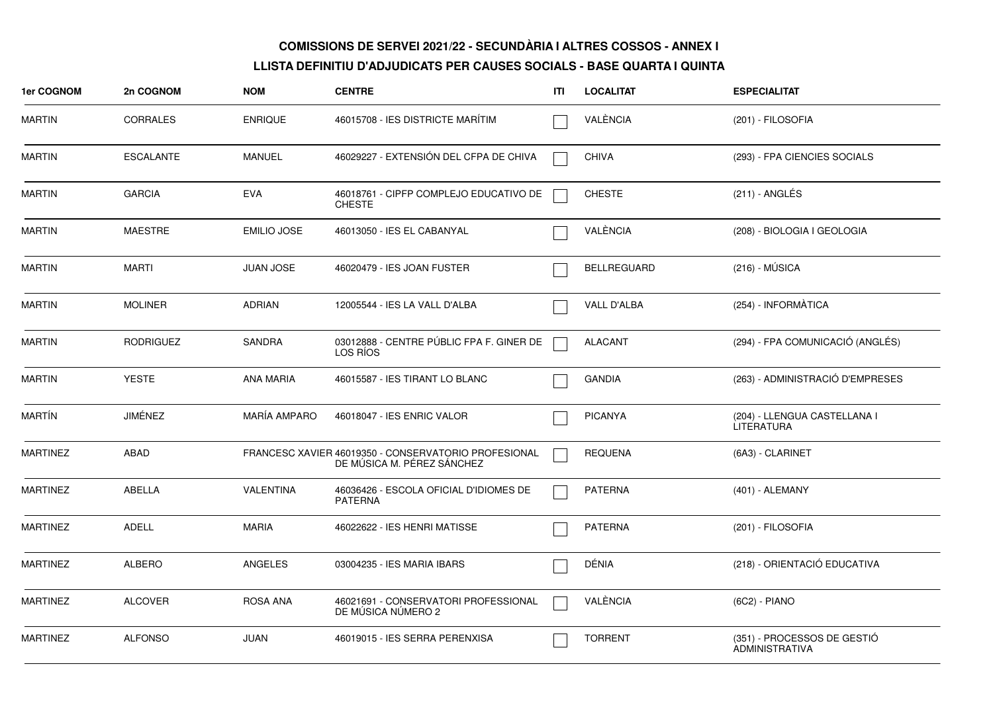| <b>1er COGNOM</b> | 2n COGNOM        | <b>NOM</b>          | <b>CENTRE</b>                                                                      | ITI | <b>LOCALITAT</b>   | <b>ESPECIALITAT</b>                                  |
|-------------------|------------------|---------------------|------------------------------------------------------------------------------------|-----|--------------------|------------------------------------------------------|
| <b>MARTIN</b>     | <b>CORRALES</b>  | <b>ENRIQUE</b>      | 46015708 - IES DISTRICTE MARÍTIM                                                   |     | VALÈNCIA           | (201) - FILOSOFIA                                    |
| <b>MARTIN</b>     | <b>ESCALANTE</b> | <b>MANUEL</b>       | 46029227 - EXTENSIÓN DEL CFPA DE CHIVA                                             |     | <b>CHIVA</b>       | (293) - FPA CIENCIES SOCIALS                         |
| <b>MARTIN</b>     | <b>GARCIA</b>    | <b>EVA</b>          | 46018761 - CIPFP COMPLEJO EDUCATIVO DE<br><b>CHESTE</b>                            |     | <b>CHESTE</b>      | $(211) - ANGLÉS$                                     |
| <b>MARTIN</b>     | <b>MAESTRE</b>   | <b>EMILIO JOSE</b>  | 46013050 - IES EL CABANYAL                                                         |     | VALÈNCIA           | (208) - BIOLOGIA I GEOLOGIA                          |
| <b>MARTIN</b>     | <b>MARTI</b>     | <b>JUAN JOSE</b>    | 46020479 - IES JOAN FUSTER                                                         |     | <b>BELLREGUARD</b> | $(216) - MÚSICA$                                     |
| <b>MARTIN</b>     | <b>MOLINER</b>   | <b>ADRIAN</b>       | 12005544 - IES LA VALL D'ALBA                                                      |     | VALL D'ALBA        | (254) - INFORMATICA                                  |
| <b>MARTIN</b>     | <b>RODRIGUEZ</b> | <b>SANDRA</b>       | 03012888 - CENTRE PÚBLIC FPA F. GINER DE<br>LOS RIOS                               |     | <b>ALACANT</b>     | (294) - FPA COMUNICACIÓ (ANGLÉS)                     |
| <b>MARTIN</b>     | <b>YESTE</b>     | <b>ANA MARIA</b>    | 46015587 - IES TIRANT LO BLANC                                                     |     | <b>GANDIA</b>      | (263) - ADMINISTRACIÓ D'EMPRESES                     |
| <b>MARTÍN</b>     | JIMÉNEZ          | <b>MARÍA AMPARO</b> | 46018047 - IES ENRIC VALOR                                                         |     | <b>PICANYA</b>     | (204) - LLENGUA CASTELLANA I<br><b>LITERATURA</b>    |
| <b>MARTINEZ</b>   | ABAD             |                     | FRANCESC XAVIER 46019350 - CONSERVATORIO PROFESIONAL<br>DE MÚSICA M. PÉREZ SÁNCHEZ |     | <b>REQUENA</b>     | (6A3) - CLARINET                                     |
| <b>MARTINEZ</b>   | ABELLA           | VALENTINA           | 46036426 - ESCOLA OFICIAL D'IDIOMES DE<br><b>PATERNA</b>                           |     | <b>PATERNA</b>     | (401) - ALEMANY                                      |
| <b>MARTINEZ</b>   | <b>ADELL</b>     | <b>MARIA</b>        | 46022622 - IES HENRI MATISSE                                                       |     | <b>PATERNA</b>     | (201) - FILOSOFIA                                    |
| <b>MARTINEZ</b>   | <b>ALBERO</b>    | <b>ANGELES</b>      | 03004235 - IES MARIA IBARS                                                         |     | DÉNIA              | (218) - ORIENTACIÓ EDUCATIVA                         |
| <b>MARTINEZ</b>   | <b>ALCOVER</b>   | <b>ROSA ANA</b>     | 46021691 - CONSERVATORI PROFESSIONAL<br>DE MUSICA NUMERO 2                         |     | VALÈNCIA           | (6C2) - PIANO                                        |
| <b>MARTINEZ</b>   | <b>ALFONSO</b>   | <b>JUAN</b>         | 46019015 - IES SERRA PERENXISA                                                     |     | <b>TORRENT</b>     | (351) - PROCESSOS DE GESTIÓ<br><b>ADMINISTRATIVA</b> |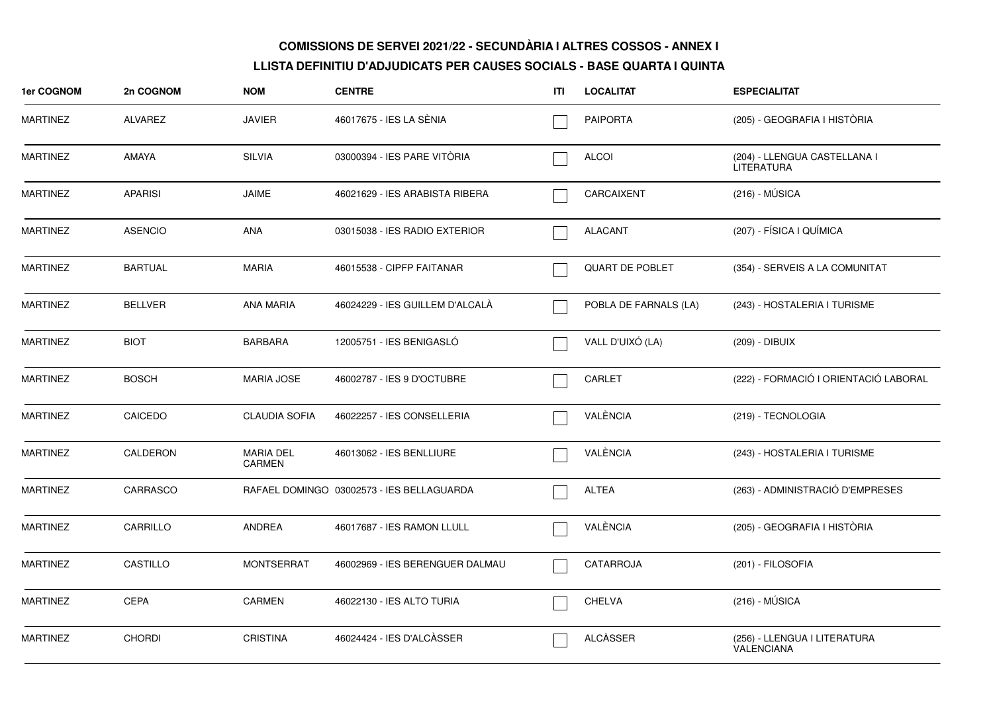| 1er COGNOM      | 2n COGNOM      | <b>NOM</b>                 | <b>CENTRE</b>                             | ITL | <b>LOCALITAT</b>       | <b>ESPECIALITAT</b>                        |
|-----------------|----------------|----------------------------|-------------------------------------------|-----|------------------------|--------------------------------------------|
| <b>MARTINEZ</b> | ALVAREZ        | <b>JAVIER</b>              | 46017675 - IES LA SÉNIA                   |     | <b>PAIPORTA</b>        | (205) - GEOGRAFIA I HISTÒRIA               |
| <b>MARTINEZ</b> | <b>AMAYA</b>   | SILVIA                     | 03000394 - IES PARE VITÒRIA               |     | <b>ALCOI</b>           | (204) - LLENGUA CASTELLANA I<br>LITERATURA |
| <b>MARTINEZ</b> | <b>APARISI</b> | <b>JAIME</b>               | 46021629 - IES ARABISTA RIBERA            |     | CARCAIXENT             | $(216) - MÚSICA$                           |
| <b>MARTINEZ</b> | <b>ASENCIO</b> | <b>ANA</b>                 | 03015038 - IES RADIO EXTERIOR             |     | <b>ALACANT</b>         | (207) - FÍSICA I QUÍMICA                   |
| <b>MARTINEZ</b> | <b>BARTUAL</b> | <b>MARIA</b>               | 46015538 - CIPFP FAITANAR                 |     | <b>QUART DE POBLET</b> | (354) - SERVEIS A LA COMUNITAT             |
| <b>MARTINEZ</b> | <b>BELLVER</b> | <b>ANA MARIA</b>           | 46024229 - IES GUILLEM D'ALCALÀ           |     | POBLA DE FARNALS (LA)  | (243) - HOSTALERIA I TURISME               |
| <b>MARTINEZ</b> | <b>BIOT</b>    | <b>BARBARA</b>             | 12005751 - IES BENIGASLÓ                  |     | VALL D'UIXÓ (LA)       | (209) - DIBUIX                             |
| <b>MARTINEZ</b> | <b>BOSCH</b>   | <b>MARIA JOSE</b>          | 46002787 - IES 9 D'OCTUBRE                |     | CARLET                 | (222) - FORMACIÓ I ORIENTACIÓ LABORAL      |
| <b>MARTINEZ</b> | CAICEDO        | <b>CLAUDIA SOFIA</b>       | 46022257 - IES CONSELLERIA                |     | VALÈNCIA               | (219) - TECNOLOGIA                         |
| <b>MARTINEZ</b> | CALDERON       | <b>MARIA DEL</b><br>CARMEN | 46013062 - IES BENLLIURE                  |     | VALÈNCIA               | (243) - HOSTALERIA I TURISME               |
| <b>MARTINEZ</b> | CARRASCO       |                            | RAFAEL DOMINGO 03002573 - IES BELLAGUARDA |     | <b>ALTEA</b>           | (263) - ADMINISTRACIÓ D'EMPRESES           |
| <b>MARTINEZ</b> | CARRILLO       | <b>ANDREA</b>              | 46017687 - IES RAMON LLULL                |     | VALÈNCIA               | (205) - GEOGRAFIA I HISTÒRIA               |
| <b>MARTINEZ</b> | CASTILLO       | <b>MONTSERRAT</b>          | 46002969 - IES BERENGUER DALMAU           |     | CATARROJA              | (201) - FILOSOFIA                          |
| <b>MARTINEZ</b> | <b>CEPA</b>    | CARMEN                     | 46022130 - IES ALTO TURIA                 |     | <b>CHELVA</b>          | (216) - MÚSICA                             |
| <b>MARTINEZ</b> | <b>CHORDI</b>  | <b>CRISTINA</b>            | 46024424 - IES D'ALCÀSSER                 |     | <b>ALCÀSSER</b>        | (256) - LLENGUA I LITERATURA<br>VALENCIANA |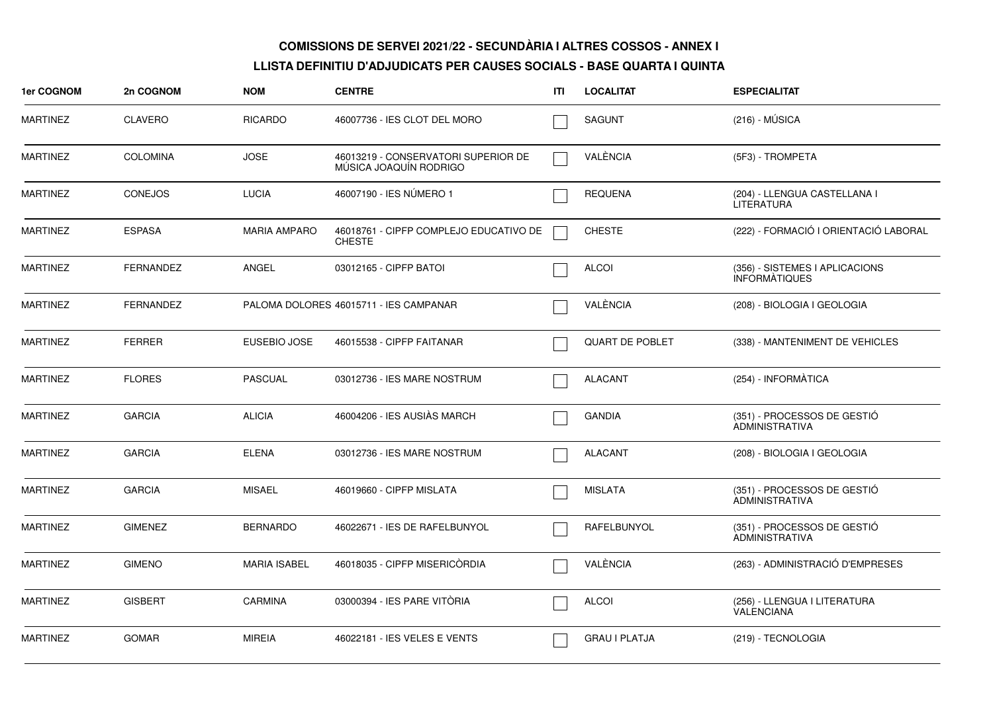| 1er COGNOM      | 2n COGNOM        | <b>NOM</b>          | <b>CENTRE</b>                                                 | ITI | <b>LOCALITAT</b>       | <b>ESPECIALITAT</b>                                    |
|-----------------|------------------|---------------------|---------------------------------------------------------------|-----|------------------------|--------------------------------------------------------|
| <b>MARTINEZ</b> | <b>CLAVERO</b>   | <b>RICARDO</b>      | 46007736 - IES CLOT DEL MORO                                  |     | <b>SAGUNT</b>          | $(216) - MÚSICA$                                       |
| <b>MARTINEZ</b> | <b>COLOMINA</b>  | <b>JOSE</b>         | 46013219 - CONSERVATORI SUPERIOR DE<br>MÚSICA JOAQUÍN RODRIGO |     | VALÈNCIA               | (5F3) - TROMPETA                                       |
| MARTINEZ        | <b>CONEJOS</b>   | <b>LUCIA</b>        | 46007190 - IES NÚMERO 1                                       |     | <b>REQUENA</b>         | (204) - LLENGUA CASTELLANA I<br><b>LITERATURA</b>      |
| <b>MARTINEZ</b> | <b>ESPASA</b>    | <b>MARIA AMPARO</b> | 46018761 - CIPFP COMPLEJO EDUCATIVO DE<br><b>CHESTE</b>       |     | <b>CHESTE</b>          | (222) - FORMACIÓ I ORIENTACIÓ LABORAL                  |
| <b>MARTINEZ</b> | <b>FERNANDEZ</b> | ANGEL               | 03012165 - CIPFP BATOI                                        |     | <b>ALCOI</b>           | (356) - SISTEMES I APLICACIONS<br><b>INFORMATIQUES</b> |
| MARTINEZ        | <b>FERNANDEZ</b> |                     | PALOMA DOLORES 46015711 - IES CAMPANAR                        |     | VALÈNCIA               | (208) - BIOLOGIA I GEOLOGIA                            |
| <b>MARTINEZ</b> | <b>FERRER</b>    | EUSEBIO JOSE        | 46015538 - CIPFP FAITANAR                                     |     | <b>QUART DE POBLET</b> | (338) - MANTENIMENT DE VEHICLES                        |
| <b>MARTINEZ</b> | <b>FLORES</b>    | <b>PASCUAL</b>      | 03012736 - IES MARE NOSTRUM                                   |     | <b>ALACANT</b>         | (254) - INFORMATICA                                    |
| <b>MARTINEZ</b> | <b>GARCIA</b>    | <b>ALICIA</b>       | 46004206 - IES AUSIÀS MARCH                                   |     | <b>GANDIA</b>          | (351) - PROCESSOS DE GESTIÓ<br><b>ADMINISTRATIVA</b>   |
| <b>MARTINEZ</b> | <b>GARCIA</b>    | <b>ELENA</b>        | 03012736 - IES MARE NOSTRUM                                   |     | <b>ALACANT</b>         | (208) - BIOLOGIA I GEOLOGIA                            |
| <b>MARTINEZ</b> | <b>GARCIA</b>    | <b>MISAEL</b>       | 46019660 - CIPFP MISLATA                                      |     | <b>MISLATA</b>         | (351) - PROCESSOS DE GESTIÓ<br><b>ADMINISTRATIVA</b>   |
| <b>MARTINEZ</b> | <b>GIMENEZ</b>   | <b>BERNARDO</b>     | 46022671 - IES DE RAFELBUNYOL                                 |     | <b>RAFELBUNYOL</b>     | (351) - PROCESSOS DE GESTIÓ<br><b>ADMINISTRATIVA</b>   |
| MARTINEZ        | <b>GIMENO</b>    | <b>MARIA ISABEL</b> | 46018035 - CIPFP MISERICORDIA                                 |     | VALÈNCIA               | (263) - ADMINISTRACIÓ D'EMPRESES                       |
| <b>MARTINEZ</b> | <b>GISBERT</b>   | <b>CARMINA</b>      | 03000394 - IES PARE VITÒRIA                                   |     | <b>ALCOI</b>           | (256) - LLENGUA I LITERATURA<br>VALENCIANA             |
| <b>MARTINEZ</b> | <b>GOMAR</b>     | <b>MIREIA</b>       | 46022181 - IES VELES E VENTS                                  |     | <b>GRAU I PLATJA</b>   | (219) - TECNOLOGIA                                     |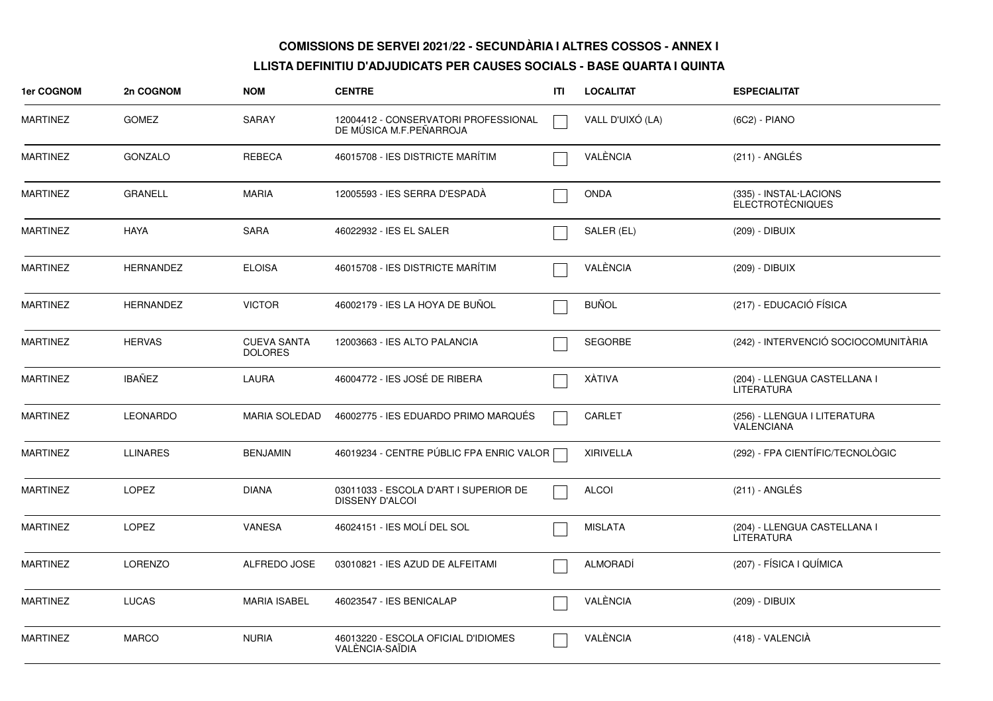| 1er COGNOM      | 2n COGNOM        | <b>NOM</b>                           | <b>CENTRE</b>                                                   | ITI | <b>LOCALITAT</b> | <b>ESPECIALITAT</b>                               |
|-----------------|------------------|--------------------------------------|-----------------------------------------------------------------|-----|------------------|---------------------------------------------------|
| <b>MARTINEZ</b> | <b>GOMEZ</b>     | SARAY                                | 12004412 - CONSERVATORI PROFESSIONAL<br>DE MUSICA M.F.PEÑARROJA |     | VALL D'UIXÓ (LA) | $(6C2) - PIANO$                                   |
| <b>MARTINEZ</b> | <b>GONZALO</b>   | <b>REBECA</b>                        | 46015708 - IES DISTRICTE MARÍTIM                                |     | VALÈNCIA         | (211) - ANGLÉS                                    |
| <b>MARTINEZ</b> | <b>GRANELL</b>   | <b>MARIA</b>                         | 12005593 - IES SERRA D'ESPADÀ                                   |     | <b>ONDA</b>      | (335) - INSTAL·LACIONS<br><b>ELECTROTÉCNIQUES</b> |
| <b>MARTINEZ</b> | <b>HAYA</b>      | <b>SARA</b>                          | 46022932 - IES EL SALER                                         |     | SALER (EL)       | (209) - DIBUIX                                    |
| <b>MARTINEZ</b> | <b>HERNANDEZ</b> | <b>ELOISA</b>                        | 46015708 - IES DISTRICTE MARÍTIM                                |     | VALÈNCIA         | (209) - DIBUIX                                    |
| <b>MARTINEZ</b> | <b>HERNANDEZ</b> | <b>VICTOR</b>                        | 46002179 - IES LA HOYA DE BUÑOL                                 |     | <b>BUÑOL</b>     | (217) - EDUCACIÓ FÍSICA                           |
| <b>MARTINEZ</b> | <b>HERVAS</b>    | <b>CUEVA SANTA</b><br><b>DOLORES</b> | 12003663 - IES ALTO PALANCIA                                    |     | <b>SEGORBE</b>   | (242) - INTERVENCIÓ SOCIOCOMUNITÀRIA              |
| <b>MARTINEZ</b> | <b>IBAÑEZ</b>    | LAURA                                | 46004772 - IES JOSÉ DE RIBERA                                   |     | XÀTIVA           | (204) - LLENGUA CASTELLANA I<br><b>LITERATURA</b> |
| <b>MARTINEZ</b> | <b>LEONARDO</b>  | <b>MARIA SOLEDAD</b>                 | 46002775 - IES EDUARDO PRIMO MARQUES                            |     | <b>CARLET</b>    | (256) - LLENGUA I LITERATURA<br><b>VALENCIANA</b> |
| <b>MARTINEZ</b> | <b>LLINARES</b>  | <b>BENJAMIN</b>                      | 46019234 - CENTRE PÚBLIC FPA ENRIC VALOR                        |     | <b>XIRIVELLA</b> | (292) - FPA CIENTÍFIC/TECNOLÒGIC                  |
| <b>MARTINEZ</b> | LOPEZ            | <b>DIANA</b>                         | 03011033 - ESCOLA D'ART I SUPERIOR DE<br><b>DISSENY D'ALCOI</b> |     | <b>ALCOI</b>     | $(211)$ - ANGLÉS                                  |
| <b>MARTINEZ</b> | LOPEZ            | VANESA                               | 46024151 - IES MOLÍ DEL SOL                                     |     | <b>MISLATA</b>   | (204) - LLENGUA CASTELLANA I<br><b>LITERATURA</b> |
| <b>MARTINEZ</b> | <b>LORENZO</b>   | ALFREDO JOSE                         | 03010821 - IES AZUD DE ALFEITAMI                                |     | <b>ALMORADI</b>  | (207) - FÍSICA I QUÍMICA                          |
| <b>MARTINEZ</b> | <b>LUCAS</b>     | <b>MARIA ISABEL</b>                  | 46023547 - IES BENICALAP                                        |     | VALÈNCIA         | (209) - DIBUIX                                    |
| <b>MARTINEZ</b> | <b>MARCO</b>     | <b>NURIA</b>                         | 46013220 - ESCOLA OFICIAL D'IDIOMES<br>VALENCIA-SAÏDIA          |     | VALÈNCIA         | (418) - VALENCIÀ                                  |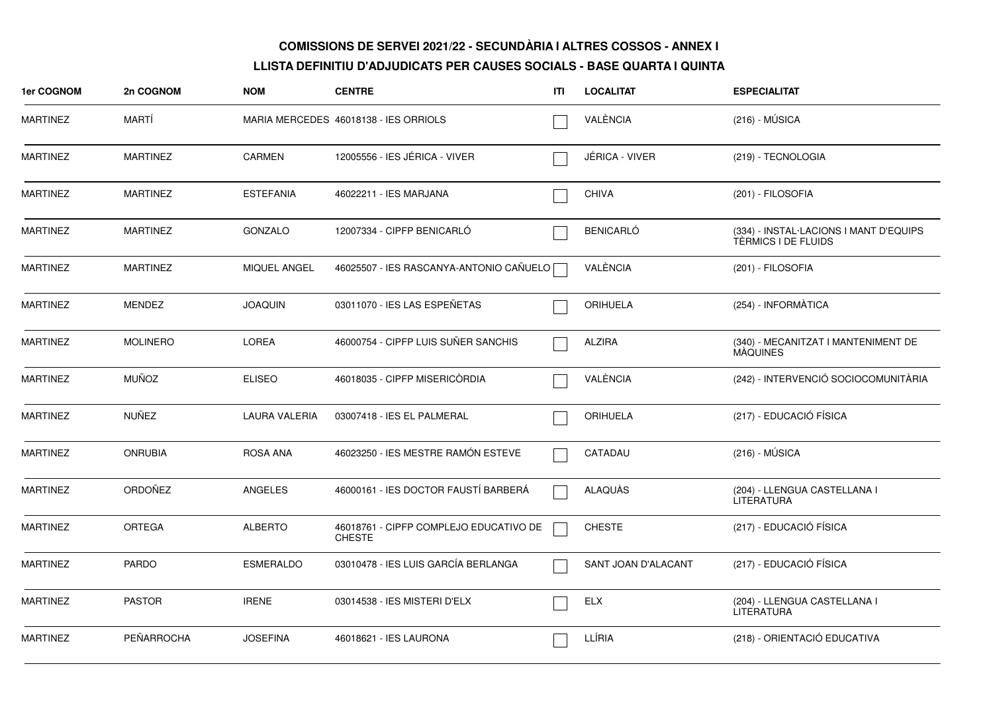| <b>1er COGNOM</b> | 2n COGNOM       | <b>NOM</b>           | <b>CENTRE</b>                                           | ITI | <b>LOCALITAT</b>    | <b>ESPECIALITAT</b>                                           |
|-------------------|-----------------|----------------------|---------------------------------------------------------|-----|---------------------|---------------------------------------------------------------|
| <b>MARTINEZ</b>   | MARTI           |                      | MARIA MERCEDES 46018138 - IES ORRIOLS                   |     | VALÈNCIA            | $(216) - MÚSICA$                                              |
| <b>MARTINEZ</b>   | <b>MARTINEZ</b> | <b>CARMEN</b>        | 12005556 - IES JÉRICA - VIVER                           |     | JÉRICA - VIVER      | (219) - TECNOLOGIA                                            |
| <b>MARTINEZ</b>   | <b>MARTINEZ</b> | <b>ESTEFANIA</b>     | 46022211 - IES MARJANA                                  |     | <b>CHIVA</b>        | (201) - FILOSOFIA                                             |
| <b>MARTINEZ</b>   | <b>MARTINEZ</b> | <b>GONZALO</b>       | 12007334 - CIPFP BENICARLÓ                              |     | <b>BENICARLÓ</b>    | (334) - INSTAL·LACIONS I MANT D'EQUIPS<br>TÈRMICS I DE FLUIDS |
| <b>MARTINEZ</b>   | <b>MARTINEZ</b> | <b>MIQUEL ANGEL</b>  | 46025507 - IES RASCANYA-ANTONIO CAÑUELO                 |     | VALÈNCIA            | (201) - FILOSOFIA                                             |
| <b>MARTINEZ</b>   | <b>MENDEZ</b>   | <b>JOAQUIN</b>       | 03011070 - IES LAS ESPEÑETAS                            |     | <b>ORIHUELA</b>     | (254) - INFORMATICA                                           |
| <b>MARTINEZ</b>   | <b>MOLINERO</b> | LOREA                | 46000754 - CIPFP LUIS SUÑER SANCHIS                     |     | <b>ALZIRA</b>       | (340) - MECANITZAT I MANTENIMENT DE<br>MÁQUINES               |
| <b>MARTINEZ</b>   | <b>MUÑOZ</b>    | <b>ELISEO</b>        | 46018035 - CIPFP MISERICORDIA                           |     | VALÈNCIA            | (242) - INTERVENCIÓ SOCIOCOMUNITÀRIA                          |
| <b>MARTINEZ</b>   | <b>NUÑEZ</b>    | <b>LAURA VALERIA</b> | 03007418 - IES EL PALMERAL                              |     | <b>ORIHUELA</b>     | (217) - EDUCACIÓ FÍSICA                                       |
| <b>MARTINEZ</b>   | <b>ONRUBIA</b>  | <b>ROSA ANA</b>      | 46023250 - IES MESTRE RAMÓN ESTEVE                      |     | CATADAU             | $(216) - MÚSICA$                                              |
| <b>MARTINEZ</b>   | ORDOÑEZ         | ANGELES              | 46000161 - IES DOCTOR FAUSTÍ BARBERÁ                    |     | ALAQUÀS             | (204) - LLENGUA CASTELLANA I<br><b>LITERATURA</b>             |
| <b>MARTINEZ</b>   | <b>ORTEGA</b>   | <b>ALBERTO</b>       | 46018761 - CIPFP COMPLEJO EDUCATIVO DE<br><b>CHESTE</b> |     | <b>CHESTE</b>       | (217) - EDUCACIÓ FÍSICA                                       |
| <b>MARTINEZ</b>   | <b>PARDO</b>    | <b>ESMERALDO</b>     | 03010478 - IES LUIS GARCÍA BERLANGA                     |     | SANT JOAN D'ALACANT | (217) - EDUCACIÓ FÍSICA                                       |
| <b>MARTINEZ</b>   | <b>PASTOR</b>   | <b>IRENE</b>         | 03014538 - IES MISTERI D'ELX                            |     | <b>ELX</b>          | (204) - LLENGUA CASTELLANA I<br><b>LITERATURA</b>             |
| <b>MARTINEZ</b>   | PEÑARROCHA      | <b>JOSEFINA</b>      | 46018621 - IES LAURONA                                  |     | LLÍRIA              | (218) - ORIENTACIÓ EDUCATIVA                                  |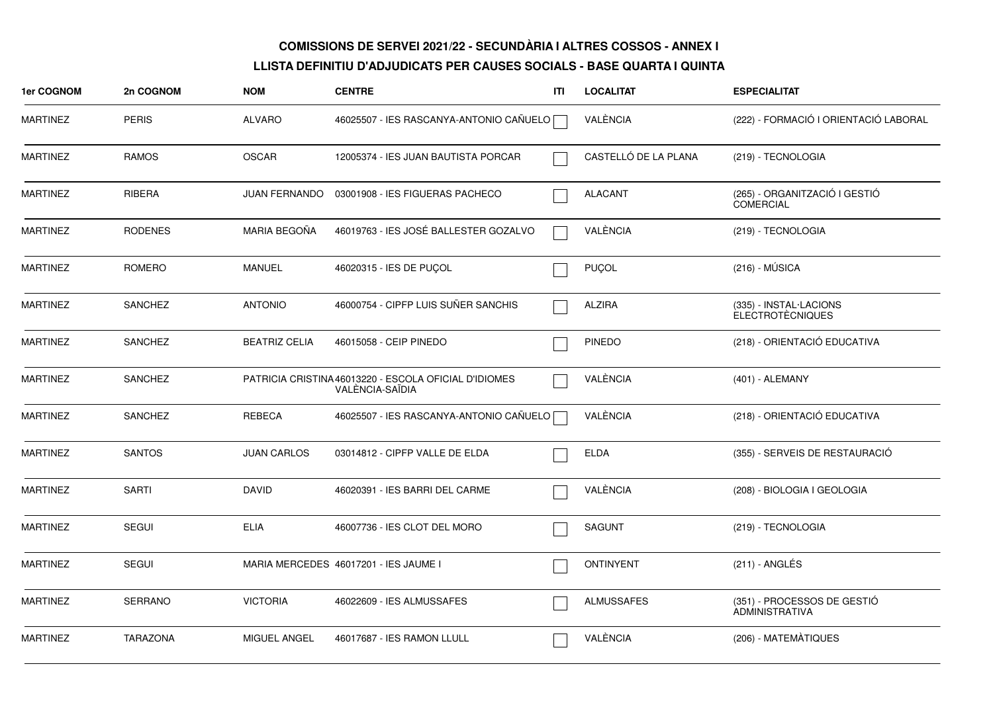| 1er COGNOM      | 2n COGNOM       | <b>NOM</b>           | <b>CENTRE</b>                                                            | ITI | <b>LOCALITAT</b>     | <b>ESPECIALITAT</b>                                  |
|-----------------|-----------------|----------------------|--------------------------------------------------------------------------|-----|----------------------|------------------------------------------------------|
| <b>MARTINEZ</b> | <b>PERIS</b>    | <b>ALVARO</b>        | 46025507 - IES RASCANYA-ANTONIO CAÑUELO                                  |     | VALÈNCIA             | (222) - FORMACIÓ I ORIENTACIÓ LABORAL                |
| <b>MARTINEZ</b> | <b>RAMOS</b>    | <b>OSCAR</b>         | 12005374 - IES JUAN BAUTISTA PORCAR                                      |     | CASTELLÓ DE LA PLANA | (219) - TECNOLOGIA                                   |
| MARTINEZ        | RIBERA          |                      | JUAN FERNANDO  03001908 - IES FIGUERAS PACHECO                           |     | <b>ALACANT</b>       | (265) - ORGANITZACIÓ I GESTIÓ<br><b>COMERCIAL</b>    |
| MARTINEZ        | <b>RODENES</b>  | MARIA BEGOÑA         | 46019763 - IES JOSÉ BALLESTER GOZALVO                                    |     | VALÈNCIA             | (219) - TECNOLOGIA                                   |
| <b>MARTINEZ</b> | ROMERO          | <b>MANUEL</b>        | 46020315 - IES DE PUÇOL                                                  |     | PUÇOL                | $(216) - MÚSICA$                                     |
| MARTINEZ        | <b>SANCHEZ</b>  | <b>ANTONIO</b>       | 46000754 - CIPFP LUIS SUÑER SANCHIS                                      |     | ALZIRA               | (335) - INSTAL·LACIONS<br><b>ELECTROTÈCNIQUES</b>    |
| <b>MARTINEZ</b> | <b>SANCHEZ</b>  | <b>BEATRIZ CELIA</b> | 46015058 - CEIP PINEDO                                                   |     | <b>PINEDO</b>        | (218) - ORIENTACIÓ EDUCATIVA                         |
| <b>MARTINEZ</b> | <b>SANCHEZ</b>  |                      | PATRICIA CRISTINA 46013220 - ESCOLA OFICIAL D'IDIOMES<br>VALENCIA-SAÏDIA |     | VALÈNCIA             | (401) - ALEMANY                                      |
| <b>MARTINEZ</b> | <b>SANCHEZ</b>  | REBECA               | 46025507 - IES RASCANYA-ANTONIO CAÑUELO                                  |     | VALÈNCIA             | (218) - ORIENTACIÓ EDUCATIVA                         |
| <b>MARTINEZ</b> | <b>SANTOS</b>   | <b>JUAN CARLOS</b>   | 03014812 - CIPFP VALLE DE ELDA                                           |     | <b>ELDA</b>          | (355) - SERVEIS DE RESTAURACIÓ                       |
| MARTINEZ        | <b>SARTI</b>    | <b>DAVID</b>         | 46020391 - IES BARRI DEL CARME                                           |     | VALÈNCIA             | (208) - BIOLOGIA I GEOLOGIA                          |
| <b>MARTINEZ</b> | <b>SEGUI</b>    | <b>ELIA</b>          | 46007736 - IES CLOT DEL MORO                                             |     | <b>SAGUNT</b>        | (219) - TECNOLOGIA                                   |
| MARTINEZ        | <b>SEGUI</b>    |                      | MARIA MERCEDES 46017201 - IES JAUME I                                    |     | <b>ONTINYENT</b>     | $(211)$ - ANGLÉS                                     |
| MARTINEZ        | SERRANO         | <b>VICTORIA</b>      | 46022609 - IES ALMUSSAFES                                                |     | <b>ALMUSSAFES</b>    | (351) - PROCESSOS DE GESTIÓ<br><b>ADMINISTRATIVA</b> |
| <b>MARTINEZ</b> | <b>TARAZONA</b> | MIGUEL ANGEL         | 46017687 - IES RAMON LLULL                                               |     | VALÈNCIA             | (206) - MATEMÀTIQUES                                 |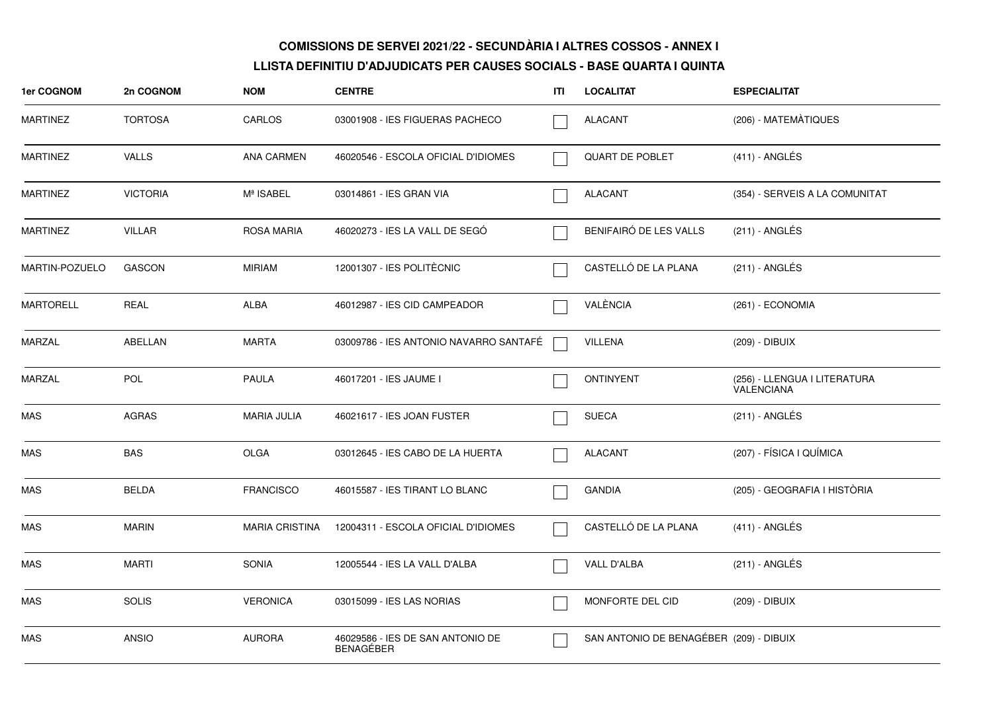| 1er COGNOM       | 2n COGNOM       | <b>NOM</b>            | <b>CENTRE</b>                                        | ITI | <b>LOCALITAT</b>                        | <b>ESPECIALITAT</b>                        |
|------------------|-----------------|-----------------------|------------------------------------------------------|-----|-----------------------------------------|--------------------------------------------|
| <b>MARTINEZ</b>  | <b>TORTOSA</b>  | CARLOS                | 03001908 - IES FIGUERAS PACHECO                      |     | <b>ALACANT</b>                          | (206) - MATEMÀTIQUES                       |
| <b>MARTINEZ</b>  | <b>VALLS</b>    | <b>ANA CARMEN</b>     | 46020546 - ESCOLA OFICIAL D'IDIOMES                  |     | QUART DE POBLET                         | $(411)$ - ANGLÉS                           |
| <b>MARTINEZ</b>  | <b>VICTORIA</b> | Mª ISABEL             | 03014861 - IES GRAN VIA                              |     | <b>ALACANT</b>                          | (354) - SERVEIS A LA COMUNITAT             |
| <b>MARTINEZ</b>  | <b>VILLAR</b>   | ROSA MARIA            | 46020273 - IES LA VALL DE SEGÓ                       |     | BENIFAIRÓ DE LES VALLS                  | $(211)$ - ANGLÉS                           |
| MARTIN-POZUELO   | <b>GASCON</b>   | <b>MIRIAM</b>         | 12001307 - IES POLITÈCNIC                            |     | CASTELLÓ DE LA PLANA                    | $(211)$ - ANGLÉS                           |
| <b>MARTORELL</b> | <b>REAL</b>     | ALBA                  | 46012987 - IES CID CAMPEADOR                         |     | VALÈNCIA                                | (261) - ECONOMIA                           |
| <b>MARZAL</b>    | ABELLAN         | <b>MARTA</b>          | 03009786 - IES ANTONIO NAVARRO SANTAFÉ               |     | <b>VILLENA</b>                          | (209) - DIBUIX                             |
| MARZAL           | <b>POL</b>      | <b>PAULA</b>          | 46017201 - IES JAUME I                               |     | <b>ONTINYENT</b>                        | (256) - LLENGUA I LITERATURA<br>VALENCIANA |
| <b>MAS</b>       | <b>AGRAS</b>    | <b>MARIA JULIA</b>    | 46021617 - IES JOAN FUSTER                           |     | <b>SUECA</b>                            | (211) - ANGLÉS                             |
| <b>MAS</b>       | <b>BAS</b>      | <b>OLGA</b>           | 03012645 - IES CABO DE LA HUERTA                     |     | <b>ALACANT</b>                          | (207) - FÍSICA I QUÍMICA                   |
| <b>MAS</b>       | <b>BELDA</b>    | <b>FRANCISCO</b>      | 46015587 - IES TIRANT LO BLANC                       |     | <b>GANDIA</b>                           | (205) - GEOGRAFIA I HISTÒRIA               |
| MAS              | <b>MARIN</b>    | <b>MARIA CRISTINA</b> | 12004311 - ESCOLA OFICIAL D'IDIOMES                  |     | CASTELLÓ DE LA PLANA                    | $(411)$ - ANGLÉS                           |
| <b>MAS</b>       | <b>MARTI</b>    | <b>SONIA</b>          | 12005544 - IES LA VALL D'ALBA                        |     | VALL D'ALBA                             | (211) - ANGLÉS                             |
| <b>MAS</b>       | <b>SOLIS</b>    | <b>VERONICA</b>       | 03015099 - IES LAS NORIAS                            |     | MONFORTE DEL CID                        | (209) - DIBUIX                             |
| <b>MAS</b>       | <b>ANSIO</b>    | <b>AURORA</b>         | 46029586 - IES DE SAN ANTONIO DE<br><b>BENAGEBER</b> |     | SAN ANTONIO DE BENAGÉBER (209) - DIBUIX |                                            |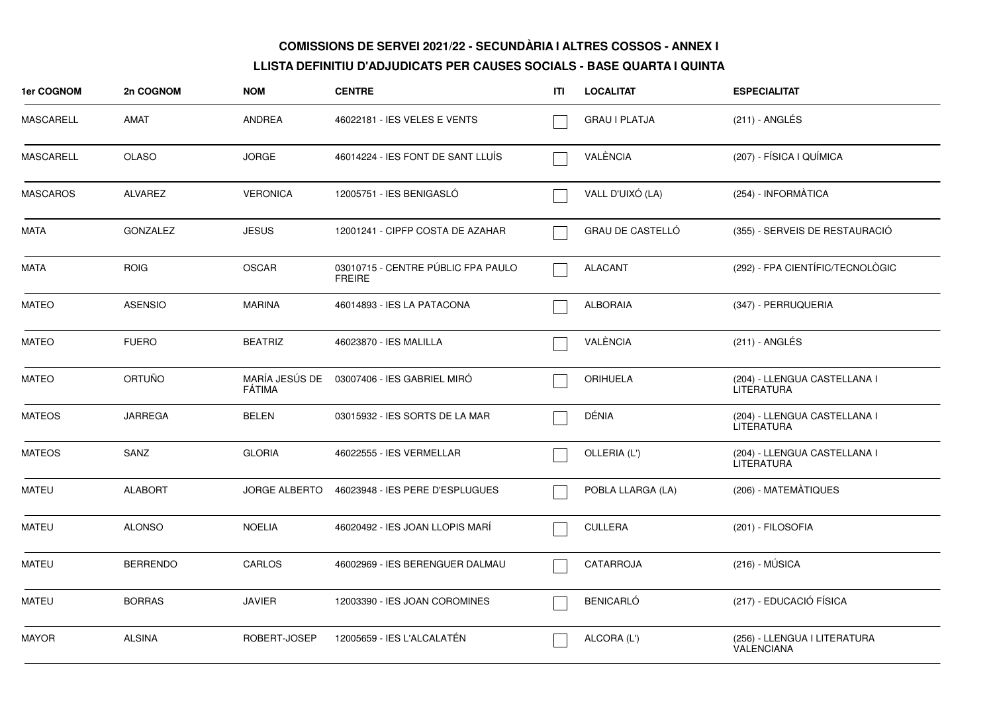| 1er COGNOM       | 2n COGNOM       | <b>NOM</b>           | <b>CENTRE</b>                                       | ITI | <b>LOCALITAT</b>     | <b>ESPECIALITAT</b>                               |
|------------------|-----------------|----------------------|-----------------------------------------------------|-----|----------------------|---------------------------------------------------|
| <b>MASCARELL</b> | AMAT            | <b>ANDREA</b>        | 46022181 - IES VELES E VENTS                        |     | <b>GRAU I PLATJA</b> | (211) - ANGLÉS                                    |
| MASCARELL        | <b>OLASO</b>    | <b>JORGE</b>         | 46014224 - IES FONT DE SANT LLUÍS                   |     | VALÈNCIA             | (207) - FÍSICA I QUÍMICA                          |
| <b>MASCAROS</b>  | <b>ALVAREZ</b>  | <b>VERONICA</b>      | 12005751 - IES BENIGASLÓ                            |     | VALL D'UIXÓ (LA)     | (254) - INFORMÀTICA                               |
| <b>MATA</b>      | <b>GONZALEZ</b> | <b>JESUS</b>         | 12001241 - CIPFP COSTA DE AZAHAR                    |     | GRAU DE CASTELLÓ     | (355) - SERVEIS DE RESTAURACIÓ                    |
| <b>MATA</b>      | <b>ROIG</b>     | <b>OSCAR</b>         | 03010715 - CENTRE PÚBLIC FPA PAULO<br><b>FREIRE</b> |     | <b>ALACANT</b>       | (292) - FPA CIENTÍFIC/TECNOLÒGIC                  |
| <b>MATEO</b>     | <b>ASENSIO</b>  | <b>MARINA</b>        | 46014893 - IES LA PATACONA                          |     | <b>ALBORAIA</b>      | (347) - PERRUQUERIA                               |
| <b>MATEO</b>     | <b>FUERO</b>    | <b>BEATRIZ</b>       | 46023870 - IES MALILLA                              |     | VALÈNCIA             | $(211)$ - ANGLÉS                                  |
| <b>MATEO</b>     | <b>ORTUÑO</b>   | FÁTIMA               | MARÍA JESÚS DE 03007406 - IES GABRIEL MIRÓ          |     | ORIHUELA             | (204) - LLENGUA CASTELLANA I<br><b>LITERATURA</b> |
| <b>MATEOS</b>    | <b>JARREGA</b>  | <b>BELEN</b>         | 03015932 - IES SORTS DE LA MAR                      |     | DÉNIA                | (204) - LLENGUA CASTELLANA I<br><b>LITERATURA</b> |
| <b>MATEOS</b>    | SANZ            | <b>GLORIA</b>        | 46022555 - IES VERMELLAR                            |     | OLLERIA (L')         | (204) - LLENGUA CASTELLANA I<br><b>LITERATURA</b> |
| <b>MATEU</b>     | <b>ALABORT</b>  | <b>JORGE ALBERTO</b> | 46023948 - IES PERE D'ESPLUGUES                     |     | POBLA LLARGA (LA)    | (206) - MATEMÀTIQUES                              |
| <b>MATEU</b>     | <b>ALONSO</b>   | <b>NOELIA</b>        | 46020492 - IES JOAN LLOPIS MARI                     |     | <b>CULLERA</b>       | (201) - FILOSOFIA                                 |
| <b>MATEU</b>     | <b>BERRENDO</b> | CARLOS               | 46002969 - IES BERENGUER DALMAU                     |     | CATARROJA            | $(216) - MÚSICA$                                  |
| <b>MATEU</b>     | <b>BORRAS</b>   | <b>JAVIER</b>        | 12003390 - IES JOAN COROMINES                       |     | <b>BENICARLÓ</b>     | (217) - EDUCACIÓ FÍSICA                           |
| <b>MAYOR</b>     | <b>ALSINA</b>   | ROBERT-JOSEP         | 12005659 - IES L'ALCALATÉN                          |     | ALCORA (L')          | (256) - LLENGUA I LITERATURA<br><b>VALENCIANA</b> |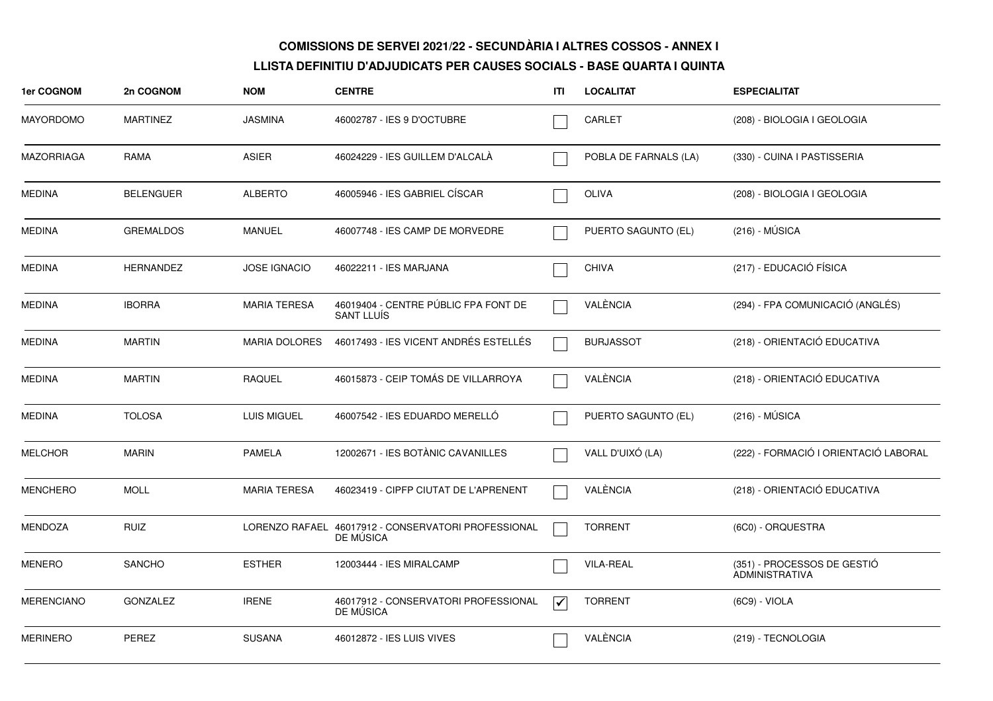| 1er COGNOM        | 2n COGNOM        | <b>NOM</b>           | <b>CENTRE</b>                                                    | ITI                      | <b>LOCALITAT</b>      | <b>ESPECIALITAT</b>                                  |
|-------------------|------------------|----------------------|------------------------------------------------------------------|--------------------------|-----------------------|------------------------------------------------------|
| <b>MAYORDOMO</b>  | <b>MARTINEZ</b>  | <b>JASMINA</b>       | 46002787 - IES 9 D'OCTUBRE                                       |                          | <b>CARLET</b>         | (208) - BIOLOGIA I GEOLOGIA                          |
| <b>MAZORRIAGA</b> | RAMA             | <b>ASIER</b>         | 46024229 - IES GUILLEM D'ALCALÀ                                  |                          | POBLA DE FARNALS (LA) | (330) - CUINA I PASTISSERIA                          |
| <b>MEDINA</b>     | <b>BELENGUER</b> | <b>ALBERTO</b>       | 46005946 - IES GABRIEL CÍSCAR                                    |                          | <b>OLIVA</b>          | (208) - BIOLOGIA I GEOLOGIA                          |
| <b>MEDINA</b>     | <b>GREMALDOS</b> | <b>MANUEL</b>        | 46007748 - IES CAMP DE MORVEDRE                                  |                          | PUERTO SAGUNTO (EL)   | $(216) - MÚSICA$                                     |
| <b>MEDINA</b>     | <b>HERNANDEZ</b> | <b>JOSE IGNACIO</b>  | 46022211 - IES MARJANA                                           |                          | <b>CHIVA</b>          | (217) - EDUCACIÓ FÍSICA                              |
| <b>MEDINA</b>     | <b>IBORRA</b>    | <b>MARIA TERESA</b>  | 46019404 - CENTRE PÚBLIC FPA FONT DE<br>SANT LLUÍS               |                          | VALÈNCIA              | (294) - FPA COMUNICACIÓ (ANGLÉS)                     |
| <b>MEDINA</b>     | <b>MARTIN</b>    | <b>MARIA DOLORES</b> | 46017493 - IES VICENT ANDRÉS ESTELLÉS                            |                          | <b>BURJASSOT</b>      | (218) - ORIENTACIÓ EDUCATIVA                         |
| <b>MEDINA</b>     | <b>MARTIN</b>    | <b>RAQUEL</b>        | 46015873 - CEIP TOMÁS DE VILLARROYA                              |                          | VALÈNCIA              | (218) - ORIENTACIÓ EDUCATIVA                         |
| <b>MEDINA</b>     | <b>TOLOSA</b>    | <b>LUIS MIGUEL</b>   | 46007542 - IES EDUARDO MERELLO                                   |                          | PUERTO SAGUNTO (EL)   | $(216) - MÚSICA$                                     |
| <b>MELCHOR</b>    | <b>MARIN</b>     | PAMELA               | 12002671 - IES BOTÀNIC CAVANILLES                                |                          | VALL D'UIXÓ (LA)      | (222) - FORMACIÓ I ORIENTACIÓ LABORAL                |
| <b>MENCHERO</b>   | <b>MOLL</b>      | <b>MARIA TERESA</b>  | 46023419 - CIPFP CIUTAT DE L'APRENENT                            |                          | VALÈNCIA              | (218) - ORIENTACIÓ EDUCATIVA                         |
| MENDOZA           | <b>RUIZ</b>      |                      | LORENZO RAFAEL 46017912 - CONSERVATORI PROFESSIONAL<br>DE MUSICA |                          | <b>TORRENT</b>        | (6C0) - ORQUESTRA                                    |
| <b>MENERO</b>     | <b>SANCHO</b>    | <b>ESTHER</b>        | 12003444 - IES MIRALCAMP                                         |                          | <b>VILA-REAL</b>      | (351) - PROCESSOS DE GESTIÓ<br><b>ADMINISTRATIVA</b> |
| <b>MERENCIANO</b> | <b>GONZALEZ</b>  | <b>IRENE</b>         | 46017912 - CONSERVATORI PROFESSIONAL<br>DE MUSICA                | $\overline{\mathcal{V}}$ | <b>TORRENT</b>        | (6C9) - VIOLA                                        |
| <b>MERINERO</b>   | PEREZ            | <b>SUSANA</b>        | 46012872 - IES LUIS VIVES                                        |                          | VALÈNCIA              | (219) - TECNOLOGIA                                   |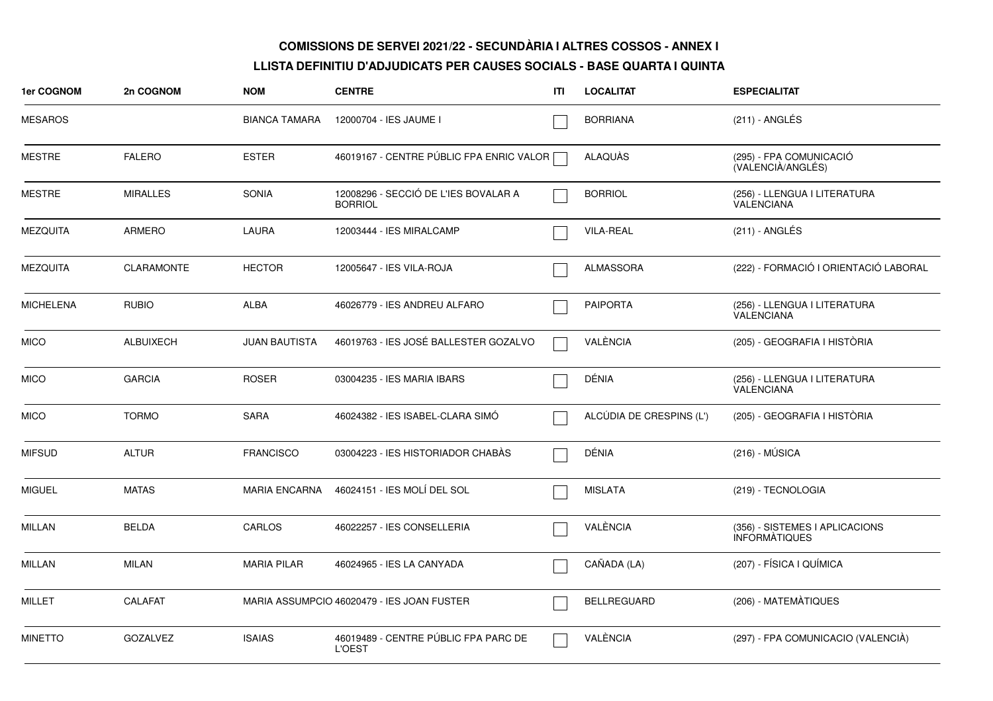| <b>1er COGNOM</b> | 2n COGNOM         | <b>NOM</b>           | <b>CENTRE</b>                                          | ITI | <b>LOCALITAT</b>         | <b>ESPECIALITAT</b>                                    |
|-------------------|-------------------|----------------------|--------------------------------------------------------|-----|--------------------------|--------------------------------------------------------|
| <b>MESAROS</b>    |                   | <b>BIANCA TAMARA</b> | 12000704 - IES JAUME I                                 |     | <b>BORRIANA</b>          | $(211)$ - ANGLÉS                                       |
| <b>MESTRE</b>     | <b>FALERO</b>     | <b>ESTER</b>         | 46019167 - CENTRE PÚBLIC FPA ENRIC VALOR               |     | ALAQUAS                  | (295) - FPA COMUNICACIÓ<br>(VALENCIÀ/ANGLÉS)           |
| <b>MESTRE</b>     | <b>MIRALLES</b>   | <b>SONIA</b>         | 12008296 - SECCIÓ DE L'IES BOVALAR A<br><b>BORRIOL</b> |     | <b>BORRIOL</b>           | (256) - LLENGUA I LITERATURA<br><b>VALENCIANA</b>      |
| <b>MEZQUITA</b>   | <b>ARMERO</b>     | LAURA                | 12003444 - IES MIRALCAMP                               |     | <b>VILA-REAL</b>         | (211) - ANGLÉS                                         |
| <b>MEZQUITA</b>   | <b>CLARAMONTE</b> | <b>HECTOR</b>        | 12005647 - IES VILA-ROJA                               |     | <b>ALMASSORA</b>         | (222) - FORMACIÓ I ORIENTACIÓ LABORAL                  |
| <b>MICHELENA</b>  | <b>RUBIO</b>      | <b>ALBA</b>          | 46026779 - IES ANDREU ALFARO                           |     | <b>PAIPORTA</b>          | (256) - LLENGUA I LITERATURA<br><b>VALENCIANA</b>      |
| <b>MICO</b>       | ALBUIXECH         | <b>JUAN BAUTISTA</b> | 46019763 - IES JOSÉ BALLESTER GOZALVO                  |     | VALÈNCIA                 | (205) - GEOGRAFIA I HISTÒRIA                           |
| <b>MICO</b>       | <b>GARCIA</b>     | <b>ROSER</b>         | 03004235 - IES MARIA IBARS                             |     | DÉNIA                    | (256) - LLENGUA I LITERATURA<br>VALENCIANA             |
| <b>MICO</b>       | <b>TORMO</b>      | <b>SARA</b>          | 46024382 - IES ISABEL-CLARA SIMO                       |     | ALCÚDIA DE CRESPINS (L') | (205) - GEOGRAFIA I HISTÒRIA                           |
| <b>MIFSUD</b>     | <b>ALTUR</b>      | <b>FRANCISCO</b>     | 03004223 - IES HISTORIADOR CHABAS                      |     | DÉNIA                    | $(216) - MÚSICA$                                       |
| <b>MIGUEL</b>     | <b>MATAS</b>      | <b>MARIA ENCARNA</b> | 46024151 - IES MOLÍ DEL SOL                            |     | <b>MISLATA</b>           | (219) - TECNOLOGIA                                     |
| <b>MILLAN</b>     | <b>BELDA</b>      | CARLOS               | 46022257 - IES CONSELLERIA                             |     | VALÈNCIA                 | (356) - SISTEMES I APLICACIONS<br><b>INFORMATIQUES</b> |
| <b>MILLAN</b>     | <b>MILAN</b>      | <b>MARIA PILAR</b>   | 46024965 - IES LA CANYADA                              |     | CAÑADA (LA)              | (207) - FÍSICA I QUÍMICA                               |
| <b>MILLET</b>     | CALAFAT           |                      | MARIA ASSUMPCIO 46020479 - IES JOAN FUSTER             |     | <b>BELLREGUARD</b>       | (206) - MATEMÀTIQUES                                   |
| <b>MINETTO</b>    | <b>GOZALVEZ</b>   | <b>ISAIAS</b>        | 46019489 - CENTRE PÚBLIC FPA PARC DE<br><b>L'OEST</b>  |     | VALÈNCIA                 | (297) - FPA COMUNICACIO (VALENCIA)                     |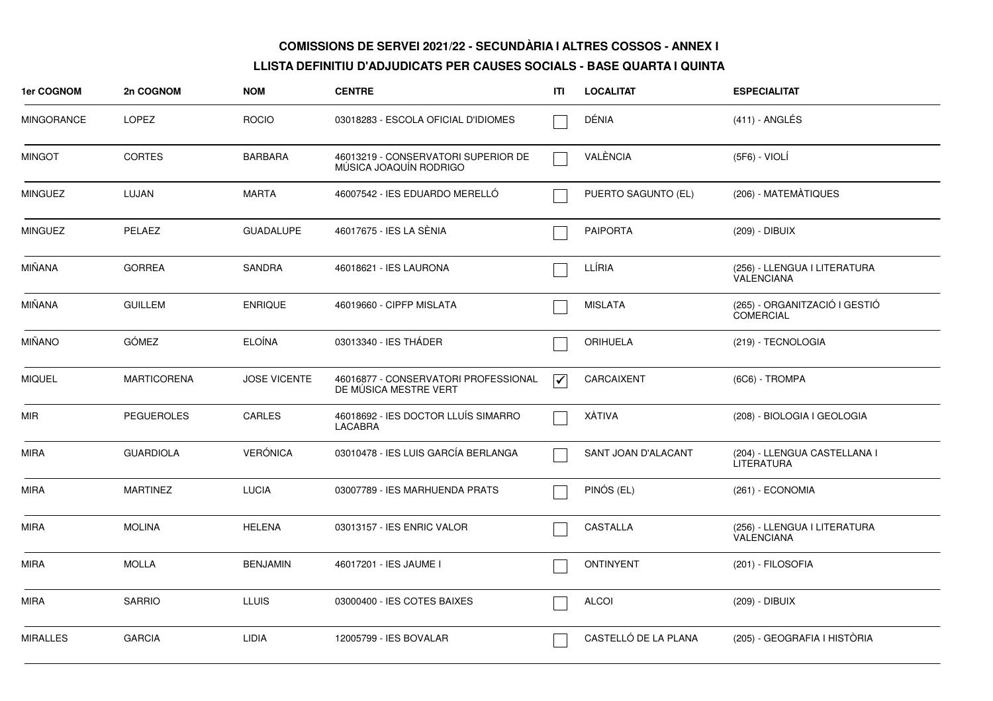| 1er COGNOM        | 2n COGNOM          | <b>NOM</b>          | <b>CENTRE</b>                                                 | ITI                             | <b>LOCALITAT</b>     | <b>ESPECIALITAT</b>                               |
|-------------------|--------------------|---------------------|---------------------------------------------------------------|---------------------------------|----------------------|---------------------------------------------------|
| <b>MINGORANCE</b> | <b>LOPEZ</b>       | <b>ROCIO</b>        | 03018283 - ESCOLA OFICIAL D'IDIOMES                           |                                 | DÉNIA                | $(411)$ - ANGLÉS                                  |
| <b>MINGOT</b>     | <b>CORTES</b>      | <b>BARBARA</b>      | 46013219 - CONSERVATORI SUPERIOR DE<br>MUSICA JOAQUIN RODRIGO |                                 | VALÈNCIA             | (5F6) - VIOLÍ                                     |
| <b>MINGUEZ</b>    | LUJAN              | <b>MARTA</b>        | 46007542 - IES EDUARDO MERELLO                                |                                 | PUERTO SAGUNTO (EL)  | (206) - MATEMÀTIQUES                              |
| MINGUEZ           | PELAEZ             | <b>GUADALUPE</b>    | 46017675 - IES LA SÈNIA                                       |                                 | <b>PAIPORTA</b>      | (209) - DIBUIX                                    |
| <b>MIÑANA</b>     | <b>GORREA</b>      | <b>SANDRA</b>       | 46018621 - IES LAURONA                                        |                                 | LLÍRIA               | (256) - LLENGUA I LITERATURA<br><b>VALENCIANA</b> |
| <b>MIÑANA</b>     | <b>GUILLEM</b>     | <b>ENRIQUE</b>      | 46019660 - CIPFP MISLATA                                      |                                 | <b>MISLATA</b>       | (265) - ORGANITZACIÓ I GESTIÓ<br><b>COMERCIAL</b> |
| MIÑANO            | <b>GÓMEZ</b>       | <b>ELOÍNA</b>       | 03013340 - IES THÁDER                                         |                                 | <b>ORIHUELA</b>      | (219) - TECNOLOGIA                                |
| <b>MIQUEL</b>     | <b>MARTICORENA</b> | <b>JOSE VICENTE</b> | 46016877 - CONSERVATORI PROFESSIONAL<br>DE MÚSICA MESTRE VERT | $\overline{\blacktriangledown}$ | CARCAIXENT           | (6C6) - TROMPA                                    |
| MIR               | <b>PEGUEROLES</b>  | <b>CARLES</b>       | 46018692 - IES DOCTOR LLUÍS SIMARRO<br>LACABRA                |                                 | XÀTIVA               | (208) - BIOLOGIA I GEOLOGIA                       |
| <b>MIRA</b>       | <b>GUARDIOLA</b>   | <b>VERÓNICA</b>     | 03010478 - IES LUIS GARCÍA BERLANGA                           |                                 | SANT JOAN D'ALACANT  | (204) - LLENGUA CASTELLANA I<br><b>LITERATURA</b> |
| MIRA              | <b>MARTINEZ</b>    | <b>LUCIA</b>        | 03007789 - IES MARHUENDA PRATS                                |                                 | PINÓS (EL)           | (261) - ECONOMIA                                  |
| <b>MIRA</b>       | <b>MOLINA</b>      | <b>HELENA</b>       | 03013157 - IES ENRIC VALOR                                    |                                 | CASTALLA             | (256) - LLENGUA I LITERATURA<br>VALENCIANA        |
| <b>MIRA</b>       | <b>MOLLA</b>       | <b>BENJAMIN</b>     | 46017201 - IES JAUME I                                        |                                 | <b>ONTINYENT</b>     | (201) - FILOSOFIA                                 |
| <b>MIRA</b>       | <b>SARRIO</b>      | <b>LLUIS</b>        | 03000400 - IES COTES BAIXES                                   |                                 | <b>ALCOI</b>         | (209) - DIBUIX                                    |
| <b>MIRALLES</b>   | <b>GARCIA</b>      | <b>LIDIA</b>        | 12005799 - IES BOVALAR                                        |                                 | CASTELLÓ DE LA PLANA | (205) - GEOGRAFIA I HISTÒRIA                      |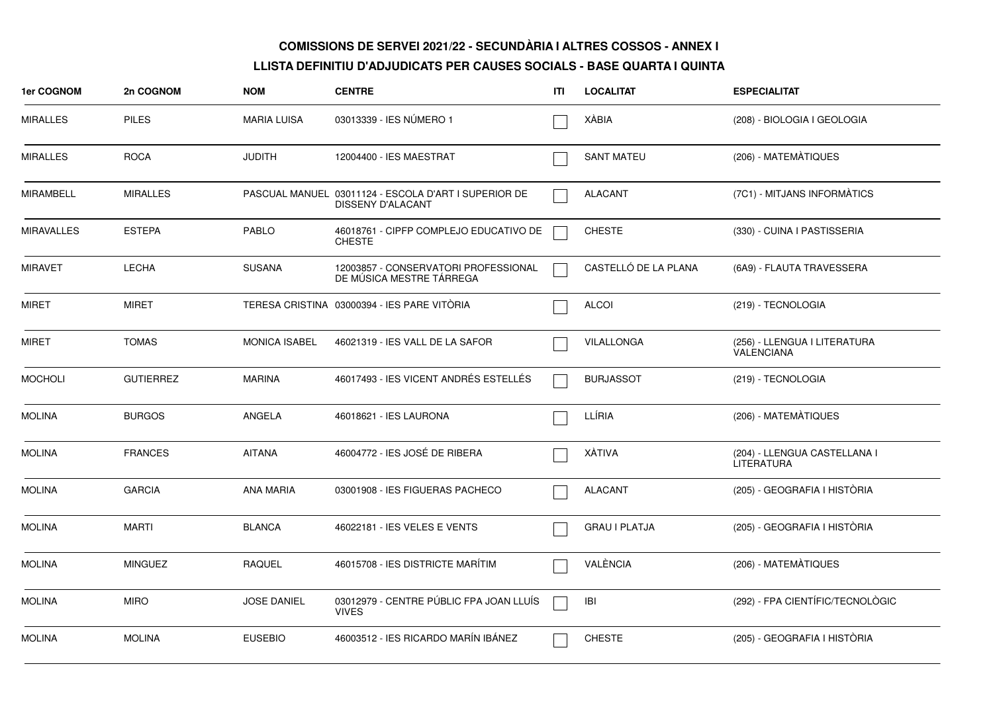| 1er COGNOM        | 2n COGNOM        | <b>NOM</b>           | <b>CENTRE</b>                                                             | ITI | <b>LOCALITAT</b>     | <b>ESPECIALITAT</b>                               |
|-------------------|------------------|----------------------|---------------------------------------------------------------------------|-----|----------------------|---------------------------------------------------|
| <b>MIRALLES</b>   | <b>PILES</b>     | <b>MARIA LUISA</b>   | 03013339 - IES NÚMERO 1                                                   |     | <b>XÁBIA</b>         | (208) - BIOLOGIA I GEOLOGIA                       |
| <b>MIRALLES</b>   | <b>ROCA</b>      | <b>JUDITH</b>        | 12004400 - IES MAESTRAT                                                   |     | <b>SANT MATEU</b>    | (206) - MATEMÀTIQUES                              |
| <b>MIRAMBELL</b>  | <b>MIRALLES</b>  |                      | PASCUAL MANUEL 03011124 - ESCOLA D'ART I SUPERIOR DE<br>DISSENY D'ALACANT |     | <b>ALACANT</b>       | (7C1) - MITJANS INFORMATICS                       |
| <b>MIRAVALLES</b> | <b>ESTEPA</b>    | <b>PABLO</b>         | 46018761 - CIPFP COMPLEJO EDUCATIVO DE<br><b>CHESTE</b>                   |     | <b>CHESTE</b>        | (330) - CUINA I PASTISSERIA                       |
| <b>MIRAVET</b>    | LECHA            | <b>SUSANA</b>        | 12003857 - CONSERVATORI PROFESSIONAL<br>DE MÚSICA MESTRE TÁRREGA          |     | CASTELLÓ DE LA PLANA | (6A9) - FLAUTA TRAVESSERA                         |
| <b>MIRET</b>      | <b>MIRET</b>     |                      | TERESA CRISTINA 03000394 - IES PARE VITORIA                               |     | <b>ALCOI</b>         | (219) - TECNOLOGIA                                |
| <b>MIRET</b>      | <b>TOMAS</b>     | <b>MONICA ISABEL</b> | 46021319 - IES VALL DE LA SAFOR                                           |     | VILALLONGA           | (256) - LLENGUA I LITERATURA<br>VALENCIANA        |
| <b>MOCHOLI</b>    | <b>GUTIERREZ</b> | <b>MARINA</b>        | 46017493 - IES VICENT ANDRÉS ESTELLÉS                                     |     | <b>BURJASSOT</b>     | (219) - TECNOLOGIA                                |
| <b>MOLINA</b>     | <b>BURGOS</b>    | ANGELA               | 46018621 - IES LAURONA                                                    |     | LLÍRIA               | (206) - MATEMÀTIQUES                              |
| <b>MOLINA</b>     | <b>FRANCES</b>   | <b>AITANA</b>        | 46004772 - IES JOSÉ DE RIBERA                                             |     | <b>XÀTIVA</b>        | (204) - LLENGUA CASTELLANA I<br><b>LITERATURA</b> |
| <b>MOLINA</b>     | <b>GARCIA</b>    | <b>ANA MARIA</b>     | 03001908 - IES FIGUERAS PACHECO                                           |     | <b>ALACANT</b>       | (205) - GEOGRAFIA I HISTÒRIA                      |
| <b>MOLINA</b>     | <b>MARTI</b>     | <b>BLANCA</b>        | 46022181 - IES VELES E VENTS                                              |     | <b>GRAU I PLATJA</b> | (205) - GEOGRAFIA I HISTÒRIA                      |
| <b>MOLINA</b>     | <b>MINGUEZ</b>   | <b>RAQUEL</b>        | 46015708 - IES DISTRICTE MARITIM                                          |     | VALÈNCIA             | (206) - MATEMATIQUES                              |
| <b>MOLINA</b>     | <b>MIRO</b>      | <b>JOSE DANIEL</b>   | 03012979 - CENTRE PÚBLIC FPA JOAN LLUÍS<br><b>VIVES</b>                   |     | <b>IBI</b>           | (292) - FPA CIENTÍFIC/TECNOLÒGIC                  |
| <b>MOLINA</b>     | <b>MOLINA</b>    | <b>EUSEBIO</b>       | 46003512 - IES RICARDO MARÍN IBÁNEZ                                       |     | <b>CHESTE</b>        | (205) - GEOGRAFIA I HISTÒRIA                      |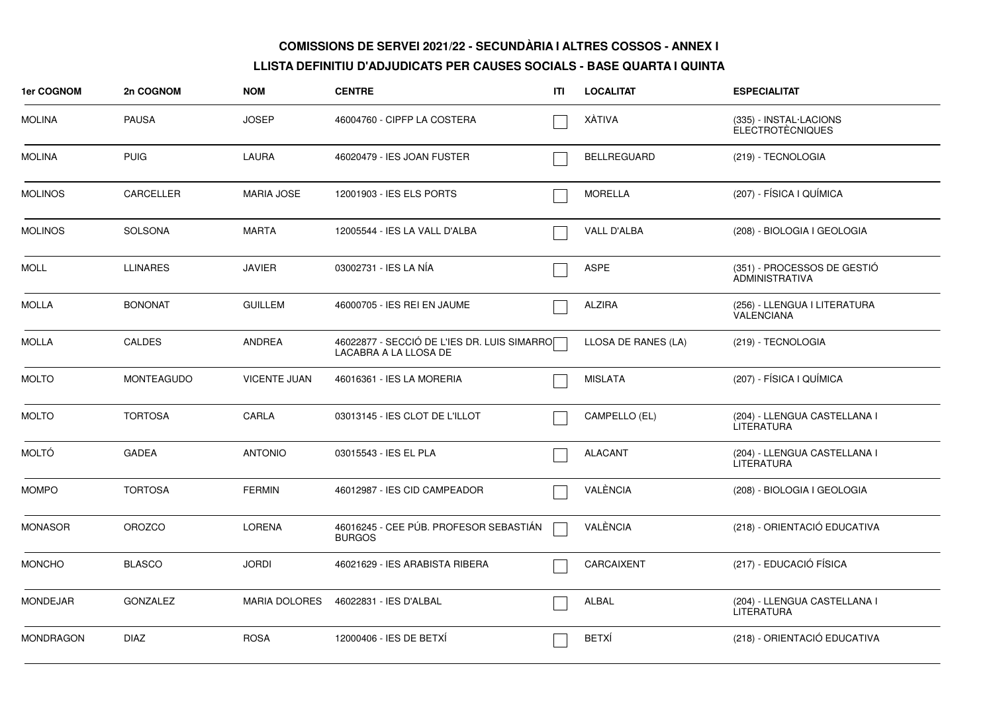| 1er COGNOM       | 2n COGNOM         | <b>NOM</b>           | <b>CENTRE</b>                                                        | ITI | <b>LOCALITAT</b>    | <b>ESPECIALITAT</b>                                  |
|------------------|-------------------|----------------------|----------------------------------------------------------------------|-----|---------------------|------------------------------------------------------|
| <b>MOLINA</b>    | <b>PAUSA</b>      | <b>JOSEP</b>         | 46004760 - CIPFP LA COSTERA                                          |     | XÁTIVA              | (335) - INSTAL·LACIONS<br><b>ELECTROTÈCNIQUES</b>    |
| <b>MOLINA</b>    | <b>PUIG</b>       | LAURA                | 46020479 - IES JOAN FUSTER                                           |     | <b>BELLREGUARD</b>  | (219) - TECNOLOGIA                                   |
| <b>MOLINOS</b>   | CARCELLER         | <b>MARIA JOSE</b>    | 12001903 - IES ELS PORTS                                             |     | <b>MORELLA</b>      | (207) - FÍSICA I QUÍMICA                             |
| <b>MOLINOS</b>   | <b>SOLSONA</b>    | <b>MARTA</b>         | 12005544 - IES LA VALL D'ALBA                                        |     | <b>VALL D'ALBA</b>  | (208) - BIOLOGIA I GEOLOGIA                          |
| MOLL             | <b>LLINARES</b>   | <b>JAVIER</b>        | 03002731 - IES LA NÍA                                                |     | <b>ASPE</b>         | (351) - PROCESSOS DE GESTIÓ<br><b>ADMINISTRATIVA</b> |
| <b>MOLLA</b>     | <b>BONONAT</b>    | <b>GUILLEM</b>       | 46000705 - IES REI EN JAUME                                          |     | <b>ALZIRA</b>       | (256) - LLENGUA I LITERATURA<br>VALENCIANA           |
| <b>MOLLA</b>     | <b>CALDES</b>     | ANDREA               | 46022877 - SECCIÓ DE L'IES DR. LUIS SIMARRO<br>LACABRA A LA LLOSA DE |     | LLOSA DE RANES (LA) | (219) - TECNOLOGIA                                   |
| <b>MOLTO</b>     | <b>MONTEAGUDO</b> | <b>VICENTE JUAN</b>  | 46016361 - IES LA MORERIA                                            |     | <b>MISLATA</b>      | (207) - FÍSICA I QUÍMICA                             |
| <b>MOLTO</b>     | <b>TORTOSA</b>    | CARLA                | 03013145 - IES CLOT DE L'ILLOT                                       |     | CAMPELLO (EL)       | (204) - LLENGUA CASTELLANA I<br><b>LITERATURA</b>    |
| <b>MOLTÓ</b>     | <b>GADEA</b>      | <b>ANTONIO</b>       | 03015543 - IES EL PLA                                                |     | <b>ALACANT</b>      | (204) - LLENGUA CASTELLANA I<br>LITERATURA           |
| <b>MOMPO</b>     | <b>TORTOSA</b>    | <b>FERMIN</b>        | 46012987 - IES CID CAMPEADOR                                         |     | VALÈNCIA            | (208) - BIOLOGIA I GEOLOGIA                          |
| <b>MONASOR</b>   | <b>OROZCO</b>     | <b>LORENA</b>        | 46016245 - CEE PÚB. PROFESOR SEBASTIÁN<br><b>BURGOS</b>              |     | VALÈNCIA            | (218) - ORIENTACIÓ EDUCATIVA                         |
| <b>MONCHO</b>    | <b>BLASCO</b>     | <b>JORDI</b>         | 46021629 - IES ARABISTA RIBERA                                       |     | CARCAIXENT          | (217) - EDUCACIÓ FÍSICA                              |
| <b>MONDEJAR</b>  | <b>GONZALEZ</b>   | <b>MARIA DOLORES</b> | 46022831 - IES D'ALBAL                                               |     | <b>ALBAL</b>        | (204) - LLENGUA CASTELLANA I<br><b>LITERATURA</b>    |
| <b>MONDRAGON</b> | <b>DIAZ</b>       | <b>ROSA</b>          | 12000406 - IES DE BETXÍ                                              |     | <b>BETXÍ</b>        | (218) - ORIENTACIÓ EDUCATIVA                         |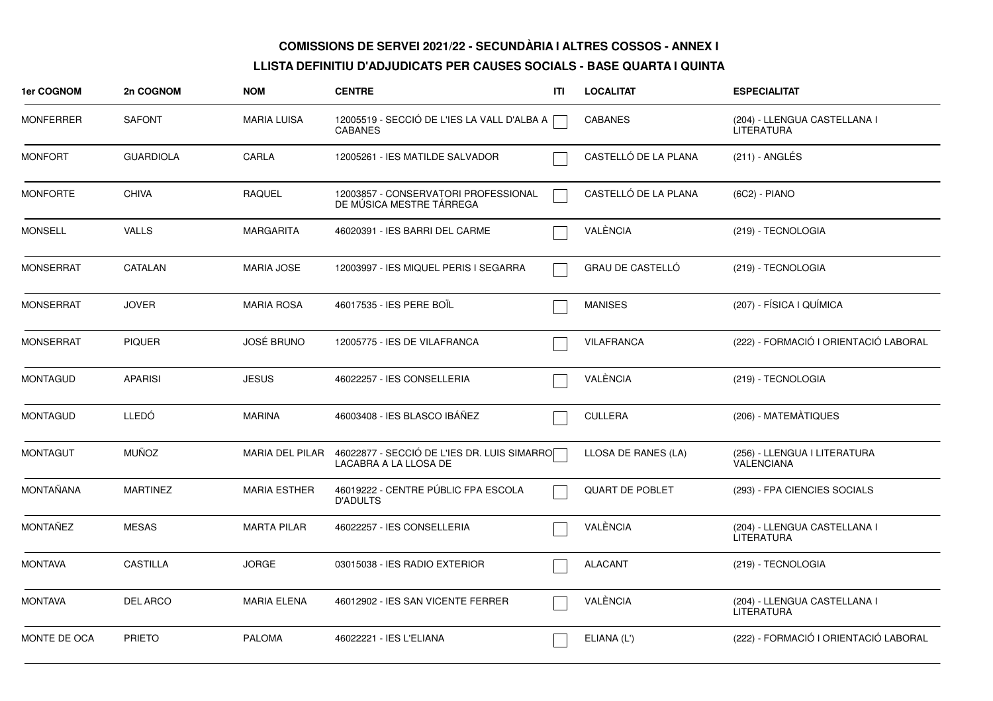| 1er COGNOM       | 2n COGNOM        | <b>NOM</b>          | <b>CENTRE</b>                                                        | ITI | <b>LOCALITAT</b>        | <b>ESPECIALITAT</b>                               |
|------------------|------------------|---------------------|----------------------------------------------------------------------|-----|-------------------------|---------------------------------------------------|
| <b>MONFERRER</b> | <b>SAFONT</b>    | <b>MARIA LUISA</b>  | 12005519 - SECCIÓ DE L'IES LA VALL D'ALBA A<br><b>CABANES</b>        |     | <b>CABANES</b>          | (204) - LLENGUA CASTELLANA I<br><b>LITERATURA</b> |
| <b>MONFORT</b>   | <b>GUARDIOLA</b> | CARLA               | 12005261 - IES MATILDE SALVADOR                                      |     | CASTELLÓ DE LA PLANA    | (211) - ANGLÉS                                    |
| <b>MONFORTE</b>  | <b>CHIVA</b>     | <b>RAQUEL</b>       | 12003857 - CONSERVATORI PROFESSIONAL<br>DE MÚSICA MESTRE TÁRREGA     |     | CASTELLÓ DE LA PLANA    | (6C2) - PIANO                                     |
| <b>MONSELL</b>   | <b>VALLS</b>     | <b>MARGARITA</b>    | 46020391 - IES BARRI DEL CARME                                       |     | VALÈNCIA                | (219) - TECNOLOGIA                                |
| <b>MONSERRAT</b> | <b>CATALAN</b>   | <b>MARIA JOSE</b>   | 12003997 - IES MIQUEL PERIS I SEGARRA                                |     | <b>GRAU DE CASTELLÓ</b> | (219) - TECNOLOGIA                                |
| <b>MONSERRAT</b> | <b>JOVER</b>     | <b>MARIA ROSA</b>   | 46017535 - IES PERE BOIL                                             |     | <b>MANISES</b>          | (207) - FÍSICA I QUÍMICA                          |
| <b>MONSERRAT</b> | <b>PIQUER</b>    | <b>JOSÉ BRUNO</b>   | 12005775 - IES DE VILAFRANCA                                         |     | <b>VILAFRANCA</b>       | (222) - FORMACIÓ I ORIENTACIÓ LABORAL             |
| <b>MONTAGUD</b>  | <b>APARISI</b>   | <b>JESUS</b>        | 46022257 - IES CONSELLERIA                                           |     | VALÈNCIA                | (219) - TECNOLOGIA                                |
| <b>MONTAGUD</b>  | <b>LLEDÓ</b>     | <b>MARINA</b>       | 46003408 - IES BLASCO IBÁÑEZ                                         |     | <b>CULLERA</b>          | (206) - MATEMÀTIQUES                              |
| <b>MONTAGUT</b>  | <b>MUÑOZ</b>     | MARIA DEL PILAR     | 46022877 - SECCIÓ DE L'IES DR. LUIS SIMARRO<br>LACABRA A LA LLOSA DE |     | LLOSA DE RANES (LA)     | (256) - LLENGUA I LITERATURA<br>VALENCIANA        |
| <b>MONTAÑANA</b> | <b>MARTINEZ</b>  | <b>MARIA ESTHER</b> | 46019222 - CENTRE PÚBLIC FPA ESCOLA<br><b>D'ADULTS</b>               |     | <b>QUART DE POBLET</b>  | (293) - FPA CIENCIES SOCIALS                      |
| <b>MONTAÑEZ</b>  | <b>MESAS</b>     | <b>MARTA PILAR</b>  | 46022257 - IES CONSELLERIA                                           |     | VALÈNCIA                | (204) - LLENGUA CASTELLANA I<br><b>LITERATURA</b> |
| <b>MONTAVA</b>   | <b>CASTILLA</b>  | <b>JORGE</b>        | 03015038 - IES RADIO EXTERIOR                                        |     | <b>ALACANT</b>          | (219) - TECNOLOGIA                                |
| <b>MONTAVA</b>   | <b>DEL ARCO</b>  | <b>MARIA ELENA</b>  | 46012902 - IES SAN VICENTE FERRER                                    |     | VALÈNCIA                | (204) - LLENGUA CASTELLANA I<br><b>LITERATURA</b> |
| MONTE DE OCA     | <b>PRIETO</b>    | <b>PALOMA</b>       | 46022221 - IES L'ELIANA                                              |     | ELIANA (L')             | (222) - FORMACIÓ I ORIENTACIÓ LABORAL             |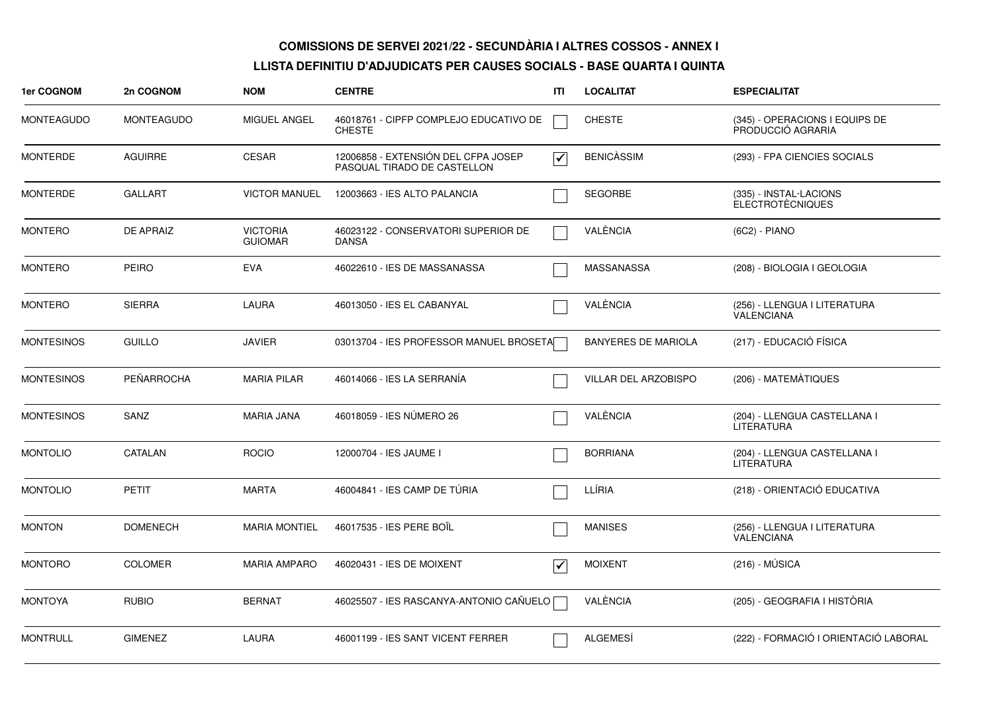| 1er COGNOM        | 2n COGNOM         | <b>NOM</b>                        | <b>CENTRE</b>                                                      | ΙTΙ                  | <b>LOCALITAT</b>           | <b>ESPECIALITAT</b>                                 |
|-------------------|-------------------|-----------------------------------|--------------------------------------------------------------------|----------------------|----------------------------|-----------------------------------------------------|
| <b>MONTEAGUDO</b> | <b>MONTEAGUDO</b> | MIGUEL ANGEL                      | 46018761 - CIPFP COMPLEJO EDUCATIVO DE<br><b>CHESTE</b>            |                      | <b>CHESTE</b>              | (345) - OPERACIONS I EQUIPS DE<br>PRODUCCIÓ AGRARIA |
| <b>MONTERDE</b>   | <b>AGUIRRE</b>    | <b>CESAR</b>                      | 12006858 - EXTENSIÓN DEL CFPA JOSEP<br>PASQUAL TIRADO DE CASTELLON | $\blacktriangledown$ | <b>BENICASSIM</b>          | (293) - FPA CIENCIES SOCIALS                        |
| <b>MONTERDE</b>   | <b>GALLART</b>    | <b>VICTOR MANUEL</b>              | 12003663 - IES ALTO PALANCIA                                       |                      | <b>SEGORBE</b>             | (335) - INSTAL·LACIONS<br>ELECTROTÈCNIQUES          |
| <b>MONTERO</b>    | <b>DE APRAIZ</b>  | <b>VICTORIA</b><br><b>GUIOMAR</b> | 46023122 - CONSERVATORI SUPERIOR DE<br><b>DANSA</b>                |                      | VALÈNCIA                   | (6C2) - PIANO                                       |
| <b>MONTERO</b>    | <b>PEIRO</b>      | <b>EVA</b>                        | 46022610 - IES DE MASSANASSA                                       |                      | MASSANASSA                 | (208) - BIOLOGIA I GEOLOGIA                         |
| <b>MONTERO</b>    | <b>SIERRA</b>     | <b>LAURA</b>                      | 46013050 - IES EL CABANYAL                                         |                      | VALÈNCIA                   | (256) - LLENGUA I LITERATURA<br><b>VALENCIANA</b>   |
| <b>MONTESINOS</b> | <b>GUILLO</b>     | <b>JAVIER</b>                     | 03013704 - IES PROFESSOR MANUEL BROSETA                            |                      | <b>BANYERES DE MARIOLA</b> | (217) - EDUCACIÓ FÍSICA                             |
| <b>MONTESINOS</b> | <b>PEÑARROCHA</b> | <b>MARIA PILAR</b>                | 46014066 - IES LA SERRANÍA                                         |                      | VILLAR DEL ARZOBISPO       | (206) - MATEMÀTIQUES                                |
| <b>MONTESINOS</b> | SANZ              | <b>MARIA JANA</b>                 | 46018059 - IES NÚMERO 26                                           |                      | VALÈNCIA                   | (204) - LLENGUA CASTELLANA I<br>LITERATURA          |
| <b>MONTOLIO</b>   | CATALAN           | <b>ROCIO</b>                      | 12000704 - IES JAUME I                                             |                      | <b>BORRIANA</b>            | (204) - LLENGUA CASTELLANA I<br><b>LITERATURA</b>   |
| <b>MONTOLIO</b>   | <b>PETIT</b>      | <b>MARTA</b>                      | 46004841 - IES CAMP DE TÚRIA                                       |                      | LLÍRIA                     | (218) - ORIENTACIÓ EDUCATIVA                        |
| <b>MONTON</b>     | <b>DOMENECH</b>   | <b>MARIA MONTIEL</b>              | 46017535 - IES PERE BOIL                                           |                      | <b>MANISES</b>             | (256) - LLENGUA I LITERATURA<br><b>VALENCIANA</b>   |
| <b>MONTORO</b>    | <b>COLOMER</b>    | <b>MARIA AMPARO</b>               | 46020431 - IES DE MOIXENT                                          | $\blacktriangledown$ | <b>MOIXENT</b>             | $(216) - MÚSICA$                                    |
| <b>MONTOYA</b>    | <b>RUBIO</b>      | <b>BERNAT</b>                     | 46025507 - IES RASCANYA-ANTONIO CAÑUELO                            |                      | VALÈNCIA                   | (205) - GEOGRAFIA I HISTÒRIA                        |
| <b>MONTRULL</b>   | <b>GIMENEZ</b>    | <b>LAURA</b>                      | 46001199 - IES SANT VICENT FERRER                                  |                      | <b>ALGEMESÍ</b>            | (222) - FORMACIÓ I ORIENTACIÓ LABORAL               |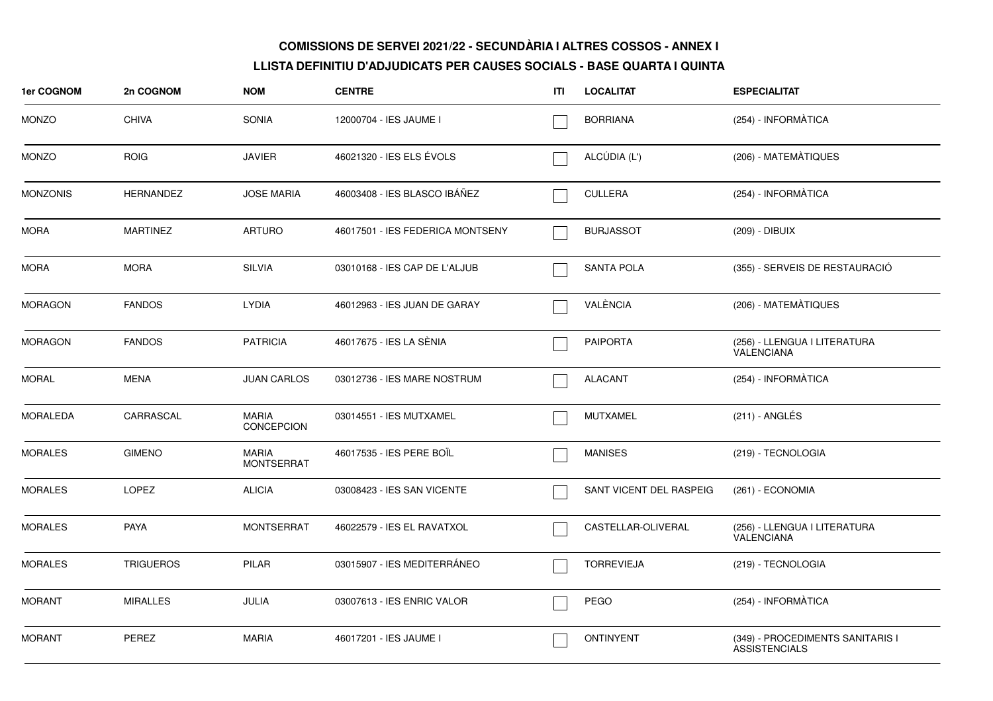| 1er COGNOM      | 2n COGNOM        | <b>NOM</b>                        | <b>CENTRE</b>                    | ITL | <b>LOCALITAT</b>        | <b>ESPECIALITAT</b>                                      |
|-----------------|------------------|-----------------------------------|----------------------------------|-----|-------------------------|----------------------------------------------------------|
| <b>MONZO</b>    | <b>CHIVA</b>     | <b>SONIA</b>                      | 12000704 - IES JAUME I           |     | <b>BORRIANA</b>         | (254) - INFORMÀTICA                                      |
| <b>MONZO</b>    | <b>ROIG</b>      | <b>JAVIER</b>                     | 46021320 - IES ELS ÉVOLS         |     | ALCÚDIA (L')            | (206) - MATEMÀTIQUES                                     |
| <b>MONZONIS</b> | <b>HERNANDEZ</b> | <b>JOSE MARIA</b>                 | 46003408 - IES BLASCO IBÁÑEZ     |     | <b>CULLERA</b>          | (254) - INFORMÀTICA                                      |
| <b>MORA</b>     | <b>MARTINEZ</b>  | <b>ARTURO</b>                     | 46017501 - IES FEDERICA MONTSENY |     | <b>BURJASSOT</b>        | (209) - DIBUIX                                           |
| <b>MORA</b>     | <b>MORA</b>      | <b>SILVIA</b>                     | 03010168 - IES CAP DE L'ALJUB    |     | <b>SANTA POLA</b>       | (355) - SERVEIS DE RESTAURACIÓ                           |
| <b>MORAGON</b>  | <b>FANDOS</b>    | <b>LYDIA</b>                      | 46012963 - IES JUAN DE GARAY     |     | VALÈNCIA                | (206) - MATEMÀTIQUES                                     |
| <b>MORAGON</b>  | <b>FANDOS</b>    | <b>PATRICIA</b>                   | 46017675 - IES LA SÈNIA          |     | <b>PAIPORTA</b>         | (256) - LLENGUA I LITERATURA<br><b>VALENCIANA</b>        |
| <b>MORAL</b>    | MENA             | <b>JUAN CARLOS</b>                | 03012736 - IES MARE NOSTRUM      |     | <b>ALACANT</b>          | (254) - INFORMÀTICA                                      |
| <b>MORALEDA</b> | CARRASCAL        | MARIA<br>CONCEPCION               | 03014551 - IES MUTXAMEL          |     | <b>MUTXAMEL</b>         | (211) - ANGLÉS                                           |
| <b>MORALES</b>  | <b>GIMENO</b>    | <b>MARIA</b><br><b>MONTSERRAT</b> | 46017535 - IES PERE BOIL         |     | <b>MANISES</b>          | (219) - TECNOLOGIA                                       |
| <b>MORALES</b>  | LOPEZ            | <b>ALICIA</b>                     | 03008423 - IES SAN VICENTE       |     | SANT VICENT DEL RASPEIG | (261) - ECONOMIA                                         |
| <b>MORALES</b>  | PAYA             | <b>MONTSERRAT</b>                 | 46022579 - IES EL RAVATXOL       |     | CASTELLAR-OLIVERAL      | (256) - LLENGUA I LITERATURA<br><b>VALENCIANA</b>        |
| <b>MORALES</b>  | <b>TRIGUEROS</b> | PILAR                             | 03015907 - IES MEDITERRÁNEO      |     | <b>TORREVIEJA</b>       | (219) - TECNOLOGIA                                       |
| <b>MORANT</b>   | <b>MIRALLES</b>  | JULIA                             | 03007613 - IES ENRIC VALOR       |     | PEGO                    | (254) - INFORMÀTICA                                      |
| <b>MORANT</b>   | PEREZ            | <b>MARIA</b>                      | 46017201 - IES JAUME I           |     | <b>ONTINYENT</b>        | (349) - PROCEDIMENTS SANITARIS I<br><b>ASSISTENCIALS</b> |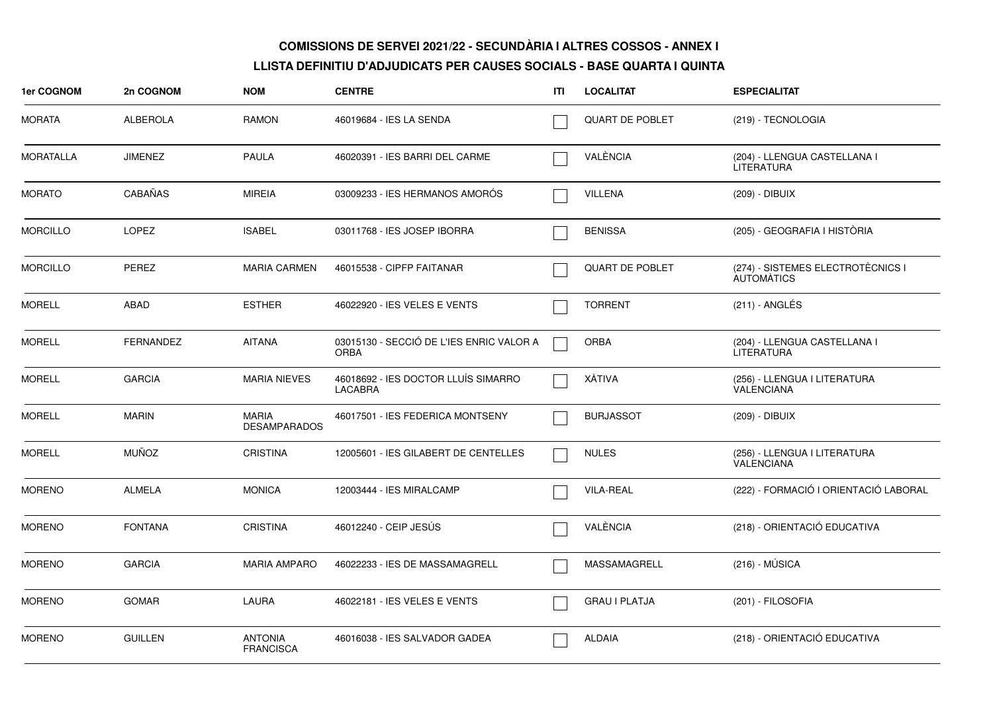| 1er COGNOM       | 2n COGNOM        | <b>NOM</b>                         | <b>CENTRE</b>                                           | ITI | <b>LOCALITAT</b>       | <b>ESPECIALITAT</b>                                    |
|------------------|------------------|------------------------------------|---------------------------------------------------------|-----|------------------------|--------------------------------------------------------|
| <b>MORATA</b>    | <b>ALBEROLA</b>  | <b>RAMON</b>                       | 46019684 - IES LA SENDA                                 |     | <b>QUART DE POBLET</b> | (219) - TECNOLOGIA                                     |
| <b>MORATALLA</b> | <b>JIMENEZ</b>   | PAULA                              | 46020391 - IES BARRI DEL CARME                          |     | VALÈNCIA               | (204) - LLENGUA CASTELLANA I<br><b>LITERATURA</b>      |
| <b>MORATO</b>    | CABAÑAS          | <b>MIREIA</b>                      | 03009233 - IES HERMANOS AMORÓS                          |     | <b>VILLENA</b>         | (209) - DIBUIX                                         |
| <b>MORCILLO</b>  | <b>LOPEZ</b>     | <b>ISABEL</b>                      | 03011768 - IES JOSEP IBORRA                             |     | <b>BENISSA</b>         | (205) - GEOGRAFIA I HISTÒRIA                           |
| <b>MORCILLO</b>  | <b>PEREZ</b>     | <b>MARIA CARMEN</b>                | 46015538 - CIPFP FAITANAR                               |     | <b>QUART DE POBLET</b> | (274) - SISTEMES ELECTROTÈCNICS I<br><b>AUTOMATICS</b> |
| <b>MORELL</b>    | <b>ABAD</b>      | <b>ESTHER</b>                      | 46022920 - IES VELES E VENTS                            |     | <b>TORRENT</b>         | (211) - ANGLÉS                                         |
| <b>MORELL</b>    | <b>FERNANDEZ</b> | <b>AITANA</b>                      | 03015130 - SECCIÓ DE L'IES ENRIC VALOR A<br><b>ORBA</b> |     | <b>ORBA</b>            | (204) - LLENGUA CASTELLANA I<br>LITERATURA             |
| <b>MORELL</b>    | <b>GARCIA</b>    | <b>MARIA NIEVES</b>                | 46018692 - IES DOCTOR LLUÍS SIMARRO<br><b>LACABRA</b>   |     | XÀTIVA                 | (256) - LLENGUA I LITERATURA<br>VALENCIANA             |
| <b>MORELL</b>    | <b>MARIN</b>     | MARIA<br><b>DESAMPARADOS</b>       | 46017501 - IES FEDERICA MONTSENY                        |     | <b>BURJASSOT</b>       | (209) - DIBUIX                                         |
| <b>MORELL</b>    | <b>MUÑOZ</b>     | <b>CRISTINA</b>                    | 12005601 - IES GILABERT DE CENTELLES                    |     | <b>NULES</b>           | (256) - LLENGUA I LITERATURA<br><b>VALENCIANA</b>      |
| <b>MORENO</b>    | <b>ALMELA</b>    | <b>MONICA</b>                      | 12003444 - IES MIRALCAMP                                |     | <b>VILA-REAL</b>       | (222) - FORMACIÓ I ORIENTACIÓ LABORAL                  |
| <b>MORENO</b>    | <b>FONTANA</b>   | <b>CRISTINA</b>                    | 46012240 - CEIP JESÚS                                   |     | VALÈNCIA               | (218) - ORIENTACIÓ EDUCATIVA                           |
| <b>MORENO</b>    | <b>GARCIA</b>    | <b>MARIA AMPARO</b>                | 46022233 - IES DE MASSAMAGRELL                          |     | MASSAMAGRELL           | $(216) - MÚSICA$                                       |
| <b>MORENO</b>    | <b>GOMAR</b>     | LAURA                              | 46022181 - IES VELES E VENTS                            |     | <b>GRAU I PLATJA</b>   | (201) - FILOSOFIA                                      |
| <b>MORENO</b>    | <b>GUILLEN</b>   | <b>ANTONIA</b><br><b>FRANCISCA</b> | 46016038 - IES SALVADOR GADEA                           |     | <b>ALDAIA</b>          | (218) - ORIENTACIÓ EDUCATIVA                           |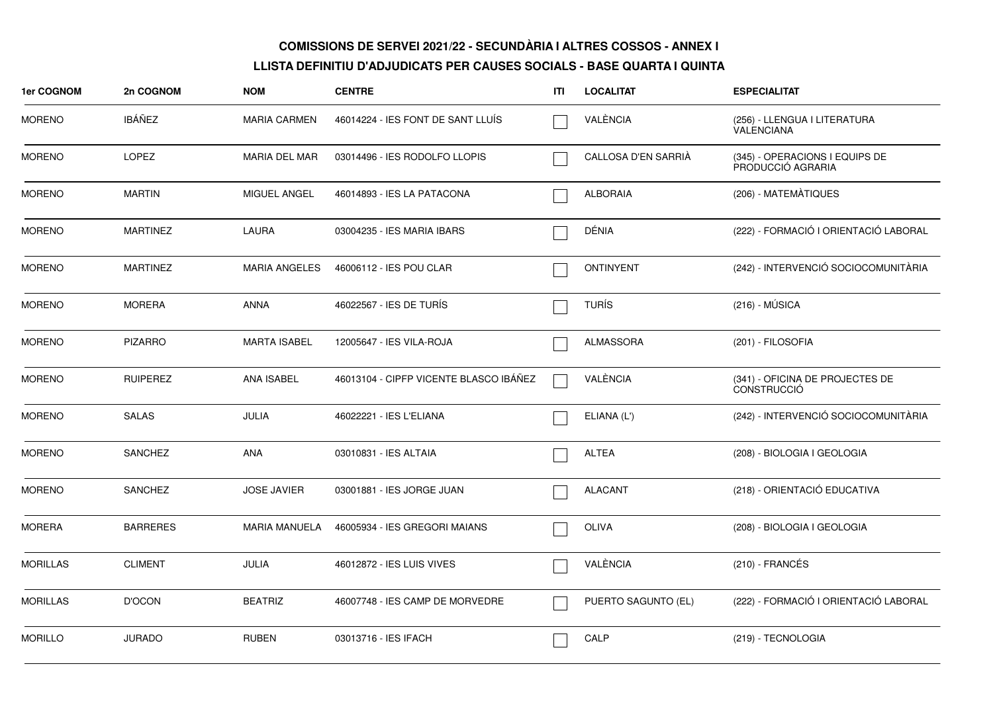| 1er COGNOM      | 2n COGNOM       | <b>NOM</b>           | <b>CENTRE</b>                          | ITI | <b>LOCALITAT</b>    | <b>ESPECIALITAT</b>                                   |
|-----------------|-----------------|----------------------|----------------------------------------|-----|---------------------|-------------------------------------------------------|
| <b>MORENO</b>   | <b>IBÁÑEZ</b>   | <b>MARIA CARMEN</b>  | 46014224 - IES FONT DE SANT LLUÍS      |     | VALÈNCIA            | (256) - LLENGUA I LITERATURA<br><b>VALENCIANA</b>     |
| <b>MORENO</b>   | <b>LOPEZ</b>    | <b>MARIA DEL MAR</b> | 03014496 - IES RODOLFO LLOPIS          |     | CALLOSA D'EN SARRIÀ | (345) - OPERACIONS I EQUIPS DE<br>PRODUCCIÓ AGRARIA   |
| <b>MORENO</b>   | <b>MARTIN</b>   | MIGUEL ANGEL         | 46014893 - IES LA PATACONA             |     | <b>ALBORAIA</b>     | (206) - MATEMÀTIQUES                                  |
| <b>MORENO</b>   | <b>MARTINEZ</b> | LAURA                | 03004235 - IES MARIA IBARS             |     | DÉNIA               | (222) - FORMACIÓ I ORIENTACIÓ LABORAL                 |
| <b>MORENO</b>   | <b>MARTINEZ</b> | <b>MARIA ANGELES</b> | 46006112 - IES POU CLAR                |     | <b>ONTINYENT</b>    | (242) - INTERVENCIÓ SOCIOCOMUNITÀRIA                  |
| <b>MORENO</b>   | <b>MORERA</b>   | <b>ANNA</b>          | 46022567 - IES DE TURÍS                |     | <b>TURÍS</b>        | $(216) - MÚSICA$                                      |
| <b>MORENO</b>   | <b>PIZARRO</b>  | <b>MARTA ISABEL</b>  | 12005647 - IES VILA-ROJA               |     | <b>ALMASSORA</b>    | (201) - FILOSOFIA                                     |
| <b>MORENO</b>   | <b>RUIPEREZ</b> | <b>ANA ISABEL</b>    | 46013104 - CIPFP VICENTE BLASCO IBÁÑEZ |     | VALÈNCIA            | (341) - OFICINA DE PROJECTES DE<br><b>CONSTRUCCIÓ</b> |
| <b>MORENO</b>   | <b>SALAS</b>    | JULIA                | 46022221 - IES L'ELIANA                |     | ELIANA (L')         | (242) - INTERVENCIÓ SOCIOCOMUNITÀRIA                  |
| <b>MORENO</b>   | <b>SANCHEZ</b>  | <b>ANA</b>           | 03010831 - IES ALTAIA                  |     | <b>ALTEA</b>        | (208) - BIOLOGIA I GEOLOGIA                           |
| <b>MORENO</b>   | <b>SANCHEZ</b>  | <b>JOSE JAVIER</b>   | 03001881 - IES JORGE JUAN              |     | <b>ALACANT</b>      | (218) - ORIENTACIÓ EDUCATIVA                          |
| <b>MORERA</b>   | <b>BARRERES</b> | <b>MARIA MANUELA</b> | 46005934 - IES GREGORI MAIANS          |     | <b>OLIVA</b>        | (208) - BIOLOGIA I GEOLOGIA                           |
| <b>MORILLAS</b> | <b>CLIMENT</b>  | JULIA                | 46012872 - IES LUIS VIVES              |     | VALÈNCIA            | (210) - FRANCÉS                                       |
| <b>MORILLAS</b> | <b>D'OCON</b>   | <b>BEATRIZ</b>       | 46007748 - IES CAMP DE MORVEDRE        |     | PUERTO SAGUNTO (EL) | (222) - FORMACIÓ I ORIENTACIÓ LABORAL                 |
| <b>MORILLO</b>  | <b>JURADO</b>   | <b>RUBEN</b>         | 03013716 - IES IFACH                   |     | CALP                | (219) - TECNOLOGIA                                    |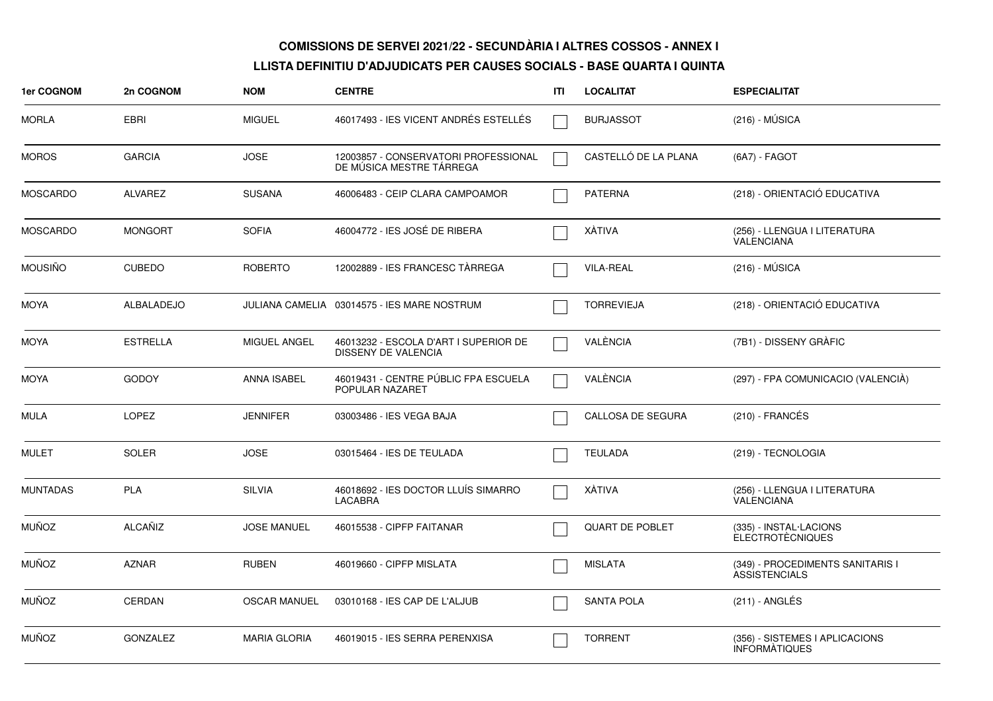| 1er COGNOM      | 2n COGNOM       | <b>NOM</b>          | <b>CENTRE</b>                                                    | ITI | <b>LOCALITAT</b>       | <b>ESPECIALITAT</b>                                      |
|-----------------|-----------------|---------------------|------------------------------------------------------------------|-----|------------------------|----------------------------------------------------------|
| <b>MORLA</b>    | <b>EBRI</b>     | <b>MIGUEL</b>       | 46017493 - IES VICENT ANDRÉS ESTELLÉS                            |     | <b>BURJASSOT</b>       | $(216) - MÚSICA$                                         |
| <b>MOROS</b>    | <b>GARCIA</b>   | <b>JOSE</b>         | 12003857 - CONSERVATORI PROFESSIONAL<br>DE MÚSICA MESTRE TÁRREGA |     | CASTELLÓ DE LA PLANA   | (6A7) - FAGOT                                            |
| MOSCARDO        | <b>ALVAREZ</b>  | <b>SUSANA</b>       | 46006483 - CEIP CLARA CAMPOAMOR                                  |     | <b>PATERNA</b>         | (218) - ORIENTACIÓ EDUCATIVA                             |
| <b>MOSCARDO</b> | <b>MONGORT</b>  | <b>SOFIA</b>        | 46004772 - IES JOSÉ DE RIBERA                                    |     | XÀTIVA                 | (256) - LLENGUA I LITERATURA<br><b>VALENCIANA</b>        |
| <b>MOUSIÑO</b>  | <b>CUBEDO</b>   | <b>ROBERTO</b>      | 12002889 - IES FRANCESC TÀRREGA                                  |     | <b>VILA-REAL</b>       | $(216) - MÚSICA$                                         |
| MOYA            | ALBALADEJO      |                     | JULIANA CAMELIA 03014575 - IES MARE NOSTRUM                      |     | <b>TORREVIEJA</b>      | (218) - ORIENTACIÓ EDUCATIVA                             |
| <b>MOYA</b>     | <b>ESTRELLA</b> | MIGUEL ANGEL        | 46013232 - ESCOLA D'ART I SUPERIOR DE<br>DISSENY DE VALENCIA     |     | VALÈNCIA               | (7B1) - DISSENY GRÀFIC                                   |
| MOYA            | <b>GODOY</b>    | <b>ANNA ISABEL</b>  | 46019431 - CENTRE PÚBLIC FPA ESCUELA<br>POPULAR NAZARET          |     | VALÈNCIA               | (297) - FPA COMUNICACIO (VALENCIA)                       |
| MULA            | <b>LOPEZ</b>    | <b>JENNIFER</b>     | 03003486 - IES VEGA BAJA                                         |     | CALLOSA DE SEGURA      | $(210)$ - FRANCÉS                                        |
| <b>MULET</b>    | <b>SOLER</b>    | <b>JOSE</b>         | 03015464 - IES DE TEULADA                                        |     | <b>TEULADA</b>         | (219) - TECNOLOGIA                                       |
| <b>MUNTADAS</b> | <b>PLA</b>      | <b>SILVIA</b>       | 46018692 - IES DOCTOR LLUÍS SIMARRO<br><b>LACABRA</b>            |     | XÀTIVA                 | (256) - LLENGUA I LITERATURA<br><b>VALENCIANA</b>        |
| <b>MUÑOZ</b>    | ALCAÑIZ         | <b>JOSE MANUEL</b>  | 46015538 - CIPFP FAITANAR                                        |     | <b>QUART DE POBLET</b> | (335) - INSTAL·LACIONS<br><b>ELECTROTÈCNIQUES</b>        |
| <b>MUÑOZ</b>    | <b>AZNAR</b>    | <b>RUBEN</b>        | 46019660 - CIPFP MISLATA                                         |     | <b>MISLATA</b>         | (349) - PROCEDIMENTS SANITARIS I<br><b>ASSISTENCIALS</b> |
| <b>MUÑOZ</b>    | <b>CERDAN</b>   | <b>OSCAR MANUEL</b> | 03010168 - IES CAP DE L'ALJUB                                    |     | <b>SANTA POLA</b>      | (211) - ANGLÉS                                           |
| <b>MUÑOZ</b>    | <b>GONZALEZ</b> | <b>MARIA GLORIA</b> | 46019015 - IES SERRA PERENXISA                                   |     | <b>TORRENT</b>         | (356) - SISTEMES I APLICACIONS<br><b>INFORMATIQUES</b>   |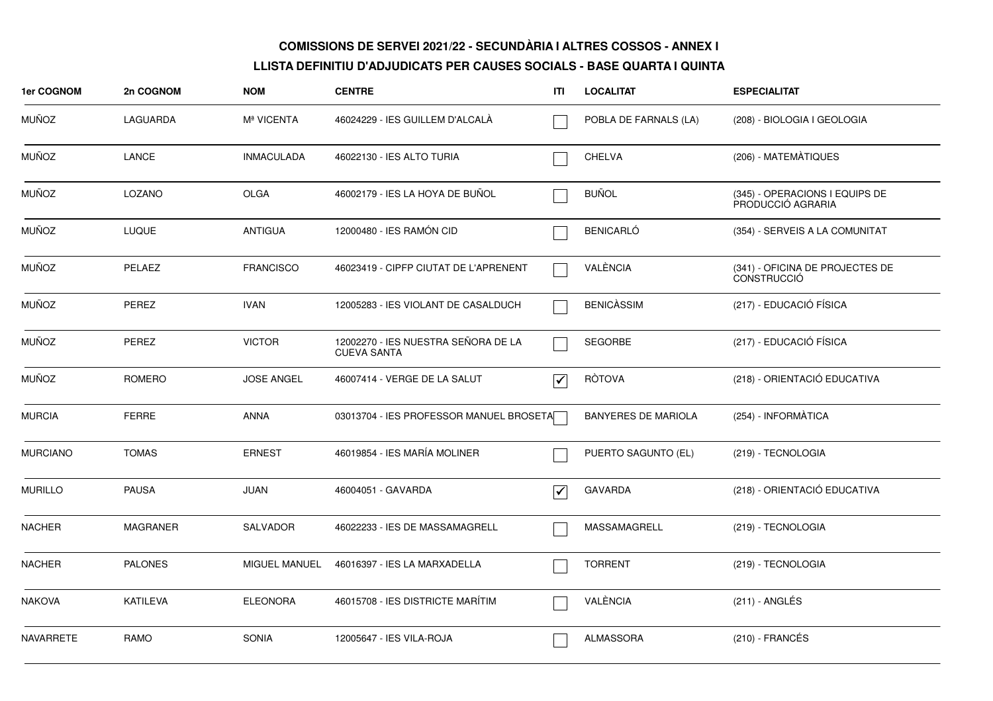| 1er COGNOM       | 2n COGNOM       | <b>NOM</b>        | <b>CENTRE</b>                                             | ITI                             | <b>LOCALITAT</b>           | <b>ESPECIALITAT</b>                                   |
|------------------|-----------------|-------------------|-----------------------------------------------------------|---------------------------------|----------------------------|-------------------------------------------------------|
| <b>MUÑOZ</b>     | LAGUARDA        | Mª VICENTA        | 46024229 - IES GUILLEM D'ALCALA                           |                                 | POBLA DE FARNALS (LA)      | (208) - BIOLOGIA I GEOLOGIA                           |
| <b>MUÑOZ</b>     | LANCE           | <b>INMACULADA</b> | 46022130 - IES ALTO TURIA                                 |                                 | <b>CHELVA</b>              | (206) - MATEMÀTIQUES                                  |
| <b>MUÑOZ</b>     | LOZANO          | <b>OLGA</b>       | 46002179 - IES LA HOYA DE BUÑOL                           |                                 | <b>BUÑOL</b>               | (345) - OPERACIONS I EQUIPS DE<br>PRODUCCIÓ AGRARIA   |
| <b>MUÑOZ</b>     | <b>LUQUE</b>    | <b>ANTIGUA</b>    | 12000480 - IES RAMÓN CID                                  |                                 | <b>BENICARLÓ</b>           | (354) - SERVEIS A LA COMUNITAT                        |
| <b>MUÑOZ</b>     | PELAEZ          | <b>FRANCISCO</b>  | 46023419 - CIPFP CIUTAT DE L'APRENENT                     |                                 | VALÈNCIA                   | (341) - OFICINA DE PROJECTES DE<br><b>CONSTRUCCIÓ</b> |
| <b>MUÑOZ</b>     | <b>PEREZ</b>    | <b>IVAN</b>       | 12005283 - IES VIOLANT DE CASALDUCH                       |                                 | <b>BENICASSIM</b>          | (217) - EDUCACIÓ FÍSICA                               |
| <b>MUÑOZ</b>     | PEREZ           | <b>VICTOR</b>     | 12002270 - IES NUESTRA SEÑORA DE LA<br><b>CUEVA SANTA</b> |                                 | <b>SEGORBE</b>             | (217) - EDUCACIÓ FÍSICA                               |
| <b>MUÑOZ</b>     | ROMERO          | <b>JOSE ANGEL</b> | 46007414 - VERGE DE LA SALUT                              | $\overline{\blacktriangledown}$ | <b>RÒTOVA</b>              | (218) - ORIENTACIÓ EDUCATIVA                          |
| <b>MURCIA</b>    | <b>FERRE</b>    | <b>ANNA</b>       | 03013704 - IES PROFESSOR MANUEL BROSETA                   |                                 | <b>BANYERES DE MARIOLA</b> | (254) - INFORMÀTICA                                   |
| <b>MURCIANO</b>  | <b>TOMAS</b>    | <b>ERNEST</b>     | 46019854 - IES MARÍA MOLINER                              |                                 | PUERTO SAGUNTO (EL)        | (219) - TECNOLOGIA                                    |
| <b>MURILLO</b>   | <b>PAUSA</b>    | JUAN              | 46004051 - GAVARDA                                        | ∣✔                              | <b>GAVARDA</b>             | (218) - ORIENTACIÓ EDUCATIVA                          |
| <b>NACHER</b>    | <b>MAGRANER</b> | <b>SALVADOR</b>   | 46022233 - IES DE MASSAMAGRELL                            |                                 | MASSAMAGRELL               | (219) - TECNOLOGIA                                    |
| <b>NACHER</b>    | <b>PALONES</b>  | MIGUEL MANUEL     | 46016397 - IES LA MARXADELLA                              |                                 | <b>TORRENT</b>             | (219) - TECNOLOGIA                                    |
| <b>NAKOVA</b>    | <b>KATILEVA</b> | <b>ELEONORA</b>   | 46015708 - IES DISTRICTE MARÍTIM                          |                                 | VALÈNCIA                   | $(211)$ - ANGLÉS                                      |
| <b>NAVARRETE</b> | <b>RAMO</b>     | <b>SONIA</b>      | 12005647 - IES VILA-ROJA                                  |                                 | <b>ALMASSORA</b>           | (210) - FRANCÉS                                       |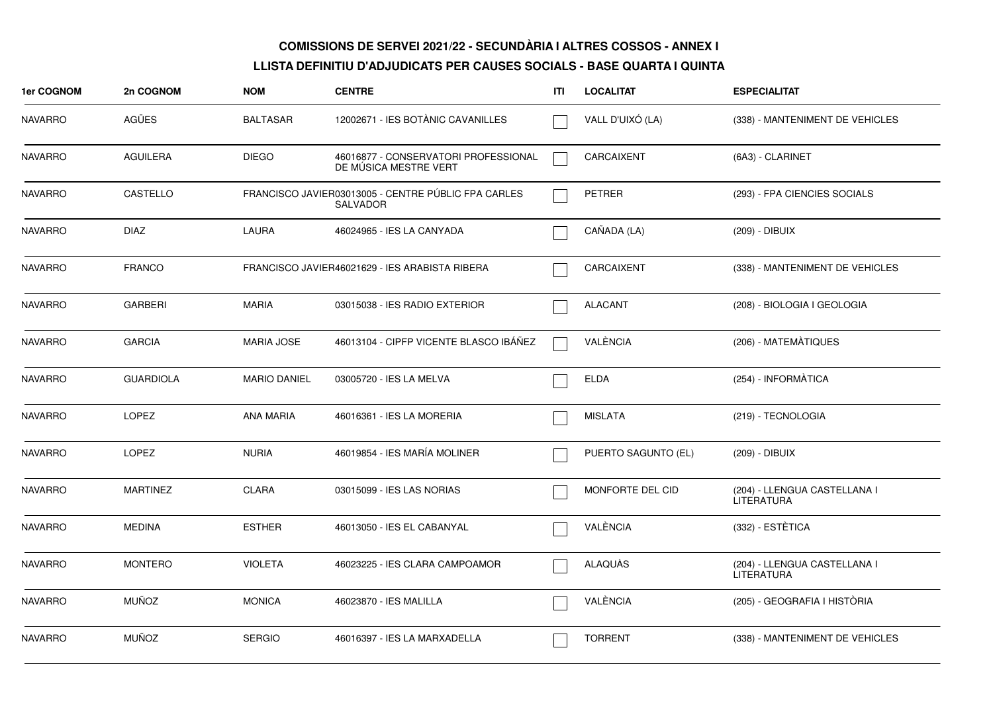| 1er COGNOM     | 2n COGNOM        | <b>NOM</b>          | <b>CENTRE</b>                                                          | ITI | <b>LOCALITAT</b>    | <b>ESPECIALITAT</b>                               |
|----------------|------------------|---------------------|------------------------------------------------------------------------|-----|---------------------|---------------------------------------------------|
| <b>NAVARRO</b> | AGÜES            | <b>BALTASAR</b>     | 12002671 - IES BOTÀNIC CAVANILLES                                      |     | VALL D'UIXÓ (LA)    | (338) - MANTENIMENT DE VEHICLES                   |
| <b>NAVARRO</b> | <b>AGUILERA</b>  | <b>DIEGO</b>        | 46016877 - CONSERVATORI PROFESSIONAL<br>DE MUSICA MESTRE VERT          |     | <b>CARCAIXENT</b>   | (6A3) - CLARINET                                  |
| <b>NAVARRO</b> | CASTELLO         |                     | FRANCISCO JAVIER03013005 - CENTRE PÚBLIC FPA CARLES<br><b>SALVADOR</b> |     | <b>PETRER</b>       | (293) - FPA CIENCIES SOCIALS                      |
| <b>NAVARRO</b> | <b>DIAZ</b>      | <b>LAURA</b>        | 46024965 - IES LA CANYADA                                              |     | CAÑADA (LA)         | (209) - DIBUIX                                    |
| <b>NAVARRO</b> | <b>FRANCO</b>    |                     | FRANCISCO JAVIER46021629 - IES ARABISTA RIBERA                         |     | CARCAIXENT          | (338) - MANTENIMENT DE VEHICLES                   |
| <b>NAVARRO</b> | <b>GARBERI</b>   | <b>MARIA</b>        | 03015038 - IES RADIO EXTERIOR                                          |     | <b>ALACANT</b>      | (208) - BIOLOGIA I GEOLOGIA                       |
| <b>NAVARRO</b> | <b>GARCIA</b>    | MARIA JOSE          | 46013104 - CIPFP VICENTE BLASCO IBÁÑEZ                                 |     | VALÈNCIA            | (206) - MATEMÀTIQUES                              |
| <b>NAVARRO</b> | <b>GUARDIOLA</b> | <b>MARIO DANIEL</b> | 03005720 - IES LA MELVA                                                |     | <b>ELDA</b>         | (254) - INFORMATICA                               |
| <b>NAVARRO</b> | <b>LOPEZ</b>     | <b>ANA MARIA</b>    | 46016361 - IES LA MORERIA                                              |     | <b>MISLATA</b>      | (219) - TECNOLOGIA                                |
| <b>NAVARRO</b> | <b>LOPEZ</b>     | <b>NURIA</b>        | 46019854 - IES MARÍA MOLINER                                           |     | PUERTO SAGUNTO (EL) | (209) - DIBUIX                                    |
| <b>NAVARRO</b> | <b>MARTINEZ</b>  | CLARA               | 03015099 - IES LAS NORIAS                                              |     | MONFORTE DEL CID    | (204) - LLENGUA CASTELLANA I<br><b>LITERATURA</b> |
| <b>NAVARRO</b> | <b>MEDINA</b>    | <b>ESTHER</b>       | 46013050 - IES EL CABANYAL                                             |     | VALÈNCIA            | (332) - ESTETICA                                  |
| <b>NAVARRO</b> | <b>MONTERO</b>   | <b>VIOLETA</b>      | 46023225 - IES CLARA CAMPOAMOR                                         |     | ALAQUÀS             | (204) - LLENGUA CASTELLANA I<br><b>LITERATURA</b> |
| <b>NAVARRO</b> | <b>MUÑOZ</b>     | <b>MONICA</b>       | 46023870 - IES MALILLA                                                 |     | VALÈNCIA            | (205) - GEOGRAFIA I HISTÒRIA                      |
| <b>NAVARRO</b> | <b>MUÑOZ</b>     | <b>SERGIO</b>       | 46016397 - IES LA MARXADELLA                                           |     | <b>TORRENT</b>      | (338) - MANTENIMENT DE VEHICLES                   |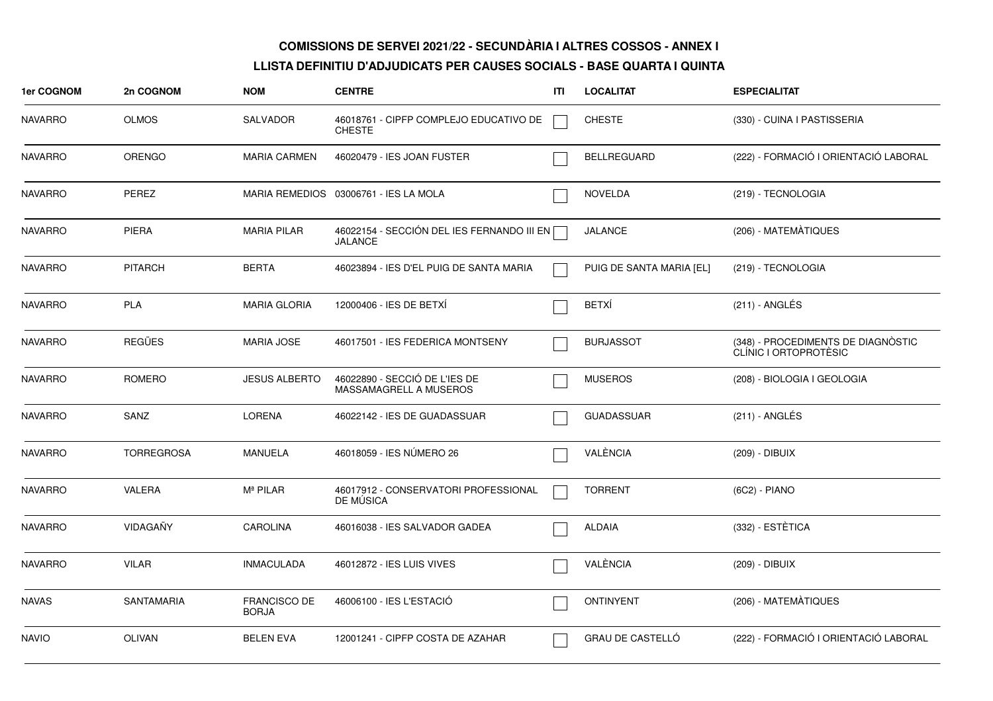| 1er COGNOM     | 2n COGNOM         | <b>NOM</b>                          | <b>CENTRE</b>                                                  | ITI | <b>LOCALITAT</b>         | <b>ESPECIALITAT</b>                                         |
|----------------|-------------------|-------------------------------------|----------------------------------------------------------------|-----|--------------------------|-------------------------------------------------------------|
| <b>NAVARRO</b> | <b>OLMOS</b>      | <b>SALVADOR</b>                     | 46018761 - CIPFP COMPLEJO EDUCATIVO DE<br><b>CHESTE</b>        |     | <b>CHESTE</b>            | (330) - CUINA I PASTISSERIA                                 |
| <b>NAVARRO</b> | <b>ORENGO</b>     | <b>MARIA CARMEN</b>                 | 46020479 - IES JOAN FUSTER                                     |     | <b>BELLREGUARD</b>       | (222) - FORMACIÓ I ORIENTACIÓ LABORAL                       |
| <b>NAVARRO</b> | PEREZ             |                                     | MARIA REMEDIOS 03006761 - IES LA MOLA                          |     | <b>NOVELDA</b>           | (219) - TECNOLOGIA                                          |
| <b>NAVARRO</b> | <b>PIERA</b>      | <b>MARIA PILAR</b>                  | 46022154 - SECCIÓN DEL IES FERNANDO III EN [<br><b>JALANCE</b> |     | <b>JALANCE</b>           | (206) - MATEMÀTIQUES                                        |
| <b>NAVARRO</b> | <b>PITARCH</b>    | <b>BERTA</b>                        | 46023894 - IES D'EL PUIG DE SANTA MARIA                        |     | PUIG DE SANTA MARIA [EL] | (219) - TECNOLOGIA                                          |
| <b>NAVARRO</b> | <b>PLA</b>        | <b>MARIA GLORIA</b>                 | 12000406 - IES DE BETXÍ                                        |     | <b>BETXÍ</b>             | (211) - ANGLÉS                                              |
| <b>NAVARRO</b> | <b>REGÜES</b>     | <b>MARIA JOSE</b>                   | 46017501 - IES FEDERICA MONTSENY                               |     | <b>BURJASSOT</b>         | (348) - PROCEDIMENTS DE DIAGNÒSTIC<br>CLÍNIC I ORTOPROTÈSIC |
| <b>NAVARRO</b> | ROMERO            | <b>JESUS ALBERTO</b>                | 46022890 - SECCIÓ DE L'IES DE<br>MASSAMAGRELL A MUSEROS        |     | <b>MUSEROS</b>           | (208) - BIOLOGIA I GEOLOGIA                                 |
| <b>NAVARRO</b> | SANZ              | <b>LORENA</b>                       | 46022142 - IES DE GUADASSUAR                                   |     | <b>GUADASSUAR</b>        | (211) - ANGLÉS                                              |
| <b>NAVARRO</b> | <b>TORREGROSA</b> | <b>MANUELA</b>                      | 46018059 - IES NÚMERO 26                                       |     | VALÈNCIA                 | (209) - DIBUIX                                              |
| <b>NAVARRO</b> | VALERA            | M <sup>ª</sup> PILAR                | 46017912 - CONSERVATORI PROFESSIONAL<br>DE MUSICA              |     | <b>TORRENT</b>           | $(6C2) - PIANO$                                             |
| <b>NAVARRO</b> | VIDAGAÑY          | <b>CAROLINA</b>                     | 46016038 - IES SALVADOR GADEA                                  |     | <b>ALDAIA</b>            | (332) - ESTÉTICA                                            |
| <b>NAVARRO</b> | <b>VILAR</b>      | <b>INMACULADA</b>                   | 46012872 - IES LUIS VIVES                                      |     | VALÈNCIA                 | (209) - DIBUIX                                              |
| <b>NAVAS</b>   | <b>SANTAMARIA</b> | <b>FRANCISCO DE</b><br><b>BORJA</b> | 46006100 - IES L'ESTACIÓ                                       |     | <b>ONTINYENT</b>         | (206) - MATEMATIQUES                                        |
| <b>NAVIO</b>   | <b>OLIVAN</b>     | <b>BELEN EVA</b>                    | 12001241 - CIPFP COSTA DE AZAHAR                               |     | GRAU DE CASTELLÓ         | (222) - FORMACIÓ I ORIENTACIÓ LABORAL                       |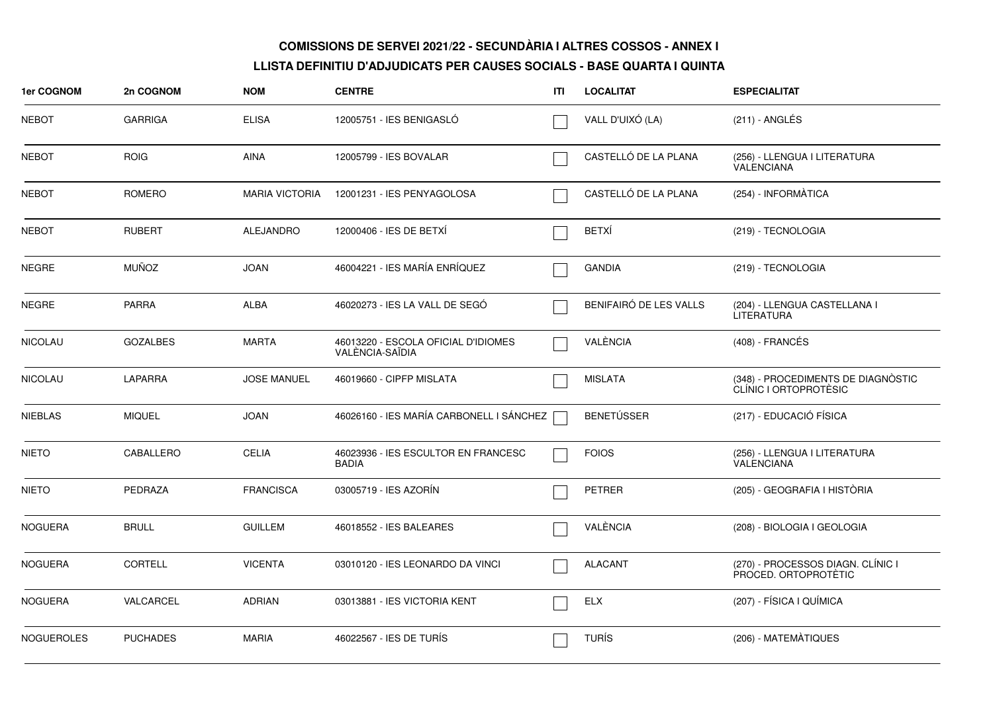| 1er COGNOM        | 2n COGNOM       | <b>NOM</b>            | <b>CENTRE</b>                                          | ITI | <b>LOCALITAT</b>       | <b>ESPECIALITAT</b>                                         |
|-------------------|-----------------|-----------------------|--------------------------------------------------------|-----|------------------------|-------------------------------------------------------------|
| <b>NEBOT</b>      | <b>GARRIGA</b>  | <b>ELISA</b>          | 12005751 - IES BENIGASLÓ                               |     | VALL D'UIXÓ (LA)       | (211) - ANGLÉS                                              |
| <b>NEBOT</b>      | <b>ROIG</b>     | <b>AINA</b>           | 12005799 - IES BOVALAR                                 |     | CASTELLÓ DE LA PLANA   | (256) - LLENGUA I LITERATURA<br>VALENCIANA                  |
| <b>NEBOT</b>      | ROMERO          | <b>MARIA VICTORIA</b> | 12001231 - IES PENYAGOLOSA                             |     | CASTELLÓ DE LA PLANA   | (254) - INFORMÀTICA                                         |
| <b>NEBOT</b>      | <b>RUBERT</b>   | <b>ALEJANDRO</b>      | 12000406 - IES DE BETXÍ                                |     | <b>BETXÍ</b>           | (219) - TECNOLOGIA                                          |
| <b>NEGRE</b>      | MUÑOZ           | <b>JOAN</b>           | 46004221 - IES MARÍA ENRÍQUEZ                          |     | <b>GANDIA</b>          | (219) - TECNOLOGIA                                          |
| <b>NEGRE</b>      | <b>PARRA</b>    | <b>ALBA</b>           | 46020273 - IES LA VALL DE SEGÓ                         |     | BENIFAIRÓ DE LES VALLS | (204) - LLENGUA CASTELLANA I<br><b>LITERATURA</b>           |
| <b>NICOLAU</b>    | <b>GOZALBES</b> | <b>MARTA</b>          | 46013220 - ESCOLA OFICIAL D'IDIOMES<br>VALÈNCIA-SAÏDIA |     | VALÈNCIA               | (408) - FRANCÉS                                             |
| <b>NICOLAU</b>    | <b>LAPARRA</b>  | <b>JOSE MANUEL</b>    | 46019660 - CIPFP MISLATA                               |     | <b>MISLATA</b>         | (348) - PROCEDIMENTS DE DIAGNÒSTIC<br>CLÍNIC I ORTOPROTÈSIC |
| <b>NIEBLAS</b>    | <b>MIQUEL</b>   | <b>JOAN</b>           | 46026160 - IES MARÍA CARBONELL I SÁNCHEZ               |     | <b>BENETÚSSER</b>      | (217) - EDUCACIÓ FÍSICA                                     |
| <b>NIETO</b>      | CABALLERO       | <b>CELIA</b>          | 46023936 - IES ESCULTOR EN FRANCESC<br><b>BADIA</b>    |     | <b>FOIOS</b>           | (256) - LLENGUA I LITERATURA<br><b>VALENCIANA</b>           |
| <b>NIETO</b>      | PEDRAZA         | <b>FRANCISCA</b>      | 03005719 - IES AZORÍN                                  |     | <b>PETRER</b>          | (205) - GEOGRAFIA I HISTÒRIA                                |
| <b>NOGUERA</b>    | <b>BRULL</b>    | <b>GUILLEM</b>        | 46018552 - IES BALEARES                                |     | VALÈNCIA               | (208) - BIOLOGIA I GEOLOGIA                                 |
| <b>NOGUERA</b>    | <b>CORTELL</b>  | <b>VICENTA</b>        | 03010120 - IES LEONARDO DA VINCI                       |     | <b>ALACANT</b>         | (270) - PROCESSOS DIAGN. CLÍNIC I<br>PROCED. ORTOPROTÈTIC   |
| <b>NOGUERA</b>    | VALCARCEL       | <b>ADRIAN</b>         | 03013881 - IES VICTORIA KENT                           |     | <b>ELX</b>             | (207) - FÍSICA I QUÍMICA                                    |
| <b>NOGUEROLES</b> | <b>PUCHADES</b> | <b>MARIA</b>          | 46022567 - IES DE TURÍS                                |     | <b>TURÍS</b>           | (206) - MATEMÀTIQUES                                        |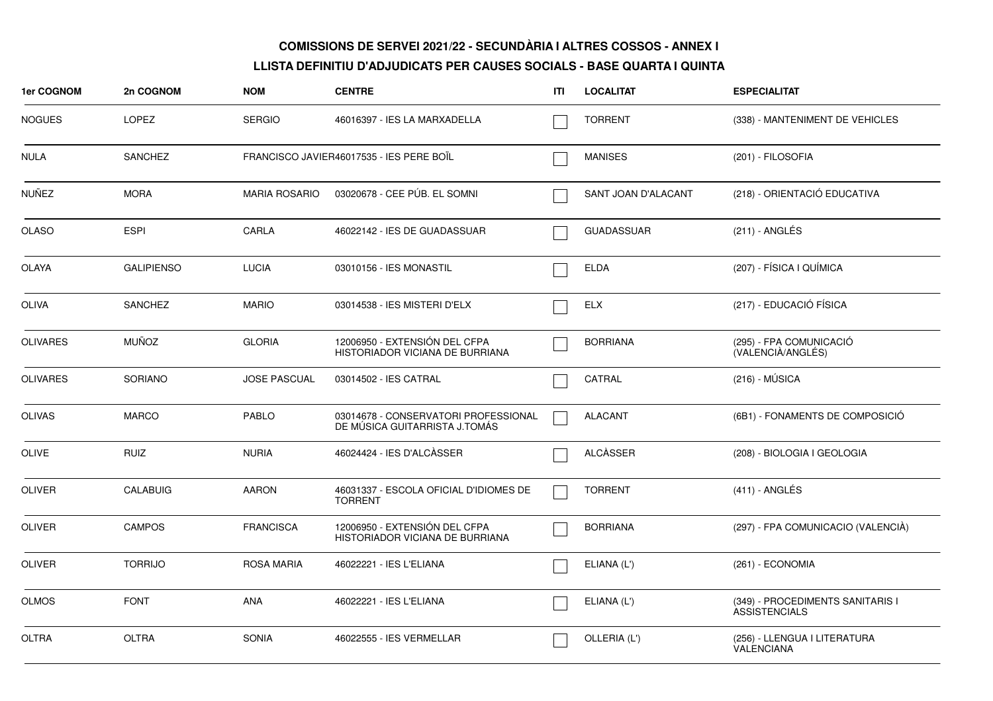| <b>1er COGNOM</b> | 2n COGNOM         | <b>NOM</b>           | <b>CENTRE</b>                                                         | ITI | <b>LOCALITAT</b>    | <b>ESPECIALITAT</b>                                      |
|-------------------|-------------------|----------------------|-----------------------------------------------------------------------|-----|---------------------|----------------------------------------------------------|
| <b>NOGUES</b>     | <b>LOPEZ</b>      | <b>SERGIO</b>        | 46016397 - IES LA MARXADELLA                                          |     | <b>TORRENT</b>      | (338) - MANTENIMENT DE VEHICLES                          |
| <b>NULA</b>       | <b>SANCHEZ</b>    |                      | FRANCISCO JAVIER46017535 - IES PERE BOÏL                              |     | <b>MANISES</b>      | (201) - FILOSOFIA                                        |
| <b>NUÑEZ</b>      | <b>MORA</b>       | <b>MARIA ROSARIO</b> | 03020678 - CEE PÚB. EL SOMNI                                          |     | SANT JOAN D'ALACANT | (218) - ORIENTACIÓ EDUCATIVA                             |
| <b>OLASO</b>      | <b>ESPI</b>       | CARLA                | 46022142 - IES DE GUADASSUAR                                          |     | <b>GUADASSUAR</b>   | (211) - ANGLÉS                                           |
| <b>OLAYA</b>      | <b>GALIPIENSO</b> | <b>LUCIA</b>         | 03010156 - IES MONASTIL                                               |     | <b>ELDA</b>         | (207) - FÍSICA I QUÍMICA                                 |
| <b>OLIVA</b>      | <b>SANCHEZ</b>    | <b>MARIO</b>         | 03014538 - IES MISTERI D'ELX                                          |     | <b>ELX</b>          | (217) - EDUCACIÓ FÍSICA                                  |
| <b>OLIVARES</b>   | <b>MUÑOZ</b>      | <b>GLORIA</b>        | 12006950 - EXTENSIÓN DEL CFPA<br>HISTORIADOR VICIANA DE BURRIANA      |     | <b>BORRIANA</b>     | (295) - FPA COMUNICACIÓ<br>(VALENCIÀ/ANGLÉS)             |
| <b>OLIVARES</b>   | <b>SORIANO</b>    | <b>JOSE PASCUAL</b>  | 03014502 - IES CATRAL                                                 |     | CATRAL              | $(216) - MÚSICA$                                         |
| <b>OLIVAS</b>     | <b>MARCO</b>      | <b>PABLO</b>         | 03014678 - CONSERVATORI PROFESSIONAL<br>DE MÚSICA GUITARRISTA J.TOMÁS |     | <b>ALACANT</b>      | (6B1) - FONAMENTS DE COMPOSICIÓ                          |
| OLIVE             | <b>RUIZ</b>       | <b>NURIA</b>         | 46024424 - IES D'ALCÀSSER                                             |     | ALCASSER            | (208) - BIOLOGIA I GEOLOGIA                              |
| <b>OLIVER</b>     | <b>CALABUIG</b>   | <b>AARON</b>         | 46031337 - ESCOLA OFICIAL D'IDIOMES DE<br><b>TORRENT</b>              |     | <b>TORRENT</b>      | $(411)$ - ANGLÉS                                         |
| <b>OLIVER</b>     | <b>CAMPOS</b>     | <b>FRANCISCA</b>     | 12006950 - EXTENSIÓN DEL CFPA<br>HISTORIADOR VICIANA DE BURRIANA      |     | <b>BORRIANA</b>     | (297) - FPA COMUNICACIO (VALENCIÀ)                       |
| <b>OLIVER</b>     | <b>TORRIJO</b>    | <b>ROSA MARIA</b>    | 46022221 - IES L'ELIANA                                               |     | ELIANA (L')         | (261) - ECONOMIA                                         |
| <b>OLMOS</b>      | <b>FONT</b>       | ANA                  | 46022221 - IES L'ELIANA                                               |     | ELIANA (L')         | (349) - PROCEDIMENTS SANITARIS I<br><b>ASSISTENCIALS</b> |
| <b>OLTRA</b>      | <b>OLTRA</b>      | <b>SONIA</b>         | 46022555 - IES VERMELLAR                                              |     | OLLERIA (L')        | (256) - LLENGUA I LITERATURA<br><b>VALENCIANA</b>        |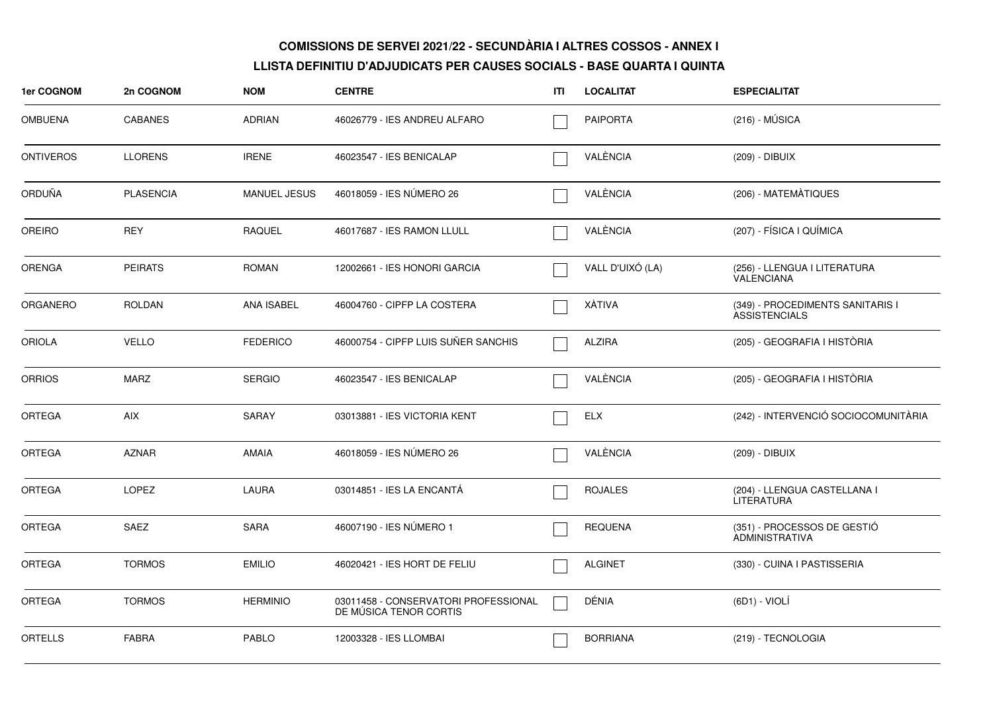| 1er COGNOM       | 2n COGNOM        | <b>NOM</b>          | <b>CENTRE</b>                                                  | ITI | <b>LOCALITAT</b> | <b>ESPECIALITAT</b>                                      |
|------------------|------------------|---------------------|----------------------------------------------------------------|-----|------------------|----------------------------------------------------------|
| <b>OMBUENA</b>   | <b>CABANES</b>   | <b>ADRIAN</b>       | 46026779 - IES ANDREU ALFARO                                   |     | <b>PAIPORTA</b>  | $(216) - MÚSICA$                                         |
| <b>ONTIVEROS</b> | <b>LLORENS</b>   | <b>IRENE</b>        | 46023547 - IES BENICALAP                                       |     | VALÈNCIA         | (209) - DIBUIX                                           |
| ORDUÑA           | <b>PLASENCIA</b> | <b>MANUEL JESUS</b> | 46018059 - IES NÚMERO 26                                       |     | VALÈNCIA         | (206) - MATEMÀTIQUES                                     |
| <b>OREIRO</b>    | <b>REY</b>       | RAQUEL              | 46017687 - IES RAMON LLULL                                     |     | VALÈNCIA         | (207) - FÍSICA I QUÍMICA                                 |
| <b>ORENGA</b>    | <b>PEIRATS</b>   | <b>ROMAN</b>        | 12002661 - IES HONORI GARCIA                                   |     | VALL D'UIXÓ (LA) | (256) - LLENGUA I LITERATURA<br>VALENCIANA               |
| <b>ORGANERO</b>  | ROLDAN           | ANA ISABEL          | 46004760 - CIPFP LA COSTERA                                    |     | XÀTIVA           | (349) - PROCEDIMENTS SANITARIS I<br><b>ASSISTENCIALS</b> |
| <b>ORIOLA</b>    | <b>VELLO</b>     | <b>FEDERICO</b>     | 46000754 - CIPFP LUIS SUÑER SANCHIS                            |     | <b>ALZIRA</b>    | (205) - GEOGRAFIA I HISTÒRIA                             |
| <b>ORRIOS</b>    | <b>MARZ</b>      | <b>SERGIO</b>       | 46023547 - IES BENICALAP                                       |     | VALÈNCIA         | (205) - GEOGRAFIA I HISTÒRIA                             |
| <b>ORTEGA</b>    | <b>AIX</b>       | <b>SARAY</b>        | 03013881 - IES VICTORIA KENT                                   |     | <b>ELX</b>       | (242) - INTERVENCIÓ SOCIOCOMUNITÀRIA                     |
| <b>ORTEGA</b>    | <b>AZNAR</b>     | <b>AMAIA</b>        | 46018059 - IES NÚMERO 26                                       |     | VALÈNCIA         | (209) - DIBUIX                                           |
| <b>ORTEGA</b>    | <b>LOPEZ</b>     | LAURA               | 03014851 - IES LA ENCANTÁ                                      |     | <b>ROJALES</b>   | (204) - LLENGUA CASTELLANA I<br><b>LITERATURA</b>        |
| <b>ORTEGA</b>    | SAEZ             | <b>SARA</b>         | 46007190 - IES NÚMERO 1                                        |     | <b>REQUENA</b>   | (351) - PROCESSOS DE GESTIÓ<br><b>ADMINISTRATIVA</b>     |
| <b>ORTEGA</b>    | <b>TORMOS</b>    | <b>EMILIO</b>       | 46020421 - IES HORT DE FELIU                                   |     | <b>ALGINET</b>   | (330) - CUINA I PASTISSERIA                              |
| <b>ORTEGA</b>    | <b>TORMOS</b>    | <b>HERMINIO</b>     | 03011458 - CONSERVATORI PROFESSIONAL<br>DE MÚSICA TENOR CORTIS |     | DÉNIA            | (6D1) - VIOLÍ                                            |
| <b>ORTELLS</b>   | <b>FABRA</b>     | <b>PABLO</b>        | 12003328 - IES LLOMBAI                                         |     | <b>BORRIANA</b>  | (219) - TECNOLOGIA                                       |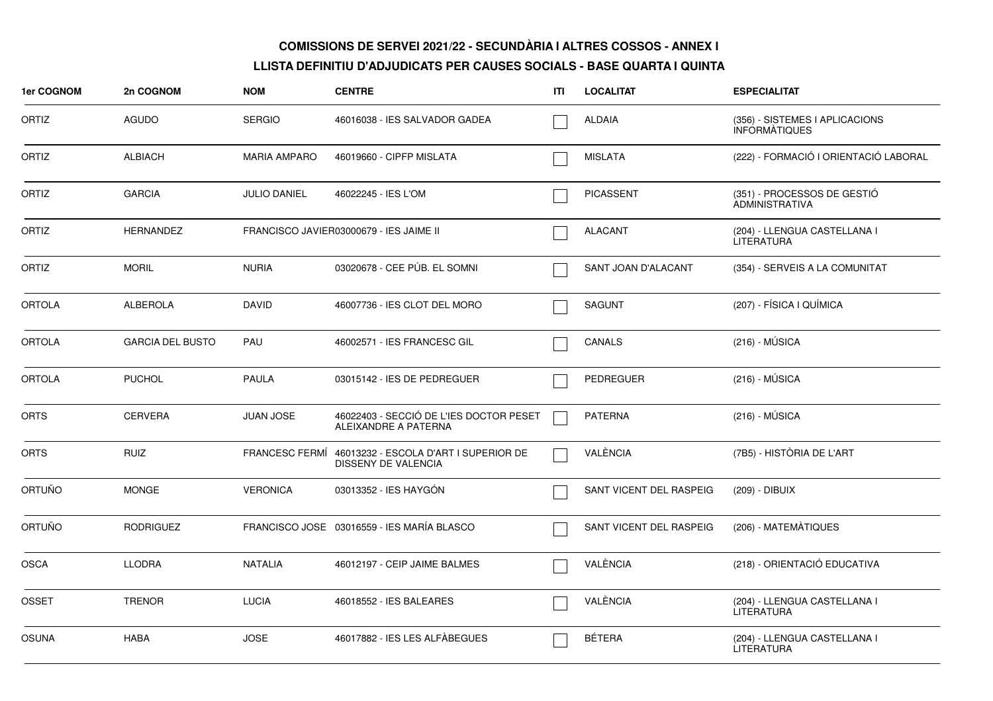| 1er COGNOM    | 2n COGNOM               | <b>NOM</b>          | <b>CENTRE</b>                                                       | ITI | <b>LOCALITAT</b>           | <b>ESPECIALITAT</b>                                    |
|---------------|-------------------------|---------------------|---------------------------------------------------------------------|-----|----------------------------|--------------------------------------------------------|
| ORTIZ         | AGUDO                   | <b>SERGIO</b>       | 46016038 - IES SALVADOR GADEA                                       |     | <b>ALDAIA</b>              | (356) - SISTEMES I APLICACIONS<br><b>INFORMATIQUES</b> |
| ORTIZ         | <b>ALBIACH</b>          | <b>MARIA AMPARO</b> | 46019660 - CIPFP MISLATA                                            |     | <b>MISLATA</b>             | (222) - FORMACIÓ I ORIENTACIÓ LABORAL                  |
| ORTIZ         | <b>GARCIA</b>           | <b>JULIO DANIEL</b> | 46022245 - IES L'OM                                                 |     | <b>PICASSENT</b>           | (351) - PROCESSOS DE GESTIÓ<br>ADMINISTRATIVA          |
| ORTIZ         | <b>HERNANDEZ</b>        |                     | FRANCISCO JAVIER03000679 - IES JAIME II                             |     | <b>ALACANT</b>             | (204) - LLENGUA CASTELLANA I<br><b>LITERATURA</b>      |
| ORTIZ         | <b>MORIL</b>            | <b>NURIA</b>        | 03020678 - CEE PÚB. EL SOMNI                                        |     | <b>SANT JOAN D'ALACANT</b> | (354) - SERVEIS A LA COMUNITAT                         |
| <b>ORTOLA</b> | <b>ALBEROLA</b>         | <b>DAVID</b>        | 46007736 - IES CLOT DEL MORO                                        |     | <b>SAGUNT</b>              | (207) - FÍSICA I QUÍMICA                               |
| <b>ORTOLA</b> | <b>GARCIA DEL BUSTO</b> | PAU                 | 46002571 - IES FRANCESC GIL                                         |     | CANALS                     | $(216) - MÚSICA$                                       |
| <b>ORTOLA</b> | <b>PUCHOL</b>           | <b>PAULA</b>        | 03015142 - IES DE PEDREGUER                                         |     | <b>PEDREGUER</b>           | $(216) - MÚSICA$                                       |
| <b>ORTS</b>   | <b>CERVERA</b>          | <b>JUAN JOSE</b>    | 46022403 - SECCIÓ DE L'IES DOCTOR PESET<br>ALEIXANDRE A PATERNA     |     | <b>PATERNA</b>             | $(216) - MÚSICA$                                       |
| <b>ORTS</b>   | <b>RUIZ</b>             | FRANCESC FERMÍ      | 46013232 - ESCOLA D'ART I SUPERIOR DE<br><b>DISSENY DE VALENCIA</b> |     | VALÈNCIA                   | (7B5) - HISTÒRIA DE L'ART                              |
| ORTUÑO        | <b>MONGE</b>            | <b>VERONICA</b>     | 03013352 - IES HAYGON                                               |     | SANT VICENT DEL RASPEIG    | (209) - DIBUIX                                         |
| <b>ORTUÑO</b> | <b>RODRIGUEZ</b>        |                     | FRANCISCO JOSE 03016559 - IES MARÍA BLASCO                          |     | SANT VICENT DEL RASPEIG    | (206) - MATEMÀTIQUES                                   |
| <b>OSCA</b>   | <b>LLODRA</b>           | <b>NATALIA</b>      | 46012197 - CEIP JAIME BALMES                                        |     | VALÈNCIA                   | (218) - ORIENTACIÓ EDUCATIVA                           |
| <b>OSSET</b>  | <b>TRENOR</b>           | <b>LUCIA</b>        | 46018552 - IES BALEARES                                             |     | VALÈNCIA                   | (204) - LLENGUA CASTELLANA I<br><b>LITERATURA</b>      |
| <b>OSUNA</b>  | <b>HABA</b>             | <b>JOSE</b>         | 46017882 - IES LES ALFÀBEGUES                                       |     | <b>BÉTERA</b>              | (204) - LLENGUA CASTELLANA I<br><b>LITERATURA</b>      |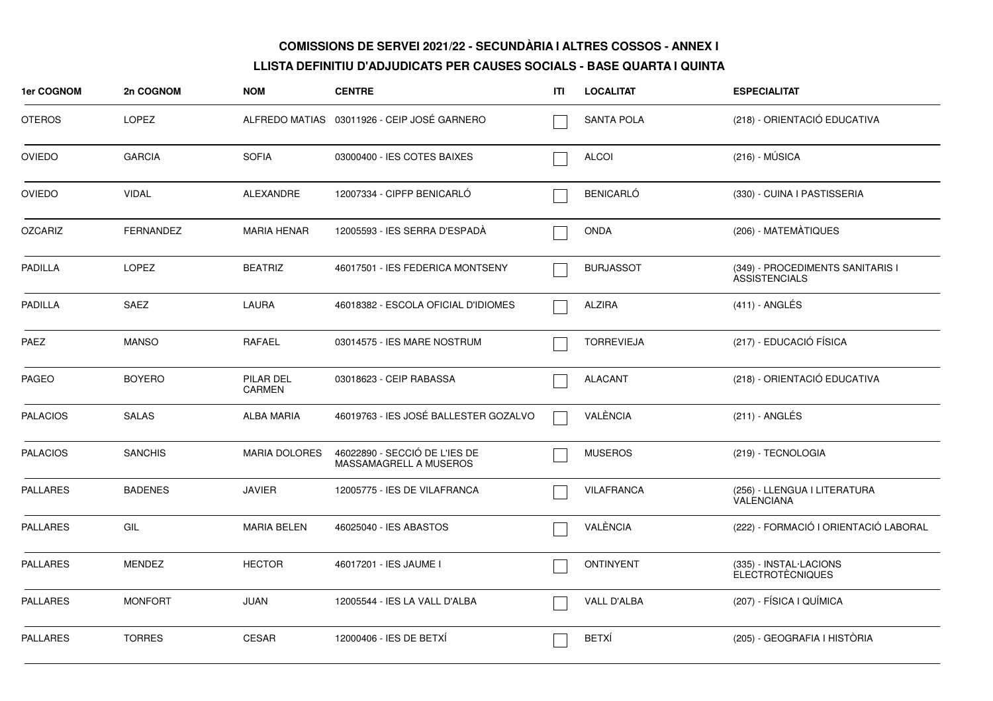| <b>1er COGNOM</b> | 2n COGNOM        | <b>NOM</b>           | <b>CENTRE</b>                                           | ITI | <b>LOCALITAT</b>  | <b>ESPECIALITAT</b>                                      |
|-------------------|------------------|----------------------|---------------------------------------------------------|-----|-------------------|----------------------------------------------------------|
| <b>OTEROS</b>     | <b>LOPEZ</b>     |                      | ALFREDO MATIAS 03011926 - CEIP JOSÉ GARNERO             |     | <b>SANTA POLA</b> | (218) - ORIENTACIÓ EDUCATIVA                             |
| <b>OVIEDO</b>     | <b>GARCIA</b>    | <b>SOFIA</b>         | 03000400 - IES COTES BAIXES                             |     | <b>ALCOI</b>      | $(216) - MÚSICA$                                         |
| <b>OVIEDO</b>     | <b>VIDAL</b>     | ALEXANDRE            | 12007334 - CIPFP BENICARLÓ                              |     | <b>BENICARLÓ</b>  | (330) - CUINA I PASTISSERIA                              |
| <b>OZCARIZ</b>    | <b>FERNANDEZ</b> | <b>MARIA HENAR</b>   | 12005593 - IES SERRA D'ESPADÀ                           |     | <b>ONDA</b>       | (206) - MATEMÀTIQUES                                     |
| <b>PADILLA</b>    | <b>LOPEZ</b>     | <b>BEATRIZ</b>       | 46017501 - IES FEDERICA MONTSENY                        |     | <b>BURJASSOT</b>  | (349) - PROCEDIMENTS SANITARIS I<br><b>ASSISTENCIALS</b> |
| <b>PADILLA</b>    | SAEZ             | LAURA                | 46018382 - ESCOLA OFICIAL D'IDIOMES                     |     | <b>ALZIRA</b>     | $(411)$ - ANGLÉS                                         |
| <b>PAEZ</b>       | <b>MANSO</b>     | <b>RAFAEL</b>        | 03014575 - IES MARE NOSTRUM                             |     | <b>TORREVIEJA</b> | (217) - EDUCACIÓ FÍSICA                                  |
| <b>PAGEO</b>      | <b>BOYERO</b>    | PILAR DEL<br>CARMEN  | 03018623 - CEIP RABASSA                                 |     | <b>ALACANT</b>    | (218) - ORIENTACIÓ EDUCATIVA                             |
| <b>PALACIOS</b>   | <b>SALAS</b>     | <b>ALBA MARIA</b>    | 46019763 - IES JOSÉ BALLESTER GOZALVO                   |     | VALÈNCIA          | (211) - ANGLÉS                                           |
| <b>PALACIOS</b>   | <b>SANCHIS</b>   | <b>MARIA DOLORES</b> | 46022890 - SECCIÓ DE L'IES DE<br>MASSAMAGRELL A MUSEROS |     | <b>MUSEROS</b>    | (219) - TECNOLOGIA                                       |
| <b>PALLARES</b>   | <b>BADENES</b>   | <b>JAVIER</b>        | 12005775 - IES DE VILAFRANCA                            |     | <b>VILAFRANCA</b> | (256) - LLENGUA I LITERATURA<br>VALENCIANA               |
| <b>PALLARES</b>   | GIL              | <b>MARIA BELEN</b>   | 46025040 - IES ABASTOS                                  |     | VALÈNCIA          | (222) - FORMACIÓ I ORIENTACIÓ LABORAL                    |
| <b>PALLARES</b>   | MENDEZ           | <b>HECTOR</b>        | 46017201 - IES JAUME I                                  |     | <b>ONTINYENT</b>  | (335) - INSTAL·LACIONS<br><b>ELECTROTÈCNIQUES</b>        |
| <b>PALLARES</b>   | <b>MONFORT</b>   | <b>JUAN</b>          | 12005544 - IES LA VALL D'ALBA                           |     | VALL D'ALBA       | (207) - FÍSICA I QUÍMICA                                 |
| <b>PALLARES</b>   | <b>TORRES</b>    | <b>CESAR</b>         | 12000406 - IES DE BETXÍ                                 |     | <b>BETXÍ</b>      | (205) - GEOGRAFIA I HISTÒRIA                             |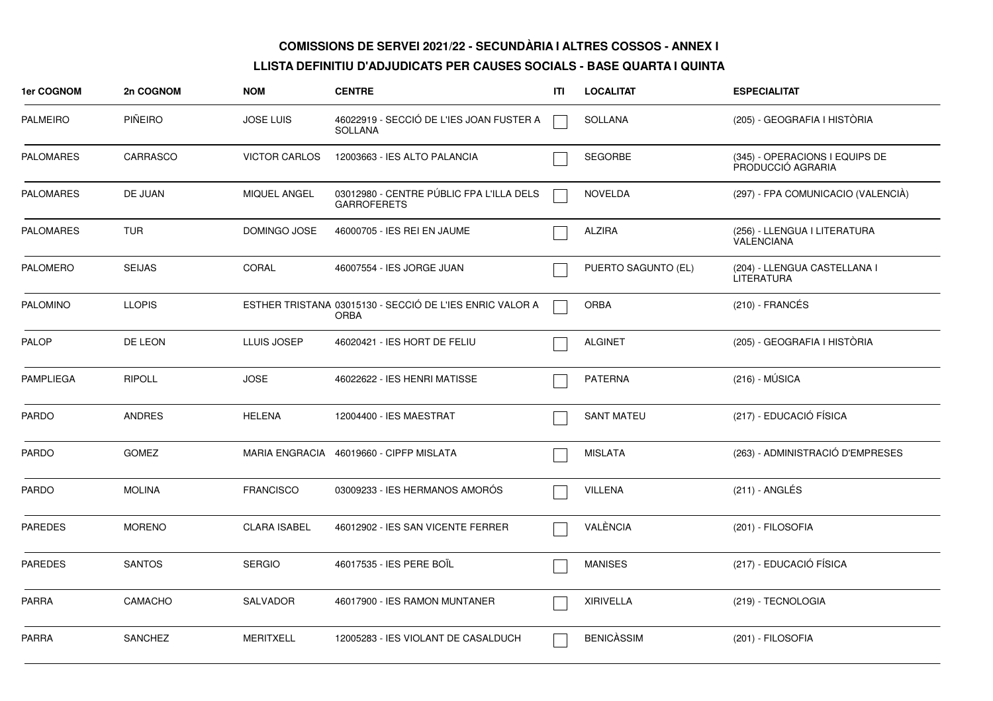| 1er COGNOM       | 2n COGNOM      | <b>NOM</b>           | <b>CENTRE</b>                                                           | ΙTΙ | <b>LOCALITAT</b>    | <b>ESPECIALITAT</b>                                 |
|------------------|----------------|----------------------|-------------------------------------------------------------------------|-----|---------------------|-----------------------------------------------------|
| <b>PALMEIRO</b>  | <b>PIÑEIRO</b> | <b>JOSE LUIS</b>     | 46022919 - SECCIÓ DE L'IES JOAN FUSTER A<br><b>SOLLANA</b>              |     | <b>SOLLANA</b>      | (205) - GEOGRAFIA I HISTÒRIA                        |
| <b>PALOMARES</b> | CARRASCO       | <b>VICTOR CARLOS</b> | 12003663 - IES ALTO PALANCIA                                            |     | <b>SEGORBE</b>      | (345) - OPERACIONS I EQUIPS DE<br>PRODUCCIÓ AGRARIA |
| <b>PALOMARES</b> | DE JUAN        | MIQUEL ANGEL         | 03012980 - CENTRE PÚBLIC FPA L'ILLA DELS<br><b>GARROFERETS</b>          |     | <b>NOVELDA</b>      | (297) - FPA COMUNICACIO (VALENCIA)                  |
| <b>PALOMARES</b> | <b>TUR</b>     | DOMINGO JOSE         | 46000705 - IES REI EN JAUME                                             |     | <b>ALZIRA</b>       | (256) - LLENGUA I LITERATURA<br><b>VALENCIANA</b>   |
| <b>PALOMERO</b>  | <b>SEIJAS</b>  | CORAL                | 46007554 - IES JORGE JUAN                                               |     | PUERTO SAGUNTO (EL) | (204) - LLENGUA CASTELLANA I<br><b>LITERATURA</b>   |
| <b>PALOMINO</b>  | <b>LLOPIS</b>  |                      | ESTHER TRISTANA 03015130 - SECCIÓ DE L'IES ENRIC VALOR A<br><b>ORBA</b> |     | <b>ORBA</b>         | $(210)$ - FRANCÉS                                   |
| <b>PALOP</b>     | DE LEON        | LLUIS JOSEP          | 46020421 - IES HORT DE FELIU                                            |     | <b>ALGINET</b>      | (205) - GEOGRAFIA I HISTÒRIA                        |
| <b>PAMPLIEGA</b> | <b>RIPOLL</b>  | <b>JOSE</b>          | 46022622 - IES HENRI MATISSE                                            |     | <b>PATERNA</b>      | $(216) - MÚSICA$                                    |
| <b>PARDO</b>     | <b>ANDRES</b>  | <b>HELENA</b>        | 12004400 - IES MAESTRAT                                                 |     | <b>SANT MATEU</b>   | (217) - EDUCACIÓ FÍSICA                             |
| <b>PARDO</b>     | <b>GOMEZ</b>   |                      | MARIA ENGRACIA 46019660 - CIPFP MISLATA                                 |     | <b>MISLATA</b>      | (263) - ADMINISTRACIÓ D'EMPRESES                    |
| PARDO            | <b>MOLINA</b>  | <b>FRANCISCO</b>     | 03009233 - IES HERMANOS AMORÓS                                          |     | <b>VILLENA</b>      | $(211)$ - ANGLÉS                                    |
| <b>PAREDES</b>   | <b>MORENO</b>  | <b>CLARA ISABEL</b>  | 46012902 - IES SAN VICENTE FERRER                                       |     | VALÈNCIA            | (201) - FILOSOFIA                                   |
| <b>PAREDES</b>   | <b>SANTOS</b>  | <b>SERGIO</b>        | 46017535 - IES PERE BOIL                                                |     | <b>MANISES</b>      | (217) - EDUCACIÓ FÍSICA                             |
| <b>PARRA</b>     | CAMACHO        | <b>SALVADOR</b>      | 46017900 - IES RAMON MUNTANER                                           |     | <b>XIRIVELLA</b>    | (219) - TECNOLOGIA                                  |
| <b>PARRA</b>     | <b>SANCHEZ</b> | <b>MERITXELL</b>     | 12005283 - IES VIOLANT DE CASALDUCH                                     |     | <b>BENICASSIM</b>   | (201) - FILOSOFIA                                   |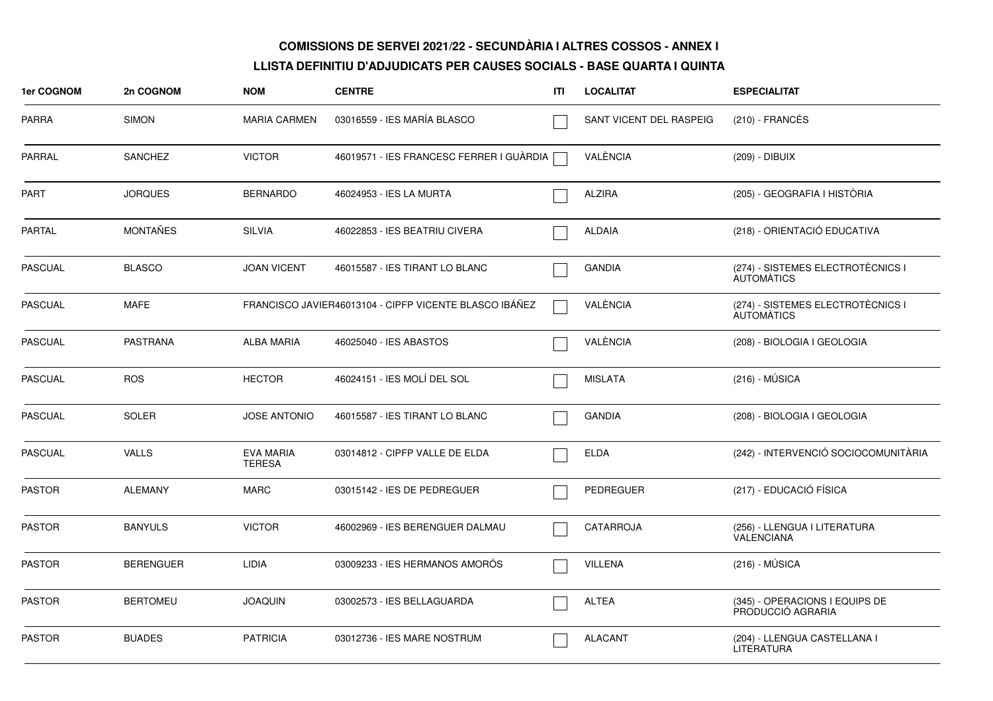| 1er COGNOM     | 2n COGNOM        | <b>NOM</b>                        | <b>CENTRE</b>                                          | ITI | <b>LOCALITAT</b>        | <b>ESPECIALITAT</b>                                    |
|----------------|------------------|-----------------------------------|--------------------------------------------------------|-----|-------------------------|--------------------------------------------------------|
| PARRA          | <b>SIMON</b>     | <b>MARIA CARMEN</b>               | 03016559 - IES MARÍA BLASCO                            |     | SANT VICENT DEL RASPEIG | (210) - FRANCÉS                                        |
| PARRAL         | <b>SANCHEZ</b>   | <b>VICTOR</b>                     | 46019571 - IES FRANCESC FERRER I GUÀRDIA               |     | VALÈNCIA                | (209) - DIBUIX                                         |
| PART           | <b>JORQUES</b>   | <b>BERNARDO</b>                   | 46024953 - IES LA MURTA                                |     | <b>ALZIRA</b>           | (205) - GEOGRAFIA I HISTÒRIA                           |
| <b>PARTAL</b>  | <b>MONTAÑES</b>  | <b>SILVIA</b>                     | 46022853 - IES BEATRIU CIVERA                          |     | <b>ALDAIA</b>           | (218) - ORIENTACIÓ EDUCATIVA                           |
| PASCUAL        | <b>BLASCO</b>    | <b>JOAN VICENT</b>                | 46015587 - IES TIRANT LO BLANC                         |     | <b>GANDIA</b>           | (274) - SISTEMES ELECTROTÈCNICS I<br><b>AUTOMATICS</b> |
| <b>PASCUAL</b> | <b>MAFE</b>      |                                   | FRANCISCO JAVIER46013104 - CIPFP VICENTE BLASCO IBÁÑEZ |     | VALÈNCIA                | (274) - SISTEMES ELECTROTÈCNICS I<br><b>AUTOMATICS</b> |
| PASCUAL        | <b>PASTRANA</b>  | <b>ALBA MARIA</b>                 | 46025040 - IES ABASTOS                                 |     | VALÈNCIA                | (208) - BIOLOGIA I GEOLOGIA                            |
| PASCUAL        | <b>ROS</b>       | <b>HECTOR</b>                     | 46024151 - IES MOLÍ DEL SOL                            |     | <b>MISLATA</b>          | $(216) - MÚSICA$                                       |
| PASCUAL        | <b>SOLER</b>     | <b>JOSE ANTONIO</b>               | 46015587 - IES TIRANT LO BLANC                         |     | <b>GANDIA</b>           | (208) - BIOLOGIA I GEOLOGIA                            |
| PASCUAL        | <b>VALLS</b>     | <b>EVA MARIA</b><br><b>TERESA</b> | 03014812 - CIPFP VALLE DE ELDA                         |     | <b>ELDA</b>             | (242) - INTERVENCIÓ SOCIOCOMUNITÀRIA                   |
| <b>PASTOR</b>  | <b>ALEMANY</b>   | <b>MARC</b>                       | 03015142 - IES DE PEDREGUER                            |     | PEDREGUER               | (217) - EDUCACIÓ FÍSICA                                |
| <b>PASTOR</b>  | <b>BANYULS</b>   | <b>VICTOR</b>                     | 46002969 - IES BERENGUER DALMAU                        |     | <b>CATARROJA</b>        | (256) - LLENGUA I LITERATURA<br>VALENCIANA             |
| PASTOR         | <b>BERENGUER</b> | LIDIA                             | 03009233 - IES HERMANOS AMORÓS                         |     | <b>VILLENA</b>          | $(216) - MÚSICA$                                       |
| <b>PASTOR</b>  | <b>BERTOMEU</b>  | <b>JOAQUIN</b>                    | 03002573 - IES BELLAGUARDA                             |     | <b>ALTEA</b>            | (345) - OPERACIONS I EQUIPS DE<br>PRODUCCIÓ AGRARIA    |
| <b>PASTOR</b>  | <b>BUADES</b>    | <b>PATRICIA</b>                   | 03012736 - IES MARE NOSTRUM                            |     | <b>ALACANT</b>          | (204) - LLENGUA CASTELLANA I<br><b>LITERATURA</b>      |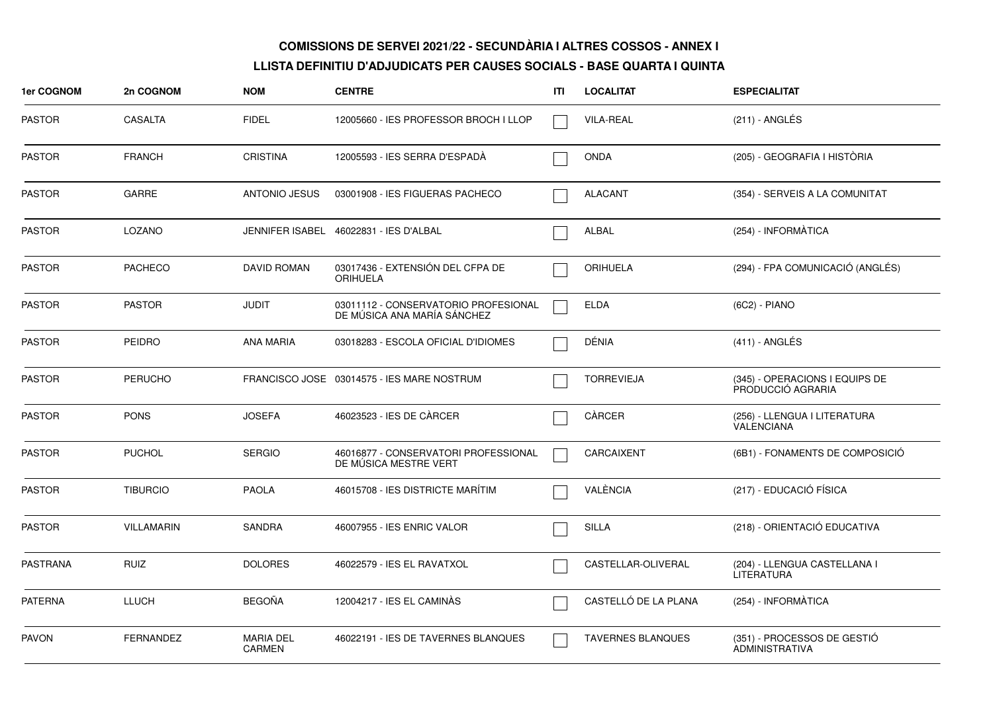| 1er COGNOM      | 2n COGNOM         | <b>NOM</b>                        | <b>CENTRE</b>                                                       | ITI | <b>LOCALITAT</b>         | <b>ESPECIALITAT</b>                                 |
|-----------------|-------------------|-----------------------------------|---------------------------------------------------------------------|-----|--------------------------|-----------------------------------------------------|
| <b>PASTOR</b>   | <b>CASALTA</b>    | <b>FIDEL</b>                      | 12005660 - IES PROFESSOR BROCH I LLOP                               |     | <b>VILA-REAL</b>         | $(211)$ - ANGLÉS                                    |
| <b>PASTOR</b>   | <b>FRANCH</b>     | <b>CRISTINA</b>                   | 12005593 - IES SERRA D'ESPADÀ                                       |     | <b>ONDA</b>              | (205) - GEOGRAFIA I HISTÒRIA                        |
| <b>PASTOR</b>   | <b>GARRE</b>      | <b>ANTONIO JESUS</b>              | 03001908 - IES FIGUERAS PACHECO                                     |     | <b>ALACANT</b>           | (354) - SERVEIS A LA COMUNITAT                      |
| <b>PASTOR</b>   | LOZANO            |                                   | JENNIFER ISABEL 46022831 - IES D'ALBAL                              |     | ALBAL                    | (254) - INFORMÀTICA                                 |
| <b>PASTOR</b>   | <b>PACHECO</b>    | <b>DAVID ROMAN</b>                | 03017436 - EXTENSIÓN DEL CFPA DE<br><b>ORIHUELA</b>                 |     | <b>ORIHUELA</b>          | (294) - FPA COMUNICACIÓ (ANGLÉS)                    |
| <b>PASTOR</b>   | <b>PASTOR</b>     | <b>JUDIT</b>                      | 03011112 - CONSERVATORIO PROFESIONAL<br>DE MÚSICA ANA MARÍA SÁNCHEZ |     | <b>ELDA</b>              | (6C2) - PIANO                                       |
| <b>PASTOR</b>   | <b>PEIDRO</b>     | <b>ANA MARIA</b>                  | 03018283 - ESCOLA OFICIAL D'IDIOMES                                 |     | DÉNIA                    | $(411)$ - ANGLÉS                                    |
| <b>PASTOR</b>   | <b>PERUCHO</b>    |                                   | FRANCISCO JOSE 03014575 - IES MARE NOSTRUM                          |     | <b>TORREVIEJA</b>        | (345) - OPERACIONS I EQUIPS DE<br>PRODUCCIÓ AGRARIA |
| <b>PASTOR</b>   | <b>PONS</b>       | <b>JOSEFA</b>                     | 46023523 - IES DE CÀRCER                                            |     | CÀRCER                   | (256) - LLENGUA I LITERATURA<br>VALENCIANA          |
| <b>PASTOR</b>   | <b>PUCHOL</b>     | <b>SERGIO</b>                     | 46016877 - CONSERVATORI PROFESSIONAL<br>DE MUSICA MESTRE VERT       |     | CARCAIXENT               | (6B1) - FONAMENTS DE COMPOSICIÓ                     |
| <b>PASTOR</b>   | <b>TIBURCIO</b>   | <b>PAOLA</b>                      | 46015708 - IES DISTRICTE MARITIM                                    |     | VALÈNCIA                 | (217) - EDUCACIÓ FÍSICA                             |
| <b>PASTOR</b>   | <b>VILLAMARIN</b> | <b>SANDRA</b>                     | 46007955 - IES ENRIC VALOR                                          |     | <b>SILLA</b>             | (218) - ORIENTACIÓ EDUCATIVA                        |
| <b>PASTRANA</b> | <b>RUIZ</b>       | <b>DOLORES</b>                    | 46022579 - IES EL RAVATXOL                                          |     | CASTELLAR-OLIVERAL       | (204) - LLENGUA CASTELLANA I<br><b>LITERATURA</b>   |
| <b>PATERNA</b>  | <b>LLUCH</b>      | <b>BEGOÑA</b>                     | 12004217 - IES EL CAMINÀS                                           |     | CASTELLÓ DE LA PLANA     | (254) - INFORMÀTICA                                 |
| <b>PAVON</b>    | <b>FERNANDEZ</b>  | <b>MARIA DEL</b><br><b>CARMEN</b> | 46022191 - IES DE TAVERNES BLANQUES                                 |     | <b>TAVERNES BLANQUES</b> | (351) - PROCESSOS DE GESTIÓ<br>ADMINISTRATIVA       |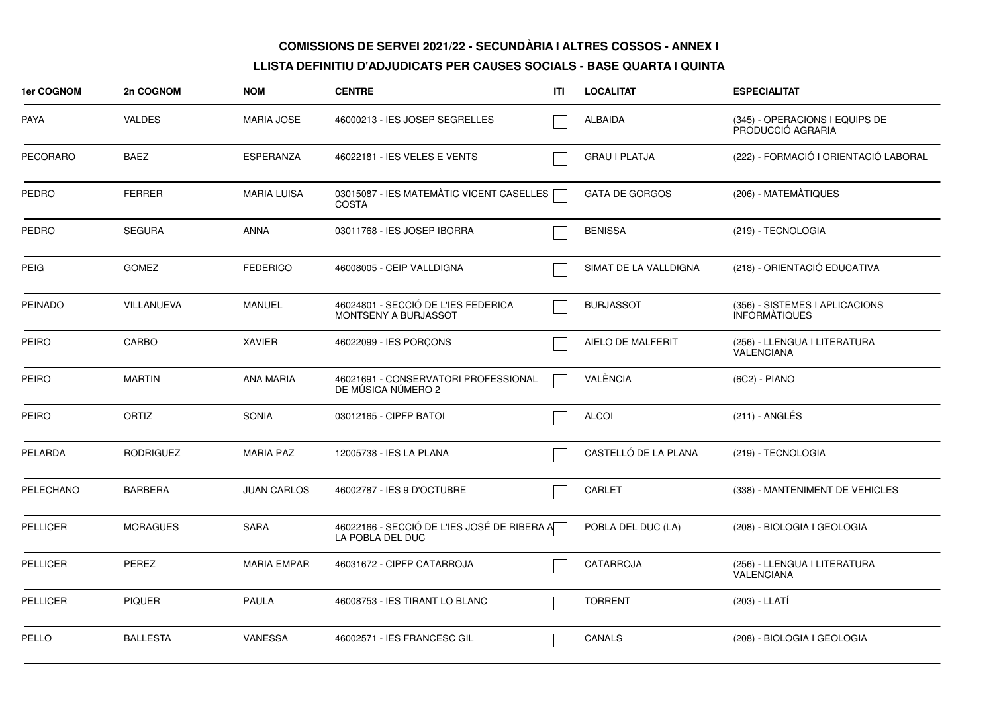| <b>1er COGNOM</b> | 2n COGNOM        | <b>NOM</b>         | <b>CENTRE</b>                                                   | ITI | <b>LOCALITAT</b>      | <b>ESPECIALITAT</b>                                    |
|-------------------|------------------|--------------------|-----------------------------------------------------------------|-----|-----------------------|--------------------------------------------------------|
| <b>PAYA</b>       | <b>VALDES</b>    | <b>MARIA JOSE</b>  | 46000213 - IES JOSEP SEGRELLES                                  |     | <b>ALBAIDA</b>        | (345) - OPERACIONS I EQUIPS DE<br>PRODUCCIÓ AGRARIA    |
| <b>PECORARO</b>   | <b>BAEZ</b>      | <b>ESPERANZA</b>   | 46022181 - IES VELES E VENTS                                    |     | <b>GRAU I PLATJA</b>  | (222) - FORMACIÓ I ORIENTACIÓ LABORAL                  |
| <b>PEDRO</b>      | <b>FERRER</b>    | <b>MARIA LUISA</b> | 03015087 - IES MATEMÀTIC VICENT CASELLES<br><b>COSTA</b>        |     | <b>GATA DE GORGOS</b> | (206) - MATEMATIQUES                                   |
| <b>PEDRO</b>      | <b>SEGURA</b>    | <b>ANNA</b>        | 03011768 - IES JOSEP IBORRA                                     |     | <b>BENISSA</b>        | (219) - TECNOLOGIA                                     |
| <b>PEIG</b>       | <b>GOMEZ</b>     | <b>FEDERICO</b>    | 46008005 - CEIP VALLDIGNA                                       |     | SIMAT DE LA VALLDIGNA | (218) - ORIENTACIÓ EDUCATIVA                           |
| <b>PEINADO</b>    | VILLANUEVA       | <b>MANUEL</b>      | 46024801 - SECCIÓ DE L'IES FEDERICA<br>MONTSENY A BURJASSOT     |     | <b>BURJASSOT</b>      | (356) - SISTEMES I APLICACIONS<br><b>INFORMATIQUES</b> |
| <b>PEIRO</b>      | <b>CARBO</b>     | <b>XAVIER</b>      | 46022099 - IES PORÇONS                                          |     | AIELO DE MALFERIT     | (256) - LLENGUA I LITERATURA<br><b>VALENCIANA</b>      |
| <b>PEIRO</b>      | <b>MARTIN</b>    | <b>ANA MARIA</b>   | 46021691 - CONSERVATORI PROFESSIONAL<br>DE MÚSICA NÚMERO 2      |     | VALÈNCIA              | (6C2) - PIANO                                          |
| <b>PEIRO</b>      | ORTIZ            | <b>SONIA</b>       | 03012165 - CIPFP BATOI                                          |     | <b>ALCOI</b>          | $(211)$ - ANGLÉS                                       |
| <b>PELARDA</b>    | <b>RODRIGUEZ</b> | <b>MARIA PAZ</b>   | 12005738 - IES LA PLANA                                         |     | CASTELLÓ DE LA PLANA  | (219) - TECNOLOGIA                                     |
| PELECHANO         | <b>BARBERA</b>   | <b>JUAN CARLOS</b> | 46002787 - IES 9 D'OCTUBRE                                      |     | <b>CARLET</b>         | (338) - MANTENIMENT DE VEHICLES                        |
| <b>PELLICER</b>   | <b>MORAGUES</b>  | <b>SARA</b>        | 46022166 - SECCIÓ DE L'IES JOSÉ DE RIBERA A<br>LA POBLA DEL DUC |     | POBLA DEL DUC (LA)    | (208) - BIOLOGIA I GEOLOGIA                            |
| <b>PELLICER</b>   | <b>PEREZ</b>     | <b>MARIA EMPAR</b> | 46031672 - CIPFP CATARROJA                                      |     | <b>CATARROJA</b>      | (256) - LLENGUA I LITERATURA<br>VALÉNCIANA             |
| <b>PELLICER</b>   | <b>PIQUER</b>    | <b>PAULA</b>       | 46008753 - IES TIRANT LO BLANC                                  |     | <b>TORRENT</b>        | (203) - LLATÍ                                          |
| PELLO             | <b>BALLESTA</b>  | <b>VANESSA</b>     | 46002571 - IES FRANCESC GIL                                     |     | CANALS                | (208) - BIOLOGIA I GEOLOGIA                            |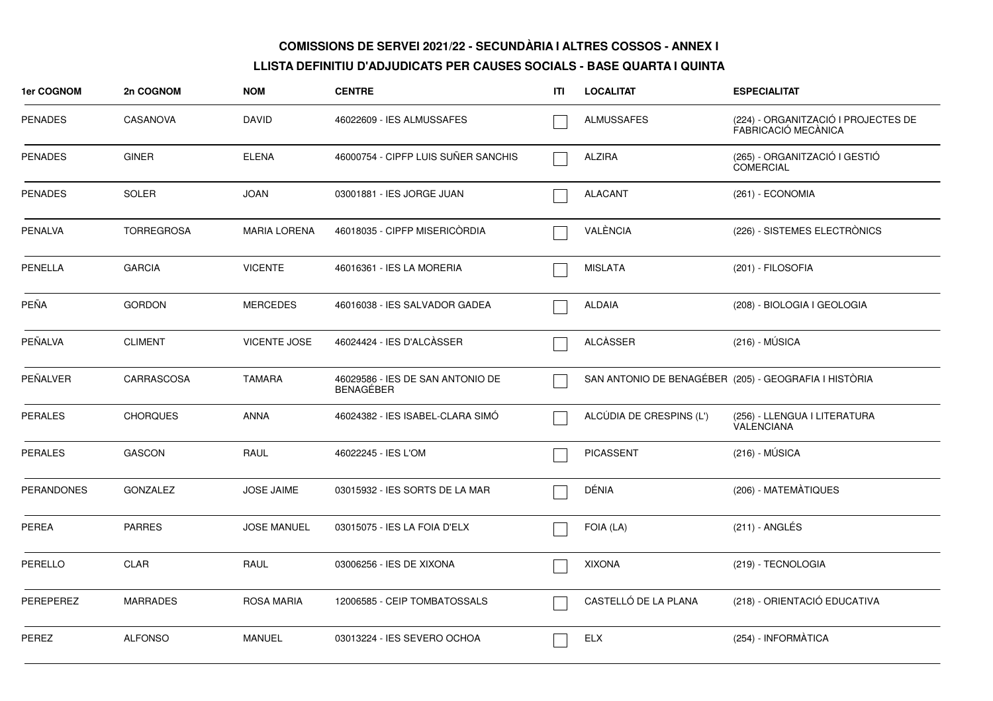| 1er COGNOM        | 2n COGNOM         | <b>NOM</b>          | <b>CENTRE</b>                                        | ITL | <b>LOCALITAT</b>         | <b>ESPECIALITAT</b>                                        |
|-------------------|-------------------|---------------------|------------------------------------------------------|-----|--------------------------|------------------------------------------------------------|
| <b>PENADES</b>    | <b>CASANOVA</b>   | <b>DAVID</b>        | 46022609 - IES ALMUSSAFES                            |     | <b>ALMUSSAFES</b>        | (224) - ORGANITZACIÓ I PROJECTES DE<br>FABRICACIÓ MECÀNICA |
| <b>PENADES</b>    | <b>GINER</b>      | <b>ELENA</b>        | 46000754 - CIPFP LUIS SUÑER SANCHIS                  |     | <b>ALZIRA</b>            | (265) - ORGANITZACIÓ I GESTIÓ<br><b>COMERCIAL</b>          |
| <b>PENADES</b>    | <b>SOLER</b>      | <b>JOAN</b>         | 03001881 - IES JORGE JUAN                            |     | <b>ALACANT</b>           | $(261) - ECONOMIA$                                         |
| PENALVA           | <b>TORREGROSA</b> | <b>MARIA LORENA</b> | 46018035 - CIPFP MISERICORDIA                        |     | VALÈNCIA                 | (226) - SISTEMES ELECTRÒNICS                               |
| PENELLA           | <b>GARCIA</b>     | <b>VICENTE</b>      | 46016361 - IES LA MORERIA                            |     | <b>MISLATA</b>           | (201) - FILOSOFIA                                          |
| PEÑA              | <b>GORDON</b>     | <b>MERCEDES</b>     | 46016038 - IES SALVADOR GADEA                        |     | <b>ALDAIA</b>            | (208) - BIOLOGIA I GEOLOGIA                                |
| PEÑALVA           | <b>CLIMENT</b>    | <b>VICENTE JOSE</b> | 46024424 - IES D'ALCÀSSER                            |     | <b>ALCÀSSER</b>          | $(216) - MÚSICA$                                           |
| PEÑALVER          | CARRASCOSA        | <b>TAMARA</b>       | 46029586 - IES DE SAN ANTONIO DE<br><b>BENAGEBER</b> |     |                          | SAN ANTONIO DE BENAGÉBER (205) - GEOGRAFIA I HISTÒRIA      |
| <b>PERALES</b>    | <b>CHORQUES</b>   | ANNA                | 46024382 - IES ISABEL-CLARA SIMO                     |     | ALCÚDIA DE CRESPINS (L') | (256) - LLENGUA I LITERATURA<br><b>VALENCIANA</b>          |
| <b>PERALES</b>    | <b>GASCON</b>     | RAUL                | 46022245 - IES L'OM                                  |     | <b>PICASSENT</b>         | $(216) - MÚSICA$                                           |
| <b>PERANDONES</b> | <b>GONZALEZ</b>   | <b>JOSE JAIME</b>   | 03015932 - IES SORTS DE LA MAR                       |     | DÉNIA                    | (206) - MATEMATIQUES                                       |
| PEREA             | <b>PARRES</b>     | <b>JOSE MANUEL</b>  | 03015075 - IES LA FOIA D'ELX                         |     | FOIA (LA)                | (211) - ANGLÉS                                             |
| PERELLO           | <b>CLAR</b>       | RAUL                | 03006256 - IES DE XIXONA                             |     | <b>XIXONA</b>            | (219) - TECNOLOGIA                                         |
| PEREPEREZ         | <b>MARRADES</b>   | <b>ROSA MARIA</b>   | 12006585 - CEIP TOMBATOSSALS                         |     | CASTELLÓ DE LA PLANA     | (218) - ORIENTACIÓ EDUCATIVA                               |
| PEREZ             | <b>ALFONSO</b>    | <b>MANUEL</b>       | 03013224 - IES SEVERO OCHOA                          |     | <b>ELX</b>               | (254) - INFORMÀTICA                                        |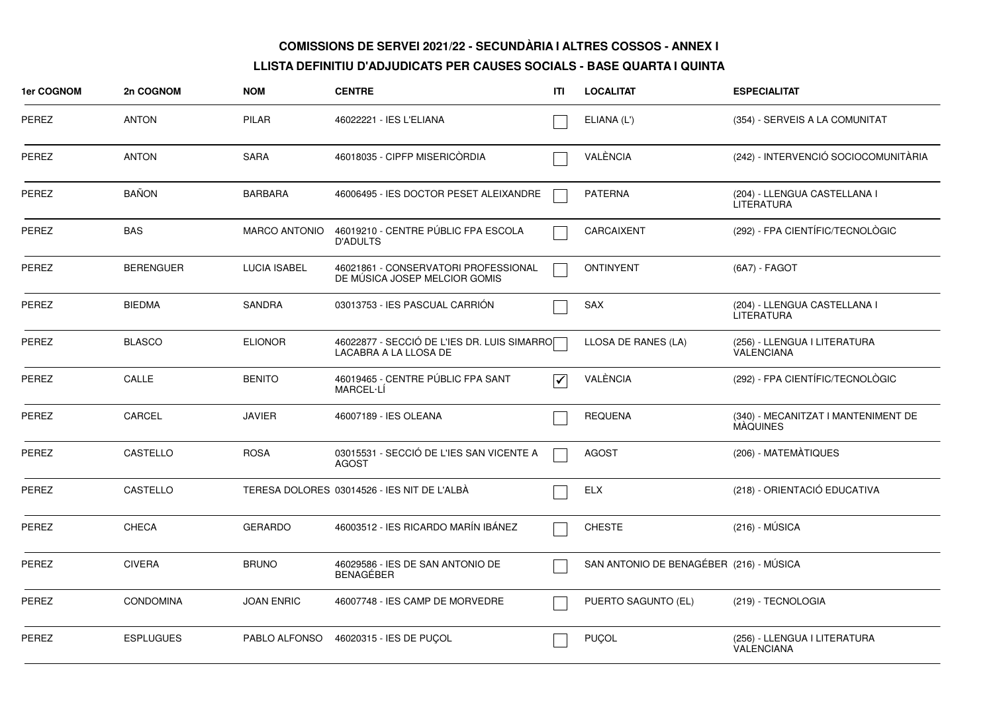| <b>1er COGNOM</b> | 2n COGNOM        | <b>NOM</b>           | <b>CENTRE</b>                                                         | ITI | <b>LOCALITAT</b>                        | <b>ESPECIALITAT</b>                                    |
|-------------------|------------------|----------------------|-----------------------------------------------------------------------|-----|-----------------------------------------|--------------------------------------------------------|
| PEREZ             | <b>ANTON</b>     | <b>PILAR</b>         | 46022221 - IES L'ELIANA                                               |     | ELIANA (L')                             | (354) - SERVEIS A LA COMUNITAT                         |
| <b>PEREZ</b>      | <b>ANTON</b>     | <b>SARA</b>          | 46018035 - CIPFP MISERICÒRDIA                                         |     | VALÈNCIA                                | (242) - INTERVENCIÓ SOCIOCOMUNITÀRIA                   |
| <b>PEREZ</b>      | <b>BAÑON</b>     | <b>BARBARA</b>       | 46006495 - IES DOCTOR PESET ALEIXANDRE                                |     | <b>PATERNA</b>                          | (204) - LLENGUA CASTELLANA I<br>LITERATURA             |
| PEREZ             | <b>BAS</b>       | <b>MARCO ANTONIO</b> | 46019210 - CENTRE PÚBLIC FPA ESCOLA<br><b>D'ADULTS</b>                |     | CARCAIXENT                              | (292) - FPA CIENTÍFIC/TECNOLÒGIC                       |
| <b>PEREZ</b>      | <b>BERENGUER</b> | <b>LUCIA ISABEL</b>  | 46021861 - CONSERVATORI PROFESSIONAL<br>DE MUSICA JOSEP MELCIOR GOMIS |     | <b>ONTINYENT</b>                        | (6A7) - FAGOT                                          |
| <b>PEREZ</b>      | <b>BIEDMA</b>    | <b>SANDRA</b>        | 03013753 - IES PASCUAL CARRION                                        |     | <b>SAX</b>                              | (204) - LLENGUA CASTELLANA I<br><b>LITERATURA</b>      |
| PEREZ             | <b>BLASCO</b>    | <b>ELIONOR</b>       | 46022877 - SECCIÓ DE L'IES DR. LUIS SIMARRO<br>LACABRA A LA LLOSA DE  |     | LLOSA DE RANES (LA)                     | (256) - LLENGUA I LITERATURA<br><b>VALENCIANA</b>      |
| PEREZ             | CALLE            | <b>BENITO</b>        | 46019465 - CENTRE PÚBLIC FPA SANT<br>MARCEL-LÍ                        | √   | VALÈNCIA                                | (292) - FPA CIENTÍFIC/TECNOLÒGIC                       |
| PEREZ             | CARCEL           | <b>JAVIER</b>        | 46007189 - IES OLEANA                                                 |     | <b>REQUENA</b>                          | (340) - MECANITZAT I MANTENIMENT DE<br><b>MAQUINES</b> |
| PEREZ             | <b>CASTELLO</b>  | <b>ROSA</b>          | 03015531 - SECCIÓ DE L'IES SAN VICENTE A<br><b>AGOST</b>              |     | <b>AGOST</b>                            | (206) - MATEMÀTIQUES                                   |
| <b>PEREZ</b>      | CASTELLO         |                      | TERESA DOLORES 03014526 - IES NIT DE L'ALBÀ                           |     | <b>ELX</b>                              | (218) - ORIENTACIÓ EDUCATIVA                           |
| <b>PEREZ</b>      | <b>CHECA</b>     | <b>GERARDO</b>       | 46003512 - IES RICARDO MARÍN IBÁNEZ                                   |     | <b>CHESTE</b>                           | $(216) - MÚSICA$                                       |
| PEREZ             | <b>CIVERA</b>    | <b>BRUNO</b>         | 46029586 - IES DE SAN ANTONIO DE<br>BENAGÉBER                         |     | SAN ANTONIO DE BENAGÉBER (216) - MÚSICA |                                                        |
| <b>PEREZ</b>      | <b>CONDOMINA</b> | <b>JOAN ENRIC</b>    | 46007748 - IES CAMP DE MORVEDRE                                       |     | PUERTO SAGUNTO (EL)                     | (219) - TECNOLOGIA                                     |
| PEREZ             | <b>ESPLUGUES</b> | PABLO ALFONSO        | 46020315 - IES DE PUCOL                                               |     | <b>PUÇOL</b>                            | (256) - LLENGUA I LITERATURA<br>VALENCIANA             |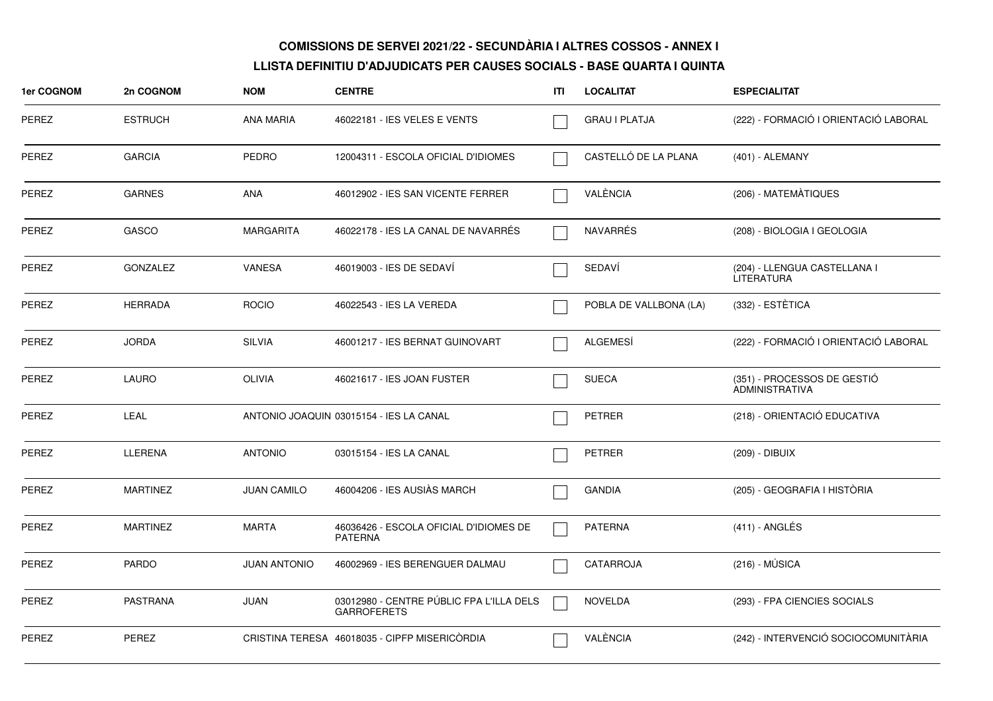| 1er COGNOM   | 2n COGNOM       | <b>NOM</b>          | <b>CENTRE</b>                                                  | ITI | <b>LOCALITAT</b>       | <b>ESPECIALITAT</b>                                  |
|--------------|-----------------|---------------------|----------------------------------------------------------------|-----|------------------------|------------------------------------------------------|
| <b>PEREZ</b> | <b>ESTRUCH</b>  | <b>ANA MARIA</b>    | 46022181 - IES VELES E VENTS                                   |     | <b>GRAU I PLATJA</b>   | (222) - FORMACIÓ I ORIENTACIÓ LABORAL                |
| PEREZ        | <b>GARCIA</b>   | PEDRO               | 12004311 - ESCOLA OFICIAL D'IDIOMES                            |     | CASTELLÓ DE LA PLANA   | (401) - ALEMANY                                      |
| PEREZ        | <b>GARNES</b>   | ANA                 | 46012902 - IES SAN VICENTE FERRER                              |     | VALÈNCIA               | (206) - MATEMÀTIQUES                                 |
| PEREZ        | <b>GASCO</b>    | <b>MARGARITA</b>    | 46022178 - IES LA CANAL DE NAVARRÉS                            |     | <b>NAVARRÉS</b>        | (208) - BIOLOGIA I GEOLOGIA                          |
| PEREZ        | <b>GONZALEZ</b> | <b>VANESA</b>       | 46019003 - IES DE SEDAVI                                       |     | SEDAVÍ                 | (204) - LLENGUA CASTELLANA I<br><b>LITERATURA</b>    |
| PEREZ        | <b>HERRADA</b>  | <b>ROCIO</b>        | 46022543 - IES LA VEREDA                                       |     | POBLA DE VALLBONA (LA) | (332) - ESTÈTICA                                     |
| PEREZ        | <b>JORDA</b>    | <b>SILVIA</b>       | 46001217 - IES BERNAT GUINOVART                                |     | ALGEMESÍ               | (222) - FORMACIÓ I ORIENTACIÓ LABORAL                |
| PEREZ        | LAURO           | <b>OLIVIA</b>       | 46021617 - IES JOAN FUSTER                                     |     | <b>SUECA</b>           | (351) - PROCESSOS DE GESTIÓ<br><b>ADMINISTRATIVA</b> |
| <b>PEREZ</b> | LEAL            |                     | ANTONIO JOAQUIN 03015154 - IES LA CANAL                        |     | <b>PETRER</b>          | (218) - ORIENTACIÓ EDUCATIVA                         |
| <b>PEREZ</b> | LLERENA         | <b>ANTONIO</b>      | 03015154 - IES LA CANAL                                        |     | <b>PETRER</b>          | (209) - DIBUIX                                       |
| PEREZ        | <b>MARTINEZ</b> | <b>JUAN CAMILO</b>  | 46004206 - IES AUSIÀS MARCH                                    |     | <b>GANDIA</b>          | (205) - GEOGRAFIA I HISTÒRIA                         |
| PEREZ        | <b>MARTINEZ</b> | <b>MARTA</b>        | 46036426 - ESCOLA OFICIAL D'IDIOMES DE<br><b>PATERNA</b>       |     | <b>PATERNA</b>         | $(411)$ - ANGLÉS                                     |
| PEREZ        | <b>PARDO</b>    | <b>JUAN ANTONIO</b> | 46002969 - IES BERENGUER DALMAU                                |     | <b>CATARROJA</b>       | $(216) - MÚSICA$                                     |
| <b>PEREZ</b> | <b>PASTRANA</b> | <b>JUAN</b>         | 03012980 - CENTRE PÚBLIC FPA L'ILLA DELS<br><b>GARROFERETS</b> |     | <b>NOVELDA</b>         | (293) - FPA CIENCIES SOCIALS                         |
| <b>PEREZ</b> | <b>PEREZ</b>    |                     | CRISTINA TERESA 46018035 - CIPFP MISERICORDIA                  |     | VALÈNCIA               | (242) - INTERVENCIÓ SOCIOCOMUNITÀRIA                 |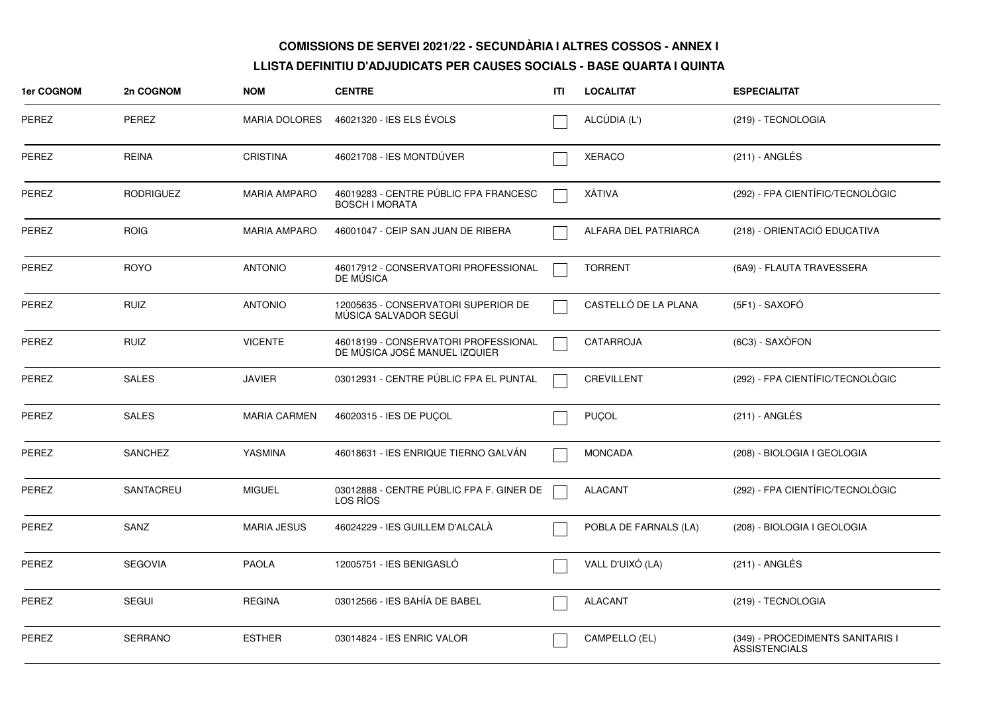| 1er COGNOM   | 2n COGNOM        | <b>NOM</b>           | <b>CENTRE</b>                                                         | ITI | <b>LOCALITAT</b>      | <b>ESPECIALITAT</b>                                      |
|--------------|------------------|----------------------|-----------------------------------------------------------------------|-----|-----------------------|----------------------------------------------------------|
| PEREZ        | PEREZ            | <b>MARIA DOLORES</b> | 46021320 - IES ELS EVOLS                                              |     | ALCÚDIA (L')          | (219) - TECNOLOGIA                                       |
| PEREZ        | <b>REINA</b>     | <b>CRISTINA</b>      | 46021708 - IES MONTDÚVER                                              |     | <b>XERACO</b>         | (211) - ANGLÉS                                           |
| PEREZ        | <b>RODRIGUEZ</b> | <b>MARIA AMPARO</b>  | 46019283 - CENTRE PÚBLIC FPA FRANCESC<br><b>BOSCH I MORATA</b>        |     | XÀTIVA                | (292) - FPA CIENTÍFIC/TECNOLÒGIC                         |
| <b>PEREZ</b> | <b>ROIG</b>      | <b>MARIA AMPARO</b>  | 46001047 - CEIP SAN JUAN DE RIBERA                                    |     | ALFARA DEL PATRIARCA  | (218) - ORIENTACIÓ EDUCATIVA                             |
| PEREZ        | <b>ROYO</b>      | <b>ANTONIO</b>       | 46017912 - CONSERVATORI PROFESSIONAL<br>DE MUSICA                     |     | <b>TORRENT</b>        | (6A9) - FLAUTA TRAVESSERA                                |
| <b>PEREZ</b> | <b>RUIZ</b>      | <b>ANTONIO</b>       | 12005635 - CONSERVATORI SUPERIOR DE<br>MÚSICA SALVADOR SEGUÍ          |     | CASTELLÓ DE LA PLANA  | (5F1) - SAXOFÓ                                           |
| PEREZ        | <b>RUIZ</b>      | <b>VICENTE</b>       | 46018199 - CONSERVATORI PROFESSIONAL<br>DE MÚSICA JOSÉ MANUEL IZQUIER |     | CATARROJA             | (6C3) - SAXÒFON                                          |
| PEREZ        | <b>SALES</b>     | <b>JAVIER</b>        | 03012931 - CENTRE PÚBLIC FPA EL PUNTAL                                |     | <b>CREVILLENT</b>     | (292) - FPA CIENTÍFIC/TECNOLÒGIC                         |
| PEREZ        | <b>SALES</b>     | <b>MARIA CARMEN</b>  | 46020315 - IES DE PUÇOL                                               |     | PUÇOL                 | (211) - ANGLÉS                                           |
| PEREZ        | <b>SANCHEZ</b>   | YASMINA              | 46018631 - IES ENRIQUE TIERNO GALVÁN                                  |     | <b>MONCADA</b>        | (208) - BIOLOGIA I GEOLOGIA                              |
| <b>PEREZ</b> | SANTACREU        | <b>MIGUEL</b>        | 03012888 - CENTRE PÚBLIC FPA F. GINER DE<br>LOS RÍOS                  |     | <b>ALACANT</b>        | (292) - FPA CIENTÍFIC/TECNOLÒGIC                         |
| PEREZ        | SANZ             | <b>MARIA JESUS</b>   | 46024229 - IES GUILLEM D'ALCALA                                       |     | POBLA DE FARNALS (LA) | (208) - BIOLOGIA I GEOLOGIA                              |
| <b>PEREZ</b> | <b>SEGOVIA</b>   | <b>PAOLA</b>         | 12005751 - IES BENIGASLÓ                                              |     | VALL D'UIXÓ (LA)      | (211) - ANGLÉS                                           |
| <b>PEREZ</b> | <b>SEGUI</b>     | <b>REGINA</b>        | 03012566 - IES BAHÍA DE BABEL                                         |     | <b>ALACANT</b>        | (219) - TECNOLOGIA                                       |
| <b>PEREZ</b> | <b>SERRANO</b>   | <b>ESTHER</b>        | 03014824 - IES ENRIC VALOR                                            |     | CAMPELLO (EL)         | (349) - PROCEDIMENTS SANITARIS I<br><b>ASSISTENCIALS</b> |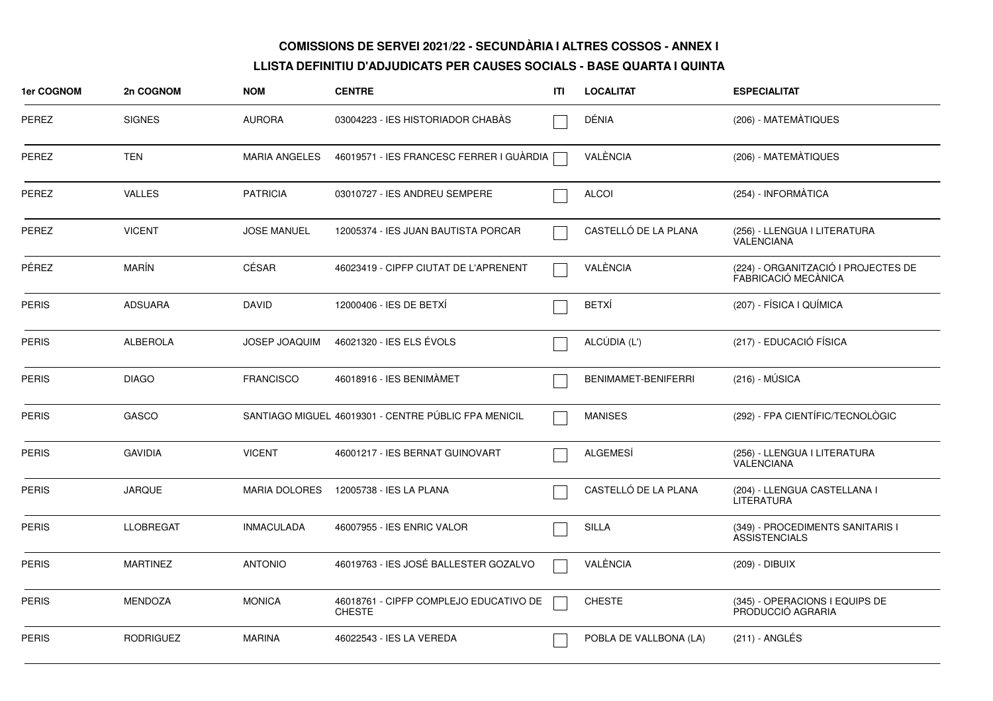| <b>1er COGNOM</b> | 2n COGNOM        | <b>NOM</b>           | <b>CENTRE</b>                                           | ITI | <b>LOCALITAT</b>       | <b>ESPECIALITAT</b>                                        |
|-------------------|------------------|----------------------|---------------------------------------------------------|-----|------------------------|------------------------------------------------------------|
| PEREZ             | <b>SIGNES</b>    | <b>AURORA</b>        | 03004223 - IES HISTORIADOR CHABAS                       |     | DÉNIA                  | (206) - MATEMÀTIQUES                                       |
| PEREZ             | <b>TEN</b>       | <b>MARIA ANGELES</b> | 46019571 - IES FRANCESC FERRER I GUÀRDIA                |     | VALÈNCIA               | (206) - MATEMÀTIQUES                                       |
| PEREZ             | <b>VALLES</b>    | <b>PATRICIA</b>      | 03010727 - IES ANDREU SEMPERE                           |     | <b>ALCOI</b>           | (254) - INFORMÀTICA                                        |
| PEREZ             | <b>VICENT</b>    | <b>JOSE MANUEL</b>   | 12005374 - IES JUAN BAUTISTA PORCAR                     |     | CASTELLÓ DE LA PLANA   | (256) - LLENGUA I LITERATURA<br><b>VALENCIANA</b>          |
| PÉREZ             | MARÍN            | CÉSAR                | 46023419 - CIPFP CIUTAT DE L'APRENENT                   |     | VALÈNCIA               | (224) - ORGANITZACIÓ I PROJECTES DE<br>FABRICACIÓ MECÀNICA |
| <b>PERIS</b>      | <b>ADSUARA</b>   | <b>DAVID</b>         | 12000406 - IES DE BETXI                                 |     | <b>BETXÍ</b>           | (207) - FÍSICA I QUÍMICA                                   |
| <b>PERIS</b>      | <b>ALBEROLA</b>  | <b>JOSEP JOAQUIM</b> | 46021320 - IES ELS ÉVOLS                                |     | ALCÚDIA (L')           | (217) - EDUCACIÓ FÍSICA                                    |
| <b>PERIS</b>      | <b>DIAGO</b>     | <b>FRANCISCO</b>     | 46018916 - IES BENIMAMET                                |     | BENIMAMET-BENIFERRI    | $(216) - MÚSICA$                                           |
| <b>PERIS</b>      | GASCO            |                      | SANTIAGO MIGUEL 46019301 - CENTRE PÚBLIC FPA MENICIL    |     | <b>MANISES</b>         | (292) - FPA CIENTÍFIC/TECNOLÒGIC                           |
| <b>PERIS</b>      | <b>GAVIDIA</b>   | <b>VICENT</b>        | 46001217 - IES BERNAT GUINOVART                         |     | ALGEMESÍ               | (256) - LLENGUA I LITERATURA<br><b>VALENCIANA</b>          |
| <b>PERIS</b>      | <b>JARQUE</b>    | <b>MARIA DOLORES</b> | 12005738 - IES LA PLANA                                 |     | CASTELLÓ DE LA PLANA   | (204) - LLENGUA CASTELLANA I<br>LITERATURA                 |
| <b>PERIS</b>      | <b>LLOBREGAT</b> | <b>INMACULADA</b>    | 46007955 - IES ENRIC VALOR                              |     | <b>SILLA</b>           | (349) - PROCEDIMENTS SANITARIS I<br><b>ASSISTENCIALS</b>   |
| <b>PERIS</b>      | <b>MARTINEZ</b>  | <b>ANTONIO</b>       | 46019763 - IES JOSÉ BALLESTER GOZALVO                   |     | VALÈNCIA               | (209) - DIBUIX                                             |
| <b>PERIS</b>      | <b>MENDOZA</b>   | <b>MONICA</b>        | 46018761 - CIPFP COMPLEJO EDUCATIVO DE<br><b>CHESTE</b> |     | <b>CHESTE</b>          | (345) - OPERACIONS I EQUIPS DE<br>PRODUCCIÓ AGRARIA        |
| <b>PERIS</b>      | <b>RODRIGUEZ</b> | <b>MARINA</b>        | 46022543 - IES LA VEREDA                                |     | POBLA DE VALLBONA (LA) | $(211)$ - ANGLÉS                                           |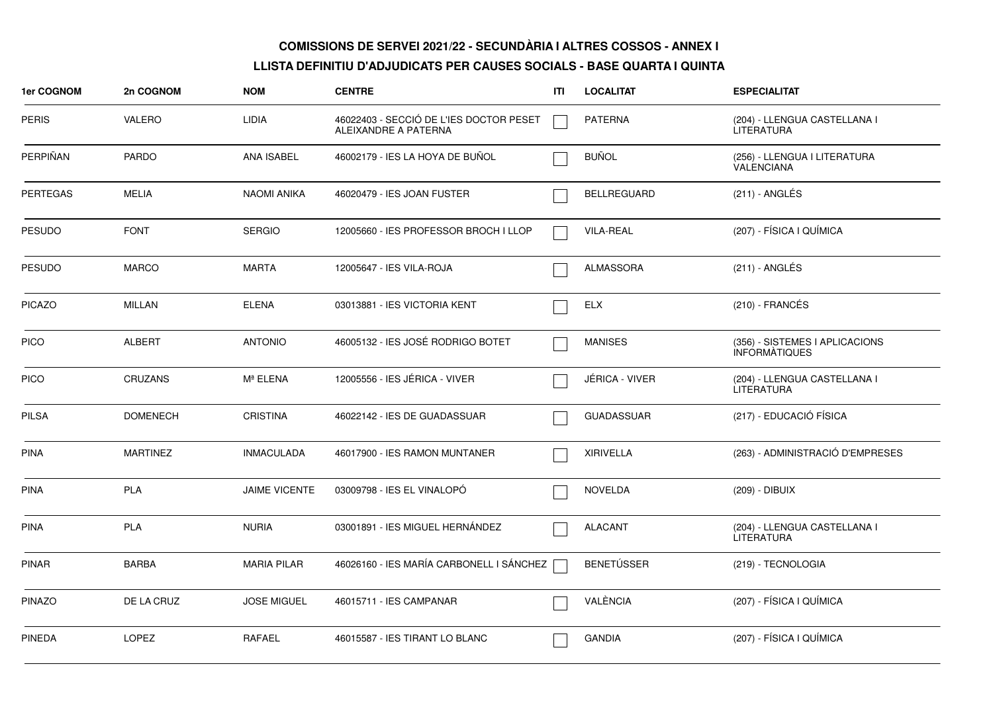| <b>1er COGNOM</b> | 2n COGNOM       | <b>NOM</b>           | <b>CENTRE</b>                                                   | ITI | <b>LOCALITAT</b>      | <b>ESPECIALITAT</b>                                    |
|-------------------|-----------------|----------------------|-----------------------------------------------------------------|-----|-----------------------|--------------------------------------------------------|
| <b>PERIS</b>      | <b>VALERO</b>   | LIDIA                | 46022403 - SECCIÓ DE L'IES DOCTOR PESET<br>ALEIXANDRE A PATERNA |     | <b>PATERNA</b>        | (204) - LLENGUA CASTELLANA I<br>LITERATURA             |
| PERPIÑAN          | <b>PARDO</b>    | <b>ANA ISABEL</b>    | 46002179 - IES LA HOYA DE BUÑOL                                 |     | <b>BUÑOL</b>          | (256) - LLENGUA I LITERATURA<br><b>VALENCIANA</b>      |
| <b>PERTEGAS</b>   | <b>MELIA</b>    | <b>NAOMI ANIKA</b>   | 46020479 - IES JOAN FUSTER                                      |     | <b>BELLREGUARD</b>    | $(211)$ - ANGLÉS                                       |
| <b>PESUDO</b>     | <b>FONT</b>     | <b>SERGIO</b>        | 12005660 - IES PROFESSOR BROCH I LLOP                           |     | <b>VILA-REAL</b>      | (207) - FÍSICA I QUÍMICA                               |
| <b>PESUDO</b>     | <b>MARCO</b>    | <b>MARTA</b>         | 12005647 - IES VILA-ROJA                                        |     | <b>ALMASSORA</b>      | $(211)$ - ANGLÉS                                       |
| <b>PICAZO</b>     | <b>MILLAN</b>   | <b>ELENA</b>         | 03013881 - IES VICTORIA KENT                                    |     | <b>ELX</b>            | $(210)$ - FRANCÉS                                      |
| <b>PICO</b>       | <b>ALBERT</b>   | <b>ANTONIO</b>       | 46005132 - IES JOSÉ RODRIGO BOTET                               |     | <b>MANISES</b>        | (356) - SISTEMES I APLICACIONS<br><b>INFORMATIQUES</b> |
| <b>PICO</b>       | <b>CRUZANS</b>  | Mª ELENA             | 12005556 - IES JÉRICA - VIVER                                   |     | <b>JÉRICA - VIVER</b> | (204) - LLENGUA CASTELLANA I<br><b>LITERATURA</b>      |
| <b>PILSA</b>      | <b>DOMENECH</b> | <b>CRISTINA</b>      | 46022142 - IES DE GUADASSUAR                                    |     | <b>GUADASSUAR</b>     | (217) - EDUCACIÓ FÍSICA                                |
| PINA              | <b>MARTINEZ</b> | <b>INMACULADA</b>    | 46017900 - IES RAMON MUNTANER                                   |     | <b>XIRIVELLA</b>      | (263) - ADMINISTRACIÓ D'EMPRESES                       |
| PINA              | <b>PLA</b>      | <b>JAIME VICENTE</b> | 03009798 - IES EL VINALOPO                                      |     | <b>NOVELDA</b>        | (209) - DIBUIX                                         |
| <b>PINA</b>       | <b>PLA</b>      | <b>NURIA</b>         | 03001891 - IES MIGUEL HERNÁNDEZ                                 |     | <b>ALACANT</b>        | (204) - LLENGUA CASTELLANA I<br><b>LITERATURA</b>      |
| <b>PINAR</b>      | <b>BARBA</b>    | <b>MARIA PILAR</b>   | 46026160 - IES MARÍA CARBONELL I SÁNCHEZ                        |     | <b>BENETÚSSER</b>     | (219) - TECNOLOGIA                                     |
| <b>PINAZO</b>     | DE LA CRUZ      | <b>JOSE MIGUEL</b>   | 46015711 - IES CAMPANAR                                         |     | VALÈNCIA              | (207) - FÍSICA I QUÍMICA                               |
| <b>PINEDA</b>     | <b>LOPEZ</b>    | <b>RAFAEL</b>        | 46015587 - IES TIRANT LO BLANC                                  |     | <b>GANDIA</b>         | (207) - FÍSICA I QUÍMICA                               |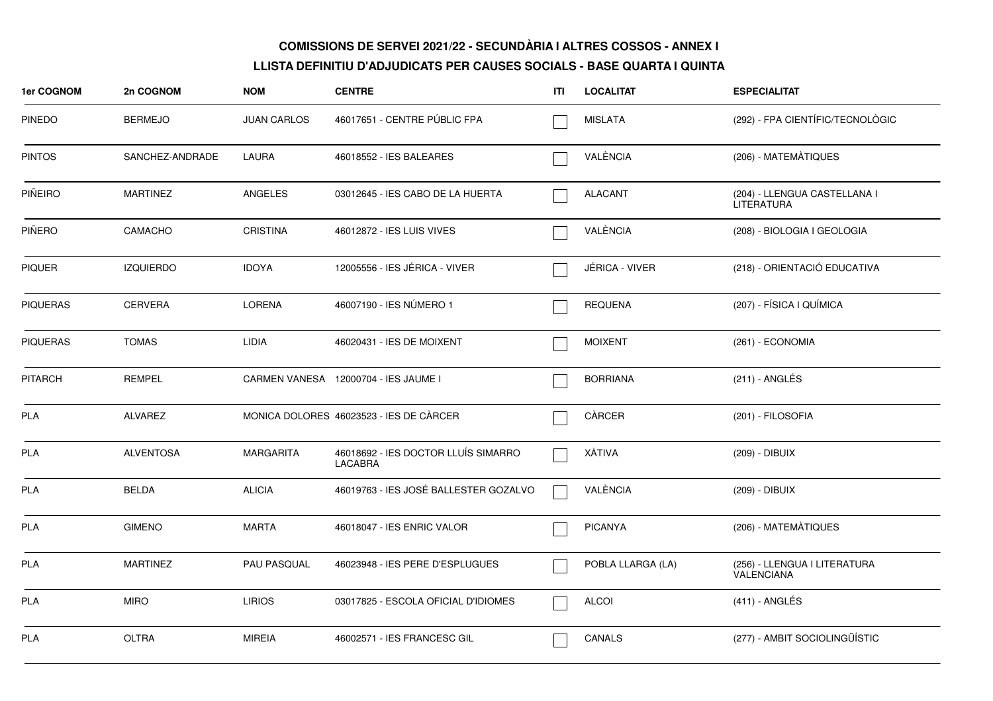| 1er COGNOM      | 2n COGNOM        | <b>NOM</b>         | <b>CENTRE</b>                                  | ITI | <b>LOCALITAT</b>  | <b>ESPECIALITAT</b>                               |
|-----------------|------------------|--------------------|------------------------------------------------|-----|-------------------|---------------------------------------------------|
| <b>PINEDO</b>   | <b>BERMEJO</b>   | <b>JUAN CARLOS</b> | 46017651 - CENTRE PÚBLIC FPA                   |     | <b>MISLATA</b>    | (292) - FPA CIENTÍFIC/TECNOLÒGIC                  |
| <b>PINTOS</b>   | SANCHEZ-ANDRADE  | LAURA              | 46018552 - IES BALEARES                        |     | VALÈNCIA          | (206) - MATEMÀTIQUES                              |
| PIÑEIRO         | <b>MARTINEZ</b>  | <b>ANGELES</b>     | 03012645 - IES CABO DE LA HUERTA               |     | <b>ALACANT</b>    | (204) - LLENGUA CASTELLANA I<br><b>LITERATURA</b> |
| PIÑERO          | CAMACHO          | <b>CRISTINA</b>    | 46012872 - IES LUIS VIVES                      |     | VALÈNCIA          | (208) - BIOLOGIA I GEOLOGIA                       |
| <b>PIQUER</b>   | <b>IZQUIERDO</b> | <b>IDOYA</b>       | 12005556 - IES JÉRICA - VIVER                  |     | JÉRICA - VIVER    | (218) - ORIENTACIÓ EDUCATIVA                      |
| <b>PIQUERAS</b> | <b>CERVERA</b>   | <b>LORENA</b>      | 46007190 - IES NÚMERO 1                        |     | <b>REQUENA</b>    | (207) - FÍSICA I QUÍMICA                          |
| <b>PIQUERAS</b> | <b>TOMAS</b>     | <b>LIDIA</b>       | 46020431 - IES DE MOIXENT                      |     | <b>MOIXENT</b>    | (261) - ECONOMIA                                  |
| <b>PITARCH</b>  | <b>REMPEL</b>    |                    | CARMEN VANESA 12000704 - IES JAUME I           |     | <b>BORRIANA</b>   | (211) - ANGLÉS                                    |
| <b>PLA</b>      | ALVAREZ          |                    | MONICA DOLORES 46023523 - IES DE CÀRCER        |     | CÀRCER            | (201) - FILOSOFIA                                 |
| <b>PLA</b>      | <b>ALVENTOSA</b> | <b>MARGARITA</b>   | 46018692 - IES DOCTOR LLUÍS SIMARRO<br>LACABRA |     | XÀTIVA            | (209) - DIBUIX                                    |
| <b>PLA</b>      | <b>BELDA</b>     | <b>ALICIA</b>      | 46019763 - IES JOSÉ BALLESTER GOZALVO          |     | VALÈNCIA          | (209) - DIBUIX                                    |
| PLA             | <b>GIMENO</b>    | <b>MARTA</b>       | 46018047 - IES ENRIC VALOR                     |     | <b>PICANYA</b>    | (206) - MATEMÀTIQUES                              |
| <b>PLA</b>      | <b>MARTINEZ</b>  | <b>PAU PASQUAL</b> | 46023948 - IES PERE D'ESPLUGUES                |     | POBLA LLARGA (LA) | (256) - LLENGUA I LITERATURA<br><b>VALENCIANA</b> |
| <b>PLA</b>      | <b>MIRO</b>      | <b>LIRIOS</b>      | 03017825 - ESCOLA OFICIAL D'IDIOMES            |     | <b>ALCOI</b>      | $(411)$ - ANGLÉS                                  |
| <b>PLA</b>      | <b>OLTRA</b>     | <b>MIREIA</b>      | 46002571 - IES FRANCESC GIL                    |     | <b>CANALS</b>     | (277) - AMBIT SOCIOLINGÜÍSTIC                     |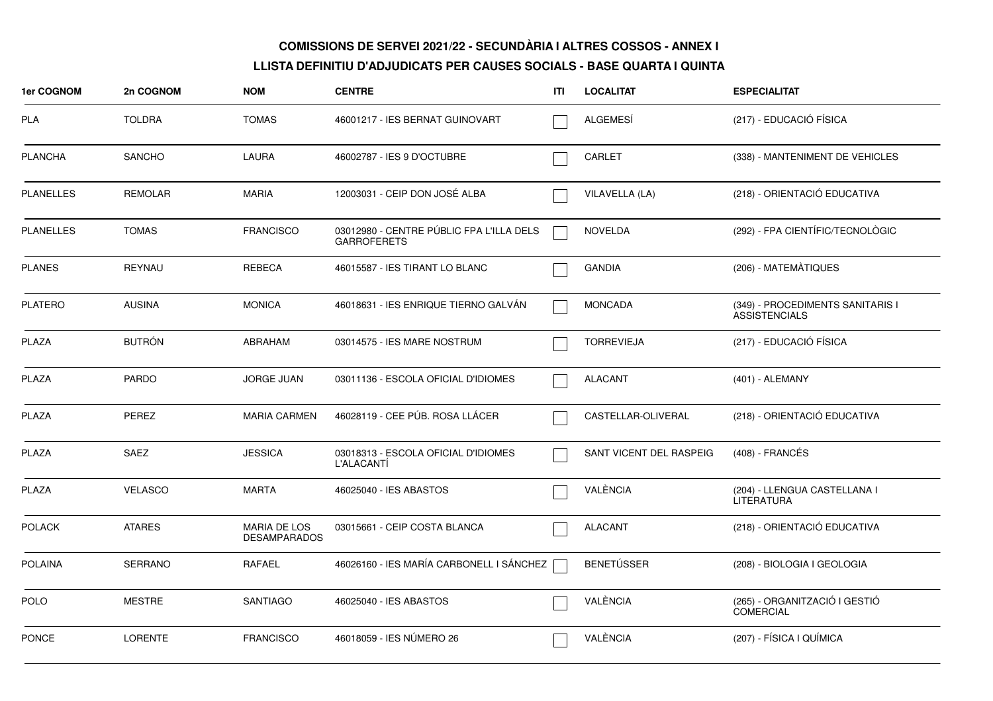| <b>1er COGNOM</b> | 2n COGNOM      | <b>NOM</b>                                 | <b>CENTRE</b>                                                  | ITI | <b>LOCALITAT</b>        | <b>ESPECIALITAT</b>                                      |
|-------------------|----------------|--------------------------------------------|----------------------------------------------------------------|-----|-------------------------|----------------------------------------------------------|
| <b>PLA</b>        | <b>TOLDRA</b>  | <b>TOMAS</b>                               | 46001217 - IES BERNAT GUINOVART                                |     | <b>ALGEMESI</b>         | (217) - EDUCACIÓ FÍSICA                                  |
| <b>PLANCHA</b>    | <b>SANCHO</b>  | LAURA                                      | 46002787 - IES 9 D'OCTUBRE                                     |     | <b>CARLET</b>           | (338) - MANTENIMENT DE VEHICLES                          |
| <b>PLANELLES</b>  | <b>REMOLAR</b> | <b>MARIA</b>                               | 12003031 - CEIP DON JOSÉ ALBA                                  |     | VILAVELLA (LA)          | (218) - ORIENTACIÓ EDUCATIVA                             |
| <b>PLANELLES</b>  | <b>TOMAS</b>   | <b>FRANCISCO</b>                           | 03012980 - CENTRE PÚBLIC FPA L'ILLA DELS<br><b>GARROFERETS</b> |     | <b>NOVELDA</b>          | (292) - FPA CIENTÍFIC/TECNOLÒGIC                         |
| <b>PLANES</b>     | REYNAU         | <b>REBECA</b>                              | 46015587 - IES TIRANT LO BLANC                                 |     | <b>GANDIA</b>           | (206) - MATEMÀTIQUES                                     |
| <b>PLATERO</b>    | <b>AUSINA</b>  | <b>MONICA</b>                              | 46018631 - IES ENRIQUE TIERNO GALVAN                           |     | <b>MONCADA</b>          | (349) - PROCEDIMENTS SANITARIS I<br><b>ASSISTENCIALS</b> |
| <b>PLAZA</b>      | <b>BUTRÓN</b>  | <b>ABRAHAM</b>                             | 03014575 - IES MARE NOSTRUM                                    |     | <b>TORREVIEJA</b>       | (217) - EDUCACIÓ FÍSICA                                  |
| PLAZA             | <b>PARDO</b>   | <b>JORGE JUAN</b>                          | 03011136 - ESCOLA OFICIAL D'IDIOMES                            |     | <b>ALACANT</b>          | (401) - ALEMANY                                          |
| <b>PLAZA</b>      | PEREZ          | <b>MARIA CARMEN</b>                        | 46028119 - CEE PÚB. ROSA LLÁCER                                |     | CASTELLAR-OLIVERAL      | (218) - ORIENTACIÓ EDUCATIVA                             |
| <b>PLAZA</b>      | <b>SAEZ</b>    | <b>JESSICA</b>                             | 03018313 - ESCOLA OFICIAL D'IDIOMES<br>L'ALACANTI              |     | SANT VICENT DEL RASPEIG | (408) - FRANCÉS                                          |
| <b>PLAZA</b>      | <b>VELASCO</b> | <b>MARTA</b>                               | 46025040 - IES ABASTOS                                         |     | VALÈNCIA                | (204) - LLENGUA CASTELLANA I<br><b>LITERATURA</b>        |
| <b>POLACK</b>     | <b>ATARES</b>  | <b>MARIA DE LOS</b><br><b>DESAMPARADOS</b> | 03015661 - CEIP COSTA BLANCA                                   |     | <b>ALACANT</b>          | (218) - ORIENTACIÓ EDUCATIVA                             |
| <b>POLAINA</b>    | <b>SERRANO</b> | RAFAEL                                     | 46026160 - IES MARÍA CARBONELL I SÁNCHEZ                       |     | <b>BENETÚSSER</b>       | (208) - BIOLOGIA I GEOLOGIA                              |
| POLO              | <b>MESTRE</b>  | <b>SANTIAGO</b>                            | 46025040 - IES ABASTOS                                         |     | VALÈNCIA                | (265) - ORGANITZACIÓ I GESTIÓ<br><b>COMERCIAL</b>        |
| <b>PONCE</b>      | <b>LORENTE</b> | <b>FRANCISCO</b>                           | 46018059 - IES NÚMERO 26                                       |     | VALÈNCIA                | (207) - FÍSICA I QUÍMICA                                 |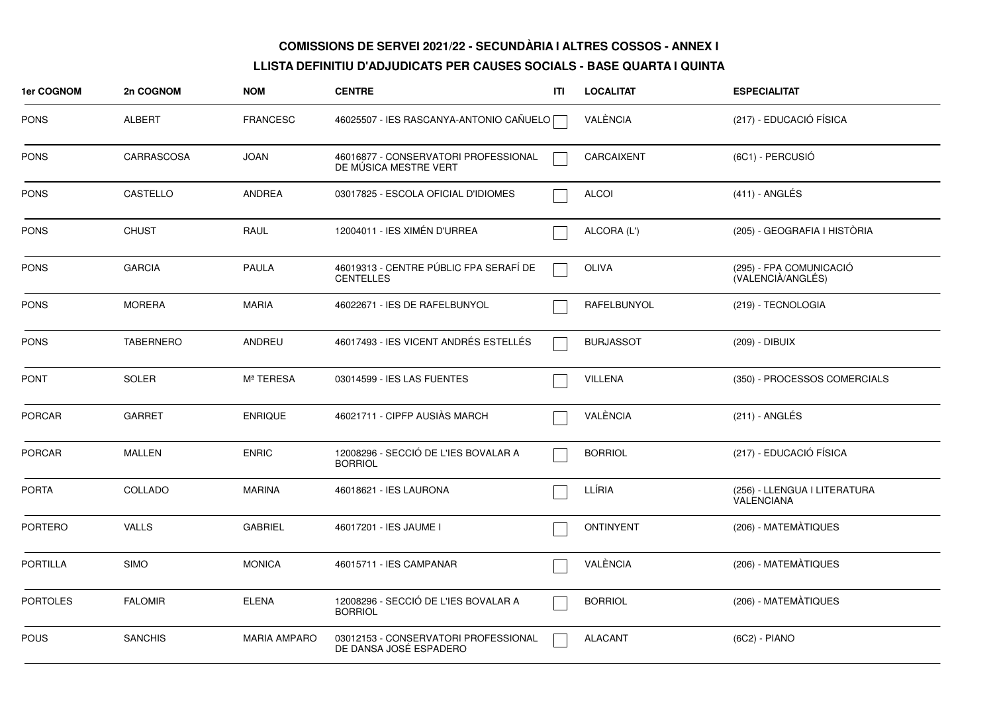| 1er COGNOM      | 2n COGNOM        | <b>NOM</b>          | <b>CENTRE</b>                                                  | ITI | <b>LOCALITAT</b>   | <b>ESPECIALITAT</b>                               |
|-----------------|------------------|---------------------|----------------------------------------------------------------|-----|--------------------|---------------------------------------------------|
| PONS            | <b>ALBERT</b>    | <b>FRANCESC</b>     | 46025507 - IES RASCANYA-ANTONIO CAÑUELO                        |     | VALÈNCIA           | (217) - EDUCACIÓ FÍSICA                           |
| <b>PONS</b>     | CARRASCOSA       | <b>JOAN</b>         | 46016877 - CONSERVATORI PROFESSIONAL<br>DE MÚSICA MESTRE VERT  |     | CARCAIXENT         | (6C1) - PERCUSIÓ                                  |
| <b>PONS</b>     | CASTELLO         | ANDREA              | 03017825 - ESCOLA OFICIAL D'IDIOMES                            |     | <b>ALCOI</b>       | (411) - ANGLÉS                                    |
| PONS            | <b>CHUST</b>     | RAUL                | 12004011 - IES XIMÉN D'URREA                                   |     | ALCORA (L')        | (205) - GEOGRAFIA I HISTÒRIA                      |
| PONS            | <b>GARCIA</b>    | <b>PAULA</b>        | 46019313 - CENTRE PÚBLIC FPA SERAFÍ DE<br><b>CENTELLES</b>     |     | <b>OLIVA</b>       | (295) - FPA COMUNICACIÓ<br>(VALENCIÀ/ANGLÉS)      |
| <b>PONS</b>     | <b>MORERA</b>    | <b>MARIA</b>        | 46022671 - IES DE RAFELBUNYOL                                  |     | <b>RAFELBUNYOL</b> | (219) - TECNOLOGIA                                |
| <b>PONS</b>     | <b>TABERNERO</b> | <b>ANDREU</b>       | 46017493 - IES VICENT ANDRÉS ESTELLÉS                          |     | <b>BURJASSOT</b>   | (209) - DIBUIX                                    |
| <b>PONT</b>     | <b>SOLER</b>     | Mª TERESA           | 03014599 - IES LAS FUENTES                                     |     | <b>VILLENA</b>     | (350) - PROCESSOS COMERCIALS                      |
| PORCAR          | <b>GARRET</b>    | <b>ENRIQUE</b>      | 46021711 - CIPFP AUSIÀS MARCH                                  |     | VALÈNCIA           | $(211)$ - ANGLÉS                                  |
| <b>PORCAR</b>   | <b>MALLEN</b>    | <b>ENRIC</b>        | 12008296 - SECCIÓ DE L'IES BOVALAR A<br><b>BORRIOL</b>         |     | <b>BORRIOL</b>     | (217) - EDUCACIÓ FÍSICA                           |
| <b>PORTA</b>    | COLLADO          | <b>MARINA</b>       | 46018621 - IES LAURONA                                         |     | LLÍRIA             | (256) - LLENGUA I LITERATURA<br><b>VALENCIANA</b> |
| <b>PORTERO</b>  | <b>VALLS</b>     | <b>GABRIEL</b>      | 46017201 - IES JAUME I                                         |     | <b>ONTINYENT</b>   | (206) - MATEMÀTIQUES                              |
| <b>PORTILLA</b> | <b>SIMO</b>      | <b>MONICA</b>       | 46015711 - IES CAMPANAR                                        |     | VALÈNCIA           | (206) - MATEMÀTIQUES                              |
| <b>PORTOLES</b> | <b>FALOMIR</b>   | <b>ELENA</b>        | 12008296 - SECCIÓ DE L'IES BOVALAR A<br><b>BORRIOL</b>         |     | <b>BORRIOL</b>     | (206) - MATEMÀTIQUES                              |
| <b>POUS</b>     | <b>SANCHIS</b>   | <b>MARIA AMPARO</b> | 03012153 - CONSERVATORI PROFESSIONAL<br>DE DANSA JOSÉ ESPADERO |     | <b>ALACANT</b>     | (6C2) - PIANO                                     |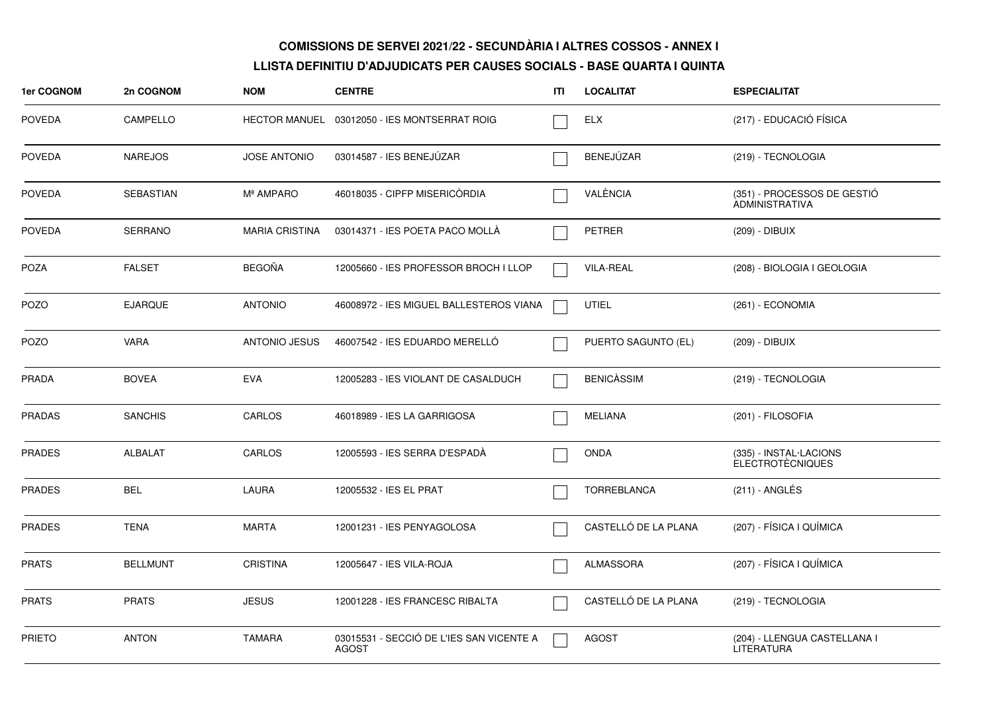| <b>1er COGNOM</b> | 2n COGNOM        | <b>NOM</b>            | <b>CENTRE</b>                                            | ITI | <b>LOCALITAT</b>     | <b>ESPECIALITAT</b>                                  |
|-------------------|------------------|-----------------------|----------------------------------------------------------|-----|----------------------|------------------------------------------------------|
| <b>POVEDA</b>     | CAMPELLO         |                       | HECTOR MANUEL 03012050 - IES MONTSERRAT ROIG             |     | <b>ELX</b>           | (217) - EDUCACIÓ FÍSICA                              |
| <b>POVEDA</b>     | <b>NAREJOS</b>   | <b>JOSE ANTONIO</b>   | 03014587 - IES BENEJÜZAR                                 |     | BENEJÚZAR            | (219) - TECNOLOGIA                                   |
| <b>POVEDA</b>     | <b>SEBASTIAN</b> | Mª AMPARO             | 46018035 - CIPFP MISERICÒRDIA                            |     | VALÈNCIA             | (351) - PROCESSOS DE GESTIÓ<br><b>ADMINISTRATIVA</b> |
| <b>POVEDA</b>     | <b>SERRANO</b>   | <b>MARIA CRISTINA</b> | 03014371 - IES POETA PACO MOLLA                          |     | <b>PETRER</b>        | (209) - DIBUIX                                       |
| <b>POZA</b>       | <b>FALSET</b>    | <b>BEGOÑA</b>         | 12005660 - IES PROFESSOR BROCH I LLOP                    |     | <b>VILA-REAL</b>     | (208) - BIOLOGIA I GEOLOGIA                          |
| POZO              | <b>EJARQUE</b>   | <b>ANTONIO</b>        | 46008972 - IES MIGUEL BALLESTEROS VIANA                  |     | UTIEL                | (261) - ECONOMIA                                     |
| <b>POZO</b>       | <b>VARA</b>      | <b>ANTONIO JESUS</b>  | 46007542 - IES EDUARDO MERELLO                           |     | PUERTO SAGUNTO (EL)  | (209) - DIBUIX                                       |
| <b>PRADA</b>      | <b>BOVEA</b>     | <b>EVA</b>            | 12005283 - IES VIOLANT DE CASALDUCH                      |     | <b>BENICASSIM</b>    | (219) - TECNOLOGIA                                   |
| <b>PRADAS</b>     | <b>SANCHIS</b>   | CARLOS                | 46018989 - IES LA GARRIGOSA                              |     | <b>MELIANA</b>       | (201) - FILOSOFIA                                    |
| <b>PRADES</b>     | ALBALAT          | CARLOS                | 12005593 - IES SERRA D'ESPADA                            |     | <b>ONDA</b>          | (335) - INSTAL·LACIONS<br><b>ELECTROTÈCNIQUES</b>    |
| <b>PRADES</b>     | <b>BEL</b>       | <b>LAURA</b>          | 12005532 - IES EL PRAT                                   |     | <b>TORREBLANCA</b>   | (211) - ANGLÉS                                       |
| <b>PRADES</b>     | <b>TENA</b>      | <b>MARTA</b>          | 12001231 - IES PENYAGOLOSA                               |     | CASTELLÓ DE LA PLANA | (207) - FÍSICA I QUÍMICA                             |
| <b>PRATS</b>      | <b>BELLMUNT</b>  | <b>CRISTINA</b>       | 12005647 - IES VILA-ROJA                                 |     | ALMASSORA            | (207) - FÍSICA I QUÍMICA                             |
| <b>PRATS</b>      | <b>PRATS</b>     | <b>JESUS</b>          | 12001228 - IES FRANCESC RIBALTA                          |     | CASTELLÓ DE LA PLANA | (219) - TECNOLOGIA                                   |
| <b>PRIETO</b>     | <b>ANTON</b>     | <b>TAMARA</b>         | 03015531 - SECCIÓ DE L'IES SAN VICENTE A<br><b>AGOST</b> |     | <b>AGOST</b>         | (204) - LLENGUA CASTELLANA I<br><b>LITERATURA</b>    |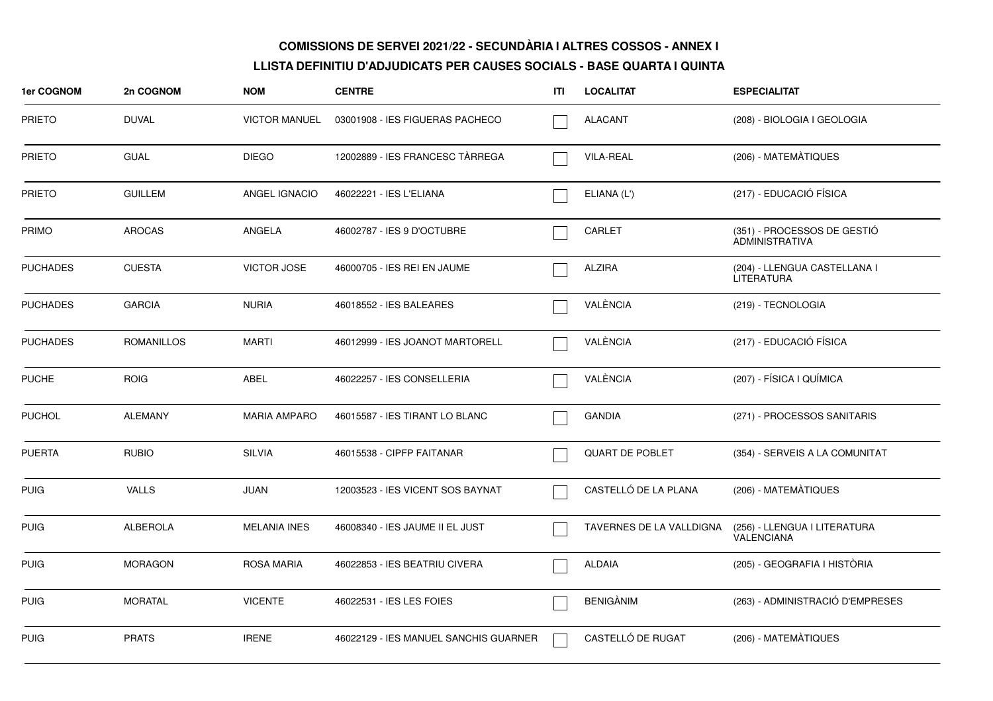| 1er COGNOM      | 2n COGNOM         | <b>NOM</b>           | <b>CENTRE</b>                         | ITI | <b>LOCALITAT</b>         | <b>ESPECIALITAT</b>                                  |
|-----------------|-------------------|----------------------|---------------------------------------|-----|--------------------------|------------------------------------------------------|
| <b>PRIETO</b>   | <b>DUVAL</b>      | <b>VICTOR MANUEL</b> | 03001908 - IES FIGUERAS PACHECO       |     | <b>ALACANT</b>           | (208) - BIOLOGIA I GEOLOGIA                          |
| <b>PRIETO</b>   | <b>GUAL</b>       | <b>DIEGO</b>         | 12002889 - IES FRANCESC TÀRREGA       |     | <b>VILA-REAL</b>         | (206) - MATEMÀTIQUES                                 |
| <b>PRIETO</b>   | <b>GUILLEM</b>    | ANGEL IGNACIO        | 46022221 - IES L'ELIANA               |     | ELIANA (L')              | (217) - EDUCACIÓ FÍSICA                              |
| PRIMO           | <b>AROCAS</b>     | ANGELA               | 46002787 - IES 9 D'OCTUBRE            |     | CARLET                   | (351) - PROCESSOS DE GESTIÓ<br><b>ADMINISTRATIVA</b> |
| <b>PUCHADES</b> | <b>CUESTA</b>     | <b>VICTOR JOSE</b>   | 46000705 - IES REI EN JAUME           |     | <b>ALZIRA</b>            | (204) - LLENGUA CASTELLANA I<br><b>LITERATURA</b>    |
| <b>PUCHADES</b> | <b>GARCIA</b>     | <b>NURIA</b>         | 46018552 - IES BALEARES               |     | VALÈNCIA                 | (219) - TECNOLOGIA                                   |
| <b>PUCHADES</b> | <b>ROMANILLOS</b> | <b>MARTI</b>         | 46012999 - IES JOANOT MARTORELL       |     | VALÈNCIA                 | (217) - EDUCACIÓ FÍSICA                              |
| <b>PUCHE</b>    | <b>ROIG</b>       | ABEL                 | 46022257 - IES CONSELLERIA            |     | VALÈNCIA                 | (207) - FÍSICA I QUÍMICA                             |
| <b>PUCHOL</b>   | <b>ALEMANY</b>    | <b>MARIA AMPARO</b>  | 46015587 - IES TIRANT LO BLANC        |     | <b>GANDIA</b>            | (271) - PROCESSOS SANITARIS                          |
| <b>PUERTA</b>   | <b>RUBIO</b>      | <b>SILVIA</b>        | 46015538 - CIPFP FAITANAR             |     | <b>QUART DE POBLET</b>   | (354) - SERVEIS A LA COMUNITAT                       |
| <b>PUIG</b>     | <b>VALLS</b>      | <b>JUAN</b>          | 12003523 - IES VICENT SOS BAYNAT      |     | CASTELLÓ DE LA PLANA     | (206) - MATEMÀTIQUES                                 |
| <b>PUIG</b>     | <b>ALBEROLA</b>   | <b>MELANIA INES</b>  | 46008340 - IES JAUME II EL JUST       |     | TAVERNES DE LA VALLDIGNA | (256) - LLENGUA I LITERATURA<br><b>VALENCIANA</b>    |
| <b>PUIG</b>     | <b>MORAGON</b>    | <b>ROSA MARIA</b>    | 46022853 - IES BEATRIU CIVERA         |     | <b>ALDAIA</b>            | (205) - GEOGRAFIA I HISTÒRIA                         |
| <b>PUIG</b>     | <b>MORATAL</b>    | <b>VICENTE</b>       | 46022531 - IES LES FOIES              |     | <b>BENIGANIM</b>         | (263) - ADMINISTRACIÓ D'EMPRESES                     |
| <b>PUIG</b>     | <b>PRATS</b>      | <b>IRENE</b>         | 46022129 - IES MANUEL SANCHIS GUARNER |     | CASTELLÓ DE RUGAT        | (206) - MATEMÀTIQUES                                 |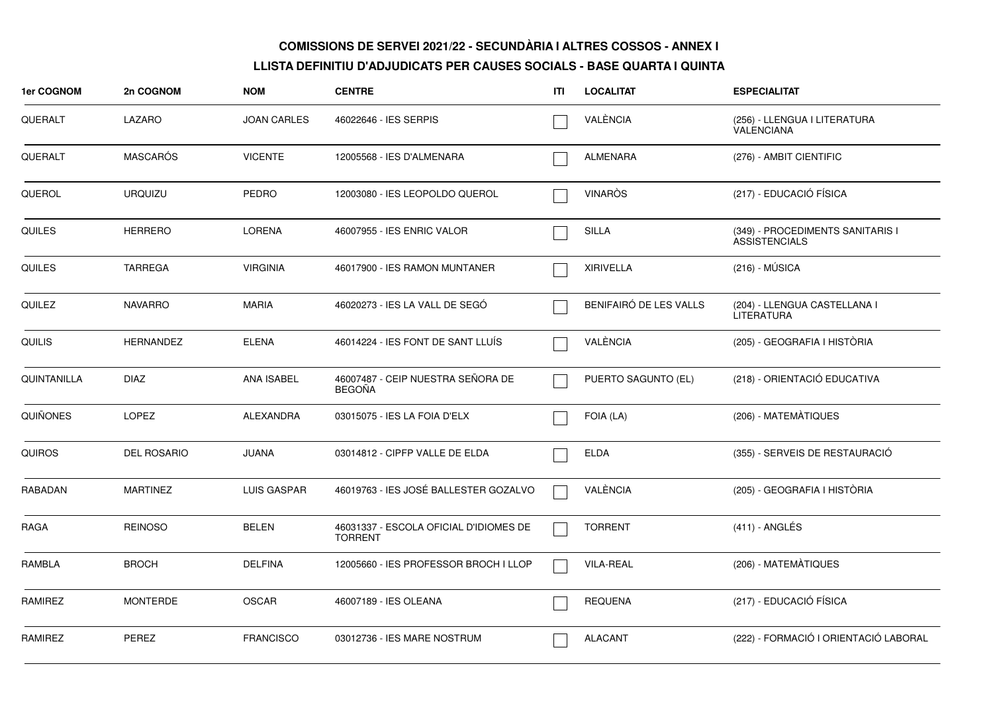| 1er COGNOM     | 2n COGNOM          | <b>NOM</b>         | <b>CENTRE</b>                                            | ITI | <b>LOCALITAT</b>       | <b>ESPECIALITAT</b>                                      |
|----------------|--------------------|--------------------|----------------------------------------------------------|-----|------------------------|----------------------------------------------------------|
| QUERALT        | LAZARO             | <b>JOAN CARLES</b> | 46022646 - IES SERPIS                                    |     | VALÈNCIA               | (256) - LLENGUA I LITERATURA<br><b>VALENCIANA</b>        |
| QUERALT        | <b>MASCARÓS</b>    | <b>VICENTE</b>     | 12005568 - IES D'ALMENARA                                |     | <b>ALMENARA</b>        | (276) - AMBIT CIENTIFIC                                  |
| QUEROL         | <b>URQUIZU</b>     | <b>PEDRO</b>       | 12003080 - IES LEOPOLDO QUEROL                           |     | <b>VINARÒS</b>         | (217) - EDUCACIÓ FÍSICA                                  |
| QUILES         | <b>HERRERO</b>     | <b>LORENA</b>      | 46007955 - IES ENRIC VALOR                               |     | <b>SILLA</b>           | (349) - PROCEDIMENTS SANITARIS I<br><b>ASSISTENCIALS</b> |
| <b>QUILES</b>  | <b>TARREGA</b>     | <b>VIRGINIA</b>    | 46017900 - IES RAMON MUNTANER                            |     | <b>XIRIVELLA</b>       | $(216) - MÚSICA$                                         |
| <b>QUILEZ</b>  | <b>NAVARRO</b>     | <b>MARIA</b>       | 46020273 - IES LA VALL DE SEGO                           |     | BENIFAIRÓ DE LES VALLS | (204) - LLENGUA CASTELLANA I<br><b>LITERATURA</b>        |
| <b>QUILIS</b>  | <b>HERNANDEZ</b>   | <b>ELENA</b>       | 46014224 - IES FONT DE SANT LLUÍS                        |     | VALÈNCIA               | (205) - GEOGRAFIA I HISTÒRIA                             |
| QUINTANILLA    | <b>DIAZ</b>        | <b>ANA ISABEL</b>  | 46007487 - CEIP NUESTRA SEÑORA DE<br><b>BEGOÑA</b>       |     | PUERTO SAGUNTO (EL)    | (218) - ORIENTACIÓ EDUCATIVA                             |
| QUIÑONES       | <b>LOPEZ</b>       | <b>ALEXANDRA</b>   | 03015075 - IES LA FOIA D'ELX                             |     | FOIA (LA)              | (206) - MATEMATIQUES                                     |
| <b>QUIROS</b>  | <b>DEL ROSARIO</b> | <b>JUANA</b>       | 03014812 - CIPFP VALLE DE ELDA                           |     | <b>ELDA</b>            | (355) - SERVEIS DE RESTAURACIÓ                           |
| <b>RABADAN</b> | <b>MARTINEZ</b>    | <b>LUIS GASPAR</b> | 46019763 - IES JOSÉ BALLESTER GOZALVO                    |     | VALÈNCIA               | (205) - GEOGRAFIA I HISTÒRIA                             |
| RAGA           | <b>REINOSO</b>     | <b>BELEN</b>       | 46031337 - ESCOLA OFICIAL D'IDIOMES DE<br><b>TORRENT</b> |     | <b>TORRENT</b>         | $(411)$ - ANGLÉS                                         |
| RAMBLA         | <b>BROCH</b>       | <b>DELFINA</b>     | 12005660 - IES PROFESSOR BROCH I LLOP                    |     | <b>VILA-REAL</b>       | (206) - MATEMÀTIQUES                                     |
| RAMIREZ        | <b>MONTERDE</b>    | <b>OSCAR</b>       | 46007189 - IES OLEANA                                    |     | <b>REQUENA</b>         | (217) - EDUCACIÓ FÍSICA                                  |
| RAMIREZ        | PEREZ              | <b>FRANCISCO</b>   | 03012736 - IES MARE NOSTRUM                              |     | <b>ALACANT</b>         | (222) - FORMACIÓ I ORIENTACIÓ LABORAL                    |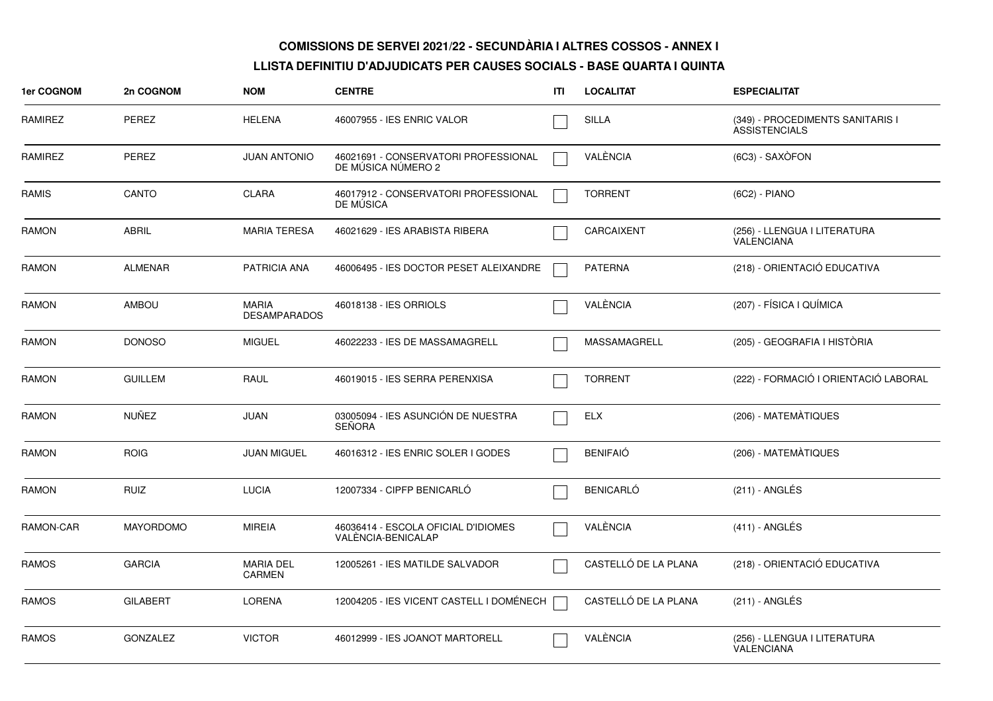| 1er COGNOM     | 2n COGNOM        | <b>NOM</b>                          | <b>CENTRE</b>                                              | ITI | <b>LOCALITAT</b>     | <b>ESPECIALITAT</b>                                      |
|----------------|------------------|-------------------------------------|------------------------------------------------------------|-----|----------------------|----------------------------------------------------------|
| RAMIREZ        | PEREZ            | <b>HELENA</b>                       | 46007955 - IES ENRIC VALOR                                 |     | <b>SILLA</b>         | (349) - PROCEDIMENTS SANITARIS I<br><b>ASSISTENCIALS</b> |
| <b>RAMIREZ</b> | <b>PEREZ</b>     | <b>JUAN ANTONIO</b>                 | 46021691 - CONSERVATORI PROFESSIONAL<br>DE MÚSICA NÚMERO 2 |     | VALÈNCIA             | (6C3) - SAXÒFON                                          |
| <b>RAMIS</b>   | CANTO            | <b>CLARA</b>                        | 46017912 - CONSERVATORI PROFESSIONAL<br>DE MUSICA          |     | <b>TORRENT</b>       | (6C2) - PIANO                                            |
| RAMON          | <b>ABRIL</b>     | <b>MARIA TERESA</b>                 | 46021629 - IES ARABISTA RIBERA                             |     | CARCAIXENT           | (256) - LLENGUA I LITERATURA<br><b>VALENCIANA</b>        |
| <b>RAMON</b>   | <b>ALMENAR</b>   | <b>PATRICIA ANA</b>                 | 46006495 - IES DOCTOR PESET ALEIXANDRE                     |     | <b>PATERNA</b>       | (218) - ORIENTACIÓ EDUCATIVA                             |
| RAMON          | <b>AMBOU</b>     | <b>MARIA</b><br><b>DESAMPARADOS</b> | 46018138 - IES ORRIOLS                                     |     | VALÈNCIA             | (207) - FÍSICA I QUÍMICA                                 |
| <b>RAMON</b>   | <b>DONOSO</b>    | <b>MIGUEL</b>                       | 46022233 - IES DE MASSAMAGRELL                             |     | <b>MASSAMAGRELL</b>  | (205) - GEOGRAFIA I HISTÒRIA                             |
| <b>RAMON</b>   | <b>GUILLEM</b>   | RAUL                                | 46019015 - IES SERRA PERENXISA                             |     | <b>TORRENT</b>       | (222) - FORMACIÓ I ORIENTACIÓ LABORAL                    |
| <b>RAMON</b>   | <b>NUÑEZ</b>     | JUAN                                | 03005094 - IES ASUNCIÓN DE NUESTRA<br><b>SEÑORA</b>        |     | <b>ELX</b>           | (206) - MATEMATIQUES                                     |
| <b>RAMON</b>   | <b>ROIG</b>      | <b>JUAN MIGUEL</b>                  | 46016312 - IES ENRIC SOLER I GODES                         |     | <b>BENIFAIÓ</b>      | (206) - MATEMÀTIQUES                                     |
| <b>RAMON</b>   | <b>RUIZ</b>      | <b>LUCIA</b>                        | 12007334 - CIPFP BENICARLÓ                                 |     | <b>BENICARLO</b>     | $(211)$ - ANGLÉS                                         |
| RAMON-CAR      | <b>MAYORDOMO</b> | <b>MIREIA</b>                       | 46036414 - ESCOLA OFICIAL D'IDIOMES<br>VALÉNCIA-BENICALAP  |     | VALÈNCIA             | $(411)$ - ANGLÉS                                         |
| <b>RAMOS</b>   | <b>GARCIA</b>    | <b>MARIA DEL</b><br><b>CARMEN</b>   | 12005261 - IES MATILDE SALVADOR                            |     | CASTELLÓ DE LA PLANA | (218) - ORIENTACIÓ EDUCATIVA                             |
| <b>RAMOS</b>   | <b>GILABERT</b>  | <b>LORENA</b>                       | 12004205 - IES VICENT CASTELL I DOMÉNECH                   |     | CASTELLÓ DE LA PLANA | (211) - ANGLÉS                                           |
| <b>RAMOS</b>   | <b>GONZALEZ</b>  | <b>VICTOR</b>                       | 46012999 - IES JOANOT MARTORELL                            |     | VALÈNCIA             | (256) - LLENGUA I LITERATURA<br>VALENCIANA               |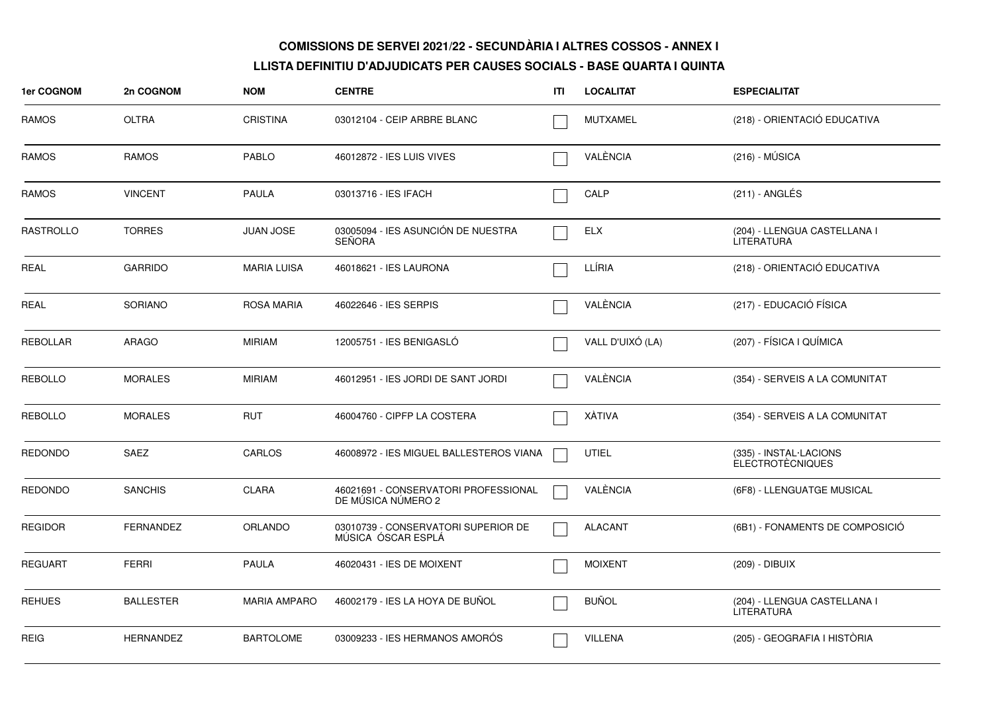| <b>1er COGNOM</b> | 2n COGNOM        | <b>NOM</b>          | <b>CENTRE</b>                                              | ITI | <b>LOCALITAT</b> | <b>ESPECIALITAT</b>                               |
|-------------------|------------------|---------------------|------------------------------------------------------------|-----|------------------|---------------------------------------------------|
| RAMOS             | <b>OLTRA</b>     | <b>CRISTINA</b>     | 03012104 - CEIP ARBRE BLANC                                |     | <b>MUTXAMEL</b>  | (218) - ORIENTACIÓ EDUCATIVA                      |
| <b>RAMOS</b>      | <b>RAMOS</b>     | <b>PABLO</b>        | 46012872 - IES LUIS VIVES                                  |     | VALÈNCIA         | $(216) - MÚSICA$                                  |
| <b>RAMOS</b>      | <b>VINCENT</b>   | <b>PAULA</b>        | 03013716 - IES IFACH                                       |     | CALP             | (211) - ANGLÉS                                    |
| <b>RASTROLLO</b>  | <b>TORRES</b>    | <b>JUAN JOSE</b>    | 03005094 - IES ASUNCIÓN DE NUESTRA<br><b>SEÑORA</b>        |     | <b>ELX</b>       | (204) - LLENGUA CASTELLANA I<br><b>LITERATURA</b> |
| <b>REAL</b>       | <b>GARRIDO</b>   | <b>MARIA LUISA</b>  | 46018621 - IES LAURONA                                     |     | LLÍRIA           | (218) - ORIENTACIÓ EDUCATIVA                      |
| <b>REAL</b>       | <b>SORIANO</b>   | <b>ROSA MARIA</b>   | 46022646 - IES SERPIS                                      |     | VALÈNCIA         | (217) - EDUCACIÓ FÍSICA                           |
| <b>REBOLLAR</b>   | <b>ARAGO</b>     | <b>MIRIAM</b>       | 12005751 - IES BENIGASLÓ                                   |     | VALL D'UIXÓ (LA) | (207) - FÍSICA I QUÍMICA                          |
| <b>REBOLLO</b>    | <b>MORALES</b>   | <b>MIRIAM</b>       | 46012951 - IES JORDI DE SANT JORDI                         |     | VALÈNCIA         | (354) - SERVEIS A LA COMUNITAT                    |
| <b>REBOLLO</b>    | <b>MORALES</b>   | <b>RUT</b>          | 46004760 - CIPFP LA COSTERA                                |     | <b>XATIVA</b>    | (354) - SERVEIS A LA COMUNITAT                    |
| <b>REDONDO</b>    | SAEZ             | CARLOS              | 46008972 - IES MIGUEL BALLESTEROS VIANA                    |     | UTIEL            | (335) - INSTAL·LACIONS<br><b>ELECTROTÈCNIQUES</b> |
| <b>REDONDO</b>    | <b>SANCHIS</b>   | <b>CLARA</b>        | 46021691 - CONSERVATORI PROFESSIONAL<br>DE MÚSICA NÚMERO 2 |     | VALÈNCIA         | (6F8) - LLENGUATGE MUSICAL                        |
| <b>REGIDOR</b>    | <b>FERNANDEZ</b> | <b>ORLANDO</b>      | 03010739 - CONSERVATORI SUPERIOR DE<br>MÚSICA ÓSCAR ESPLÁ  |     | <b>ALACANT</b>   | (6B1) - FONAMENTS DE COMPOSICIO                   |
| <b>REGUART</b>    | <b>FERRI</b>     | <b>PAULA</b>        | 46020431 - IES DE MOIXENT                                  |     | <b>MOIXENT</b>   | (209) - DIBUIX                                    |
| <b>REHUES</b>     | <b>BALLESTER</b> | <b>MARIA AMPARO</b> | 46002179 - IES LA HOYA DE BUÑOL                            |     | <b>BUÑOL</b>     | (204) - LLENGUA CASTELLANA I<br><b>LITERATURA</b> |
| <b>REIG</b>       | <b>HERNANDEZ</b> | <b>BARTOLOME</b>    | 03009233 - IES HERMANOS AMORÓS                             |     | <b>VILLENA</b>   | (205) - GEOGRAFIA I HISTÒRIA                      |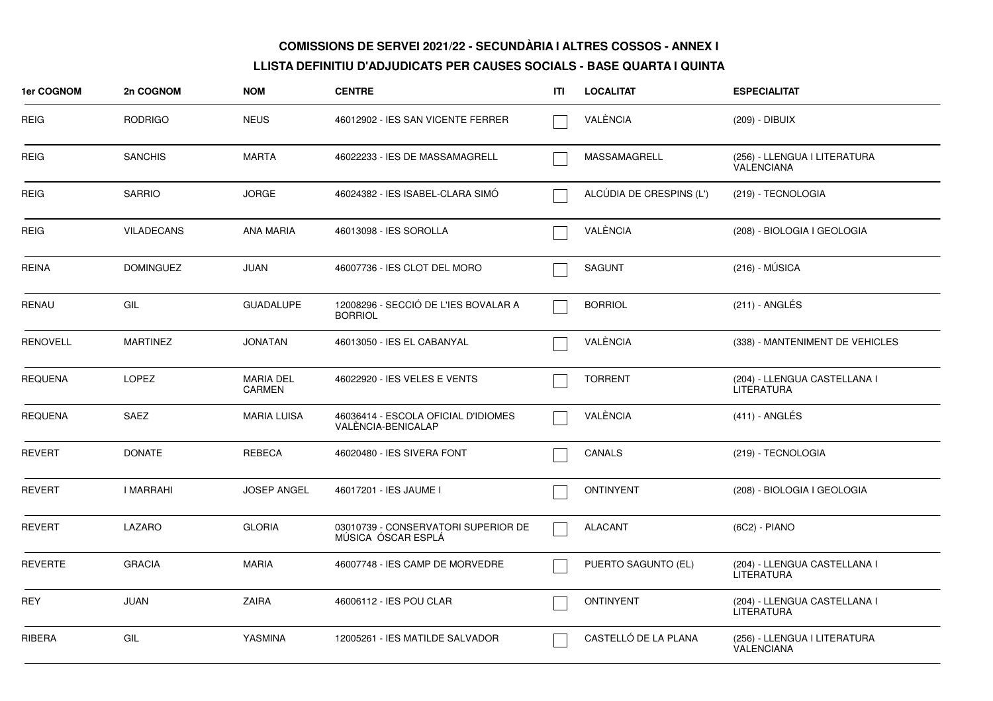| 1er COGNOM      | 2n COGNOM         | <b>NOM</b>                        | <b>CENTRE</b>                                             | ITI | <b>LOCALITAT</b>         | <b>ESPECIALITAT</b>                               |
|-----------------|-------------------|-----------------------------------|-----------------------------------------------------------|-----|--------------------------|---------------------------------------------------|
| REIG            | <b>RODRIGO</b>    | <b>NEUS</b>                       | 46012902 - IES SAN VICENTE FERRER                         |     | VALÉNCIA                 | (209) - DIBUIX                                    |
| <b>REIG</b>     | <b>SANCHIS</b>    | <b>MARTA</b>                      | 46022233 - IES DE MASSAMAGRELL                            |     | MASSAMAGRELL             | (256) - LLENGUA I LITERATURA<br><b>VALENCIANA</b> |
| <b>REIG</b>     | <b>SARRIO</b>     | <b>JORGE</b>                      | 46024382 - IES ISABEL-CLARA SIMÓ                          |     | ALCÚDIA DE CRESPINS (L') | (219) - TECNOLOGIA                                |
| <b>REIG</b>     | <b>VILADECANS</b> | <b>ANA MARIA</b>                  | 46013098 - IES SOROLLA                                    |     | VALÈNCIA                 | (208) - BIOLOGIA I GEOLOGIA                       |
| <b>REINA</b>    | <b>DOMINGUEZ</b>  | <b>JUAN</b>                       | 46007736 - IES CLOT DEL MORO                              |     | <b>SAGUNT</b>            | $(216) - MÚSICA$                                  |
| RENAU           | GIL               | <b>GUADALUPE</b>                  | 12008296 - SECCIÓ DE L'IES BOVALAR A<br><b>BORRIOL</b>    |     | <b>BORRIOL</b>           | (211) - ANGLÉS                                    |
| <b>RENOVELL</b> | <b>MARTINEZ</b>   | <b>JONATAN</b>                    | 46013050 - IES EL CABANYAL                                |     | VALÈNCIA                 | (338) - MANTENIMENT DE VEHICLES                   |
| <b>REQUENA</b>  | <b>LOPEZ</b>      | <b>MARIA DEL</b><br><b>CARMEN</b> | 46022920 - IES VELES E VENTS                              |     | <b>TORRENT</b>           | (204) - LLENGUA CASTELLANA I<br><b>LITERATURA</b> |
| <b>REQUENA</b>  | SAEZ              | <b>MARIA LUISA</b>                | 46036414 - ESCOLA OFICIAL D'IDIOMES<br>VALENCIA-BENICALAP |     | VALÈNCIA                 | $(411)$ - ANGLÉS                                  |
| <b>REVERT</b>   | <b>DONATE</b>     | REBECA                            | 46020480 - IES SIVERA FONT                                |     | CANALS                   | (219) - TECNOLOGIA                                |
| <b>REVERT</b>   | I MARRAHI         | <b>JOSEP ANGEL</b>                | 46017201 - IES JAUME I                                    |     | <b>ONTINYENT</b>         | (208) - BIOLOGIA I GEOLOGIA                       |
| <b>REVERT</b>   | LAZARO            | <b>GLORIA</b>                     | 03010739 - CONSERVATORI SUPERIOR DE<br>MÚSICA ÓSCAR ESPLÁ |     | <b>ALACANT</b>           | (6C2) - PIANO                                     |
| <b>REVERTE</b>  | <b>GRACIA</b>     | <b>MARIA</b>                      | 46007748 - IES CAMP DE MORVEDRE                           |     | PUERTO SAGUNTO (EL)      | (204) - LLENGUA CASTELLANA I<br><b>LITERATURA</b> |
| REY             | <b>JUAN</b>       | <b>ZAIRA</b>                      | 46006112 - IES POU CLAR                                   |     | <b>ONTINYENT</b>         | (204) - LLENGUA CASTELLANA I<br><b>LITERATURA</b> |
| RIBERA          | GIL               | YASMINA                           | 12005261 - IES MATILDE SALVADOR                           |     | CASTELLÓ DE LA PLANA     | (256) - LLENGUA I LITERATURA<br><b>VALENCIANA</b> |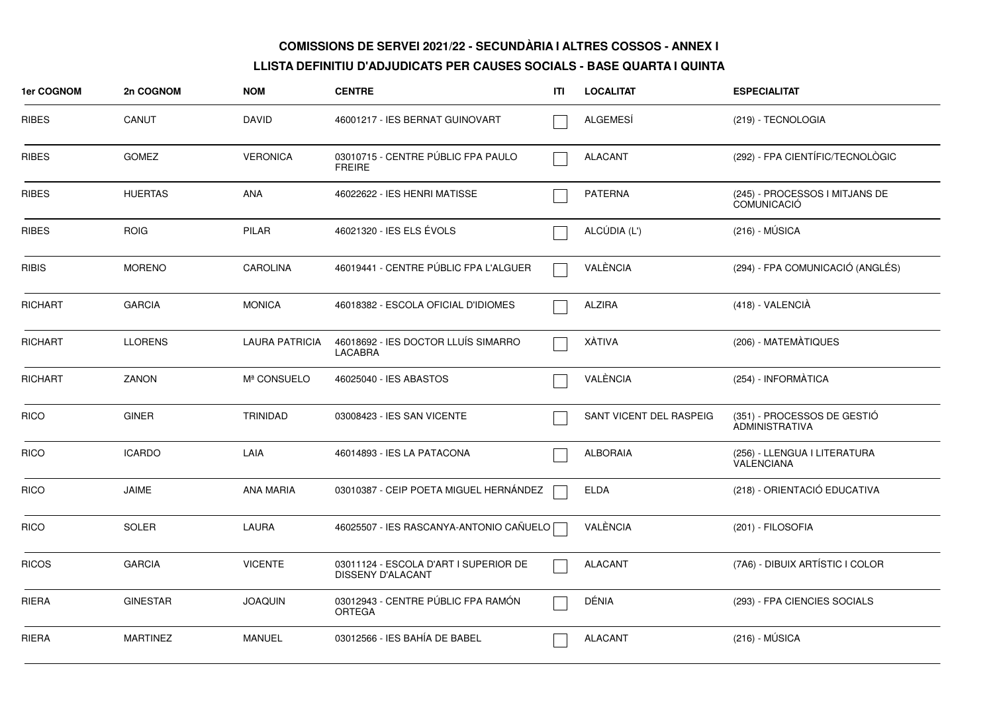| 1er COGNOM     | 2n COGNOM       | <b>NOM</b>            | <b>CENTRE</b>                                                     | ITI | <b>LOCALITAT</b>        | <b>ESPECIALITAT</b>                                  |
|----------------|-----------------|-----------------------|-------------------------------------------------------------------|-----|-------------------------|------------------------------------------------------|
| <b>RIBES</b>   | CANUT           | <b>DAVID</b>          | 46001217 - IES BERNAT GUINOVART                                   |     | ALGEMESI                | (219) - TECNOLOGIA                                   |
| <b>RIBES</b>   | <b>GOMEZ</b>    | <b>VERONICA</b>       | 03010715 - CENTRE PÚBLIC FPA PAULO<br><b>FREIRE</b>               |     | <b>ALACANT</b>          | (292) - FPA CIENTÍFIC/TECNOLÒGIC                     |
| <b>RIBES</b>   | <b>HUERTAS</b>  | <b>ANA</b>            | 46022622 - IES HENRI MATISSE                                      |     | <b>PATERNA</b>          | (245) - PROCESSOS I MITJANS DE<br><b>COMUNICACIÓ</b> |
| RIBES          | <b>ROIG</b>     | <b>PILAR</b>          | 46021320 - IES ELS ÉVOLS                                          |     | ALCÚDIA (L')            | $(216) - MÚSICA$                                     |
| <b>RIBIS</b>   | <b>MORENO</b>   | <b>CAROLINA</b>       | 46019441 - CENTRE PÚBLIC FPA L'ALGUER                             |     | VALÈNCIA                | (294) - FPA COMUNICACIÓ (ANGLÉS)                     |
| <b>RICHART</b> | <b>GARCIA</b>   | <b>MONICA</b>         | 46018382 - ESCOLA OFICIAL D'IDIOMES                               |     | <b>ALZIRA</b>           | (418) - VALENCIÀ                                     |
| <b>RICHART</b> | <b>LLORENS</b>  | <b>LAURA PATRICIA</b> | 46018692 - IES DOCTOR LLUÍS SIMARRO<br><b>LACABRA</b>             |     | XÀTIVA                  | (206) - MATEMÀTIQUES                                 |
| <b>RICHART</b> | <b>ZANON</b>    | Mª CONSUELO           | 46025040 - IES ABASTOS                                            |     | VALÈNCIA                | (254) - INFORMÀTICA                                  |
| <b>RICO</b>    | <b>GINER</b>    | <b>TRINIDAD</b>       | 03008423 - IES SAN VICENTE                                        |     | SANT VICENT DEL RASPEIG | (351) - PROCESSOS DE GESTIÓ<br><b>ADMINISTRATIVA</b> |
| <b>RICO</b>    | <b>ICARDO</b>   | LAIA                  | 46014893 - IES LA PATACONA                                        |     | <b>ALBORAIA</b>         | (256) - LLENGUA I LITERATURA<br><b>VALENCIANA</b>    |
| <b>RICO</b>    | <b>JAIME</b>    | <b>ANA MARIA</b>      | 03010387 - CEIP POETA MIGUEL HERNÁNDEZ                            |     | <b>ELDA</b>             | (218) - ORIENTACIÓ EDUCATIVA                         |
| <b>RICO</b>    | <b>SOLER</b>    | <b>LAURA</b>          | 46025507 - IES RASCANYA-ANTONIO CAÑUELO                           |     | VALÈNCIA                | (201) - FILOSOFIA                                    |
| <b>RICOS</b>   | <b>GARCIA</b>   | <b>VICENTE</b>        | 03011124 - ESCOLA D'ART I SUPERIOR DE<br><b>DISSENY D'ALACANT</b> |     | <b>ALACANT</b>          | (7A6) - DIBUIX ARTÍSTIC I COLOR                      |
| <b>RIERA</b>   | <b>GINESTAR</b> | <b>JOAQUIN</b>        | 03012943 - CENTRE PÚBLIC FPA RAMÓN<br>ORTEGA                      |     | DÉNIA                   | (293) - FPA CIENCIES SOCIALS                         |
| <b>RIERA</b>   | <b>MARTINEZ</b> | <b>MANUEL</b>         | 03012566 - IES BAHÍA DE BABEL                                     |     | <b>ALACANT</b>          | $(216) - MÚSICA$                                     |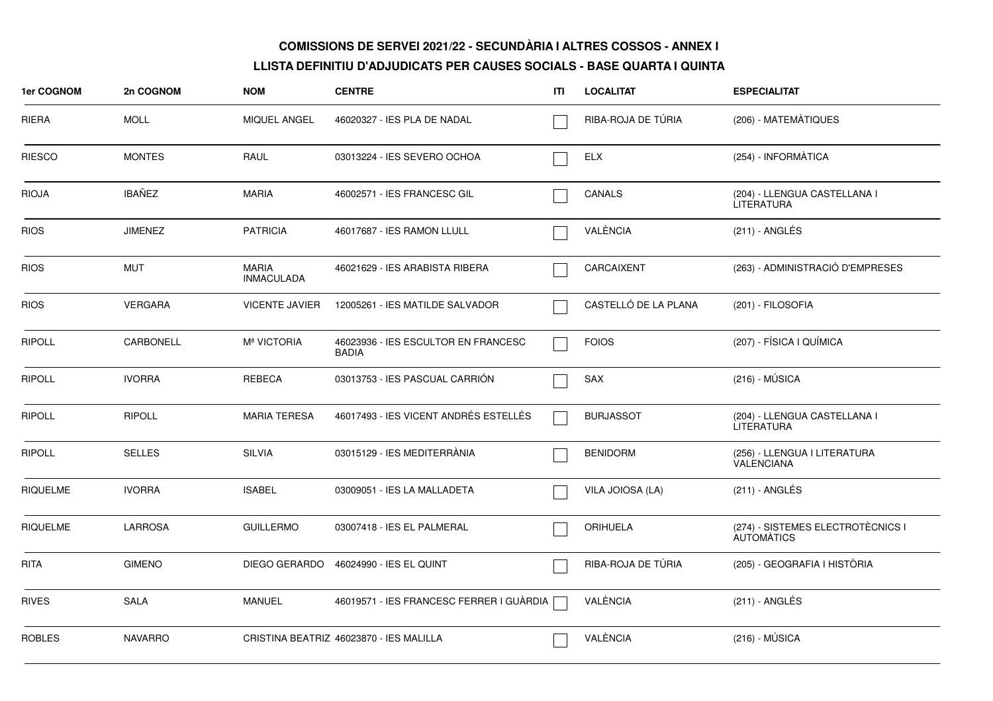| <b>1er COGNOM</b> | 2n COGNOM      | <b>NOM</b>                        | <b>CENTRE</b>                                       | ITI | <b>LOCALITAT</b>     | <b>ESPECIALITAT</b>                                    |
|-------------------|----------------|-----------------------------------|-----------------------------------------------------|-----|----------------------|--------------------------------------------------------|
| RIERA             | <b>MOLL</b>    | <b>MIQUEL ANGEL</b>               | 46020327 - IES PLA DE NADAL                         |     | RIBA-ROJA DE TÚRIA   | (206) - MATEMÀTIQUES                                   |
| <b>RIESCO</b>     | <b>MONTES</b>  | RAUL                              | 03013224 - IES SEVERO OCHOA                         |     | <b>ELX</b>           | (254) - INFORMÀTICA                                    |
| <b>RIOJA</b>      | <b>IBAÑEZ</b>  | <b>MARIA</b>                      | 46002571 - IES FRANCESC GIL                         |     | CANALS               | (204) - LLENGUA CASTELLANA I<br><b>LITERATURA</b>      |
| <b>RIOS</b>       | <b>JIMENEZ</b> | <b>PATRICIA</b>                   | 46017687 - IES RAMON LLULL                          |     | VALÈNCIA             | $(211)$ - ANGLÉS                                       |
| <b>RIOS</b>       | <b>MUT</b>     | <b>MARIA</b><br><b>INMACULADA</b> | 46021629 - IES ARABISTA RIBERA                      |     | CARCAIXENT           | (263) - ADMINISTRACIÓ D'EMPRESES                       |
| <b>RIOS</b>       | <b>VERGARA</b> | <b>VICENTE JAVIER</b>             | 12005261 - IES MATILDE SALVADOR                     |     | CASTELLÓ DE LA PLANA | (201) - FILOSOFIA                                      |
| <b>RIPOLL</b>     | CARBONELL      | M <sup>ª</sup> VICTORIA           | 46023936 - IES ESCULTOR EN FRANCESC<br><b>BADIA</b> |     | <b>FOIOS</b>         | (207) - FÍSICA I QUÍMICA                               |
| <b>RIPOLL</b>     | <b>IVORRA</b>  | <b>REBECA</b>                     | 03013753 - IES PASCUAL CARRIÓN                      |     | SAX                  | $(216) - MÚSICA$                                       |
| <b>RIPOLL</b>     | <b>RIPOLL</b>  | <b>MARIA TERESA</b>               | 46017493 - IES VICENT ANDRÉS ESTELLÉS               |     | <b>BURJASSOT</b>     | (204) - LLENGUA CASTELLANA I<br><b>LITERATURA</b>      |
| <b>RIPOLL</b>     | <b>SELLES</b>  | <b>SILVIA</b>                     | 03015129 - IES MEDITERRÀNIA                         |     | <b>BENIDORM</b>      | (256) - LLENGUA I LITERATURA<br><b>VALENCIANA</b>      |
| <b>RIQUELME</b>   | <b>IVORRA</b>  | <b>ISABEL</b>                     | 03009051 - IES LA MALLADETA                         |     | VILA JOIOSA (LA)     | (211) - ANGLÉS                                         |
| <b>RIQUELME</b>   | <b>LARROSA</b> | <b>GUILLERMO</b>                  | 03007418 - IES EL PALMERAL                          |     | ORIHUELA             | (274) - SISTEMES ELECTROTÈCNICS I<br><b>AUTOMATICS</b> |
| <b>RITA</b>       | <b>GIMENO</b>  |                                   | DIEGO GERARDO 46024990 - IES EL QUINT               |     | RIBA-ROJA DE TÚRIA   | (205) - GEOGRAFIA I HISTÒRIA                           |
| <b>RIVES</b>      | <b>SALA</b>    | <b>MANUEL</b>                     | 46019571 - IES FRANCESC FERRER I GUÀRDIA            |     | VALÈNCIA             | $(211)$ - ANGLÉS                                       |
| <b>ROBLES</b>     | <b>NAVARRO</b> |                                   | CRISTINA BEATRIZ 46023870 - IES MALILLA             |     | VALÈNCIA             | $(216) - MÚSICA$                                       |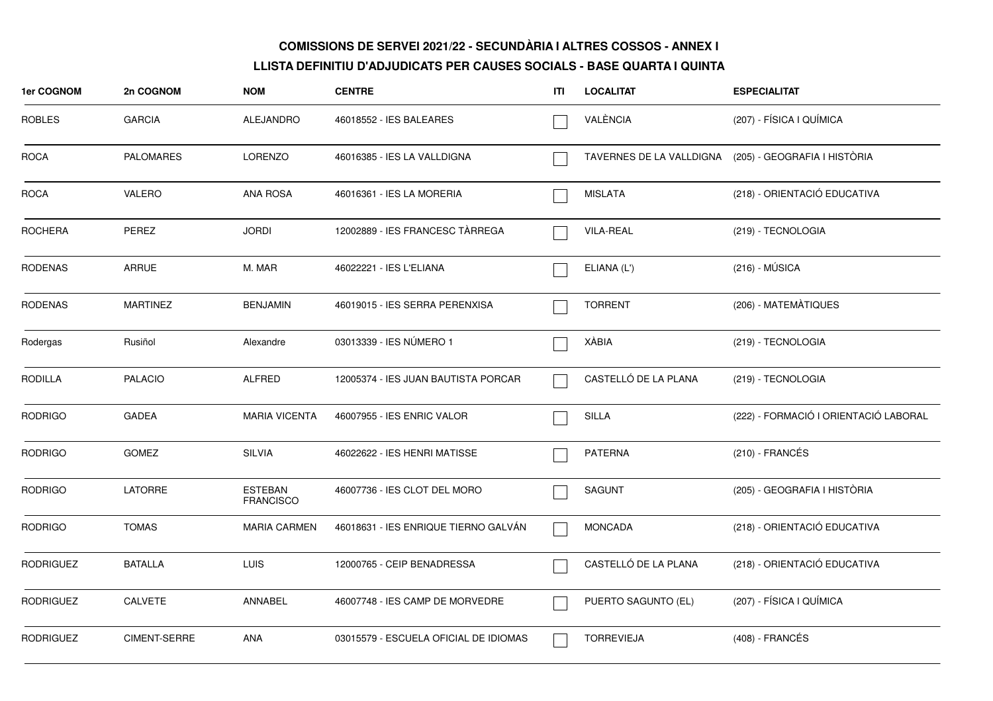| 1er COGNOM       | 2n COGNOM        | <b>NOM</b>                         | <b>CENTRE</b>                         | ITI | <b>LOCALITAT</b>     | <b>ESPECIALITAT</b>                                   |
|------------------|------------------|------------------------------------|---------------------------------------|-----|----------------------|-------------------------------------------------------|
| <b>ROBLES</b>    | <b>GARCIA</b>    | ALEJANDRO                          | 46018552 - IES BALEARES               |     | VALÈNCIA             | (207) - FÍSICA I QUÍMICA                              |
| <b>ROCA</b>      | <b>PALOMARES</b> | <b>LORENZO</b>                     | 46016385 - IES LA VALLDIGNA           |     |                      | TAVERNES DE LA VALLDIGNA (205) - GEOGRAFIA I HISTÒRIA |
| <b>ROCA</b>      | VALERO           | <b>ANA ROSA</b>                    | 46016361 - IES LA MORERIA             |     | <b>MISLATA</b>       | (218) - ORIENTACIÓ EDUCATIVA                          |
| <b>ROCHERA</b>   | PEREZ            | <b>JORDI</b>                       | 12002889 - IES FRANCESC TÀRREGA       |     | <b>VILA-REAL</b>     | (219) - TECNOLOGIA                                    |
| <b>RODENAS</b>   | <b>ARRUE</b>     | M. MAR                             | 46022221 - IES L'ELIANA               |     | ELIANA (L')          | $(216) - MÚSICA$                                      |
| <b>RODENAS</b>   | <b>MARTINEZ</b>  | <b>BENJAMIN</b>                    | 46019015 - IES SERRA PERENXISA        |     | <b>TORRENT</b>       | (206) - MATEMÀTIQUES                                  |
| Rodergas         | Rusiñol          | Alexandre                          | 03013339 - IES NÚMERO 1               |     | XÀBIA                | (219) - TECNOLOGIA                                    |
| <b>RODILLA</b>   | <b>PALACIO</b>   | <b>ALFRED</b>                      | 12005374 - IES JUAN BAUTISTA PORCAR   |     | CASTELLÓ DE LA PLANA | (219) - TECNOLOGIA                                    |
| <b>RODRIGO</b>   | <b>GADEA</b>     | <b>MARIA VICENTA</b>               | 46007955 - IES ENRIC VALOR            |     | SILLA                | (222) - FORMACIÓ I ORIENTACIÓ LABORAL                 |
| <b>RODRIGO</b>   | <b>GOMEZ</b>     | <b>SILVIA</b>                      | 46022622 - IES HENRI MATISSE          |     | <b>PATERNA</b>       | $(210)$ - FRANCÉS                                     |
| <b>RODRIGO</b>   | <b>LATORRE</b>   | <b>ESTEBAN</b><br><b>FRANCISCO</b> | 46007736 - IES CLOT DEL MORO          |     | <b>SAGUNT</b>        | (205) - GEOGRAFIA I HISTÒRIA                          |
| <b>RODRIGO</b>   | <b>TOMAS</b>     | <b>MARIA CARMEN</b>                | 46018631 - IES ENRIQUE TIERNO GALVAN  |     | <b>MONCADA</b>       | (218) - ORIENTACIÓ EDUCATIVA                          |
| <b>RODRIGUEZ</b> | <b>BATALLA</b>   | LUIS                               | 12000765 - CEIP BENADRESSA            |     | CASTELLÓ DE LA PLANA | (218) - ORIENTACIÓ EDUCATIVA                          |
| <b>RODRIGUEZ</b> | CALVETE          | ANNABEL                            | 46007748 - IES CAMP DE MORVEDRE       |     | PUERTO SAGUNTO (EL)  | (207) - FÍSICA I QUÍMICA                              |
| <b>RODRIGUEZ</b> | CIMENT-SERRE     | ANA                                | 03015579 - ESCUELA OFICIAL DE IDIOMAS |     | <b>TORREVIEJA</b>    | (408) - FRANCÉS                                       |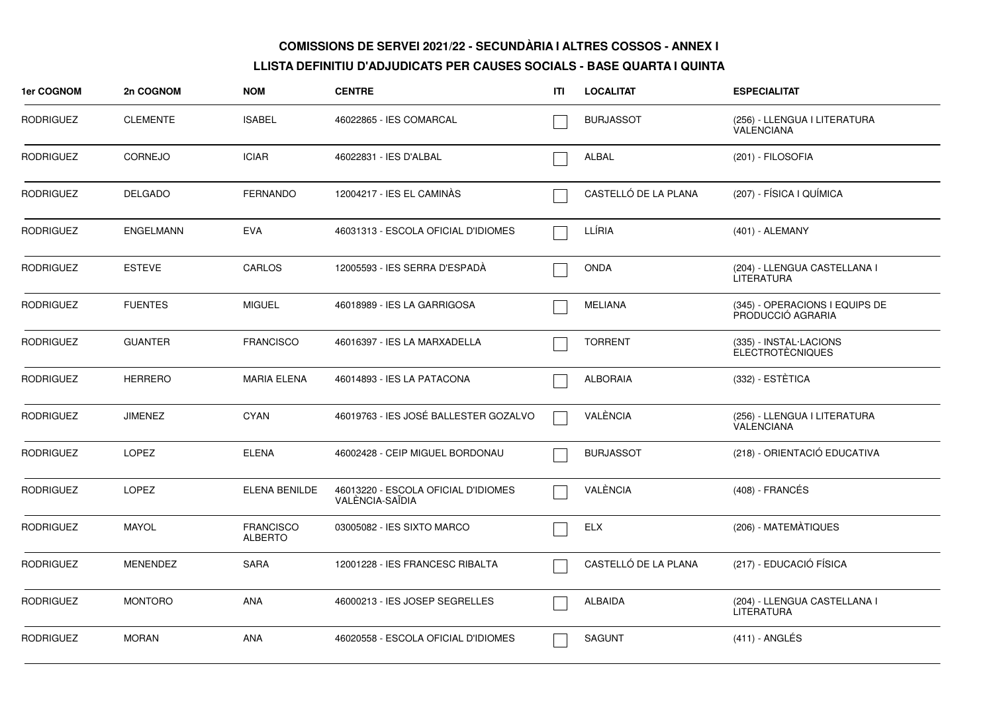| 1er COGNOM       | 2n COGNOM        | <b>NOM</b>                         | <b>CENTRE</b>                                          | ITI | <b>LOCALITAT</b>     | <b>ESPECIALITAT</b>                                 |
|------------------|------------------|------------------------------------|--------------------------------------------------------|-----|----------------------|-----------------------------------------------------|
| <b>RODRIGUEZ</b> | <b>CLEMENTE</b>  | <b>ISABEL</b>                      | 46022865 - IES COMARCAL                                |     | <b>BURJASSOT</b>     | (256) - LLENGUA I LITERATURA<br><b>VALENCIANA</b>   |
| <b>RODRIGUEZ</b> | <b>CORNEJO</b>   | <b>ICIAR</b>                       | 46022831 - IES D'ALBAL                                 |     | ALBAL                | (201) - FILOSOFIA                                   |
| <b>RODRIGUEZ</b> | <b>DELGADO</b>   | <b>FERNANDO</b>                    | 12004217 - IES EL CAMINÀS                              |     | CASTELLÓ DE LA PLANA | (207) - FÍSICA I QUÍMICA                            |
| <b>RODRIGUEZ</b> | <b>ENGELMANN</b> | <b>EVA</b>                         | 46031313 - ESCOLA OFICIAL D'IDIOMES                    |     | LLÍRIA               | (401) - ALEMANY                                     |
| <b>RODRIGUEZ</b> | <b>ESTEVE</b>    | CARLOS                             | 12005593 - IES SERRA D'ESPADÀ                          |     | <b>ONDA</b>          | (204) - LLENGUA CASTELLANA I<br><b>LITERATURA</b>   |
| <b>RODRIGUEZ</b> | <b>FUENTES</b>   | <b>MIGUEL</b>                      | 46018989 - IES LA GARRIGOSA                            |     | <b>MELIANA</b>       | (345) - OPERACIONS I EQUIPS DE<br>PRODUCCIÓ AGRARIA |
| <b>RODRIGUEZ</b> | <b>GUANTER</b>   | <b>FRANCISCO</b>                   | 46016397 - IES LA MARXADELLA                           |     | <b>TORRENT</b>       | (335) - INSTAL·LACIONS<br><b>ELECTROTÈCNIQUES</b>   |
| <b>RODRIGUEZ</b> | <b>HERRERO</b>   | <b>MARIA ELENA</b>                 | 46014893 - IES LA PATACONA                             |     | <b>ALBORAIA</b>      | (332) - ESTÈTICA                                    |
| <b>RODRIGUEZ</b> | <b>JIMENEZ</b>   | <b>CYAN</b>                        | 46019763 - IES JOSÉ BALLESTER GOZALVO                  |     | VALÈNCIA             | (256) - LLENGUA I LITERATURA<br><b>VALENCIANA</b>   |
| <b>RODRIGUEZ</b> | <b>LOPEZ</b>     | <b>ELENA</b>                       | 46002428 - CEIP MIGUEL BORDONAU                        |     | <b>BURJASSOT</b>     | (218) - ORIENTACIÓ EDUCATIVA                        |
| <b>RODRIGUEZ</b> | <b>LOPEZ</b>     | ELENA BENILDE                      | 46013220 - ESCOLA OFICIAL D'IDIOMES<br>VALÈNCIA-SAÏDIA |     | VALÈNCIA             | $(408)$ - FRANCÉS                                   |
| <b>RODRIGUEZ</b> | <b>MAYOL</b>     | <b>FRANCISCO</b><br><b>ALBERTO</b> | 03005082 - IES SIXTO MARCO                             |     | <b>ELX</b>           | (206) - MATEMATIQUES                                |
| <b>RODRIGUEZ</b> | <b>MENENDEZ</b>  | <b>SARA</b>                        | 12001228 - IES FRANCESC RIBALTA                        |     | CASTELLÓ DE LA PLANA | (217) - EDUCACIÓ FÍSICA                             |
| <b>RODRIGUEZ</b> | <b>MONTORO</b>   | <b>ANA</b>                         | 46000213 - IES JOSEP SEGRELLES                         |     | <b>ALBAIDA</b>       | (204) - LLENGUA CASTELLANA I<br><b>LITERATURA</b>   |
| <b>RODRIGUEZ</b> | <b>MORAN</b>     | <b>ANA</b>                         | 46020558 - ESCOLA OFICIAL D'IDIOMES                    |     | <b>SAGUNT</b>        | $(411)$ - ANGLÉS                                    |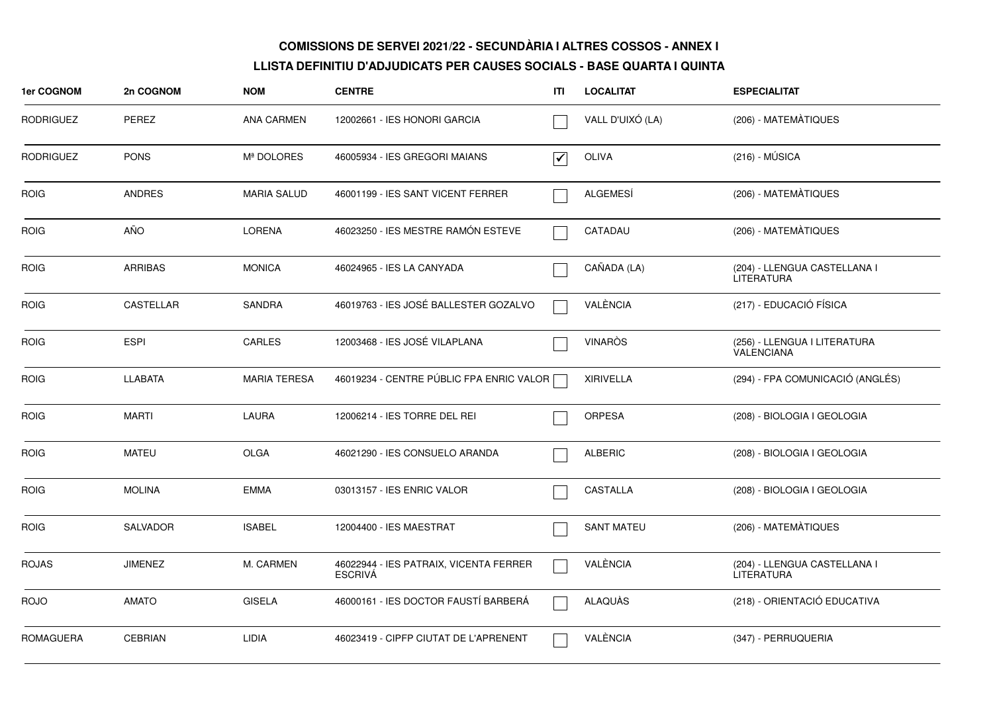| 1er COGNOM       | 2n COGNOM        | <b>NOM</b>          | <b>CENTRE</b>                                            | ITI                             | <b>LOCALITAT</b>  | <b>ESPECIALITAT</b>                               |
|------------------|------------------|---------------------|----------------------------------------------------------|---------------------------------|-------------------|---------------------------------------------------|
| <b>RODRIGUEZ</b> | PEREZ            | <b>ANA CARMEN</b>   | 12002661 - IES HONORI GARCIA                             |                                 | VALL D'UIXÓ (LA)  | (206) - MATEMÀTIQUES                              |
| <b>RODRIGUEZ</b> | <b>PONS</b>      | Mª DOLORES          | 46005934 - IES GREGORI MAIANS                            | $\overline{\blacktriangledown}$ | <b>OLIVA</b>      | $(216) - MÚSICA$                                  |
| <b>ROIG</b>      | <b>ANDRES</b>    | <b>MARIA SALUD</b>  | 46001199 - IES SANT VICENT FERRER                        |                                 | ALGEMESÍ          | (206) - MATEMÀTIQUES                              |
| <b>ROIG</b>      | AÑO              | <b>LORENA</b>       | 46023250 - IES MESTRE RAMÓN ESTEVE                       |                                 | CATADAU           | (206) - MATEMATIQUES                              |
| <b>ROIG</b>      | <b>ARRIBAS</b>   | <b>MONICA</b>       | 46024965 - IES LA CANYADA                                |                                 | CAÑADA (LA)       | (204) - LLENGUA CASTELLANA I<br><b>LITERATURA</b> |
| <b>ROIG</b>      | <b>CASTELLAR</b> | <b>SANDRA</b>       | 46019763 - IES JOSÉ BALLESTER GOZALVO                    |                                 | VALÈNCIA          | (217) - EDUCACIÓ FÍSICA                           |
| <b>ROIG</b>      | <b>ESPI</b>      | CARLES              | 12003468 - IES JOSÉ VILAPLANA                            |                                 | <b>VINARÒS</b>    | (256) - LLENGUA I LITERATURA<br><b>VALENCIANA</b> |
| <b>ROIG</b>      | <b>LLABATA</b>   | <b>MARIA TERESA</b> | 46019234 - CENTRE PÚBLIC FPA ENRIC VALOR [               |                                 | <b>XIRIVELLA</b>  | (294) - FPA COMUNICACIÓ (ANGLÉS)                  |
| <b>ROIG</b>      | <b>MARTI</b>     | <b>LAURA</b>        | 12006214 - IES TORRE DEL REI                             |                                 | <b>ORPESA</b>     | (208) - BIOLOGIA I GEOLOGIA                       |
| <b>ROIG</b>      | MATEU            | <b>OLGA</b>         | 46021290 - IES CONSUELO ARANDA                           |                                 | <b>ALBERIC</b>    | (208) - BIOLOGIA I GEOLOGIA                       |
| <b>ROIG</b>      | <b>MOLINA</b>    | <b>EMMA</b>         | 03013157 - IES ENRIC VALOR                               |                                 | <b>CASTALLA</b>   | (208) - BIOLOGIA I GEOLOGIA                       |
| <b>ROIG</b>      | <b>SALVADOR</b>  | <b>ISABEL</b>       | 12004400 - IES MAESTRAT                                  |                                 | <b>SANT MATEU</b> | (206) - MATEMÀTIQUES                              |
| <b>ROJAS</b>     | <b>JIMENEZ</b>   | M. CARMEN           | 46022944 - IES PATRAIX, VICENTA FERRER<br><b>ESCRIVÁ</b> |                                 | VALÈNCIA          | (204) - LLENGUA CASTELLANA I<br><b>LITERATURA</b> |
| <b>ROJO</b>      | <b>AMATO</b>     | <b>GISELA</b>       | 46000161 - IES DOCTOR FAUSTÍ BARBERÁ                     |                                 | ALAQUÀS           | (218) - ORIENTACIÓ EDUCATIVA                      |
| <b>ROMAGUERA</b> | <b>CEBRIAN</b>   | LIDIA               | 46023419 - CIPFP CIUTAT DE L'APRENENT                    |                                 | VALÈNCIA          | (347) - PERRUQUERIA                               |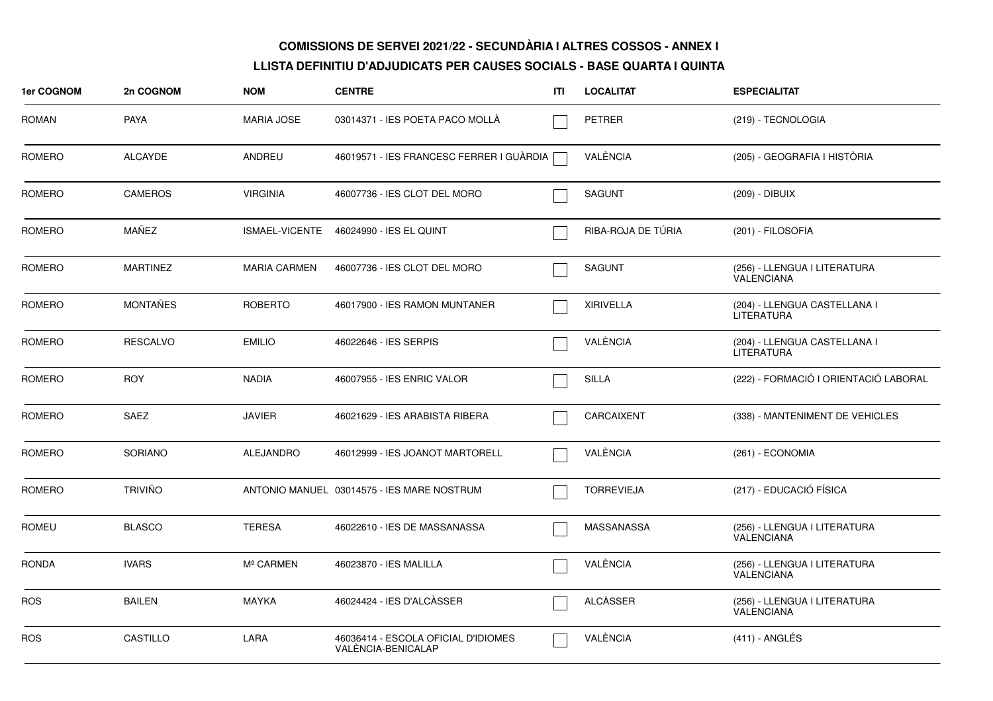| 1er COGNOM    | 2n COGNOM       | <b>NOM</b>            | <b>CENTRE</b>                                             | ITI | <b>LOCALITAT</b>   | <b>ESPECIALITAT</b>                               |
|---------------|-----------------|-----------------------|-----------------------------------------------------------|-----|--------------------|---------------------------------------------------|
| <b>ROMAN</b>  | <b>PAYA</b>     | <b>MARIA JOSE</b>     | 03014371 - IES POETA PACO MOLLA                           |     | <b>PETRER</b>      | (219) - TECNOLOGIA                                |
| <b>ROMERO</b> | <b>ALCAYDE</b>  | ANDREU                | 46019571 - IES FRANCESC FERRER I GUÀRDIA                  |     | VALÈNCIA           | (205) - GEOGRAFIA I HISTÒRIA                      |
| ROMERO        | <b>CAMEROS</b>  | <b>VIRGINIA</b>       | 46007736 - IES CLOT DEL MORO                              |     | <b>SAGUNT</b>      | (209) - DIBUIX                                    |
| ROMERO        | MAÑEZ           | ISMAEL-VICENTE        | 46024990 - IES EL QUINT                                   |     | RIBA-ROJA DE TÚRIA | (201) - FILOSOFIA                                 |
| <b>ROMERO</b> | <b>MARTINEZ</b> | <b>MARIA CARMEN</b>   | 46007736 - IES CLOT DEL MORO                              |     | <b>SAGUNT</b>      | (256) - LLENGUA I LITERATURA<br>VALENCIANA        |
| ROMERO        | <b>MONTAÑES</b> | <b>ROBERTO</b>        | 46017900 - IES RAMON MUNTANER                             |     | <b>XIRIVELLA</b>   | (204) - LLENGUA CASTELLANA I<br><b>LITERATURA</b> |
| ROMERO        | <b>RESCALVO</b> | <b>EMILIO</b>         | 46022646 - IES SERPIS                                     |     | VALÈNCIA           | (204) - LLENGUA CASTELLANA I<br><b>LITERATURA</b> |
| ROMERO        | <b>ROY</b>      | <b>NADIA</b>          | 46007955 - IES ENRIC VALOR                                |     | <b>SILLA</b>       | (222) - FORMACIÓ I ORIENTACIÓ LABORAL             |
| ROMERO        | SAEZ            | <b>JAVIER</b>         | 46021629 - IES ARABISTA RIBERA                            |     | CARCAIXENT         | (338) - MANTENIMENT DE VEHICLES                   |
| ROMERO        | <b>SORIANO</b>  | <b>ALEJANDRO</b>      | 46012999 - IES JOANOT MARTORELL                           |     | VALÈNCIA           | (261) - ECONOMIA                                  |
| ROMERO        | <b>TRIVIÑO</b>  |                       | ANTONIO MANUEL 03014575 - IES MARE NOSTRUM                |     | <b>TORREVIEJA</b>  | (217) - EDUCACIÓ FÍSICA                           |
| <b>ROMEU</b>  | <b>BLASCO</b>   | <b>TERESA</b>         | 46022610 - IES DE MASSANASSA                              |     | MASSANASSA         | (256) - LLENGUA I LITERATURA<br><b>VALENCIANA</b> |
| <b>RONDA</b>  | <b>IVARS</b>    | M <sup>ª</sup> CARMEN | 46023870 - IES MALILLA                                    |     | VALÈNCIA           | (256) - LLENGUA I LITERATURA<br>VALENCIANA        |
| <b>ROS</b>    | <b>BAILEN</b>   | <b>MAYKA</b>          | 46024424 - IES D'ALCÀSSER                                 |     | <b>ALCÀSSER</b>    | (256) - LLENGUA I LITERATURA<br>VALENCIANA        |
| <b>ROS</b>    | CASTILLO        | LARA                  | 46036414 - ESCOLA OFICIAL D'IDIOMES<br>VALENCIA-BENICALAP |     | VALÈNCIA           | (411) - ANGLÉS                                    |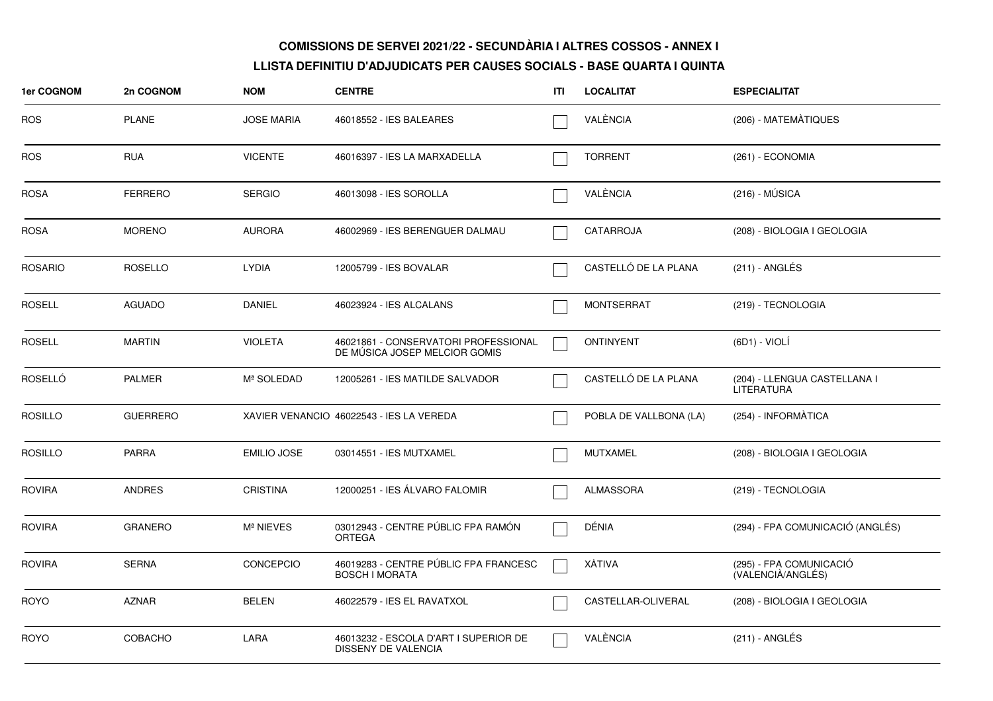| <b>1er COGNOM</b> | 2n COGNOM       | <b>NOM</b>            | <b>CENTRE</b>                                                         | ITI | <b>LOCALITAT</b>       | <b>ESPECIALITAT</b>                          |
|-------------------|-----------------|-----------------------|-----------------------------------------------------------------------|-----|------------------------|----------------------------------------------|
| <b>ROS</b>        | <b>PLANE</b>    | <b>JOSE MARIA</b>     | 46018552 - IES BALEARES                                               |     | VALÈNCIA               | (206) - MATEMÀTIQUES                         |
| <b>ROS</b>        | <b>RUA</b>      | <b>VICENTE</b>        | 46016397 - IES LA MARXADELLA                                          |     | <b>TORRENT</b>         | (261) - ECONOMIA                             |
| <b>ROSA</b>       | <b>FERRERO</b>  | <b>SERGIO</b>         | 46013098 - IES SOROLLA                                                |     | VALÈNCIA               | $(216) - MÚSICA$                             |
| <b>ROSA</b>       | <b>MORENO</b>   | <b>AURORA</b>         | 46002969 - IES BERENGUER DALMAU                                       |     | CATARROJA              | (208) - BIOLOGIA I GEOLOGIA                  |
| <b>ROSARIO</b>    | <b>ROSELLO</b>  | <b>LYDIA</b>          | 12005799 - IES BOVALAR                                                |     | CASTELLÓ DE LA PLANA   | $(211)$ - ANGLÉS                             |
| <b>ROSELL</b>     | <b>AGUADO</b>   | <b>DANIEL</b>         | 46023924 - IES ALCALANS                                               |     | <b>MONTSERRAT</b>      | (219) - TECNOLOGIA                           |
| <b>ROSELL</b>     | <b>MARTIN</b>   | <b>VIOLETA</b>        | 46021861 - CONSERVATORI PROFESSIONAL<br>DE MÚSICA JOSEP MELCIOR GOMIS |     | <b>ONTINYENT</b>       | (6D1) - VIOLÍ                                |
| <b>ROSELLÓ</b>    | <b>PALMER</b>   | Mª SOLEDAD            | 12005261 - IES MATILDE SALVADOR                                       |     | CASTELLÓ DE LA PLANA   | (204) - LLENGUA CASTELLANA I<br>LITERATURA   |
| <b>ROSILLO</b>    | <b>GUERRERO</b> |                       | XAVIER VENANCIO 46022543 - IES LA VEREDA                              |     | POBLA DE VALLBONA (LA) | (254) - INFORMÀTICA                          |
| <b>ROSILLO</b>    | <b>PARRA</b>    | <b>EMILIO JOSE</b>    | 03014551 - IES MUTXAMEL                                               |     | <b>MUTXAMEL</b>        | (208) - BIOLOGIA I GEOLOGIA                  |
| <b>ROVIRA</b>     | <b>ANDRES</b>   | <b>CRISTINA</b>       | 12000251 - IES ÁLVARO FALOMIR                                         |     | <b>ALMASSORA</b>       | (219) - TECNOLOGIA                           |
| <b>ROVIRA</b>     | <b>GRANERO</b>  | M <sup>ª</sup> NIEVES | 03012943 - CENTRE PÚBLIC FPA RAMÓN<br><b>ORTEGA</b>                   |     | DÉNIA                  | (294) - FPA COMUNICACIÓ (ANGLÉS)             |
| <b>ROVIRA</b>     | <b>SERNA</b>    | <b>CONCEPCIO</b>      | 46019283 - CENTRE PUBLIC FPA FRANCESC<br><b>BOSCH I MORATA</b>        |     | XÀTIVA                 | (295) - FPA COMUNICACIÓ<br>(VALENCIÀ/ANGLÉS) |
| <b>ROYO</b>       | <b>AZNAR</b>    | <b>BELEN</b>          | 46022579 - IES EL RAVATXOL                                            |     | CASTELLAR-OLIVERAL     | (208) - BIOLOGIA I GEOLOGIA                  |
| <b>ROYO</b>       | <b>COBACHO</b>  | LARA                  | 46013232 - ESCOLA D'ART I SUPERIOR DE<br><b>DISSENY DE VALENCIA</b>   |     | VALÈNCIA               | $(211)$ - ANGLÉS                             |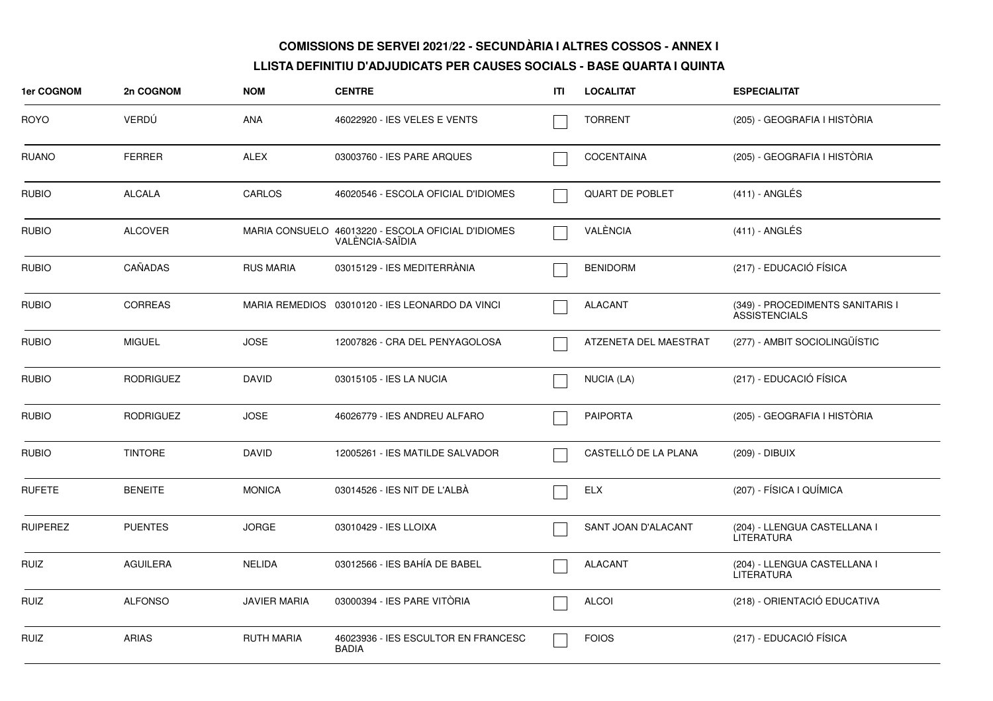| 1er COGNOM      | 2n COGNOM        | <b>NOM</b>          | <b>CENTRE</b>                                                         | ITI | <b>LOCALITAT</b>       | <b>ESPECIALITAT</b>                                      |
|-----------------|------------------|---------------------|-----------------------------------------------------------------------|-----|------------------------|----------------------------------------------------------|
| <b>ROYO</b>     | <b>VERDU</b>     | <b>ANA</b>          | 46022920 - IES VELES E VENTS                                          |     | <b>TORRENT</b>         | (205) - GEOGRAFIA I HISTÒRIA                             |
| <b>RUANO</b>    | <b>FERRER</b>    | <b>ALEX</b>         | 03003760 - IES PARE ARQUES                                            |     | <b>COCENTAINA</b>      | (205) - GEOGRAFIA I HISTÒRIA                             |
| <b>RUBIO</b>    | <b>ALCALA</b>    | CARLOS              | 46020546 - ESCOLA OFICIAL D'IDIOMES                                   |     | <b>QUART DE POBLET</b> | (411) - ANGLÉS                                           |
| <b>RUBIO</b>    | <b>ALCOVER</b>   |                     | MARIA CONSUELO 46013220 - ESCOLA OFICIAL D'IDIOMES<br>VALÈNCIA-SAÏDIA |     | VALÈNCIA               | $(411)$ - ANGLÉS                                         |
| <b>RUBIO</b>    | CAÑADAS          | <b>RUS MARIA</b>    | 03015129 - IES MEDITERRANIA                                           |     | <b>BENIDORM</b>        | (217) - EDUCACIÓ FÍSICA                                  |
| <b>RUBIO</b>    | <b>CORREAS</b>   |                     | MARIA REMEDIOS 03010120 - IES LEONARDO DA VINCI                       |     | <b>ALACANT</b>         | (349) - PROCEDIMENTS SANITARIS I<br><b>ASSISTENCIALS</b> |
| <b>RUBIO</b>    | <b>MIGUEL</b>    | <b>JOSE</b>         | 12007826 - CRA DEL PENYAGOLOSA                                        |     | ATZENETA DEL MAESTRAT  | (277) - AMBIT SOCIOLINGÜÍSTIC                            |
| <b>RUBIO</b>    | <b>RODRIGUEZ</b> | <b>DAVID</b>        | 03015105 - IES LA NUCIA                                               |     | NUCIA (LA)             | (217) - EDUCACIÓ FÍSICA                                  |
| <b>RUBIO</b>    | <b>RODRIGUEZ</b> | <b>JOSE</b>         | 46026779 - IES ANDREU ALFARO                                          |     | <b>PAIPORTA</b>        | (205) - GEOGRAFIA I HISTÒRIA                             |
| <b>RUBIO</b>    | <b>TINTORE</b>   | <b>DAVID</b>        | 12005261 - IES MATILDE SALVADOR                                       |     | CASTELLÓ DE LA PLANA   | (209) - DIBUIX                                           |
| <b>RUFETE</b>   | <b>BENEITE</b>   | <b>MONICA</b>       | 03014526 - IES NIT DE L'ALBÀ                                          |     | <b>ELX</b>             | (207) - FÍSICA I QUÍMICA                                 |
| <b>RUIPEREZ</b> | <b>PUENTES</b>   | <b>JORGE</b>        | 03010429 - IES LLOIXA                                                 |     | SANT JOAN D'ALACANT    | (204) - LLENGUA CASTELLANA I<br><b>LITERATURA</b>        |
| <b>RUIZ</b>     | <b>AGUILERA</b>  | <b>NELIDA</b>       | 03012566 - IES BAHÍA DE BABEL                                         |     | <b>ALACANT</b>         | (204) - LLENGUA CASTELLANA I<br><b>LITERATURA</b>        |
| <b>RUIZ</b>     | <b>ALFONSO</b>   | <b>JAVIER MARIA</b> | 03000394 - IES PARE VITÒRIA                                           |     | <b>ALCOI</b>           | (218) - ORIENTACIÓ EDUCATIVA                             |
| <b>RUIZ</b>     | <b>ARIAS</b>     | <b>RUTH MARIA</b>   | 46023936 - IES ESCULTOR EN FRANCESC<br><b>BADIA</b>                   |     | <b>FOIOS</b>           | (217) - EDUCACIÓ FÍSICA                                  |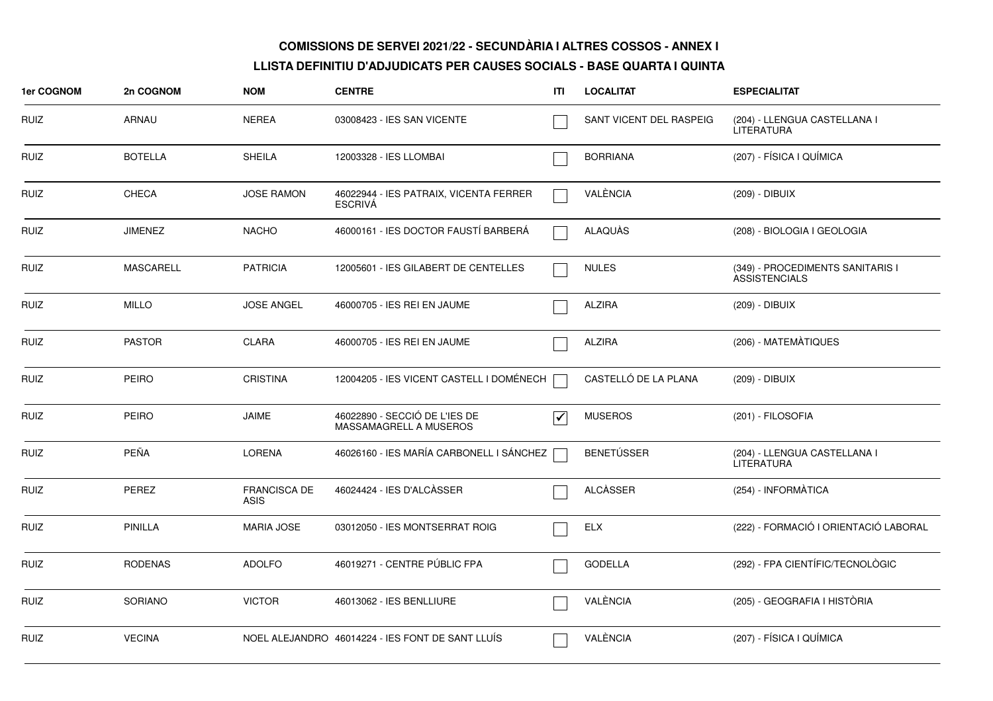| 1er COGNOM  | 2n COGNOM        | <b>NOM</b>                         | <b>CENTRE</b>                                            | ITI               | <b>LOCALITAT</b>        | <b>ESPECIALITAT</b>                                      |
|-------------|------------------|------------------------------------|----------------------------------------------------------|-------------------|-------------------------|----------------------------------------------------------|
| RUIZ        | ARNAU            | <b>NEREA</b>                       | 03008423 - IES SAN VICENTE                               |                   | SANT VICENT DEL RASPEIG | (204) - LLENGUA CASTELLANA I<br><b>LITERATURA</b>        |
| RUIZ        | <b>BOTELLA</b>   | <b>SHEILA</b>                      | 12003328 - IES LLOMBAI                                   |                   | <b>BORRIANA</b>         | (207) - FÍSICA I QUÍMICA                                 |
| RUIZ        | <b>CHECA</b>     | <b>JOSE RAMON</b>                  | 46022944 - IES PATRAIX, VICENTA FERRER<br><b>ESCRIVA</b> |                   | VALÈNCIA                | (209) - DIBUIX                                           |
| <b>RUIZ</b> | <b>JIMENEZ</b>   | <b>NACHO</b>                       | 46000161 - IES DOCTOR FAUSTÍ BARBERÁ                     |                   | ALAQUÀS                 | (208) - BIOLOGIA I GEOLOGIA                              |
| <b>RUIZ</b> | <b>MASCARELL</b> | <b>PATRICIA</b>                    | 12005601 - IES GILABERT DE CENTELLES                     |                   | <b>NULES</b>            | (349) - PROCEDIMENTS SANITARIS I<br><b>ASSISTENCIALS</b> |
| <b>RUIZ</b> | <b>MILLO</b>     | <b>JOSE ANGEL</b>                  | 46000705 - IES REI EN JAUME                              |                   | <b>ALZIRA</b>           | (209) - DIBUIX                                           |
| <b>RUIZ</b> | <b>PASTOR</b>    | <b>CLARA</b>                       | 46000705 - IES REI EN JAUME                              |                   | <b>ALZIRA</b>           | (206) - MATEMATIQUES                                     |
| <b>RUIZ</b> | <b>PEIRO</b>     | <b>CRISTINA</b>                    | 12004205 - IES VICENT CASTELL I DOMÉNECH                 |                   | CASTELLÓ DE LA PLANA    | (209) - DIBUIX                                           |
| RUIZ        | <b>PEIRO</b>     | <b>JAIME</b>                       | 46022890 - SECCIÓ DE L'IES DE<br>MASSAMAGRELL A MUSEROS  | $\bm{\checkmark}$ | <b>MUSEROS</b>          | (201) - FILOSOFIA                                        |
| RUIZ        | PEÑA             | <b>LORENA</b>                      | 46026160 - IES MARÍA CARBONELL I SÁNCHEZ                 |                   | <b>BENETÚSSER</b>       | (204) - LLENGUA CASTELLANA I<br><b>LITERATURA</b>        |
| RUIZ        | PEREZ            | <b>FRANCISCA DE</b><br><b>ASIS</b> | 46024424 - IES D'ALCÀSSER                                |                   | <b>ALCÀSSER</b>         | (254) - INFORMÀTICA                                      |
| <b>RUIZ</b> | <b>PINILLA</b>   | <b>MARIA JOSE</b>                  | 03012050 - IES MONTSERRAT ROIG                           |                   | <b>ELX</b>              | (222) - FORMACIÓ I ORIENTACIÓ LABORAL                    |
| RUIZ        | <b>RODENAS</b>   | <b>ADOLFO</b>                      | 46019271 - CENTRE PÚBLIC FPA                             |                   | <b>GODELLA</b>          | (292) - FPA CIENTÍFIC/TECNOLÒGIC                         |
| <b>RUIZ</b> | <b>SORIANO</b>   | <b>VICTOR</b>                      | 46013062 - IES BENLLIURE                                 |                   | VALÈNCIA                | (205) - GEOGRAFIA I HISTÒRIA                             |
| <b>RUIZ</b> | <b>VECINA</b>    |                                    | NOEL ALEJANDRO 46014224 - IES FONT DE SANT LLUÍS         |                   | VALÈNCIA                | (207) - FÍSICA I QUÍMICA                                 |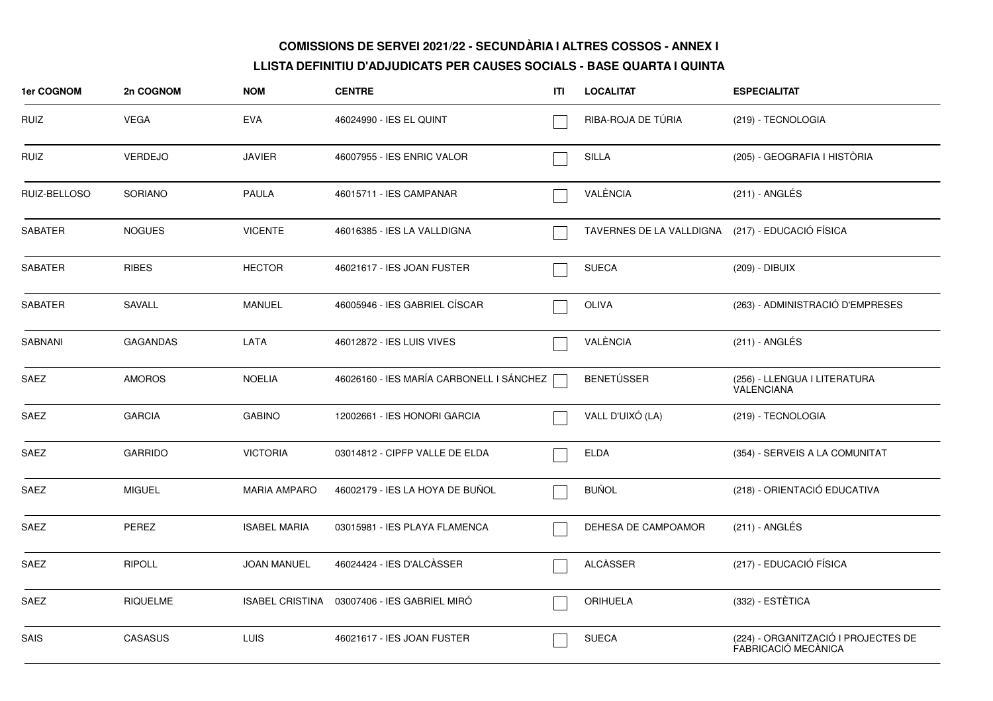| 1er COGNOM     | 2n COGNOM       | <b>NOM</b>             | <b>CENTRE</b>                            | ITI | <b>LOCALITAT</b>                                 | <b>ESPECIALITAT</b>                                        |
|----------------|-----------------|------------------------|------------------------------------------|-----|--------------------------------------------------|------------------------------------------------------------|
| RUIZ           | <b>VEGA</b>     | <b>EVA</b>             | 46024990 - IES EL QUINT                  |     | RIBA-ROJA DE TÚRIA                               | (219) - TECNOLOGIA                                         |
| <b>RUIZ</b>    | <b>VERDEJO</b>  | <b>JAVIER</b>          | 46007955 - IES ENRIC VALOR               |     | <b>SILLA</b>                                     | (205) - GEOGRAFIA I HISTÒRIA                               |
| RUIZ-BELLOSO   | SORIANO         | PAULA                  | 46015711 - IES CAMPANAR                  |     | VALÈNCIA                                         | (211) - ANGLÉS                                             |
| SABATER        | <b>NOGUES</b>   | <b>VICENTE</b>         | 46016385 - IES LA VALLDIGNA              |     | TAVERNES DE LA VALLDIGNA (217) - EDUCACIÓ FÍSICA |                                                            |
| <b>SABATER</b> | <b>RIBES</b>    | <b>HECTOR</b>          | 46021617 - IES JOAN FUSTER               |     | <b>SUECA</b>                                     | (209) - DIBUIX                                             |
| <b>SABATER</b> | SAVALL          | <b>MANUEL</b>          | 46005946 - IES GABRIEL CÍSCAR            |     | <b>OLIVA</b>                                     | (263) - ADMINISTRACIÓ D'EMPRESES                           |
| <b>SABNANI</b> | <b>GAGANDAS</b> | LATA                   | 46012872 - IES LUIS VIVES                |     | VALÈNCIA                                         | $(211)$ - ANGLÉS                                           |
| SAEZ           | <b>AMOROS</b>   | <b>NOELIA</b>          | 46026160 - IES MARÍA CARBONELL I SÁNCHEZ |     | <b>BENETÚSSER</b>                                | (256) - LLENGUA I LITERATURA<br><b>VALENCIANA</b>          |
| <b>SAEZ</b>    | <b>GARCIA</b>   | <b>GABINO</b>          | 12002661 - IES HONORI GARCIA             |     | VALL D'UIXÓ (LA)                                 | (219) - TECNOLOGIA                                         |
| SAEZ           | <b>GARRIDO</b>  | <b>VICTORIA</b>        | 03014812 - CIPFP VALLE DE ELDA           |     | ELDA                                             | (354) - SERVEIS A LA COMUNITAT                             |
| SAEZ           | <b>MIGUEL</b>   | <b>MARIA AMPARO</b>    | 46002179 - IES LA HOYA DE BUÑOL          |     | <b>BUÑOL</b>                                     | (218) - ORIENTACIÓ EDUCATIVA                               |
| <b>SAEZ</b>    | PEREZ           | <b>ISABEL MARIA</b>    | 03015981 - IES PLAYA FLAMENCA            |     | DEHESA DE CAMPOAMOR                              | $(211)$ - ANGLÉS                                           |
| SAEZ           | <b>RIPOLL</b>   | <b>JOAN MANUEL</b>     | 46024424 - IES D'ALCÀSSER                |     | ALCASSER                                         | (217) - EDUCACIÓ FÍSICA                                    |
| <b>SAEZ</b>    | <b>RIQUELME</b> | <b>ISABEL CRISTINA</b> | 03007406 - IES GABRIEL MIRO              |     | <b>ORIHUELA</b>                                  | (332) - ESTÈTICA                                           |
| SAIS           | <b>CASASUS</b>  | <b>LUIS</b>            | 46021617 - IES JOAN FUSTER               |     | <b>SUECA</b>                                     | (224) - ORGANITZACIÓ I PROJECTES DE<br>FABRICACIÓ MECÀNICA |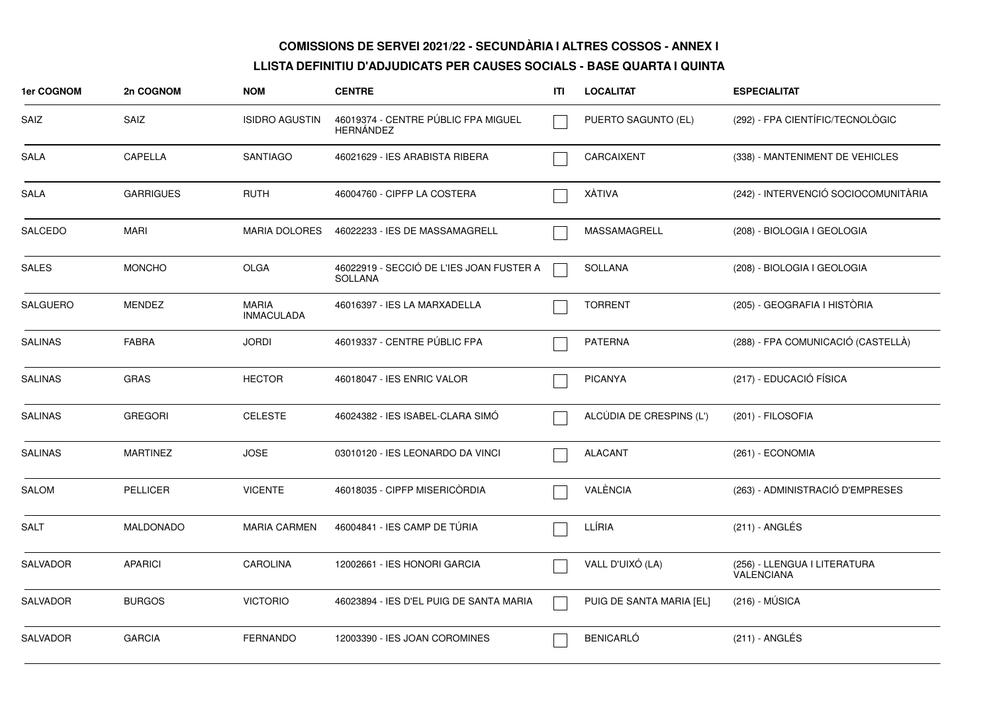| 1er COGNOM      | 2n COGNOM        | <b>NOM</b>                        | <b>CENTRE</b>                                              | ITI | <b>LOCALITAT</b>         | <b>ESPECIALITAT</b>                        |
|-----------------|------------------|-----------------------------------|------------------------------------------------------------|-----|--------------------------|--------------------------------------------|
| SAIZ            | <b>SAIZ</b>      | <b>ISIDRO AGUSTIN</b>             | 46019374 - CENTRE PÚBLIC FPA MIGUEL<br><b>HERNANDEZ</b>    |     | PUERTO SAGUNTO (EL)      | (292) - FPA CIENTÍFIC/TECNOLÒGIC           |
| <b>SALA</b>     | CAPELLA          | <b>SANTIAGO</b>                   | 46021629 - IES ARABISTA RIBERA                             |     | CARCAIXENT               | (338) - MANTENIMENT DE VEHICLES            |
| SALA            | <b>GARRIGUES</b> | <b>RUTH</b>                       | 46004760 - CIPFP LA COSTERA                                |     | XÀTIVA                   | (242) - INTERVENCIÓ SOCIOCOMUNITÀRIA       |
| SALCEDO         | MARI             | <b>MARIA DOLORES</b>              | 46022233 - IES DE MASSAMAGRELL                             |     | MASSAMAGRELL             | (208) - BIOLOGIA I GEOLOGIA                |
| SALES           | <b>MONCHO</b>    | OLGA                              | 46022919 - SECCIÓ DE L'IES JOAN FUSTER A<br><b>SOLLANA</b> |     | <b>SOLLANA</b>           | (208) - BIOLOGIA I GEOLOGIA                |
| <b>SALGUERO</b> | <b>MENDEZ</b>    | <b>MARIA</b><br><b>INMACULADA</b> | 46016397 - IES LA MARXADELLA                               |     | <b>TORRENT</b>           | (205) - GEOGRAFIA I HISTÒRIA               |
| <b>SALINAS</b>  | <b>FABRA</b>     | <b>JORDI</b>                      | 46019337 - CENTRE PÚBLIC FPA                               |     | <b>PATERNA</b>           | (288) - FPA COMUNICACIÓ (CASTELLÀ)         |
| <b>SALINAS</b>  | GRAS             | <b>HECTOR</b>                     | 46018047 - IES ENRIC VALOR                                 |     | <b>PICANYA</b>           | (217) - EDUCACIÓ FÍSICA                    |
| <b>SALINAS</b>  | <b>GREGORI</b>   | <b>CELESTE</b>                    | 46024382 - IES ISABEL-CLARA SIMÓ                           |     | ALCÚDIA DE CRESPINS (L') | (201) - FILOSOFIA                          |
| <b>SALINAS</b>  | <b>MARTINEZ</b>  | <b>JOSE</b>                       | 03010120 - IES LEONARDO DA VINCI                           |     | <b>ALACANT</b>           | (261) - ECONOMIA                           |
| <b>SALOM</b>    | <b>PELLICER</b>  | <b>VICENTE</b>                    | 46018035 - CIPFP MISERICÒRDIA                              |     | VALÈNCIA                 | (263) - ADMINISTRACIÓ D'EMPRESES           |
| <b>SALT</b>     | MALDONADO        | <b>MARIA CARMEN</b>               | 46004841 - IES CAMP DE TURIA                               |     | LLÍRIA                   | $(211)$ - ANGLÉS                           |
| <b>SALVADOR</b> | <b>APARICI</b>   | <b>CAROLINA</b>                   | 12002661 - IES HONORI GARCIA                               |     | VALL D'UIXÓ (LA)         | (256) - LLENGUA I LITERATURA<br>VALÉNCIANA |
| <b>SALVADOR</b> | <b>BURGOS</b>    | <b>VICTORIO</b>                   | 46023894 - IES D'EL PUIG DE SANTA MARIA                    |     | PUIG DE SANTA MARIA [EL] | $(216) - MÚSICA$                           |
| <b>SALVADOR</b> | <b>GARCIA</b>    | <b>FERNANDO</b>                   | 12003390 - IES JOAN COROMINES                              |     | <b>BENICARLÓ</b>         | $(211)$ - ANGLÉS                           |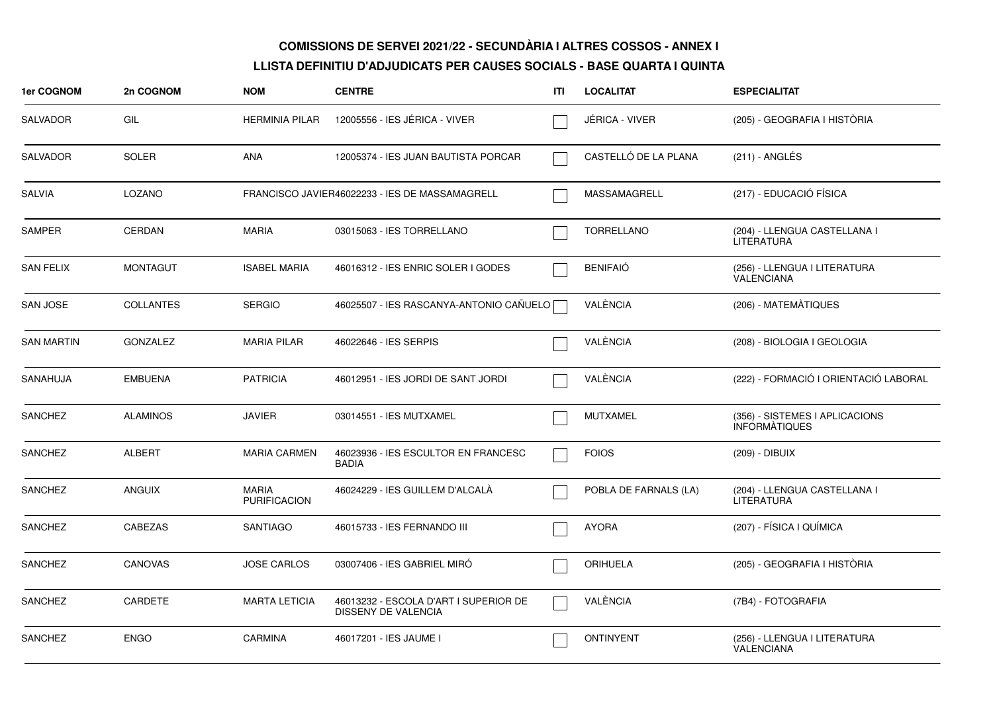| 1er COGNOM        | 2n COGNOM        | <b>NOM</b>                          | <b>CENTRE</b>                                                | ITI | <b>LOCALITAT</b>      | <b>ESPECIALITAT</b>                                    |
|-------------------|------------------|-------------------------------------|--------------------------------------------------------------|-----|-----------------------|--------------------------------------------------------|
| <b>SALVADOR</b>   | GIL              | <b>HERMINIA PILAR</b>               | 12005556 - IES JÉRICA - VIVER                                |     | JÉRICA - VIVER        | (205) - GEOGRAFIA I HISTÒRIA                           |
| <b>SALVADOR</b>   | <b>SOLER</b>     | <b>ANA</b>                          | 12005374 - IES JUAN BAUTISTA PORCAR                          |     | CASTELLÓ DE LA PLANA  | $(211)$ - ANGLÉS                                       |
| SALVIA            | LOZANO           |                                     | FRANCISCO JAVIER46022233 - IES DE MASSAMAGRELL               |     | MASSAMAGRELL          | (217) - EDUCACIÓ FÍSICA                                |
| <b>SAMPER</b>     | <b>CERDAN</b>    | <b>MARIA</b>                        | 03015063 - IES TORRELLANO                                    |     | <b>TORRELLANO</b>     | (204) - LLENGUA CASTELLANA I<br><b>LITERATURA</b>      |
| <b>SAN FELIX</b>  | <b>MONTAGUT</b>  | <b>ISABEL MARIA</b>                 | 46016312 - IES ENRIC SOLER I GODES                           |     | <b>BENIFAIÓ</b>       | (256) - LLENGUA I LITERATURA<br><b>VALENCIANA</b>      |
| <b>SAN JOSE</b>   | <b>COLLANTES</b> | <b>SERGIO</b>                       | 46025507 - IES RASCANYA-ANTONIO CAÑUELO                      |     | VALÈNCIA              | (206) - MATEMATIQUES                                   |
| <b>SAN MARTIN</b> | <b>GONZALEZ</b>  | <b>MARIA PILAR</b>                  | 46022646 - IES SERPIS                                        |     | VALÈNCIA              | (208) - BIOLOGIA I GEOLOGIA                            |
| SANAHUJA          | <b>EMBUENA</b>   | <b>PATRICIA</b>                     | 46012951 - IES JORDI DE SANT JORDI                           |     | VALÈNCIA              | (222) - FORMACIÓ I ORIENTACIÓ LABORAL                  |
| <b>SANCHEZ</b>    | <b>ALAMINOS</b>  | <b>JAVIER</b>                       | 03014551 - IES MUTXAMEL                                      |     | <b>MUTXAMEL</b>       | (356) - SISTEMES I APLICACIONS<br><b>INFORMATIQUES</b> |
| <b>SANCHEZ</b>    | <b>ALBERT</b>    | <b>MARIA CARMEN</b>                 | 46023936 - IES ESCULTOR EN FRANCESC<br>BADIA                 |     | <b>FOIOS</b>          | (209) - DIBUIX                                         |
| <b>SANCHEZ</b>    | <b>ANGUIX</b>    | <b>MARIA</b><br><b>PURIFICACION</b> | 46024229 - IES GUILLEM D'ALCALA                              |     | POBLA DE FARNALS (LA) | (204) - LLENGUA CASTELLANA I<br><b>LITERATURA</b>      |
| <b>SANCHEZ</b>    | CABEZAS          | <b>SANTIAGO</b>                     | 46015733 - IES FERNANDO III                                  |     | <b>AYORA</b>          | (207) - FÍSICA I QUÍMICA                               |
| <b>SANCHEZ</b>    | <b>CANOVAS</b>   | <b>JOSE CARLOS</b>                  | 03007406 - IES GABRIEL MIRÓ                                  |     | ORIHUELA              | (205) - GEOGRAFIA I HISTÒRIA                           |
| <b>SANCHEZ</b>    | CARDETE          | <b>MARTA LETICIA</b>                | 46013232 - ESCOLA D'ART I SUPERIOR DE<br>DISSENY DE VALENCIA |     | VALÈNCIA              | (7B4) - FOTOGRAFIA                                     |
| <b>SANCHEZ</b>    | <b>ENGO</b>      | <b>CARMINA</b>                      | 46017201 - IES JAUME I                                       |     | <b>ONTINYENT</b>      | (256) - LLENGUA I LITERATURA<br><b>VALENCIANA</b>      |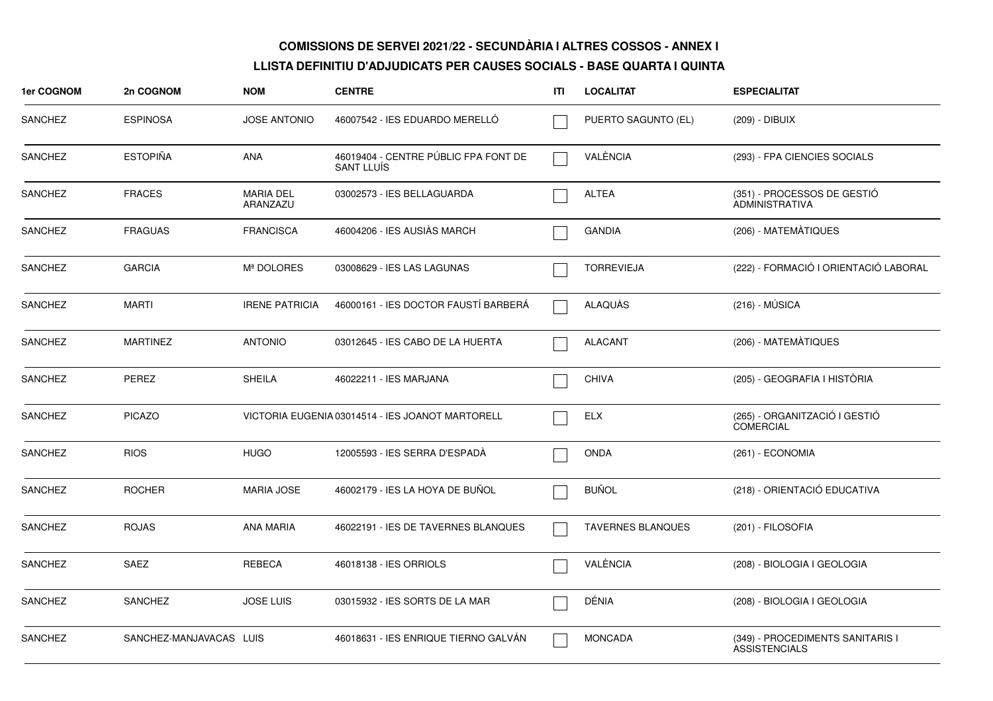| 1er COGNOM     | 2n COGNOM               | <b>NOM</b>                   | <b>CENTRE</b>                                             | ITI | <b>LOCALITAT</b>         | <b>ESPECIALITAT</b>                                      |
|----------------|-------------------------|------------------------------|-----------------------------------------------------------|-----|--------------------------|----------------------------------------------------------|
| <b>SANCHEZ</b> | <b>ESPINOSA</b>         | <b>JOSE ANTONIO</b>          | 46007542 - IES EDUARDO MERELLO                            |     | PUERTO SAGUNTO (EL)      | (209) - DIBUIX                                           |
| <b>SANCHEZ</b> | <b>ESTOPIÑA</b>         | <b>ANA</b>                   | 46019404 - CENTRE PÚBLIC FPA FONT DE<br><b>SANT LLUÍS</b> |     | VALÈNCIA                 | (293) - FPA CIENCIES SOCIALS                             |
| <b>SANCHEZ</b> | <b>FRACES</b>           | <b>MARIA DEL</b><br>ARANZAZU | 03002573 - IES BELLAGUARDA                                |     | <b>ALTEA</b>             | (351) - PROCESSOS DE GESTIÓ<br><b>ADMINISTRATIVA</b>     |
| <b>SANCHEZ</b> | <b>FRAGUAS</b>          | <b>FRANCISCA</b>             | 46004206 - IES AUSIÀS MARCH                               |     | <b>GANDIA</b>            | (206) - MATEMATIQUES                                     |
| <b>SANCHEZ</b> | <b>GARCIA</b>           | Mª DOLORES                   | 03008629 - IES LAS LAGUNAS                                |     | <b>TORREVIEJA</b>        | (222) - FORMACIÓ I ORIENTACIÓ LABORAL                    |
| <b>SANCHEZ</b> | <b>MARTI</b>            | <b>IRENE PATRICIA</b>        | 46000161 - IES DOCTOR FAUSTÍ BARBERÁ                      |     | ALAQUÀS                  | $(216) - MÚSICA$                                         |
| <b>SANCHEZ</b> | <b>MARTINEZ</b>         | <b>ANTONIO</b>               | 03012645 - IES CABO DE LA HUERTA                          |     | <b>ALACANT</b>           | (206) - MATEMÀTIQUES                                     |
| <b>SANCHEZ</b> | PEREZ                   | <b>SHEILA</b>                | 46022211 - IES MARJANA                                    |     | <b>CHIVA</b>             | (205) - GEOGRAFIA I HISTÓRIA                             |
| <b>SANCHEZ</b> | <b>PICAZO</b>           |                              | VICTORIA EUGENIA 03014514 - IES JOANOT MARTORELL          |     | <b>ELX</b>               | (265) - ORGANITZACIÓ I GESTIÓ<br><b>COMERCIAL</b>        |
| <b>SANCHEZ</b> | <b>RIOS</b>             | <b>HUGO</b>                  | 12005593 - IES SERRA D'ESPADA                             |     | <b>ONDA</b>              | $(261) - ECONOMIA$                                       |
| <b>SANCHEZ</b> | <b>ROCHER</b>           | <b>MARIA JOSE</b>            | 46002179 - IES LA HOYA DE BUÑOL                           |     | <b>BUÑOL</b>             | (218) - ORIENTACIÓ EDUCATIVA                             |
| <b>SANCHEZ</b> | <b>ROJAS</b>            | <b>ANA MARIA</b>             | 46022191 - IES DE TAVERNES BLANQUES                       |     | <b>TAVERNES BLANQUES</b> | (201) - FILOSOFIA                                        |
| <b>SANCHEZ</b> | <b>SAEZ</b>             | <b>REBECA</b>                | 46018138 - IES ORRIOLS                                    |     | VALÈNCIA                 | (208) - BIOLOGIA I GEOLOGIA                              |
| <b>SANCHEZ</b> | <b>SANCHEZ</b>          | <b>JOSE LUIS</b>             | 03015932 - IES SORTS DE LA MAR                            |     | DÉNIA                    | (208) - BIOLOGIA I GEOLOGIA                              |
| <b>SANCHEZ</b> | SANCHEZ-MANJAVACAS LUIS |                              | 46018631 - IES ENRIQUE TIERNO GALVÁN                      |     | <b>MONCADA</b>           | (349) - PROCEDIMENTS SANITARIS I<br><b>ASSISTENCIALS</b> |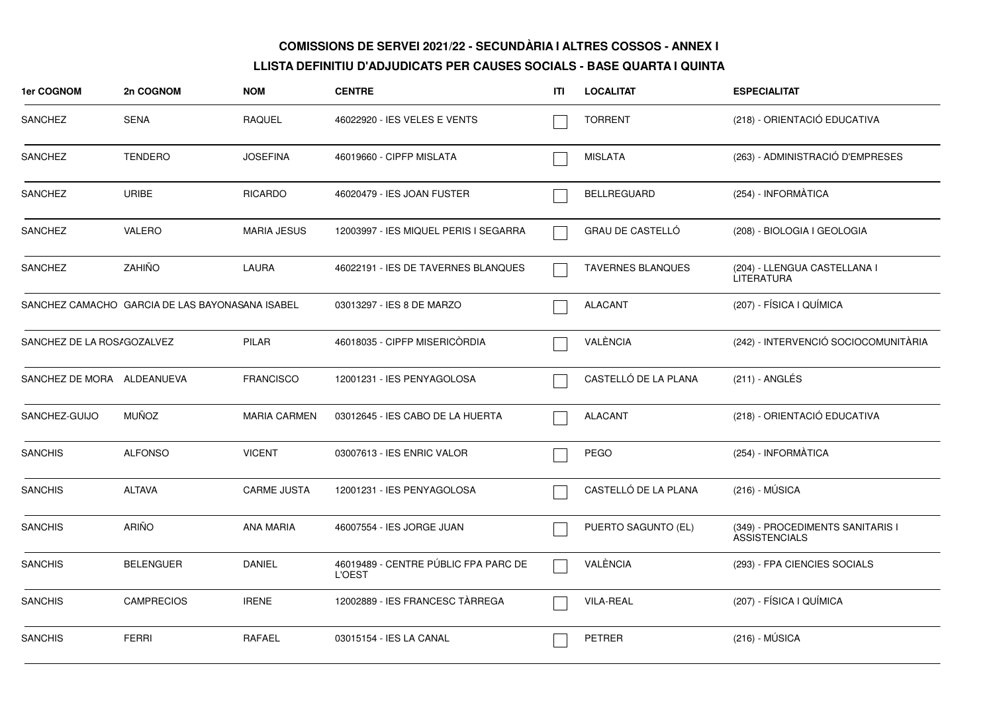| 1er COGNOM                                      | 2n COGNOM         | <b>NOM</b>          | <b>CENTRE</b>                                         | ITI | <b>LOCALITAT</b>         | <b>ESPECIALITAT</b>                                      |
|-------------------------------------------------|-------------------|---------------------|-------------------------------------------------------|-----|--------------------------|----------------------------------------------------------|
| <b>SANCHEZ</b>                                  | <b>SENA</b>       | <b>RAQUEL</b>       | 46022920 - IES VELES E VENTS                          |     | <b>TORRENT</b>           | (218) - ORIENTACIÓ EDUCATIVA                             |
| <b>SANCHEZ</b>                                  | <b>TENDERO</b>    | <b>JOSEFINA</b>     | 46019660 - CIPFP MISLATA                              |     | <b>MISLATA</b>           | (263) - ADMINISTRACIÓ D'EMPRESES                         |
| <b>SANCHEZ</b>                                  | URIBE             | <b>RICARDO</b>      | 46020479 - IES JOAN FUSTER                            |     | <b>BELLREGUARD</b>       | (254) - INFORMÀTICA                                      |
| SANCHEZ                                         | <b>VALERO</b>     | <b>MARIA JESUS</b>  | 12003997 - IES MIQUEL PERIS I SEGARRA                 |     | <b>GRAU DE CASTELLO</b>  | (208) - BIOLOGIA I GEOLOGIA                              |
| SANCHEZ                                         | ZAHIÑO            | LAURA               | 46022191 - IES DE TAVERNES BLANQUES                   |     | <b>TAVERNES BLANQUES</b> | (204) - LLENGUA CASTELLANA I<br><b>LITERATURA</b>        |
| SANCHEZ CAMACHO GARCIA DE LAS BAYONASANA ISABEL |                   |                     | 03013297 - IES 8 DE MARZO                             |     | <b>ALACANT</b>           | (207) - FÍSICA I QUÍMICA                                 |
| SANCHEZ DE LA ROS/GOZALVEZ                      |                   | <b>PILAR</b>        | 46018035 - CIPFP MISERICORDIA                         |     | VALÈNCIA                 | (242) - INTERVENCIÓ SOCIOCOMUNITÀRIA                     |
| SANCHEZ DE MORA ALDEANUEVA                      |                   | <b>FRANCISCO</b>    | 12001231 - IES PENYAGOLOSA                            |     | CASTELLÓ DE LA PLANA     | (211) - ANGLÉS                                           |
| SANCHEZ-GUIJO                                   | <b>MUÑOZ</b>      | <b>MARIA CARMEN</b> | 03012645 - IES CABO DE LA HUERTA                      |     | <b>ALACANT</b>           | (218) - ORIENTACIÓ EDUCATIVA                             |
| <b>SANCHIS</b>                                  | <b>ALFONSO</b>    | <b>VICENT</b>       | 03007613 - IES ENRIC VALOR                            |     | <b>PEGO</b>              | (254) - INFORMÀTICA                                      |
| <b>SANCHIS</b>                                  | <b>ALTAVA</b>     | <b>CARME JUSTA</b>  | 12001231 - IES PENYAGOLOSA                            |     | CASTELLÓ DE LA PLANA     | $(216) - MÚSICA$                                         |
| <b>SANCHIS</b>                                  | <b>ARIÑO</b>      | ANA MARIA           | 46007554 - IES JORGE JUAN                             |     | PUERTO SAGUNTO (EL)      | (349) - PROCEDIMENTS SANITARIS I<br><b>ASSISTENCIALS</b> |
| SANCHIS                                         | <b>BELENGUER</b>  | <b>DANIEL</b>       | 46019489 - CENTRE PÚBLIC FPA PARC DE<br><b>L'OEST</b> |     | VALÈNCIA                 | (293) - FPA CIENCIES SOCIALS                             |
| <b>SANCHIS</b>                                  | <b>CAMPRECIOS</b> | <b>IRENE</b>        | 12002889 - IES FRANCESC TÀRREGA                       |     | <b>VILA-REAL</b>         | (207) - FÍSICA I QUÍMICA                                 |
| <b>SANCHIS</b>                                  | <b>FERRI</b>      | <b>RAFAEL</b>       | 03015154 - IES LA CANAL                               |     | <b>PETRER</b>            | $(216) - MÚSICA$                                         |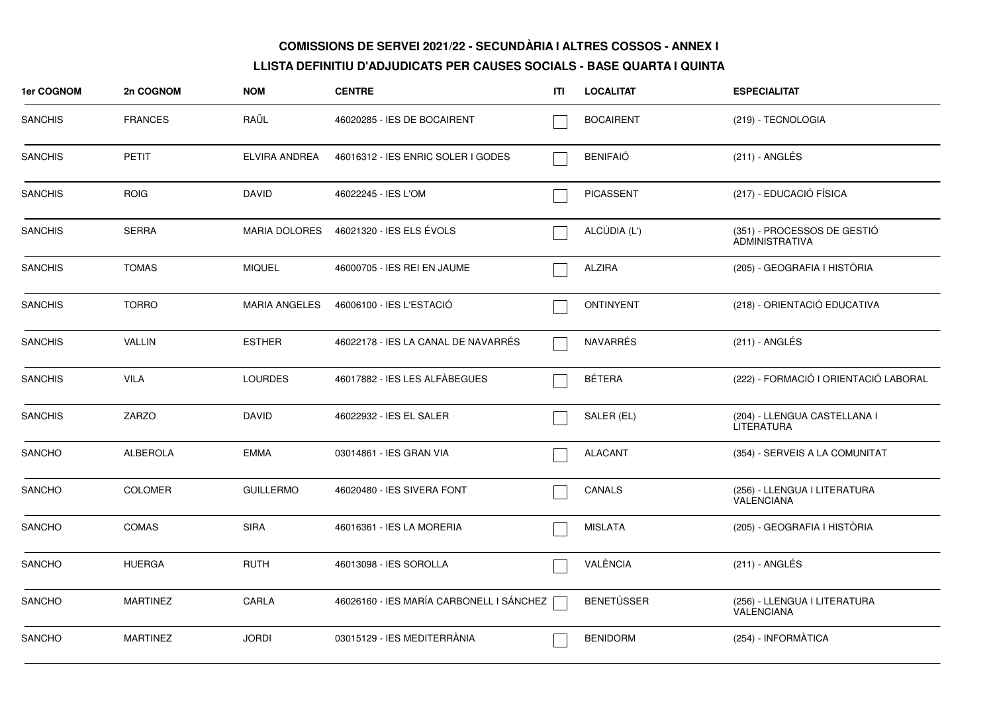| 1er COGNOM     | 2n COGNOM       | <b>NOM</b>           | <b>CENTRE</b>                            | ITI | <b>LOCALITAT</b>  | <b>ESPECIALITAT</b>                                  |
|----------------|-----------------|----------------------|------------------------------------------|-----|-------------------|------------------------------------------------------|
| <b>SANCHIS</b> | <b>FRANCES</b>  | RAÜL                 | 46020285 - IES DE BOCAIRENT              |     | <b>BOCAIRENT</b>  | (219) - TECNOLOGIA                                   |
| <b>SANCHIS</b> | <b>PETIT</b>    | ELVIRA ANDREA        | 46016312 - IES ENRIC SOLER I GODES       |     | <b>BENIFAIÓ</b>   | (211) - ANGLÉS                                       |
| <b>SANCHIS</b> | <b>ROIG</b>     | <b>DAVID</b>         | 46022245 - IES L'OM                      |     | <b>PICASSENT</b>  | (217) - EDUCACIÓ FÍSICA                              |
| <b>SANCHIS</b> | <b>SERRA</b>    | <b>MARIA DOLORES</b> | 46021320 - IES ELS ÉVOLS                 |     | ALCÚDIA (L')      | (351) - PROCESSOS DE GESTIÓ<br><b>ADMINISTRATIVA</b> |
| <b>SANCHIS</b> | <b>TOMAS</b>    | <b>MIQUEL</b>        | 46000705 - IES REI EN JAUME              |     | <b>ALZIRA</b>     | (205) - GEOGRAFIA I HISTÒRIA                         |
| <b>SANCHIS</b> | <b>TORRO</b>    | MARIA ANGELES        | 46006100 - IES L'ESTACIÓ                 |     | <b>ONTINYENT</b>  | (218) - ORIENTACIÓ EDUCATIVA                         |
| <b>SANCHIS</b> | <b>VALLIN</b>   | <b>ESTHER</b>        | 46022178 - IES LA CANAL DE NAVARRÉS      |     | NAVARRÉS          | $(211)$ - ANGLÉS                                     |
| <b>SANCHIS</b> | <b>VILA</b>     | <b>LOURDES</b>       | 46017882 - IES LES ALFÀBEGUES            |     | <b>BÉTERA</b>     | (222) - FORMACIÓ I ORIENTACIÓ LABORAL                |
| <b>SANCHIS</b> | <b>ZARZO</b>    | <b>DAVID</b>         | 46022932 - IES EL SALER                  |     | SALER (EL)        | (204) - LLENGUA CASTELLANA I<br><b>LITERATURA</b>    |
| <b>SANCHO</b>  | <b>ALBEROLA</b> | <b>EMMA</b>          | 03014861 - IES GRAN VIA                  |     | <b>ALACANT</b>    | (354) - SERVEIS A LA COMUNITAT                       |
| <b>SANCHO</b>  | <b>COLOMER</b>  | <b>GUILLERMO</b>     | 46020480 - IES SIVERA FONT               |     | CANALS            | (256) - LLENGUA I LITERATURA<br><b>VALENCIANA</b>    |
| <b>SANCHO</b>  | <b>COMAS</b>    | <b>SIRA</b>          | 46016361 - IES LA MORERIA                |     | <b>MISLATA</b>    | (205) - GEOGRAFIA I HISTÒRIA                         |
| <b>SANCHO</b>  | <b>HUERGA</b>   | <b>RUTH</b>          | 46013098 - IES SOROLLA                   |     | VALÈNCIA          | $(211)$ - ANGLÉS                                     |
| <b>SANCHO</b>  | <b>MARTINEZ</b> | CARLA                | 46026160 - IES MARÍA CARBONELL I SÁNCHEZ |     | <b>BENETÚSSER</b> | (256) - LLENGUA I LITERATURA<br>VALENCIANA           |
| <b>SANCHO</b>  | <b>MARTINEZ</b> | <b>JORDI</b>         | 03015129 - IES MEDITERRANIA              |     | <b>BENIDORM</b>   | (254) - INFORMÀTICA                                  |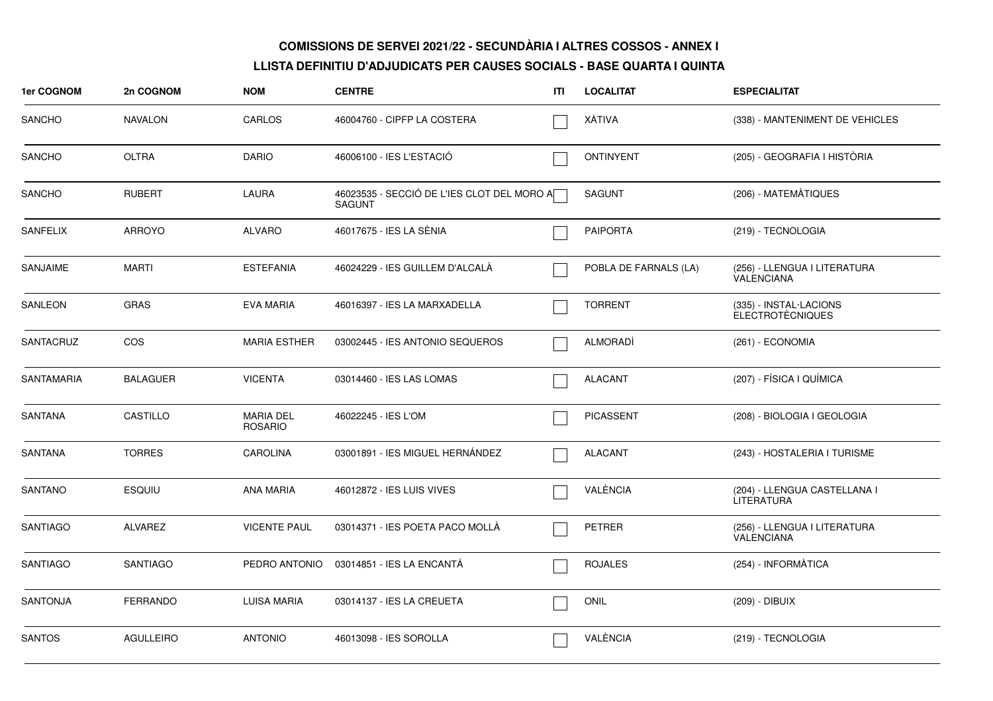| 1er COGNOM        | 2n COGNOM        | <b>NOM</b>                         | <b>CENTRE</b>                                               | ITL | <b>LOCALITAT</b>      | <b>ESPECIALITAT</b>                               |
|-------------------|------------------|------------------------------------|-------------------------------------------------------------|-----|-----------------------|---------------------------------------------------|
| <b>SANCHO</b>     | <b>NAVALON</b>   | CARLOS                             | 46004760 - CIPFP LA COSTERA                                 |     | XÀTIVA                | (338) - MANTENIMENT DE VEHICLES                   |
| SANCHO            | <b>OLTRA</b>     | <b>DARIO</b>                       | 46006100 - IES L'ESTACIÓ                                    |     | <b>ONTINYENT</b>      | (205) - GEOGRAFIA I HISTÒRIA                      |
| <b>SANCHO</b>     | <b>RUBERT</b>    | LAURA                              | 46023535 - SECCIÓ DE L'IES CLOT DEL MORO A<br><b>SAGUNT</b> |     | <b>SAGUNT</b>         | (206) - MATEMATIQUES                              |
| <b>SANFELIX</b>   | <b>ARROYO</b>    | <b>ALVARO</b>                      | 46017675 - IES LA SÈNIA                                     |     | <b>PAIPORTA</b>       | (219) - TECNOLOGIA                                |
| <b>SANJAIME</b>   | <b>MARTI</b>     | <b>ESTEFANIA</b>                   | 46024229 - IES GUILLEM D'ALCALA                             |     | POBLA DE FARNALS (LA) | (256) - LLENGUA I LITERATURA<br>VALENCIANA        |
| SANLEON           | <b>GRAS</b>      | <b>EVA MARIA</b>                   | 46016397 - IES LA MARXADELLA                                |     | <b>TORRENT</b>        | (335) - INSTAL·LACIONS<br><b>ELECTROTÈCNIQUES</b> |
| <b>SANTACRUZ</b>  | COS              | <b>MARIA ESTHER</b>                | 03002445 - IES ANTONIO SEQUEROS                             |     | <b>ALMORADI</b>       | (261) - ECONOMIA                                  |
| <b>SANTAMARIA</b> | <b>BALAGUER</b>  | <b>VICENTA</b>                     | 03014460 - IES LAS LOMAS                                    |     | <b>ALACANT</b>        | (207) - FÍSICA I QUÍMICA                          |
| <b>SANTANA</b>    | CASTILLO         | <b>MARIA DEL</b><br><b>ROSARIO</b> | 46022245 - IES L'OM                                         |     | <b>PICASSENT</b>      | (208) - BIOLOGIA I GEOLOGIA                       |
| <b>SANTANA</b>    | <b>TORRES</b>    | <b>CAROLINA</b>                    | 03001891 - IES MIGUEL HERNÁNDEZ                             |     | <b>ALACANT</b>        | (243) - HOSTALERIA I TURISME                      |
| <b>SANTANO</b>    | <b>ESQUIU</b>    | <b>ANA MARIA</b>                   | 46012872 - IES LUIS VIVES                                   |     | VALÈNCIA              | (204) - LLENGUA CASTELLANA I<br><b>LITERATURA</b> |
| <b>SANTIAGO</b>   | <b>ALVAREZ</b>   | <b>VICENTE PAUL</b>                | 03014371 - IES POETA PACO MOLLA                             |     | <b>PETRER</b>         | (256) - LLENGUA I LITERATURA<br>VALENCIANA        |
| <b>SANTIAGO</b>   | <b>SANTIAGO</b>  | PEDRO ANTONIO                      | 03014851 - IES LA ENCANTA                                   |     | <b>ROJALES</b>        | (254) - INFORMÀTICA                               |
| <b>SANTONJA</b>   | <b>FERRANDO</b>  | LUISA MARIA                        | 03014137 - IES LA CREUETA                                   |     | ONIL                  | (209) - DIBUIX                                    |
| <b>SANTOS</b>     | <b>AGULLEIRO</b> | <b>ANTONIO</b>                     | 46013098 - IES SOROLLA                                      |     | VALÈNCIA              | (219) - TECNOLOGIA                                |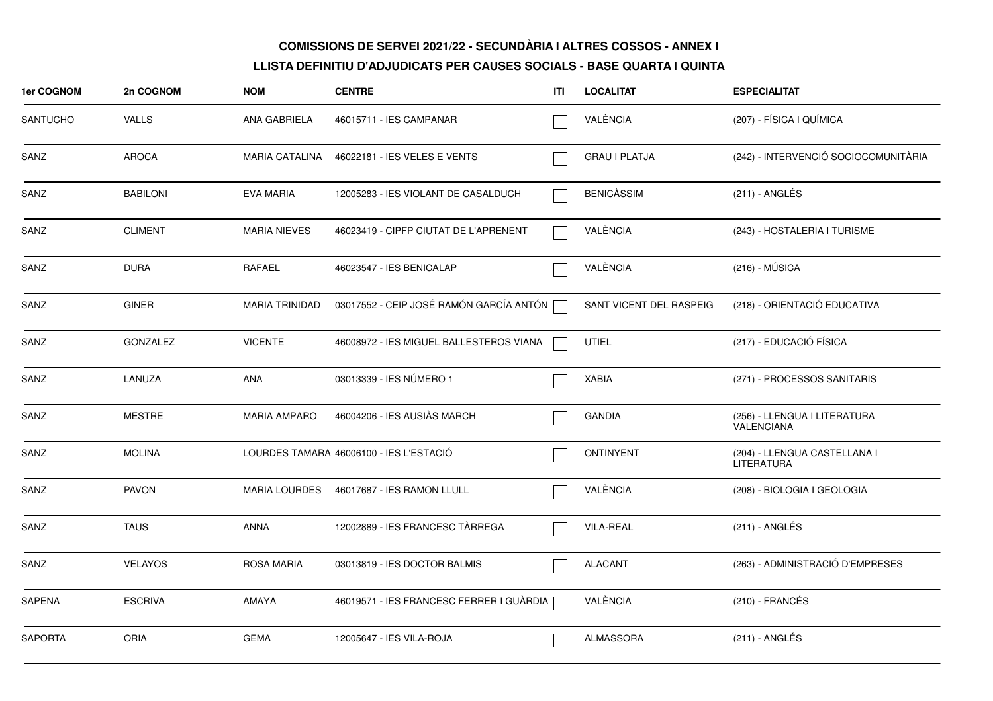| 1er COGNOM      | 2n COGNOM       | <b>NOM</b>            | <b>CENTRE</b>                            | ITI | <b>LOCALITAT</b>        | <b>ESPECIALITAT</b>                               |
|-----------------|-----------------|-----------------------|------------------------------------------|-----|-------------------------|---------------------------------------------------|
| <b>SANTUCHO</b> | <b>VALLS</b>    | ANA GABRIELA          | 46015711 - IES CAMPANAR                  |     | VALÈNCIA                | (207) - FÍSICA I QUÍMICA                          |
| SANZ            | <b>AROCA</b>    | <b>MARIA CATALINA</b> | 46022181 - IES VELES E VENTS             |     | <b>GRAU I PLATJA</b>    | (242) - INTERVENCIÓ SOCIOCOMUNITÀRIA              |
| SANZ            | <b>BABILONI</b> | <b>EVA MARIA</b>      | 12005283 - IES VIOLANT DE CASALDUCH      |     | <b>BENICASSIM</b>       | (211) - ANGLÉS                                    |
| SANZ            | <b>CLIMENT</b>  | <b>MARIA NIEVES</b>   | 46023419 - CIPFP CIUTAT DE L'APRENENT    |     | VALÈNCIA                | (243) - HOSTALERIA I TURISME                      |
| SANZ            | <b>DURA</b>     | <b>RAFAEL</b>         | 46023547 - IES BENICALAP                 |     | VALÈNCIA                | $(216) - MÚSICA$                                  |
| SANZ            | <b>GINER</b>    | <b>MARIA TRINIDAD</b> | 03017552 - CEIP JOSÉ RAMÓN GARCÍA ANTÓN  |     | SANT VICENT DEL RASPEIG | (218) - ORIENTACIÓ EDUCATIVA                      |
| SANZ            | <b>GONZALEZ</b> | <b>VICENTE</b>        | 46008972 - IES MIGUEL BALLESTEROS VIANA  |     | <b>UTIEL</b>            | (217) - EDUCACIÓ FÍSICA                           |
| SANZ            | LANUZA          | ANA                   | 03013339 - IES NÚMERO 1                  |     | <b>XÀBIA</b>            | (271) - PROCESSOS SANITARIS                       |
| SANZ            | <b>MESTRE</b>   | <b>MARIA AMPARO</b>   | 46004206 - IES AUSIÀS MARCH              |     | <b>GANDIA</b>           | (256) - LLENGUA I LITERATURA<br><b>VALENCIANA</b> |
| SANZ            | <b>MOLINA</b>   |                       | LOURDES TAMARA 46006100 - IES L'ESTACIÓ  |     | <b>ONTINYENT</b>        | (204) - LLENGUA CASTELLANA I<br>LITERATURA        |
| SANZ            | <b>PAVON</b>    | <b>MARIA LOURDES</b>  | 46017687 - IES RAMON LLULL               |     | VALÈNCIA                | (208) - BIOLOGIA I GEOLOGIA                       |
| SANZ            | <b>TAUS</b>     | <b>ANNA</b>           | 12002889 - IES FRANCESC TARREGA          |     | <b>VILA-REAL</b>        | (211) - ANGLÉS                                    |
| SANZ            | <b>VELAYOS</b>  | <b>ROSA MARIA</b>     | 03013819 - IES DOCTOR BALMIS             |     | <b>ALACANT</b>          | (263) - ADMINISTRACIÓ D'EMPRESES                  |
| <b>SAPENA</b>   | <b>ESCRIVA</b>  | <b>AMAYA</b>          | 46019571 - IES FRANCESC FERRER I GUÀRDIA |     | VALÈNCIA                | $(210)$ - FRANCÉS                                 |
| <b>SAPORTA</b>  | <b>ORIA</b>     | <b>GEMA</b>           | 12005647 - IES VILA-ROJA                 |     | <b>ALMASSORA</b>        | (211) - ANGLÉS                                    |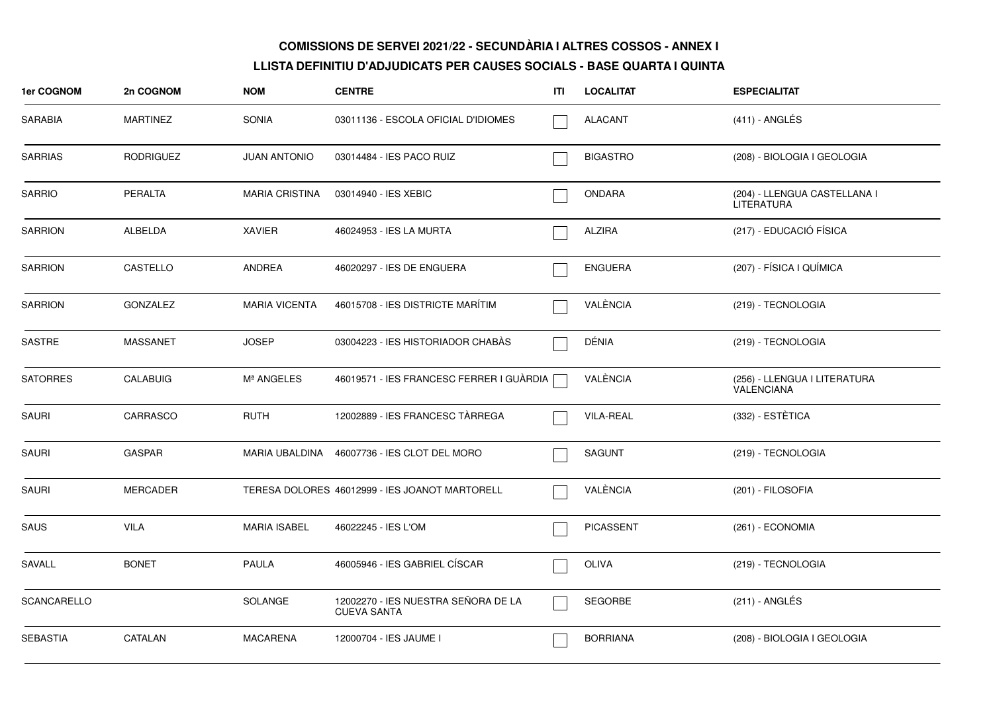| 1er COGNOM         | 2n COGNOM        | <b>NOM</b>            | <b>CENTRE</b>                                             | ITI | <b>LOCALITAT</b> | <b>ESPECIALITAT</b>                               |
|--------------------|------------------|-----------------------|-----------------------------------------------------------|-----|------------------|---------------------------------------------------|
| SARABIA            | <b>MARTINEZ</b>  | <b>SONIA</b>          | 03011136 - ESCOLA OFICIAL D'IDIOMES                       |     | <b>ALACANT</b>   | $(411)$ - ANGLÉS                                  |
| <b>SARRIAS</b>     | <b>RODRIGUEZ</b> | <b>JUAN ANTONIO</b>   | 03014484 - IES PACO RUIZ                                  |     | <b>BIGASTRO</b>  | (208) - BIOLOGIA I GEOLOGIA                       |
| <b>SARRIO</b>      | <b>PERALTA</b>   | <b>MARIA CRISTINA</b> | 03014940 - IES XEBIC                                      |     | <b>ONDARA</b>    | (204) - LLENGUA CASTELLANA I<br>LITERATURA        |
| <b>SARRION</b>     | ALBELDA          | <b>XAVIER</b>         | 46024953 - IES LA MURTA                                   |     | <b>ALZIRA</b>    | (217) - EDUCACIÓ FÍSICA                           |
| <b>SARRION</b>     | CASTELLO         | ANDREA                | 46020297 - IES DE ENGUERA                                 |     | <b>ENGUERA</b>   | (207) - FÍSICA I QUÍMICA                          |
| <b>SARRION</b>     | <b>GONZALEZ</b>  | <b>MARIA VICENTA</b>  | 46015708 - IES DISTRICTE MARÍTIM                          |     | VALÈNCIA         | (219) - TECNOLOGIA                                |
| SASTRE             | <b>MASSANET</b>  | <b>JOSEP</b>          | 03004223 - IES HISTORIADOR CHABÀS                         |     | DÉNIA            | (219) - TECNOLOGIA                                |
| <b>SATORRES</b>    | <b>CALABUIG</b>  | Mª ANGELES            | 46019571 - IES FRANCESC FERRER I GUÀRDIA                  |     | VALÈNCIA         | (256) - LLENGUA I LITERATURA<br><b>VALENCIANA</b> |
| <b>SAURI</b>       | CARRASCO         | <b>RUTH</b>           | 12002889 - IES FRANCESC TÀRREGA                           |     | <b>VILA-REAL</b> | (332) - ESTÈTICA                                  |
| SAURI              | <b>GASPAR</b>    |                       | MARIA UBALDINA 46007736 - IES CLOT DEL MORO               |     | <b>SAGUNT</b>    | (219) - TECNOLOGIA                                |
| <b>SAURI</b>       | MERCADER         |                       | TERESA DOLORES 46012999 - IES JOANOT MARTORELL            |     | VALÈNCIA         | (201) - FILOSOFIA                                 |
| SAUS               | VILA             | <b>MARIA ISABEL</b>   | 46022245 - IES L'OM                                       |     | <b>PICASSENT</b> | (261) - ECONOMIA                                  |
| SAVALL             | <b>BONET</b>     | <b>PAULA</b>          | 46005946 - IES GABRIEL CÍSCAR                             |     | OLIVA            | (219) - TECNOLOGIA                                |
| <b>SCANCARELLO</b> |                  | SOLANGE               | 12002270 - IES NUESTRA SEÑORA DE LA<br><b>CUEVA SANTA</b> |     | <b>SEGORBE</b>   | (211) - ANGLÉS                                    |
| <b>SEBASTIA</b>    | CATALAN          | <b>MACARENA</b>       | 12000704 - IES JAUME I                                    |     | <b>BORRIANA</b>  | (208) - BIOLOGIA I GEOLOGIA                       |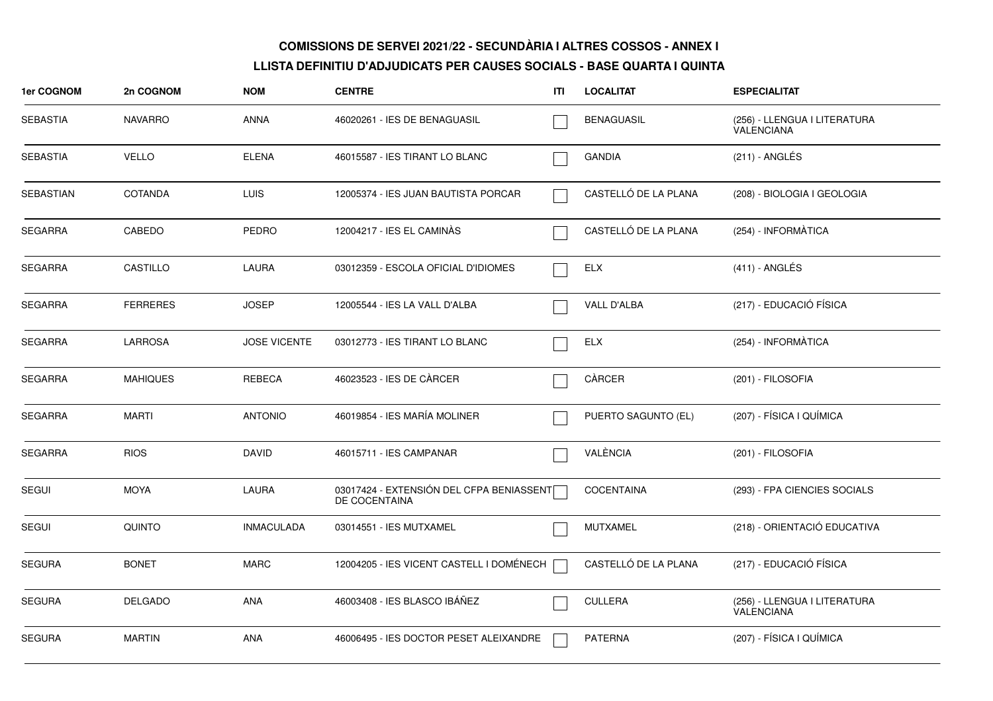| 1er COGNOM       | 2n COGNOM       | <b>NOM</b>          | <b>CENTRE</b>                                             | ITI | <b>LOCALITAT</b>     | <b>ESPECIALITAT</b>                        |
|------------------|-----------------|---------------------|-----------------------------------------------------------|-----|----------------------|--------------------------------------------|
| <b>SEBASTIA</b>  | <b>NAVARRO</b>  | <b>ANNA</b>         | 46020261 - IES DE BENAGUASIL                              |     | <b>BENAGUASIL</b>    | (256) - LLENGUA I LITERATURA<br>VALENCIANA |
| <b>SEBASTIA</b>  | <b>VELLO</b>    | <b>ELENA</b>        | 46015587 - IES TIRANT LO BLANC                            |     | <b>GANDIA</b>        | (211) - ANGLÉS                             |
| <b>SEBASTIAN</b> | <b>COTANDA</b>  | <b>LUIS</b>         | 12005374 - IES JUAN BAUTISTA PORCAR                       |     | CASTELLÓ DE LA PLANA | (208) - BIOLOGIA I GEOLOGIA                |
| <b>SEGARRA</b>   | CABEDO          | <b>PEDRO</b>        | 12004217 - IES EL CAMINÀS                                 |     | CASTELLÓ DE LA PLANA | (254) - INFORMATICA                        |
| <b>SEGARRA</b>   | CASTILLO        | <b>LAURA</b>        | 03012359 - ESCOLA OFICIAL D'IDIOMES                       |     | <b>ELX</b>           | $(411)$ - ANGLÉS                           |
| <b>SEGARRA</b>   | <b>FERRERES</b> | <b>JOSEP</b>        | 12005544 - IES LA VALL D'ALBA                             |     | VALL D'ALBA          | (217) - EDUCACIÓ FÍSICA                    |
| <b>SEGARRA</b>   | <b>LARROSA</b>  | <b>JOSE VICENTE</b> | 03012773 - IES TIRANT LO BLANC                            |     | <b>ELX</b>           | (254) - INFORMÀTICA                        |
| <b>SEGARRA</b>   | <b>MAHIQUES</b> | REBECA              | 46023523 - IES DE CÀRCER                                  |     | CÀRCER               | (201) - FILOSOFIA                          |
| <b>SEGARRA</b>   | <b>MARTI</b>    | <b>ANTONIO</b>      | 46019854 - IES MARÍA MOLINER                              |     | PUERTO SAGUNTO (EL)  | (207) - FÍSICA I QUÍMICA                   |
| <b>SEGARRA</b>   | <b>RIOS</b>     | <b>DAVID</b>        | 46015711 - IES CAMPANAR                                   |     | VALÈNCIA             | (201) - FILOSOFIA                          |
| <b>SEGUI</b>     | <b>MOYA</b>     | <b>LAURA</b>        | 03017424 - EXTENSIÓN DEL CFPA BENIASSENT<br>DE COCENTAINA |     | COCENTAINA           | (293) - FPA CIENCIES SOCIALS               |
| SEGUI            | <b>QUINTO</b>   | <b>INMACULADA</b>   | 03014551 - IES MUTXAMEL                                   |     | <b>MUTXAMEL</b>      | (218) - ORIENTACIÓ EDUCATIVA               |
| <b>SEGURA</b>    | <b>BONET</b>    | <b>MARC</b>         | 12004205 - IES VICENT CASTELL I DOMÉNECH                  |     | CASTELLÓ DE LA PLANA | (217) - EDUCACIÓ FÍSICA                    |
| <b>SEGURA</b>    | <b>DELGADO</b>  | ANA                 | 46003408 - IES BLASCO IBÁÑEZ                              |     | <b>CULLERA</b>       | (256) - LLENGUA I LITERATURA<br>VALENCIANA |
| <b>SEGURA</b>    | <b>MARTIN</b>   | <b>ANA</b>          | 46006495 - IES DOCTOR PESET ALEIXANDRE                    |     | <b>PATERNA</b>       | (207) - FÍSICA I QUÍMICA                   |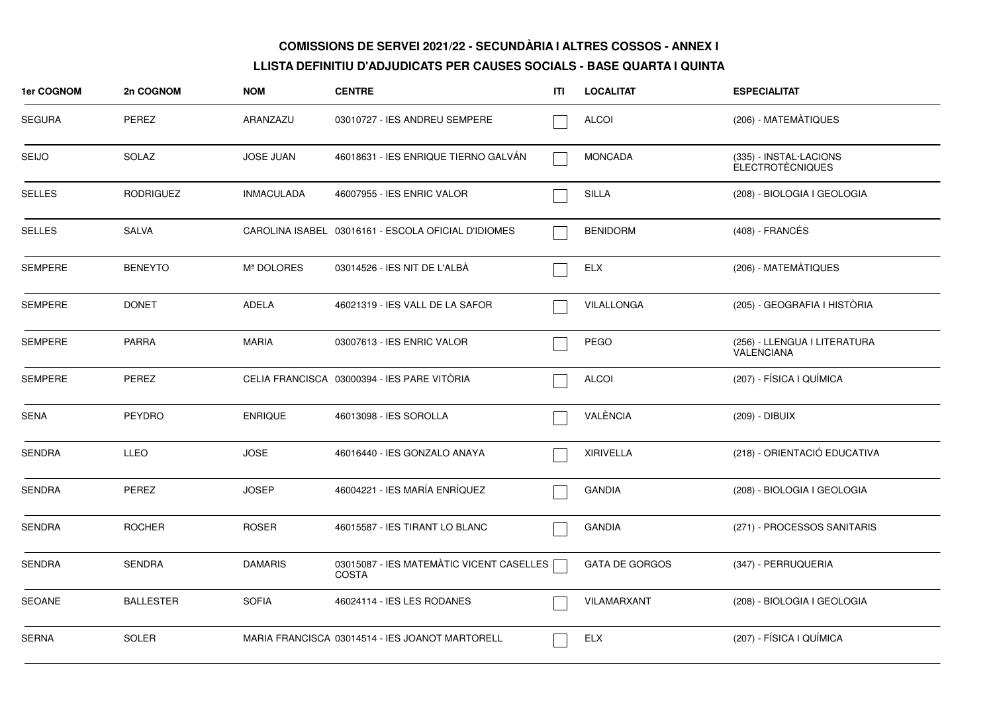| 1er COGNOM     | 2n COGNOM        | <b>NOM</b>        | <b>CENTRE</b>                                            | ITI | <b>LOCALITAT</b>      | <b>ESPECIALITAT</b>                               |
|----------------|------------------|-------------------|----------------------------------------------------------|-----|-----------------------|---------------------------------------------------|
| <b>SEGURA</b>  | <b>PEREZ</b>     | ARANZAZU          | 03010727 - IES ANDREU SEMPERE                            |     | <b>ALCOI</b>          | (206) - MATEMATIQUES                              |
| <b>SEIJO</b>   | <b>SOLAZ</b>     | <b>JOSE JUAN</b>  | 46018631 - IES ENRIQUE TIERNO GALVÁN                     |     | <b>MONCADA</b>        | (335) - INSTAL·LACIONS<br><b>ELECTROTÈCNIQUES</b> |
| <b>SELLES</b>  | <b>RODRIGUEZ</b> | <b>INMACULADA</b> | 46007955 - IES ENRIC VALOR                               |     | SILLA                 | (208) - BIOLOGIA I GEOLOGIA                       |
| <b>SELLES</b>  | <b>SALVA</b>     |                   | CAROLINA ISABEL 03016161 - ESCOLA OFICIAL D'IDIOMES      |     | <b>BENIDORM</b>       | (408) - FRANCÉS                                   |
| <b>SEMPERE</b> | <b>BENEYTO</b>   | Mª DOLORES        | 03014526 - IES NIT DE L'ALBÀ                             |     | <b>ELX</b>            | (206) - MATEMATIQUES                              |
| <b>SEMPERE</b> | <b>DONET</b>     | ADELA             | 46021319 - IES VALL DE LA SAFOR                          |     | VILALLONGA            | (205) - GEOGRAFIA I HISTÒRIA                      |
| <b>SEMPERE</b> | <b>PARRA</b>     | <b>MARIA</b>      | 03007613 - IES ENRIC VALOR                               |     | <b>PEGO</b>           | (256) - LLENGUA I LITERATURA<br><b>VALENCIANA</b> |
| <b>SEMPERE</b> | PEREZ            |                   | CELIA FRANCISCA 03000394 - IES PARE VITORIA              |     | <b>ALCOI</b>          | (207) - FÍSICA I QUÍMICA                          |
| <b>SENA</b>    | <b>PEYDRO</b>    | <b>ENRIQUE</b>    | 46013098 - IES SOROLLA                                   |     | VALÈNCIA              | (209) - DIBUIX                                    |
| <b>SENDRA</b>  | <b>LLEO</b>      | <b>JOSE</b>       | 46016440 - IES GONZALO ANAYA                             |     | <b>XIRIVELLA</b>      | (218) - ORIENTACIÓ EDUCATIVA                      |
| <b>SENDRA</b>  | PEREZ            | <b>JOSEP</b>      | 46004221 - IES MARÍA ENRÍQUEZ                            |     | <b>GANDIA</b>         | (208) - BIOLOGIA I GEOLOGIA                       |
| <b>SENDRA</b>  | <b>ROCHER</b>    | <b>ROSER</b>      | 46015587 - IES TIRANT LO BLANC                           |     | <b>GANDIA</b>         | (271) - PROCESSOS SANITARIS                       |
| <b>SENDRA</b>  | <b>SENDRA</b>    | <b>DAMARIS</b>    | 03015087 - IES MATEMÀTIC VICENT CASELLES<br><b>COSTA</b> |     | <b>GATA DE GORGOS</b> | (347) - PERRUQUERIA                               |
| <b>SEOANE</b>  | <b>BALLESTER</b> | <b>SOFIA</b>      | 46024114 - IES LES RODANES                               |     | VILAMARXANT           | (208) - BIOLOGIA I GEOLOGIA                       |
| <b>SERNA</b>   | <b>SOLER</b>     |                   | MARIA FRANCISCA 03014514 - IES JOANOT MARTORELL          |     | <b>ELX</b>            | (207) - FÍSICA I QUÍMICA                          |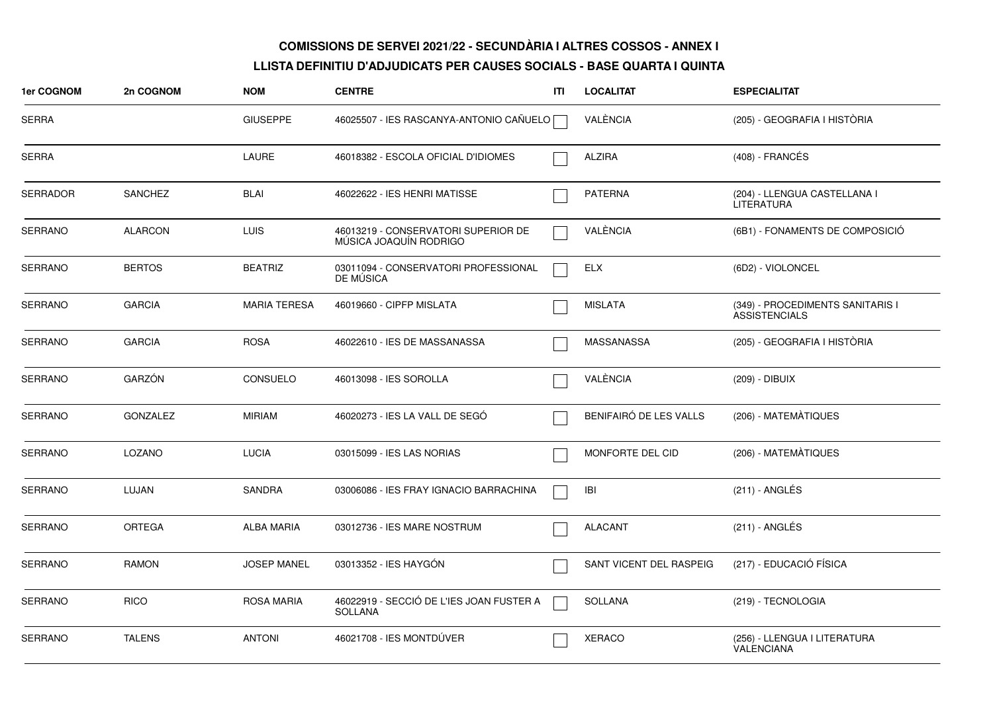| 1er COGNOM      | 2n COGNOM       | <b>NOM</b>          | <b>CENTRE</b>                                                 | ITI | <b>LOCALITAT</b>        | <b>ESPECIALITAT</b>                                      |
|-----------------|-----------------|---------------------|---------------------------------------------------------------|-----|-------------------------|----------------------------------------------------------|
| <b>SERRA</b>    |                 | <b>GIUSEPPE</b>     | 46025507 - IES RASCANYA-ANTONIO CAÑUELO                       |     | VALÈNCIA                | (205) - GEOGRAFIA I HISTÒRIA                             |
| <b>SERRA</b>    |                 | <b>LAURE</b>        | 46018382 - ESCOLA OFICIAL D'IDIOMES                           |     | <b>ALZIRA</b>           | $(408)$ - FRANCÉS                                        |
| <b>SERRADOR</b> | <b>SANCHEZ</b>  | <b>BLAI</b>         | 46022622 - IES HENRI MATISSE                                  |     | <b>PATERNA</b>          | (204) - LLENGUA CASTELLANA I<br>LITERATURA               |
| SERRANO         | <b>ALARCON</b>  | <b>LUIS</b>         | 46013219 - CONSERVATORI SUPERIOR DE<br>MÚSICA JOAQUÍN RODRIGO |     | VALÈNCIA                | (6B1) - FONAMENTS DE COMPOSICIÓ                          |
| <b>SERRANO</b>  | <b>BERTOS</b>   | <b>BEATRIZ</b>      | 03011094 - CONSERVATORI PROFESSIONAL<br>DE MUSICA             |     | <b>ELX</b>              | (6D2) - VIOLONCEL                                        |
| <b>SERRANO</b>  | <b>GARCIA</b>   | <b>MARIA TERESA</b> | 46019660 - CIPFP MISLATA                                      |     | <b>MISLATA</b>          | (349) - PROCEDIMENTS SANITARIS I<br><b>ASSISTENCIALS</b> |
| <b>SERRANO</b>  | <b>GARCIA</b>   | <b>ROSA</b>         | 46022610 - IES DE MASSANASSA                                  |     | MASSANASSA              | (205) - GEOGRAFIA I HISTÒRIA                             |
| <b>SERRANO</b>  | GARZÓN          | <b>CONSUELO</b>     | 46013098 - IES SOROLLA                                        |     | VALÈNCIA                | (209) - DIBUIX                                           |
| SERRANO         | <b>GONZALEZ</b> | <b>MIRIAM</b>       | 46020273 - IES LA VALL DE SEGO                                |     | BENIFAIRÓ DE LES VALLS  | (206) - MATEMÀTIQUES                                     |
| <b>SERRANO</b>  | LOZANO          | <b>LUCIA</b>        | 03015099 - IES LAS NORIAS                                     |     | MONFORTE DEL CID        | (206) - MATEMATIQUES                                     |
| <b>SERRANO</b>  | LUJAN           | <b>SANDRA</b>       | 03006086 - IES FRAY IGNACIO BARRACHINA                        |     | IBI                     | $(211)$ - ANGLÉS                                         |
| <b>SERRANO</b>  | <b>ORTEGA</b>   | <b>ALBA MARIA</b>   | 03012736 - IES MARE NOSTRUM                                   |     | <b>ALACANT</b>          | (211) - ANGLÉS                                           |
| SERRANO         | <b>RAMON</b>    | <b>JOSEP MANEL</b>  | 03013352 - IES HAYGÓN                                         |     | SANT VICENT DEL RASPEIG | (217) - EDUCACIÓ FÍSICA                                  |
| <b>SERRANO</b>  | <b>RICO</b>     | <b>ROSA MARIA</b>   | 46022919 - SECCIÓ DE L'IES JOAN FUSTER A<br>SOLLANA           |     | <b>SOLLANA</b>          | (219) - TECNOLOGIA                                       |
| <b>SERRANO</b>  | <b>TALENS</b>   | <b>ANTONI</b>       | 46021708 - IES MONTDÚVER                                      |     | <b>XERACO</b>           | (256) - LLENGUA I LITERATURA<br>VALENCIANA               |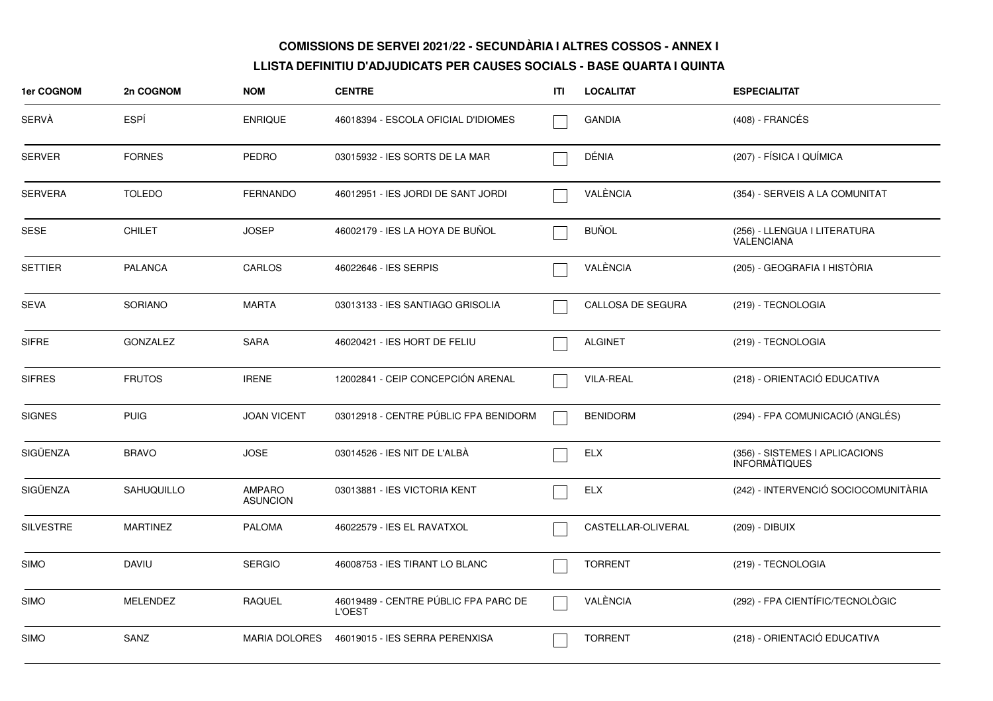| 1er COGNOM       | 2n COGNOM       | <b>NOM</b>                | <b>CENTRE</b>                                         | ITI | <b>LOCALITAT</b>   | <b>ESPECIALITAT</b>                                    |
|------------------|-----------------|---------------------------|-------------------------------------------------------|-----|--------------------|--------------------------------------------------------|
| SERVÀ            | ESPÍ            | <b>ENRIQUE</b>            | 46018394 - ESCOLA OFICIAL D'IDIOMES                   |     | <b>GANDIA</b>      | (408) - FRANCÉS                                        |
| <b>SERVER</b>    | <b>FORNES</b>   | <b>PEDRO</b>              | 03015932 - IES SORTS DE LA MAR                        |     | DÉNIA              | (207) - FÍSICA I QUÍMICA                               |
| <b>SERVERA</b>   | <b>TOLEDO</b>   | <b>FERNANDO</b>           | 46012951 - IES JORDI DE SANT JORDI                    |     | VALÈNCIA           | (354) - SERVEIS A LA COMUNITAT                         |
| SESE             | <b>CHILET</b>   | <b>JOSEP</b>              | 46002179 - IES LA HOYA DE BUÑOL                       |     | <b>BUÑOL</b>       | (256) - LLENGUA I LITERATURA<br>VALENCIANA             |
| <b>SETTIER</b>   | <b>PALANCA</b>  | CARLOS                    | 46022646 - IES SERPIS                                 |     | VALÈNCIA           | (205) - GEOGRAFIA I HISTÒRIA                           |
| <b>SEVA</b>      | <b>SORIANO</b>  | <b>MARTA</b>              | 03013133 - IES SANTIAGO GRISOLIA                      |     | CALLOSA DE SEGURA  | (219) - TECNOLOGIA                                     |
| <b>SIFRE</b>     | <b>GONZALEZ</b> | <b>SARA</b>               | 46020421 - IES HORT DE FELIU                          |     | <b>ALGINET</b>     | (219) - TECNOLOGIA                                     |
| <b>SIFRES</b>    | <b>FRUTOS</b>   | <b>IRENE</b>              | 12002841 - CEIP CONCEPCIÓN ARENAL                     |     | <b>VILA-REAL</b>   | (218) - ORIENTACIÓ EDUCATIVA                           |
| <b>SIGNES</b>    | <b>PUIG</b>     | <b>JOAN VICENT</b>        | 03012918 - CENTRE PÚBLIC FPA BENIDORM                 |     | <b>BENIDORM</b>    | (294) - FPA COMUNICACIÓ (ANGLÉS)                       |
| SIGÜENZA         | <b>BRAVO</b>    | <b>JOSE</b>               | 03014526 - IES NIT DE L'ALBÀ                          |     | <b>ELX</b>         | (356) - SISTEMES I APLICACIONS<br><b>INFORMATIQUES</b> |
| SIGÜENZA         | SAHUQUILLO      | AMPARO<br><b>ASUNCION</b> | 03013881 - IES VICTORIA KENT                          |     | <b>ELX</b>         | (242) - INTERVENCIÓ SOCIOCOMUNITÀRIA                   |
| <b>SILVESTRE</b> | <b>MARTINEZ</b> | <b>PALOMA</b>             | 46022579 - IES EL RAVATXOL                            |     | CASTELLAR-OLIVERAL | (209) - DIBUIX                                         |
| <b>SIMO</b>      | <b>DAVIU</b>    | <b>SERGIO</b>             | 46008753 - IES TIRANT LO BLANC                        |     | <b>TORRENT</b>     | (219) - TECNOLOGIA                                     |
| <b>SIMO</b>      | MELENDEZ        | <b>RAQUEL</b>             | 46019489 - CENTRE PÚBLIC FPA PARC DE<br><b>L'OEST</b> |     | VALÈNCIA           | (292) - FPA CIENTÍFIC/TECNOLÒGIC                       |
| <b>SIMO</b>      | SANZ            | <b>MARIA DOLORES</b>      | 46019015 - IES SERRA PERENXISA                        |     | <b>TORRENT</b>     | (218) - ORIENTACIÓ EDUCATIVA                           |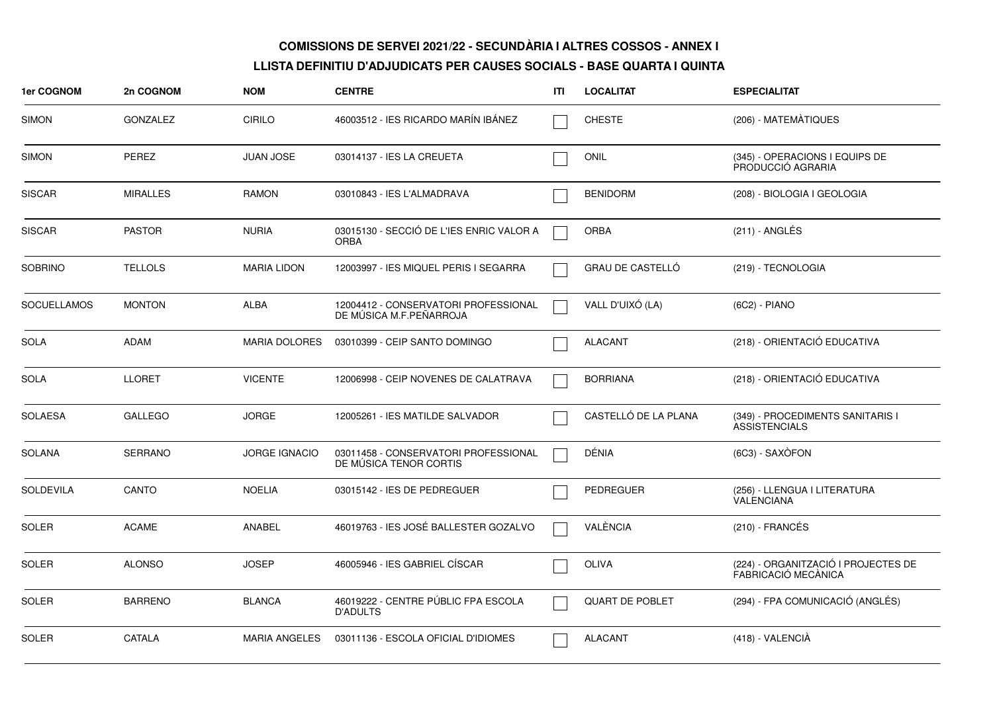| 1er COGNOM         | 2n COGNOM       | <b>NOM</b>           | <b>CENTRE</b>                                                   | ITI | <b>LOCALITAT</b>        | <b>ESPECIALITAT</b>                                        |
|--------------------|-----------------|----------------------|-----------------------------------------------------------------|-----|-------------------------|------------------------------------------------------------|
| <b>SIMON</b>       | <b>GONZALEZ</b> | <b>CIRILO</b>        | 46003512 - IES RICARDO MARÍN IBÁNEZ                             |     | <b>CHESTE</b>           | (206) - MATEMATIQUES                                       |
| <b>SIMON</b>       | <b>PEREZ</b>    | <b>JUAN JOSE</b>     | 03014137 - IES LA CREUETA                                       |     | <b>ONIL</b>             | (345) - OPERACIONS I EQUIPS DE<br>PRODUCCIÓ AGRARIA        |
| <b>SISCAR</b>      | <b>MIRALLES</b> | <b>RAMON</b>         | 03010843 - IES L'ALMADRAVA                                      |     | <b>BENIDORM</b>         | (208) - BIOLOGIA I GEOLOGIA                                |
| <b>SISCAR</b>      | <b>PASTOR</b>   | <b>NURIA</b>         | 03015130 - SECCIÓ DE L'IES ENRIC VALOR A<br><b>ORBA</b>         |     | <b>ORBA</b>             | $(211)$ - ANGLÉS                                           |
| <b>SOBRINO</b>     | <b>TELLOLS</b>  | <b>MARIA LIDON</b>   | 12003997 - IES MIQUEL PERIS I SEGARRA                           |     | <b>GRAU DE CASTELLO</b> | (219) - TECNOLOGIA                                         |
| <b>SOCUELLAMOS</b> | <b>MONTON</b>   | ALBA                 | 12004412 - CONSERVATORI PROFESSIONAL<br>DE MÚSICA M.F.PEÑARROJA |     | VALL D'UIXÓ (LA)        | (6C2) - PIANO                                              |
| <b>SOLA</b>        | <b>ADAM</b>     | <b>MARIA DOLORES</b> | 03010399 - CEIP SANTO DOMINGO                                   |     | <b>ALACANT</b>          | (218) - ORIENTACIÓ EDUCATIVA                               |
| SOLA               | <b>LLORET</b>   | <b>VICENTE</b>       | 12006998 - CEIP NOVENES DE CALATRAVA                            |     | <b>BORRIANA</b>         | (218) - ORIENTACIÓ EDUCATIVA                               |
| <b>SOLAESA</b>     | <b>GALLEGO</b>  | <b>JORGE</b>         | 12005261 - IES MATILDE SALVADOR                                 |     | CASTELLÓ DE LA PLANA    | (349) - PROCEDIMENTS SANITARIS I<br><b>ASSISTENCIALS</b>   |
| <b>SOLANA</b>      | <b>SERRANO</b>  | <b>JORGE IGNACIO</b> | 03011458 - CONSERVATORI PROFESSIONAL<br>DE MÚSICA TENOR CORTIS  |     | DÉNIA                   | (6C3) - SAXÒFON                                            |
| <b>SOLDEVILA</b>   | <b>CANTO</b>    | <b>NOELIA</b>        | 03015142 - IES DE PEDREGUER                                     |     | PEDREGUER               | (256) - LLENGUA I LITERATURA<br><b>VALENCIANA</b>          |
| SOLER              | <b>ACAME</b>    | ANABEL               | 46019763 - IES JOSÉ BALLESTER GOZALVO                           |     | VALÈNCIA                | $(210)$ - FRANCÉS                                          |
| SOLER              | <b>ALONSO</b>   | <b>JOSEP</b>         | 46005946 - IES GABRIEL CÍSCAR                                   |     | <b>OLIVA</b>            | (224) - ORGANITZACIÓ I PROJECTES DE<br>FABRICACIÓ MECÀNICA |
| <b>SOLER</b>       | <b>BARRENO</b>  | <b>BLANCA</b>        | 46019222 - CENTRE PÚBLIC FPA ESCOLA<br><b>D'ADULTS</b>          |     | <b>QUART DE POBLET</b>  | (294) - FPA COMUNICACIÓ (ANGLÉS)                           |
| <b>SOLER</b>       | CATALA          | <b>MARIA ANGELES</b> | 03011136 - ESCOLA OFICIAL D'IDIOMES                             |     | <b>ALACANT</b>          | (418) - VALENCIÀ                                           |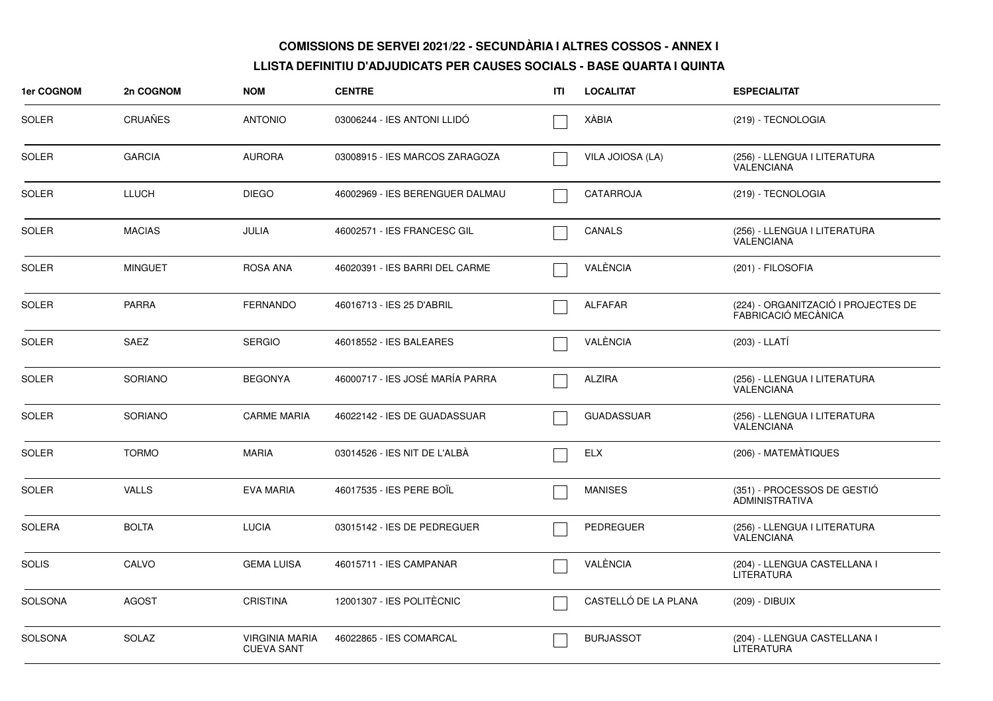| 1er COGNOM     | 2n COGNOM      | <b>NOM</b>                                 | <b>CENTRE</b>                   | ITI | <b>LOCALITAT</b>     | <b>ESPECIALITAT</b>                                        |
|----------------|----------------|--------------------------------------------|---------------------------------|-----|----------------------|------------------------------------------------------------|
| <b>SOLER</b>   | <b>CRUAÑES</b> | <b>ANTONIO</b>                             | 03006244 - IES ANTONI LLIDO     |     | <b>XÁBIA</b>         | (219) - TECNOLOGIA                                         |
| <b>SOLER</b>   | <b>GARCIA</b>  | <b>AURORA</b>                              | 03008915 - IES MARCOS ZARAGOZA  |     | VILA JOIOSA (LA)     | (256) - LLENGUA I LITERATURA<br>VALENCIANA                 |
| <b>SOLER</b>   | LLUCH          | <b>DIEGO</b>                               | 46002969 - IES BERENGUER DALMAU |     | <b>CATARROJA</b>     | (219) - TECNOLOGIA                                         |
| <b>SOLER</b>   | <b>MACIAS</b>  | <b>JULIA</b>                               | 46002571 - IES FRANCESC GIL     |     | CANALS               | (256) - LLENGUA I LITERATURA<br>VALENCIANA                 |
| <b>SOLER</b>   | <b>MINGUET</b> | <b>ROSA ANA</b>                            | 46020391 - IES BARRI DEL CARME  |     | VALÈNCIA             | (201) - FILOSOFIA                                          |
| <b>SOLER</b>   | <b>PARRA</b>   | <b>FERNANDO</b>                            | 46016713 - IES 25 D'ABRIL       |     | <b>ALFAFAR</b>       | (224) - ORGANITZACIÓ I PROJECTES DE<br>FABRICACIÓ MECÀNICA |
| <b>SOLER</b>   | <b>SAEZ</b>    | <b>SERGIO</b>                              | 46018552 - IES BALEARES         |     | VALÈNCIA             | (203) - LLATÍ                                              |
| <b>SOLER</b>   | <b>SORIANO</b> | <b>BEGONYA</b>                             | 46000717 - IES JOSÉ MARÍA PARRA |     | <b>ALZIRA</b>        | (256) - LLENGUA I LITERATURA<br>VALENCIANA                 |
| <b>SOLER</b>   | <b>SORIANO</b> | <b>CARME MARIA</b>                         | 46022142 - IES DE GUADASSUAR    |     | <b>GUADASSUAR</b>    | (256) - LLENGUA I LITERATURA<br><b>VALENCIANA</b>          |
| <b>SOLER</b>   | <b>TORMO</b>   | <b>MARIA</b>                               | 03014526 - IES NIT DE L'ALBÀ    |     | <b>ELX</b>           | (206) - MATEMATIQUES                                       |
| <b>SOLER</b>   | <b>VALLS</b>   | <b>EVA MARIA</b>                           | 46017535 - IES PERE BOIL        |     | <b>MANISES</b>       | (351) - PROCESSOS DE GESTIÓ<br><b>ADMINISTRATIVA</b>       |
| SOLERA         | <b>BOLTA</b>   | <b>LUCIA</b>                               | 03015142 - IES DE PEDREGUER     |     | <b>PEDREGUER</b>     | (256) - LLENGUA I LITERATURA<br>VALENCIANA                 |
| <b>SOLIS</b>   | CALVO          | <b>GEMA LUISA</b>                          | 46015711 - IES CAMPANAR         |     | VALÈNCIA             | (204) - LLENGUA CASTELLANA I<br>LITERATURA                 |
| <b>SOLSONA</b> | <b>AGOST</b>   | <b>CRISTINA</b>                            | 12001307 - IES POLITÈCNIC       |     | CASTELLÓ DE LA PLANA | (209) - DIBUIX                                             |
| SOLSONA        | <b>SOLAZ</b>   | <b>VIRGINIA MARIA</b><br><b>CUEVA SANT</b> | 46022865 - IES COMARCAL         |     | <b>BURJASSOT</b>     | (204) - LLENGUA CASTELLANA I<br><b>LITERATURA</b>          |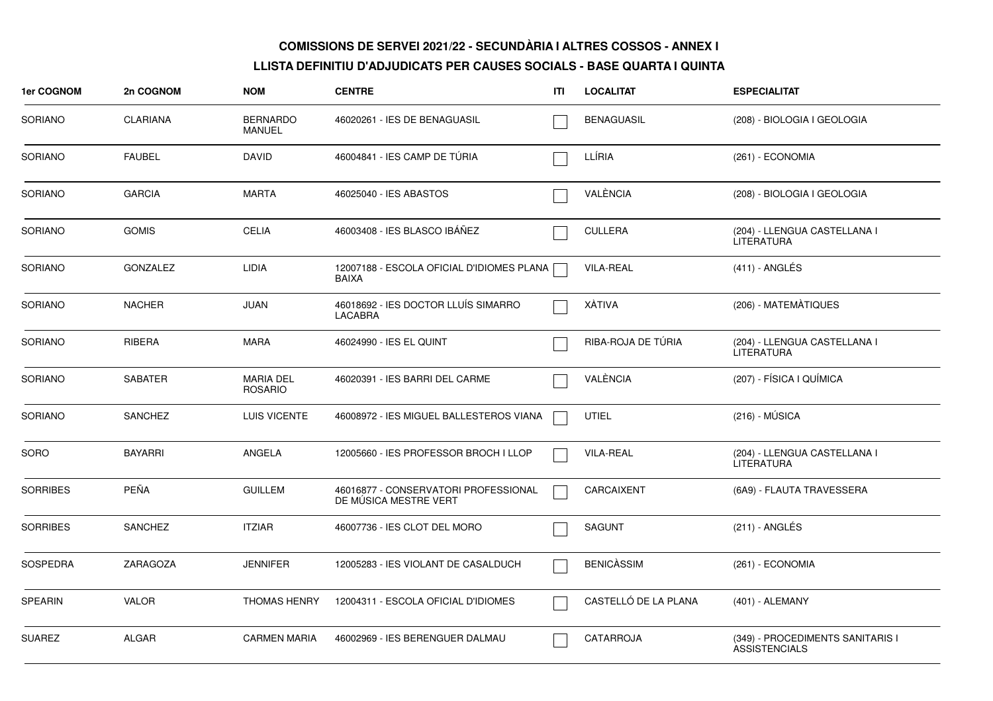| 1er COGNOM      | 2n COGNOM       | <b>NOM</b>                         | <b>CENTRE</b>                                                 | ITI | <b>LOCALITAT</b>     | <b>ESPECIALITAT</b>                                      |
|-----------------|-----------------|------------------------------------|---------------------------------------------------------------|-----|----------------------|----------------------------------------------------------|
| SORIANO         | <b>CLARIANA</b> | <b>BERNARDO</b><br><b>MANUEL</b>   | 46020261 - IES DE BENAGUASIL                                  |     | <b>BENAGUASIL</b>    | (208) - BIOLOGIA I GEOLOGIA                              |
| <b>SORIANO</b>  | <b>FAUBEL</b>   | <b>DAVID</b>                       | 46004841 - IES CAMP DE TÚRIA                                  |     | LLÍRIA               | (261) - ECONOMIA                                         |
| <b>SORIANO</b>  | <b>GARCIA</b>   | <b>MARTA</b>                       | 46025040 - IES ABASTOS                                        |     | VALÈNCIA             | (208) - BIOLOGIA I GEOLOGIA                              |
| <b>SORIANO</b>  | <b>GOMIS</b>    | <b>CELIA</b>                       | 46003408 - IES BLASCO IBÁÑEZ                                  |     | <b>CULLERA</b>       | (204) - LLENGUA CASTELLANA I<br><b>LITERATURA</b>        |
| <b>SORIANO</b>  | <b>GONZALEZ</b> | <b>LIDIA</b>                       | 12007188 - ESCOLA OFICIAL D'IDIOMES PLANA<br>BAIXA            |     | <b>VILA-REAL</b>     | $(411) - ANGLÉS$                                         |
| <b>SORIANO</b>  | <b>NACHER</b>   | <b>JUAN</b>                        | 46018692 - IES DOCTOR LLUÍS SIMARRO<br><b>LACABRA</b>         |     | XÀTIVA               | (206) - MATEMÀTIQUES                                     |
| <b>SORIANO</b>  | <b>RIBERA</b>   | <b>MARA</b>                        | 46024990 - IES EL QUINT                                       |     | RIBA-ROJA DE TÚRIA   | (204) - LLENGUA CASTELLANA I<br><b>LITERATURA</b>        |
| <b>SORIANO</b>  | <b>SABATER</b>  | <b>MARIA DEL</b><br><b>ROSARIO</b> | 46020391 - IES BARRI DEL CARME                                |     | VALÈNCIA             | (207) - FÍSICA I QUÍMICA                                 |
| SORIANO         | <b>SANCHEZ</b>  | LUIS VICENTE                       | 46008972 - IES MIGUEL BALLESTEROS VIANA                       |     | <b>UTIEL</b>         | $(216) - MÚSICA$                                         |
| SORO            | <b>BAYARRI</b>  | ANGELA                             | 12005660 - IES PROFESSOR BROCH I LLOP                         |     | <b>VILA-REAL</b>     | (204) - LLENGUA CASTELLANA I<br>LITERATURA               |
| <b>SORRIBES</b> | <b>PEÑA</b>     | <b>GUILLEM</b>                     | 46016877 - CONSERVATORI PROFESSIONAL<br>DE MÚSICA MESTRE VERT |     | CARCAIXENT           | (6A9) - FLAUTA TRAVESSERA                                |
| <b>SORRIBES</b> | <b>SANCHEZ</b>  | <b>ITZIAR</b>                      | 46007736 - IES CLOT DEL MORO                                  |     | <b>SAGUNT</b>        | (211) - ANGLÉS                                           |
| <b>SOSPEDRA</b> | ZARAGOZA        | <b>JENNIFER</b>                    | 12005283 - IES VIOLANT DE CASALDUCH                           |     | <b>BENICASSIM</b>    | (261) - ECONOMIA                                         |
| <b>SPEARIN</b>  | <b>VALOR</b>    | <b>THOMAS HENRY</b>                | 12004311 - ESCOLA OFICIAL D'IDIOMES                           |     | CASTELLÓ DE LA PLANA | (401) - ALEMANY                                          |
| <b>SUAREZ</b>   | <b>ALGAR</b>    | <b>CARMEN MARIA</b>                | 46002969 - IES BERENGUER DALMAU                               |     | CATARROJA            | (349) - PROCEDIMENTS SANITARIS I<br><b>ASSISTENCIALS</b> |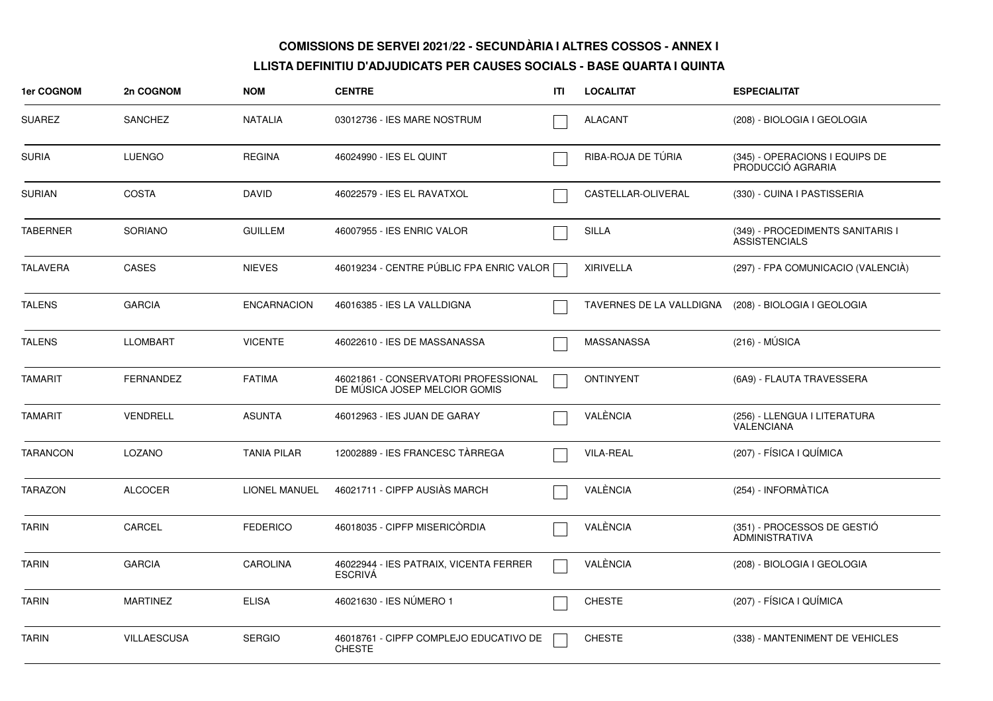| 1er COGNOM      | 2n COGNOM          | <b>NOM</b>         | <b>CENTRE</b>                                                         | ITI | <b>LOCALITAT</b>         | <b>ESPECIALITAT</b>                                      |
|-----------------|--------------------|--------------------|-----------------------------------------------------------------------|-----|--------------------------|----------------------------------------------------------|
| <b>SUAREZ</b>   | SANCHEZ            | <b>NATALIA</b>     | 03012736 - IES MARE NOSTRUM                                           |     | ALACANT                  | (208) - BIOLOGIA I GEOLOGIA                              |
| SURIA           | <b>LUENGO</b>      | <b>REGINA</b>      | 46024990 - IES EL QUINT                                               |     | RIBA-ROJA DE TÚRIA       | (345) - OPERACIONS I EQUIPS DE<br>PRODUCCIÓ AGRARIA      |
| <b>SURIAN</b>   | <b>COSTA</b>       | <b>DAVID</b>       | 46022579 - IES EL RAVATXOL                                            |     | CASTELLAR-OLIVERAL       | (330) - CUINA I PASTISSERIA                              |
| <b>TABERNER</b> | <b>SORIANO</b>     | <b>GUILLEM</b>     | 46007955 - IES ENRIC VALOR                                            |     | <b>SILLA</b>             | (349) - PROCEDIMENTS SANITARIS I<br><b>ASSISTENCIALS</b> |
| <b>TALAVERA</b> | <b>CASES</b>       | <b>NIEVES</b>      | 46019234 - CENTRE PÚBLIC FPA ENRIC VALOR                              |     | <b>XIRIVELLA</b>         | (297) - FPA COMUNICACIO (VALENCIÀ)                       |
| <b>TALENS</b>   | <b>GARCIA</b>      | <b>ENCARNACION</b> | 46016385 - IES LA VALLDIGNA                                           |     | TAVERNES DE LA VALLDIGNA | (208) - BIOLOGIA I GEOLOGIA                              |
| <b>TALENS</b>   | <b>LLOMBART</b>    | <b>VICENTE</b>     | 46022610 - IES DE MASSANASSA                                          |     | MASSANASSA               | $(216) - MÚSICA$                                         |
| <b>TAMARIT</b>  | <b>FERNANDEZ</b>   | <b>FATIMA</b>      | 46021861 - CONSERVATORI PROFESSIONAL<br>DE MUSICA JOSEP MELCIOR GOMIS |     | <b>ONTINYENT</b>         | (6A9) - FLAUTA TRAVESSERA                                |
| <b>TAMARIT</b>  | <b>VENDRELL</b>    | <b>ASUNTA</b>      | 46012963 - IES JUAN DE GARAY                                          |     | VALÈNCIA                 | (256) - LLENGUA I LITERATURA<br>VALÉNCIANA               |
| <b>TARANCON</b> | <b>LOZANO</b>      | <b>TANIA PILAR</b> | 12002889 - IES FRANCESC TÀRREGA                                       |     | <b>VILA-REAL</b>         | (207) - FÍSICA I QUÍMICA                                 |
| <b>TARAZON</b>  | <b>ALCOCER</b>     | LIONEL MANUEL      | 46021711 - CIPFP AUSIÀS MARCH                                         |     | VALÈNCIA                 | (254) - INFORMÀTICA                                      |
| <b>TARIN</b>    | CARCEL             | <b>FEDERICO</b>    | 46018035 - CIPFP MISERICORDIA                                         |     | VALÈNCIA                 | (351) - PROCESSOS DE GESTIÓ<br><b>ADMINISTRATIVA</b>     |
| <b>TARIN</b>    | <b>GARCIA</b>      | <b>CAROLINA</b>    | 46022944 - IES PATRAIX, VICENTA FERRER<br><b>ESCRIVA</b>              |     | VALÈNCIA                 | (208) - BIOLOGIA I GEOLOGIA                              |
| <b>TARIN</b>    | MARTINEZ           | <b>ELISA</b>       | 46021630 - IES NÚMERO 1                                               |     | <b>CHESTE</b>            | (207) - FÍSICA I QUÍMICA                                 |
| <b>TARIN</b>    | <b>VILLAESCUSA</b> | <b>SERGIO</b>      | 46018761 - CIPFP COMPLEJO EDUCATIVO DE<br><b>CHESTE</b>               |     | <b>CHESTE</b>            | (338) - MANTENIMENT DE VEHICLES                          |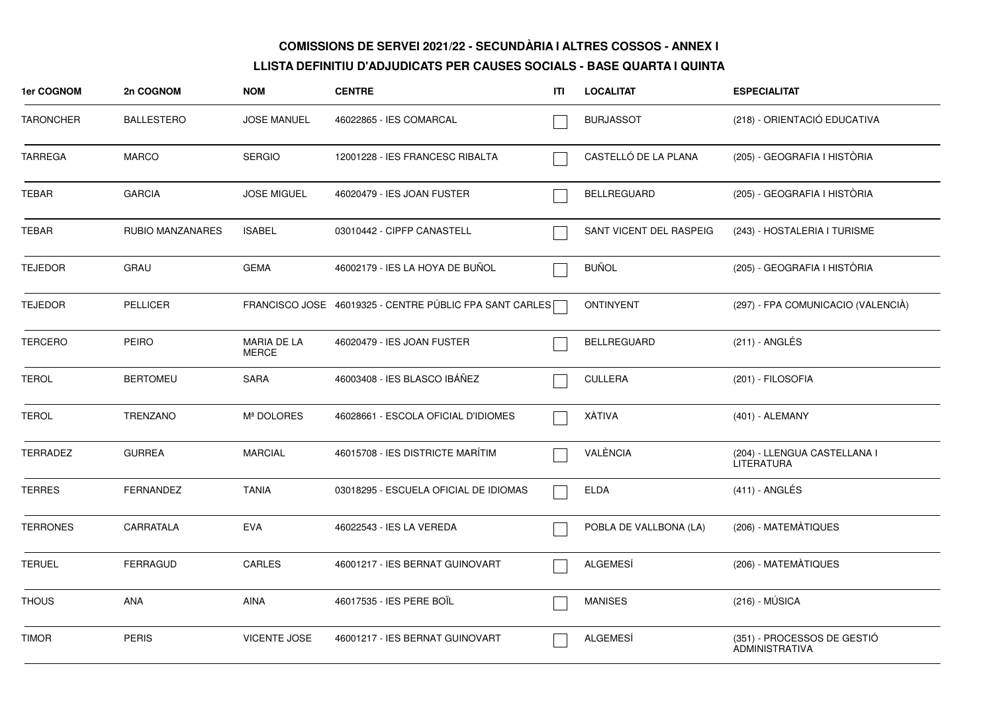| <b>1er COGNOM</b> | 2n COGNOM               | <b>NOM</b>                  | <b>CENTRE</b>                                           | ITI | <b>LOCALITAT</b>        | <b>ESPECIALITAT</b>                                  |
|-------------------|-------------------------|-----------------------------|---------------------------------------------------------|-----|-------------------------|------------------------------------------------------|
| <b>TARONCHER</b>  | <b>BALLESTERO</b>       | <b>JOSE MANUEL</b>          | 46022865 - IES COMARCAL                                 |     | <b>BURJASSOT</b>        | (218) - ORIENTACIÓ EDUCATIVA                         |
| <b>TARREGA</b>    | <b>MARCO</b>            | <b>SERGIO</b>               | 12001228 - IES FRANCESC RIBALTA                         |     | CASTELLÓ DE LA PLANA    | (205) - GEOGRAFIA I HISTÒRIA                         |
| <b>TEBAR</b>      | <b>GARCIA</b>           | <b>JOSE MIGUEL</b>          | 46020479 - IES JOAN FUSTER                              |     | <b>BELLREGUARD</b>      | (205) - GEOGRAFIA I HISTÒRIA                         |
| TEBAR             | <b>RUBIO MANZANARES</b> | <b>ISABEL</b>               | 03010442 - CIPFP CANASTELL                              |     | SANT VICENT DEL RASPEIG | (243) - HOSTALERIA I TURISME                         |
| <b>TEJEDOR</b>    | GRAU                    | <b>GEMA</b>                 | 46002179 - IES LA HOYA DE BUÑOL                         |     | <b>BUÑOL</b>            | (205) - GEOGRAFIA I HISTÒRIA                         |
| <b>TEJEDOR</b>    | <b>PELLICER</b>         |                             | FRANCISCO JOSE 46019325 - CENTRE PÚBLIC FPA SANT CARLES |     | <b>ONTINYENT</b>        | (297) - FPA COMUNICACIO (VALENCIÀ)                   |
| <b>TERCERO</b>    | <b>PEIRO</b>            | MARIA DE LA<br><b>MERCE</b> | 46020479 - IES JOAN FUSTER                              |     | <b>BELLREGUARD</b>      | (211) - ANGLÉS                                       |
| <b>TEROL</b>      | <b>BERTOMEU</b>         | <b>SARA</b>                 | 46003408 - IES BLASCO IBÁÑEZ                            |     | <b>CULLERA</b>          | (201) - FILOSOFIA                                    |
| <b>TEROL</b>      | <b>TRENZANO</b>         | Mª DOLORES                  | 46028661 - ESCOLA OFICIAL D'IDIOMES                     |     | <b>XÀTIVA</b>           | (401) - ALEMANY                                      |
| <b>TERRADEZ</b>   | <b>GURREA</b>           | <b>MARCIAL</b>              | 46015708 - IES DISTRICTE MARÍTIM                        |     | VALÈNCIA                | (204) - LLENGUA CASTELLANA I<br>LITERATURA           |
| <b>TERRES</b>     | <b>FERNANDEZ</b>        | <b>TANIA</b>                | 03018295 - ESCUELA OFICIAL DE IDIOMAS                   |     | <b>ELDA</b>             | $(411)$ - ANGLÉS                                     |
| <b>TERRONES</b>   | CARRATALA               | <b>EVA</b>                  | 46022543 - IES LA VEREDA                                |     | POBLA DE VALLBONA (LA)  | (206) - MATEMATIQUES                                 |
| <b>TERUEL</b>     | <b>FERRAGUD</b>         | <b>CARLES</b>               | 46001217 - IES BERNAT GUINOVART                         |     | <b>ALGEMESÍ</b>         | (206) - MATEMÀTIQUES                                 |
| <b>THOUS</b>      | <b>ANA</b>              | <b>AINA</b>                 | 46017535 - IES PERE BOIL                                |     | <b>MANISES</b>          | $(216) - MÚSICA$                                     |
| <b>TIMOR</b>      | <b>PERIS</b>            | <b>VICENTE JOSE</b>         | 46001217 - IES BERNAT GUINOVART                         |     | <b>ALGEMESI</b>         | (351) - PROCESSOS DE GESTIÓ<br><b>ADMINISTRATIVA</b> |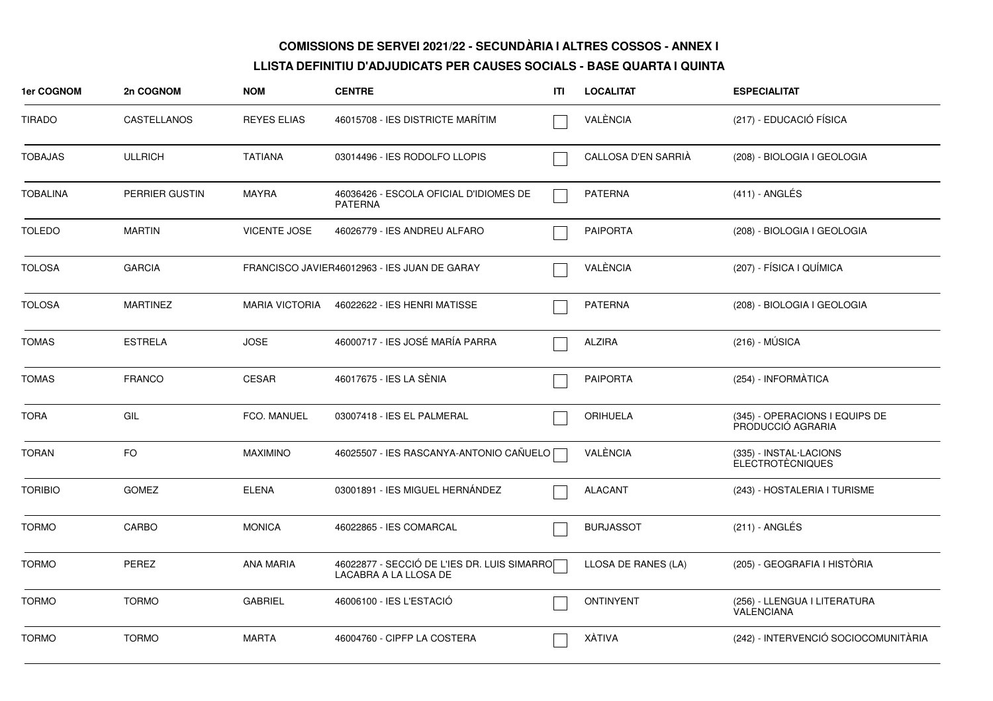| <b>1er COGNOM</b> | 2n COGNOM          | <b>NOM</b>            | <b>CENTRE</b>                                                        | ITI | <b>LOCALITAT</b>    | <b>ESPECIALITAT</b>                                 |
|-------------------|--------------------|-----------------------|----------------------------------------------------------------------|-----|---------------------|-----------------------------------------------------|
| TIRADO            | <b>CASTELLANOS</b> | <b>REYES ELIAS</b>    | 46015708 - IES DISTRICTE MARÍTIM                                     |     | VALÈNCIA            | (217) - EDUCACIÓ FÍSICA                             |
| <b>TOBAJAS</b>    | <b>ULLRICH</b>     | <b>TATIANA</b>        | 03014496 - IES RODOLFO LLOPIS                                        |     | CALLOSA D'EN SARRIA | (208) - BIOLOGIA I GEOLOGIA                         |
| <b>TOBALINA</b>   | PERRIER GUSTIN     | <b>MAYRA</b>          | 46036426 - ESCOLA OFICIAL D'IDIOMES DE<br><b>PATERNA</b>             |     | <b>PATERNA</b>      | $(411)$ - ANGLÉS                                    |
| <b>TOLEDO</b>     | <b>MARTIN</b>      | <b>VICENTE JOSE</b>   | 46026779 - IES ANDREU ALFARO                                         |     | <b>PAIPORTA</b>     | (208) - BIOLOGIA I GEOLOGIA                         |
| <b>TOLOSA</b>     | <b>GARCIA</b>      |                       | FRANCISCO JAVIER46012963 - IES JUAN DE GARAY                         |     | VALÈNCIA            | (207) - FÍSICA I QUÍMICA                            |
| <b>TOLOSA</b>     | <b>MARTINEZ</b>    | <b>MARIA VICTORIA</b> | 46022622 - IES HENRI MATISSE                                         |     | <b>PATERNA</b>      | (208) - BIOLOGIA I GEOLOGIA                         |
| <b>TOMAS</b>      | <b>ESTRELA</b>     | <b>JOSE</b>           | 46000717 - IES JOSÉ MARÍA PARRA                                      |     | <b>ALZIRA</b>       | $(216) - MÚSICA$                                    |
| <b>TOMAS</b>      | <b>FRANCO</b>      | <b>CESAR</b>          | 46017675 - IES LA SÈNIA                                              |     | <b>PAIPORTA</b>     | (254) - INFORMÀTICA                                 |
| TORA              | GIL                | FCO. MANUEL           | 03007418 - IES EL PALMERAL                                           |     | <b>ORIHUELA</b>     | (345) - OPERACIONS I EQUIPS DE<br>PRODUCCIÓ AGRARIA |
| <b>TORAN</b>      | FO.                | <b>MAXIMINO</b>       | 46025507 - IES RASCANYA-ANTONIO CAÑUELO                              |     | VALÈNCIA            | (335) - INSTAL·LACIONS<br><b>ELECTROTÈCNIQUES</b>   |
| <b>TORIBIO</b>    | <b>GOMEZ</b>       | <b>ELENA</b>          | 03001891 - IES MIGUEL HERNÁNDEZ                                      |     | <b>ALACANT</b>      | (243) - HOSTALERIA I TURISME                        |
| <b>TORMO</b>      | CARBO              | <b>MONICA</b>         | 46022865 - IES COMARCAL                                              |     | <b>BURJASSOT</b>    | (211) - ANGLES                                      |
| <b>TORMO</b>      | <b>PEREZ</b>       | <b>ANA MARIA</b>      | 46022877 - SECCIÓ DE L'IES DR. LUIS SIMARRO<br>LACABRA A LA LLOSA DE |     | LLOSA DE RANES (LA) | (205) - GEOGRAFIA I HISTÒRIA                        |
| <b>TORMO</b>      | <b>TORMO</b>       | <b>GABRIEL</b>        | 46006100 - IES L'ESTACIÓ                                             |     | <b>ONTINYENT</b>    | (256) - LLENGUA I LITERATURA<br>VALENCIANA          |
| <b>TORMO</b>      | <b>TORMO</b>       | <b>MARTA</b>          | 46004760 - CIPFP LA COSTERA                                          |     | <b>XÀTIVA</b>       | (242) - INTERVENCIÓ SOCIOCOMUNITÀRIA                |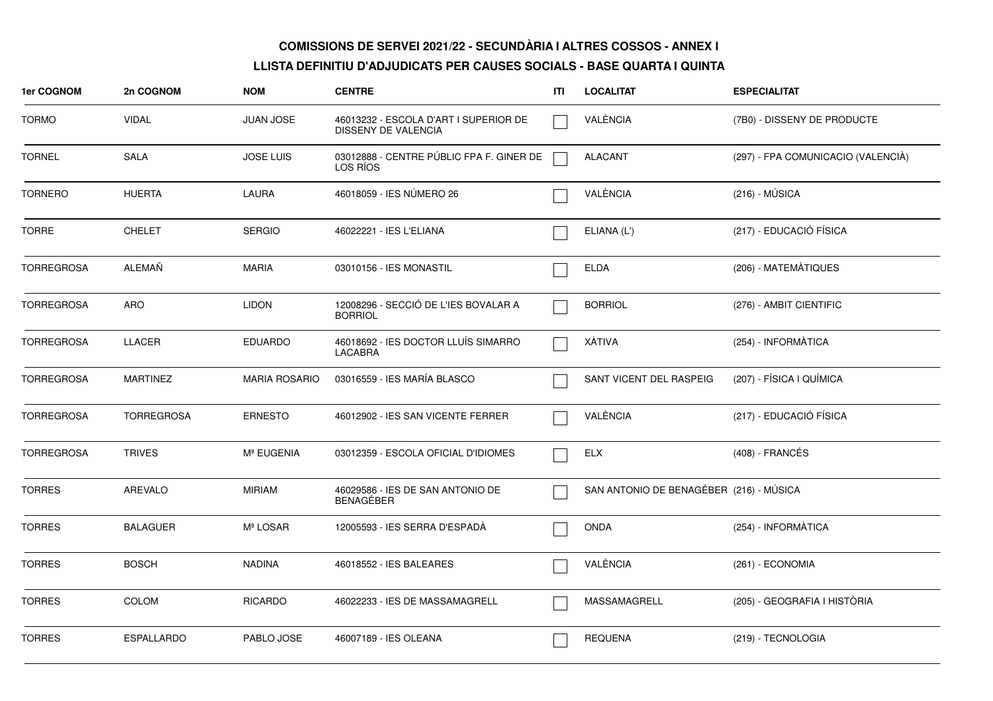| 1er COGNOM        | 2n COGNOM         | <b>NOM</b>           | <b>CENTRE</b>                                                | ITI | <b>LOCALITAT</b>                        | <b>ESPECIALITAT</b>                |
|-------------------|-------------------|----------------------|--------------------------------------------------------------|-----|-----------------------------------------|------------------------------------|
| <b>TORMO</b>      | <b>VIDAL</b>      | <b>JUAN JOSE</b>     | 46013232 - ESCOLA D'ART I SUPERIOR DE<br>DISSENY DE VALENCIA |     | VALÈNCIA                                | (7B0) - DISSENY DE PRODUCTE        |
| <b>TORNEL</b>     | <b>SALA</b>       | <b>JOSE LUIS</b>     | 03012888 - CENTRE PÚBLIC FPA F. GINER DE<br>LOS RIOS         |     | <b>ALACANT</b>                          | (297) - FPA COMUNICACIO (VALENCIÀ) |
| <b>TORNERO</b>    | <b>HUERTA</b>     | LAURA                | 46018059 - IES NUMERO 26                                     |     | VALÈNCIA                                | $(216) - MÚSICA$                   |
| <b>TORRE</b>      | <b>CHELET</b>     | <b>SERGIO</b>        | 46022221 - IES L'ELIANA                                      |     | ELIANA (L')                             | (217) - EDUCACIÓ FÍSICA            |
| <b>TORREGROSA</b> | <b>ALEMAÑ</b>     | <b>MARIA</b>         | 03010156 - IES MONASTIL                                      |     | <b>ELDA</b>                             | (206) - MATEMATIQUES               |
| <b>TORREGROSA</b> | <b>ARO</b>        | <b>LIDON</b>         | 12008296 - SECCIÓ DE L'IES BOVALAR A<br><b>BORRIOL</b>       |     | <b>BORRIOL</b>                          | (276) - AMBIT CIENTIFIC            |
| <b>TORREGROSA</b> | <b>LLACER</b>     | <b>EDUARDO</b>       | 46018692 - IES DOCTOR LLUÍS SIMARRO<br><b>LACABRA</b>        |     | <b>XÀTIVA</b>                           | (254) - INFORMÀTICA                |
| <b>TORREGROSA</b> | <b>MARTINEZ</b>   | <b>MARIA ROSARIO</b> | 03016559 - IES MARÍA BLASCO                                  |     | SANT VICENT DEL RASPEIG                 | (207) - FÍSICA I QUÍMICA           |
| <b>TORREGROSA</b> | <b>TORREGROSA</b> | <b>ERNESTO</b>       | 46012902 - IES SAN VICENTE FERRER                            |     | VALÈNCIA                                | (217) - EDUCACIÓ FÍSICA            |
| <b>TORREGROSA</b> | <b>TRIVES</b>     | Mª EUGENIA           | 03012359 - ESCOLA OFICIAL D'IDIOMES                          |     | <b>ELX</b>                              | (408) - FRANCÉS                    |
| <b>TORRES</b>     | AREVALO           | <b>MIRIAM</b>        | 46029586 - IES DE SAN ANTONIO DE<br>BENAGÉBER                |     | SAN ANTONIO DE BENAGÉBER (216) - MÚSICA |                                    |
| <b>TORRES</b>     | <b>BALAGUER</b>   | Mª LOSAR             | 12005593 - IES SERRA D'ESPADA                                |     | <b>ONDA</b>                             | (254) - INFORMÀTICA                |
| <b>TORRES</b>     | <b>BOSCH</b>      | <b>NADINA</b>        | 46018552 - IES BALEARES                                      |     | VALÈNCIA                                | (261) - ECONOMIA                   |
| <b>TORRES</b>     | <b>COLOM</b>      | <b>RICARDO</b>       | 46022233 - IES DE MASSAMAGRELL                               |     | MASSAMAGRELL                            | (205) - GEOGRAFIA I HISTÓRIA       |
| <b>TORRES</b>     | <b>ESPALLARDO</b> | PABLO JOSE           | 46007189 - IES OLEANA                                        |     | <b>REQUENA</b>                          | (219) - TECNOLOGIA                 |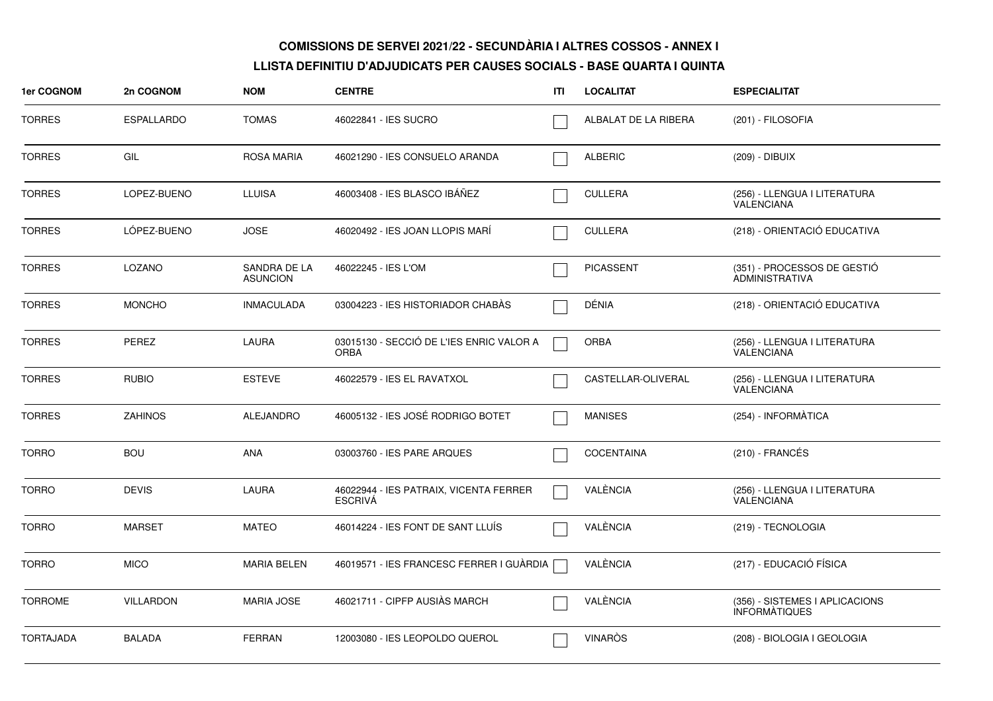| 1er COGNOM       | 2n COGNOM         | <b>NOM</b>                      | <b>CENTRE</b>                                            | ITI | <b>LOCALITAT</b>     | <b>ESPECIALITAT</b>                                    |
|------------------|-------------------|---------------------------------|----------------------------------------------------------|-----|----------------------|--------------------------------------------------------|
| <b>TORRES</b>    | <b>ESPALLARDO</b> | <b>TOMAS</b>                    | 46022841 - IES SUCRO                                     |     | ALBALAT DE LA RIBERA | (201) - FILOSOFIA                                      |
| <b>TORRES</b>    | GIL               | <b>ROSA MARIA</b>               | 46021290 - IES CONSUELO ARANDA                           |     | <b>ALBERIC</b>       | (209) - DIBUIX                                         |
| <b>TORRES</b>    | LOPEZ-BUENO       | <b>LLUISA</b>                   | 46003408 - IES BLASCO IBÁÑEZ                             |     | <b>CULLERA</b>       | (256) - LLENGUA I LITERATURA<br><b>VALENCIANA</b>      |
| <b>TORRES</b>    | LÓPEZ-BUENO       | <b>JOSE</b>                     | 46020492 - IES JOAN LLOPIS MARÍ                          |     | <b>CULLERA</b>       | (218) - ORIENTACIÓ EDUCATIVA                           |
| <b>TORRES</b>    | <b>LOZANO</b>     | SANDRA DE LA<br><b>ASUNCION</b> | 46022245 - IES L'OM                                      |     | <b>PICASSENT</b>     | (351) - PROCESSOS DE GESTIÓ<br><b>ADMINISTRATIVA</b>   |
| <b>TORRES</b>    | <b>MONCHO</b>     | <b>INMACULADA</b>               | 03004223 - IES HISTORIADOR CHABAS                        |     | DÉNIA                | (218) - ORIENTACIÓ EDUCATIVA                           |
| <b>TORRES</b>    | <b>PEREZ</b>      | LAURA                           | 03015130 - SECCIÓ DE L'IES ENRIC VALOR A<br><b>ORBA</b>  |     | <b>ORBA</b>          | (256) - LLENGUA I LITERATURA<br><b>VALENCIANA</b>      |
| <b>TORRES</b>    | <b>RUBIO</b>      | <b>ESTEVE</b>                   | 46022579 - IES EL RAVATXOL                               |     | CASTELLAR-OLIVERAL   | (256) - LLENGUA I LITERATURA<br>VALENCIANA             |
| <b>TORRES</b>    | <b>ZAHINOS</b>    | <b>ALEJANDRO</b>                | 46005132 - IES JOSÉ RODRIGO BOTET                        |     | <b>MANISES</b>       | (254) - INFORMÀTICA                                    |
| <b>TORRO</b>     | <b>BOU</b>        | <b>ANA</b>                      | 03003760 - IES PARE ARQUES                               |     | <b>COCENTAINA</b>    | $(210)$ - FRANCÉS                                      |
| <b>TORRO</b>     | <b>DEVIS</b>      | LAURA                           | 46022944 - IES PATRAIX, VICENTA FERRER<br><b>ESCRIVÁ</b> |     | VALÈNCIA             | (256) - LLENGUA I LITERATURA<br><b>VALENCIANA</b>      |
| <b>TORRO</b>     | <b>MARSET</b>     | <b>MATEO</b>                    | 46014224 - IES FONT DE SANT LLUÍS                        |     | VALÈNCIA             | (219) - TECNOLOGIA                                     |
| <b>TORRO</b>     | <b>MICO</b>       | <b>MARIA BELEN</b>              | 46019571 - IES FRANCESC FERRER I GUÀRDIA                 |     | VALÈNCIA             | (217) - EDUCACIÓ FÍSICA                                |
| <b>TORROME</b>   | <b>VILLARDON</b>  | <b>MARIA JOSE</b>               | 46021711 - CIPFP AUSIÀS MARCH                            |     | VALÈNCIA             | (356) - SISTEMES I APLICACIONS<br><b>INFORMATIQUES</b> |
| <b>TORTAJADA</b> | <b>BALADA</b>     | <b>FERRAN</b>                   | 12003080 - IES LEOPOLDO QUEROL                           |     | <b>VINAROS</b>       | (208) - BIOLOGIA I GEOLOGIA                            |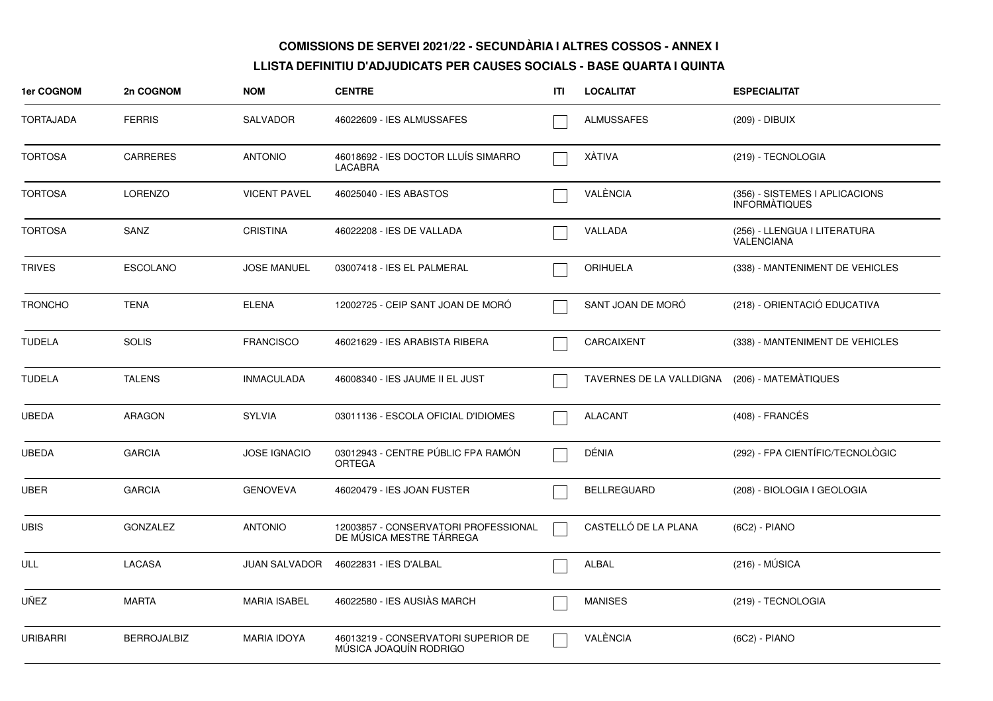| 1er COGNOM       | 2n COGNOM          | <b>NOM</b>           | <b>CENTRE</b>                                                    | ITI | <b>LOCALITAT</b>         | <b>ESPECIALITAT</b>                                    |
|------------------|--------------------|----------------------|------------------------------------------------------------------|-----|--------------------------|--------------------------------------------------------|
| <b>TORTAJADA</b> | <b>FERRIS</b>      | <b>SALVADOR</b>      | 46022609 - IES ALMUSSAFES                                        |     | ALMUSSAFES               | (209) - DIBUIX                                         |
| <b>TORTOSA</b>   | <b>CARRERES</b>    | <b>ANTONIO</b>       | 46018692 - IES DOCTOR LLUIS SIMARRO<br>LACABRA                   |     | XÁTIVA                   | (219) - TECNOLOGIA                                     |
| <b>TORTOSA</b>   | <b>LORENZO</b>     | <b>VICENT PAVEL</b>  | 46025040 - IES ABASTOS                                           |     | VALÈNCIA                 | (356) - SISTEMES I APLICACIONS<br><b>INFORMATIQUES</b> |
| <b>TORTOSA</b>   | SANZ               | <b>CRISTINA</b>      | 46022208 - IES DE VALLADA                                        |     | VALLADA                  | (256) - LLENGUA I LITERATURA<br><b>VALENCIANA</b>      |
| <b>TRIVES</b>    | <b>ESCOLANO</b>    | <b>JOSE MANUEL</b>   | 03007418 - IES EL PALMERAL                                       |     | <b>ORIHUELA</b>          | (338) - MANTENIMENT DE VEHICLES                        |
| <b>TRONCHO</b>   | <b>TENA</b>        | <b>ELENA</b>         | 12002725 - CEIP SANT JOAN DE MORO                                |     | SANT JOAN DE MORÓ        | (218) - ORIENTACIÓ EDUCATIVA                           |
| <b>TUDELA</b>    | <b>SOLIS</b>       | <b>FRANCISCO</b>     | 46021629 - IES ARABISTA RIBERA                                   |     | CARCAIXENT               | (338) - MANTENIMENT DE VEHICLES                        |
| <b>TUDELA</b>    | <b>TALENS</b>      | <b>INMACULADA</b>    | 46008340 - IES JAUME II EL JUST                                  |     | TAVERNES DE LA VALLDIGNA | (206) - MATEMÀTIQUES                                   |
| <b>UBEDA</b>     | <b>ARAGON</b>      | <b>SYLVIA</b>        | 03011136 - ESCOLA OFICIAL D'IDIOMES                              |     | <b>ALACANT</b>           | (408) - FRANCÉS                                        |
| <b>UBEDA</b>     | <b>GARCIA</b>      | <b>JOSE IGNACIO</b>  | 03012943 - CENTRE PÚBLIC FPA RAMÓN<br><b>ORTEGA</b>              |     | DÉNIA                    | (292) - FPA CIENTÍFIC/TECNOLÒGIC                       |
| <b>UBER</b>      | <b>GARCIA</b>      | <b>GENOVEVA</b>      | 46020479 - IES JOAN FUSTER                                       |     | <b>BELLREGUARD</b>       | (208) - BIOLOGIA I GEOLOGIA                            |
| <b>UBIS</b>      | <b>GONZALEZ</b>    | <b>ANTONIO</b>       | 12003857 - CONSERVATORI PROFESSIONAL<br>DE MÚSICA MESTRE TÁRREGA |     | CASTELLÓ DE LA PLANA     | (6C2) - PIANO                                          |
| ULL              | <b>LACASA</b>      | <b>JUAN SALVADOR</b> | 46022831 - IES D'ALBAL                                           |     | ALBAL                    | $(216) - MUSICA$                                       |
| UÑEZ             | <b>MARTA</b>       | <b>MARIA ISABEL</b>  | 46022580 - IES AUSIÀS MARCH                                      |     | <b>MANISES</b>           | (219) - TECNOLOGIA                                     |
| <b>URIBARRI</b>  | <b>BERROJALBIZ</b> | <b>MARIA IDOYA</b>   | 46013219 - CONSERVATORI SUPERIOR DE<br>MÚSICA JOAQUÍN RODRIGO    |     | VALÈNCIA                 | (6C2) - PIANO                                          |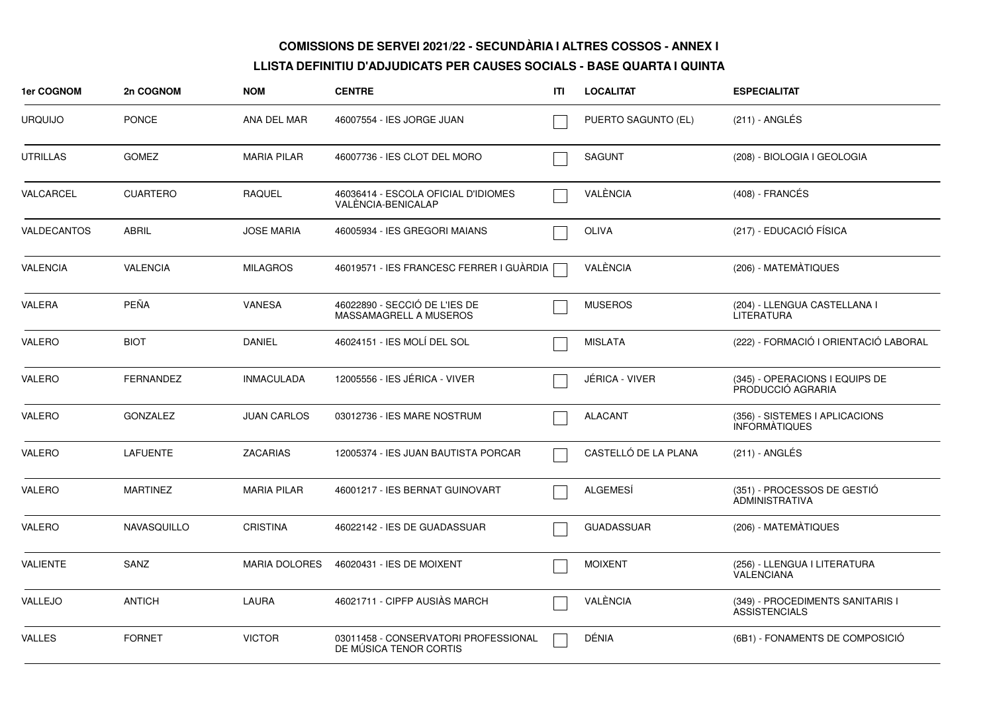| 1er COGNOM         | 2n COGNOM        | <b>NOM</b>           | <b>CENTRE</b>                                                  | ITI | <b>LOCALITAT</b>      | <b>ESPECIALITAT</b>                                      |
|--------------------|------------------|----------------------|----------------------------------------------------------------|-----|-----------------------|----------------------------------------------------------|
| <b>URQUIJO</b>     | <b>PONCE</b>     | ANA DEL MAR          | 46007554 - IES JORGE JUAN                                      |     | PUERTO SAGUNTO (EL)   | (211) - ANGLÉS                                           |
| <b>UTRILLAS</b>    | <b>GOMEZ</b>     | <b>MARIA PILAR</b>   | 46007736 - IES CLOT DEL MORO                                   |     | <b>SAGUNT</b>         | (208) - BIOLOGIA I GEOLOGIA                              |
| VALCARCEL          | <b>CUARTERO</b>  | <b>RAQUEL</b>        | 46036414 - ESCOLA OFICIAL D'IDIOMES<br>VALENCIA-BENICALAP      |     | VALÈNCIA              | (408) - FRANCÉS                                          |
| <b>VALDECANTOS</b> | <b>ABRIL</b>     | <b>JOSE MARIA</b>    | 46005934 - IES GREGORI MAIANS                                  |     | <b>OLIVA</b>          | (217) - EDUCACIÓ FÍSICA                                  |
| <b>VALENCIA</b>    | <b>VALENCIA</b>  | <b>MILAGROS</b>      | 46019571 - IES FRANCESC FERRER I GUÀRDIA                       |     | VALÈNCIA              | (206) - MATEMÀTIQUES                                     |
| <b>VALERA</b>      | PEÑA             | <b>VANESA</b>        | 46022890 - SECCIÓ DE L'IES DE<br>MASSAMAGRELL A MUSEROS        |     | <b>MUSEROS</b>        | (204) - LLENGUA CASTELLANA I<br><b>LITERATURA</b>        |
| <b>VALERO</b>      | <b>BIOT</b>      | <b>DANIEL</b>        | 46024151 - IES MOLÍ DEL SOL                                    |     | <b>MISLATA</b>        | (222) - FORMACIÓ I ORIENTACIÓ LABORAL                    |
| VALERO             | <b>FERNANDEZ</b> | <b>INMACULADA</b>    | 12005556 - IES JÉRICA - VIVER                                  |     | <b>JÉRICA - VIVER</b> | (345) - OPERACIONS I EQUIPS DE<br>PRODUCCIÓ AGRARIA      |
| VALERO             | <b>GONZALEZ</b>  | <b>JUAN CARLOS</b>   | 03012736 - IES MARE NOSTRUM                                    |     | <b>ALACANT</b>        | (356) - SISTEMES I APLICACIONS<br><b>INFORMATIQUES</b>   |
| VALERO             | <b>LAFUENTE</b>  | <b>ZACARIAS</b>      | 12005374 - IES JUAN BAUTISTA PORCAR                            |     | CASTELLÓ DE LA PLANA  | (211) - ANGLÉS                                           |
| <b>VALERO</b>      | <b>MARTINEZ</b>  | <b>MARIA PILAR</b>   | 46001217 - IES BERNAT GUINOVART                                |     | <b>ALGEMESÍ</b>       | (351) - PROCESSOS DE GESTIÓ<br>ADMINISTRATIVA            |
| VALERO             | NAVASQUILLO      | <b>CRISTINA</b>      | 46022142 - IES DE GUADASSUAR                                   |     | <b>GUADASSUAR</b>     | (206) - MATEMÀTIQUES                                     |
| <b>VALIENTE</b>    | SANZ             | <b>MARIA DOLORES</b> | 46020431 - IES DE MOIXENT                                      |     | <b>MOIXENT</b>        | (256) - LLENGUA I LITERATURA<br><b>VALENCIANA</b>        |
| VALLEJO            | <b>ANTICH</b>    | <b>LAURA</b>         | 46021711 - CIPFP AUSIÀS MARCH                                  |     | VALÈNCIA              | (349) - PROCEDIMENTS SANITARIS I<br><b>ASSISTENCIALS</b> |
| <b>VALLES</b>      | <b>FORNET</b>    | <b>VICTOR</b>        | 03011458 - CONSERVATORI PROFESSIONAL<br>DE MÚSICA TENOR CORTIS |     | DÉNIA                 | (6B1) - FONAMENTS DE COMPOSICIÓ                          |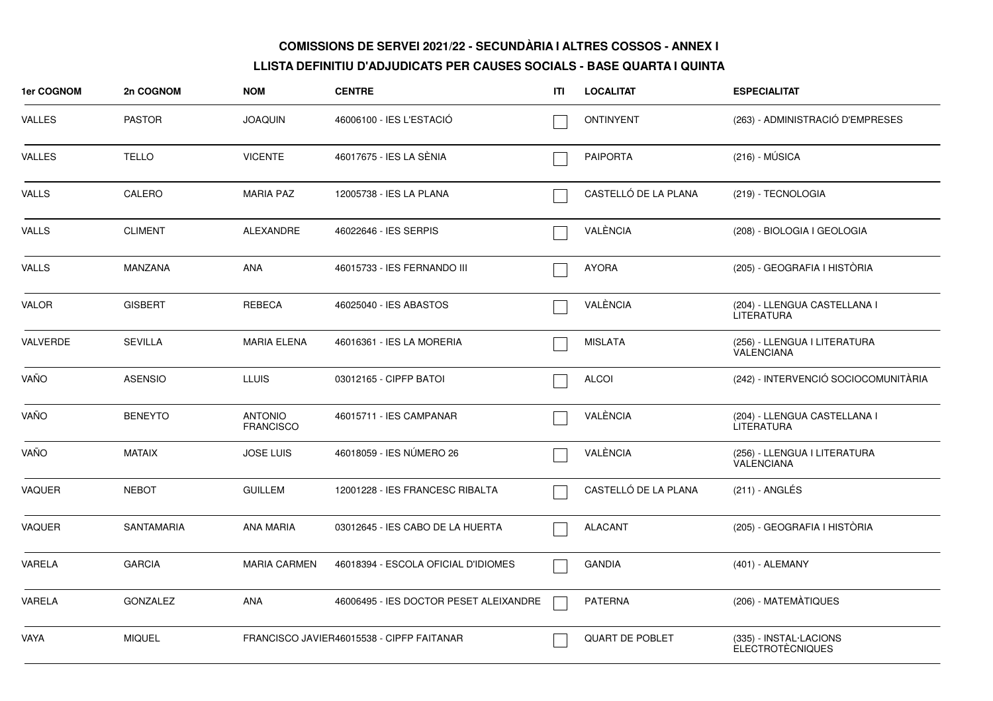| <b>1er COGNOM</b> | 2n COGNOM         | <b>NOM</b>                         | <b>CENTRE</b>                             | ITI | <b>LOCALITAT</b>       | <b>ESPECIALITAT</b>                               |
|-------------------|-------------------|------------------------------------|-------------------------------------------|-----|------------------------|---------------------------------------------------|
| VALLES            | <b>PASTOR</b>     | <b>JOAQUIN</b>                     | 46006100 - IES L'ESTACIÓ                  |     | <b>ONTINYENT</b>       | (263) - ADMINISTRACIÓ D'EMPRESES                  |
| VALLES            | <b>TELLO</b>      | <b>VICENTE</b>                     | 46017675 - IES LA SÈNIA                   |     | <b>PAIPORTA</b>        | $(216) - MÚSICA$                                  |
| VALLS             | CALERO            | <b>MARIA PAZ</b>                   | 12005738 - IES LA PLANA                   |     | CASTELLÓ DE LA PLANA   | (219) - TECNOLOGIA                                |
| VALLS             | <b>CLIMENT</b>    | ALEXANDRE                          | 46022646 - IES SERPIS                     |     | VALÈNCIA               | (208) - BIOLOGIA I GEOLOGIA                       |
| VALLS             | <b>MANZANA</b>    | <b>ANA</b>                         | 46015733 - IES FERNANDO III               |     | <b>AYORA</b>           | (205) - GEOGRAFIA I HISTÓRIA                      |
| VALOR             | <b>GISBERT</b>    | <b>REBECA</b>                      | 46025040 - IES ABASTOS                    |     | VALÈNCIA               | (204) - LLENGUA CASTELLANA I<br><b>LITERATURA</b> |
| VALVERDE          | <b>SEVILLA</b>    | <b>MARIA ELENA</b>                 | 46016361 - IES LA MORERIA                 |     | <b>MISLATA</b>         | (256) - LLENGUA I LITERATURA<br><b>VALENCIANA</b> |
| VAÑO              | <b>ASENSIO</b>    | <b>LLUIS</b>                       | 03012165 - CIPFP BATOI                    |     | <b>ALCOI</b>           | (242) - INTERVENCIÓ SOCIOCOMUNITÀRIA              |
| VAÑO              | <b>BENEYTO</b>    | <b>ANTONIO</b><br><b>FRANCISCO</b> | 46015711 - IES CAMPANAR                   |     | VALÈNCIA               | (204) - LLENGUA CASTELLANA I<br><b>LITERATURA</b> |
| VAÑO              | <b>MATAIX</b>     | <b>JOSE LUIS</b>                   | 46018059 - IES NUMERO 26                  |     | VALÈNCIA               | (256) - LLENGUA I LITERATURA<br>VALENCIANA        |
| VAQUER            | <b>NEBOT</b>      | <b>GUILLEM</b>                     | 12001228 - IES FRANCESC RIBALTA           |     | CASTELLÓ DE LA PLANA   | (211) - ANGLÉS                                    |
| VAQUER            | <b>SANTAMARIA</b> | <b>ANA MARIA</b>                   | 03012645 - IES CABO DE LA HUERTA          |     | <b>ALACANT</b>         | (205) - GEOGRAFIA I HISTÒRIA                      |
| VARELA            | <b>GARCIA</b>     | <b>MARIA CARMEN</b>                | 46018394 - ESCOLA OFICIAL D'IDIOMES       |     | <b>GANDIA</b>          | (401) - ALEMANY                                   |
| VARELA            | <b>GONZALEZ</b>   | <b>ANA</b>                         | 46006495 - IES DOCTOR PESET ALEIXANDRE    |     | <b>PATERNA</b>         | (206) - MATEMATIQUES                              |
| VAYA              | <b>MIQUEL</b>     |                                    | FRANCISCO JAVIER46015538 - CIPFP FAITANAR |     | <b>QUART DE POBLET</b> | (335) - INSTAL·LACIONS<br><b>ELECTROTÈCNIQUES</b> |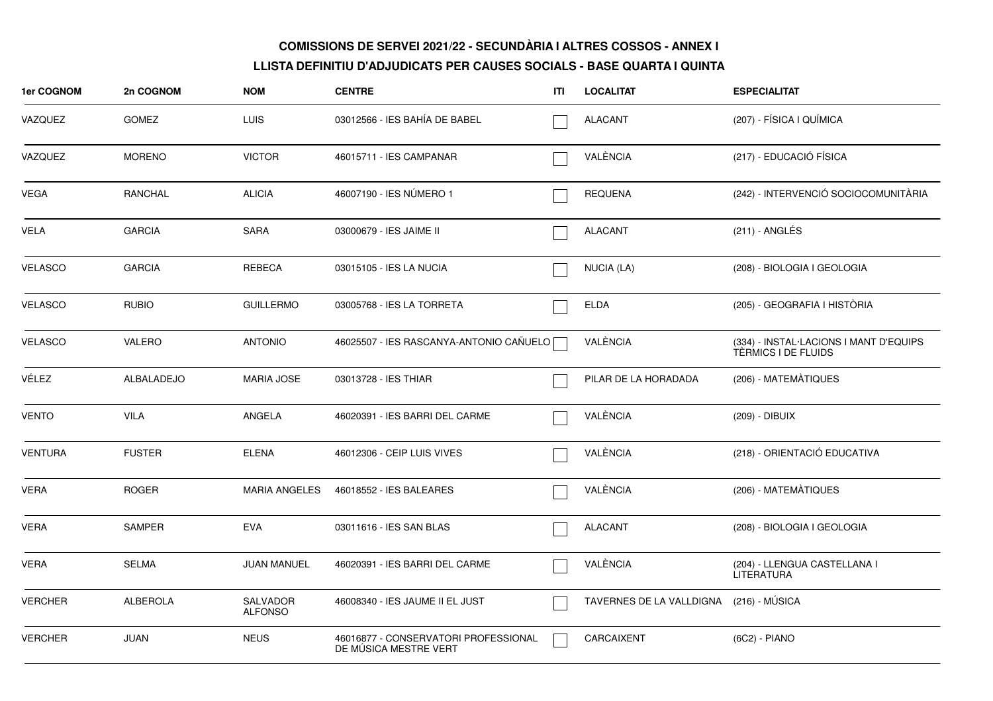| 1er COGNOM     | 2n COGNOM       | <b>NOM</b>                        | <b>CENTRE</b>                                                 | ITI | <b>LOCALITAT</b>         | <b>ESPECIALITAT</b>                                           |
|----------------|-----------------|-----------------------------------|---------------------------------------------------------------|-----|--------------------------|---------------------------------------------------------------|
| VAZQUEZ        | <b>GOMEZ</b>    | LUIS                              | 03012566 - IES BAHÍA DE BABEL                                 |     | <b>ALACANT</b>           | (207) - FÍSICA I QUÍMICA                                      |
| VAZQUEZ        | <b>MORENO</b>   | <b>VICTOR</b>                     | 46015711 - IES CAMPANAR                                       |     | VALÈNCIA                 | (217) - EDUCACIÓ FÍSICA                                       |
| VEGA           | RANCHAL         | <b>ALICIA</b>                     | 46007190 - IES NÚMERO 1                                       |     | <b>REQUENA</b>           | (242) - INTERVENCIÓ SOCIOCOMUNITÀRIA                          |
| VELA           | <b>GARCIA</b>   | <b>SARA</b>                       | 03000679 - IES JAIME II                                       |     | <b>ALACANT</b>           | $(211)$ - ANGLÉS                                              |
| <b>VELASCO</b> | <b>GARCIA</b>   | <b>REBECA</b>                     | 03015105 - IES LA NUCIA                                       |     | <b>NUCIA (LA)</b>        | (208) - BIOLOGIA I GEOLOGIA                                   |
| <b>VELASCO</b> | <b>RUBIO</b>    | <b>GUILLERMO</b>                  | 03005768 - IES LA TORRETA                                     |     | <b>ELDA</b>              | (205) - GEOGRAFIA I HISTÒRIA                                  |
| <b>VELASCO</b> | <b>VALERO</b>   | <b>ANTONIO</b>                    | 46025507 - IES RASCANYA-ANTONIO CAÑUELO                       |     | VALÈNCIA                 | (334) - INSTAL·LACIONS I MANT D'EQUIPS<br>TÈRMICS I DE FLUIDS |
| VÉLEZ          | ALBALADEJO      | <b>MARIA JOSE</b>                 | 03013728 - IES THIAR                                          |     | PILAR DE LA HORADADA     | (206) - MATEMÀTIQUES                                          |
| <b>VENTO</b>   | <b>VILA</b>     | ANGELA                            | 46020391 - IES BARRI DEL CARME                                |     | VALÈNCIA                 | (209) - DIBUIX                                                |
| <b>VENTURA</b> | <b>FUSTER</b>   | <b>ELENA</b>                      | 46012306 - CEIP LUIS VIVES                                    |     | VALÈNCIA                 | (218) - ORIENTACIÓ EDUCATIVA                                  |
| <b>VERA</b>    | <b>ROGER</b>    | <b>MARIA ANGELES</b>              | 46018552 - IES BALEARES                                       |     | VALÈNCIA                 | (206) - MATEMÀTIQUES                                          |
| <b>VERA</b>    | <b>SAMPER</b>   | <b>EVA</b>                        | 03011616 - IES SAN BLAS                                       |     | <b>ALACANT</b>           | (208) - BIOLOGIA I GEOLOGIA                                   |
| <b>VERA</b>    | <b>SELMA</b>    | <b>JUAN MANUEL</b>                | 46020391 - IES BARRI DEL CARME                                |     | VALÈNCIA                 | (204) - LLENGUA CASTELLANA I<br><b>LITERATURA</b>             |
| <b>VERCHER</b> | <b>ALBEROLA</b> | <b>SALVADOR</b><br><b>ALFONSO</b> | 46008340 - IES JAUME II EL JUST                               |     | TAVERNES DE LA VALLDIGNA | (216) - MÚSICA                                                |
| <b>VERCHER</b> | <b>JUAN</b>     | <b>NEUS</b>                       | 46016877 - CONSERVATORI PROFESSIONAL<br>DE MÚSICA MESTRE VERT |     | CARCAIXENT               | (6C2) - PIANO                                                 |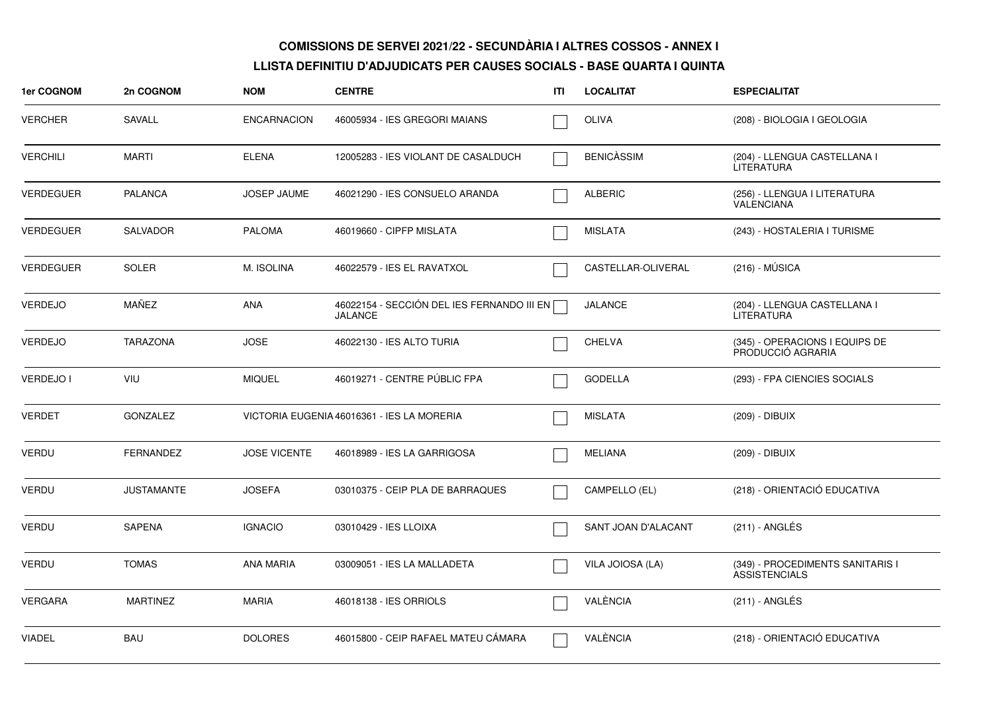| <b>1er COGNOM</b> | 2n COGNOM         | <b>NOM</b>          | <b>CENTRE</b>                                                | ITI | <b>LOCALITAT</b>    | <b>ESPECIALITAT</b>                                      |
|-------------------|-------------------|---------------------|--------------------------------------------------------------|-----|---------------------|----------------------------------------------------------|
| <b>VERCHER</b>    | <b>SAVALL</b>     | <b>ENCARNACION</b>  | 46005934 - IES GREGORI MAIANS                                |     | <b>OLIVA</b>        | (208) - BIOLOGIA I GEOLOGIA                              |
| <b>VERCHILI</b>   | <b>MARTI</b>      | <b>ELENA</b>        | 12005283 - IES VIOLANT DE CASALDUCH                          |     | <b>BENICÀSSIM</b>   | (204) - LLENGUA CASTELLANA I<br>LITERATURA               |
| <b>VERDEGUER</b>  | PALANCA           | <b>JOSEP JAUME</b>  | 46021290 - IES CONSUELO ARANDA                               |     | <b>ALBERIC</b>      | (256) - LLENGUA I LITERATURA<br>VALENCIANA               |
| <b>VERDEGUER</b>  | SALVADOR          | <b>PALOMA</b>       | 46019660 - CIPFP MISLATA                                     |     | <b>MISLATA</b>      | (243) - HOSTALERIA I TURISME                             |
| <b>VERDEGUER</b>  | <b>SOLER</b>      | M. ISOLINA          | 46022579 - IES EL RAVATXOL                                   |     | CASTELLAR-OLIVERAL  | $(216) - MÚSICA$                                         |
| <b>VERDEJO</b>    | MAÑEZ             | ANA                 | 46022154 - SECCIÓN DEL IES FERNANDO III EN<br><b>JALANCE</b> |     | <b>JALANCE</b>      | (204) - LLENGUA CASTELLANA I<br><b>LITERATURA</b>        |
| <b>VERDEJO</b>    | <b>TARAZONA</b>   | <b>JOSE</b>         | 46022130 - IES ALTO TURIA                                    |     | <b>CHELVA</b>       | (345) - OPERACIONS I EQUIPS DE<br>PRODUCCIÓ AGRARIA      |
| <b>VERDEJO I</b>  | <b>VIU</b>        | <b>MIQUEL</b>       | 46019271 - CENTRE PÚBLIC FPA                                 |     | <b>GODELLA</b>      | (293) - FPA CIENCIES SOCIALS                             |
| <b>VERDET</b>     | <b>GONZALEZ</b>   |                     | VICTORIA EUGENIA 46016361 - IES LA MORERIA                   |     | <b>MISLATA</b>      | (209) - DIBUIX                                           |
| <b>VERDU</b>      | <b>FERNANDEZ</b>  | <b>JOSE VICENTE</b> | 46018989 - IES LA GARRIGOSA                                  |     | <b>MELIANA</b>      | (209) - DIBUIX                                           |
| <b>VERDU</b>      | <b>JUSTAMANTE</b> | <b>JOSEFA</b>       | 03010375 - CEIP PLA DE BARRAQUES                             |     | CAMPELLO (EL)       | (218) - ORIENTACIÓ EDUCATIVA                             |
| VERDU             | SAPENA            | <b>IGNACIO</b>      | 03010429 - IES LLOIXA                                        |     | SANT JOAN D'ALACANT | (211) - ANGLÉS                                           |
| <b>VERDU</b>      | <b>TOMAS</b>      | <b>ANA MARIA</b>    | 03009051 - IES LA MALLADETA                                  |     | VILA JOIOSA (LA)    | (349) - PROCEDIMENTS SANITARIS I<br><b>ASSISTENCIALS</b> |
| <b>VERGARA</b>    | <b>MARTINEZ</b>   | <b>MARIA</b>        | 46018138 - IES ORRIOLS                                       |     | VALÈNCIA            | (211) - ANGLÉS                                           |
| <b>VIADEL</b>     | <b>BAU</b>        | <b>DOLORES</b>      | 46015800 - CEIP RAFAEL MATEU CÁMARA                          |     | VALÈNCIA            | (218) - ORIENTACIÓ EDUCATIVA                             |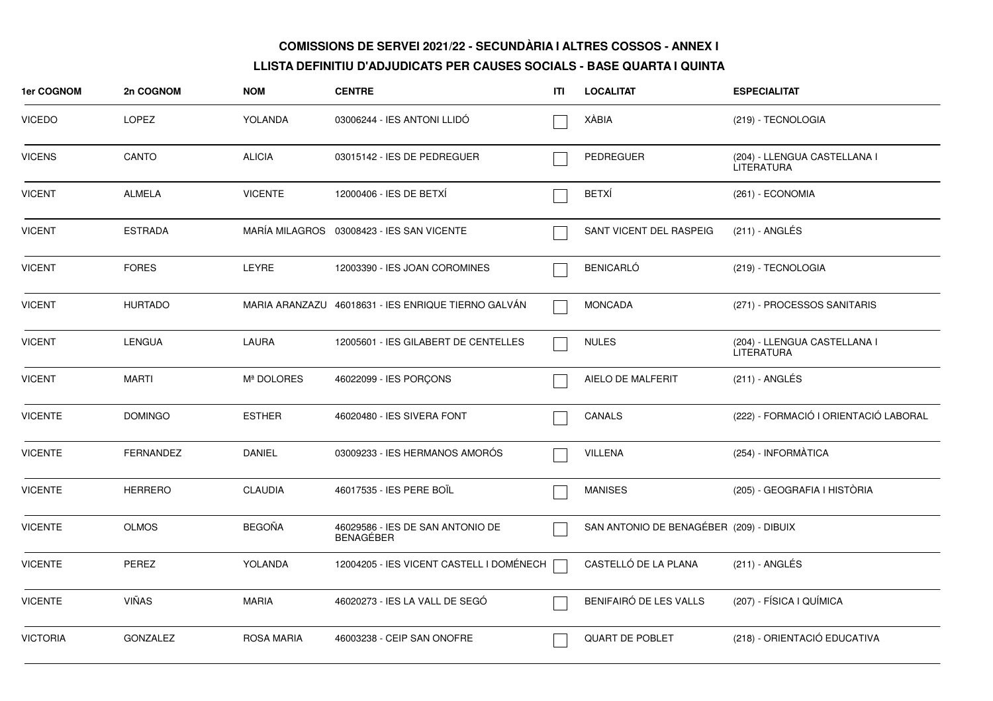| <b>1er COGNOM</b> | 2n COGNOM        | <b>NOM</b>        | <b>CENTRE</b>                                        | ITI | <b>LOCALITAT</b>                        | <b>ESPECIALITAT</b>                        |
|-------------------|------------------|-------------------|------------------------------------------------------|-----|-----------------------------------------|--------------------------------------------|
| <b>VICEDO</b>     | <b>LOPEZ</b>     | <b>YOLANDA</b>    | 03006244 - IES ANTONI LLIDÓ                          |     | XÀBIA                                   | (219) - TECNOLOGIA                         |
| <b>VICENS</b>     | CANTO            | <b>ALICIA</b>     | 03015142 - IES DE PEDREGUER                          |     | PEDREGUER                               | (204) - LLENGUA CASTELLANA I<br>LITERATURA |
| <b>VICENT</b>     | <b>ALMELA</b>    | <b>VICENTE</b>    | 12000406 - IES DE BETXI                              |     | <b>BETXÍ</b>                            | (261) - ECONOMIA                           |
| <b>VICENT</b>     | <b>ESTRADA</b>   |                   | MARÍA MILAGROS 03008423 - IES SAN VICENTE            |     | SANT VICENT DEL RASPEIG                 | (211) - ANGLÉS                             |
| <b>VICENT</b>     | <b>FORES</b>     | <b>LEYRE</b>      | 12003390 - IES JOAN COROMINES                        |     | <b>BENICARLÓ</b>                        | (219) - TECNOLOGIA                         |
| <b>VICENT</b>     | <b>HURTADO</b>   |                   | MARIA ARANZAZU 46018631 - IES ENRIQUE TIERNO GALVÁN  |     | <b>MONCADA</b>                          | (271) - PROCESSOS SANITARIS                |
| <b>VICENT</b>     | <b>LENGUA</b>    | <b>LAURA</b>      | 12005601 - IES GILABERT DE CENTELLES                 |     | <b>NULES</b>                            | (204) - LLENGUA CASTELLANA I<br>LITERATURA |
| <b>VICENT</b>     | <b>MARTI</b>     | Mª DOLORES        | 46022099 - IES PORÇONS                               |     | AIELO DE MALFERIT                       | (211) - ANGLÉS                             |
| <b>VICENTE</b>    | <b>DOMINGO</b>   | <b>ESTHER</b>     | 46020480 - IES SIVERA FONT                           |     | <b>CANALS</b>                           | (222) - FORMACIÓ I ORIENTACIÓ LABORAL      |
| <b>VICENTE</b>    | <b>FERNANDEZ</b> | DANIEL            | 03009233 - IES HERMANOS AMORÓS                       |     | VILLENA                                 | (254) - INFORMÀTICA                        |
| <b>VICENTE</b>    | <b>HERRERO</b>   | <b>CLAUDIA</b>    | 46017535 - IES PERE BOIL                             |     | <b>MANISES</b>                          | (205) - GEOGRAFIA I HISTÒRIA               |
| <b>VICENTE</b>    | <b>OLMOS</b>     | <b>BEGOÑA</b>     | 46029586 - IES DE SAN ANTONIO DE<br><b>BENAGEBER</b> |     | SAN ANTONIO DE BENAGÉBER (209) - DIBUIX |                                            |
| <b>VICENTE</b>    | <b>PEREZ</b>     | YOLANDA           | 12004205 - IES VICENT CASTELL I DOMÉNECH             |     | CASTELLÓ DE LA PLANA                    | (211) - ANGLÉS                             |
| <b>VICENTE</b>    | <b>VIÑAS</b>     | <b>MARIA</b>      | 46020273 - IES LA VALL DE SEGO                       |     | BENIFAIRÓ DE LES VALLS                  | (207) - FÍSICA I QUÍMICA                   |
| <b>VICTORIA</b>   | <b>GONZALEZ</b>  | <b>ROSA MARIA</b> | 46003238 - CEIP SAN ONOFRE                           |     | QUART DE POBLET                         | (218) - ORIENTACIÓ EDUCATIVA               |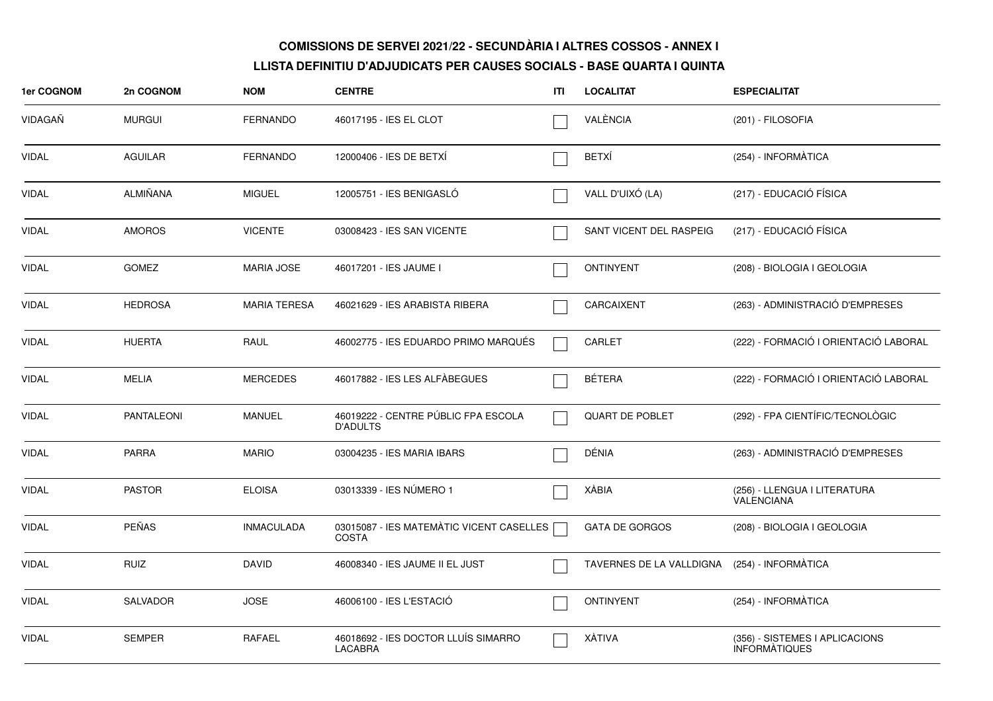| 1er COGNOM   | 2n COGNOM       | <b>NOM</b>          | <b>CENTRE</b>                                            | ITI | <b>LOCALITAT</b>                             | <b>ESPECIALITAT</b>                                    |
|--------------|-----------------|---------------------|----------------------------------------------------------|-----|----------------------------------------------|--------------------------------------------------------|
| VIDAGAÑ      | <b>MURGUI</b>   | <b>FERNANDO</b>     | 46017195 - IES EL CLOT                                   |     | VALÈNCIA                                     | (201) - FILOSOFIA                                      |
| VIDAL        | <b>AGUILAR</b>  | FERNANDO            | 12000406 - IES DE BETXI                                  |     | <b>BETXÍ</b>                                 | (254) - INFORMÀTICA                                    |
| <b>VIDAL</b> | ALMIÑANA        | <b>MIGUEL</b>       | 12005751 - IES BENIGASLÓ                                 |     | VALL D'UIXÓ (LA)                             | (217) - EDUCACIÓ FÍSICA                                |
| <b>VIDAL</b> | <b>AMOROS</b>   | <b>VICENTE</b>      | 03008423 - IES SAN VICENTE                               |     | SANT VICENT DEL RASPEIG                      | (217) - EDUCACIÓ FÍSICA                                |
| <b>VIDAL</b> | <b>GOMEZ</b>    | <b>MARIA JOSE</b>   | 46017201 - IES JAUME I                                   |     | <b>ONTINYENT</b>                             | (208) - BIOLOGIA I GEOLOGIA                            |
| <b>VIDAL</b> | <b>HEDROSA</b>  | <b>MARIA TERESA</b> | 46021629 - IES ARABISTA RIBERA                           |     | <b>CARCAIXENT</b>                            | (263) - ADMINISTRACIÓ D'EMPRESES                       |
| <b>VIDAL</b> | <b>HUERTA</b>   | RAUL                | 46002775 - IES EDUARDO PRIMO MARQUÉS                     |     | CARLET                                       | (222) - FORMACIÓ I ORIENTACIÓ LABORAL                  |
| <b>VIDAL</b> | <b>MELIA</b>    | <b>MERCEDES</b>     | 46017882 - IES LES ALFÀBEGUES                            |     | <b>BÉTERA</b>                                | (222) - FORMACIÓ I ORIENTACIÓ LABORAL                  |
| <b>VIDAL</b> | PANTALEONI      | <b>MANUEL</b>       | 46019222 - CENTRE PÚBLIC FPA ESCOLA<br><b>D'ADULTS</b>   |     | <b>QUART DE POBLET</b>                       | (292) - FPA CIENTÍFIC/TECNOLÒGIC                       |
| <b>VIDAL</b> | <b>PARRA</b>    | <b>MARIO</b>        | 03004235 - IES MARIA IBARS                               |     | DÉNIA                                        | (263) - ADMINISTRACIÓ D'EMPRESES                       |
| <b>VIDAL</b> | <b>PASTOR</b>   | <b>ELOISA</b>       | 03013339 - IES NÚMERO 1                                  |     | XÀBIA                                        | (256) - LLENGUA I LITERATURA<br><b>VALENCIANA</b>      |
| <b>VIDAL</b> | <b>PEÑAS</b>    | <b>INMACULADA</b>   | 03015087 - IES MATEMÀTIC VICENT CASELLES<br><b>COSTA</b> |     | <b>GATA DE GORGOS</b>                        | (208) - BIOLOGIA I GEOLOGIA                            |
| <b>VIDAL</b> | <b>RUIZ</b>     | <b>DAVID</b>        | 46008340 - IES JAUME II EL JUST                          |     | TAVERNES DE LA VALLDIGNA (254) - INFORMÀTICA |                                                        |
| <b>VIDAL</b> | <b>SALVADOR</b> | <b>JOSE</b>         | 46006100 - IES L'ESTACIÓ                                 |     | <b>ONTINYENT</b>                             | (254) - INFORMÀTICA                                    |
| <b>VIDAL</b> | <b>SEMPER</b>   | RAFAEL              | 46018692 - IES DOCTOR LLUÍS SIMARRO<br><b>LACABRA</b>    |     | <b>XÀTIVA</b>                                | (356) - SISTEMES I APLICACIONS<br><b>INFORMATIQUES</b> |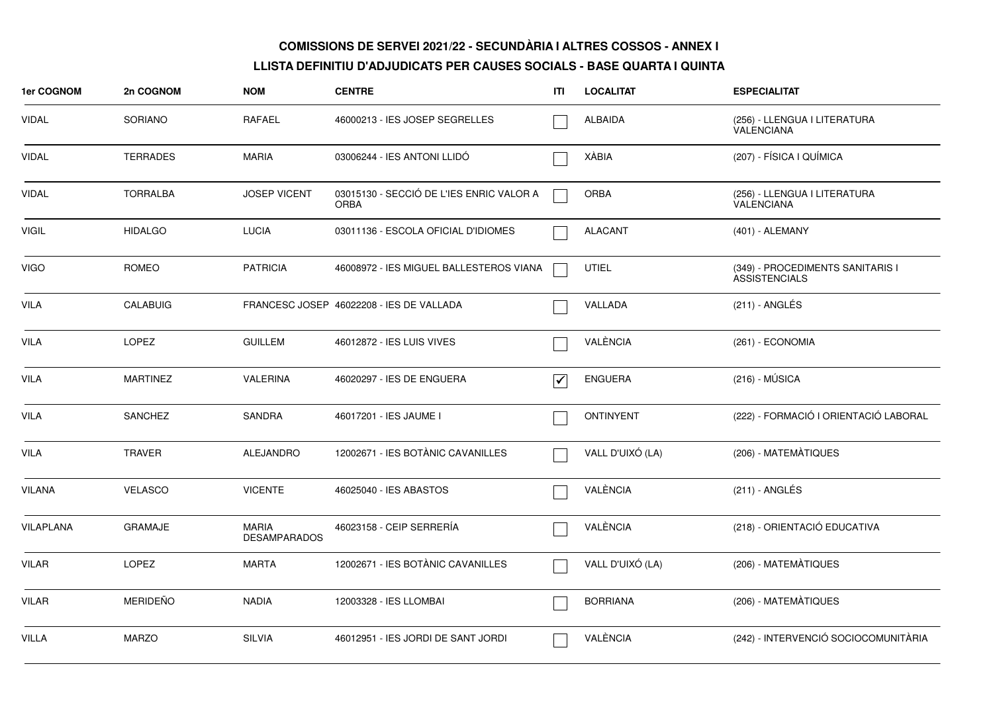| <b>1er COGNOM</b> | 2n COGNOM       | <b>NOM</b>                          | <b>CENTRE</b>                                           | ITI                             | <b>LOCALITAT</b> | <b>ESPECIALITAT</b>                                      |
|-------------------|-----------------|-------------------------------------|---------------------------------------------------------|---------------------------------|------------------|----------------------------------------------------------|
| <b>VIDAL</b>      | <b>SORIANO</b>  | <b>RAFAEL</b>                       | 46000213 - IES JOSEP SEGRELLES                          |                                 | <b>ALBAIDA</b>   | (256) - LLENGUA I LITERATURA<br><b>VALENCIANA</b>        |
| VIDAL             | <b>TERRADES</b> | <b>MARIA</b>                        | 03006244 - IES ANTONI LLIDÓ                             |                                 | <b>XÀBIA</b>     | (207) - FÍSICA I QUÍMICA                                 |
| VIDAL             | <b>TORRALBA</b> | <b>JOSEP VICENT</b>                 | 03015130 - SECCIÓ DE L'IES ENRIC VALOR A<br><b>ORBA</b> |                                 | <b>ORBA</b>      | (256) - LLENGUA I LITERATURA<br>VALENCIANA               |
| <b>VIGIL</b>      | <b>HIDALGO</b>  | <b>LUCIA</b>                        | 03011136 - ESCOLA OFICIAL D'IDIOMES                     |                                 | <b>ALACANT</b>   | (401) - ALEMANY                                          |
| <b>VIGO</b>       | <b>ROMEO</b>    | <b>PATRICIA</b>                     | 46008972 - IES MIGUEL BALLESTEROS VIANA                 |                                 | <b>UTIEL</b>     | (349) - PROCEDIMENTS SANITARIS I<br><b>ASSISTENCIALS</b> |
| <b>VILA</b>       | <b>CALABUIG</b> |                                     | FRANCESC JOSEP 46022208 - IES DE VALLADA                |                                 | VALLADA          | $(211)$ - ANGLÉS                                         |
| VILA              | <b>LOPEZ</b>    | <b>GUILLEM</b>                      | 46012872 - IES LUIS VIVES                               |                                 | VALÈNCIA         | (261) - ECONOMIA                                         |
| <b>VILA</b>       | <b>MARTINEZ</b> | <b>VALERINA</b>                     | 46020297 - IES DE ENGUERA                               | $\overline{\blacktriangledown}$ | <b>ENGUERA</b>   | $(216) - MÚSICA$                                         |
| VILA              | <b>SANCHEZ</b>  | <b>SANDRA</b>                       | 46017201 - IES JAUME I                                  |                                 | <b>ONTINYENT</b> | (222) - FORMACIÓ I ORIENTACIÓ LABORAL                    |
| VILA              | <b>TRAVER</b>   | <b>ALEJANDRO</b>                    | 12002671 - IES BOTÀNIC CAVANILLES                       |                                 | VALL D'UIXÓ (LA) | (206) - MATEMÀTIQUES                                     |
| <b>VILANA</b>     | <b>VELASCO</b>  | <b>VICENTE</b>                      | 46025040 - IES ABASTOS                                  |                                 | VALÈNCIA         | $(211)$ - ANGLÉS                                         |
| <b>VILAPLANA</b>  | <b>GRAMAJE</b>  | <b>MARIA</b><br><b>DESAMPARADOS</b> | 46023158 - CEIP SERRERÍA                                |                                 | VALÈNCIA         | (218) - ORIENTACIÓ EDUCATIVA                             |
| VILAR             | LOPEZ           | <b>MARTA</b>                        | 12002671 - IES BOTÀNIC CAVANILLES                       |                                 | VALL D'UIXÓ (LA) | (206) - MATEMÀTIQUES                                     |
| <b>VILAR</b>      | <b>MERIDEÑO</b> | <b>NADIA</b>                        | 12003328 - IES LLOMBAI                                  |                                 | <b>BORRIANA</b>  | (206) - MATEMATIQUES                                     |
| <b>VILLA</b>      | <b>MARZO</b>    | <b>SILVIA</b>                       | 46012951 - IES JORDI DE SANT JORDI                      |                                 | VALÈNCIA         | (242) - INTERVENCIÓ SOCIOCOMUNITÀRIA                     |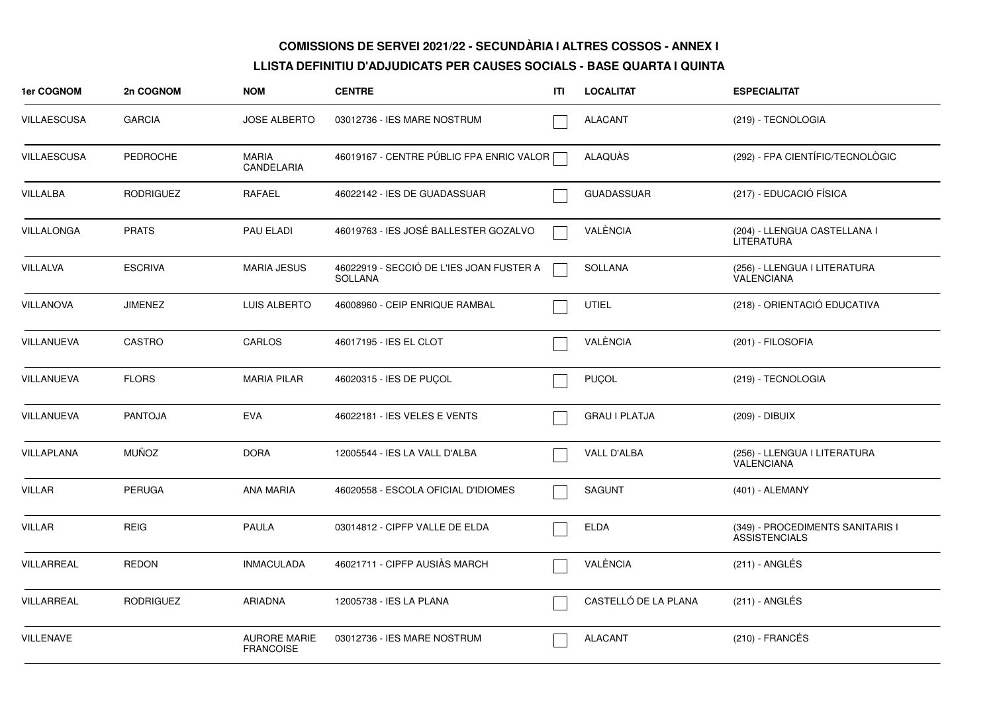| 1er COGNOM         | 2n COGNOM        | <b>NOM</b>                              | <b>CENTRE</b>                                              | ITI | <b>LOCALITAT</b>     | <b>ESPECIALITAT</b>                                      |
|--------------------|------------------|-----------------------------------------|------------------------------------------------------------|-----|----------------------|----------------------------------------------------------|
| <b>VILLAESCUSA</b> | <b>GARCIA</b>    | <b>JOSE ALBERTO</b>                     | 03012736 - IES MARE NOSTRUM                                |     | <b>ALACANT</b>       | (219) - TECNOLOGIA                                       |
| <b>VILLAESCUSA</b> | <b>PEDROCHE</b>  | <b>MARIA</b><br>CANDELARIA              | 46019167 - CENTRE PÚBLIC FPA ENRIC VALOR                   |     | ALAQUAS              | (292) - FPA CIENTÍFIC/TECNOLÒGIC                         |
| <b>VILLALBA</b>    | <b>RODRIGUEZ</b> | RAFAEL                                  | 46022142 - IES DE GUADASSUAR                               |     | <b>GUADASSUAR</b>    | (217) - EDUCACIÓ FÍSICA                                  |
| VILLALONGA         | <b>PRATS</b>     | PAU ELADI                               | 46019763 - IES JOSÉ BALLESTER GOZALVO                      |     | VALÈNCIA             | (204) - LLENGUA CASTELLANA I<br><b>LITERATURA</b>        |
| VILLALVA           | <b>ESCRIVA</b>   | <b>MARIA JESUS</b>                      | 46022919 - SECCIÓ DE L'IES JOAN FUSTER A<br><b>SOLLANA</b> |     | <b>SOLLANA</b>       | (256) - LLENGUA I LITERATURA<br><b>VALENCIANA</b>        |
| <b>VILLANOVA</b>   | <b>JIMENEZ</b>   | <b>LUIS ALBERTO</b>                     | 46008960 - CEIP ENRIQUE RAMBAL                             |     | <b>UTIEL</b>         | (218) - ORIENTACIÓ EDUCATIVA                             |
| VILLANUEVA         | CASTRO           | CARLOS                                  | 46017195 - IES EL CLOT                                     |     | VALÈNCIA             | (201) - FILOSOFIA                                        |
| VILLANUEVA         | <b>FLORS</b>     | <b>MARIA PILAR</b>                      | 46020315 - IES DE PUCOL                                    |     | <b>PUÇOL</b>         | (219) - TECNOLOGIA                                       |
| <b>VILLANUEVA</b>  | <b>PANTOJA</b>   | <b>EVA</b>                              | 46022181 - IES VELES E VENTS                               |     | <b>GRAU I PLATJA</b> | (209) - DIBUIX                                           |
| VILLAPLANA         | <b>MUÑOZ</b>     | <b>DORA</b>                             | 12005544 - IES LA VALL D'ALBA                              |     | VALL D'ALBA          | (256) - LLENGUA I LITERATURA<br><b>VALENCIANA</b>        |
| <b>VILLAR</b>      | <b>PERUGA</b>    | <b>ANA MARIA</b>                        | 46020558 - ESCOLA OFICIAL D'IDIOMES                        |     | <b>SAGUNT</b>        | (401) - ALEMANY                                          |
| <b>VILLAR</b>      | <b>REIG</b>      | <b>PAULA</b>                            | 03014812 - CIPFP VALLE DE ELDA                             |     | <b>ELDA</b>          | (349) - PROCEDIMENTS SANITARIS I<br><b>ASSISTENCIALS</b> |
| VILLARREAL         | REDON            | <b>INMACULADA</b>                       | 46021711 - CIPFP AUSIÀS MARCH                              |     | VALÈNCIA             | (211) - ANGLÉS                                           |
| VILLARREAL         | <b>RODRIGUEZ</b> | <b>ARIADNA</b>                          | 12005738 - IES LA PLANA                                    |     | CASTELLÓ DE LA PLANA | (211) - ANGLÉS                                           |
| <b>VILLENAVE</b>   |                  | <b>AURORE MARIE</b><br><b>FRANCOISE</b> | 03012736 - IES MARE NOSTRUM                                |     | <b>ALACANT</b>       | $(210)$ - FRANCÉS                                        |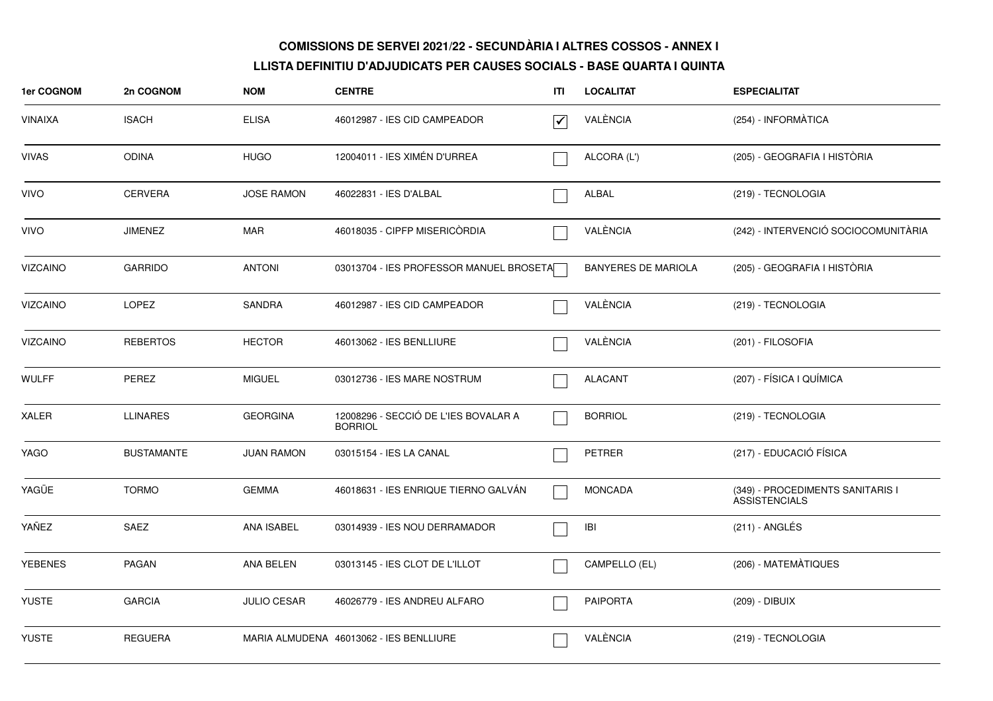| 1er COGNOM      | 2n COGNOM         | <b>NOM</b>         | <b>CENTRE</b>                                          | ITI | <b>LOCALITAT</b>           | <b>ESPECIALITAT</b>                                      |
|-----------------|-------------------|--------------------|--------------------------------------------------------|-----|----------------------------|----------------------------------------------------------|
| <b>VINAIXA</b>  | <b>ISACH</b>      | <b>ELISA</b>       | 46012987 - IES CID CAMPEADOR                           | √   | VALÈNCIA                   | (254) - INFORMÀTICA                                      |
| <b>VIVAS</b>    | <b>ODINA</b>      | <b>HUGO</b>        | 12004011 - IES XIMÉN D'URREA                           |     | ALCORA (L')                | (205) - GEOGRAFIA I HISTÒRIA                             |
| <b>VIVO</b>     | <b>CERVERA</b>    | <b>JOSE RAMON</b>  | 46022831 - IES D'ALBAL                                 |     | ALBAL                      | (219) - TECNOLOGIA                                       |
| <b>VIVO</b>     | <b>JIMENEZ</b>    | <b>MAR</b>         | 46018035 - CIPFP MISERICORDIA                          |     | VALÈNCIA                   | (242) - INTERVENCIÓ SOCIOCOMUNITÀRIA                     |
| <b>VIZCAINO</b> | <b>GARRIDO</b>    | <b>ANTONI</b>      | 03013704 - IES PROFESSOR MANUEL BROSETA                |     | <b>BANYERES DE MARIOLA</b> | (205) - GEOGRAFIA I HISTÒRIA                             |
| <b>VIZCAINO</b> | <b>LOPEZ</b>      | <b>SANDRA</b>      | 46012987 - IES CID CAMPEADOR                           |     | VALÈNCIA                   | (219) - TECNOLOGIA                                       |
| <b>VIZCAINO</b> | <b>REBERTOS</b>   | <b>HECTOR</b>      | 46013062 - IES BENLLIURE                               |     | VALÈNCIA                   | (201) - FILOSOFIA                                        |
| <b>WULFF</b>    | PEREZ             | <b>MIGUEL</b>      | 03012736 - IES MARE NOSTRUM                            |     | ALACANT                    | (207) - FÍSICA I QUÍMICA                                 |
| <b>XALER</b>    | <b>LLINARES</b>   | <b>GEORGINA</b>    | 12008296 - SECCIÓ DE L'IES BOVALAR A<br><b>BORRIOL</b> |     | <b>BORRIOL</b>             | (219) - TECNOLOGIA                                       |
| YAGO            | <b>BUSTAMANTE</b> | <b>JUAN RAMON</b>  | 03015154 - IES LA CANAL                                |     | <b>PETRER</b>              | (217) - EDUCACIÓ FÍSICA                                  |
| YAGÜE           | <b>TORMO</b>      | <b>GEMMA</b>       | 46018631 - IES ENRIQUE TIERNO GALVÁN                   |     | <b>MONCADA</b>             | (349) - PROCEDIMENTS SANITARIS I<br><b>ASSISTENCIALS</b> |
| YAÑEZ           | SAEZ              | ANA ISABEL         | 03014939 - IES NOU DERRAMADOR                          |     | IBI                        | $(211)$ - ANGLÉS                                         |
| <b>YEBENES</b>  | PAGAN             | ANA BELEN          | 03013145 - IES CLOT DE L'ILLOT                         |     | CAMPELLO (EL)              | (206) - MATEMÀTIQUES                                     |
| <b>YUSTE</b>    | <b>GARCIA</b>     | <b>JULIO CESAR</b> | 46026779 - IES ANDREU ALFARO                           |     | <b>PAIPORTA</b>            | (209) - DIBUIX                                           |
| <b>YUSTE</b>    | <b>REGUERA</b>    |                    | MARIA ALMUDENA 46013062 - IES BENLLIURE                |     | VALÈNCIA                   | (219) - TECNOLOGIA                                       |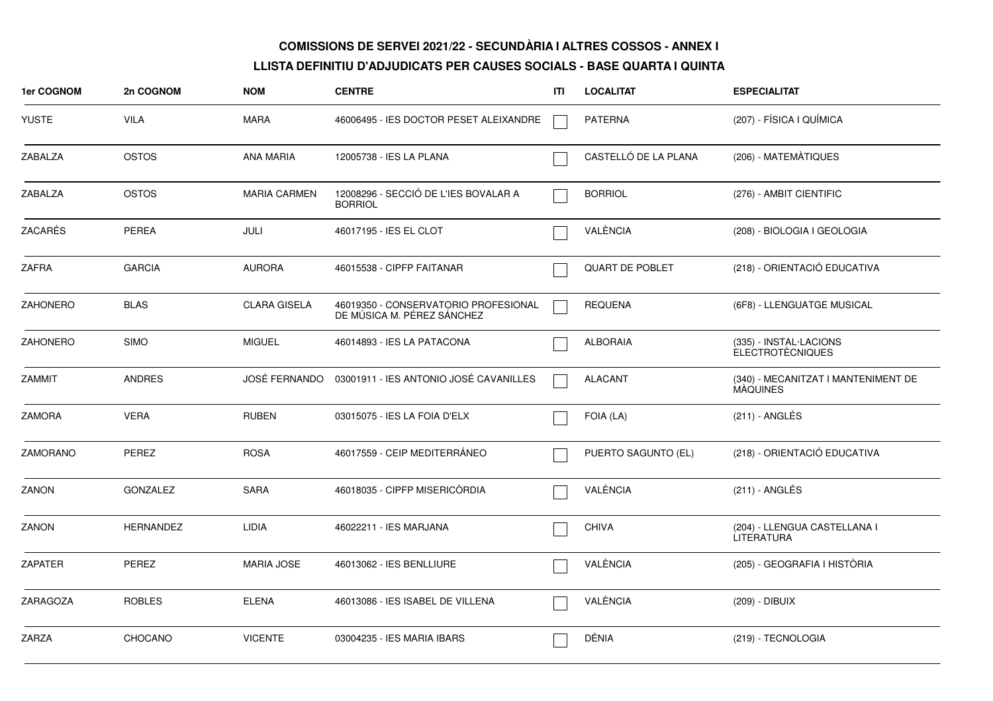| 1er COGNOM      | 2n COGNOM        | <b>NOM</b>          | <b>CENTRE</b>                                                      | ITI | <b>LOCALITAT</b>       | <b>ESPECIALITAT</b>                                    |
|-----------------|------------------|---------------------|--------------------------------------------------------------------|-----|------------------------|--------------------------------------------------------|
| <b>YUSTE</b>    | <b>VILA</b>      | <b>MARA</b>         | 46006495 - IES DOCTOR PESET ALEIXANDRE                             |     | <b>PATERNA</b>         | (207) - FÍSICA I QUÍMICA                               |
| ZABALZA         | <b>OSTOS</b>     | <b>ANA MARIA</b>    | 12005738 - IES LA PLANA                                            |     | CASTELLÓ DE LA PLANA   | (206) - MATEMÀTIQUES                                   |
| <b>ZABALZA</b>  | <b>OSTOS</b>     | <b>MARIA CARMEN</b> | 12008296 - SECCIÓ DE L'IES BOVALAR A<br><b>BORRIOL</b>             |     | <b>BORRIOL</b>         | (276) - AMBIT CIENTIFIC                                |
| ZACARÉS         | <b>PEREA</b>     | JULI                | 46017195 - IES EL CLOT                                             |     | VALÈNCIA               | (208) - BIOLOGIA I GEOLOGIA                            |
| <b>ZAFRA</b>    | <b>GARCIA</b>    | <b>AURORA</b>       | 46015538 - CIPFP FAITANAR                                          |     | <b>QUART DE POBLET</b> | (218) - ORIENTACIÓ EDUCATIVA                           |
| <b>ZAHONERO</b> | <b>BLAS</b>      | <b>CLARA GISELA</b> | 46019350 - CONSERVATORIO PROFESIONAL<br>DE MÚSICA M. PÉREZ SÁNCHEZ |     | <b>REQUENA</b>         | (6F8) - LLENGUATGE MUSICAL                             |
| <b>ZAHONERO</b> | <b>SIMO</b>      | <b>MIGUEL</b>       | 46014893 - IES LA PATACONA                                         |     | <b>ALBORAIA</b>        | (335) - INSTAL·LACIONS<br><b>ELECTROTÉCNIQUES</b>      |
| <b>ZAMMIT</b>   | <b>ANDRES</b>    | JOSÉ FERNANDO       | 03001911 - IES ANTONIO JOSÉ CAVANILLES                             |     | <b>ALACANT</b>         | (340) - MECANITZAT I MANTENIMENT DE<br><b>MAQUINES</b> |
| <b>ZAMORA</b>   | <b>VERA</b>      | <b>RUBEN</b>        | 03015075 - IES LA FOIA D'ELX                                       |     | FOIA (LA)              | (211) - ANGLÉS                                         |
| <b>ZAMORANO</b> | PEREZ            | <b>ROSA</b>         | 46017559 - CEIP MEDITERRÁNEO                                       |     | PUERTO SAGUNTO (EL)    | (218) - ORIENTACIÓ EDUCATIVA                           |
| ZANON           | <b>GONZALEZ</b>  | <b>SARA</b>         | 46018035 - CIPFP MISERICÒRDIA                                      |     | VALÈNCIA               | $(211)$ - ANGLÉS                                       |
| ZANON           | <b>HERNANDEZ</b> | LIDIA               | 46022211 - IES MARJANA                                             |     | <b>CHIVA</b>           | (204) - LLENGUA CASTELLANA I<br><b>LITERATURA</b>      |
| <b>ZAPATER</b>  | <b>PEREZ</b>     | <b>MARIA JOSE</b>   | 46013062 - IES BENLLIURE                                           |     | VALÈNCIA               | (205) - GEOGRAFIA I HISTÒRIA                           |
| ZARAGOZA        | <b>ROBLES</b>    | <b>ELENA</b>        | 46013086 - IES ISABEL DE VILLENA                                   |     | VALÈNCIA               | (209) - DIBUIX                                         |
| <b>ZARZA</b>    | CHOCANO          | <b>VICENTE</b>      | 03004235 - IES MARIA IBARS                                         |     | DÉNIA                  | (219) - TECNOLOGIA                                     |